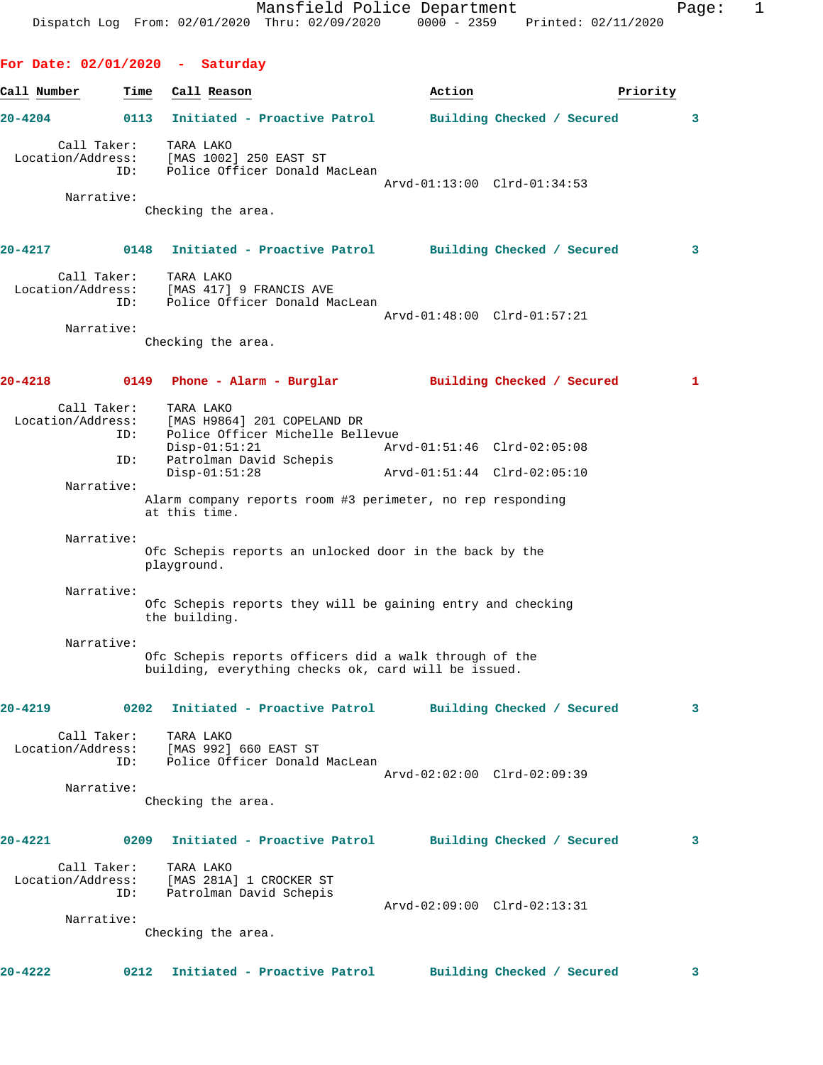**For Date: 02/01/2020 - Saturday** Call Number **Time** Call Reason **Business Call Action Priority 20-4204 0113 Initiated - Proactive Patrol Building Checked / Secured 3** Call Taker: TARA LAKO Location/Address: [MAS 1002] 250 EAST ST ID: Police Officer Donald MacLean Arvd-01:13:00 Clrd-01:34:53 Narrative: Checking the area. **20-4217 0148 Initiated - Proactive Patrol Building Checked / Secured 3** Call Taker: TARA LAKO Location/Address: [MAS 417] 9 FRANCIS AVE ID: Police Officer Donald MacLean Arvd-01:48:00 Clrd-01:57:21 Narrative: Checking the area. **20-4218 0149 Phone - Alarm - Burglar Building Checked / Secured 1** Call Taker: TARA LAKO Location/Address: [MAS H9864] 201 COPELAND DR Police Officer Michelle Bellevue<br>Disp-01:51:21 Arv Disp-01:51:21 Arvd-01:51:46 Clrd-02:05:08 ID: Patrolman David Schepis<br>Disp-01:51:28 Disp-01:51:28 Arvd-01:51:44 Clrd-02:05:10 Narrative: Alarm company reports room #3 perimeter, no rep responding at this time. Narrative: Ofc Schepis reports an unlocked door in the back by the playground. Narrative: Ofc Schepis reports they will be gaining entry and checking the building. Narrative: Ofc Schepis reports officers did a walk through of the building, everything checks ok, card will be issued. **20-4219 0202 Initiated - Proactive Patrol Building Checked / Secured 3** Call Taker: TARA LAKO Location/Address: [MAS 992] 660 EAST ST ID: Police Officer Donald MacLean Arvd-02:02:00 Clrd-02:09:39 Narrative: Checking the area. **20-4221 0209 Initiated - Proactive Patrol Building Checked / Secured 3** Call Taker: TARA LAKO Location/Address: [MAS 281A] 1 CROCKER ST ID: Patrolman David Schepis Patrolman David Schepis<br>Patrolman David Schepis<br>Arvd-02:09:00 Clrd-02:13:31 Narrative: Checking the area.

**20-4222 0212 Initiated - Proactive Patrol Building Checked / Secured 3**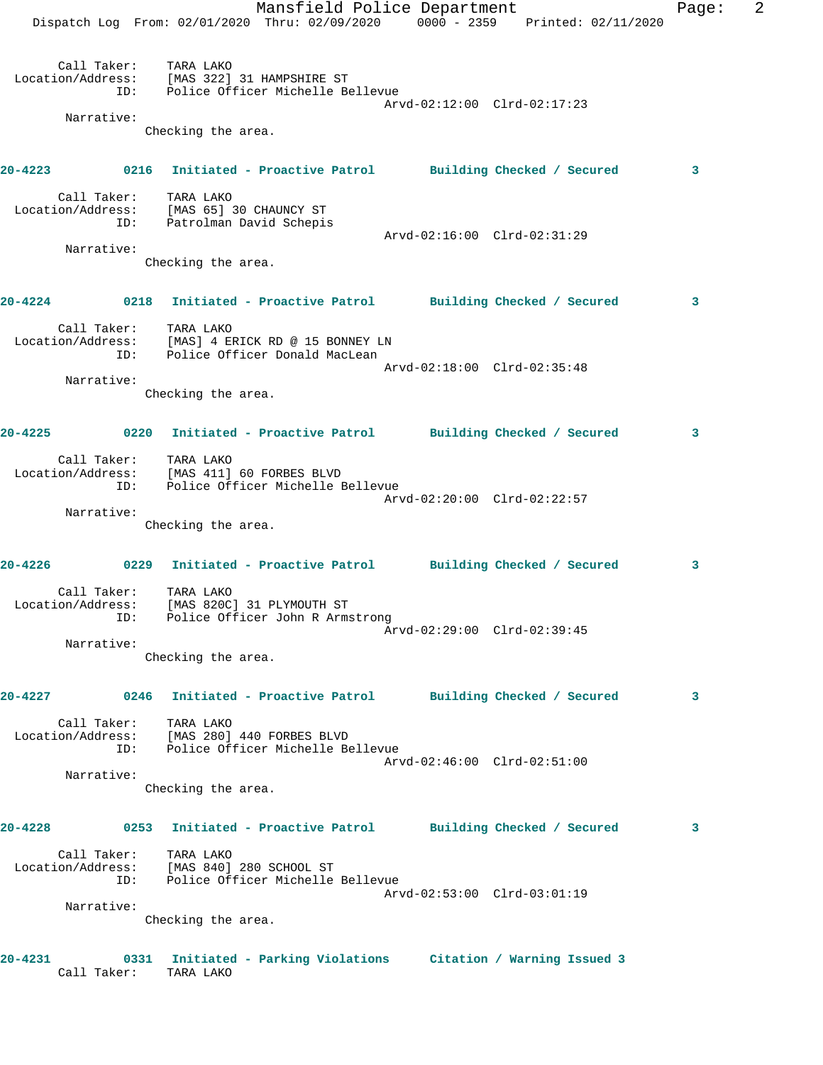|             |                    | Dispatch Log From: 02/01/2020 Thru: 02/09/2020 0000 - 2359 Printed: 02/11/2020                               | Mansfield Police Department |  |                             | Page: | 2 |
|-------------|--------------------|--------------------------------------------------------------------------------------------------------------|-----------------------------|--|-----------------------------|-------|---|
|             |                    | Call Taker: TARA LAKO<br>Location/Address: [MAS 322] 31 HAMPSHIRE ST<br>ID: Police Officer Michelle Bellevue |                             |  |                             |       |   |
|             | Narrative:         |                                                                                                              |                             |  | Arvd-02:12:00 Clrd-02:17:23 |       |   |
|             |                    | Checking the area.                                                                                           |                             |  |                             |       |   |
|             |                    |                                                                                                              |                             |  |                             |       |   |
|             |                    | 20-4223 0216 Initiated - Proactive Patrol Building Checked / Secured                                         |                             |  |                             | 3     |   |
|             |                    | Call Taker: TARA LAKO<br>Location/Address: [MAS 65] 30 CHAUNCY ST<br>ID: Patrolman David Schepis             |                             |  |                             |       |   |
|             | Narrative:         |                                                                                                              |                             |  | Arvd-02:16:00 Clrd-02:31:29 |       |   |
|             |                    | Checking the area.                                                                                           |                             |  |                             |       |   |
|             |                    |                                                                                                              |                             |  |                             |       |   |
|             |                    | 20-4224 0218 Initiated - Proactive Patrol Building Checked / Secured                                         |                             |  |                             | 3     |   |
|             | TD:                | Call Taker: TARA LAKO<br>Location/Address: [MAS] 4 ERICK RD @ 15 BONNEY LN<br>Police Officer Donald MacLean  |                             |  |                             |       |   |
|             |                    |                                                                                                              |                             |  | Arvd-02:18:00 Clrd-02:35:48 |       |   |
|             | Narrative:         | Checking the area.                                                                                           |                             |  |                             |       |   |
|             |                    |                                                                                                              |                             |  |                             |       |   |
|             |                    | 20-4225 0220 Initiated - Proactive Patrol Building Checked / Secured                                         |                             |  |                             | 3     |   |
|             | ID:                | Call Taker: TARA LAKO<br>Location/Address: [MAS 411] 60 FORBES BLVD<br>Police Officer Michelle Bellevue      |                             |  |                             |       |   |
|             |                    |                                                                                                              |                             |  | Arvd-02:20:00 Clrd-02:22:57 |       |   |
|             | Narrative:         | Checking the area.                                                                                           |                             |  |                             |       |   |
|             |                    | 20-4226 		 0229 Initiated - Proactive Patrol 		 Building Checked / Secured                                   |                             |  |                             | 3     |   |
|             | Call Taker:<br>ID: | TARA LAKO<br>Location/Address: [MAS 820C] 31 PLYMOUTH ST<br>Police Officer John R Armstrong                  |                             |  |                             |       |   |
|             | Narrative:         |                                                                                                              |                             |  | Arvd-02:29:00 Clrd-02:39:45 |       |   |
|             |                    | Checking the area.                                                                                           |                             |  |                             |       |   |
| 20-4227     |                    | 0246 Initiated - Proactive Patrol Building Checked / Secured                                                 |                             |  |                             | 3     |   |
|             | Call Taker:<br>ID: | TARA LAKO<br>Location/Address: [MAS 280] 440 FORBES BLVD<br>Police Officer Michelle Bellevue                 |                             |  |                             |       |   |
|             | Narrative:         |                                                                                                              |                             |  | Arvd-02:46:00 Clrd-02:51:00 |       |   |
|             |                    | Checking the area.                                                                                           |                             |  |                             |       |   |
| 20-4228     |                    | 0253 Initiated - Proactive Patrol Building Checked / Secured                                                 |                             |  |                             | 3     |   |
|             | Call Taker:<br>ID: | TARA LAKO<br>Location/Address: [MAS 840] 280 SCHOOL ST<br>Police Officer Michelle Bellevue                   |                             |  |                             |       |   |
|             |                    |                                                                                                              |                             |  | Arvd-02:53:00 Clrd-03:01:19 |       |   |
|             | Narrative:         | Checking the area.                                                                                           |                             |  |                             |       |   |
|             |                    |                                                                                                              |                             |  |                             |       |   |
| $20 - 4231$ | Call Taker:        | 0331 Initiated - Parking Violations Citation / Warning Issued 3<br>TARA LAKO                                 |                             |  |                             |       |   |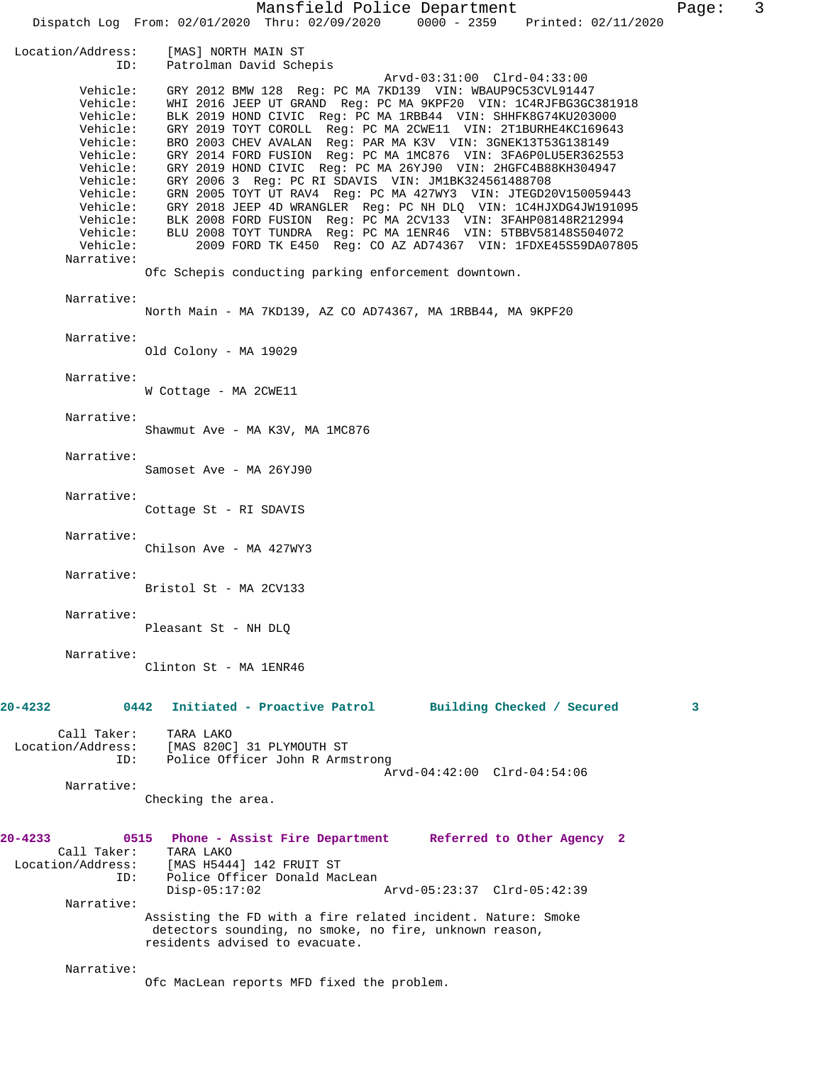Mansfield Police Department Fage: 3 Dispatch Log From: 02/01/2020 Thru: 02/09/2020 0000 - 2359 Printed: 02/11/2020 Location/Address: [MAS] NORTH MAIN ST Patrolman David Schepis Arvd-03:31:00 Clrd-04:33:00 Vehicle: GRY 2012 BMW 128 Reg: PC MA 7KD139 VIN: WBAUP9C53CVL91447 Vehicle: WHI 2016 JEEP UT GRAND Reg: PC MA 9KPF20 VIN: 1C4RJFBG3GC381918 Vehicle: BLK 2019 HOND CIVIC Reg: PC MA 1RBB44 VIN: SHHFK8G74KU203000 Vehicle: GRY 2019 TOYT COROLL Reg: PC MA 2CWE11 VIN: 2T1BURHE4KC169643 Vehicle: BRO 2003 CHEV AVALAN Reg: PAR MA K3V VIN: 3GNEK13T53G138149 Vehicle: GRY 2014 FORD FUSION Reg: PC MA 1MC876 VIN: 3FA6P0LU5ER362553 Vehicle: GRY 2019 HOND CIVIC Reg: PC MA 26YJ90 VIN: 2HGFC4B88KH304947 Vehicle: GRY 2006 3 Reg: PC RI SDAVIS VIN: JM1BK324561488708 Vehicle: GRN 2005 TOYT UT RAV4 Reg: PC MA 427WY3 VIN: JTEGD20V150059443 Vehicle: GRY 2018 JEEP 4D WRANGLER Reg: PC NH DLQ VIN: 1C4HJXDG4JW191095 Vehicle: BLK 2008 FORD FUSION Reg: PC MA 2CV133 VIN: 3FAHP08148R212994 Vehicle: BLU 2008 TOYT TUNDRA Reg: PC MA 1ENR46 VIN: 5TBBV58148S504072 Vehicle: 2009 FORD TK E450 Reg: CO AZ AD74367 VIN: 1FDXE45S59DA07805 Narrative: Ofc Schepis conducting parking enforcement downtown. Narrative: North Main - MA 7KD139, AZ CO AD74367, MA 1RBB44, MA 9KPF20 Narrative: Old Colony - MA 19029 Narrative: W Cottage - MA 2CWE11 Narrative: Shawmut Ave - MA K3V, MA 1MC876 Narrative: Samoset Ave - MA 26YJ90 Narrative: Cottage St - RI SDAVIS Narrative: Chilson Ave - MA 427WY3 Narrative: Bristol St - MA 2CV133 Narrative: Pleasant St - NH DLQ Narrative: Clinton St - MA 1ENR46 **20-4232 0442 Initiated - Proactive Patrol Building Checked / Secured 3** Call Taker: TARA LAKO Location/Address: [MAS 820C] 31 PLYMOUTH ST ID: Police Officer John R Armstrong Arvd-04:42:00 Clrd-04:54:06 Narrative: Checking the area. **20-4233 0515 Phone - Assist Fire Department Referred to Other Agency 2**  Call Taker: Location/Address: [MAS H5444] 142 FRUIT ST ID: Police Officer Donald MacLean<br>Disp-05:17:02 Arvd-05:23:37 Clrd-05:42:39 Narrative: Assisting the FD with a fire related incident. Nature: Smoke detectors sounding, no smoke, no fire, unknown reason, residents advised to evacuate. Narrative: Ofc MacLean reports MFD fixed the problem.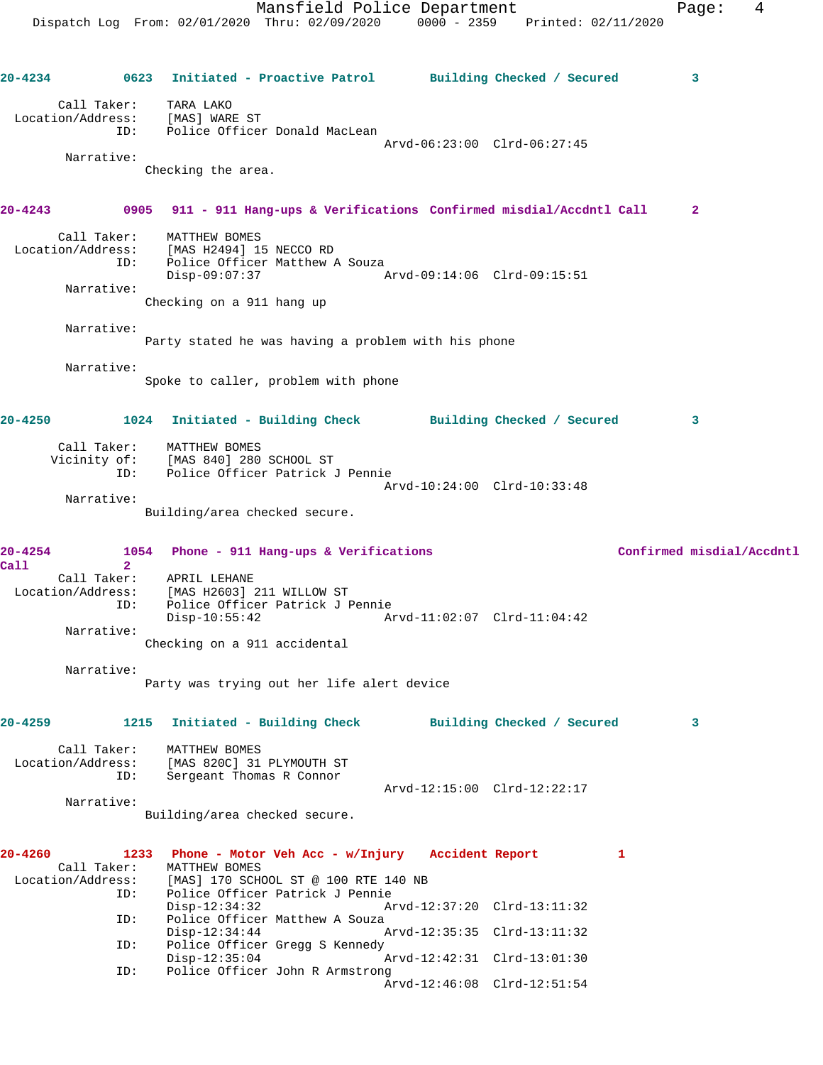**20-4234 0623 Initiated - Proactive Patrol Building Checked / Secured 3** Call Taker: TARA LAKO Location/Address: [MAS] WARE ST ID: Police Officer Donald MacLean Arvd-06:23:00 Clrd-06:27:45 Narrative: Checking the area. **20-4243 0905 911 - 911 Hang-ups & Verifications Confirmed misdial/Accdntl Call 2** Call Taker: MATTHEW BOMES Location/Address: [MAS H2494] 15 NECCO RD ID: Police Officer Matthew A Souza Disp-09:07:37 Arvd-09:14:06 Clrd-09:15:51 Narrative: Checking on a 911 hang up Narrative: Party stated he was having a problem with his phone Narrative: Spoke to caller, problem with phone **20-4250 1024 Initiated - Building Check Building Checked / Secured 3** Call Taker: MATTHEW BOMES Vicinity of: [MAS 840] 280 SCHOOL ST ID: Police Officer Patrick J Pennie Arvd-10:24:00 Clrd-10:33:48 Narrative: Building/area checked secure. **20-4254 1054 Phone - 911 Hang-ups & Verifications Confirmed misdial/Accdntl Call 2**  APRIL LEHANE Location/Address: [MAS H2603] 211 WILLOW ST ID: Police Officer Patrick J Pennie Disp-10:55:42 Arvd-11:02:07 Clrd-11:04:42 Narrative: Checking on a 911 accidental Narrative: Party was trying out her life alert device **20-4259 1215 Initiated - Building Check Building Checked / Secured 3** Call Taker: MATTHEW BOMES Location/Address: [MAS 820C] 31 PLYMOUTH ST ID: Sergeant Thomas R Connor Arvd-12:15:00 Clrd-12:22:17 Narrative: Building/area checked secure. **20-4260 1233 Phone - Motor Veh Acc - w/Injury Accident Report 1**  Call Taker: MATTHEW BOMES<br>Location/Address: [MAS] 170 SCHO ess: [MAS] 170 SCHOOL ST @ 100 RTE 140 NB<br>ID: Police Officer Patrick J Pennie Police Officer Patrick J Pennie<br>Disp-12:34:32 A Disp-12:34:32 Arvd-12:37:20 Clrd-13:11:32 ID: Police Officer Matthew A Souza Disp-12:34:44 Arvd-12:35:35 Clrd-13:11:32 Police Officer Gregg S Kennedy<br>Disp-12:35:04 Disp-12:35:04 Arvd-12:42:31 Clrd-13:01:30 ID: Police Officer John R Armstrong Arvd-12:46:08 Clrd-12:51:54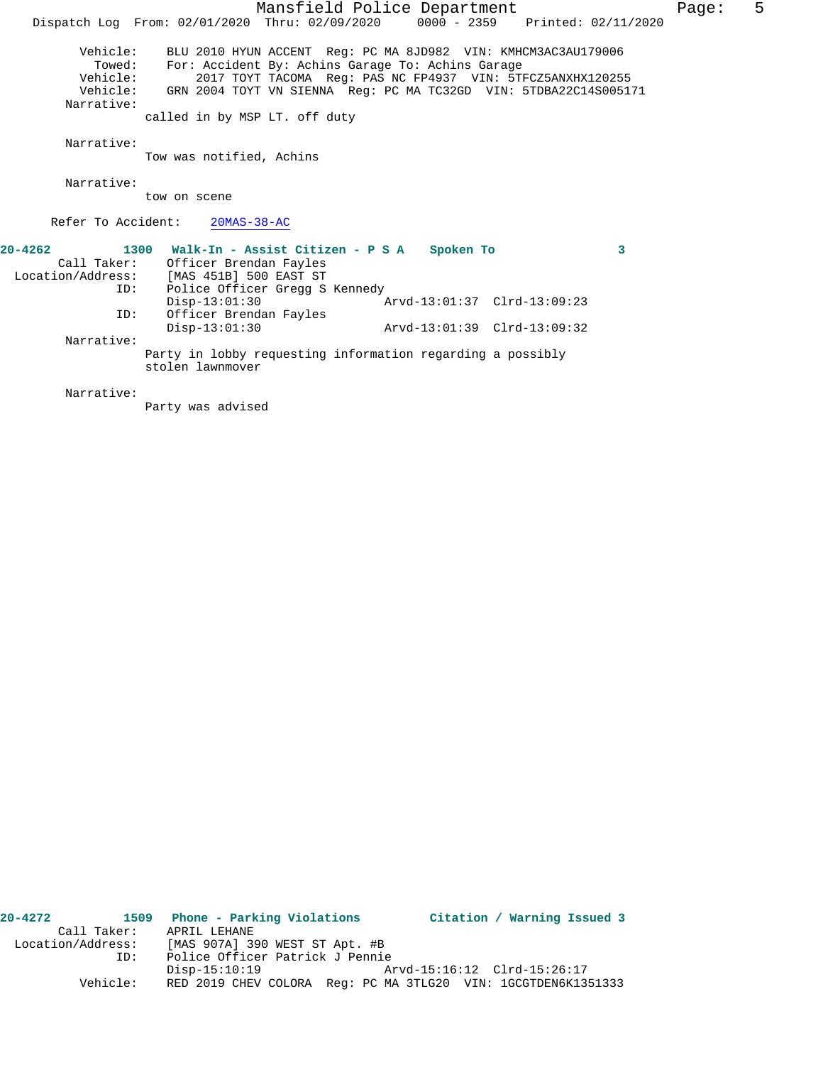|                   | Mansfield Police Department                                                    | Page: | 5 |
|-------------------|--------------------------------------------------------------------------------|-------|---|
|                   | Dispatch Log From: 02/01/2020 Thru: 02/09/2020 0000 - 2359 Printed: 02/11/2020 |       |   |
| Vehicle:          | BLU 2010 HYUN ACCENT Req: PC MA 8JD982 VIN: KMHCM3AC3AU179006                  |       |   |
| Towed:            | For: Accident By: Achins Garage To: Achins Garage                              |       |   |
| Vehicle:          | 2017 TOYT TACOMA Reg: PAS NC FP4937 VIN: 5TFCZ5ANXHX120255                     |       |   |
|                   | Vehicle: GRN 2004 TOYT VN SIENNA Req: PC MA TC32GD VIN: 5TDBA22C14S005171      |       |   |
| Narrative:        |                                                                                |       |   |
|                   | called in by MSP LT. off duty                                                  |       |   |
| Narrative:        |                                                                                |       |   |
|                   | Tow was notified, Achins                                                       |       |   |
|                   |                                                                                |       |   |
| Narrative:        |                                                                                |       |   |
|                   | tow on scene                                                                   |       |   |
|                   | Refer To Accident: 20MAS-38-AC                                                 |       |   |
|                   |                                                                                |       |   |
| $20 - 4262$       | 1300 Walk-In - Assist Citizen - P S A<br>Spoken To<br>3                        |       |   |
| Call Taker:       | Officer Brendan Fayles                                                         |       |   |
| Location/Address: | [MAS 451B] 500 EAST ST                                                         |       |   |
| ID:               | Police Officer Gregg S Kennedy                                                 |       |   |
|                   | $Disp-13:01:30$<br>Arvd-13:01:37 Clrd-13:09:23                                 |       |   |
| ID:               | Officer Brendan Fayles                                                         |       |   |
|                   | $Disp-13:01:30$<br>Arvd-13:01:39 Clrd-13:09:32                                 |       |   |
| Narrative:        |                                                                                |       |   |
|                   | Party in lobby requesting information regarding a possibly                     |       |   |
|                   | stolen lawnmover                                                               |       |   |
|                   |                                                                                |       |   |

 Narrative: Party was advised

| $20 - 4272$       |             | 1509 Phone - Parking Violations                               | Citation / Warning Issued 3 |
|-------------------|-------------|---------------------------------------------------------------|-----------------------------|
|                   | Call Taker: | APRIL LEHANE                                                  |                             |
| Location/Address: |             | [MAS 907A] 390 WEST ST Apt. #B                                |                             |
|                   | ID:         | Police Officer Patrick J Pennie                               |                             |
|                   |             | Disp-15:10:19                                                 | Arvd-15:16:12 Clrd-15:26:17 |
|                   | Vehicle:    | RED 2019 CHEV COLORA Req: PC MA 3TLG20 VIN: 1GCGTDEN6K1351333 |                             |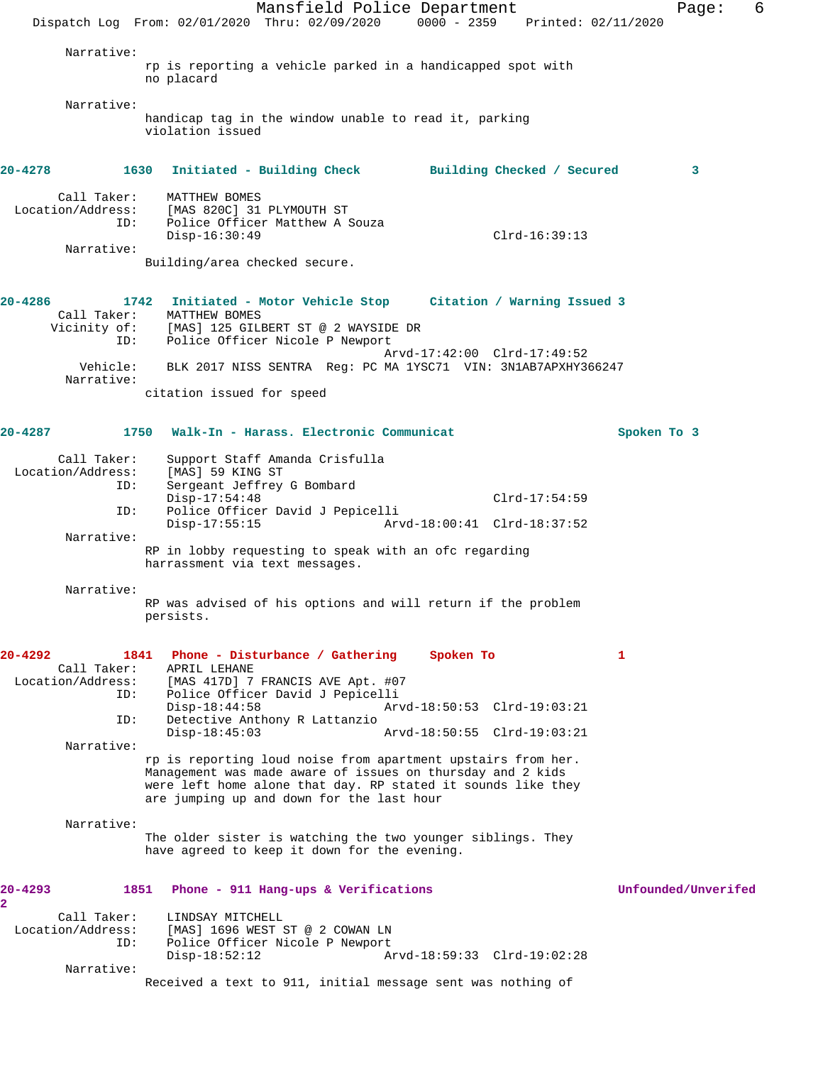Mansfield Police Department Fage: 6 Dispatch Log From: 02/01/2020 Thru: 02/09/2020 0000 - 2359 Printed: 02/11/2020 Narrative: rp is reporting a vehicle parked in a handicapped spot with no placard Narrative: handicap tag in the window unable to read it, parking violation issued **20-4278 1630 Initiated - Building Check Building Checked / Secured 3** Call Taker: MATTHEW BOMES Location/Address: [MAS 820C] 31 PLYMOUTH ST ID: Police Officer Matthew A Souza Disp-16:30:49 Clrd-16:39:13 Narrative: Building/area checked secure. **20-4286 1742 Initiated - Motor Vehicle Stop Citation / Warning Issued 3**  Call Taker: MATTHEW BOMES Vicinity of: [MAS] 125 GILBERT ST @ 2 WAYSIDE DR ID: Police Officer Nicole P Newport Arvd-17:42:00 Clrd-17:49:52 Vehicle: BLK 2017 NISS SENTRA Reg: PC MA 1YSC71 VIN: 3N1AB7APXHY366247 Narrative: citation issued for speed **20-4287 1750 Walk-In - Harass. Electronic Communicat Spoken To 3** Call Taker: Support Staff Amanda Crisfulla Location/Address: [MAS] 59 KING ST ID: Sergeant Jeffrey G Bombard Disp-17:54:48 Clrd-17:54:59<br>ID: Police Officer David J Pepicelli Police Officer David J Pepicelli Disp-17:55:15 Arvd-18:00:41 Clrd-18:37:52 Narrative: RP in lobby requesting to speak with an ofc regarding harrassment via text messages. Narrative: RP was advised of his options and will return if the problem persists. **20-4292 1841 Phone - Disturbance / Gathering Spoken To 1**  Call Taker: APRIL LEHANE Location/Address: [MAS 417D] 7 FRANCIS AVE Apt. #07<br>ID: Police Officer David J Penicelli ID: Police Officer David J Pepicelli Disp-18:44:58 Arvd-18:50:53 Clrd-19:03:21 ID: Detective Anthony R Lattanzio Disp-18:45:03 Arvd-18:50:55 Clrd-19:03:21 Narrative: rp is reporting loud noise from apartment upstairs from her. Management was made aware of issues on thursday and 2 kids were left home alone that day. RP stated it sounds like they are jumping up and down for the last hour Narrative: The older sister is watching the two younger siblings. They have agreed to keep it down for the evening. **20-4293 1851 Phone - 911 Hang-ups & Verifications Unfounded/Unverifed 2**  Call Taker: LINDSAY MITCHELL<br>Location/Address: [MAS] 1696 WEST { [MAS] 1696 WEST ST @ 2 COWAN LN ID: Police Officer Nicole P Newport Disp-18:52:12 Arvd-18:59:33 Clrd-19:02:28 Narrative: Received a text to 911, initial message sent was nothing of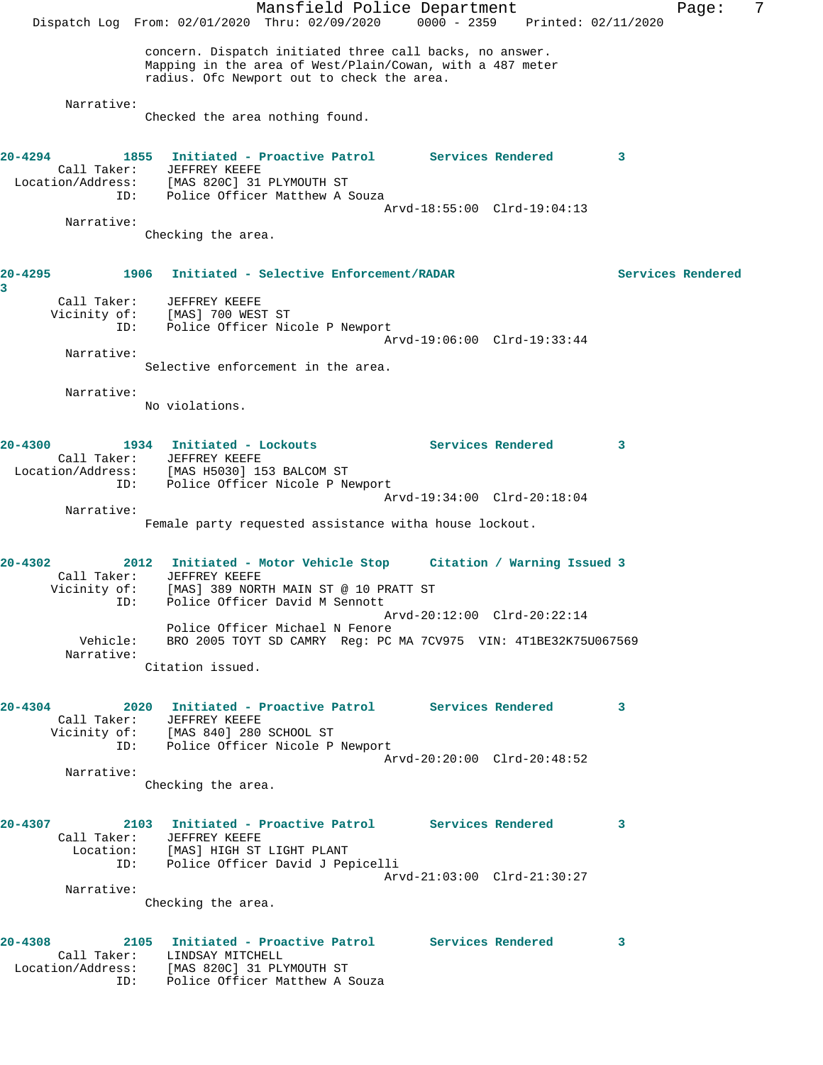Mansfield Police Department Fage: 7 Dispatch Log From: 02/01/2020 Thru: 02/09/2020 0000 - 2359 Printed: 02/11/2020 concern. Dispatch initiated three call backs, no answer. Mapping in the area of West/Plain/Cowan, with a 487 meter radius. Ofc Newport out to check the area. Narrative: Checked the area nothing found. **20-4294 1855 Initiated - Proactive Patrol Services Rendered 3**  Call Taker: JEFFREY KEEFE Location/Address: [MAS 820C] 31 PLYMOUTH ST ID: Police Officer Matthew A Souza Arvd-18:55:00 Clrd-19:04:13 Narrative: Checking the area. **20-4295 1906 Initiated - Selective Enforcement/RADAR Services Rendered 3**  Call Taker: JEFFREY KEEFE Vicinity of: [MAS] 700 WEST ST ID: Police Officer Nicole P Newport Arvd-19:06:00 Clrd-19:33:44 Narrative: Selective enforcement in the area. Narrative: No violations. **20-4300 1934 Initiated - Lockouts Services Rendered 3**  Call Taker: JEFFREY KEEFE Location/Address: [MAS H5030] 153 BALCOM ST ID: Police Officer Nicole P Newport Arvd-19:34:00 Clrd-20:18:04 Narrative: Female party requested assistance witha house lockout. **20-4302 2012 Initiated - Motor Vehicle Stop Citation / Warning Issued 3**  Call Taker: JEFFREY KEEFE Vicinity of: [MAS] 389 NORTH MAIN ST @ 10 PRATT ST ID: Police Officer David M Sennott Arvd-20:12:00 Clrd-20:22:14 Police Officer Michael N Fenore Vehicle: BRO 2005 TOYT SD CAMRY Reg: PC MA 7CV975 VIN: 4T1BE32K75U067569 Narrative: Citation issued. **20-4304 2020 Initiated - Proactive Patrol Services Rendered 3**  Call Taker: JEFFREY KEEFE Vicinity of: [MAS 840] 280 SCHOOL ST ID: Police Officer Nicole P Newport Arvd-20:20:00 Clrd-20:48:52 Narrative: Checking the area. **20-4307 2103 Initiated - Proactive Patrol Services Rendered 3**  Call Taker: JEFFREY KEEFE Location: [MAS] HIGH ST LIGHT PLANT ID: Police Officer David J Pepicelli Arvd-21:03:00 Clrd-21:30:27 Narrative: Checking the area. **20-4308 2105 Initiated - Proactive Patrol Services Rendered 3**  Call Taker: LINDSAY MITCHELL Location/Address: [MAS 820C] 31 PLYMOUTH ST ID: Police Officer Matthew A Souza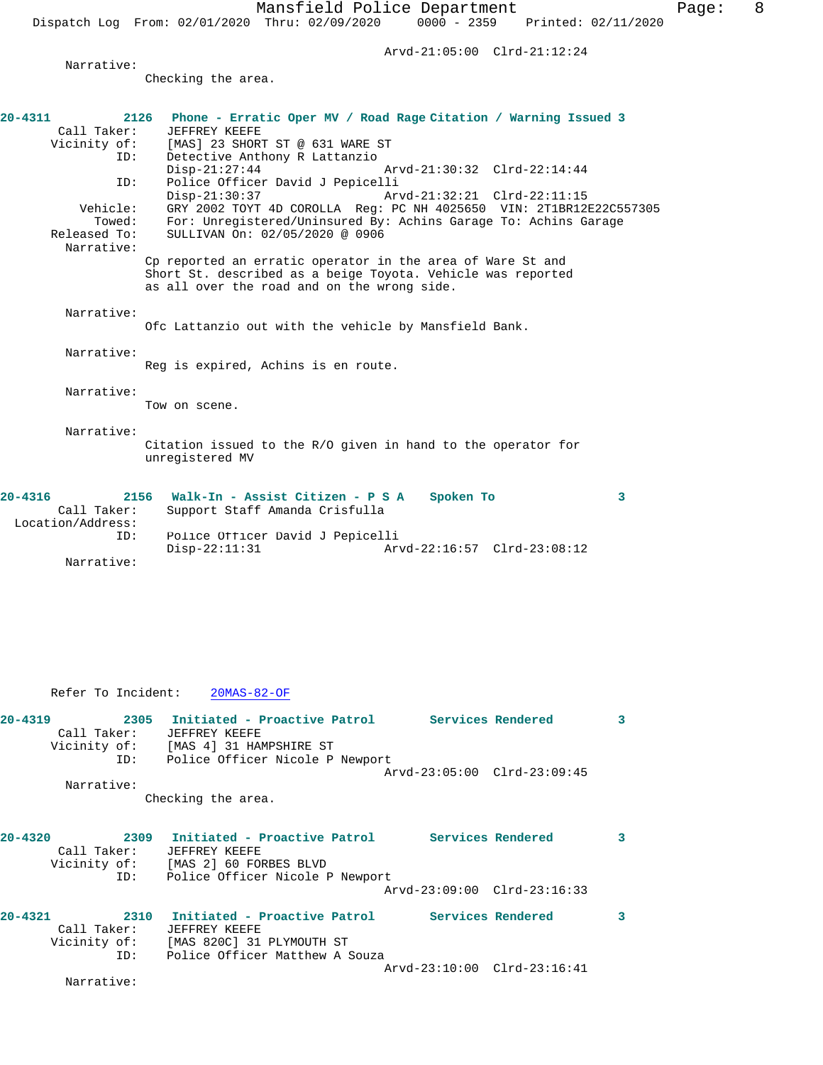Dispatch Log From: 02/01/2020 Thru: 02/09/2020 0000 - 2359 Printed: 02/11/2020

Arvd-21:05:00 Clrd-21:12:24

Narrative:

Checking the area.

| $20 - 4311$<br>Call Taker: | 2126 Phone - Erratic Oper MV / Road Rage Citation / Warning Issued 3<br>JEFFREY KEEFE                                                                                    |
|----------------------------|--------------------------------------------------------------------------------------------------------------------------------------------------------------------------|
| Vicinity of:               | [MAS] 23 SHORT ST @ 631 WARE ST                                                                                                                                          |
| ID:                        | Detective Anthony R Lattanzio                                                                                                                                            |
|                            | $Disp-21:27:44$<br>Arvd-21:30:32 Clrd-22:14:44                                                                                                                           |
| ID:                        | Police Officer David J Pepicelli<br>$Disp-21:30:37$<br>Arvd-21:32:21 Clrd-22:11:15                                                                                       |
| Vehicle:                   | GRY 2002 TOYT 4D COROLLA Req: PC NH 4025650 VIN: 2T1BR12E22C557305                                                                                                       |
| Towed:                     | For: Unregistered/Uninsured By: Achins Garage To: Achins Garage                                                                                                          |
| Released To:               | SULLIVAN On: 02/05/2020 @ 0906                                                                                                                                           |
| Narrative:                 |                                                                                                                                                                          |
|                            | Cp reported an erratic operator in the area of Ware St and<br>Short St. described as a beige Toyota. Vehicle was reported<br>as all over the road and on the wrong side. |
| Narrative:                 |                                                                                                                                                                          |
|                            | Ofc Lattanzio out with the vehicle by Mansfield Bank.                                                                                                                    |
|                            |                                                                                                                                                                          |
| Narrative:                 |                                                                                                                                                                          |
|                            | Reg is expired, Achins is en route.                                                                                                                                      |
| Narrative:                 |                                                                                                                                                                          |
|                            | Tow on scene.                                                                                                                                                            |
|                            |                                                                                                                                                                          |
| Narrative:                 | Citation issued to the R/O given in hand to the operator for<br>unregistered MV                                                                                          |
| $20 - 4316$                | 2156 Walk-In - Assist Citizen - P S A<br>Spoken To<br>3                                                                                                                  |
| Call Taker:                | Support Staff Amanda Crisfulla                                                                                                                                           |
| Location/Address:          |                                                                                                                                                                          |
| ID:                        | Police Officer David J Pepicelli                                                                                                                                         |
|                            | $Disp-22:11:31$<br>Arvd-22:16:57 Clrd-23:08:12                                                                                                                           |
| Narrative:                 |                                                                                                                                                                          |

Refer To Incident: 20MAS-82-OF

| $20 - 4319$ | 2305 Initiated - Proactive Patrol Services Rendered |                             | 3 |
|-------------|-----------------------------------------------------|-----------------------------|---|
| Call Taker: | JEFFREY KEEFE                                       |                             |   |
|             | Vicinity of: [MAS 4] 31 HAMPSHIRE ST                |                             |   |
|             | ID: Police Officer Nicole P Newport                 |                             |   |
|             |                                                     | Arvd-23:05:00 Clrd-23:09:45 |   |
| Narrative:  |                                                     |                             |   |
|             | Checking the area.                                  |                             |   |
|             |                                                     |                             |   |
| $20 - 4320$ | 2309 Initiated - Proactive Patrol Services Rendered |                             | 3 |
| Call Taker: | JEFFREY KEEFE                                       |                             |   |
|             | Vicinity of: [MAS 2] 60 FORBES BLVD                 |                             |   |
|             | ID: Police Officer Nicole P Newport                 |                             |   |
|             |                                                     | Arvd-23:09:00 Clrd-23:16:33 |   |
| $20 - 4321$ | 2310 Initiated - Proactive Patrol Services Rendered |                             | 3 |
| Call Taker: | JEFFREY KEEFE                                       |                             |   |
|             | Vicinity of: [MAS 820C] 31 PLYMOUTH ST              |                             |   |
|             | ID: Police Officer Matthew A Souza                  |                             |   |
|             |                                                     | Arvd-23:10:00 Clrd-23:16:41 |   |
| Narrative:  |                                                     |                             |   |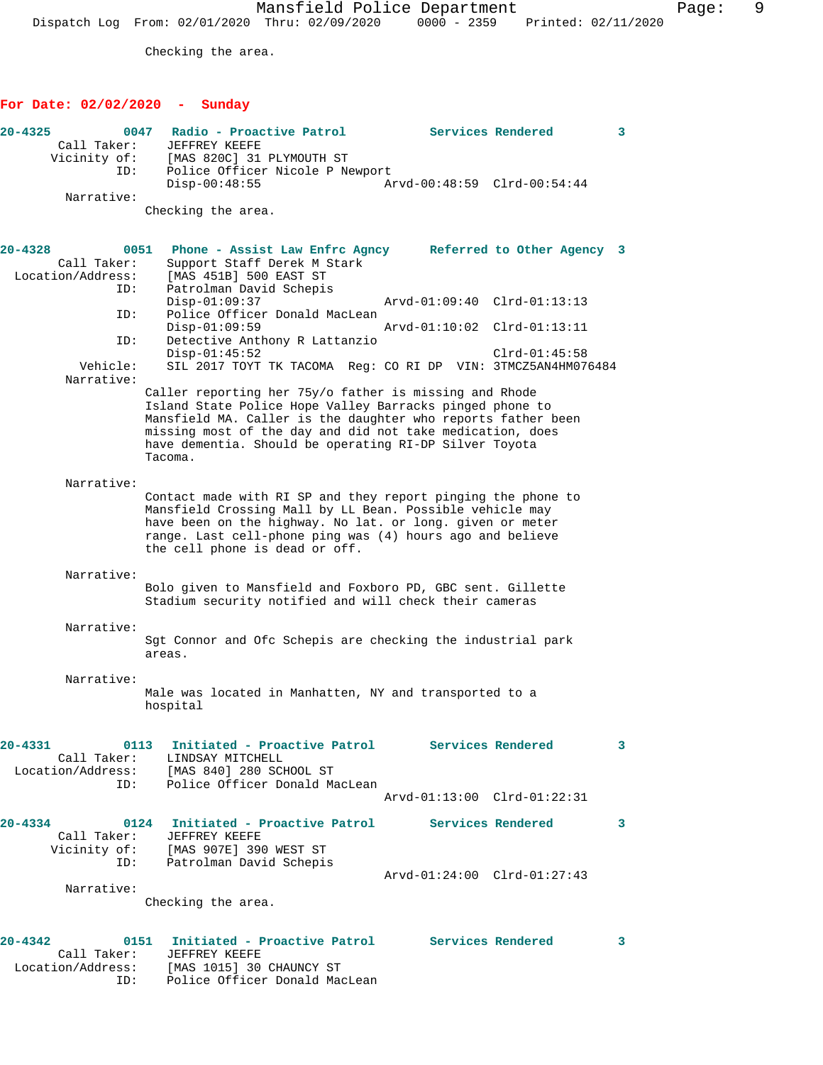Mansfield Police Department Fage: 9 Dispatch Log From: 02/01/2020 Thru: 02/09/2020 0000 - 2359 Printed: 02/11/2020

Checking the area.

## **For Date: 02/02/2020 - Sunday**

| $20 - 4325$<br>Call Taker:<br>Vicinity of:<br>ID:       | 0047<br>Radio - Proactive Patrol<br>Services Rendered<br>JEFFREY KEEFE<br>[MAS 820C] 31 PLYMOUTH ST<br>Police Officer Nicole P Newport                                                                                                                                                                               | 3 |
|---------------------------------------------------------|----------------------------------------------------------------------------------------------------------------------------------------------------------------------------------------------------------------------------------------------------------------------------------------------------------------------|---|
| Narrative:                                              | $Disp-00:48:55$<br>Arvd-00:48:59 Clrd-00:54:44                                                                                                                                                                                                                                                                       |   |
|                                                         | Checking the area.                                                                                                                                                                                                                                                                                                   |   |
| $20 - 4328$<br>0051<br>Call Taker:<br>Location/Address: | Phone - Assist Law Enfrc Agncy Referred to Other Agency 3<br>Support Staff Derek M Stark<br>[MAS 451B] 500 EAST ST                                                                                                                                                                                                   |   |
| ID:<br>ID:                                              | Patrolman David Schepis<br>$Disp-01:09:37$<br>Arvd-01:09:40 Clrd-01:13:13<br>Police Officer Donald MacLean                                                                                                                                                                                                           |   |
|                                                         | $Disp-01:09:59$<br>Arvd-01:10:02 Clrd-01:13:11                                                                                                                                                                                                                                                                       |   |
| ID:<br>Vehicle:                                         | Detective Anthony R Lattanzio<br>$Disp-01:45:52$<br>$Clrd-01:45:58$<br>SIL 2017 TOYT TK TACOMA Req: CO RI DP VIN: 3TMCZ5AN4HM076484                                                                                                                                                                                  |   |
| Narrative:                                              |                                                                                                                                                                                                                                                                                                                      |   |
|                                                         | Caller reporting her 75y/o father is missing and Rhode<br>Island State Police Hope Valley Barracks pinged phone to<br>Mansfield MA. Caller is the daughter who reports father been<br>missing most of the day and did not take medication, does<br>have dementia. Should be operating RI-DP Silver Toyota<br>Tacoma. |   |
| Narrative:                                              |                                                                                                                                                                                                                                                                                                                      |   |
|                                                         | Contact made with RI SP and they report pinging the phone to<br>Mansfield Crossing Mall by LL Bean. Possible vehicle may<br>have been on the highway. No lat. or long. given or meter<br>range. Last cell-phone ping was (4) hours ago and believe<br>the cell phone is dead or off.                                 |   |
| Narrative:                                              | Bolo given to Mansfield and Foxboro PD, GBC sent. Gillette<br>Stadium security notified and will check their cameras                                                                                                                                                                                                 |   |
| Narrative:                                              | Sgt Connor and Ofc Schepis are checking the industrial park<br>areas.                                                                                                                                                                                                                                                |   |
| Narrative:                                              | Male was located in Manhatten, NY and transported to a<br>hospital                                                                                                                                                                                                                                                   |   |
| $20 - 4331$<br>ID:                                      | 0113 Initiated - Proactive Patrol Services Rendered<br>Call Taker: LINDSAY MITCHELL<br>Location/Address: [MAS 840] 280 SCHOOL ST<br>Police Officer Donald MacLean                                                                                                                                                    | 3 |
|                                                         | Arvd-01:13:00 Clrd-01:22:31                                                                                                                                                                                                                                                                                          |   |
| $20 - 4334$                                             | 0124 Initiated - Proactive Patrol Services Rendered<br>Call Taker: JEFFREY KEEFE                                                                                                                                                                                                                                     | 3 |
|                                                         | Vicinity of: [MAS 907E] 390 WEST ST<br>ID: Patrolman David Schepis                                                                                                                                                                                                                                                   |   |
| Narrative:                                              | Arvd-01:24:00 Clrd-01:27:43                                                                                                                                                                                                                                                                                          |   |
|                                                         | Checking the area.                                                                                                                                                                                                                                                                                                   |   |
| $20 - 4342$<br>Call Taker:                              | 0151 Initiated - Proactive Patrol Services Rendered<br>JEFFREY KEEFE<br>Location/Address: [MAS 1015] 30 CHAUNCY ST<br>ID: Police Officer Donald MacLean                                                                                                                                                              | 3 |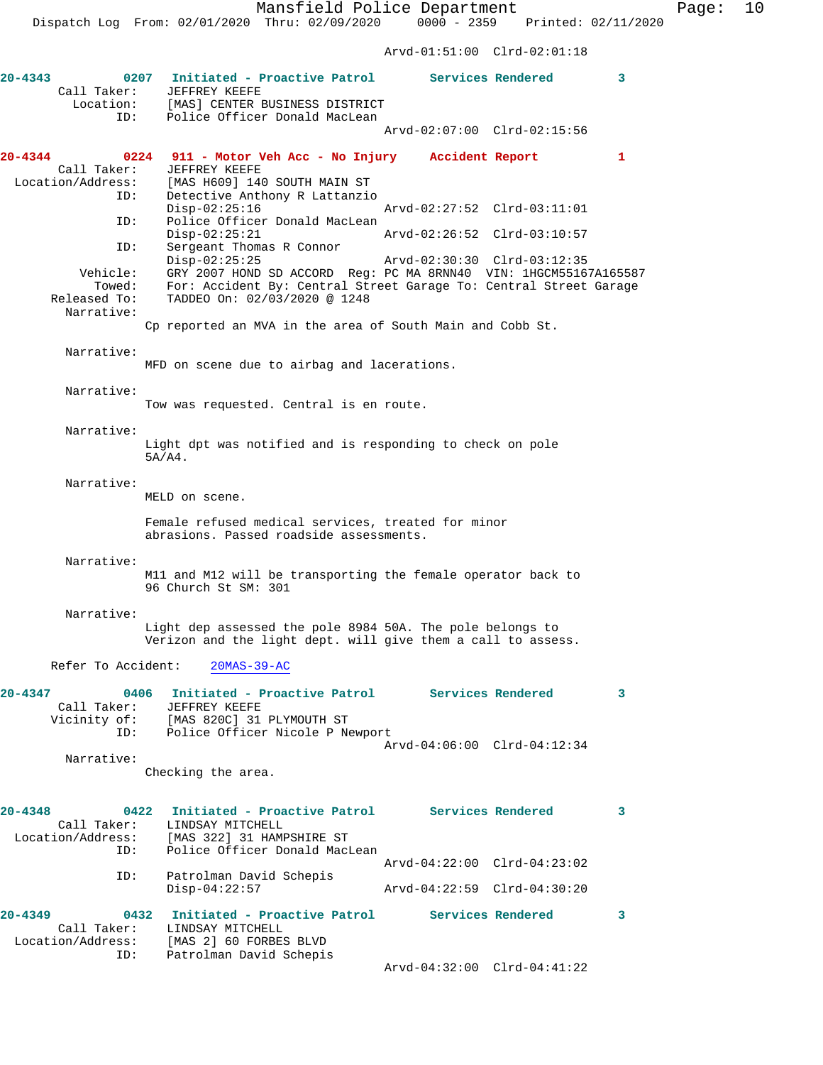Mansfield Police Department Fage: 10

 Dispatch Log From: 02/01/2020 Thru: 02/09/2020 0000 - 2359 Printed: 02/11/2020 Arvd-01:51:00 Clrd-02:01:18 **20-4343 0207 Initiated - Proactive Patrol Services Rendered 3**  Call Taker: JEFFREY KEEFE<br>Location: [MAS] CENTER I [MAS] CENTER BUSINESS DISTRICT ID: Police Officer Donald MacLean Arvd-02:07:00 Clrd-02:15:56 **20-4344 0224 911 - Motor Veh Acc - No Injury Accident Report 1**  Call Taker: JEFFREY KEEFE<br>Location/Address: [MAS H609] 14 [MAS H609] 140 SOUTH MAIN ST ID: Detective Anthony R Lattanzio<br>Disp-02:25:16 Disp-02:25:16 Arvd-02:27:52 Clrd-03:11:01 ID: Police Officer Donald MacLean Disp-02:25:21 Arvd-02:26:52 Clrd-03:10:57 ID: Sergeant Thomas R Connor Disp-02:25:25 Arvd-02:30:30 Clrd-03:12:35 Vehicle: GRY 2007 HOND SD ACCORD Reg: PC MA 8RNN40 VIN: 1HGCM55167A165587 Towed: For: Accident By: Central Street Garage To: Central Street Garage Released To: TADDEO On: 02/03/2020 @ 1248 Narrative: Cp reported an MVA in the area of South Main and Cobb St. Narrative: MFD on scene due to airbag and lacerations. Narrative: Tow was requested. Central is en route. Narrative: Light dpt was notified and is responding to check on pole 5A/A4. Narrative: MELD on scene. Female refused medical services, treated for minor abrasions. Passed roadside assessments. Narrative: M11 and M12 will be transporting the female operator back to 96 Church St SM: 301 Narrative: Light dep assessed the pole 8984 50A. The pole belongs to Verizon and the light dept. will give them a call to assess. Refer To Accident: 20MAS-39-AC **20-4347 0406 Initiated - Proactive Patrol Services Rendered 3**  Call Taker: JEFFREY KEEFE Vicinity of: [MAS 820C] 31 PLYMOUTH ST ID: Police Officer Nicole P Newport Arvd-04:06:00 Clrd-04:12:34 Narrative: Checking the area. **20-4348 0422 Initiated - Proactive Patrol Services Rendered 3**  Call Taker: LINDSAY MITCHELL<br>Location/Address: [MAS 322] 31 HAM [MAS 322] 31 HAMPSHIRE ST ID: Police Officer Donald MacLean Arvd-04:22:00 Clrd-04:23:02<br>ID: Patrolman David Schepis Patrolman David Schepis Disp-04:22:57 Arvd-04:22:59 Clrd-04:30:20 **20-4349 0432 Initiated - Proactive Patrol Services Rendered 3**  Call Taker: LINDSAY MITCHELL Location/Address: [MAS 2] 60 FORBES BLVD

Arvd-04:32:00 Clrd-04:41:22

ID: Patrolman David Schepis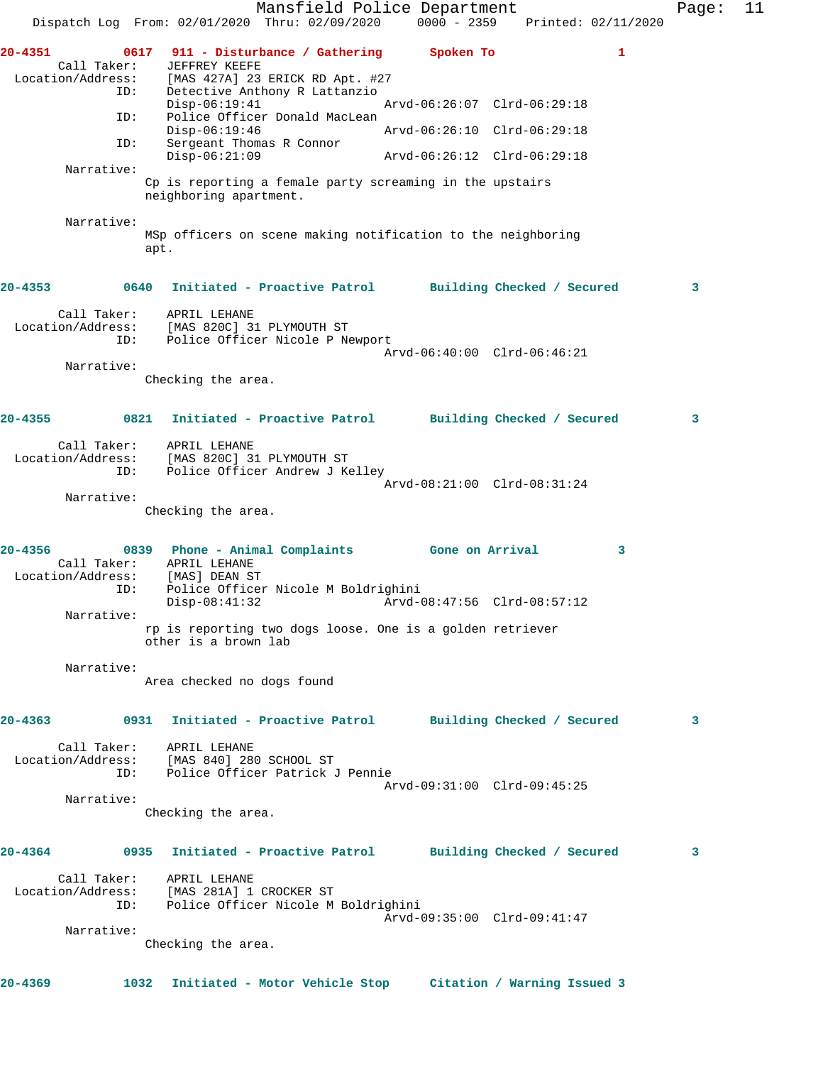Mansfield Police Department Fage: 11 Dispatch Log From: 02/01/2020 Thru: 02/09/2020 0000 - 2359 Printed: 02/11/2020 **20-4351 0617 911 - Disturbance / Gathering Spoken To 1**  Call Taker: JEFFREY KEEFE Location/Address: [MAS 427A] 23 ERICK RD Apt. #27 ID: Detective Anthony R Lattanzio Disp-06:19:41 Arvd-06:26:07 Clrd-06:29:18 ID: Police Officer Donald MacLean<br>Disp-06:19:46 Disp-06:19:46 Arvd-06:26:10 Clrd-06:29:18 ID: Sergeant Thomas R Connor Arvd-06:26:12 Clrd-06:29:18 Narrative: Cp is reporting a female party screaming in the upstairs neighboring apartment. Narrative: MSp officers on scene making notification to the neighboring apt. **20-4353 0640 Initiated - Proactive Patrol Building Checked / Secured 3** Call Taker: APRIL LEHANE Location/Address: [MAS 820C] 31 PLYMOUTH ST ID: Police Officer Nicole P Newport Arvd-06:40:00 Clrd-06:46:21 Narrative: Checking the area. **20-4355 0821 Initiated - Proactive Patrol Building Checked / Secured 3** Call Taker: APRIL LEHANE Location/Address: [MAS 820C] 31 PLYMOUTH ST ID: Police Officer Andrew J Kelley Arvd-08:21:00 Clrd-08:31:24 Narrative: Checking the area. **20-4356 0839 Phone - Animal Complaints Gone on Arrival 3**  Call Taker: APRIL LEHANE Location/Address: [MAS] DEAN ST ID: Police Officer Nicole M Boldrighini Disp-08:41:32 Arvd-08:47:56 Clrd-08:57:12 Narrative: rp is reporting two dogs loose. One is a golden retriever other is a brown lab Narrative: Area checked no dogs found **20-4363 0931 Initiated - Proactive Patrol Building Checked / Secured 3** Call Taker: APRIL LEHANE Location/Address: [MAS 840] 280 SCHOOL ST ID: Police Officer Patrick J Pennie Arvd-09:31:00 Clrd-09:45:25 Narrative: Checking the area. **20-4364 0935 Initiated - Proactive Patrol Building Checked / Secured 3** Call Taker: APRIL LEHANE Location/Address: [MAS 281A] 1 CROCKER ST ID: Police Officer Nicole M Boldrighini Arvd-09:35:00 Clrd-09:41:47 Narrative: Checking the area. **20-4369 1032 Initiated - Motor Vehicle Stop Citation / Warning Issued 3**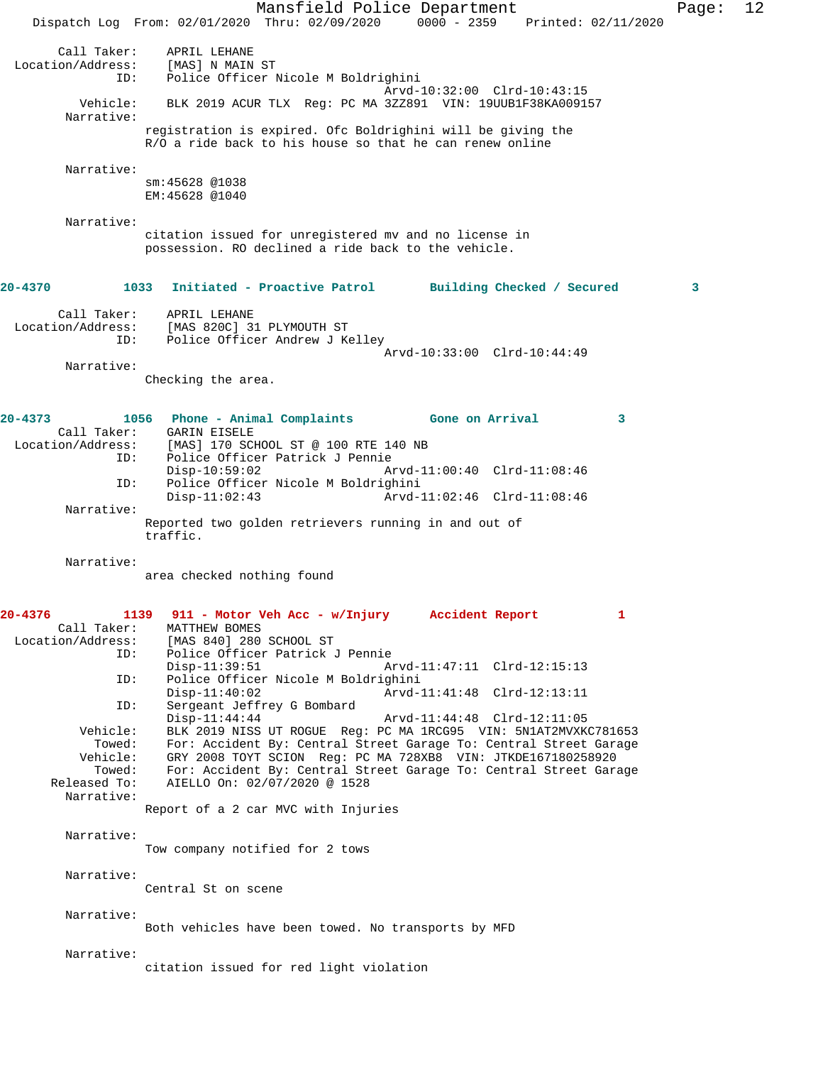|                                                                                                                                                        | Mansfield Police Department<br>0000 - 2359 Printed: 02/11/2020<br>Dispatch Log From: 02/01/2020 Thru: 02/09/2020                                                                                                                                                                                                                                                                                                                                                                                                                                                                                                                                                                                                     | Page: | 12 |
|--------------------------------------------------------------------------------------------------------------------------------------------------------|----------------------------------------------------------------------------------------------------------------------------------------------------------------------------------------------------------------------------------------------------------------------------------------------------------------------------------------------------------------------------------------------------------------------------------------------------------------------------------------------------------------------------------------------------------------------------------------------------------------------------------------------------------------------------------------------------------------------|-------|----|
| Call Taker:<br>Location/Address:<br>ID:                                                                                                                | APRIL LEHANE<br>[MAS] N MAIN ST<br>Police Officer Nicole M Boldrighini                                                                                                                                                                                                                                                                                                                                                                                                                                                                                                                                                                                                                                               |       |    |
| Vehicle:<br>Narrative:                                                                                                                                 | Arvd-10:32:00 Clrd-10:43:15<br>BLK 2019 ACUR TLX Req: PC MA 3ZZ891 VIN: 19UUB1F38KA009157                                                                                                                                                                                                                                                                                                                                                                                                                                                                                                                                                                                                                            |       |    |
| Narrative:                                                                                                                                             | registration is expired. Ofc Boldrighini will be giving the<br>R/O a ride back to his house so that he can renew online                                                                                                                                                                                                                                                                                                                                                                                                                                                                                                                                                                                              |       |    |
|                                                                                                                                                        | sm: 45628 @1038<br>EM: 45628 @1040                                                                                                                                                                                                                                                                                                                                                                                                                                                                                                                                                                                                                                                                                   |       |    |
| Narrative:                                                                                                                                             | citation issued for unregistered mv and no license in<br>possession. RO declined a ride back to the vehicle.                                                                                                                                                                                                                                                                                                                                                                                                                                                                                                                                                                                                         |       |    |
| 20-4370                                                                                                                                                | 1033<br>Initiated - Proactive Patrol<br>Building Checked / Secured                                                                                                                                                                                                                                                                                                                                                                                                                                                                                                                                                                                                                                                   | 3     |    |
| Call Taker:<br>ID:                                                                                                                                     | APRIL LEHANE<br>Location/Address: [MAS 820C] 31 PLYMOUTH ST<br>Police Officer Andrew J Kelley<br>Arvd-10:33:00 Clrd-10:44:49                                                                                                                                                                                                                                                                                                                                                                                                                                                                                                                                                                                         |       |    |
| Narrative:                                                                                                                                             |                                                                                                                                                                                                                                                                                                                                                                                                                                                                                                                                                                                                                                                                                                                      |       |    |
|                                                                                                                                                        | Checking the area.                                                                                                                                                                                                                                                                                                                                                                                                                                                                                                                                                                                                                                                                                                   |       |    |
| $20 - 4373$<br>Location/Address:<br>ID:<br>ID:                                                                                                         | 1056 Phone - Animal Complaints Gone on Arrival<br>3<br>Call Taker: GARIN EISELE<br>[MAS] 170 SCHOOL ST @ 100 RTE 140 NB<br>Police Officer Patrick J Pennie<br>$Disp-10:59:02$<br>Arvd-11:00:40 Clrd-11:08:46<br>Police Officer Nicole M Boldrighini                                                                                                                                                                                                                                                                                                                                                                                                                                                                  |       |    |
| Narrative:                                                                                                                                             | Arvd-11:02:46 Clrd-11:08:46<br>$Disp-11:02:43$<br>Reported two golden retrievers running in and out of<br>traffic.                                                                                                                                                                                                                                                                                                                                                                                                                                                                                                                                                                                                   |       |    |
| Narrative:                                                                                                                                             | area checked nothing found                                                                                                                                                                                                                                                                                                                                                                                                                                                                                                                                                                                                                                                                                           |       |    |
| $20 - 4376$<br>1139<br>Call Taker:<br>Location/Address:<br>ID:<br>ID:<br>ID:<br>Vehicle:<br>Towed:<br>Vehicle:<br>Towed:<br>Released To:<br>Narrative: | 911 - Motor Veh Acc - w/Injury<br>Accident Report<br>1<br>MATTHEW BOMES<br>[MAS 840] 280 SCHOOL ST<br>Police Officer Patrick J Pennie<br>$Disp-11:39:51$<br>Arvd-11:47:11 Clrd-12:15:13<br>Police Officer Nicole M Boldrighini<br>Arvd-11:41:48 Clrd-12:13:11<br>$Disp-11:40:02$<br>Sergeant Jeffrey G Bombard<br>$Disp-11:44:44$<br>Arvd-11:44:48 Clrd-12:11:05<br>BLK 2019 NISS UT ROGUE Req: PC MA 1RCG95 VIN: 5N1AT2MVXKC781653<br>For: Accident By: Central Street Garage To: Central Street Garage<br>GRY 2008 TOYT SCION Reg: PC MA 728XB8 VIN: JTKDE167180258920<br>For: Accident By: Central Street Garage To: Central Street Garage<br>AIELLO On: 02/07/2020 @ 1528<br>Report of a 2 car MVC with Injuries |       |    |
| Narrative:                                                                                                                                             | Tow company notified for 2 tows                                                                                                                                                                                                                                                                                                                                                                                                                                                                                                                                                                                                                                                                                      |       |    |
| Narrative:                                                                                                                                             | Central St on scene                                                                                                                                                                                                                                                                                                                                                                                                                                                                                                                                                                                                                                                                                                  |       |    |
| Narrative:                                                                                                                                             | Both vehicles have been towed. No transports by MFD                                                                                                                                                                                                                                                                                                                                                                                                                                                                                                                                                                                                                                                                  |       |    |
| Narrative:                                                                                                                                             | citation issued for red light violation                                                                                                                                                                                                                                                                                                                                                                                                                                                                                                                                                                                                                                                                              |       |    |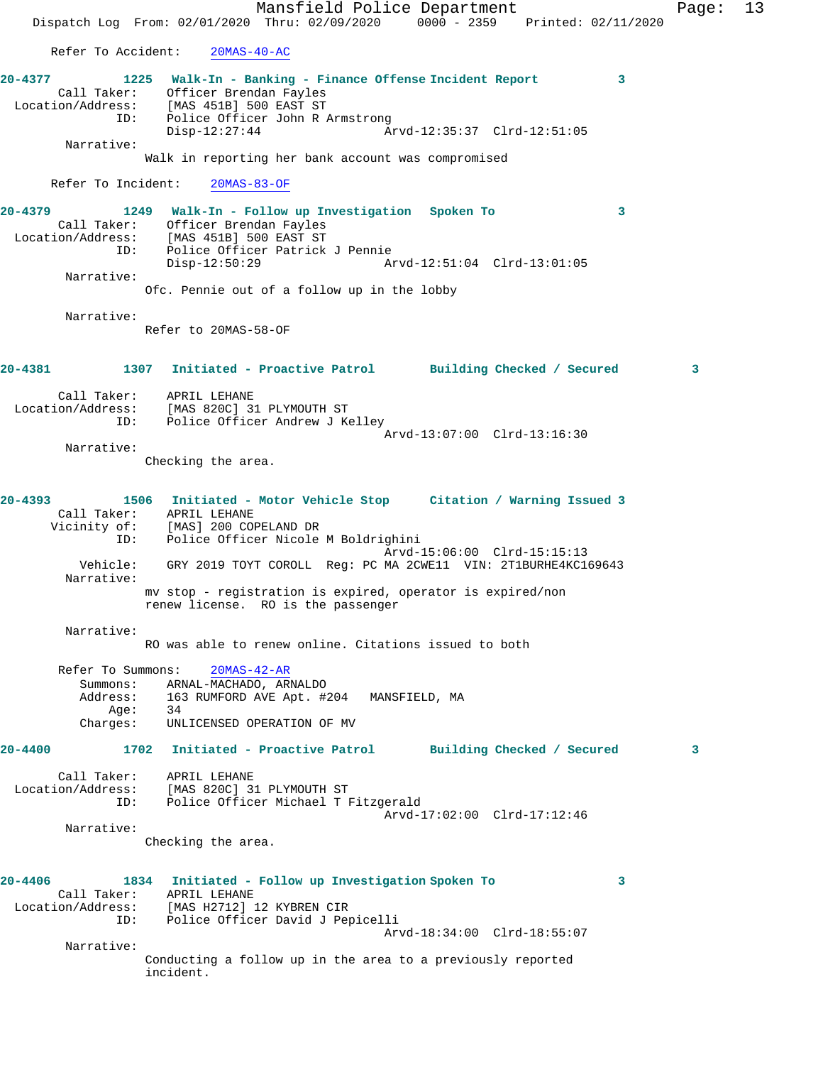Mansfield Police Department Page: 13 Dispatch Log From: 02/01/2020 Thru: 02/09/2020 0000 - 2359 Printed: 02/11/2020 Refer To Accident: 20MAS-40-AC **20-4377 1225 Walk-In - Banking - Finance Offense Incident Report 3**  Call Taker: Officer Brendan Fayles Location/Address: [MAS 451B] 500 EAST ST ID: Police Officer John R Armstrong<br>Disp-12:27:44 A Disp-12:27:44 Arvd-12:35:37 Clrd-12:51:05 Narrative: Walk in reporting her bank account was compromised Refer To Incident: 20MAS-83-OF **20-4379 1249 Walk-In - Follow up Investigation Spoken To 3**  Call Taker: Officer Brendan Fayles Location/Address: [MAS 451B] 500 EAST ST ID: Police Officer Patrick J Pennie Disp-12:50:29 Arvd-12:51:04 Clrd-13:01:05 Narrative: Ofc. Pennie out of a follow up in the lobby Narrative: Refer to 20MAS-58-OF **20-4381 1307 Initiated - Proactive Patrol Building Checked / Secured 3** Call Taker: APRIL LEHANE Location/Address: [MAS 820C] 31 PLYMOUTH ST ID: Police Officer Andrew J Kelley Arvd-13:07:00 Clrd-13:16:30 Narrative: Checking the area. **20-4393 1506 Initiated - Motor Vehicle Stop Citation / Warning Issued 3**  Call Taker: APRIL LEHANE Vicinity of: [MAS] 200 COPELAND DR<br>TD: Police Officer Nicole Police Officer Nicole M Boldrighini Arvd-15:06:00 Clrd-15:15:13 Vehicle: GRY 2019 TOYT COROLL Reg: PC MA 2CWE11 VIN: 2T1BURHE4KC169643 Narrative: mv stop - registration is expired, operator is expired/non renew license. RO is the passenger Narrative: RO was able to renew online. Citations issued to both Refer To Summons: 20MAS-42-AR Summons: ARNAL-MACHADO, ARNALDO<br>Address: 163 RUMFORD AVE Apt. #2 ress: 163 RUMFORD AVE Apt. #204 MANSFIELD, MA<br>Age: 34 Age: 34 Charges: UNLICENSED OPERATION OF MV **20-4400 1702 Initiated - Proactive Patrol Building Checked / Secured 3** Call Taker: APRIL LEHANE Location/Address: [MAS 820C] 31 PLYMOUTH ST ID: Police Officer Michael T Fitzgerald Arvd-17:02:00 Clrd-17:12:46 Narrative: Checking the area. **20-4406 1834 Initiated - Follow up Investigation Spoken To 3**  Call Taker: APRIL LEHANE Location/Address: [MAS H2712] 12 KYBREN CIR ID: Police Officer David J Pepicelli Arvd-18:34:00 Clrd-18:55:07 Narrative: Conducting a follow up in the area to a previously reported incident.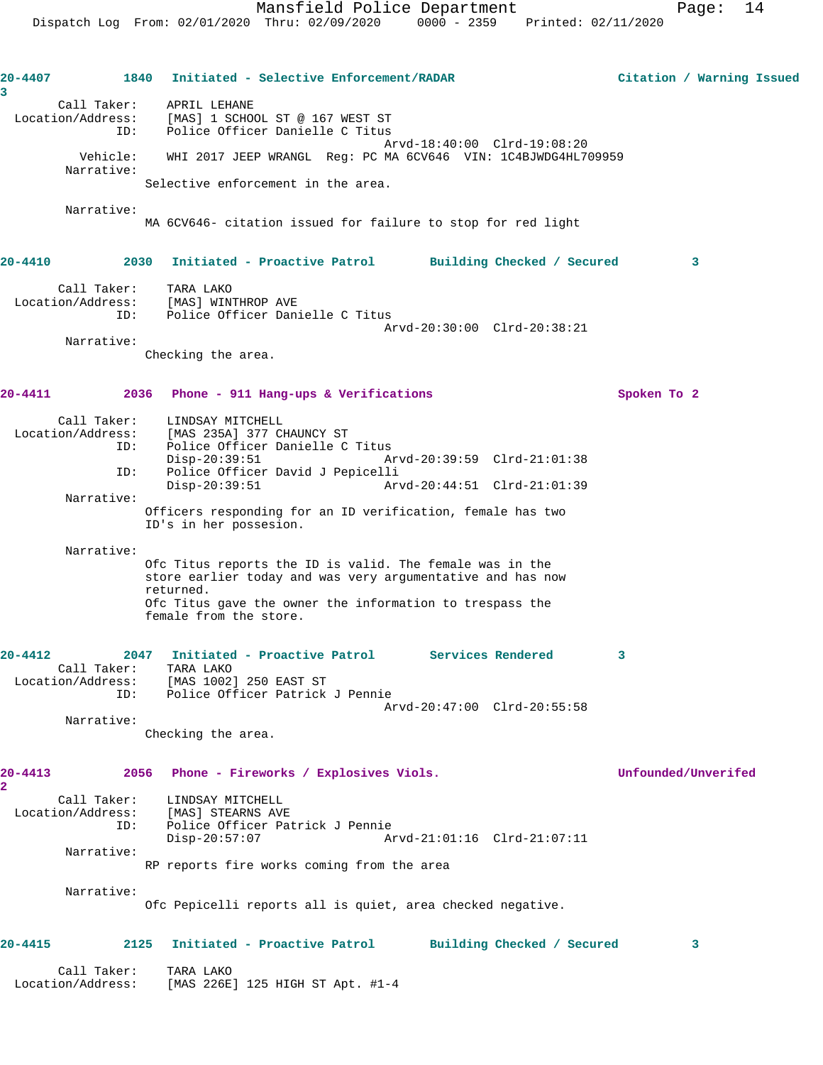| 20-4407<br>3                                    | Initiated - Selective Enforcement/RADAR<br>1840                                                                                                                                                                           | Citation / Warning Issued |
|-------------------------------------------------|---------------------------------------------------------------------------------------------------------------------------------------------------------------------------------------------------------------------------|---------------------------|
| Call Taker:<br>Location/Address:<br>ID:         | APRIL LEHANE<br>[MAS] 1 SCHOOL ST @ 167 WEST ST<br>Police Officer Danielle C Titus                                                                                                                                        |                           |
| Vehicle:<br>Narrative:                          | Arvd-18:40:00 Clrd-19:08:20<br>WHI 2017 JEEP WRANGL Req: PC MA 6CV646 VIN: 1C4BJWDG4HL709959                                                                                                                              |                           |
|                                                 | Selective enforcement in the area.                                                                                                                                                                                        |                           |
| Narrative:                                      | MA 6CV646- citation issued for failure to stop for red light                                                                                                                                                              |                           |
| 20-4410                                         | Initiated - Proactive Patrol Building Checked / Secured<br>2030                                                                                                                                                           | 3                         |
| Call Taker:<br>ID:                              | TARA LAKO<br>Location/Address: [MAS] WINTHROP AVE<br>Police Officer Danielle C Titus<br>Arvd-20:30:00 Clrd-20:38:21                                                                                                       |                           |
| Narrative:                                      | Checking the area.                                                                                                                                                                                                        |                           |
| 20-4411                                         | 2036 Phone - 911 Hang-ups & Verifications                                                                                                                                                                                 | Spoken To 2               |
| Call Taker:<br>Location/Address:<br>ID:<br>ID:  | LINDSAY MITCHELL<br>[MAS 235A] 377 CHAUNCY ST<br>Police Officer Danielle C Titus<br>$Disp-20:39:51$<br>Arvd-20:39:59 Clrd-21:01:38<br>Police Officer David J Pepicelli<br>$Disp-20:39:51$<br>Arvd-20:44:51 Clrd-21:01:39  |                           |
| Narrative:                                      | Officers responding for an ID verification, female has two<br>ID's in her possesion.                                                                                                                                      |                           |
| Narrative:                                      | Ofc Titus reports the ID is valid. The female was in the<br>store earlier today and was very argumentative and has now<br>returned.<br>Ofc Titus gave the owner the information to trespass the<br>female from the store. |                           |
| $20 - 4412$<br>Call Taker:<br>Location/Address: | Initiated - Proactive Patrol Services Rendered<br>2047<br>TARA LAKO<br>[MAS 1002] 250 EAST ST                                                                                                                             | 3                         |
| ID:                                             | Police Officer Patrick J Pennie<br>Arvd-20:47:00 Clrd-20:55:58                                                                                                                                                            |                           |
| Narrative:                                      | Checking the area.                                                                                                                                                                                                        |                           |
| 20-4413<br>2                                    | Phone - Fireworks / Explosives Viols.<br>2056                                                                                                                                                                             | Unfounded/Unverifed       |
| Call Taker:<br>Location/Address:<br>ID:         | LINDSAY MITCHELL<br>[MAS] STEARNS AVE<br>Police Officer Patrick J Pennie<br>$Disp-20:57:07$<br>Arvd-21:01:16 Clrd-21:07:11                                                                                                |                           |
| Narrative:                                      | RP reports fire works coming from the area                                                                                                                                                                                |                           |
| Narrative:                                      | Ofc Pepicelli reports all is quiet, area checked negative.                                                                                                                                                                |                           |
| 20-4415                                         | Initiated - Proactive Patrol<br>2125<br>Building Checked / Secured                                                                                                                                                        | 3                         |
| Call Taker:<br>Location/Address:                | TARA LAKO<br>[MAS 226E] 125 HIGH ST Apt. #1-4                                                                                                                                                                             |                           |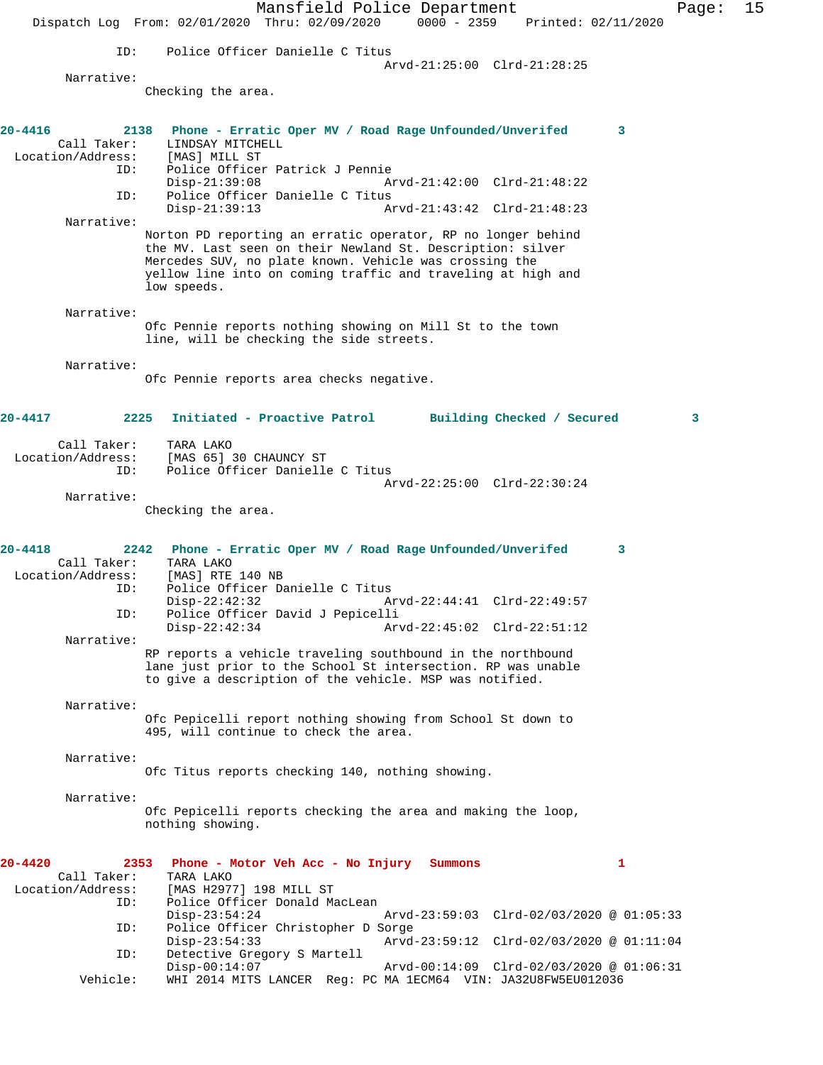Mansfield Police Department Page: 15 Dispatch Log From: 02/01/2020 Thru: 02/09/2020 0000 - 2359 Printed: 02/11/2020 ID: Police Officer Danielle C Titus Arvd-21:25:00 Clrd-21:28:25 Narrative: Checking the area. **20-4416 2138 Phone - Erratic Oper MV / Road Rage Unfounded/Unverifed 3**  Call Taker: LINDSAY MITCHELL<br>.on/Address: [MAS] MILL ST Location/Address: ID: Police Officer Patrick J Pennie Disp-21:39:08 Arvd-21:42:00 Clrd-21:48:22<br>ID: Police Officer Danielle C Titus Police Officer Danielle C Titus<br>Disp-21:39:13 A Disp-21:39:13 Arvd-21:43:42 Clrd-21:48:23 Narrative: Norton PD reporting an erratic operator, RP no longer behind the MV. Last seen on their Newland St. Description: silver Mercedes SUV, no plate known. Vehicle was crossing the yellow line into on coming traffic and traveling at high and low speeds. Narrative: Ofc Pennie reports nothing showing on Mill St to the town line, will be checking the side streets. Narrative: Ofc Pennie reports area checks negative. **20-4417 2225 Initiated - Proactive Patrol Building Checked / Secured 3** Call Taker: TARA LAKO Location/Address: [MAS 65] 30 CHAUNCY ST ID: Police Officer Danielle C Titus Arvd-22:25:00 Clrd-22:30:24 Narrative: Checking the area. **20-4418 2242 Phone - Erratic Oper MV / Road Rage Unfounded/Unverifed 3**  Call Taker: TARA LAKO<br>Location/Address: [MAS] RTE [MAS] RTE 140 NB ID: Police Officer Danielle C Titus Disp-22:42:32 Arvd-22:44:41 Clrd-22:49:57<br>ID: Police Officer David J Pepicelli Police Officer David J Pepicelli<br>Disp-22:42:34 Ar Arvd-22:45:02 Clrd-22:51:12 Narrative: RP reports a vehicle traveling southbound in the northbound lane just prior to the School St intersection. RP was unable to give a description of the vehicle. MSP was notified. Narrative: Ofc Pepicelli report nothing showing from School St down to 495, will continue to check the area. Narrative: Ofc Titus reports checking 140, nothing showing. Narrative: Ofc Pepicelli reports checking the area and making the loop, nothing showing. **20-4420 2353 Phone - Motor Veh Acc - No Injury Summons 1**  Call Taker: TARA LAKO Location/Address: [MAS H2977] 198 MILL ST Police Officer Donald MacLean Disp-23:54:24 Arvd-23:59:03 Clrd-02/03/2020 @ 01:05:33 ID: Police Officer Christopher D Sorge Disp-23:54:33 Arvd-23:59:12 Clrd-02/03/2020 @ 01:11:04<br>ID: Detective Gregory S Martell Detective Gregory S Martell<br>Disp-00:14:07 Arvd-00:14:09 Clrd-02/03/2020 @ 01:06:31 Vehicle: WHI 2014 MITS LANCER Reg: PC MA 1ECM64 VIN: JA32U8FW5EU012036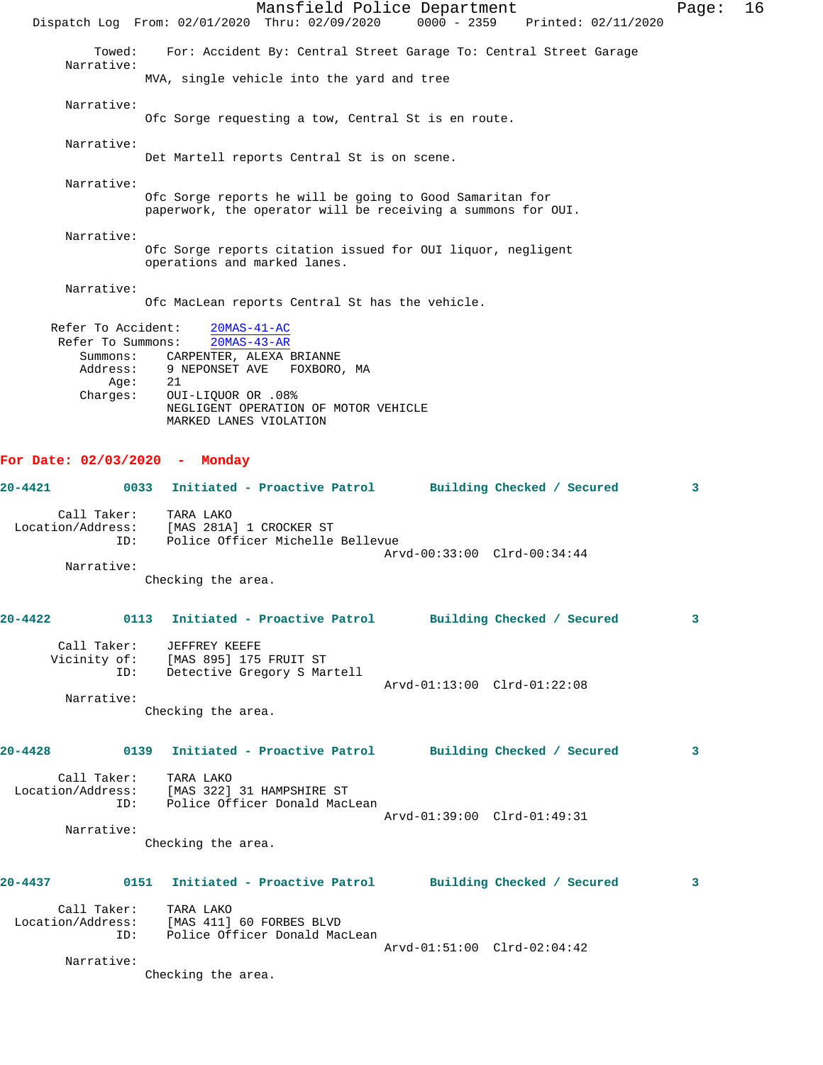Mansfield Police Department Page: 16 Dispatch Log From: 02/01/2020 Thru: 02/09/2020 0000 - 2359 Printed: 02/11/2020 Towed: For: Accident By: Central Street Garage To: Central Street Garage Narrative: MVA, single vehicle into the yard and tree Narrative: Ofc Sorge requesting a tow, Central St is en route. Narrative: Det Martell reports Central St is on scene. Narrative: Ofc Sorge reports he will be going to Good Samaritan for paperwork, the operator will be receiving a summons for OUI. Narrative: Ofc Sorge reports citation issued for OUI liquor, negligent operations and marked lanes. Narrative: Ofc MacLean reports Central St has the vehicle. Refer To Accident: 20MAS-41-AC Refer To Summons: 20MAS-43-AR Summons: CARPENTER, ALEXA BRIANNE<br>Address: 9 NEPONSET AVE FOXBORO 9 NEPONSET AVE FOXBORO, MA<br>21 Age: Charges: OUI-LIQUOR OR .08% NEGLIGENT OPERATION OF MOTOR VEHICLE MARKED LANES VIOLATION **For Date: 02/03/2020 - Monday 20-4421 0033 Initiated - Proactive Patrol Building Checked / Secured 3** Call Taker: TARA LAKO Location/Address: [MAS 281A] 1 CROCKER ST ID: Police Officer Michelle Bellevue Arvd-00:33:00 Clrd-00:34:44 Narrative: Checking the area. **20-4422 0113 Initiated - Proactive Patrol Building Checked / Secured 3** Call Taker: JEFFREY KEEFE Vicinity of: [MAS 895] 175 FRUIT ST ID: Detective Gregory S Martell Arvd-01:13:00 Clrd-01:22:08 Narrative: Checking the area. **20-4428 0139 Initiated - Proactive Patrol Building Checked / Secured 3** Call Taker: TARA LAKO Location/Address: [MAS 322] 31 HAMPSHIRE ST ID: Police Officer Donald MacLean Arvd-01:39:00 Clrd-01:49:31 Narrative: Checking the area. **20-4437 0151 Initiated - Proactive Patrol Building Checked / Secured 3** Call Taker: TARA LAKO<br>Location/Address: [MAS 411] [MAS 411] 60 FORBES BLVD ID: Police Officer Donald MacLean Arvd-01:51:00 Clrd-02:04:42 Narrative: Checking the area.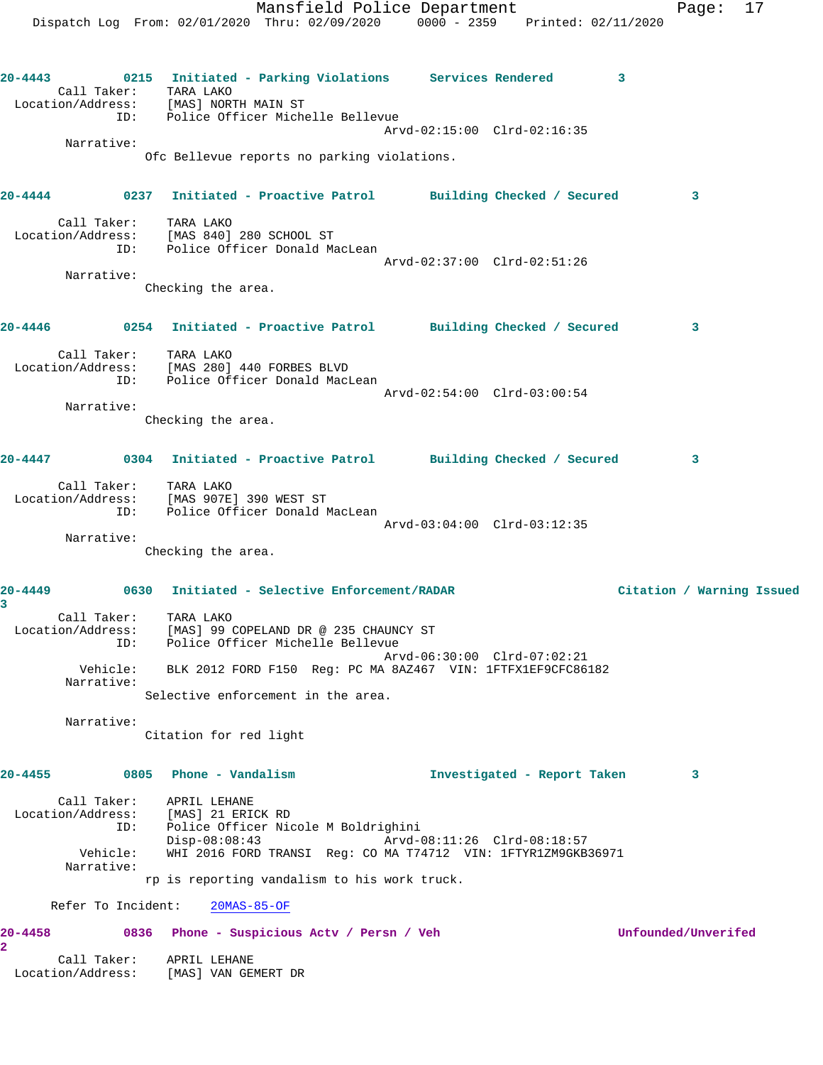Mansfield Police Department Fage: 17 Dispatch Log From: 02/01/2020 Thru: 02/09/2020 0000 - 2359 Printed: 02/11/2020 **20-4443 0215 Initiated - Parking Violations Services Rendered 3**  Call Taker: TARA LAKO Location/Address: [MAS] NORTH MAIN ST ID: Police Officer Michelle Bellevue Arvd-02:15:00 Clrd-02:16:35 Narrative: Ofc Bellevue reports no parking violations. **20-4444 0237 Initiated - Proactive Patrol Building Checked / Secured 3** Call Taker: TARA LAKO Location/Address: [MAS 840] 280 SCHOOL ST ID: Police Officer Donald MacLean Arvd-02:37:00 Clrd-02:51:26 Narrative: Checking the area. **20-4446 0254 Initiated - Proactive Patrol Building Checked / Secured 3** Call Taker: TARA LAKO Location/Address: [MAS 280] 440 FORBES BLVD ID: Police Officer Donald MacLean Arvd-02:54:00 Clrd-03:00:54 Narrative: Checking the area. **20-4447 0304 Initiated - Proactive Patrol Building Checked / Secured 3** Call Taker: TARA LAKO Location/Address: [MAS 907E] 390 WEST ST ID: Police Officer Donald MacLean Arvd-03:04:00 Clrd-03:12:35 Narrative: Checking the area. **20-4449 0630 Initiated - Selective Enforcement/RADAR Citation / Warning Issued 3**  Call Taker: TARA LAKO Location/Address: [MAS] 99 COPELAND DR @ 235 CHAUNCY ST ID: Police Officer Michelle Bellevue Arvd-06:30:00 Clrd-07:02:21 Vehicle: BLK 2012 FORD F150 Reg: PC MA 8AZ467 VIN: 1FTFX1EF9CFC86182 Narrative: Selective enforcement in the area. Narrative: Citation for red light **20-4455 0805 Phone - Vandalism Investigated - Report Taken 3** Call Taker: APRIL LEHANE Location/Address: [MAS] 21 ERICK RD ID: Police Officer Nicole M Boldrighini Disp-08:08:43 Arvd-08:11:26 Clrd-08:18:57 Vehicle: WHI 2016 FORD TRANSI Reg: CO MA T74712 VIN: 1FTYR1ZM9GKB36971 Narrative: rp is reporting vandalism to his work truck. Refer To Incident: 20MAS-85-OF **20-4458 0836 Phone - Suspicious Actv / Persn / Veh Unfounded/Unverifed 2**  Call Taker: APRIL LEHANE Location/Address: [MAS] VAN GEMERT DR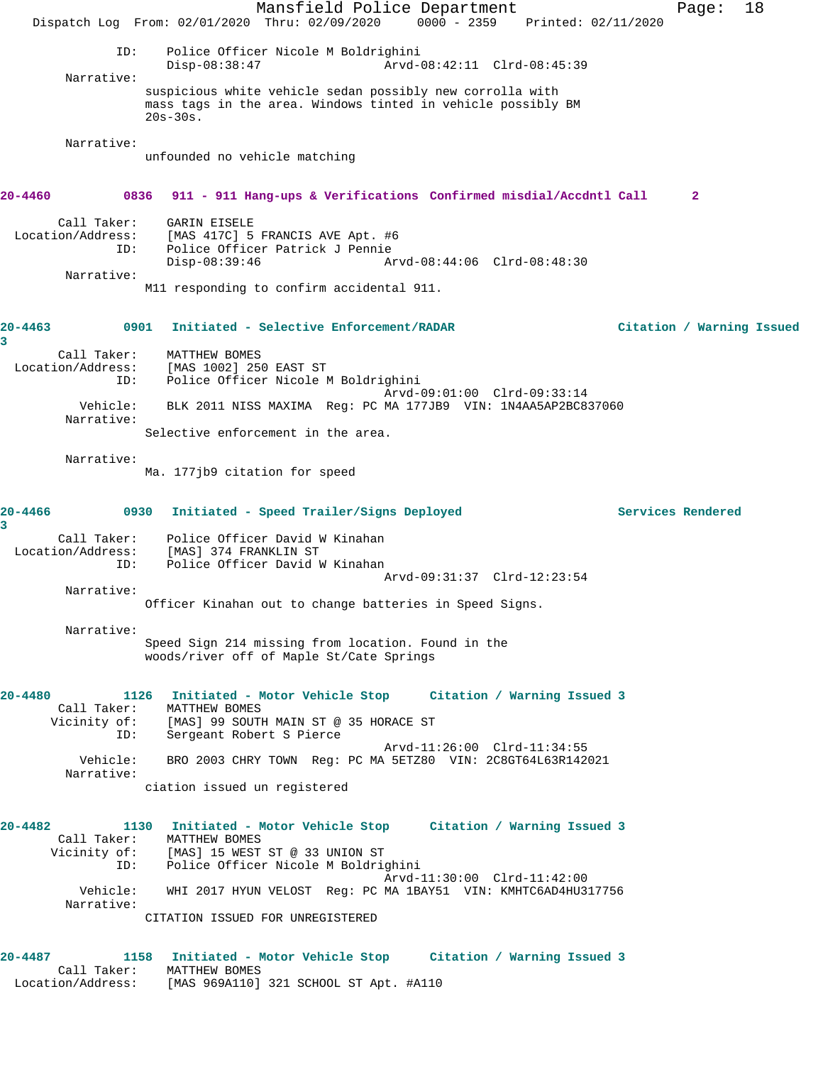Mansfield Police Department Fage: 18 Dispatch Log From: 02/01/2020 Thru: 02/09/2020 0000 - 2359 Printed: 02/11/2020 ID: Police Officer Nicole M Boldrighini Disp-08:38:47 Arvd-08:42:11 Clrd-08:45:39 Narrative: suspicious white vehicle sedan possibly new corrolla with mass tags in the area. Windows tinted in vehicle possibly BM 20s-30s. Narrative: unfounded no vehicle matching **20-4460 0836 911 - 911 Hang-ups & Verifications Confirmed misdial/Accdntl Call 2** Call Taker: GARIN EISELE Location/Address: [MAS 417C] 5 FRANCIS AVE Apt. #6 ID: Police Officer Patrick J Pennie Disp-08:39:46 Arvd-08:44:06 Clrd-08:48:30 Narrative: M11 responding to confirm accidental 911. **20-4463 0901 Initiated - Selective Enforcement/RADAR Citation / Warning Issued 3**  Call Taker: MATTHEW BOMES Location/Address: [MAS 1002] 250 EAST ST ID: Police Officer Nicole M Boldrighini Arvd-09:01:00 Clrd-09:33:14 Vehicle: BLK 2011 NISS MAXIMA Reg: PC MA 177JB9 VIN: 1N4AA5AP2BC837060 Narrative: Selective enforcement in the area. Narrative: Ma. 177jb9 citation for speed **20-4466 0930 Initiated - Speed Trailer/Signs Deployed Services Rendered 3**  Call Taker: Police Officer David W Kinahan Location/Address: [MAS] 374 FRANKLIN ST ID: Police Officer David W Kinahan Arvd-09:31:37 Clrd-12:23:54 Narrative: Officer Kinahan out to change batteries in Speed Signs. Narrative: Speed Sign 214 missing from location. Found in the woods/river off of Maple St/Cate Springs **20-4480 1126 Initiated - Motor Vehicle Stop Citation / Warning Issued 3**  Call Taker: MATTHEW BOMES<br>Vicinity of: [MAS] 99 SOUTI [MAS] 99 SOUTH MAIN ST @ 35 HORACE ST ID: Sergeant Robert S Pierce Arvd-11:26:00 Clrd-11:34:55<br>Vehicle: BRO 2003 CHRY TOWN Reg: PC MA 5ETZ80 VIN: 2C8GT64L63R142 BRO 2003 CHRY TOWN Reg: PC MA 5ETZ80 VIN: 2C8GT64L63R142021 Narrative: ciation issued un registered **20-4482 1130 Initiated - Motor Vehicle Stop Citation / Warning Issued 3**  Call Taker: MATTHEW BOMES<br>Vicinity of: [MAS] 15 WEST<br>ID: Police Office: [MAS] 15 WEST ST @ 33 UNION ST Police Officer Nicole M Boldrighini Arvd-11:30:00 Clrd-11:42:00 Vehicle: WHI 2017 HYUN VELOST Reg: PC MA 1BAY51 VIN: KMHTC6AD4HU317756 Narrative: CITATION ISSUED FOR UNREGISTERED **20-4487 1158 Initiated - Motor Vehicle Stop Citation / Warning Issued 3**  Call Taker: MATTHEW BOMES Location/Address: [MAS 969A110] 321 SCHOOL ST Apt. #A110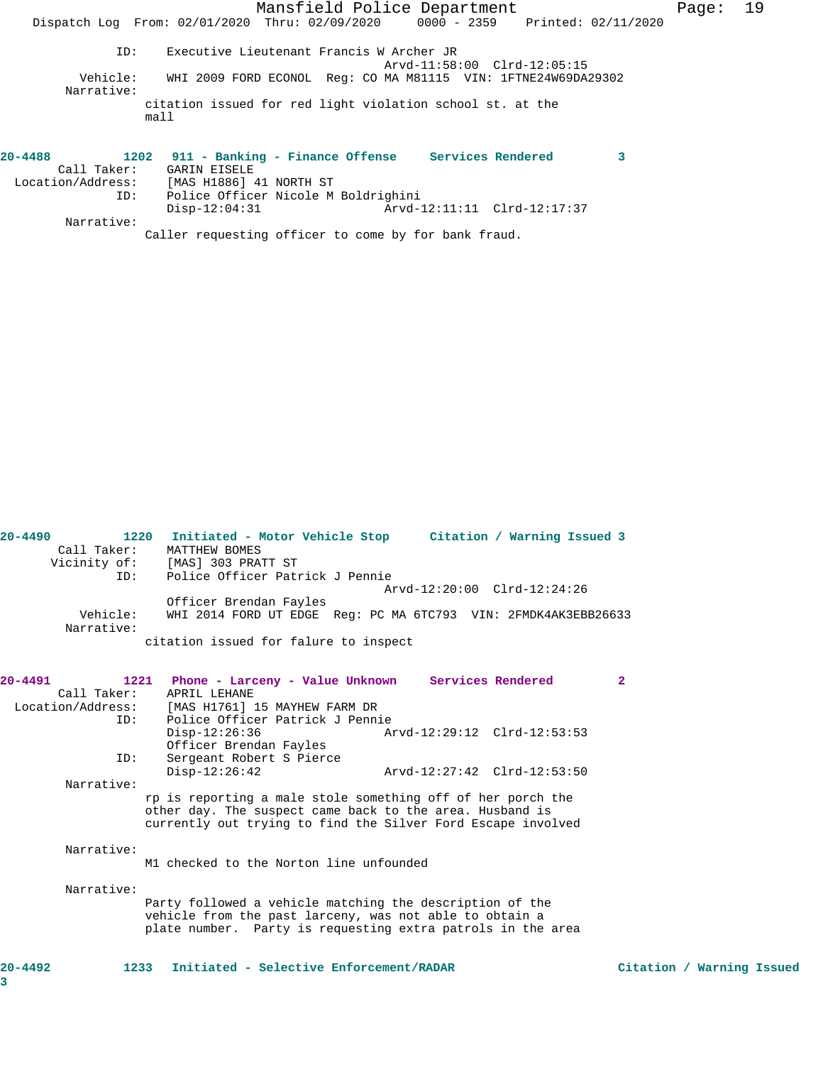|                                               | Mansfield Police Department<br>Dispatch Log From: 02/01/2020 Thru: 02/09/2020 0000 - 2359 Printed: 02/11/2020                            | Page: | 19 |
|-----------------------------------------------|------------------------------------------------------------------------------------------------------------------------------------------|-------|----|
| ID:<br>Vehicle:                               | Executive Lieutenant Francis W Archer JR<br>Arvd-11:58:00 Clrd-12:05:15<br>WHI 2009 FORD ECONOL Req: CO MA M81115 VIN: 1FTNE24W69DA29302 |       |    |
| Narrative:<br>ma11                            | citation issued for red light violation school st. at the                                                                                |       |    |
| 20-4488                                       | 1202 911 - Banking - Finance Offense Services Rendered<br>3                                                                              |       |    |
| Call Taker: GARIN EISELE<br>Location/Address: | [MAS H1886] 41 NORTH ST                                                                                                                  |       |    |
| ID:<br>Narrative:                             | Police Officer Nicole M Boldrighini<br>$Disp-12:04:31$                                                                                   |       |    |

Caller requesting officer to come by for bank fraud.

| $20 - 4490$ | 1220<br>Call Taker: | Citation / Warning Issued 3<br>Initiated - Motor Vehicle Stop<br>MATTHEW BOMES |
|-------------|---------------------|--------------------------------------------------------------------------------|
|             |                     |                                                                                |
|             | Vicinity of:        | [MAS] 303 PRATT ST                                                             |
|             | ID:                 | Police Officer Patrick J Pennie                                                |
|             |                     | Arvd-12:20:00 Clrd-12:24:26                                                    |
|             |                     | Officer Brendan Fayles                                                         |
|             | Vehicle:            | WHI 2014 FORD UT EDGE Reg: PC MA 6TC793 VIN: 2FMDK4AK3EBB26633                 |
|             | Narrative:          |                                                                                |
|             |                     | citation issued for falure to inspect                                          |

| 20-4491           | 1221 Phone - Larceny - Value Unknown                         |                             | Services Rendered | $\overline{2}$            |  |
|-------------------|--------------------------------------------------------------|-----------------------------|-------------------|---------------------------|--|
| Call Taker:       | APRIL LEHANE                                                 |                             |                   |                           |  |
| Location/Address: | [MAS H1761] 15 MAYHEW FARM DR                                |                             |                   |                           |  |
| TD:               | Police Officer Patrick J Pennie                              |                             |                   |                           |  |
|                   | $Disp-12:26:36$                                              | Arvd-12:29:12 Clrd-12:53:53 |                   |                           |  |
|                   | Officer Brendan Fayles                                       |                             |                   |                           |  |
| ID:               | Sergeant Robert S Pierce                                     |                             |                   |                           |  |
|                   | $Disp-12:26:42$                                              | Arvd-12:27:42 Clrd-12:53:50 |                   |                           |  |
| Narrative:        |                                                              |                             |                   |                           |  |
|                   | rp is reporting a male stole something off of her porch the  |                             |                   |                           |  |
|                   | other day. The suspect came back to the area. Husband is     |                             |                   |                           |  |
|                   | currently out trying to find the Silver Ford Escape involved |                             |                   |                           |  |
| Narrative:        |                                                              |                             |                   |                           |  |
|                   | M1 checked to the Norton line unfounded                      |                             |                   |                           |  |
| Narrative:        |                                                              |                             |                   |                           |  |
|                   | Party followed a vehicle matching the description of the     |                             |                   |                           |  |
|                   | vehicle from the past larceny, was not able to obtain a      |                             |                   |                           |  |
|                   | plate number. Party is requesting extra patrols in the area  |                             |                   |                           |  |
|                   |                                                              |                             |                   |                           |  |
| $20 - 4492$       | Initiated - Selective Enforcement/RADAR<br>1233              |                             |                   | Citation / Warning Issued |  |
| 3                 |                                                              |                             |                   |                           |  |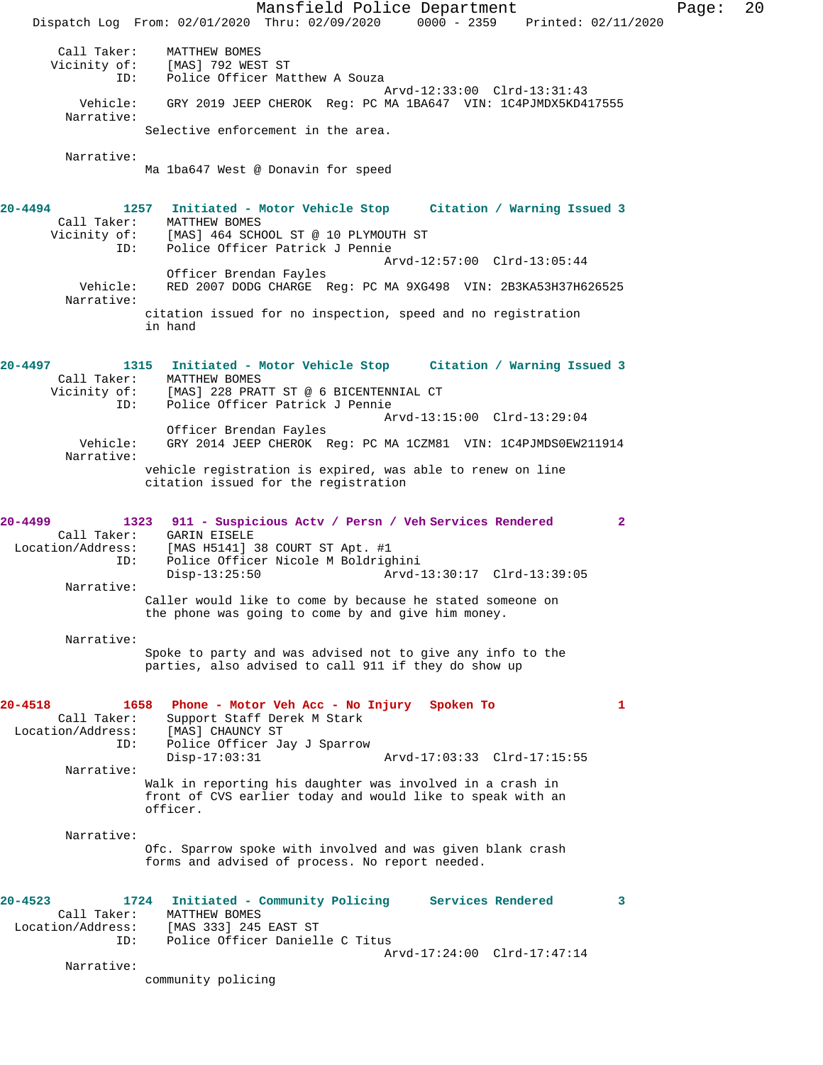Mansfield Police Department Page: 20 Dispatch Log From: 02/01/2020 Thru: 02/09/2020 0000 - 2359 Printed: 02/11/2020 Call Taker: MATTHEW BOMES Vicinity of: [MAS] 792 WEST ST ID: Police Officer Matthew A Souza Arvd-12:33:00 Clrd-13:31:43 Vehicle: GRY 2019 JEEP CHEROK Reg: PC MA 1BA647 VIN: 1C4PJMDX5KD417555 Narrative: Selective enforcement in the area. Narrative: Ma 1ba647 West @ Donavin for speed **20-4494 1257 Initiated - Motor Vehicle Stop Citation / Warning Issued 3**  Call Taker: MATTHEW BOMES<br>Vicinity of: [MAS] 464 SCHO of: [MAS] 464 SCHOOL ST @ 10 PLYMOUTH ST<br>ID: Police Officer Patrick J Pennie Police Officer Patrick J Pennie Arvd-12:57:00 Clrd-13:05:44 Officer Brendan Fayles Vehicle: RED 2007 DODG CHARGE Reg: PC MA 9XG498 VIN: 2B3KA53H37H626525 Narrative: citation issued for no inspection, speed and no registration in hand **20-4497 1315 Initiated - Motor Vehicle Stop Citation / Warning Issued 3**  Call Taker: MATTHEW BOMES Vicinity of: [MAS] 228 PRATT ST @ 6 BICENTENNIAL CT ID: Police Officer Patrick J Pennie Arvd-13:15:00 Clrd-13:29:04 Officer Brendan Fayles Vehicle: GRY 2014 JEEP CHEROK Reg: PC MA 1CZM81 VIN: 1C4PJMDS0EW211914 Narrative: vehicle registration is expired, was able to renew on line citation issued for the registration **20-4499 1323 911 - Suspicious Actv / Persn / Veh Services Rendered 2**  Call Taker: GARIN EISELE Location/Address: [MAS H5141] 38 COURT ST Apt. #1 Police Officer Nicole M Boldrighini<br>Disp-13:25:50 Arvd- Disp-13:25:50 Arvd-13:30:17 Clrd-13:39:05 Narrative: Caller would like to come by because he stated someone on the phone was going to come by and give him money. Narrative: Spoke to party and was advised not to give any info to the parties, also advised to call 911 if they do show up **20-4518 1658 Phone - Motor Veh Acc - No Injury Spoken To 1**  Call Taker: Support Staff Derek M Stark<br>Location/Address: [MAS] CHAUNCY ST Location/Address: [MAS] CHAUNCY ST ID: Police Officer Jay J Sparrow Disp-17:03:31 Arvd-17:03:33 Clrd-17:15:55 Narrative: Walk in reporting his daughter was involved in a crash in front of CVS earlier today and would like to speak with an officer. Narrative: Ofc. Sparrow spoke with involved and was given blank crash forms and advised of process. No report needed. **20-4523 1724 Initiated - Community Policing Services Rendered 3**  Call Taker: MATTHEW BOMES Location/Address: [MAS 333] 245 EAST ST ID: Police Officer Danielle C Titus Arvd-17:24:00 Clrd-17:47:14 Narrative: community policing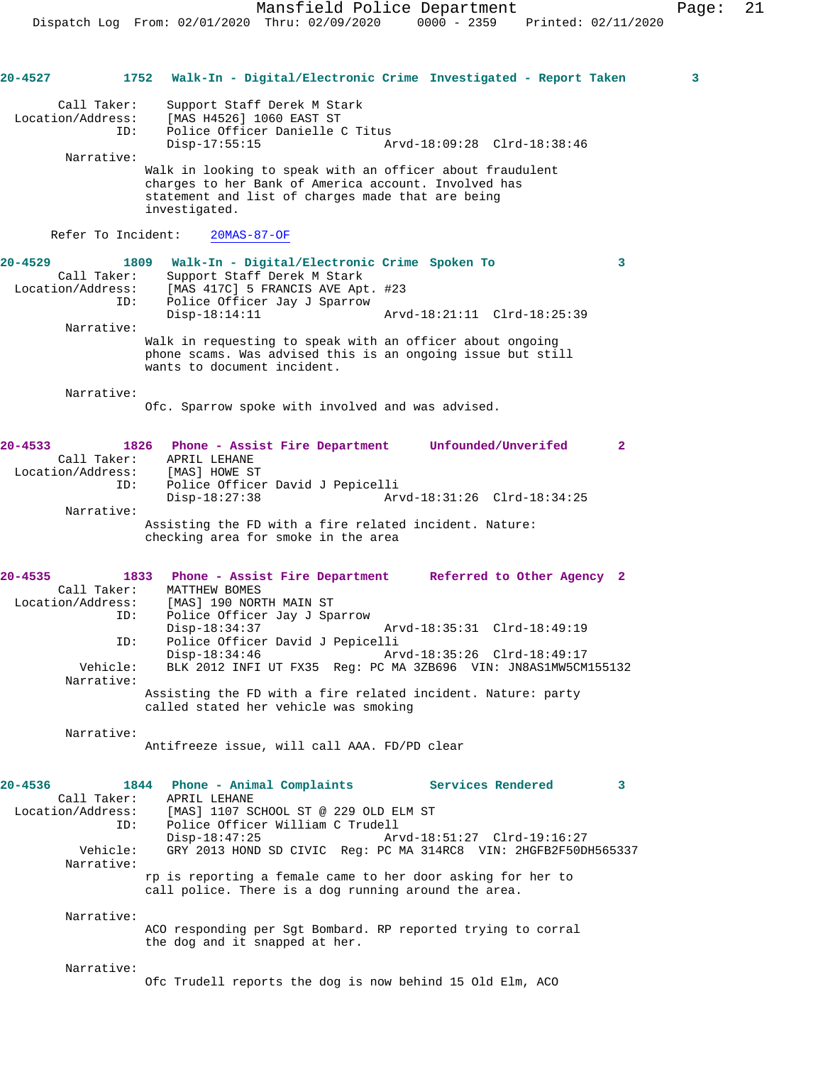| $20 - 4527$                      | 1752                       |                                  |                                                                                                                                                  | Walk-In - Digital/Electronic Crime Investigated - Report Taken                                                                                          | 3            |
|----------------------------------|----------------------------|----------------------------------|--------------------------------------------------------------------------------------------------------------------------------------------------|---------------------------------------------------------------------------------------------------------------------------------------------------------|--------------|
| Location/Address:                | Call Taker:<br>ID:         | $Disp-17:55:15$                  | Support Staff Derek M Stark<br>[MAS H4526] 1060 EAST ST<br>Police Officer Danielle C Titus                                                       | Arvd-18:09:28 Clrd-18:38:46                                                                                                                             |              |
|                                  | Narrative:                 | investigated.                    | statement and list of charges made that are being                                                                                                | Walk in looking to speak with an officer about fraudulent<br>charges to her Bank of America account. Involved has                                       |              |
|                                  | Refer To Incident:         |                                  | $20MAS-87-OF$                                                                                                                                    |                                                                                                                                                         |              |
| $20 - 4529$<br>Location/Address: | 1809<br>Call Taker:<br>ID: |                                  | Walk-In - Digital/Electronic Crime Spoken To<br>Support Staff Derek M Stark<br>[MAS 417C] 5 FRANCIS AVE Apt. #23<br>Police Officer Jay J Sparrow |                                                                                                                                                         | 3            |
|                                  | Narrative:                 | $Disp-18:14:11$                  | wants to document incident.                                                                                                                      | Arvd-18:21:11 Clrd-18:25:39<br>Walk in requesting to speak with an officer about ongoing<br>phone scams. Was advised this is an ongoing issue but still |              |
|                                  | Narrative:                 |                                  | Ofc. Sparrow spoke with involved and was advised.                                                                                                |                                                                                                                                                         |              |
| $20 - 4533$<br>Location/Address: | Call Taker:<br>ID:         | APRIL LEHANE<br>[MAS] HOWE ST    | Police Officer David J Pepicelli                                                                                                                 | 1826 Phone - Assist Fire Department Unfounded/Unverifed                                                                                                 | $\mathbf{2}$ |
|                                  | Narrative:                 | $Disp-18:27:38$                  | checking area for smoke in the area                                                                                                              | Arvd-18:31:26 Clrd-18:34:25<br>Assisting the FD with a fire related incident. Nature:                                                                   |              |
| $20 - 4535$                      | 1833                       |                                  |                                                                                                                                                  | Phone - Assist Fire Department Referred to Other Agency 2                                                                                               |              |
| Location/Address:                | Call Taker:<br>ID:         | MATTHEW BOMES<br>$Disp-18:34:37$ | [MAS] 190 NORTH MAIN ST<br>Police Officer Jay J Sparrow                                                                                          | Arvd-18:35:31 Clrd-18:49:19                                                                                                                             |              |
|                                  | ID:<br>Vehicle:            | $Disp-18:34:46$                  | Police Officer David J Pepicelli                                                                                                                 | Arvd-18:35:26 Clrd-18:49:17<br>BLK 2012 INFI UT FX35 Reg: PC MA 3ZB696 VIN: JN8AS1MW5CM155132                                                           |              |
|                                  | Narrative:                 |                                  | called stated her vehicle was smoking                                                                                                            | Assisting the FD with a fire related incident. Nature: party                                                                                            |              |
|                                  | Narrative:                 |                                  | Antifreeze issue, will call AAA. FD/PD clear                                                                                                     |                                                                                                                                                         |              |
| 20-4536<br>Location/Address:     | 1844<br>Call Taker:<br>ID: | APRIL LEHANE                     | Phone - Animal Complaints<br>[MAS] 1107 SCHOOL ST @ 229 OLD ELM ST                                                                               | Services Rendered                                                                                                                                       | 3            |
|                                  | Vehicle:<br>Narrative:     | $Disp-18:47:25$                  | Police Officer William C Trudell                                                                                                                 | Arvd-18:51:27 Clrd-19:16:27<br>GRY 2013 HOND SD CIVIC Req: PC MA 314RC8 VIN: 2HGFB2F50DH565337                                                          |              |
|                                  |                            |                                  |                                                                                                                                                  | rp is reporting a female came to her door asking for her to<br>call police. There is a dog running around the area.                                     |              |
|                                  | Narrative:                 |                                  | the dog and it snapped at her.                                                                                                                   | ACO responding per Sgt Bombard. RP reported trying to corral                                                                                            |              |
|                                  | Narrative:                 |                                  |                                                                                                                                                  | Ofc Trudell reports the dog is now behind 15 Old Elm, ACO                                                                                               |              |
|                                  |                            |                                  |                                                                                                                                                  |                                                                                                                                                         |              |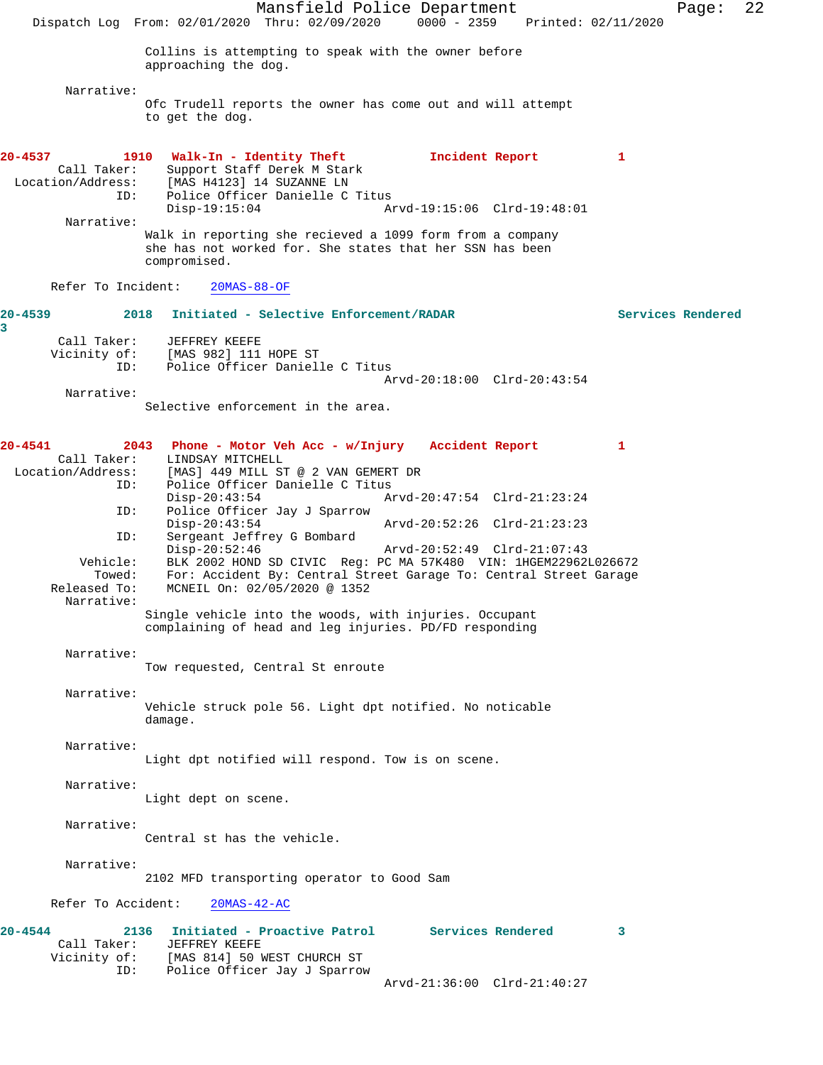Mansfield Police Department Page: 22 Dispatch Log From: 02/01/2020 Thru: 02/09/2020 0000 - 2359 Printed: 02/11/2020 Collins is attempting to speak with the owner before approaching the dog. Narrative: Ofc Trudell reports the owner has come out and will attempt to get the dog. **20-4537 1910 Walk-In - Identity Theft 1 1 Incident Report 1 1**<br>Call Taker: Support Staff Derek M Stark Call Taker: Support Staff Derek M Stark<br>Location/Address: [MAS H4123] 14 SUZANNE LN [MAS H4123] 14 SUZANNE LN ID: Police Officer Danielle C Titus Disp-19:15:04 Arvd-19:15:06 Clrd-19:48:01 Narrative: Walk in reporting she recieved a 1099 form from a company she has not worked for. She states that her SSN has been compromised. Refer To Incident: 20MAS-88-OF **20-4539 2018 Initiated - Selective Enforcement/RADAR Services Rendered** Call Taker: JEFFREY KEEFE<br>Vicinity of: [MAS 982] 111 of: [MAS 982] 111 HOPE ST<br>TD: Police Officer Daniel Police Officer Danielle C Titus Arvd-20:18:00 Clrd-20:43:54 Narrative: Selective enforcement in the area. **20-4541 2043 Phone - Motor Veh Acc - w/Injury Accident Report 1**  Call Taker: LINDSAY MITCHELL<br>Location/Address: [MAS] 449 MILL ST ess: [MAS] 449 MILL ST @ 2 VAN GEMERT DR<br>ID: Police Officer Danielle C Titus Police Officer Danielle C Titus<br>Disp-20:43:54 A Disp-20:43:54 Arvd-20:47:54 Clrd-21:23:24<br>ID: Police Officer Jay J Sparrow Police Officer Jay J Sparrow Disp-20:43:54 Arvd-20:52:26 Clrd-21:23:23<br>TD: Sergeant Jeffrey G Bombard Sergeant Jeffrey G Bombard<br>Disp-20:52:46 Disp-20:52:46 Arvd-20:52:49 Clrd-21:07:43 Vehicle: BLK 2002 HOND SD CIVIC Reg: PC MA 57K480 VIN: 1HGEM22962L026672 For: Accident By: Central Street Garage To: Central Street Garage Released To: MCNEIL On: 02/05/2020 @ 1352 Narrative: Single vehicle into the woods, with injuries. Occupant complaining of head and leg injuries. PD/FD responding Narrative: Tow requested, Central St enroute Narrative: Vehicle struck pole 56. Light dpt notified. No noticable damage. Narrative: Light dpt notified will respond. Tow is on scene. Narrative: Light dept on scene. Narrative: Central st has the vehicle. Narrative: 2102 MFD transporting operator to Good Sam Refer To Accident: 20MAS-42-AC **20-4544 2136 Initiated - Proactive Patrol Services Rendered 3**  Call Taker: JEFFREY KEEFE<br>Vicinity of: [MAS 814] 50 1 [MAS 814] 50 WEST CHURCH ST ID: Police Officer Jay J Sparrow Arvd-21:36:00 Clrd-21:40:27

**3**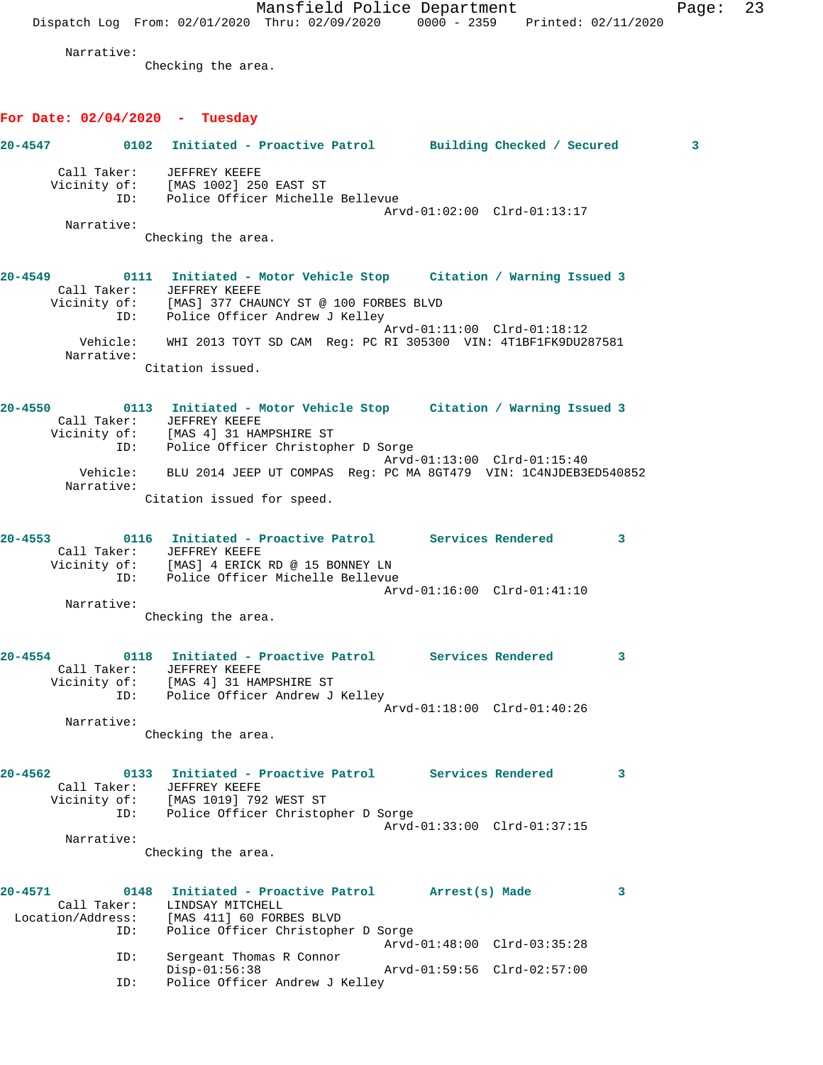Mansfield Police Department Page: 23 Dispatch Log From: 02/01/2020 Thru: 02/09/2020 0000 - 2359 Printed: 02/11/2020 Narrative: Checking the area. **For Date: 02/04/2020 - Tuesday 20-4547 0102 Initiated - Proactive Patrol Building Checked / Secured 3** Call Taker: JEFFREY KEEFE Vicinity of: [MAS 1002] 250 EAST ST<br>ID: Police Officer Michelle Police Officer Michelle Bellevue Arvd-01:02:00 Clrd-01:13:17 Narrative: Checking the area. **20-4549 0111 Initiated - Motor Vehicle Stop Citation / Warning Issued 3**  Call Taker: JEFFREY KEEFE Vicinity of: [MAS] 377 CHAUNCY ST @ 100 FORBES BLVD ID: Police Officer Andrew J Kelley Arvd-01:11:00 Clrd-01:18:12 Vehicle: WHI 2013 TOYT SD CAM Reg: PC RI 305300 VIN: 4T1BF1FK9DU287581 Narrative: Citation issued. **20-4550 0113 Initiated - Motor Vehicle Stop Citation / Warning Issued 3**  Call Taker: JEFFREY KEEFE Vicinity of: [MAS 4] 31 HAMPSHIRE ST ID: Police Officer Christopher D Sorge Arvd-01:13:00 Clrd-01:15:40 Vehicle: BLU 2014 JEEP UT COMPAS Reg: PC MA 8GT479 VIN: 1C4NJDEB3ED540852 Narrative: Citation issued for speed. **20-4553 0116 Initiated - Proactive Patrol Services Rendered 3**  Call Taker: JEFFREY KEEFE Vicinity of: [MAS] 4 ERICK RD @ 15 BONNEY LN ID: Police Officer Michelle Bellevue Arvd-01:16:00 Clrd-01:41:10 Narrative: Checking the area. **20-4554 0118 Initiated - Proactive Patrol Services Rendered 3**  Call Taker: JEFFREY KEEFE Vicinity of: [MAS 4] 31 HAMPSHIRE ST ID: Police Officer Andrew J Kelley Arvd-01:18:00 Clrd-01:40:26 Narrative: Checking the area. **20-4562 0133 Initiated - Proactive Patrol Services Rendered 3**  Call Taker: JEFFREY KEEFE Vicinity of: [MAS 1019] 792 WEST ST ID: Police Officer Christopher D Sorge Arvd-01:33:00 Clrd-01:37:15 Narrative: Checking the area. **20-4571 0148 Initiated - Proactive Patrol Arrest(s) Made 3**  Call Taker: LINDSAY MITCHELL Location/Address: [MAS 411] 60 FORBES BLVD ID: Police Officer Christopher D Sorge Arvd-01:48:00 Clrd-03:35:28 ID: Sergeant Thomas R Connor Disp-01:56:38 Arvd-01:59:56 Clrd-02:57:00 ID: Police Officer Andrew J Kelley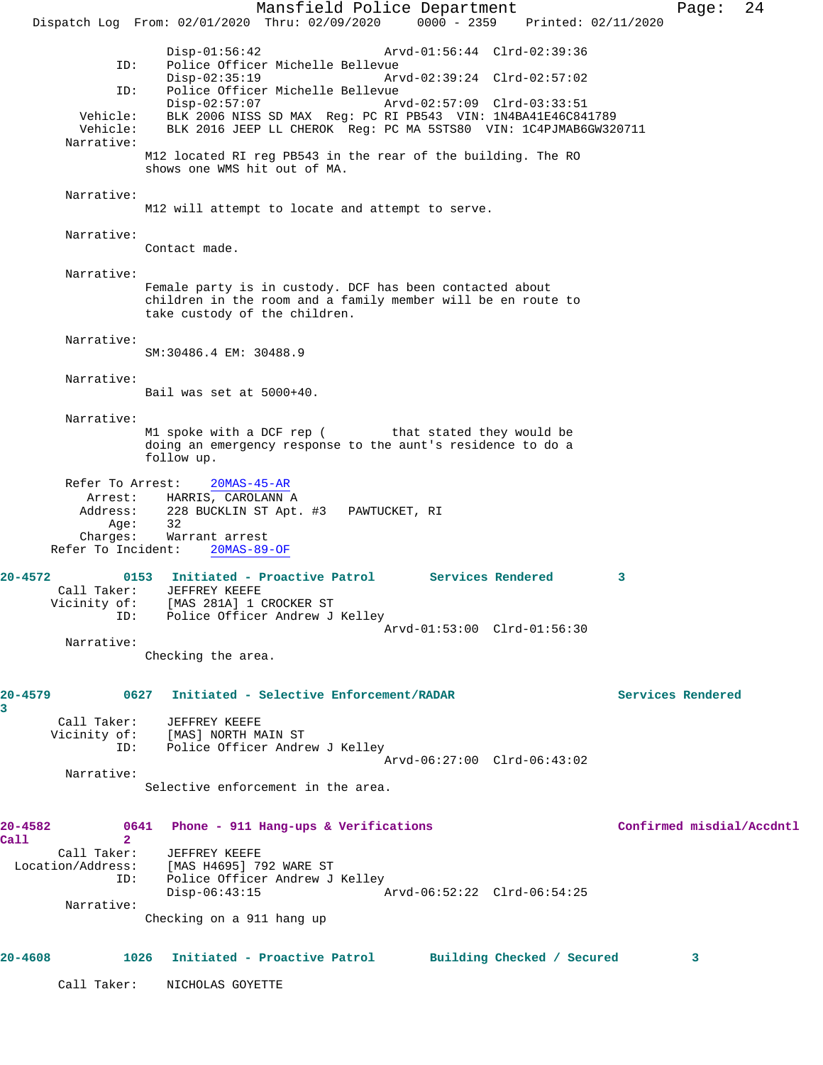Mansfield Police Department Form Page: 24 Dispatch Log From: 02/01/2020 Thru: 02/09/2020 0000 - 2359 Printed: 02/11/2020 Disp-01:56:42 Arvd-01:56:44 Clrd-02:39:36<br>ID: Police Officer Michelle Bellevue ID: Police Officer Michelle Bellevue Disp-02:35:19 Arvd-02:39:24 Clrd-02:57:02 ID: Police Officer Michelle Bellevue Disp-02:57:07 Arvd-02:57:09 Clrd-03:33:51 Vehicle: BLK 2006 NISS SD MAX Reg: PC RI PB543 VIN: 1N4BA41E46C841789 Vehicle: BLK 2016 JEEP LL CHEROK Reg: PC MA 5STS80 VIN: 1C4PJMAB6GW320711 Narrative: M12 located RI reg PB543 in the rear of the building. The RO shows one WMS hit out of MA. Narrative: M12 will attempt to locate and attempt to serve. Narrative: Contact made. Narrative: Female party is in custody. DCF has been contacted about children in the room and a family member will be en route to take custody of the children. Narrative: SM:30486.4 EM: 30488.9 Narrative: Bail was set at 5000+40. Narrative: M1 spoke with a DCF rep (
that stated they would be doing an emergency response to the aunt's residence to do a follow up. Refer To Arrest: 20MAS-45-AR Arrest: HARRIS, CAROLANN A Address: 228 BUCKLIN ST Apt. #3 PAWTUCKET, RI Age: 32 Charges: Warrant arrest Refer To Incident: 20MAS-89-OF **20-4572 0153 Initiated - Proactive Patrol Services Rendered 3**  Call Taker: JEFFREY KEEFE Vicinity of: [MAS 281A] 1 CROCKER ST ID: Police Officer Andrew J Kelley Arvd-01:53:00 Clrd-01:56:30 Narrative: Checking the area. **20-4579 0627 Initiated - Selective Enforcement/RADAR Services Rendered 3**  Call Taker: JEFFREY KEEFE Vicinity of: [MAS] NORTH MAIN ST ID: Police Officer Andrew J Kelley Arvd-06:27:00 Clrd-06:43:02 Narrative: Selective enforcement in the area. **20-4582 0641 Phone - 911 Hang-ups & Verifications Confirmed misdial/Accdntl Call 2**  Call Taker: JEFFREY KEEFE<br>Location/Address: [MAS H4695] 79 Location/Address: [MAS H4695] 792 WARE ST ID: Police Officer Andrew J Kelley Disp-06:43:15 Arvd-06:52:22 Clrd-06:54:25 Narrative: Checking on a 911 hang up **20-4608 1026 Initiated - Proactive Patrol Building Checked / Secured 3** Call Taker: NICHOLAS GOYETTE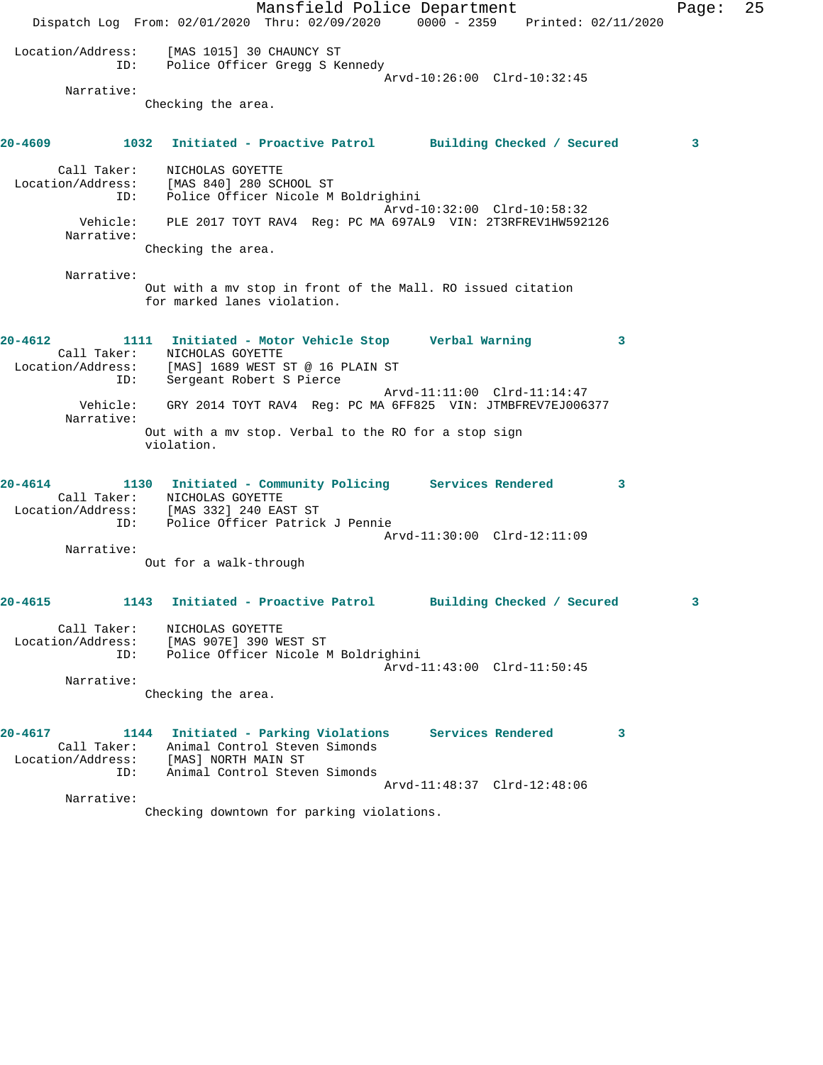Mansfield Police Department Fage: 25 Dispatch Log From: 02/01/2020 Thru: 02/09/2020 0000 - 2359 Printed: 02/11/2020 Location/Address: [MAS 1015] 30 CHAUNCY ST ID: Police Officer Gregg S Kennedy Arvd-10:26:00 Clrd-10:32:45 Narrative: Checking the area. **20-4609 1032 Initiated - Proactive Patrol Building Checked / Secured 3** Call Taker: NICHOLAS GOYETTE Location/Address: [MAS 840] 280 SCHOOL ST ID: Police Officer Nicole M Boldrighini Arvd-10:32:00 Clrd-10:58:32 Vehicle: PLE 2017 TOYT RAV4 Reg: PC MA 697AL9 VIN: 2T3RFREV1HW592126 Narrative: Checking the area. Narrative: Out with a mv stop in front of the Mall. RO issued citation for marked lanes violation. **20-4612 1111 Initiated - Motor Vehicle Stop Verbal Warning 3**  Call Taker: NICHOLAS GOYETTE Location/Address: [MAS] 1689 WEST ST @ 16 PLAIN ST ID: Sergeant Robert S Pierce Arvd-11:11:00 Clrd-11:14:47 Vehicle: GRY 2014 TOYT RAV4 Reg: PC MA 6FF825 VIN: JTMBFREV7EJ006377 Narrative: Out with a mv stop. Verbal to the RO for a stop sign violation. **20-4614 1130 Initiated - Community Policing Services Rendered 3**  Call Taker: NICHOLAS GOYETTE Location/Address: [MAS 332] 240 EAST ST ID: Police Officer Patrick J Pennie Arvd-11:30:00 Clrd-12:11:09 Narrative: Out for a walk-through **20-4615 1143 Initiated - Proactive Patrol Building Checked / Secured 3** Call Taker: NICHOLAS GOYETTE Location/Address: [MAS 907E] 390 WEST ST ID: Police Officer Nicole M Boldrighini Arvd-11:43:00 Clrd-11:50:45 Narrative: Checking the area. **20-4617 1144 Initiated - Parking Violations Services Rendered 3**  Call Taker: Animal Control Steven Simonds Location/Address: [MAS] NORTH MAIN ST ID: Animal Control Steven Simonds Arvd-11:48:37 Clrd-12:48:06 Narrative: Checking downtown for parking violations.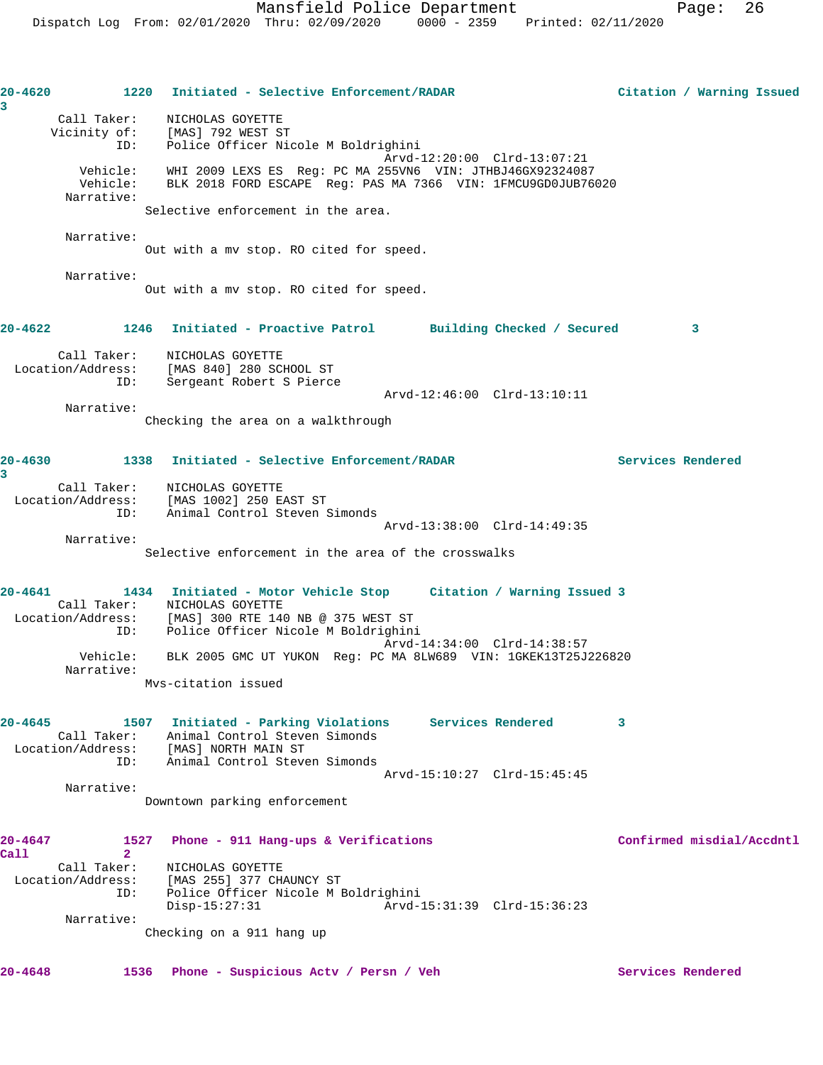| 20-4620     | 1220                             | Initiated - Selective Enforcement/RADAR                                                                                                                           | Citation / Warning Issued |
|-------------|----------------------------------|-------------------------------------------------------------------------------------------------------------------------------------------------------------------|---------------------------|
| 3           | Call Taker:                      | NICHOLAS GOYETTE                                                                                                                                                  |                           |
|             |                                  | Vicinity of: [MAS] 792 WEST ST                                                                                                                                    |                           |
|             | ID:                              | Police Officer Nicole M Boldrighini                                                                                                                               |                           |
|             | Vehicle:                         | Arvd-12:20:00 Clrd-13:07:21<br>Vehicle: WHI 2009 LEXS ES Req: PC MA 255VN6 VIN: JTHBJ46GX92324087<br>BLK 2018 FORD ESCAPE Req: PAS MA 7366 VIN: 1FMCU9GD0JUB76020 |                           |
|             | Narrative:                       |                                                                                                                                                                   |                           |
|             |                                  | Selective enforcement in the area.                                                                                                                                |                           |
|             | Narrative:                       |                                                                                                                                                                   |                           |
|             |                                  | Out with a mv stop. RO cited for speed.                                                                                                                           |                           |
|             | Narrative:                       |                                                                                                                                                                   |                           |
|             |                                  | Out with a mv stop. RO cited for speed.                                                                                                                           |                           |
|             | 20-4622 1246                     | Initiated - Proactive Patrol Building Checked / Secured                                                                                                           | 3                         |
|             |                                  | Call Taker: NICHOLAS GOYETTE<br>Location/Address: [MAS 840] 280 SCHOOL ST                                                                                         |                           |
|             | ID:                              | Sergeant Robert S Pierce<br>Arvd-12:46:00 Clrd-13:10:11                                                                                                           |                           |
|             | Narrative:                       |                                                                                                                                                                   |                           |
|             |                                  | Checking the area on a walkthrough                                                                                                                                |                           |
|             |                                  | 20-4630 1338 Initiated - Selective Enforcement/RADAR                                                                                                              | Services Rendered         |
| 3           |                                  | Call Taker: NICHOLAS GOYETTE                                                                                                                                      |                           |
|             |                                  | Location/Address: [MAS 1002] 250 EAST ST                                                                                                                          |                           |
|             | ID:                              | Animal Control Steven Simonds                                                                                                                                     |                           |
|             | Narrative:                       | Arvd-13:38:00 Clrd-14:49:35                                                                                                                                       |                           |
|             |                                  | Selective enforcement in the area of the crosswalks                                                                                                               |                           |
|             |                                  |                                                                                                                                                                   |                           |
| 20-4641     |                                  | 1434 Initiated - Motor Vehicle Stop Citation / Warning Issued 3                                                                                                   |                           |
|             |                                  | Call Taker: NICHOLAS GOYETTE                                                                                                                                      |                           |
|             | ID:                              | Location/Address: [MAS] 300 RTE 140 NB @ 375 WEST ST<br>Police Officer Nicole M Boldrighini                                                                       |                           |
|             |                                  | Arvd-14:34:00 Clrd-14:38:57                                                                                                                                       |                           |
|             | Vehicle:<br>Narrative:           | BLK 2005 GMC UT YUKON Reg: PC MA 8LW689 VIN: 1GKEK13T25J226820                                                                                                    |                           |
|             |                                  | Mys-citation issued                                                                                                                                               |                           |
|             |                                  |                                                                                                                                                                   |                           |
| $20 - 4645$ |                                  | 1507 Initiated - Parking Violations<br>Services Rendered                                                                                                          | 3                         |
|             |                                  | Call Taker: Animal Control Steven Simonds                                                                                                                         |                           |
|             | ID:                              | Location/Address: [MAS] NORTH MAIN ST<br>Animal Control Steven Simonds                                                                                            |                           |
|             |                                  | Arvd-15:10:27 Clrd-15:45:45                                                                                                                                       |                           |
|             | Narrative:                       |                                                                                                                                                                   |                           |
|             |                                  | Downtown parking enforcement                                                                                                                                      |                           |
| 20-4647     | 1527                             | Phone - 911 Hang-ups & Verifications                                                                                                                              | Confirmed misdial/Accdntl |
| Call        | $\overline{2}$                   |                                                                                                                                                                   |                           |
|             | Call Taker:<br>Location/Address: | NICHOLAS GOYETTE<br>[MAS 255] 377 CHAUNCY ST                                                                                                                      |                           |
|             | ID:                              | Police Officer Nicole M Boldrighini                                                                                                                               |                           |
|             |                                  | $Disp-15:27:31$<br>Arvd-15:31:39 Clrd-15:36:23                                                                                                                    |                           |
|             | Narrative:                       | Checking on a 911 hang up                                                                                                                                         |                           |
|             |                                  |                                                                                                                                                                   |                           |
| $20 - 4648$ | 1536                             | Phone - Suspicious Acty / Persn / Veh                                                                                                                             | Services Rendered         |
|             |                                  |                                                                                                                                                                   |                           |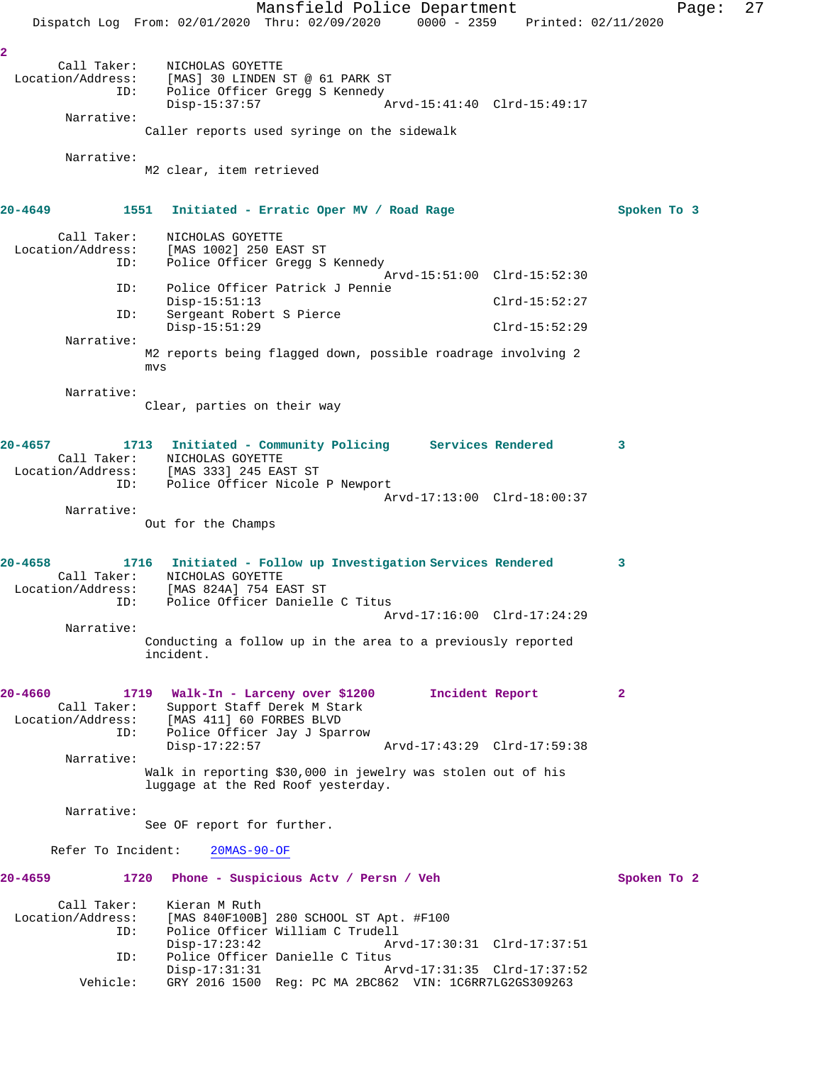Mansfield Police Department Page: 27 Dispatch Log From: 02/01/2020 Thru: 02/09/2020 0000 - 2359 Printed: 02/11/2020 **2**  Call Taker: NICHOLAS GOYETTE Location/Address: [MAS] 30 LINDEN ST @ 61 PARK ST<br>ID: Police Officer Gregg S Kennedy Police Officer Gregg S Kennedy Disp-15:37:57 Arvd-15:41:40 Clrd-15:49:17 Narrative: Caller reports used syringe on the sidewalk Narrative: M2 clear, item retrieved **20-4649 1551 Initiated - Erratic Oper MV / Road Rage Spoken To 3** Call Taker: NICHOLAS GOYETTE Location/Address: [MAS 1002] 250 EAST ST ID: Police Officer Gregg S Kennedy Arvd-15:51:00 Clrd-15:52:30<br>TD: Police Officer Patrick J Pennie Police Officer Patrick J Pennie Disp-15:51:13 Clrd-15:52:27 ID: Sergeant Robert S Pierce Disp-15:51:29 Clrd-15:52:29 Narrative: M2 reports being flagged down, possible roadrage involving 2 mvs Narrative: Clear, parties on their way **20-4657 1713 Initiated - Community Policing Services Rendered 3**  Call Taker: NICHOLAS GOYETTE Location/Address: [MAS 333] 245 EAST ST ID: Police Officer Nicole P Newport Arvd-17:13:00 Clrd-18:00:37 Narrative: Out for the Champs **20-4658 1716 Initiated - Follow up Investigation Services Rendered 3**  Call Taker: NICHOLAS GOYETTE Location/Address: [MAS 824A] 754 EAST ST ID: Police Officer Danielle C Titus Arvd-17:16:00 Clrd-17:24:29 Narrative: Conducting a follow up in the area to a previously reported incident. **20-4660 1719 Walk-In - Larceny over \$1200 Incident Report 2**  Call Taker: Support Staff Derek M Stark Location/Address: [MAS 411] 60 FORBES BLVD ID: Police Officer Jay J Sparrow Arvd-17:43:29 Clrd-17:59:38 Narrative: Walk in reporting \$30,000 in jewelry was stolen out of his luggage at the Red Roof yesterday. Narrative: See OF report for further. Refer To Incident: 20MAS-90-OF **20-4659 1720 Phone - Suspicious Actv / Persn / Veh Spoken To 2** Call Taker: Kieran M Ruth Location/Address: [MAS 840F100B] 280 SCHOOL ST Apt. #F100 Police Officer William C Trudell<br>Disp-17:23:42 Arv Disp-17:23:42 Arvd-17:30:31 Clrd-17:37:51 ID: Police Officer Danielle C Titus Disp-17:31:31 Arvd-17:31:35 Clrd-17:37:52 Vehicle: GRY 2016 1500 Reg: PC MA 2BC862 VIN: 1C6RR7LG2GS309263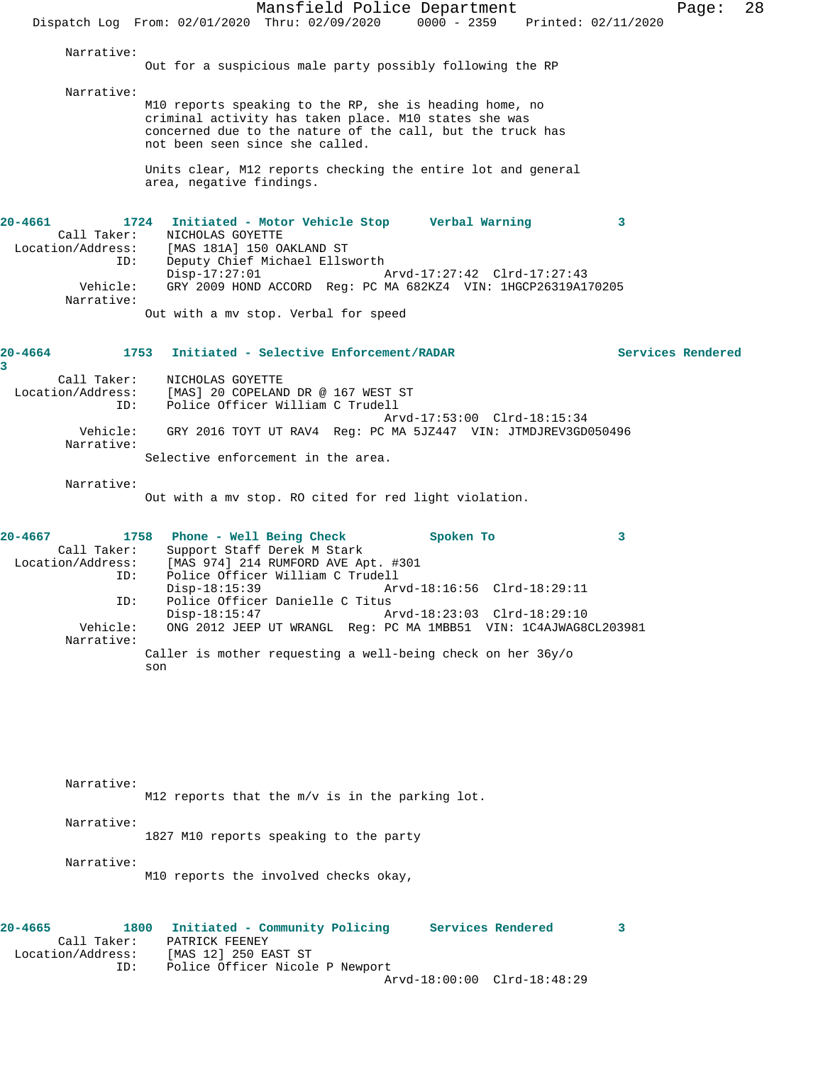Mansfield Police Department Page: 28 Dispatch Log From: 02/01/2020 Thru: 02/09/2020 0000 - 2359 Printed: 02/11/2020 Narrative: Out for a suspicious male party possibly following the RP Narrative: M10 reports speaking to the RP, she is heading home, no criminal activity has taken place. M10 states she was concerned due to the nature of the call, but the truck has not been seen since she called. Units clear, M12 reports checking the entire lot and general area, negative findings. **20-4661 1724 Initiated - Motor Vehicle Stop Verbal Warning 3**  Call Taker: NICHOLAS GOYETTE Location/Address: [MAS 181A] 150 OAKLAND ST ess: [MAS 181A] 150 OAKLAND ST<br>ID: Deputy Chief Michael Ellsworth<br>Disp-17:27:01 Disp-17:27:01 Arvd-17:27:42 Clrd-17:27:43 Vehicle: GRY 2009 HOND ACCORD Reg: PC MA 682KZ4 VIN: 1HGCP26319A170205 Narrative: Out with a mv stop. Verbal for speed **20-4664 1753 Initiated - Selective Enforcement/RADAR Services Rendered 3**  Call Taker: NICHOLAS GOYETTE Location/Address: [MAS] 20 COPELAND DR @ 167 WEST ST ID: Police Officer William C Trudell Arvd-17:53:00 Clrd-18:15:34 Vehicle: GRY 2016 TOYT UT RAV4 Reg: PC MA 5JZ447 VIN: JTMDJREV3GD050496 Narrative: Selective enforcement in the area. Narrative: Out with a mv stop. RO cited for red light violation. **20-4667 1758 Phone - Well Being Check Spoken To 3**  Call Taker: Support Staff Derek M Stark Location/Address: [MAS 974] 214 RUMFORD AVE Apt. #301 Police Officer William C Trudell Disp-18:15:39 Arvd-18:16:56 Clrd-18:29:11<br>TD: Police Officer Danielle C Titus Police Officer Danielle C Titus<br>Disp-18:15:47 A Disp-18:15:47 Arvd-18:23:03 Clrd-18:29:10<br>Vehicle: ONG 2012 JEEP UT WRANGL Req: PC MA 1MBB51 VIN: 1C4AJWAG8 ONG 2012 JEEP UT WRANGL Reg: PC MA 1MBB51 VIN: 1C4AJWAG8CL203981 Narrative: Caller is mother requesting a well-being check on her 36y/o son and the state of the state of the state of the state of the state of the state of the state of the state o Narrative: M12 reports that the m/v is in the parking lot. Narrative: 1827 M10 reports speaking to the party Narrative: M10 reports the involved checks okay,

**20-4665 1800 Initiated - Community Policing Services Rendered 3**  Call Taker: PATRICK FEENEY<br>Location/Address: [MAS 12] 250 E. [MAS 12] 250 EAST ST ID: Police Officer Nicole P Newport Arvd-18:00:00 Clrd-18:48:29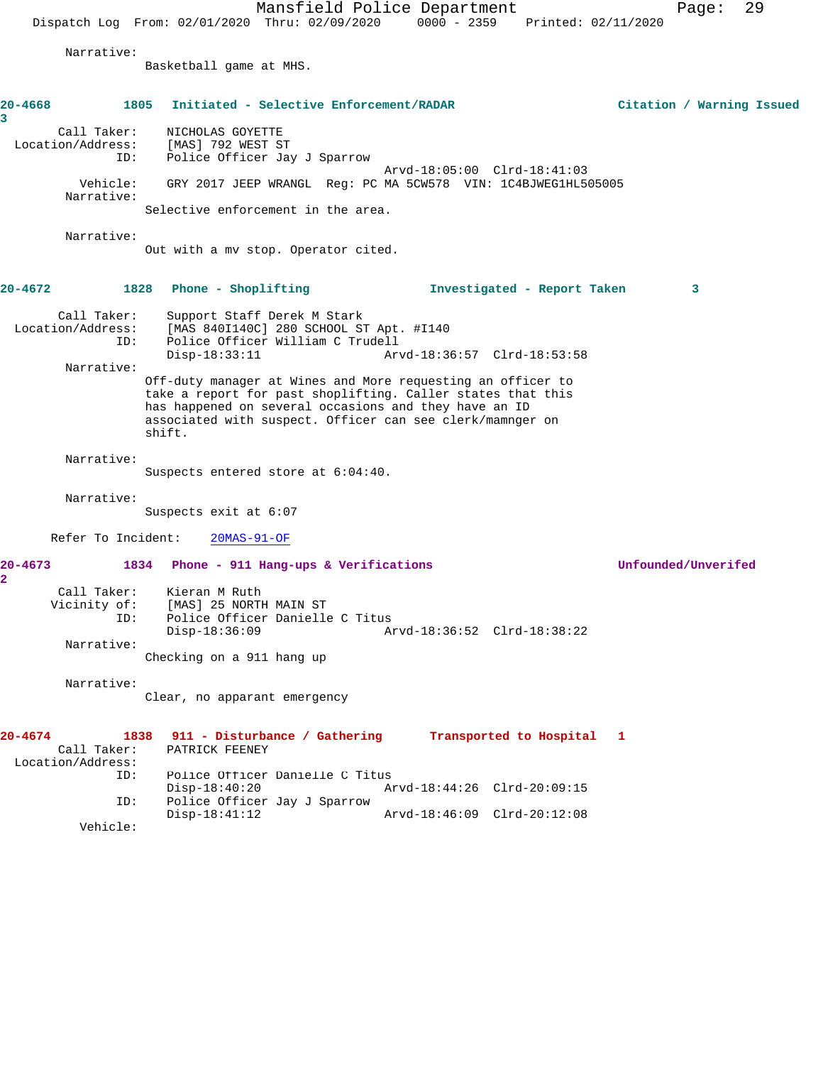Mansfield Police Department Page: 29 Dispatch Log From: 02/01/2020 Thru: 02/09/2020 0000 - 2359 Printed: 02/11/2020 Narrative: Basketball game at MHS. **20-4668 1805 Initiated - Selective Enforcement/RADAR Citation / Warning Issued 3**  Call Taker: NICHOLAS GOYETTE Location/Address: [MAS] 792 WEST ST ID: Police Officer Jay J Sparrow Arvd-18:05:00 Clrd-18:41:03 Vehicle: GRY 2017 JEEP WRANGL Reg: PC MA 5CW578 VIN: 1C4BJWEG1HL505005 Narrative: Selective enforcement in the area. Narrative: Out with a mv stop. Operator cited. **20-4672 1828 Phone - Shoplifting Investigated - Report Taken 3** Call Taker: Support Staff Derek M Stark Location/Address: [MAS 840I140C] 280 SCHOOL ST Apt. #I140 ID: Police Officer William C Trudell Arvd-18:36:57 Clrd-18:53:58 Narrative: Off-duty manager at Wines and More requesting an officer to take a report for past shoplifting. Caller states that this has happened on several occasions and they have an ID associated with suspect. Officer can see clerk/mamnger on shift. Narrative: Suspects entered store at 6:04:40. Narrative: Suspects exit at 6:07 Refer To Incident: 20MAS-91-OF **20-4673 1834 Phone - 911 Hang-ups & Verifications Unfounded/Unverifed 2**  Call Taker: Kieran M Ruth Vicinity of: [MAS] 25 NORTH MAIN ST ID: Police Officer Danielle C Titus Disp-18:36:09 Arvd-18:36:52 Clrd-18:38:22 Narrative: Checking on a 911 hang up Narrative: Clear, no apparant emergency **20-4674 1838 911 - Disturbance / Gathering Transported to Hospital 1**  Call Taker: PATRICK FEENEY Location/Address:<br>TD: Police Officer Danielle C Titus Disp-18:40:20 Arvd-18:44:26 Clrd-20:09:15 ID: Police Officer Jay J Sparrow Disp-18:41:12 Arvd-18:46:09 Clrd-20:12:08

Vehicle: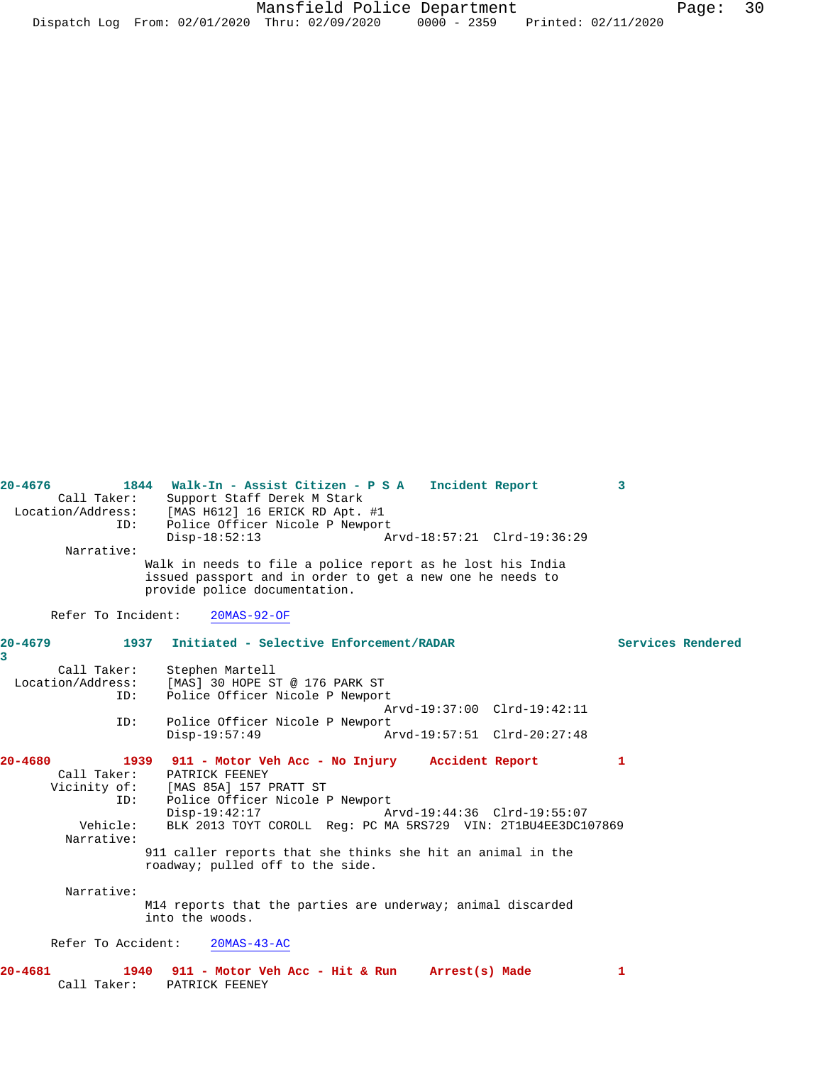| $20 - 4676$            | 1844 Walk-In - Assist Citizen - P S A<br>Incident Report                                                                | 3                 |
|------------------------|-------------------------------------------------------------------------------------------------------------------------|-------------------|
| Call Taker:            | Support Staff Derek M Stark                                                                                             |                   |
|                        | Location/Address: [MAS H612] 16 ERICK RD Apt. #1                                                                        |                   |
| ID:                    | Police Officer Nicole P Newport                                                                                         |                   |
|                        | $Disp-18:52:13$<br>Arvd-18:57:21 Clrd-19:36:29                                                                          |                   |
| Narrative:             |                                                                                                                         |                   |
|                        | Walk in needs to file a police report as he lost his India<br>issued passport and in order to get a new one he needs to |                   |
|                        | provide police documentation.                                                                                           |                   |
| Refer To Incident:     | $20MAS-92-OF$                                                                                                           |                   |
| $20 - 4679$<br>1937    | Initiated - Selective Enforcement/RADAR                                                                                 | Services Rendered |
| $\overline{3}$         |                                                                                                                         |                   |
| Call Taker:            | Stephen Martell                                                                                                         |                   |
| Location/Address:      | [MAS] 30 HOPE ST @ 176 PARK ST                                                                                          |                   |
| ID:                    | Police Officer Nicole P Newport                                                                                         |                   |
|                        | Arvd-19:37:00 Clrd-19:42:11                                                                                             |                   |
| ID:                    | Police Officer Nicole P Newport<br>Arvd-19:57:51 Clrd-20:27:48                                                          |                   |
|                        | $Disp-19:57:49$                                                                                                         |                   |
| $20 - 4680$            | 1939 911 - Motor Veh Acc - No Injury Accident Report                                                                    | 1.                |
| Call Taker:            | PATRICK FEENEY                                                                                                          |                   |
|                        | Vicinity of: [MAS 85A] 157 PRATT ST                                                                                     |                   |
| ID:                    | Police Officer Nicole P Newport                                                                                         |                   |
|                        | Disp-19:42:17<br>Arvd-19:44:36 Clrd-19:55:07                                                                            |                   |
| Vehicle:<br>Narrative: | BLK 2013 TOYT COROLL Req: PC MA 5RS729 VIN: 2T1BU4EE3DC107869                                                           |                   |
|                        | 911 caller reports that she thinks she hit an animal in the<br>roadway; pulled off to the side.                         |                   |
| Narrative:             |                                                                                                                         |                   |
|                        | M14 reports that the parties are underway; animal discarded                                                             |                   |
|                        | into the woods.                                                                                                         |                   |
| Refer To Accident:     | $20MAS-43-AC$                                                                                                           |                   |
| $20 - 4681$            | 1940<br>911 - Motor Veh Acc - Hit & Run Arrest(s) Made                                                                  | 1                 |
| Call Taker:            | PATRICK FEENEY                                                                                                          |                   |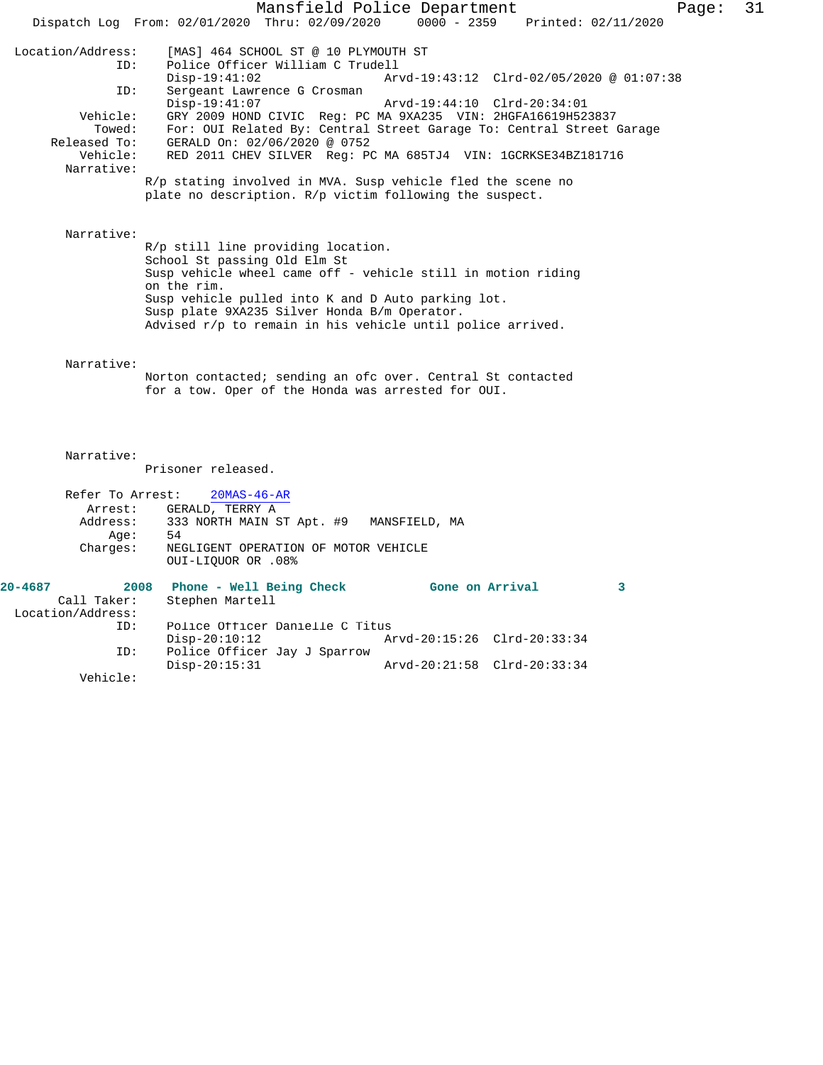Mansfield Police Department Page: 31 Dispatch Log From: 02/01/2020 Thru: 02/09/2020 0000 - 2359 Printed: 02/11/2020 Location/Address: [MAS] 464 SCHOOL ST @ 10 PLYMOUTH ST Police Officer William C Trudell<br>Disp-19:41:02 Arv Disp-19:41:02 Arvd-19:43:12 Clrd-02/05/2020 @ 01:07:38<br>ID: Sergeant Lawrence G Crosman Sergeant Lawrence G Crosman<br>Disp-19:41:07 Arvd-19:44:10 Clrd-20:34:01 Vehicle: GRY 2009 HOND CIVIC Reg: PC MA 9XA235 VIN: 2HGFA16619H523837 Towed: For: OUI Related By: Central Street Garage To: Central Street Garage Released To: GERALD On: 02/06/2020 @ 0752 Vehicle: RED 2011 CHEV SILVER Reg: PC MA 685TJ4 VIN: 1GCRKSE34BZ181716 Narrative: R/p stating involved in MVA. Susp vehicle fled the scene no plate no description. R/p victim following the suspect. Narrative: R/p still line providing location. School St passing Old Elm St Susp vehicle wheel came off - vehicle still in motion riding on the rim. Susp vehicle pulled into K and D Auto parking lot. Susp plate 9XA235 Silver Honda B/m Operator. Advised r/p to remain in his vehicle until police arrived. Narrative: Norton contacted; sending an ofc over. Central St contacted for a tow. Oper of the Honda was arrested for OUI. Narrative: Prisoner released. Refer To Arrest: 20MAS-46-AR Arrest: GERALD, TERRY A Address: 333 NORTH MAIN ST Apt. #9 MANSFIELD, MA Age: 54 Charges: NEGLIGENT OPERATION OF MOTOR VEHICLE OUI-LIQUOR OR .08% **20-4687 2008 Phone - Well Being Check Gone on Arrival 3**  Call Taker: Stephen Martell Location/Address: ID: Police Officer Danielle C Titus Disp-20:10:12 Arvd-20:15:26 Clrd-20:33:34<br>ID: Police Officer Jay J Sparrow

Disp-20:15:31 Arvd-20:21:58 Clrd-20:33:34

Police Officer Jay J Sparrow<br>Disp-20:15:31

Vehicle: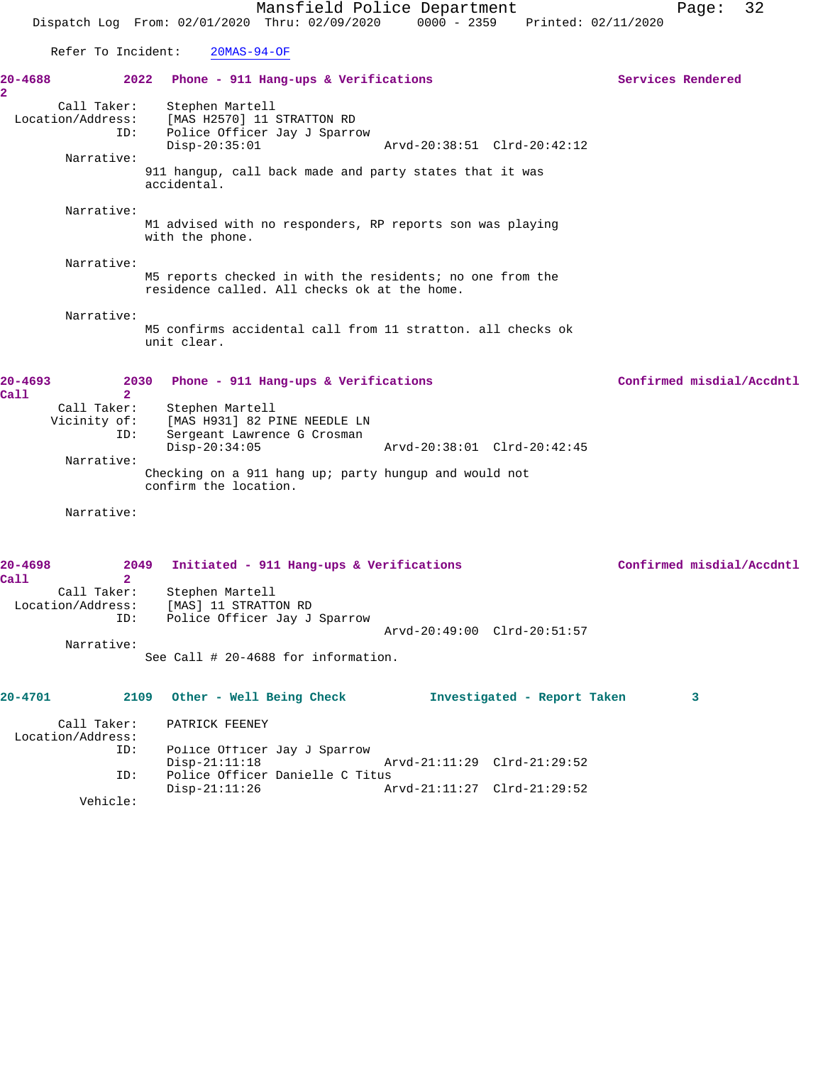Mansfield Police Department Page: 32 Dispatch Log From: 02/01/2020 Thru: 02/09/2020 0000 - 2359 Printed: 02/11/2020 Refer To Incident: 20MAS-94-OF **20-4688 2022 Phone - 911 Hang-ups & Verifications Services Rendered** Call Taker: Stephen Martell Location/Address: [MAS H2570] 11 STRATTON RD ID: Police Officer Jay J Sparrow<br>Disp-20:35:01 Disp-20:35:01 Arvd-20:38:51 Clrd-20:42:12 Narrative: 911 hangup, call back made and party states that it was accidental. Narrative: M1 advised with no responders, RP reports son was playing with the phone. Narrative: M5 reports checked in with the residents; no one from the residence called. All checks ok at the home. Narrative: M5 confirms accidental call from 11 stratton. all checks ok unit clear. **20-4693 2030 Phone - 911 Hang-ups & Verifications Confirmed misdial/Accdntl Call 2**  Call Taker: Stephen Martell<br>Vicinity of: [MAS H931] 82 P: of: [MAS H931] 82 PINE NEEDLE LN<br>ID: Sergeant Lawrence G Crosman Sergeant Lawrence G Crosman<br>Disp-20:34:05 Disp-20:34:05 Arvd-20:38:01 Clrd-20:42:45 Narrative: Checking on a 911 hang up; party hungup and would not confirm the location. Narrative: **20-4698 2049 Initiated - 911 Hang-ups & Verifications Confirmed misdial/Accdntl Call 2**  Call Taker: Stephen Martell Location/Address: [MAS] 11 STRATTON RD ID: Police Officer Jay J Sparrow Arvd-20:49:00 Clrd-20:51:57 Narrative: See Call # 20-4688 for information.

**2** 

| $20 - 4701$       | 2109        | Other - Well Being Check        |                             | Investigated - Report Taken |  |
|-------------------|-------------|---------------------------------|-----------------------------|-----------------------------|--|
|                   | Call Taker: | PATRICK FEENEY                  |                             |                             |  |
| Location/Address: |             |                                 |                             |                             |  |
|                   | ID:         | Police Officer Jay J Sparrow    |                             |                             |  |
|                   |             | Disp-21:11:18                   | Arvd-21:11:29 Clrd-21:29:52 |                             |  |
|                   | ID:         | Police Officer Danielle C Titus |                             |                             |  |
|                   |             | Disp-21:11:26                   | Arvd-21:11:27 Clrd-21:29:52 |                             |  |
|                   | Vehicle:    |                                 |                             |                             |  |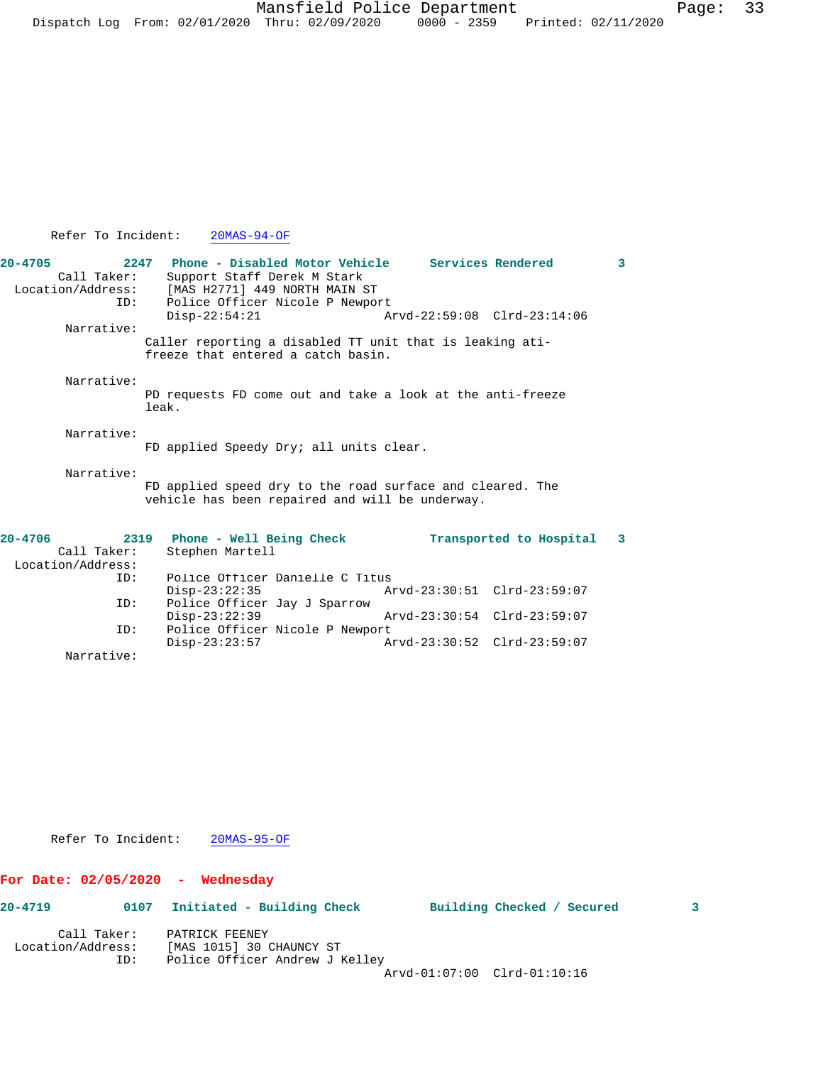Mansfield Police Department Fage: 33 Dispatch Log From:  $02/01/2020$  Thru:  $02/09/2020$  0000 - 2359 Printed:  $02/11/2020$ 

## Refer To Incident: 20MAS-94-OF

| $20 - 4705$       | 2247 Phone - Disabled Motor Vehicle Services Rendered      |                             | 3 |
|-------------------|------------------------------------------------------------|-----------------------------|---|
| Call Taker:       | Support Staff Derek M Stark                                |                             |   |
| Location/Address: | [MAS H2771] 449 NORTH MAIN ST                              |                             |   |
| ID:               | Police Officer Nicole P Newport                            |                             |   |
|                   | $Disp-22:54:21$                                            | Arvd-22:59:08 Clrd-23:14:06 |   |
| Narrative:        |                                                            |                             |   |
|                   | Caller reporting a disabled TT unit that is leaking ati-   |                             |   |
|                   | freeze that entered a catch basin.                         |                             |   |
| Narrative:        |                                                            |                             |   |
|                   | PD requests FD come out and take a look at the anti-freeze |                             |   |
|                   | leak.                                                      |                             |   |
| Narrative:        |                                                            |                             |   |
|                   | FD applied Speedy Dry; all units clear.                    |                             |   |
|                   |                                                            |                             |   |
| Narrative:        |                                                            |                             |   |
|                   | FD applied speed dry to the road surface and cleared. The  |                             |   |
|                   | vehicle has been repaired and will be underway.            |                             |   |
| $20 - 4706$       | 2319                                                       |                             |   |
| Call Taker:       | Phone - Well Being Check<br>Stephen Martell                | Transported to Hospital 3   |   |
| Location/Address: |                                                            |                             |   |
| ID:               | Police Officer Danielle C Titus                            |                             |   |
|                   | Disp-23:22:35                                              | Arvd-23:30:51 Clrd-23:59:07 |   |
| ID:               | Police Officer Jay J Sparrow                               |                             |   |
|                   | $Disp-23:22:39$                                            | Arvd-23:30:54 Clrd-23:59:07 |   |
| ID:               | Police Officer Nicole P Newport                            |                             |   |
|                   | $Disp-23:23:57$                                            | Arvd-23:30:52 Clrd-23:59:07 |   |

Refer To Incident: 20MAS-95-OF

## **For Date: 02/05/2020 - Wednesday**

Narrative:

| 20-4719           | 0107 | Initiated - Building Check     |                             | Building Checked / Secured |  |
|-------------------|------|--------------------------------|-----------------------------|----------------------------|--|
| Call Taker:       |      | PATRICK FEENEY                 |                             |                            |  |
| Location/Address: |      | [MAS 1015] 30 CHAUNCY ST       |                             |                            |  |
|                   | ID:  | Police Officer Andrew J Kelley |                             |                            |  |
|                   |      |                                | Arvd-01:07:00 Clrd-01:10:16 |                            |  |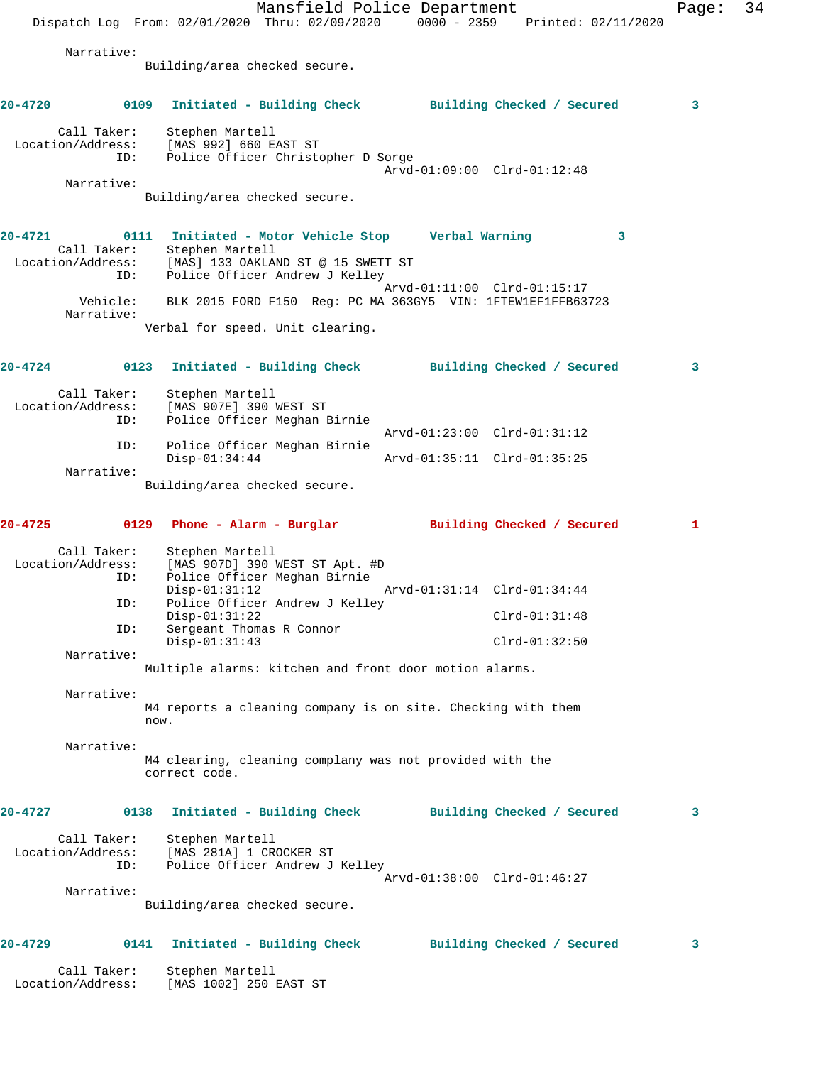Mansfield Police Department Page: 34 Dispatch Log From: 02/01/2020 Thru: 02/09/2020 0000 - 2359 Printed: 02/11/2020 Narrative: Building/area checked secure. **20-4720 0109 Initiated - Building Check Building Checked / Secured 3** Call Taker: Stephen Martell Location/Address: [MAS 992] 660 EAST ST ID: Police Officer Christopher D Sorge Arvd-01:09:00 Clrd-01:12:48 Narrative: Building/area checked secure. **20-4721 0111 Initiated - Motor Vehicle Stop Verbal Warning 3**  Call Taker: Stephen Martell Location/Address: [MAS] 133 OAKLAND ST @ 15 SWETT ST ID: Police Officer Andrew J Kelley Arvd-01:11:00 Clrd-01:15:17 Vehicle: BLK 2015 FORD F150 Reg: PC MA 363GY5 VIN: 1FTEW1EF1FFB63723 Narrative: Verbal for speed. Unit clearing. **20-4724 0123 Initiated - Building Check Building Checked / Secured 3** Call Taker: Stephen Martell Location/Address: [MAS 907E] 390 WEST ST ID: Police Officer Meghan Birnie Arvd-01:23:00 Clrd-01:31:12 ID: Police Officer Meghan Birnie Disp-01:34:44 Arvd-01:35:11 Clrd-01:35:25 Narrative: Building/area checked secure. **20-4725 0129 Phone - Alarm - Burglar Building Checked / Secured 1** Call Taker: Stephen Martell Location/Address: [MAS 907D] 390 WEST ST Apt. #D ID: Police Officer Meghan Birnie Disp-01:31:12 Arvd-01:31:14 Clrd-01:34:44 ID: Police Officer Andrew J Kelley Disp-01:31:22 Clrd-01:31:48 ID: Sergeant Thomas R Connor Disp-01:31:43 Clrd-01:32:50 Narrative: Multiple alarms: kitchen and front door motion alarms. Narrative: M4 reports a cleaning company is on site. Checking with them now. Narrative: M4 clearing, cleaning complany was not provided with the correct code. **20-4727 0138 Initiated - Building Check Building Checked / Secured 3** Call Taker: Stephen Martell Location/Address: [MAS 281A] 1 CROCKER ST ID: Police Officer Andrew J Kelley Arvd-01:38:00 Clrd-01:46:27 Narrative: Building/area checked secure. **20-4729 0141 Initiated - Building Check Building Checked / Secured 3** Call Taker: Stephen Martell Location/Address: [MAS 1002] 250 EAST ST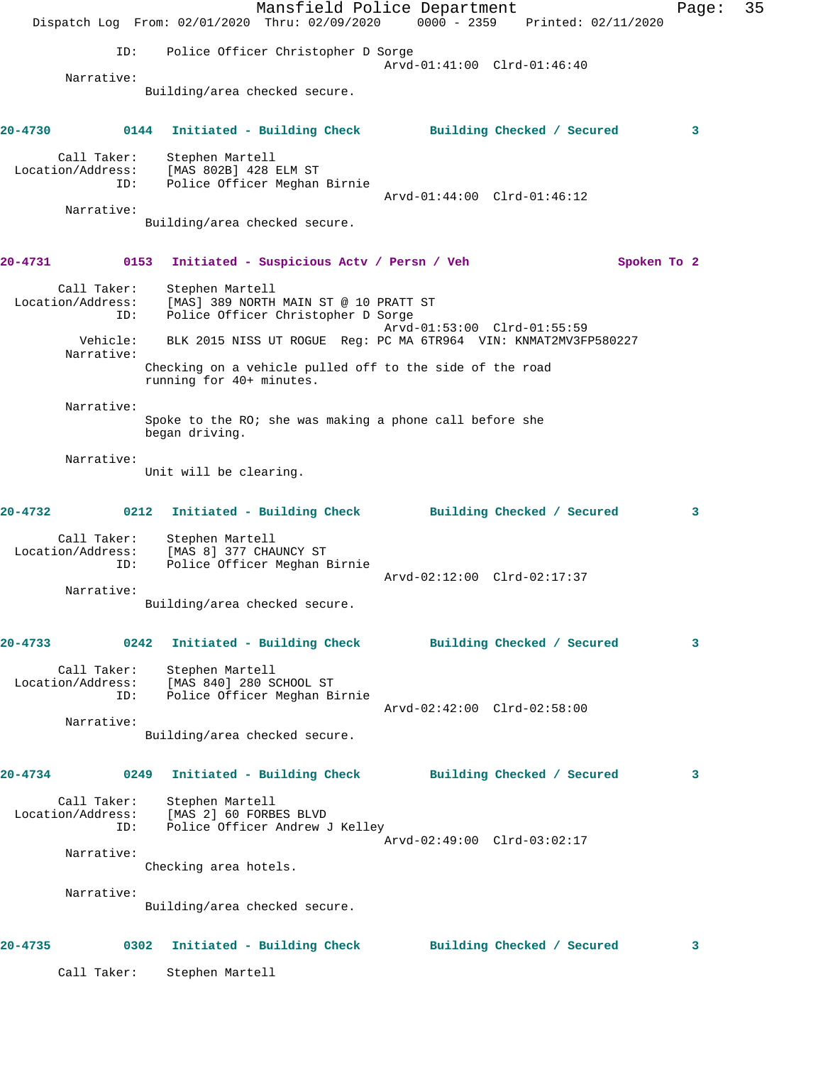Mansfield Police Department Page: 35 Dispatch Log From: 02/01/2020 Thru: 02/09/2020 0000 - 2359 Printed: 02/11/2020 ID: Police Officer Christopher D Sorge Arvd-01:41:00 Clrd-01:46:40 Narrative: Building/area checked secure. **20-4730 0144 Initiated - Building Check Building Checked / Secured 3** Call Taker: Stephen Martell Location/Address: [MAS 802B] 428 ELM ST ID: Police Officer Meghan Birnie Arvd-01:44:00 Clrd-01:46:12 Narrative: Building/area checked secure. **20-4731 0153 Initiated - Suspicious Actv / Persn / Veh Spoken To 2** Call Taker: Stephen Martell Location/Address: [MAS] 389 NORTH MAIN ST @ 10 PRATT ST ID: Police Officer Christopher D Sorge Arvd-01:53:00 Clrd-01:55:59 Vehicle: BLK 2015 NISS UT ROGUE Reg: PC MA 6TR964 VIN: KNMAT2MV3FP580227 Narrative: Checking on a vehicle pulled off to the side of the road running for 40+ minutes. Narrative: Spoke to the RO; she was making a phone call before she began driving. Narrative: Unit will be clearing. **20-4732 0212 Initiated - Building Check Building Checked / Secured 3** Call Taker: Stephen Martell Location/Address: [MAS 8] 377 CHAUNCY ST ID: Police Officer Meghan Birnie Arvd-02:12:00 Clrd-02:17:37 Narrative: Building/area checked secure. **20-4733 0242 Initiated - Building Check Building Checked / Secured 3** Call Taker: Stephen Martell Location/Address: [MAS 840] 280 SCHOOL ST ID: Police Officer Meghan Birnie Arvd-02:42:00 Clrd-02:58:00 Narrative: Building/area checked secure. **20-4734 0249 Initiated - Building Check Building Checked / Secured 3** Call Taker: Stephen Martell Location/Address: [MAS 2] 60 FORBES BLVD ID: Police Officer Andrew J Kelley Arvd-02:49:00 Clrd-03:02:17 Narrative: Checking area hotels. Narrative: Building/area checked secure. **20-4735 0302 Initiated - Building Check Building Checked / Secured 3** Call Taker: Stephen Martell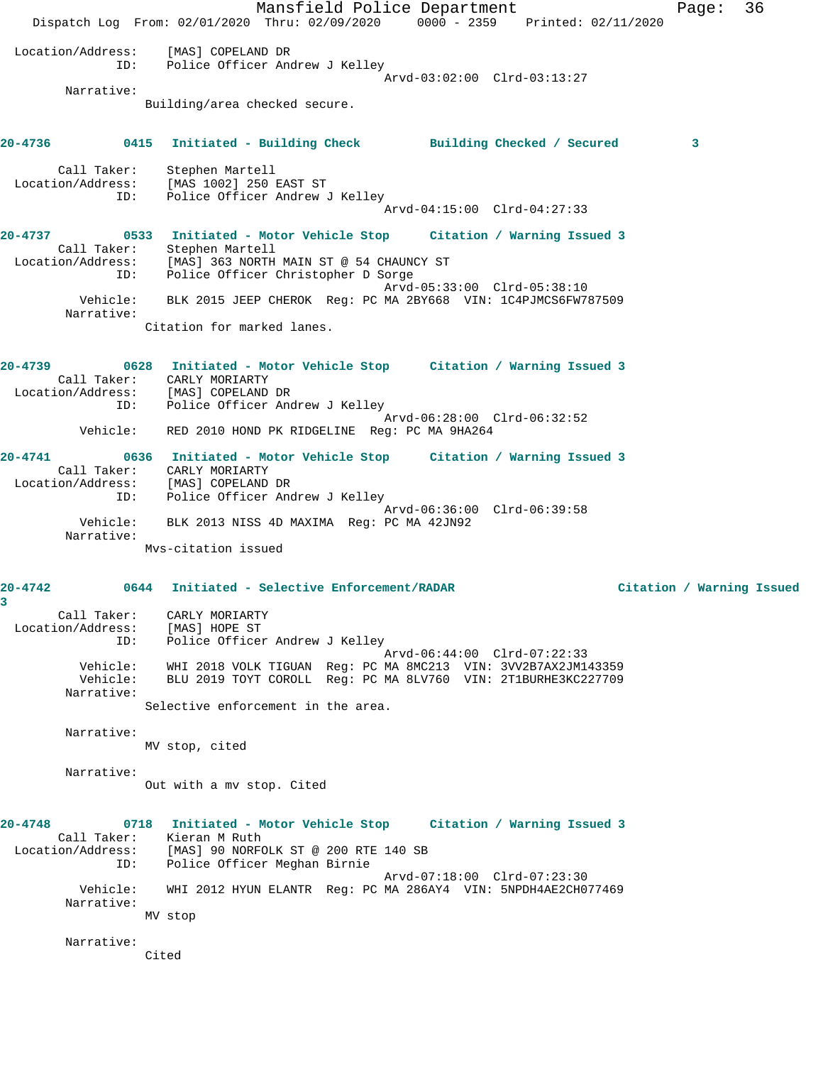Mansfield Police Department Fage: 36 Dispatch Log From: 02/01/2020 Thru: 02/09/2020 0000 - 2359 Printed: 02/11/2020 Location/Address: [MAS] COPELAND DR ID: Police Officer Andrew J Kelley Arvd-03:02:00 Clrd-03:13:27 Narrative: Building/area checked secure. **20-4736 0415 Initiated - Building Check Building Checked / Secured 3** Call Taker: Stephen Martell Location/Address: [MAS 1002] 250 EAST ST ress: السلام العادة العادة العادة<br>ID: Police Officer Andrew J Kelley<br>مردوعة العادة العادة العادة العادة العادة العادة العادة العادة العادة العادة العادة العادة العادة العادة العاد Arvd-04:15:00 Clrd-04:27:33 **20-4737 0533 Initiated - Motor Vehicle Stop Citation / Warning Issued 3**  Call Taker: Stephen Martell Location/Address: [MAS] 363 NORTH MAIN ST @ 54 CHAUNCY ST ID: Police Officer Christopher D Sorge Arvd-05:33:00 Clrd-05:38:10 Vehicle: BLK 2015 JEEP CHEROK Reg: PC MA 2BY668 VIN: 1C4PJMCS6FW787509 Narrative: Citation for marked lanes. **20-4739 0628 Initiated - Motor Vehicle Stop Citation / Warning Issued 3**  Call Taker: CARLY MORIARTY Location/Address: [MAS] COPELAND DR ID: Police Officer Andrew J Kelley Arvd-06:28:00 Clrd-06:32:52 Vehicle: RED 2010 HOND PK RIDGELINE Reg: PC MA 9HA264 **20-4741 0636 Initiated - Motor Vehicle Stop Citation / Warning Issued 3**  Call Taker: CARLY MORIARTY Location/Address: [MAS] COPELAND DR ID: Police Officer Andrew J Kelley Arvd-06:36:00 Clrd-06:39:58 Vehicle: BLK 2013 NISS 4D MAXIMA Reg: PC MA 42JN92 Narrative: Mvs-citation issued **20-4742 0644 Initiated - Selective Enforcement/RADAR Citation / Warning Issued 3**  Call Taker: CARLY MORIARTY Location/Address: [MAS] HOPE ST ID: Police Officer Andrew J Kelley<br>Arvd-06:44:00 Clrd-07:22:33 Arvd-06:44:00 Clrd-07:22:33 Vehicle: WHI 2018 VOLK TIGUAN Reg: PC MA 8MC213 VIN: 3VV2B7AX2JM143359 Vehicle: BLU 2019 TOYT COROLL Reg: PC MA 8LV760 VIN: 2T1BURHE3KC227709 Narrative: Selective enforcement in the area. Narrative: MV stop, cited Narrative: Out with a mv stop. Cited **20-4748 0718 Initiated - Motor Vehicle Stop Citation / Warning Issued 3**  Call Taker: Kieran M Ruth Location/Address: [MAS] 90 NORFOLK ST @ 200 RTE 140 SB ID: Police Officer Meghan Birnie Arvd-07:18:00 Clrd-07:23:30 Vehicle: WHI 2012 HYUN ELANTR Reg: PC MA 286AY4 VIN: 5NPDH4AE2CH077469 Narrative: MV stop Narrative: Cited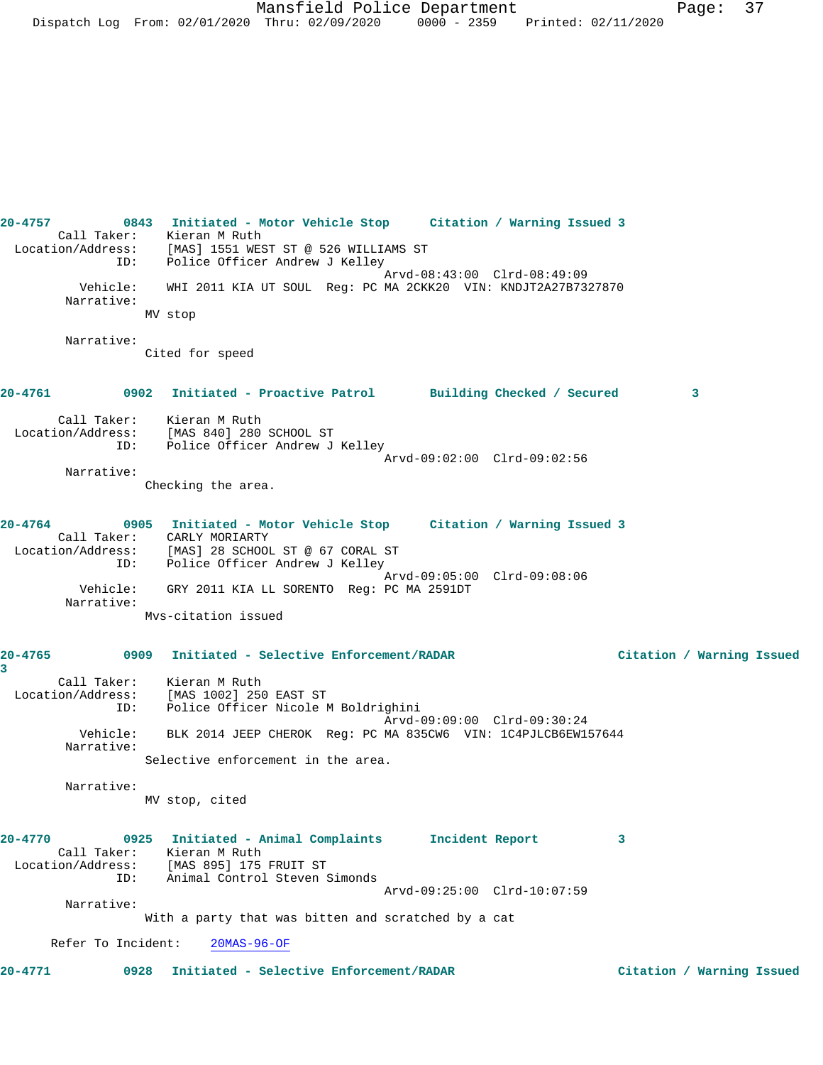**20-4757 0843 Initiated - Motor Vehicle Stop Citation / Warning Issued 3**  Call Taker: Kieran M Ruth Location/Address: [MAS] 1551 WEST ST @ 526 WILLIAMS ST ID: Police Officer Andrew J Kelley Arvd-08:43:00 Clrd-08:49:09 Vehicle: WHI 2011 KIA UT SOUL Reg: PC MA 2CKK20 VIN: KNDJT2A27B7327870 Narrative: MV stop Narrative: Cited for speed **20-4761 0902 Initiated - Proactive Patrol Building Checked / Secured 3** Call Taker: Kieran M Ruth Location/Address: [MAS 840] 280 SCHOOL ST ID: Police Officer Andrew J Kelley Arvd-09:02:00 Clrd-09:02:56 Narrative: Checking the area. **20-4764 0905 Initiated - Motor Vehicle Stop Citation / Warning Issued 3**  Call Taker: CARLY MORIARTY Location/Address: [MAS] 28 SCHOOL ST @ 67 CORAL ST ID: Police Officer Andrew J Kelley Arvd-09:05:00 Clrd-09:08:06 Vehicle: GRY 2011 KIA LL SORENTO Reg: PC MA 2591DT Narrative: Mvs-citation issued **20-4765 0909 Initiated - Selective Enforcement/RADAR Citation / Warning Issued 3**  Call Taker: Kieran M Ruth Location/Address: [MAS 1002] 250 EAST ST The External Love, and the Mediciphini<br>ID: Police Officer Nicole M Boldrighini Arvd-09:09:00 Clrd-09:30:24 Vehicle: BLK 2014 JEEP CHEROK Reg: PC MA 835CW6 VIN: 1C4PJLCB6EW157644 Narrative: Selective enforcement in the area. Narrative: MV stop, cited **20-4770 0925 Initiated - Animal Complaints Incident Report 3**  Call Taker: Kieran M Ruth Location/Address: [MAS 895] 175 FRUIT ST ID: Animal Control Steven Simonds Arvd-09:25:00 Clrd-10:07:59 Narrative: With a party that was bitten and scratched by a cat Refer To Incident: 20MAS-96-OF **20-4771 0928 Initiated - Selective Enforcement/RADAR Citation / Warning Issued**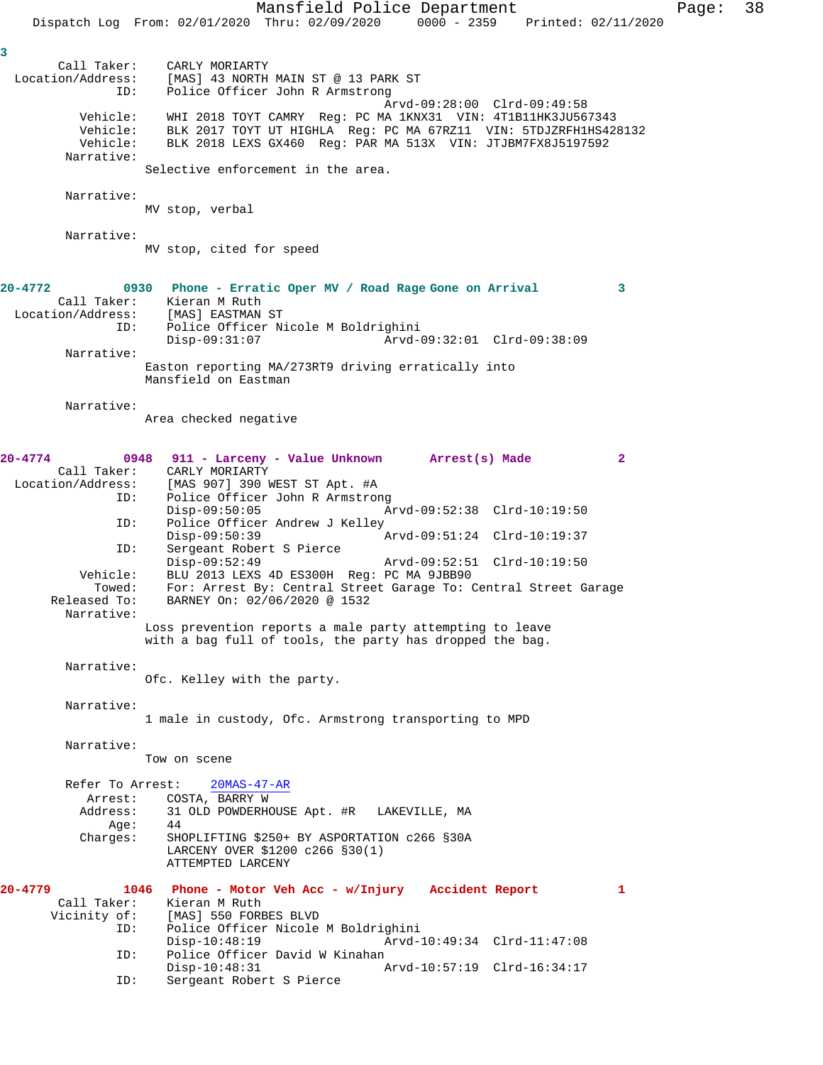Mansfield Police Department Page: 38 Dispatch Log From: 02/01/2020 Thru: 02/09/2020 0000 - 2359 Printed: 02/11/2020 **3**  Call Taker: CARLY MORIARTY<br>Location/Address: [MAS] 43 NORTH [MAS] 43 NORTH MAIN ST @ 13 PARK ST ID: Police Officer John R Armstrong Arvd-09:28:00 Clrd-09:49:58 Vehicle: WHI 2018 TOYT CAMRY Reg: PC MA 1KNX31 VIN: 4T1B11HK3JU567343 Vehicle: BLK 2017 TOYT UT HIGHLA Reg: PC MA 67RZ11 VIN: 5TDJZRFH1HS428132 Vehicle: BLK 2018 LEXS GX460 Reg: PAR MA 513X VIN: JTJBM7FX8J5197592 Narrative: Selective enforcement in the area. Narrative: MV stop, verbal Narrative: MV stop, cited for speed **20-4772 0930 Phone - Erratic Oper MV / Road Rage Gone on Arrival 3**  Call Taker: Kieran M Ruth Location/Address: [MAS] EASTMAN ST<br>ID: Police Officer Ni Police Officer Nicole M Boldrighini<br>Disp-09:31:07 Arvd- Disp-09:31:07 Arvd-09:32:01 Clrd-09:38:09 Narrative: Easton reporting MA/273RT9 driving erratically into Mansfield on Eastman Narrative: Area checked negative **20-4774 0948 911 - Larceny - Value Unknown Arrest(s) Made 2**  Call Taker: CARLY MORIARTY Location/Address: [MAS 907] 390 WEST ST Apt. #A Police Officer John R Armstrong<br>Disp-09:50:05 A Disp-09:50:05 Arvd-09:52:38 Clrd-10:19:50<br>ID: Police Officer Andrew J Kelley Police Officer Andrew J Kelley<br>Disp-09:50:39 1 Disp-09:50:39 <br>D: Sergeant Robert S Pierce<br>D: Sergeant Robert S Pierce Sergeant Robert S Pierce<br>Disp-09:52:49 Disp-09:52:49 Arvd-09:52:51 Clrd-10:19:50<br>Vehicle: BLU 2013 LEXS 4D ES300H Req: PC MA 9JBB90 ehicle: BLU 2013 LEXS 4D ES300H Reg: PC MA 9JBB90<br>Towed: For: Arrest By: Central Street Garage To: 0 Towed: For: Arrest By: Central Street Garage To: Central Street Garage Released To: BARNEY On: 02/06/2020 @ 1532 BARNEY On: 02/06/2020 @ 1532 Narrative: Loss prevention reports a male party attempting to leave with a bag full of tools, the party has dropped the bag. Narrative: Ofc. Kelley with the party. Narrative: 1 male in custody, Ofc. Armstrong transporting to MPD Narrative: Tow on scene Refer To Arrest: 20MAS-47-AR Arrest: COSTA, BARRY W<br>Address: 31 OLD POWDERH 31 OLD POWDERHOUSE Apt. #R LAKEVILLE, MA Age: 44 Charges: SHOPLIFTING \$250+ BY ASPORTATION c266 §30A LARCENY OVER \$1200 c266 §30(1) ATTEMPTED LARCENY **20-4779 1046 Phone - Motor Veh Acc - w/Injury Accident Report 1**  Call Taker: Kieran M Ruth<br>Vicinity of: [MAS] 550 FORE of: [MAS] 550 FORBES BLVD<br>ID: Police Officer Nicole Police Officer Nicole M Boldrighini Disp-10:48:19 Arvd-10:49:34 Clrd-11:47:08<br>ID: Police Officer David W Kinahan Police Officer David W Kinahan Disp-10:48:31 Arvd-10:57:19 Clrd-16:34:17<br>ID: Sergeant Robert S Pierce Sergeant Robert S Pierce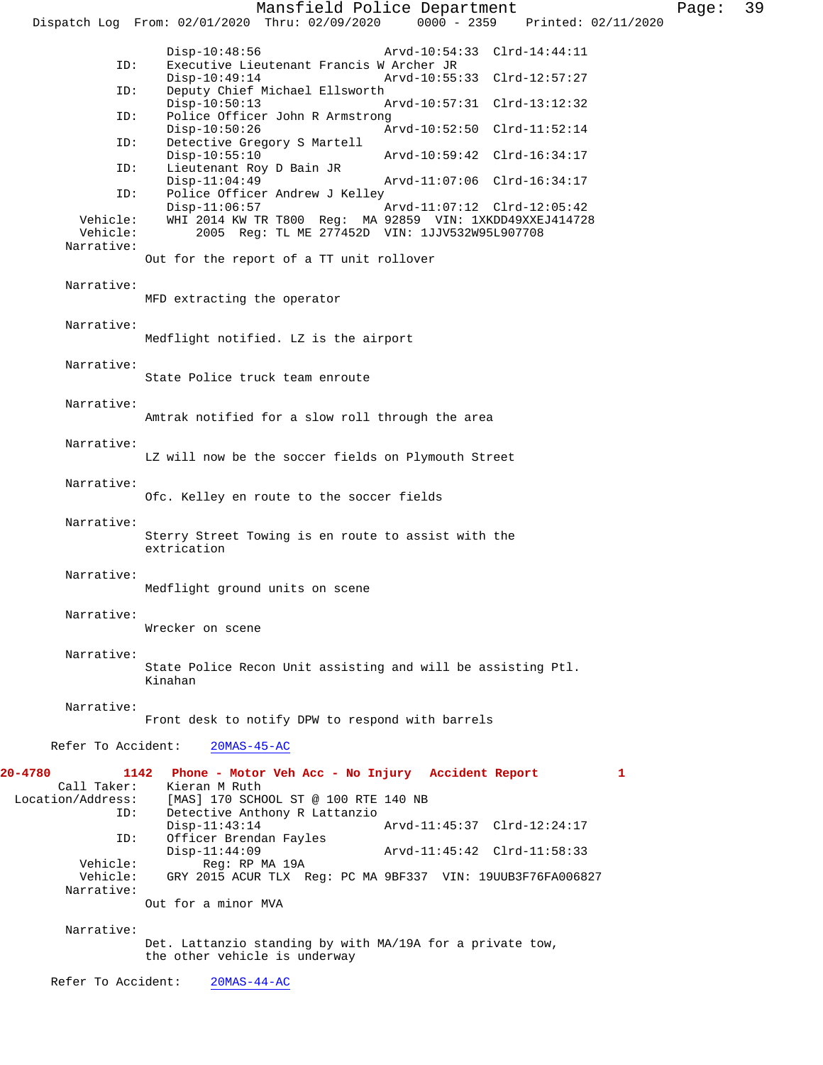Mansfield Police Department Fage: 39 Dispatch Log From: 02/01/2020 Thru: 02/09/2020 0000 - 2359 Printed: 02/11/2020 Disp-10:48:56 Arvd-10:54:33 Clrd-14:44:11<br>ID: Executive Lieutenant Francis W Archer JR Executive Lieutenant Francis W Archer JR<br>Disp-10:49:14 Arvd-10:55 Arvd-10:55:33 Clrd-12:57:27 ID: Deputy Chief Michael Ellsworth Disp-10:50:13 Arvd-10:57:31 Clrd-13:12:32 ID: Police Officer John R Armstrong Disp-10:50:26 Arvd-10:52:50 Clrd-11:52:14<br>ID: Detective Gregory S Martell Detective Gregory S Martell<br>Disp-10:55:10 Disp-10:55:10 Arvd-10:59:42 Clrd-16:34:17<br>ID: Lieutenant Roy D Bain JR Lieutenant Roy D Bain JR Disp-11:04:49 Arvd-11:07:06 Clrd-16:34:17<br>ID: Police Officer Andrew J Kelley Police Officer Andrew J Kelley<br>Disp-11:06:57 Disp-11:06:57 <br>Vehicle: WHI 2014 KW TR T800 Req: MA 92859 VIN: 1XKDD49XXEJ414728 Vehicle: WHI 2014 KW TR T800 Reg: MA 92859 VIN: 1XKDD49XXEJ414728 Vehicle: 2005 Reg: TL ME 277452D VIN: 1JJV532W95L907708 Narrative: Out for the report of a TT unit rollover Narrative: MFD extracting the operator Narrative: Medflight notified. LZ is the airport Narrative: State Police truck team enroute Narrative: Amtrak notified for a slow roll through the area Narrative: LZ will now be the soccer fields on Plymouth Street Narrative: Ofc. Kelley en route to the soccer fields Narrative: Sterry Street Towing is en route to assist with the extrication Narrative: Medflight ground units on scene Narrative: Wrecker on scene Narrative: State Police Recon Unit assisting and will be assisting Ptl. Kinahan Narrative: Front desk to notify DPW to respond with barrels Refer To Accident: 20MAS-45-AC **20-4780 1142 Phone - Motor Veh Acc - No Injury Accident Report 1**  Call Taker: Kieran M Ruth<br>Location/Address: [MAS] 170 SCH [MAS] 170 SCHOOL ST @ 100 RTE 140 NB ID: Detective Anthony R Lattanzio Disp-11:43:14 Arvd-11:45:37 Clrd-12:24:17<br>ID: Officer Brendan Fayles Officer Brendan Fayles<br>Disp-11:44:09 Disp-11:44:09<br>
Vehicle: Reg: RP MA 19A Arvd-11:45:42 Clrd-11:58:33 Reg: RP MA 19A Vehicle: GRY 2015 ACUR TLX Reg: PC MA 9BF337 VIN: 19UUB3F76FA006827 Narrative: Out for a minor MVA Narrative: Det. Lattanzio standing by with MA/19A for a private tow, the other vehicle is underway Refer To Accident: 20MAS-44-AC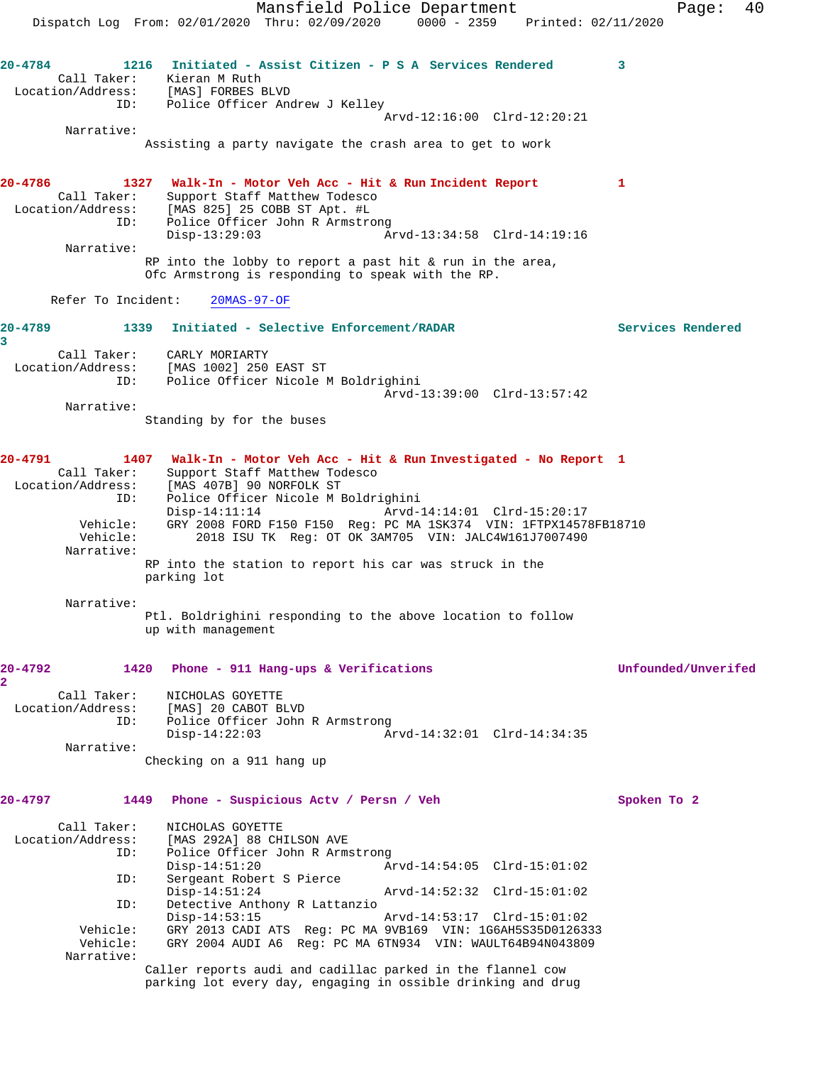Mansfield Police Department Form Page: 40 Dispatch Log From: 02/01/2020 Thru: 02/09/2020 0000 - 2359 Printed: 02/11/2020 **20-4784 1216 Initiated - Assist Citizen - P S A Services Rendered 3**  Call Taker: Kieran M Ruth Location/Address: [MAS] FORBES BLVD ID: Police Officer Andrew J Kelley Arvd-12:16:00 Clrd-12:20:21 Narrative: Assisting a party navigate the crash area to get to work **20-4786 1327 Walk-In - Motor Veh Acc - Hit & Run Incident Report 1**  Call Taker: Support Staff Matthew Todesco<br>Location/Address: [MAS 825] 25 COBB ST Apt. #L  $[MAS 825] 25 COBB ST Apt. #L$ ID: Police Officer John R Armstrong<br>Disp-13:29:03 A: Disp-13:29:03 Arvd-13:34:58 Clrd-14:19:16 Narrative: RP into the lobby to report a past hit & run in the area, Ofc Armstrong is responding to speak with the RP. Refer To Incident: 20MAS-97-OF **20-4789 1339 Initiated - Selective Enforcement/RADAR Services Rendered 3**  Call Taker: CARLY MORIARTY Location/Address: [MAS 1002] 250 EAST ST ID: Police Officer Nicole M Boldrighini Arvd-13:39:00 Clrd-13:57:42 Narrative: Standing by for the buses **20-4791 1407 Walk-In - Motor Veh Acc - Hit & Run Investigated - No Report 1**  Call Taker: Support Staff Matthew Todesco Location/Address: [MAS 407B] 90 NORFOLK ST ID: Police Officer Nicole M Boldrighini Disp-14:11:14 Arvd-14:14:01 Clrd-15:20:17 Vehicle: GRY 2008 FORD F150 F150 Reg: PC MA 1SK374 VIN: 1FTPX14578FB18710 Vehicle: 2018 ISU TK Reg: OT OK 3AM705 VIN: JALC4W161J7007490 Narrative: RP into the station to report his car was struck in the parking lot Narrative: Ptl. Boldrighini responding to the above location to follow up with management **20-4792 1420 Phone - 911 Hang-ups & Verifications Unfounded/Unverifed 2**  Call Taker: NICHOLAS GOYETTE Location/Address: [MAS] 20 CABOT BLVD ID: Police Officer John R Armstrong<br>Disp-14:22:03 A Disp-14:22:03 Arvd-14:32:01 Clrd-14:34:35 Narrative: Checking on a 911 hang up **20-4797 1449 Phone - Suspicious Actv / Persn / Veh Spoken To 2** Call Taker: NICHOLAS GOYETTE<br>Location/Address: [MAS 292A] 88 CH [MAS 292A] 88 CHILSON AVE ID: Police Officer John R Armstrong Disp-14:51:20 Arvd-14:54:05 Clrd-15:01:02 ID: Sergeant Robert S Pierce Disp-14:51:24 Arvd-14:52:32 Clrd-15:01:02 ID: Detective Anthony R Lattanzio Disp-14:53:15 Arvd-14:53:17 Clrd-15:01:02<br>Vehicle: GRY 2013 CADI ATS Req: PC MA 9VB169 VIN: 1G6AH5S35D012633 Vehicle: GRY 2013 CADI ATS Reg: PC MA 9VB169 VIN: 1G6AH5S35D0126333 Vehicle: GRY 2004 AUDI A6 Reg: PC MA 6TN934 VIN: WAULT64B94N043809 Narrative: Caller reports audi and cadillac parked in the flannel cow parking lot every day, engaging in ossible drinking and drug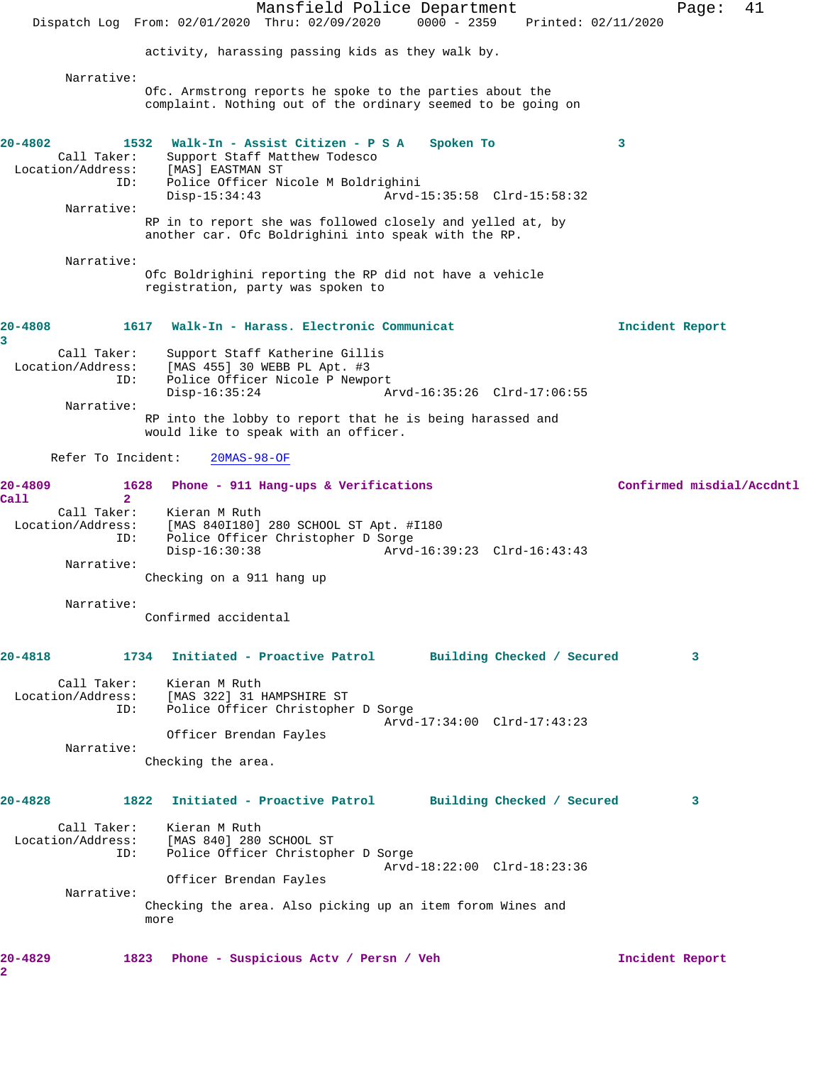|                                                    | Mansfield Police Department<br>$0000 - 2359$<br>Dispatch Log From: 02/01/2020 Thru: 02/09/2020<br>Printed: 02/11/2020                           |                 | 41<br>Page:               |
|----------------------------------------------------|-------------------------------------------------------------------------------------------------------------------------------------------------|-----------------|---------------------------|
|                                                    | activity, harassing passing kids as they walk by.                                                                                               |                 |                           |
|                                                    |                                                                                                                                                 |                 |                           |
| Narrative:                                         | Ofc. Armstrong reports he spoke to the parties about the<br>complaint. Nothing out of the ordinary seemed to be going on                        |                 |                           |
| 20-4802<br>Call Taker:<br>Location/Address:<br>ID: | 1532 Walk-In - Assist Citizen - P S A<br>Spoken To<br>Support Staff Matthew Todesco<br>[MAS] EASTMAN ST<br>Police Officer Nicole M Boldrighini  | 3               |                           |
| Narrative:                                         | $Disp-15:34:43$<br>Arvd-15:35:58 Clrd-15:58:32                                                                                                  |                 |                           |
|                                                    | RP in to report she was followed closely and yelled at, by<br>another car. Ofc Boldrighini into speak with the RP.                              |                 |                           |
| Narrative:                                         | Ofc Boldrighini reporting the RP did not have a vehicle<br>registration, party was spoken to                                                    |                 |                           |
| 20-4808<br>1617<br>3                               | Walk-In - Harass. Electronic Communicat                                                                                                         | Incident Report |                           |
| Call Taker:<br>Location/Address:                   | Support Staff Katherine Gillis<br>[MAS 455] 30 WEBB PL Apt. #3                                                                                  |                 |                           |
| ID:<br>Narrative:                                  | Police Officer Nicole P Newport<br>$Disp-16:35:24$<br>Arvd-16:35:26 Clrd-17:06:55                                                               |                 |                           |
|                                                    | RP into the lobby to report that he is being harassed and<br>would like to speak with an officer.                                               |                 |                           |
| Refer To Incident:                                 | $20MAS-98-OF$                                                                                                                                   |                 |                           |
| 20-4809<br>1628<br>Call<br>$\overline{2}$          | Phone - 911 Hang-ups & Verifications                                                                                                            |                 | Confirmed misdial/Accdntl |
| Call Taker:<br>Location/Address:<br>ID:            | Kieran M Ruth<br>[MAS 840I180] 280 SCHOOL ST Apt. #I180<br>Police Officer Christopher D Sorge<br>$Disp-16:30:38$<br>Arvd-16:39:23 Clrd-16:43:43 |                 |                           |
| Narrative:                                         | Checking on a 911 hang up                                                                                                                       |                 |                           |
| Narrative:                                         | Confirmed accidental                                                                                                                            |                 |                           |
| 20-4818                                            | Initiated - Proactive Patrol Building Checked / Secured<br>1734                                                                                 |                 | 3                         |
| Location/Address:<br>ID:                           | Call Taker: Kieran M Ruth<br>[MAS 322] 31 HAMPSHIRE ST<br>Police Officer Christopher D Sorge<br>Arvd-17:34:00 Clrd-17:43:23                     |                 |                           |
| Narrative:                                         | Officer Brendan Fayles                                                                                                                          |                 |                           |
|                                                    | Checking the area.                                                                                                                              |                 |                           |
| 20-4828                                            | 1822<br>Initiated - Proactive Patrol Building Checked / Secured                                                                                 |                 | 3                         |
| ID:                                                | Call Taker: Kieran M Ruth<br>Location/Address: [MAS 840] 280 SCHOOL ST<br>Police Officer Christopher D Sorge<br>Arvd-18:22:00 Clrd-18:23:36     |                 |                           |
|                                                    | Officer Brendan Fayles                                                                                                                          |                 |                           |
| Narrative:                                         | Checking the area. Also picking up an item forom Wines and<br>more                                                                              |                 |                           |
| 20-4829<br>2                                       | 1823 Phone - Suspicious Actv / Persn / Veh                                                                                                      | Incident Report |                           |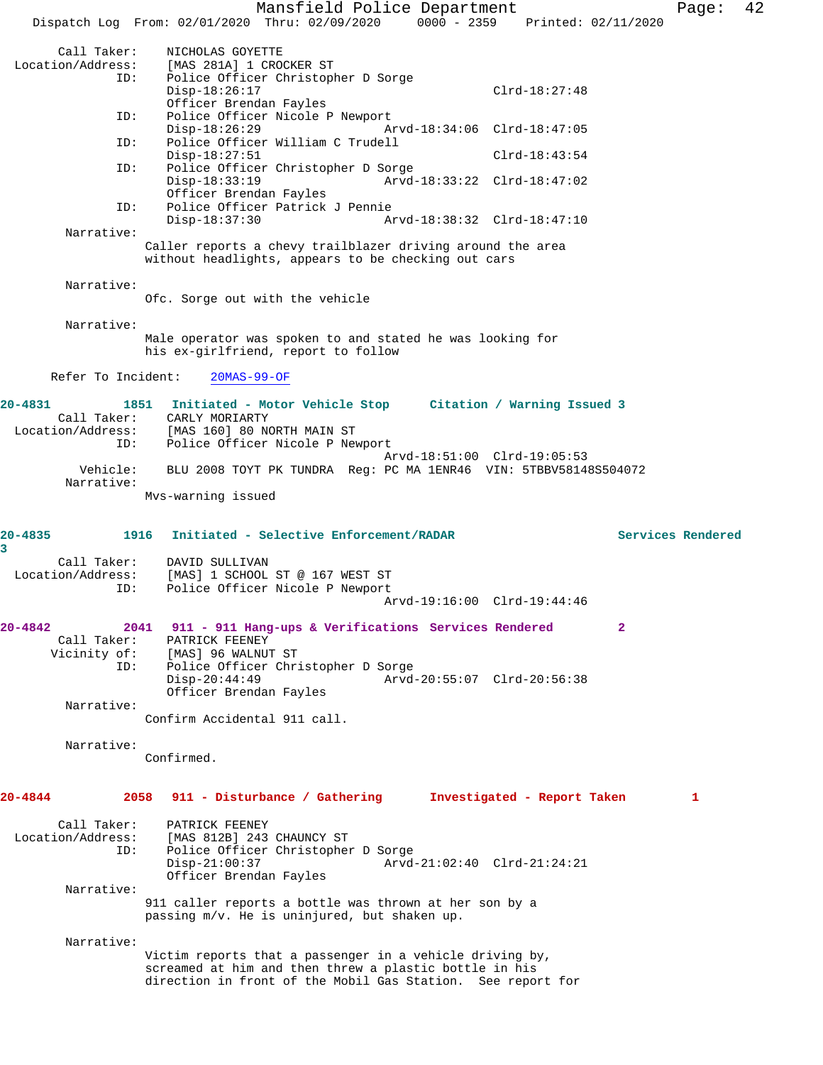Mansfield Police Department Fage: 42 Dispatch Log From: 02/01/2020 Thru: 02/09/2020 0000 - 2359 Printed: 02/11/2020 Call Taker: NICHOLAS GOYETTE<br>Location/Address: [MAS 281A] 1 CRO [MAS 281A] 1 CROCKER ST ID: Police Officer Christopher D Sorge Disp-18:26:17 Clrd-18:27:48 Officer Brendan Fayles ID: Police Officer Nicole P Newport Disp-18:26:29 Arvd-18:34:06 Clrd-18:47:05<br>ID: Police Officer William C Trudell Police Officer William C Trudell Disp-18:27:51 Clrd-18:43:54<br>TD: Police Officer Christopher D Sorge Police Officer Christopher D Sorge Disp-18:33:19 Arvd-18:33:22 Clrd-18:47:02 Officer Brendan Fayles<br>TD: Police Officer Patrick Police Officer Patrick J Pennie<br>Disp-18:37:30 Ar Disp-18:37:30 Arvd-18:38:32 Clrd-18:47:10 Narrative: Caller reports a chevy trailblazer driving around the area without headlights, appears to be checking out cars Narrative: Ofc. Sorge out with the vehicle Narrative: Male operator was spoken to and stated he was looking for his ex-girlfriend, report to follow Refer To Incident: 20MAS-99-OF **20-4831 1851 Initiated - Motor Vehicle Stop Citation / Warning Issued 3**  Call Taker: CARLY MORIARTY Location/Address: [MAS 160] 80 NORTH MAIN ST ID: Police Officer Nicole P Newport Arvd-18:51:00 Clrd-19:05:53 Vehicle: BLU 2008 TOYT PK TUNDRA Reg: PC MA 1ENR46 VIN: 5TBBV58148S504072 Narrative: Mvs-warning issued **20-4835 1916 Initiated - Selective Enforcement/RADAR Services Rendered 3**  Call Taker: DAVID SULLIVAN Location/Address: [MAS] 1 SCHOOL ST @ 167 WEST ST ID: Police Officer Nicole P Newport Arvd-19:16:00 Clrd-19:44:46 **20-4842 2041 911 - 911 Hang-ups & Verifications Services Rendered 2**  Call Taker: PATRICK FEENEY<br>Vicinity of: [MAS] 96 WALNUT of: [MAS] 96 WALNUT ST<br>ID: Police Officer Chri Police Officer Christopher D Sorge Disp-20:44:49 Arvd-20:55:07 Clrd-20:56:38 Officer Brendan Fayles Narrative: Confirm Accidental 911 call. Narrative: Confirmed. **20-4844 2058 911 - Disturbance / Gathering Investigated - Report Taken 1** Call Taker: PATRICK FEENEY<br>Location/Address: [MAS 812B] 243 [MAS 812B] 243 CHAUNCY ST ID: Police Officer Christopher D Sorge Disp-21:00:37 Arvd-21:02:40 Clrd-21:24:21 Officer Brendan Fayles Narrative: 911 caller reports a bottle was thrown at her son by a passing m/v. He is uninjured, but shaken up. Narrative: Victim reports that a passenger in a vehicle driving by, screamed at him and then threw a plastic bottle in his direction in front of the Mobil Gas Station. See report for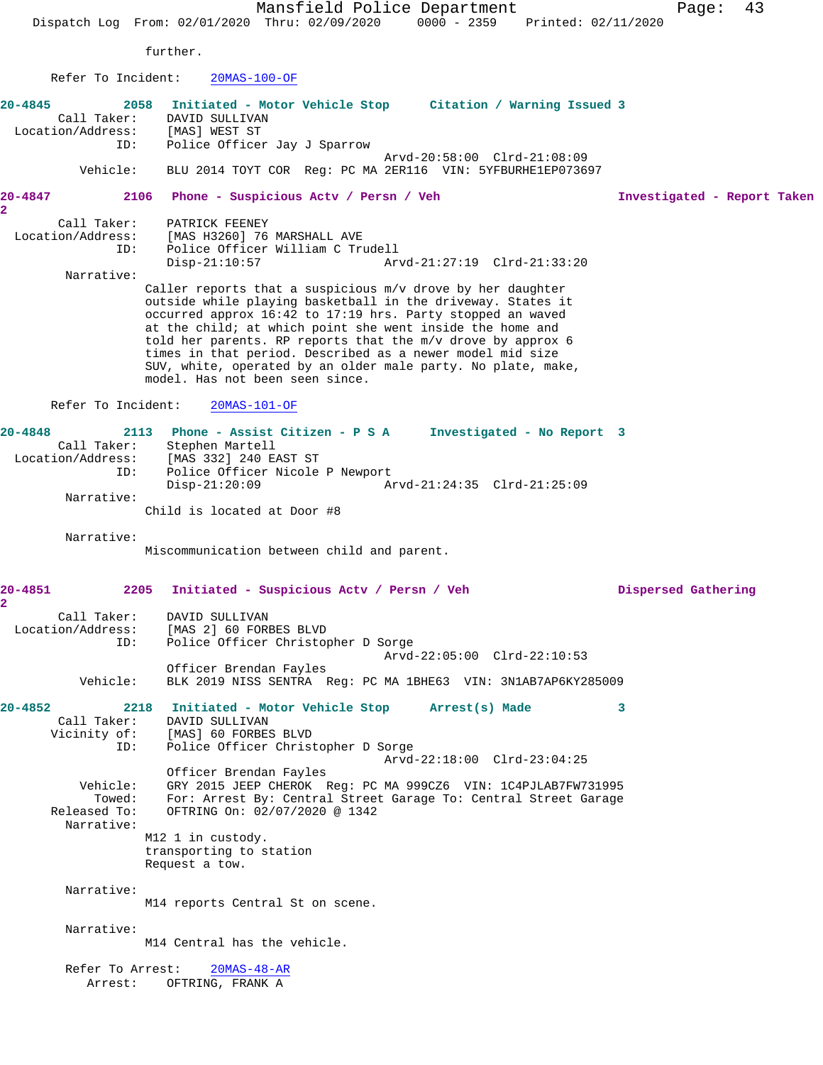Mansfield Police Department Page: 43 Dispatch Log From: 02/01/2020 Thru: 02/09/2020 0000 - 2359 Printed: 02/11/2020 further. Refer To Incident: 20MAS-100-OF **20-4845 2058 Initiated - Motor Vehicle Stop Citation / Warning Issued 3**  Call Taker: DAVID SULLIVAN<br>cion/Address: [MAS] WEST ST Location/Address: ID: Police Officer Jay J Sparrow Arvd-20:58:00 Clrd-21:08:09 Vehicle: BLU 2014 TOYT COR Reg: PC MA 2ER116 VIN: 5YFBURHE1EP073697 **20-4847 2106 Phone - Suspicious Actv / Persn / Veh Investigated - Report Taken 2**  Call Taker: PATRICK FEENEY Location/Address: [MAS H3260] 76 MARSHALL AVE<br>ID: Police Officer William C Tro Police Officer William C Trudell<br>Disp-21:10:57 Ar Disp-21:10:57 Arvd-21:27:19 Clrd-21:33:20 Narrative: Caller reports that a suspicious m/v drove by her daughter outside while playing basketball in the driveway. States it occurred approx 16:42 to 17:19 hrs. Party stopped an waved at the child; at which point she went inside the home and told her parents. RP reports that the m/v drove by approx 6 times in that period. Described as a newer model mid size SUV, white, operated by an older male party. No plate, make, model. Has not been seen since. Refer To Incident: 20MAS-101-OF **20-4848 2113 Phone - Assist Citizen - P S A Investigated - No Report 3**  Call Taker: Stephen Martell Location/Address: [MAS 332] 240 EAST ST ID: Police Officer Nicole P Newport Disp-21:20:09 Arvd-21:24:35 Clrd-21:25:09 Narrative: Child is located at Door #8 Narrative: Miscommunication between child and parent. **20-4851 2205 Initiated - Suspicious Actv / Persn / Veh Dispersed Gathering 2**  Call Taker: DAVID SULLIVAN Location/Address: [MAS 2] 60 FORBES BLVD ID: Police Officer Christopher D Sorge Arvd-22:05:00 Clrd-22:10:53 Officer Brendan Fayles Vehicle: BLK 2019 NISS SENTRA Reg: PC MA 1BHE63 VIN: 3N1AB7AP6KY285009 **20-4852 2218 Initiated - Motor Vehicle Stop Arrest(s) Made 3**  Call Taker: DAVID SULLIVAN Vicinity of: [MAS] 60 FORBES BLVD ID: Police Officer Christopher D Sorge Arvd-22:18:00 Clrd-23:04:25 Officer Brendan Fayles Vehicle: GRY 2015 JEEP CHEROK Reg: PC MA 999CZ6 VIN: 1C4PJLAB7FW731995 Towed: For: Arrest By: Central Street Garage To: Central Street Garage Released To: OFTRING On:  $02/07/2020 \text{ } \textcircled{ } 1342$ OFTRING On: 02/07/2020 @ 1342 Narrative: M12 1 in custody. transporting to station Request a tow. Narrative: M14 reports Central St on scene. Narrative: M14 Central has the vehicle.

 Refer To Arrest: 20MAS-48-AR Arrest: OFTRING, FRANK A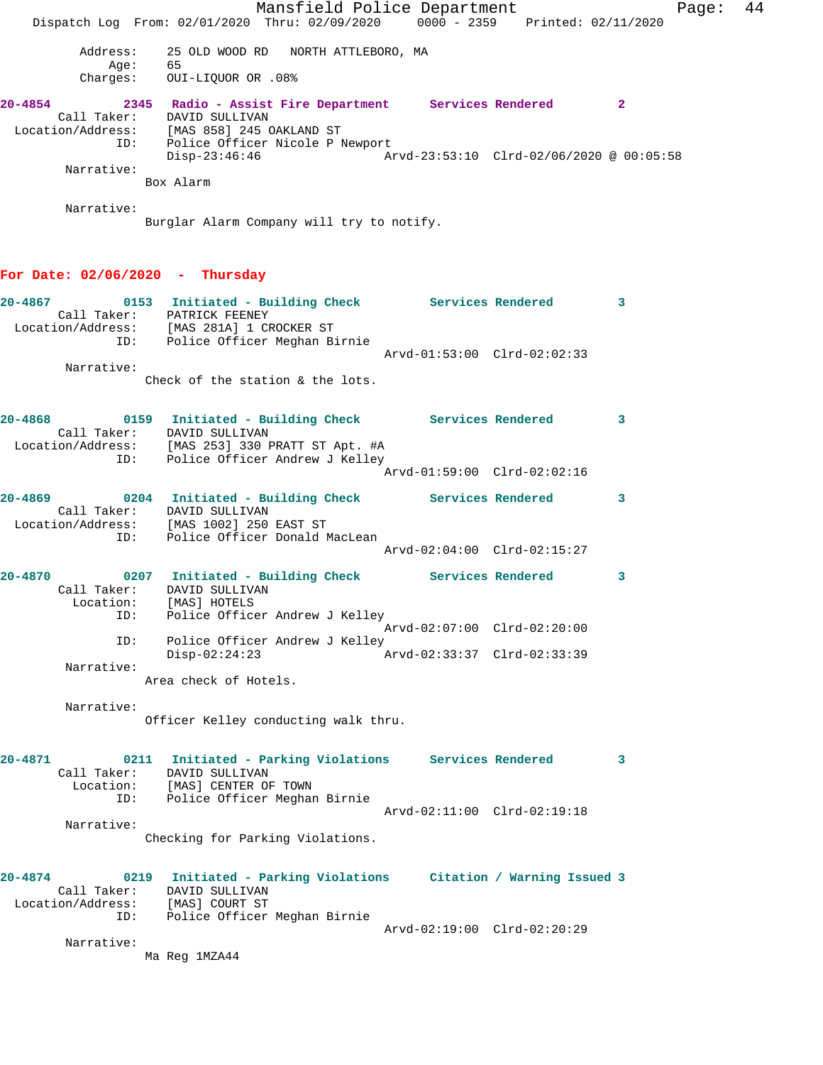|                                         |                                                                                                    | Mansfield Police Department |                                          | Page:        | 44 |
|-----------------------------------------|----------------------------------------------------------------------------------------------------|-----------------------------|------------------------------------------|--------------|----|
|                                         | Dispatch Log From: 02/01/2020 Thru: 02/09/2020 0000 - 2359 Printed: 02/11/2020                     |                             |                                          |              |    |
| Address:                                | 25 OLD WOOD RD NORTH ATTLEBORO, MA                                                                 |                             |                                          |              |    |
| Age:                                    | 65<br>Charges: OUI-LIQUOR OR .08%                                                                  |                             |                                          |              |    |
| $20 - 4854$                             | 2345 Radio - Assist Fire Department Services Rendered                                              |                             |                                          | $\mathbf{2}$ |    |
|                                         | Call Taker: DAVID SULLIVAN                                                                         |                             |                                          |              |    |
|                                         | Location/Address: [MAS 858] 245 OAKLAND ST<br>ID: Police Officer Nicole P Newport<br>Disp-23:46:46 |                             | Arvd-23:53:10 Clrd-02/06/2020 @ 00:05:58 |              |    |
| Narrative:                              |                                                                                                    |                             |                                          |              |    |
|                                         | Box Alarm                                                                                          |                             |                                          |              |    |
| Narrative:                              | Burglar Alarm Company will try to notify.                                                          |                             |                                          |              |    |
|                                         |                                                                                                    |                             |                                          |              |    |
| For Date: $02/06/2020 - Thursday$       |                                                                                                    |                             |                                          |              |    |
| 20-4867                                 | 0153 Initiated - Building Check Services Rendered                                                  |                             |                                          | 3            |    |
|                                         | Call Taker: PATRICK FEENEY<br>Location/Address: [MAS 281A] 1 CROCKER ST                            |                             |                                          |              |    |
|                                         | ID: Police Officer Meghan Birnie                                                                   |                             | Arvd-01:53:00 Clrd-02:02:33              |              |    |
| Narrative:                              |                                                                                                    |                             |                                          |              |    |
|                                         | Check of the station & the lots.                                                                   |                             |                                          |              |    |
| 20-4868                                 | 0159 Initiated - Building Check Services Rendered                                                  |                             |                                          | $\mathbf{3}$ |    |
|                                         | Call Taker: DAVID SULLIVAN<br>Location/Address: [MAS 253] 330 PRATT ST Apt. #A                     |                             |                                          |              |    |
| ID:                                     | Police Officer Andrew J Kelley                                                                     |                             |                                          |              |    |
|                                         |                                                                                                    |                             | Arvd-01:59:00 Clrd-02:02:16              |              |    |
| $20 - 4869$                             | 0204 Initiated - Building Check Services Rendered                                                  |                             |                                          | 3            |    |
|                                         | Call Taker: DAVID SULLIVAN<br>Location/Address: [MAS 1002] 250 EAST ST                             |                             |                                          |              |    |
| ID:                                     | Police Officer Donald MacLean                                                                      |                             |                                          |              |    |
|                                         |                                                                                                    |                             | Arvd-02:04:00 Clrd-02:15:27              |              |    |
| $20 - 4870$                             | 0207 Initiated - Building Check Services Rendered                                                  |                             |                                          | 3            |    |
|                                         | Call Taker: DAVID SULLIVAN<br>Location: [MAS] HOTELS                                               |                             |                                          |              |    |
| ID:                                     | Police Officer Andrew J Kelley                                                                     |                             | Arvd-02:07:00 Clrd-02:20:00              |              |    |
| ID:                                     | Police Officer Andrew J Kelley                                                                     |                             |                                          |              |    |
| Narrative:                              | $Disp-02:24:23$                                                                                    |                             | Arvd-02:33:37 Clrd-02:33:39              |              |    |
|                                         | Area check of Hotels.                                                                              |                             |                                          |              |    |
| Narrative:                              |                                                                                                    |                             |                                          |              |    |
|                                         | Officer Kelley conducting walk thru.                                                               |                             |                                          |              |    |
| $20 - 4871$                             | 0211 Initiated - Parking Violations Services Rendered                                              |                             |                                          | 3            |    |
|                                         | Call Taker: DAVID SULLIVAN<br>Location: [MAS] CENTER OF TOWN                                       |                             |                                          |              |    |
| ID:                                     | Police Officer Meghan Birnie                                                                       |                             |                                          |              |    |
| Narrative:                              |                                                                                                    |                             | Arvd-02:11:00 Clrd-02:19:18              |              |    |
|                                         | Checking for Parking Violations.                                                                   |                             |                                          |              |    |
| 20-4874                                 | 0219 Initiated - Parking Violations Citation / Warning Issued 3                                    |                             |                                          |              |    |
|                                         | Call Taker: DAVID SULLIVAN                                                                         |                             |                                          |              |    |
| Location/Address: [MAS] COURT ST<br>ID: | Police Officer Meghan Birnie                                                                       |                             |                                          |              |    |
|                                         |                                                                                                    |                             | Arvd-02:19:00 Clrd-02:20:29              |              |    |
| Narrative:                              | Ma Reg 1MZA44                                                                                      |                             |                                          |              |    |
|                                         |                                                                                                    |                             |                                          |              |    |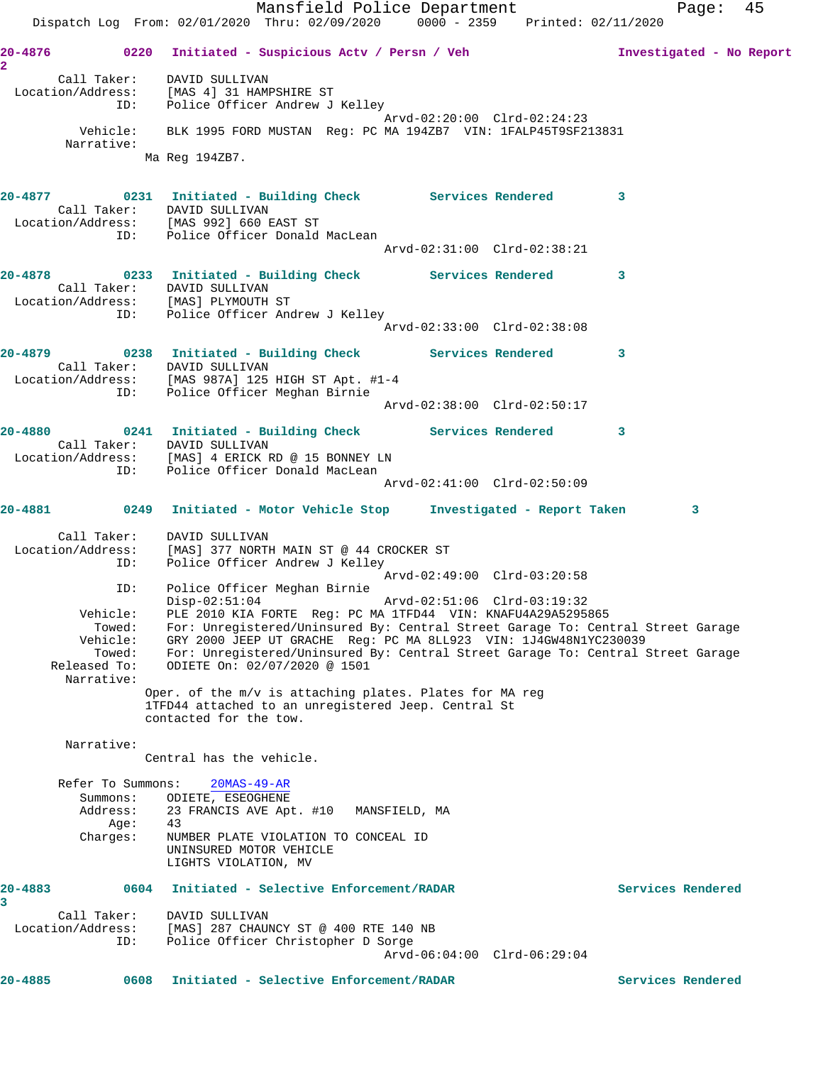Mansfield Police Department Fage: 45 Dispatch Log From: 02/01/2020 Thru: 02/09/2020 0000 - 2359 Printed: 02/11/2020 **20-4876 0220 Initiated - Suspicious Actv / Persn / Veh Investigated - No Report 2**  Call Taker: DAVID SULLIVAN Location/Address: [MAS 4] 31 HAMPSHIRE ST ID: Police Officer Andrew J Kelley Arvd-02:20:00 Clrd-02:24:23 Vehicle: BLK 1995 FORD MUSTAN Reg: PC MA 194ZB7 VIN: 1FALP45T9SF213831 Narrative: Ma Reg 194ZB7. **20-4877 0231 Initiated - Building Check Services Rendered 3**  Call Taker: DAVID SULLIVAN Location/Address: [MAS 992] 660 EAST ST ID: Police Officer Donald MacLean Arvd-02:31:00 Clrd-02:38:21 **20-4878 0233 Initiated - Building Check Services Rendered 3**  Call Taker: DAVID SULLIVAN Location/Address: [MAS] PLYMOUTH ST ID: Police Officer Andrew J Kelley Arvd-02:33:00 Clrd-02:38:08 **20-4879 0238 Initiated - Building Check Services Rendered 3**  Call Taker: DAVID SULLIVAN Location/Address: [MAS 987A] 125 HIGH ST Apt. #1-4 ID: Police Officer Meghan Birnie Arvd-02:38:00 Clrd-02:50:17 **20-4880 0241 Initiated - Building Check Services Rendered 3**  Call Taker: DAVID SULLIVAN Location/Address: [MAS] 4 ERICK RD @ 15 BONNEY LN ID: Police Officer Donald MacLean Arvd-02:41:00 Clrd-02:50:09 **20-4881 0249 Initiated - Motor Vehicle Stop Investigated - Report Taken 3** Call Taker: DAVID SULLIVAN Location/Address: [MAS] 377 NORTH MAIN ST @ 44 CROCKER ST ID: Police Officer Andrew J Kelley Arvd-02:49:00 Clrd-03:20:58 ID: Police Officer Meghan Birnie Disp-02:51:04 Arvd-02:51:06 Clrd-03:19:32 Vehicle: PLE 2010 KIA FORTE Reg: PC MA 1TFD44 VIN: KNAFU4A29A5295865 Towed: For: Unregistered/Uninsured By: Central Street Garage To: Central Street Garage Vehicle: GRY 2000 JEEP UT GRACHE Reg: PC MA 8LL923 VIN: 1J4GW48N1YC230039 Towed: For: Unregistered/Uninsured By: Central Street Garage To: Central Street Garage Released To: ODIETE On: 02/07/2020 @ 1501 Narrative: Oper. of the m/v is attaching plates. Plates for MA reg 1TFD44 attached to an unregistered Jeep. Central St contacted for the tow. Narrative: Central has the vehicle. Refer To Summons: 20MAS-49-AR Summons: ODIETE, ESEOGHENE Address: 23 FRANCIS AVE Apt. #10 MANSFIELD, MA<br>Age: 43 Age:<br>:Charges NUMBER PLATE VIOLATION TO CONCEAL ID UNINSURED MOTOR VEHICLE LIGHTS VIOLATION, MV **20-4883 0604 Initiated - Selective Enforcement/RADAR Services Rendered 3**  Call Taker: DAVID SULLIVAN Location/Address: [MAS] 287 CHAUNCY ST @ 400 RTE 140 NB ID: Police Officer Christopher D Sorge Arvd-06:04:00 Clrd-06:29:04 **20-4885 0608 Initiated - Selective Enforcement/RADAR Services Rendered**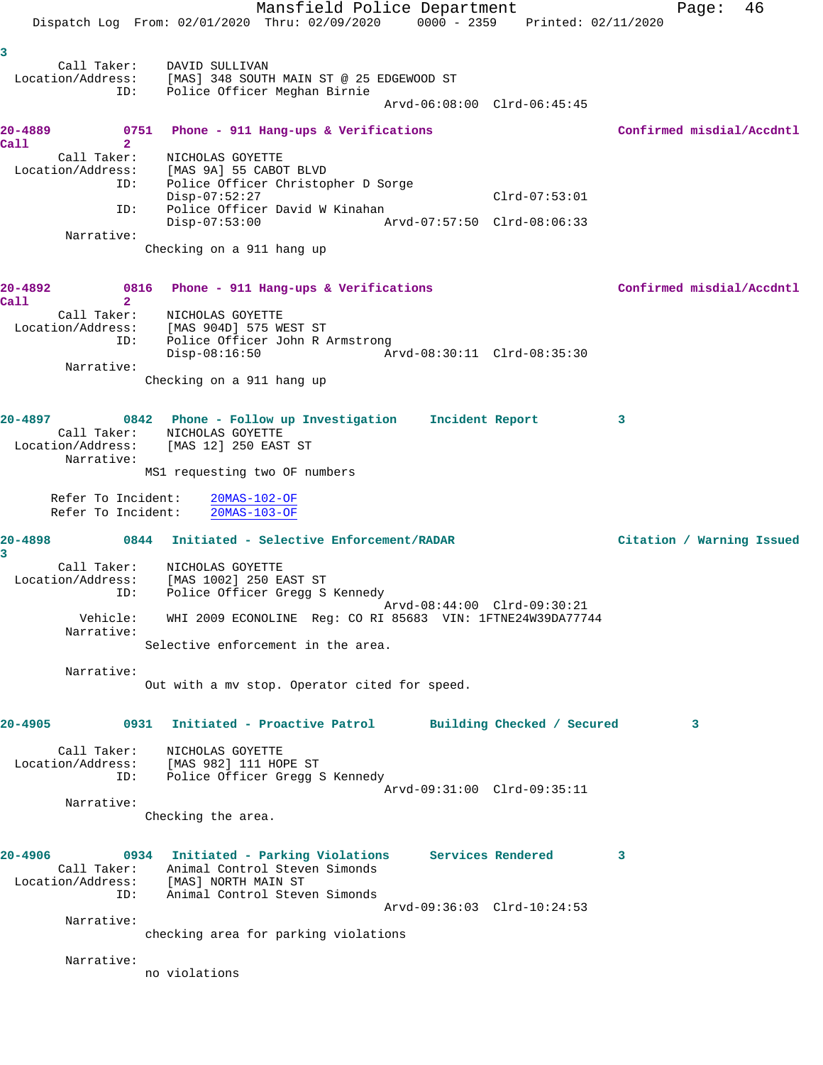Mansfield Police Department Fage: 46 Dispatch Log From: 02/01/2020 Thru: 02/09/2020 0000 - 2359 Printed: 02/11/2020 **3**  Call Taker: DAVID SULLIVAN Location/Address: [MAS] 348 SOUTH MAIN ST @ 25 EDGEWOOD ST ID: Police Officer Meghan Birnie Arvd-06:08:00 Clrd-06:45:45 **20-4889 0751 Phone - 911 Hang-ups & Verifications Confirmed misdial/Accdntl Call 2**  Call Taker: NICHOLAS GOYETTE Location/Address: [MAS 9A] 55 CABOT BLVD ID: Police Officer Christopher D Sorge Disp-07:52:27 Clrd-07:53:01 ID: Police Officer David W Kinahan Disp-07:53:00 Arvd-07:57:50 Clrd-08:06:33 Narrative: Checking on a 911 hang up **20-4892 0816 Phone - 911 Hang-ups & Verifications Confirmed misdial/Accdntl Call 2**  Call Taker: NICHOLAS GOYETTE Location/Address: [MAS 904D] 575 WEST ST ID: Police Officer John R Armstrong Disp-08:16:50 Arvd-08:30:11 Clrd-08:35:30 Narrative: Checking on a 911 hang up **20-4897 0842 Phone - Follow up Investigation Incident Report 3**  Call Taker: NICHOLAS GOYETTE Location/Address: [MAS 12] 250 EAST ST Narrative: MS1 requesting two OF numbers Refer To Incident: 20MAS-102-OF Refer To Incident: 20MAS-103-OF **20-4898 0844 Initiated - Selective Enforcement/RADAR Citation / Warning Issued 3**  Call Taker: NICHOLAS GOYETTE Location/Address: [MAS 1002] 250 EAST ST ID: Police Officer Gregg S Kennedy Arvd-08:44:00 Clrd-09:30:21 Vehicle: WHI 2009 ECONOLINE Reg: CO RI 85683 VIN: 1FTNE24W39DA77744 Narrative: Selective enforcement in the area. Narrative: Out with a mv stop. Operator cited for speed. **20-4905 0931 Initiated - Proactive Patrol Building Checked / Secured 3** Call Taker: NICHOLAS GOYETTE Location/Address: [MAS 982] 111 HOPE ST ID: Police Officer Gregg S Kennedy Arvd-09:31:00 Clrd-09:35:11 Narrative: Checking the area. **20-4906 0934 Initiated - Parking Violations Services Rendered 3**  Call Taker: Animal Control Steven Simonds Location/Address: [MAS] NORTH MAIN ST ID: Animal Control Steven Simonds Arvd-09:36:03 Clrd-10:24:53 Narrative: checking area for parking violations Narrative: no violations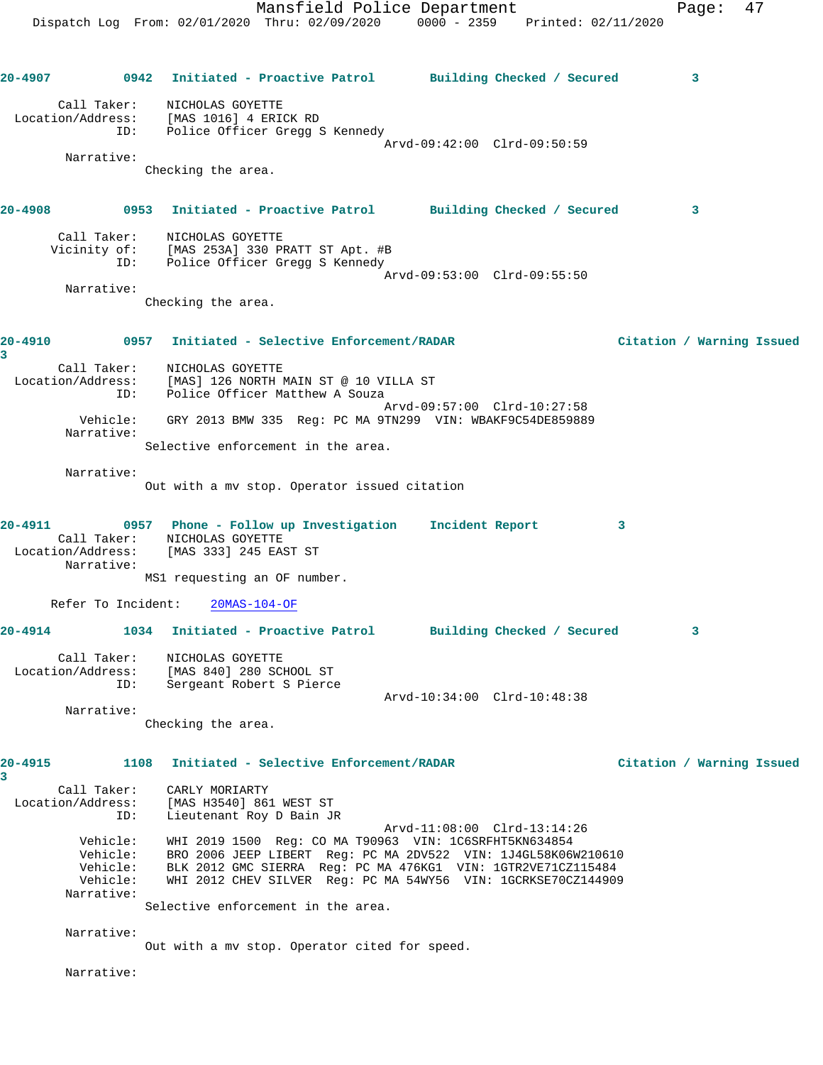Mansfield Police Department Fage: 47 Dispatch Log From: 02/01/2020 Thru: 02/09/2020 0000 - 2359 Printed: 02/11/2020 **20-4907 0942 Initiated - Proactive Patrol Building Checked / Secured 3** Call Taker: NICHOLAS GOYETTE Location/Address: [MAS 1016] 4 ERICK RD ID: Police Officer Gregg S Kennedy Arvd-09:42:00 Clrd-09:50:59 Narrative: Checking the area. **20-4908 0953 Initiated - Proactive Patrol Building Checked / Secured 3** Call Taker: NICHOLAS GOYETTE Vicinity of: [MAS 253A] 330 PRATT ST Apt. #B ID: Police Officer Gregg S Kennedy Arvd-09:53:00 Clrd-09:55:50 Narrative: Checking the area. **20-4910 0957 Initiated - Selective Enforcement/RADAR Citation / Warning Issued 3**  Call Taker: NICHOLAS GOYETTE Location/Address: [MAS] 126 NORTH MAIN ST @ 10 VILLA ST ID: Police Officer Matthew A Souza Arvd-09:57:00 Clrd-10:27:58 Vehicle: GRY 2013 BMW 335 Reg: PC MA 9TN299 VIN: WBAKF9C54DE859889 Narrative: Selective enforcement in the area. Narrative: Out with a mv stop. Operator issued citation **20-4911 0957 Phone - Follow up Investigation Incident Report 3**  Call Taker: NICHOLAS GOYETTE Location/Address: [MAS 333] 245 EAST ST Narrative: MS1 requesting an OF number. Refer To Incident: 20MAS-104-OF **20-4914 1034 Initiated - Proactive Patrol Building Checked / Secured 3** Call Taker: NICHOLAS GOYETTE Location/Address: [MAS 840] 280 SCHOOL ST ID: Sergeant Robert S Pierce Arvd-10:34:00 Clrd-10:48:38 Narrative: Checking the area. **20-4915 1108 Initiated - Selective Enforcement/RADAR Citation / Warning Issued 3**  Call Taker: CARLY MORIARTY Location/Address: [MAS H3540] 861 WEST ST ID: Lieutenant Roy D Bain JR Arvd-11:08:00 Clrd-13:14:26 Vehicle: WHI 2019 1500 Reg: CO MA T90963 VIN: 1C6SRFHT5KN634854 Vehicle: BRO 2006 JEEP LIBERT Reg: PC MA 2DV522 VIN: 1J4GL58K06W210610 Vehicle: BLK 2012 GMC SIERRA Reg: PC MA 476KG1 VIN: 1GTR2VE71CZ115484 Vehicle: WHI 2012 CHEV SILVER Reg: PC MA 54WY56 VIN: 1GCRKSE70CZ144909 Narrative: Selective enforcement in the area. Narrative: Out with a mv stop. Operator cited for speed. Narrative: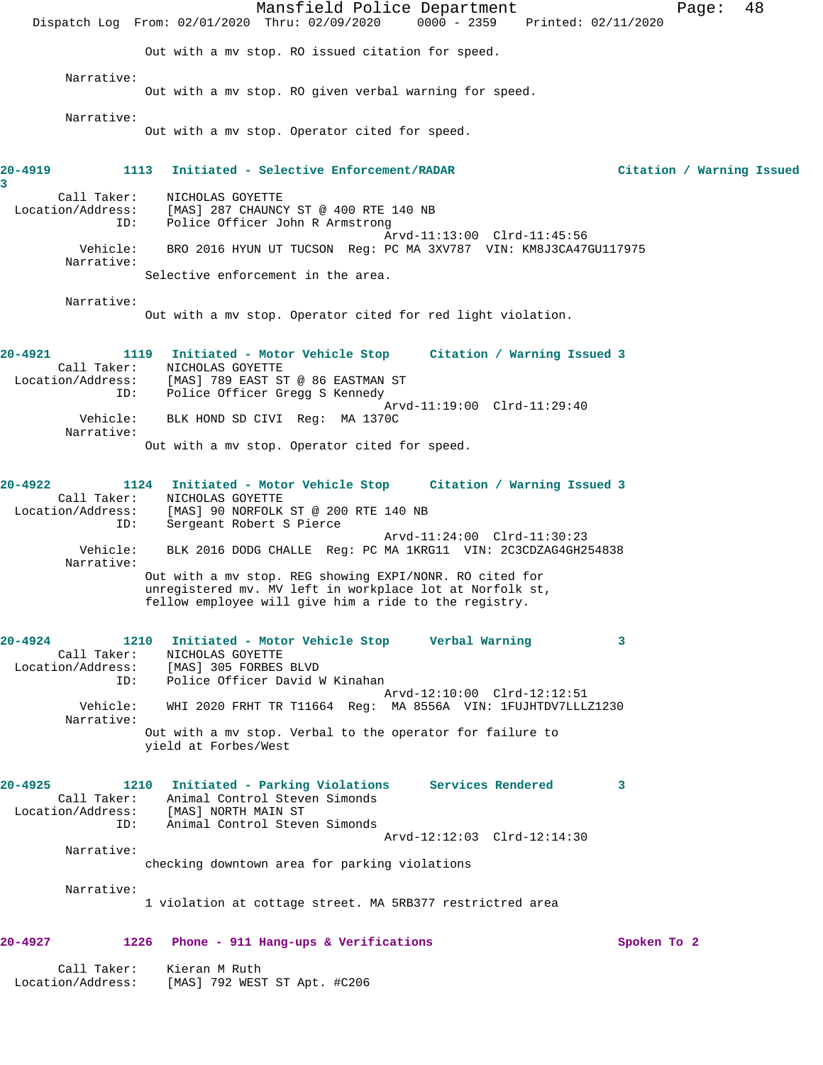Mansfield Police Department Page: 48 Dispatch Log From: 02/01/2020 Thru: 02/09/2020 0000 - 2359 Printed: 02/11/2020 Out with a mv stop. RO issued citation for speed. Narrative: Out with a mv stop. RO given verbal warning for speed. Narrative: Out with a mv stop. Operator cited for speed. **20-4919 1113 Initiated - Selective Enforcement/RADAR Citation / Warning Issued 3**  Call Taker: NICHOLAS GOYETTE Location/Address: [MAS] 287 CHAUNCY ST @ 400 RTE 140 NB ID: Police Officer John R Armstrong Arvd-11:13:00 Clrd-11:45:56 Vehicle: BRO 2016 HYUN UT TUCSON Reg: PC MA 3XV787 VIN: KM8J3CA47GU117975 Narrative: Selective enforcement in the area. Narrative: Out with a mv stop. Operator cited for red light violation. **20-4921 1119 Initiated - Motor Vehicle Stop Citation / Warning Issued 3**  Call Taker: NICHOLAS GOYETTE Location/Address: [MAS] 789 EAST ST @ 86 EASTMAN ST ID: Police Officer Gregg S Kennedy Arvd-11:19:00 Clrd-11:29:40 Vehicle: BLK HOND SD CIVI Reg: MA 1370C Narrative: Out with a mv stop. Operator cited for speed. **20-4922 1124 Initiated - Motor Vehicle Stop Citation / Warning Issued 3**  Call Taker: <br>
MICHOLAS GOYETTE<br>
Location/Address: [MAS] 90 NORFOLK<br>
ID: Sergeant Robert & [MAS] 90 NORFOLK ST @ 200 RTE 140 NB Sergeant Robert S Pierce Arvd-11:24:00 Clrd-11:30:23 Vehicle: BLK 2016 DODG CHALLE Reg: PC MA 1KRG11 VIN: 2C3CDZAG4GH254838 Narrative: Out with a mv stop. REG showing EXPI/NONR. RO cited for unregistered mv. MV left in workplace lot at Norfolk st, fellow employee will give him a ride to the registry. **20-4924 1210 Initiated - Motor Vehicle Stop Verbal Warning 3**  Call Taker: NICHOLAS GOYETTE Location/Address:<br>ID: Police Officer David W Kinahan Arvd-12:10:00 Clrd-12:12:51 Vehicle: WHI 2020 FRHT TR T11664 Reg: MA 8556A VIN: 1FUJHTDV7LLLZ1230 Narrative: Out with a mv stop. Verbal to the operator for failure to yield at Forbes/West **20-4925 1210 Initiated - Parking Violations Services Rendered 3**  Call Taker: Animal Control Steven Simonds Location/Address: [MAS] NORTH MAIN ST ID: Animal Control Steven Simonds Arvd-12:12:03 Clrd-12:14:30 Narrative: checking downtown area for parking violations Narrative: 1 violation at cottage street. MA 5RB377 restrictred area **20-4927 1226 Phone - 911 Hang-ups & Verifications Spoken To 2** Call Taker: Kieran M Ruth Location/Address: [MAS] 792 WEST ST Apt. #C206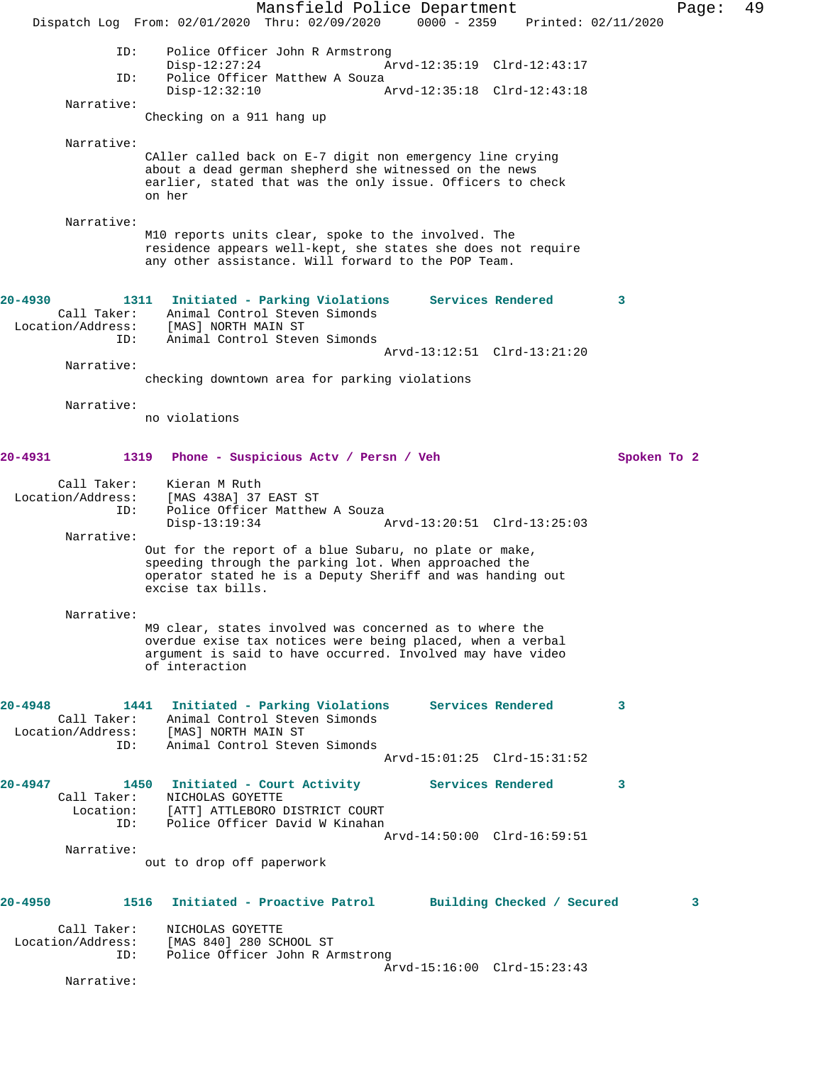Mansfield Police Department Page: 49 Dispatch Log From: 02/01/2020 Thru: 02/09/2020 0000 - 2359 Printed: 02/11/2020 ID: Police Officer John R Armstrong<br>Disp-12:27:24 Ar Disp-12:27:24 <br>
Disp-12:27:24 Arvd-12:35:19 Clrd-12:43:17<br>
Diversification A Souza Police Officer Matthew A Souza<br>Disp-12:32:10 A Disp-12:32:10 Arvd-12:35:18 Clrd-12:43:18 Narrative: Checking on a 911 hang up Narrative: CAller called back on E-7 digit non emergency line crying about a dead german shepherd she witnessed on the news earlier, stated that was the only issue. Officers to check on her Narrative: M10 reports units clear, spoke to the involved. The residence appears well-kept, she states she does not require any other assistance. Will forward to the POP Team. **20-4930 1311 Initiated - Parking Violations Services Rendered 3**  Call Taker: Animal Control Steven Simonds<br>ion/Address: [MAS] NORTH MAIN ST Location/Address:<br>ID: Animal Control Steven Simonds Arvd-13:12:51 Clrd-13:21:20 Narrative: checking downtown area for parking violations Narrative: no violations **20-4931 1319 Phone - Suspicious Actv / Persn / Veh Spoken To 2** Call Taker: Kieran M Ruth Location/Address: [MAS 438A] 37 EAST ST ID: Police Officer Matthew A Souza Disp-13:19:34 Arvd-13:20:51 Clrd-13:25:03 Narrative: Out for the report of a blue Subaru, no plate or make, speeding through the parking lot. When approached the operator stated he is a Deputy Sheriff and was handing out excise tax bills. Narrative: M9 clear, states involved was concerned as to where the overdue exise tax notices were being placed, when a verbal argument is said to have occurred. Involved may have video of interaction **20-4948 1441 Initiated - Parking Violations Services Rendered 3**  Call Taker: Animal Control Steven Simonds Location/Address: [MAS] NORTH MAIN ST ID: Animal Control Steven Simonds Arvd-15:01:25 Clrd-15:31:52 **20-4947 1450 Initiated - Court Activity Services Rendered 3**  Call Taker: NICHOLAS GOYETTE Location: [ATT] ATTLEBORO DISTRICT COURT<br>ID: Police Officer David W Kinahan Police Officer David W Kinahan Arvd-14:50:00 Clrd-16:59:51 Narrative: out to drop off paperwork **20-4950 1516 Initiated - Proactive Patrol Building Checked / Secured 3** Call Taker: NICHOLAS GOYETTE Location/Address: [MAS 840] 280 SCHOOL ST ID: Police Officer John R Armstrong Arvd-15:16:00 Clrd-15:23:43 Narrative: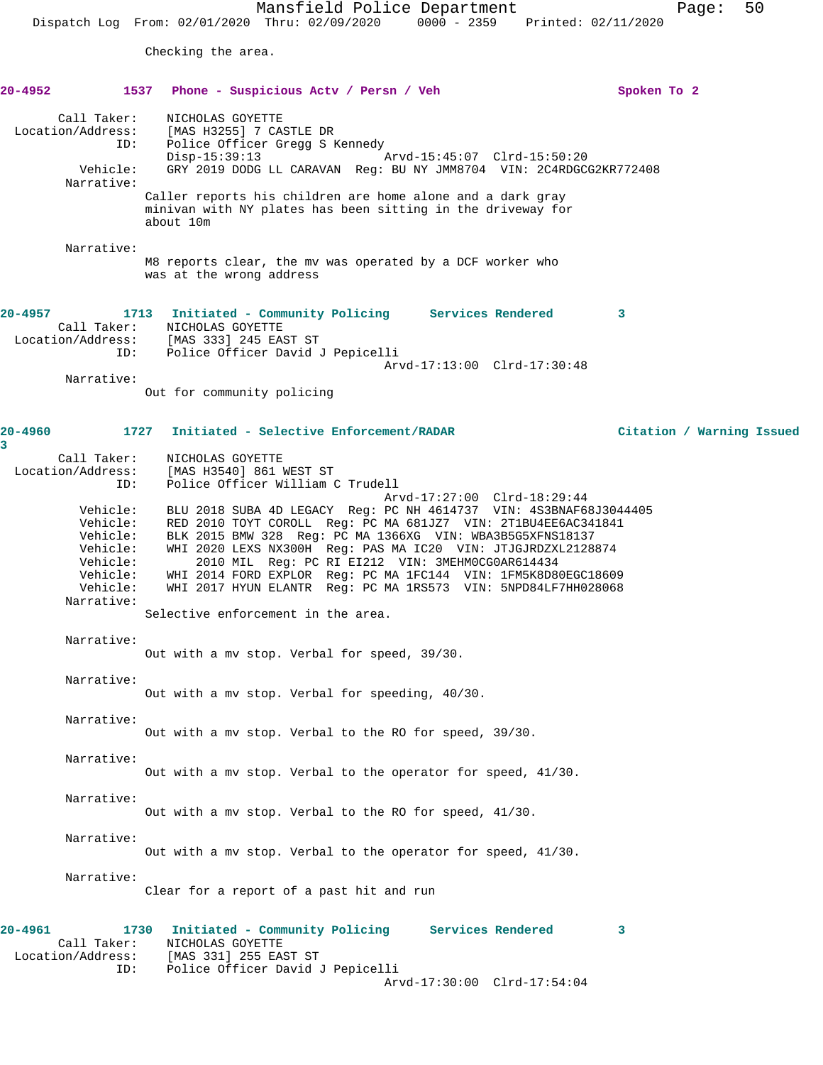Checking the area.

## **20-4952 1537 Phone - Suspicious Actv / Persn / Veh Spoken To 2** Call Taker: NICHOLAS GOYETTE Location/Address: [MAS H3255] 7 CASTLE DR ID: Police Officer Gregg S Kennedy Disp-15:39:13 Arvd-15:45:07 Clrd-15:50:20 Vehicle: GRY 2019 DODG LL CARAVAN Reg: BU NY JMM8704 VIN: 2C4RDGCG2KR772408 Narrative: Caller reports his children are home alone and a dark gray minivan with NY plates has been sitting in the driveway for about 10m Narrative: M8 reports clear, the mv was operated by a DCF worker who was at the wrong address **20-4957 1713 Initiated - Community Policing Services Rendered 3**  Call Taker: NICHOLAS GOYETTE Location/Address: [MAS 333] 245 EAST ST ID: Police Officer David J Pepicelli Arvd-17:13:00 Clrd-17:30:48 Narrative: Out for community policing **20-4960 1727 Initiated - Selective Enforcement/RADAR Citation / Warning Issued 3**  Call Taker: NICHOLAS GOYETTE Location/Address: [MAS H3540] 861 WEST ST ID: Police Officer William C Trudell Arvd-17:27:00 Clrd-18:29:44 Vehicle: BLU 2018 SUBA 4D LEGACY Reg: PC NH 4614737 VIN: 4S3BNAF68J3044405 Vehicle: RED 2010 TOYT COROLL Reg: PC MA 681JZ7 VIN: 2T1BU4EE6AC341841 Vehicle: BLK 2015 BMW 328 Reg: PC MA 1366XG VIN: WBA3B5G5XFNS18137 Vehicle: WHI 2020 LEXS NX300H Reg: PAS MA IC20 VIN: JTJGJRDZXL2128874 Vehicle: 2010 MIL Reg: PC RI EI212 VIN: 3MEHM0CG0AR614434 Vehicle: WHI 2014 FORD EXPLOR Reg: PC MA 1FC144 VIN: 1FM5K8D80EGC18609 Vehicle: WHI 2017 HYUN ELANTR Reg: PC MA 1RS573 VIN: 5NPD84LF7HH028068 Narrative: Selective enforcement in the area. Narrative: Out with a mv stop. Verbal for speed, 39/30. Narrative: Out with a mv stop. Verbal for speeding, 40/30. Narrative: Out with a mv stop. Verbal to the RO for speed, 39/30. Narrative: Out with a mv stop. Verbal to the operator for speed, 41/30. Narrative: Out with a mv stop. Verbal to the RO for speed, 41/30. Narrative: Out with a mv stop. Verbal to the operator for speed, 41/30. Narrative: Clear for a report of a past hit and run **20-4961 1730 Initiated - Community Policing Services Rendered 3**  Call Taker: NICHOLAS GOYETTE Location/Address: [MAS 331] 255 EAST ST ID: Police Officer David J Pepicelli

Arvd-17:30:00 Clrd-17:54:04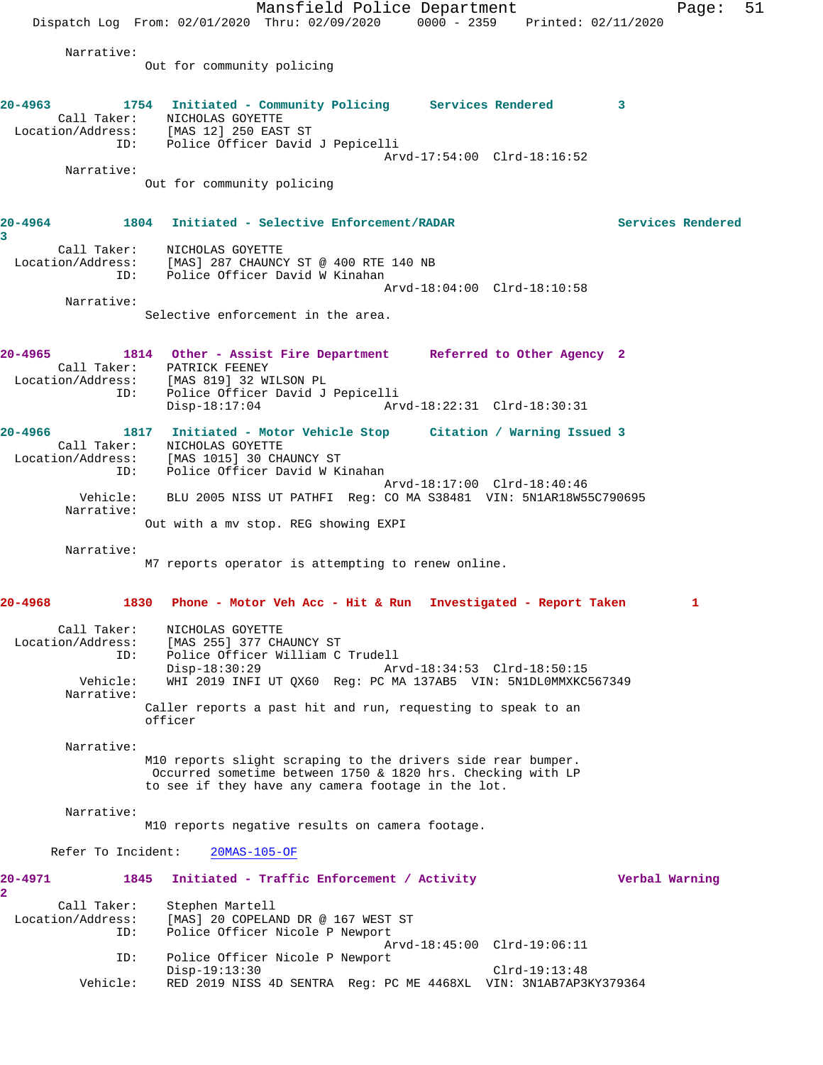Mansfield Police Department Page: 51 Dispatch Log From: 02/01/2020 Thru: 02/09/2020 0000 - 2359 Printed: 02/11/2020 Narrative: Out for community policing **20-4963 1754 Initiated - Community Policing Services Rendered 3**  Call Taker: NICHOLAS GOYETTE Location/Address: [MAS 12] 250 EAST ST ID: Police Officer David J Pepicelli Arvd-17:54:00 Clrd-18:16:52 Narrative: Out for community policing **20-4964 1804 Initiated - Selective Enforcement/RADAR Services Rendered 3**  Call Taker: NICHOLAS GOYETTE Location/Address: [MAS] 287 CHAUNCY ST @ 400 RTE 140 NB ID: Police Officer David W Kinahan Arvd-18:04:00 Clrd-18:10:58 Narrative: Selective enforcement in the area. **20-4965 1814 Other - Assist Fire Department Referred to Other Agency 2**  Call Taker: PATRICK FEENEY Location/Address: [MAS 819] 32 WILSON PL ID: Police Officer David J Pepicelli Disp-18:17:04 Arvd-18:22:31 Clrd-18:30:31 **20-4966 1817 Initiated - Motor Vehicle Stop Citation / Warning Issued 3**  Call Taker: NICHOLAS GOYETTE Location/Address: [MAS 1015] 30 CHAUNCY ST ID: Police Officer David W Kinahan Arvd-18:17:00 Clrd-18:40:46 Vehicle: BLU 2005 NISS UT PATHFI Reg: CO MA S38481 VIN: 5N1AR18W55C790695 Narrative: Out with a mv stop. REG showing EXPI Narrative: M7 reports operator is attempting to renew online. **20-4968 1830 Phone - Motor Veh Acc - Hit & Run Investigated - Report Taken 1** Call Taker: NICHOLAS GOYETTE Location/Address: [MAS 255] 377 CHAUNCY ST ID: Police Officer William C Trudell Disp-18:30:29 Arvd-18:34:53 Clrd-18:50:15 Vehicle: WHI 2019 INFI UT QX60 Reg: PC MA 137AB5 VIN: 5N1DL0MMXKC567349 Narrative: Caller reports a past hit and run, requesting to speak to an officer Narrative: M10 reports slight scraping to the drivers side rear bumper. Occurred sometime between 1750 & 1820 hrs. Checking with LP to see if they have any camera footage in the lot. Narrative: M10 reports negative results on camera footage. Refer To Incident: 20MAS-105-OF **20-4971 1845 Initiated - Traffic Enforcement / Activity Verbal Warning 2**  Call Taker: Stephen Martell Location/Address: [MAS] 20 COPELAND DR @ 167 WEST ST ID: Police Officer Nicole P Newport Arvd-18:45:00 Clrd-19:06:11 ID: Police Officer Nicole P Newport Disp-19:13:30 Clrd-19:13:48 Vehicle: RED 2019 NISS 4D SENTRA Reg: PC ME 4468XL VIN: 3N1AB7AP3KY379364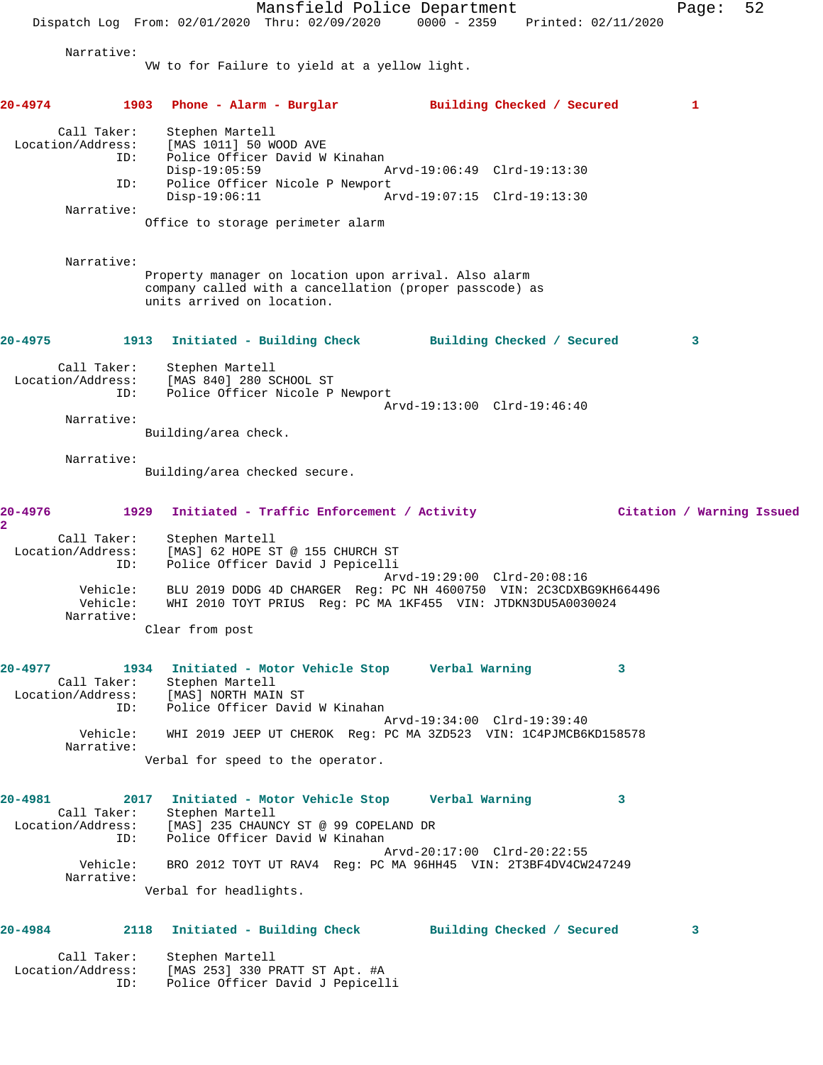Mansfield Police Department Page: 52 Dispatch Log From: 02/01/2020 Thru: 02/09/2020 0000 - 2359 Printed: 02/11/2020 Narrative: VW to for Failure to yield at a yellow light. **20-4974 1903 Phone - Alarm - Burglar Building Checked / Secured 1** Call Taker: Stephen Martell Location/Address: [MAS 1011] 50 WOOD AVE ID: Police Officer David W Kinahan<br>Disp-19:05:59 Mrvd-19:06:49 Clrd-19:13:30 Disp-19:05:59 Arvd-19:06:49 Clrd-19:13:30 ID: Police Officer Nicole P Newport Disp-19:06:11 Arvd-19:07:15 Clrd-19:13:30 Narrative: Office to storage perimeter alarm Narrative: Property manager on location upon arrival. Also alarm company called with a cancellation (proper passcode) as units arrived on location. **20-4975 1913 Initiated - Building Check Building Checked / Secured 3** Call Taker: Stephen Martell Location/Address: [MAS 840] 280 SCHOOL ST ID: Police Officer Nicole P Newport Arvd-19:13:00 Clrd-19:46:40 Narrative: Building/area check. Narrative: Building/area checked secure. **20-4976 1929 Initiated - Traffic Enforcement / Activity Citation / Warning Issued 2**  Call Taker: Stephen Martell Location/Address: [MAS] 62 HOPE ST @ 155 CHURCH ST ID: Police Officer David J Pepicelli<br>Arvd-19:29:00 Clrd-20:08:16 Arvd-19:29:00 Clrd-20:08:16 Vehicle: BLU 2019 DODG 4D CHARGER Reg: PC NH 4600750 VIN: 2C3CDXBG9KH664496 Vehicle: WHI 2010 TOYT PRIUS Reg: PC MA 1KF455 VIN: JTDKN3DU5A0030024 Narrative: Clear from post **20-4977 1934 Initiated - Motor Vehicle Stop Verbal Warning 3**  Call Taker: Stephen Martell Location/Address: [MAS] NORTH MAIN ST ID: Police Officer David W Kinahan Arvd-19:34:00 Clrd-19:39:40 Vehicle: WHI 2019 JEEP UT CHEROK Reg: PC MA 3ZD523 VIN: 1C4PJMCB6KD158578 Narrative: Verbal for speed to the operator. **20-4981 2017 Initiated - Motor Vehicle Stop Verbal Warning 3**  Call Taker: Stephen Martell Location/Address: [MAS] 235 CHAUNCY ST @ 99 COPELAND DR ID: Police Officer David W Kinahan Arvd-20:17:00 Clrd-20:22:55 Vehicle: BRO 2012 TOYT UT RAV4 Reg: PC MA 96HH45 VIN: 2T3BF4DV4CW247249 Narrative: Verbal for headlights. **20-4984 2118 Initiated - Building Check Building Checked / Secured 3** Call Taker: Stephen Martell Location/Address: [MAS 253] 330 PRATT ST Apt. #A ID: Police Officer David J Pepicelli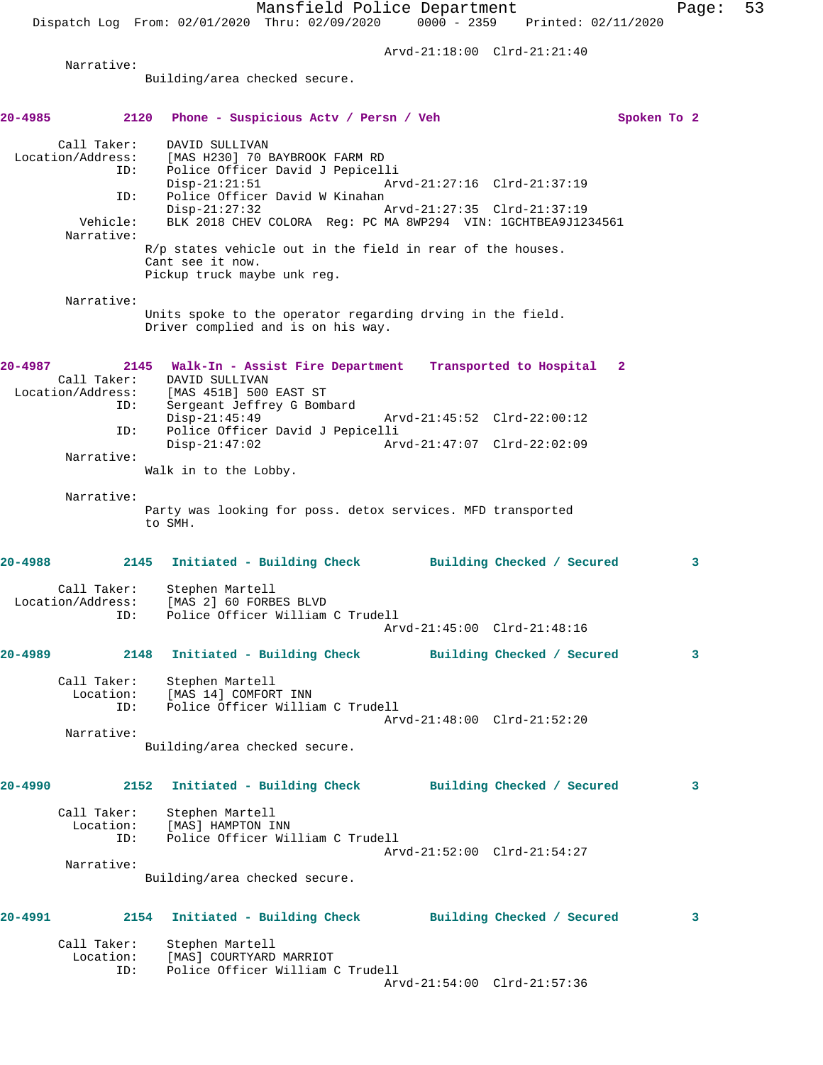Mansfield Police Department Fage: 53 Dispatch Log From: 02/01/2020 Thru: 02/09/2020 0000 - 2359 Printed: 02/11/2020 Arvd-21:18:00 Clrd-21:21:40 Narrative: Building/area checked secure. **20-4985 2120 Phone - Suspicious Actv / Persn / Veh Spoken To 2** Call Taker: DAVID SULLIVAN Location/Address: [MAS H230] 70 BAYBROOK FARM RD Police Officer David J Pepicelli<br>Disp-21:21:51 Arv Disp-21:21:51 Arvd-21:27:16 Clrd-21:37:19 ID: Police Officer David W Kinahan Disp-21:27:32 Arvd-21:27:35 Clrd-21:37:19 Vehicle: BLK 2018 CHEV COLORA Reg: PC MA 8WP294 VIN: 1GCHTBEA9J1234561 Narrative: R/p states vehicle out in the field in rear of the houses. Cant see it now. Pickup truck maybe unk reg. Narrative: Units spoke to the operator regarding drving in the field. Driver complied and is on his way. **20-4987 2145 Walk-In - Assist Fire Department Transported to Hospital 2**  Call Taker: DAVID SULLIVAN Location/Address: [MAS 451B] 500 EAST ST ID: Sergeant Jeffrey G Bombard Disp-21:45:49 Arvd-21:45:52 Clrd-22:00:12 ID: Police Officer David J Pepicelli<br>Disp-21:47:02 Arv Disp-21:47:02 Arvd-21:47:07 Clrd-22:02:09 Narrative: Walk in to the Lobby. Narrative: Party was looking for poss. detox services. MFD transported to SMH. **20-4988 2145 Initiated - Building Check Building Checked / Secured 3** Call Taker: Stephen Martell Location/Address: [MAS 2] 60 FORBES BLVD ID: Police Officer William C Trudell Arvd-21:45:00 Clrd-21:48:16 **20-4989 2148 Initiated - Building Check Building Checked / Secured 3** Call Taker: Stephen Martell Location: [MAS 14] COMFORT INN ID: Police Officer William C Trudell Arvd-21:48:00 Clrd-21:52:20 Narrative: Building/area checked secure. **20-4990 2152 Initiated - Building Check Building Checked / Secured 3** Call Taker: Stephen Martell Location: [MAS] HAMPTON INN ID: Police Officer William C Trudell Arvd-21:52:00 Clrd-21:54:27 Narrative: Building/area checked secure. **20-4991 2154 Initiated - Building Check Building Checked / Secured 3** Call Taker: Stephen Martell Location: [MAS] COURTYARD MARRIOT ID: Police Officer William C Trudell

Arvd-21:54:00 Clrd-21:57:36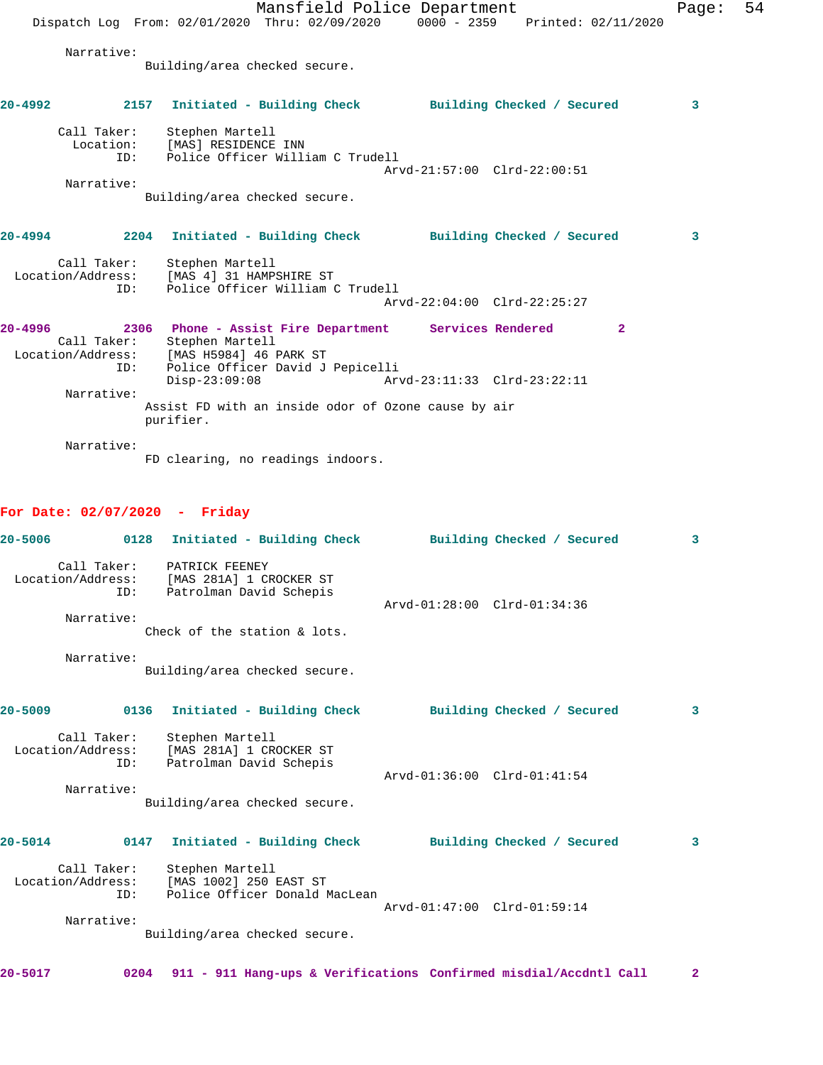|                                   |                                                                                   | Mansfield Police Department<br>Dispatch Log From: 02/01/2020 Thru: 02/09/2020 0000 - 2359 Printed: 02/11/2020 |                             |              | Page: | -54 |
|-----------------------------------|-----------------------------------------------------------------------------------|---------------------------------------------------------------------------------------------------------------|-----------------------------|--------------|-------|-----|
| Narrative:                        | Building/area checked secure.                                                     |                                                                                                               |                             |              |       |     |
|                                   |                                                                                   | 20-4992 2157 Initiated - Building Check Building Checked / Secured                                            |                             |              | 3     |     |
| Call Taker:<br>ID:<br>Narrative:  | Stephen Martell<br>Location: [MAS] RESIDENCE INN<br>Building/area checked secure. | Police Officer William C Trudell                                                                              | Arvd-21:57:00 Clrd-22:00:51 |              |       |     |
| $20 - 4994$                       |                                                                                   | 2204 Initiated - Building Check Building Checked / Secured                                                    |                             |              | 3     |     |
| ID:                               | Call Taker: Stephen Martell<br>Location/Address: [MAS 4] 31 HAMPSHIRE ST          | Police Officer William C Trudell                                                                              | Arvd-22:04:00 Clrd-22:25:27 |              |       |     |
| $20 - 4996$<br>Call Taker:<br>ID: | Stephen Martell<br>Location/Address: [MAS H5984] 46 PARK ST                       | 2306 Phone - Assist Fire Department Services Rendered<br>Police Officer David J Pepicelli                     |                             | $\mathbf{2}$ |       |     |
| Narrative:                        | $Disp-23:09:08$<br>purifier.                                                      | Assist FD with an inside odor of Ozone cause by air                                                           | Arvd-23:11:33 Clrd-23:22:11 |              |       |     |
| Narrative:                        |                                                                                   | FD clearing, no readings indoors.                                                                             |                             |              |       |     |

## **For Date: 02/07/2020 - Friday**

| $20 - 5006$ |                    | 0128                                                         | Initiated - Building Check      | Building Checked / Secured                                        | 3            |
|-------------|--------------------|--------------------------------------------------------------|---------------------------------|-------------------------------------------------------------------|--------------|
|             | Call Taker:<br>ID: | PATRICK FEENEY<br>Location/Address: [MAS 281A] 1 CROCKER ST  | Patrolman David Schepis         | Arvd-01:28:00 Clrd-01:34:36                                       |              |
|             | Narrative:         |                                                              | Check of the station $\&$ lots. |                                                                   |              |
|             | Narrative:         |                                                              | Building/area checked secure.   |                                                                   |              |
| $20 - 5009$ |                    | 0136                                                         | Initiated - Building Check      | Building Checked / Secured                                        | 3            |
|             | Call Taker:<br>TD: | Stephen Martell<br>Location/Address: [MAS 281A] 1 CROCKER ST | Patrolman David Schepis         | Arvd-01:36:00 Clrd-01:41:54                                       |              |
|             | Narrative:         |                                                              | Building/area checked secure.   |                                                                   |              |
| $20 - 5014$ |                    | 0147                                                         | Initiated - Building Check      | Building Checked / Secured                                        | 3            |
|             | Call Taker:<br>ID: | Stephen Martell<br>Location/Address: [MAS 1002] 250 EAST ST  | Police Officer Donald MacLean   | Arvd-01:47:00 Clrd-01:59:14                                       |              |
|             | Narrative:         |                                                              |                                 |                                                                   |              |
|             |                    |                                                              | Building/area checked secure.   |                                                                   |              |
| $20 - 5017$ | 0204               |                                                              |                                 | 911 - 911 Hang-ups & Verifications Confirmed misdial/Accdntl Call | $\mathbf{2}$ |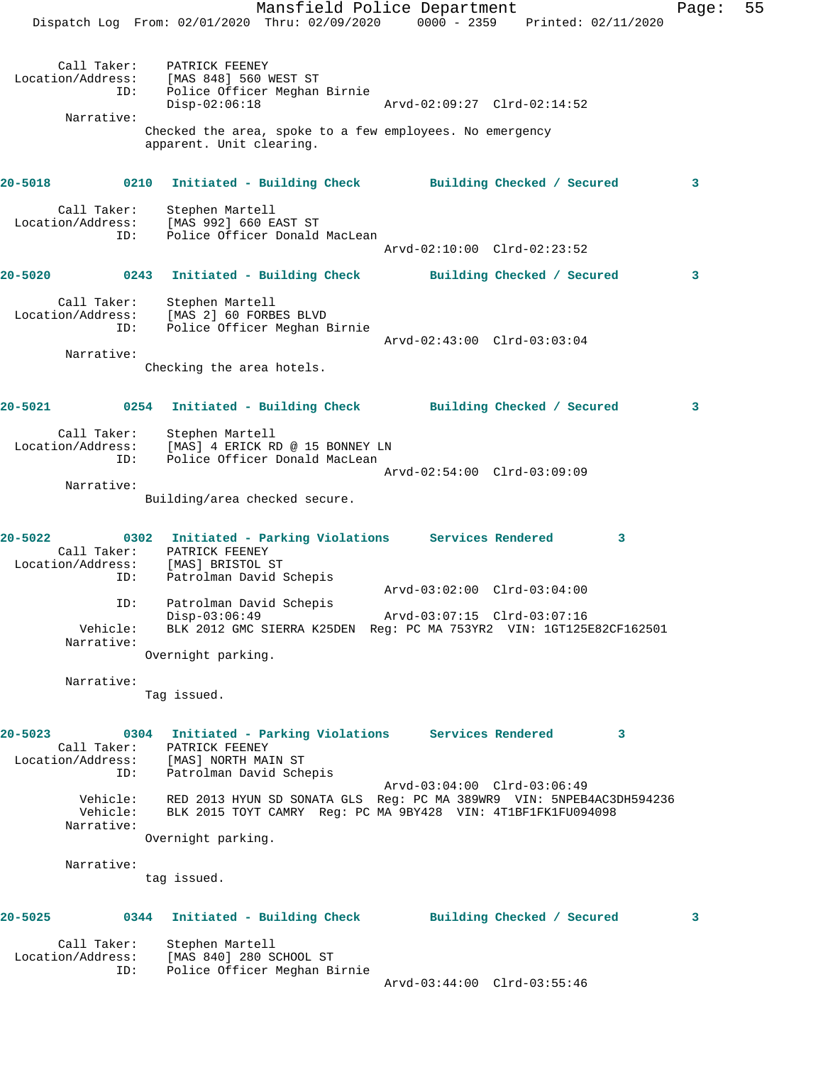Mansfield Police Department Fage: 55 Dispatch Log From: 02/01/2020 Thru: 02/09/2020 0000 - 2359 Printed: 02/11/2020 Call Taker: PATRICK FEENEY Location/Address: [MAS 848] 560 WEST ST ID: Police Officer Meghan Birnie Disp-02:06:18 Arvd-02:09:27 Clrd-02:14:52 Narrative: Checked the area, spoke to a few employees. No emergency apparent. Unit clearing. **20-5018 0210 Initiated - Building Check Building Checked / Secured 3** Call Taker: Stephen Martell Location/Address: [MAS 992] 660 EAST ST ID: Police Officer Donald MacLean Arvd-02:10:00 Clrd-02:23:52 **20-5020 0243 Initiated - Building Check Building Checked / Secured 3** Call Taker: Stephen Martell Location/Address: [MAS 2] 60 FORBES BLVD ID: Police Officer Meghan Birnie Arvd-02:43:00 Clrd-03:03:04 Narrative: Checking the area hotels. **20-5021 0254 Initiated - Building Check Building Checked / Secured 3** Call Taker: Stephen Martell Location/Address: [MAS] 4 ERICK RD @ 15 BONNEY LN ID: Police Officer Donald MacLean Arvd-02:54:00 Clrd-03:09:09 Narrative: Building/area checked secure. **20-5022 0302 Initiated - Parking Violations Services Rendered 3**  Call Taker: PATRICK FEENEY Location/Address: [MAS] BRISTOL ST ID: Patrolman David Schepis Arvd-03:02:00 Clrd-03:04:00 ID: Patrolman David Schepis Disp-03:06:49 Arvd-03:07:15 Clrd-03:07:16 Vehicle: BLK 2012 GMC SIERRA K25DEN Reg: PC MA 753YR2 VIN: 1GT125E82CF162501 Narrative: Overnight parking. Narrative: Tag issued. **20-5023 0304 Initiated - Parking Violations Services Rendered 3**  Call Taker: PATRICK FEENEY Location/Address: [MAS] NORTH MAIN ST ID: Patrolman David Schepis Arvd-03:04:00 Clrd-03:06:49 Vehicle: RED 2013 HYUN SD SONATA GLS Reg: PC MA 389WR9 VIN: 5NPEB4AC3DH594236 Vehicle: BLK 2015 TOYT CAMRY Reg: PC MA 9BY428 VIN: 4T1BF1FK1FU094098 Narrative: Overnight parking. Narrative: tag issued. **20-5025 0344 Initiated - Building Check Building Checked / Secured 3** Call Taker: Stephen Martell Location/Address: [MAS 840] 280 SCHOOL ST ID: Police Officer Meghan Birnie

Arvd-03:44:00 Clrd-03:55:46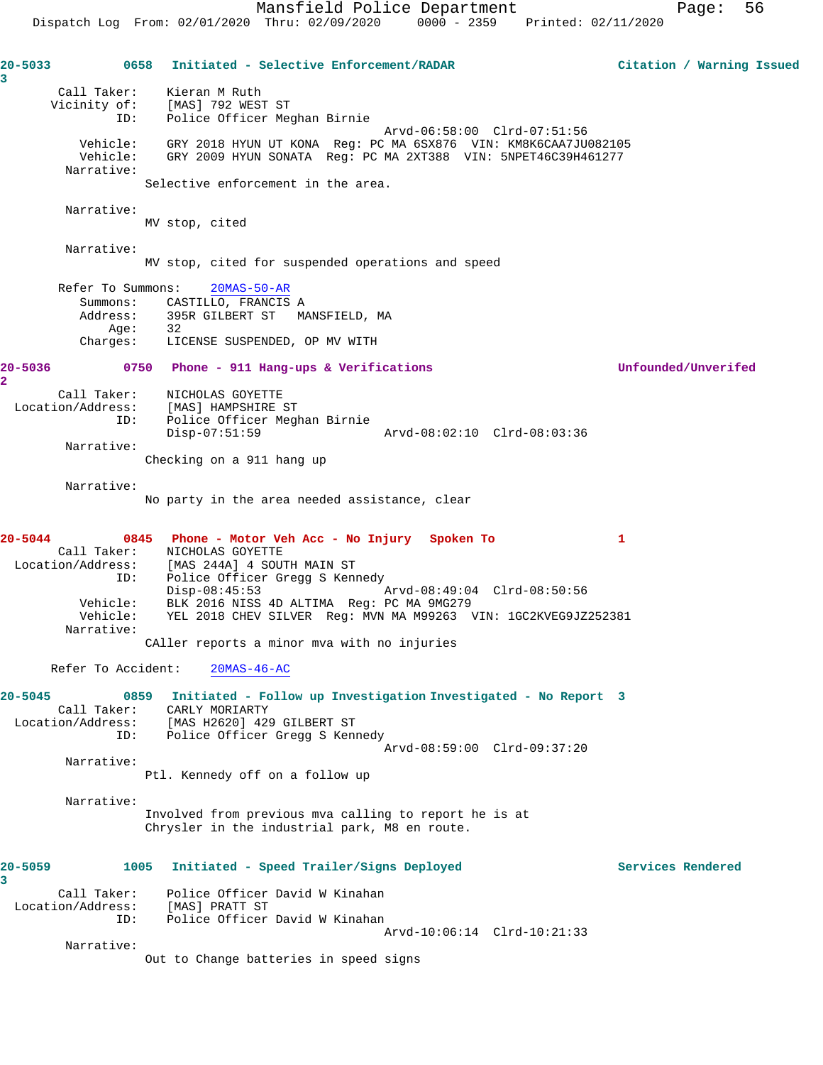**20-5033 0658 Initiated - Selective Enforcement/RADAR Citation / Warning Issued 3**  Call Taker: Kieran M Ruth Vicinity of: [MAS] 792 WEST ST ID: Police Officer Meghan Birnie Arvd-06:58:00 Clrd-07:51:56 Vehicle: GRY 2018 HYUN UT KONA Reg: PC MA 6SX876 VIN: KM8K6CAA7JU082105 Vehicle: GRY 2009 HYUN SONATA Reg: PC MA 2XT388 VIN: 5NPET46C39H461277 Narrative: Selective enforcement in the area. Narrative: MV stop, cited Narrative: MV stop, cited for suspended operations and speed Refer To Summons: 20MAS-50-AR Summons: CASTILLO, FRANCIS A Address: 395R GILBERT ST MANSFIELD, MA Age: 32 Charges: LICENSE SUSPENDED, OP MV WITH **20-5036 0750 Phone - 911 Hang-ups & Verifications Unfounded/Unverifed 2**  Call Taker: NICHOLAS GOYETTE Location/Address: [MAS] HAMPSHIRE ST ID: Police Officer Meghan Birnie Disp-07:51:59 Arvd-08:02:10 Clrd-08:03:36 Narrative: Checking on a 911 hang up Narrative: No party in the area needed assistance, clear **20-5044 0845 Phone - Motor Veh Acc - No Injury Spoken To 1**  Call Taker: NICHOLAS GOYETTE Location/Address: [MAS 244A] 4 SOUTH MAIN ST ID: Police Officer Gregg S Kennedy Disp-08:45:53 Arvd-08:49:04 Clrd-08:50:56 Vehicle: BLK 2016 NISS 4D ALTIMA Reg: PC MA 9MG279 Vehicle: YEL 2018 CHEV SILVER Reg: MVN MA M99263 VIN: 1GC2KVEG9JZ252381 Narrative: CAller reports a minor mva with no injuries Refer To Accident: 20MAS-46-AC **20-5045 0859 Initiated - Follow up Investigation Investigated - No Report 3**  Call Taker: CARLY MORIARTY Location/Address: [MAS H2620] 429 GILBERT ST ID: Police Officer Gregg S Kennedy Arvd-08:59:00 Clrd-09:37:20 Narrative: Ptl. Kennedy off on a follow up Narrative: Involved from previous mva calling to report he is at Chrysler in the industrial park, M8 en route. **20-5059 1005 Initiated - Speed Trailer/Signs Deployed Services Rendered 3**  Call Taker: Police Officer David W Kinahan Location/Address: [MAS] PRATT ST ID: Police Officer David W Kinahan Arvd-10:06:14 Clrd-10:21:33 Narrative: Out to Change batteries in speed signs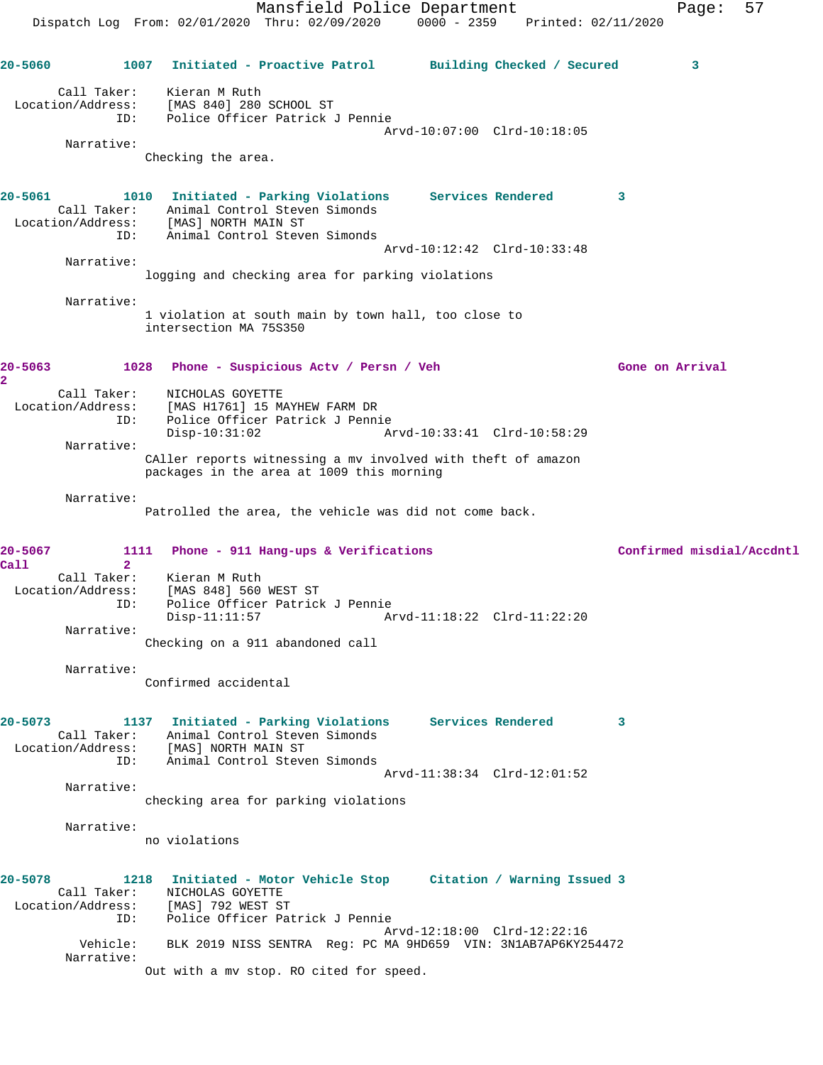Mansfield Police Department Page: 57 Dispatch Log From: 02/01/2020 Thru: 02/09/2020 0000 - 2359 Printed: 02/11/2020 **20-5060 1007 Initiated - Proactive Patrol Building Checked / Secured 3** Call Taker: Kieran M Ruth Location/Address: [MAS 840] 280 SCHOOL ST ID: Police Officer Patrick J Pennie Arvd-10:07:00 Clrd-10:18:05 Narrative: Checking the area. **20-5061 1010 Initiated - Parking Violations Services Rendered 3**  Call Taker: Animal Control Steven Simonds Location/Address: [MAS] NORTH MAIN ST ID: Animal Control Steven Simonds Arvd-10:12:42 Clrd-10:33:48 Narrative: logging and checking area for parking violations Narrative: 1 violation at south main by town hall, too close to intersection MA 75S350 **20-5063 1028 Phone - Suspicious Actv / Persn / Veh Gone on Arrival 2**  Call Taker: NICHOLAS GOYETTE Location/Address: [MAS H1761] 15 MAYHEW FARM DR ID: Police Officer Patrick J Pennie<br>Disp-10:31:02 Disp-10:31:02 Arvd-10:33:41 Clrd-10:58:29 Narrative: CAller reports witnessing a mv involved with theft of amazon packages in the area at 1009 this morning Narrative: Patrolled the area, the vehicle was did not come back. **20-5067 1111 Phone - 911 Hang-ups & Verifications Confirmed misdial/Accdntl Call 2**  Call Taker: Kieran M Ruth Location/Address: [MAS 848] 560 WEST ST ID: Police Officer Patrick J Pennie Disp-11:11:57 Arvd-11:18:22 Clrd-11:22:20 Narrative: Checking on a 911 abandoned call Narrative: Confirmed accidental **20-5073 1137 Initiated - Parking Violations Services Rendered 3**  Call Taker: Animal Control Steven Simonds Location/Address: [MAS] NORTH MAIN ST ID: Animal Control Steven Simonds Arvd-11:38:34 Clrd-12:01:52 Narrative: checking area for parking violations Narrative: no violations **20-5078 1218 Initiated - Motor Vehicle Stop Citation / Warning Issued 3**  Call Taker: NICHOLAS GOYETTE Location/Address: [MAS] 792 WEST ST ID: Police Officer Patrick J Pennie Arvd-12:18:00 Clrd-12:22:16 Vehicle: BLK 2019 NISS SENTRA Reg: PC MA 9HD659 VIN: 3N1AB7AP6KY254472 Narrative: Out with a mv stop. RO cited for speed.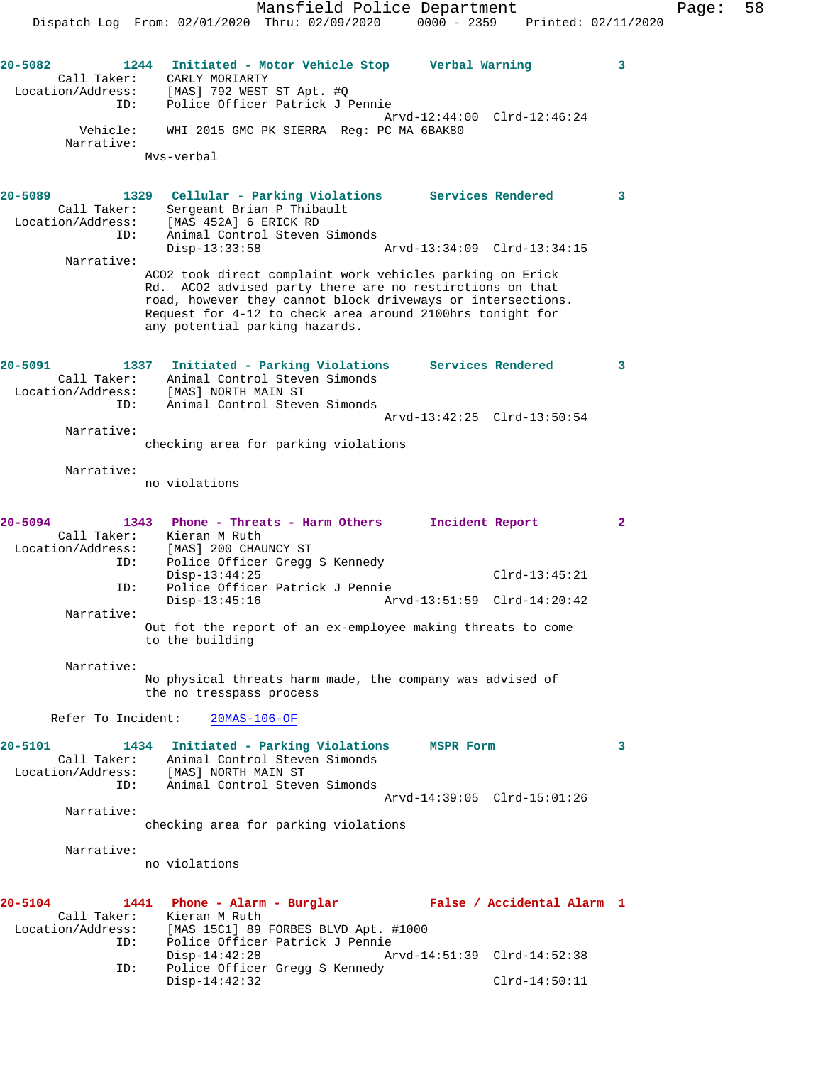Arvd-12:44:00 Clrd-12:46:24

**20-5082 1244 Initiated - Motor Vehicle Stop Verbal Warning 3** 

Vehicle: WHI 2015 GMC PK SIERRA Reg: PC MA 6BAK80

Call Taker: CARLY MORIARTY

Narrative:

 Location/Address: [MAS] 792 WEST ST Apt. #Q ID: Police Officer Patrick J Pennie

Mvs-verbal

**20-5089 1329 Cellular - Parking Violations Services Rendered 3**  Call Taker: Sergeant Brian P Thibault Location/Address: [MAS 452A] 6 ERICK RD ID: Animal Control Steven Simonds<br>Disp-13:33:58 Disp-13:33:58 Arvd-13:34:09 Clrd-13:34:15 Narrative: ACO2 took direct complaint work vehicles parking on Erick Rd. ACO2 advised party there are no restirctions on that road, however they cannot block driveways or intersections. Request for 4-12 to check area around 2100hrs tonight for any potential parking hazards. **20-5091 1337 Initiated - Parking Violations Services Rendered 3**  Call Taker: Animal Control Steven Simonds Location/Address: [MAS] NORTH MAIN ST ID: Animal Control Steven Simonds Arvd-13:42:25 Clrd-13:50:54 Narrative: checking area for parking violations Narrative: no violations **20-5094 1343 Phone - Threats - Harm Others Incident Report 2**  Call Taker: Kieran M Ruth Location/Address: [MAS] 200 CHAUNCY ST ID: Police Officer Gregg S Kennedy Disp-13:44:25 Clrd-13:45:21 ID: Police Officer Patrick J Pennie Disp-13:45:16 Arvd-13:51:59 Clrd-14:20:42 Narrative: Out fot the report of an ex-employee making threats to come to the building Narrative: No physical threats harm made, the company was advised of the no tresspass process Refer To Incident: 20MAS-106-OF **20-5101 1434 Initiated - Parking Violations MSPR Form 3**  Call Taker: Animal Control Steven Simonds Location/Address: [MAS] NORTH MAIN ST ID: Animal Control Steven Simonds Arvd-14:39:05 Clrd-15:01:26 Narrative: checking area for parking violations Narrative: no violations **20-5104 1441 Phone - Alarm - Burglar False / Accidental Alarm 1**  Call Taker: Kieran M Ruth Location/Address: [MAS 15C1] 89 FORBES BLVD Apt. #1000 ID: Police Officer Patrick J Pennie Disp-14:42:28 Arvd-14:51:39 Clrd-14:52:38 ID: Police Officer Gregg S Kennedy Disp-14:42:32 Clrd-14:50:11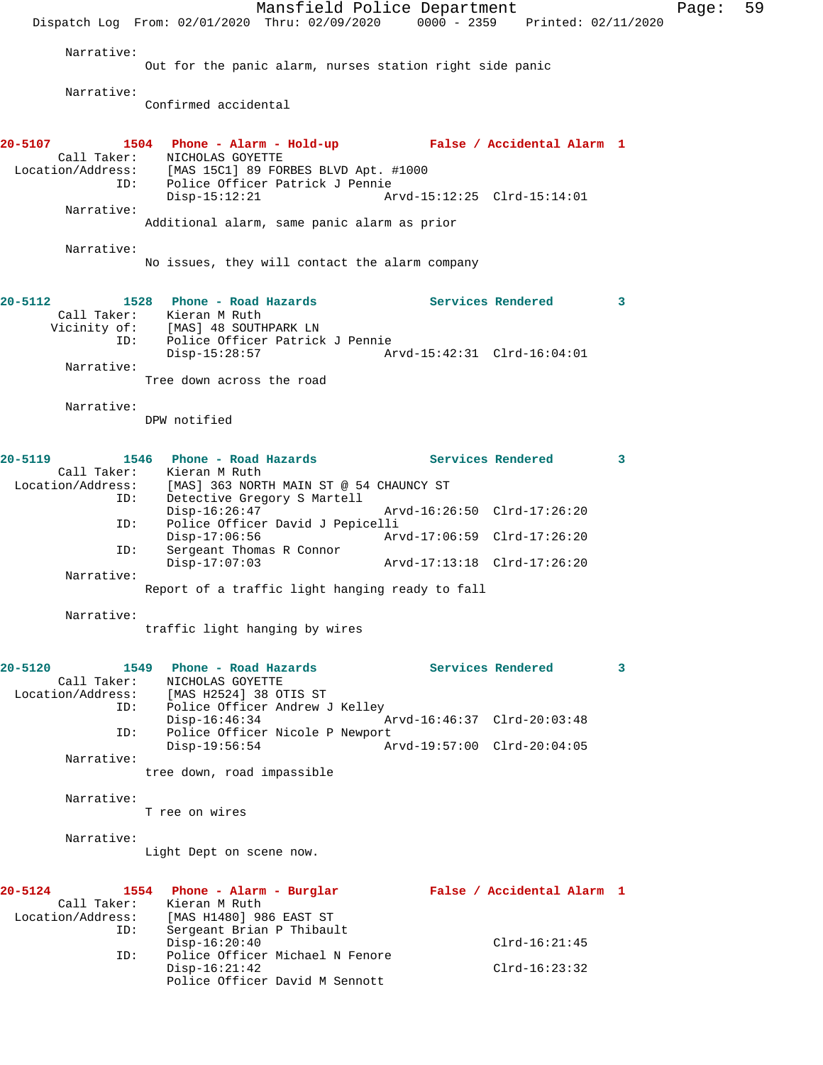Mansfield Police Department Fage: 59 Dispatch Log From: 02/01/2020 Thru: 02/09/2020 0000 - 2359 Printed: 02/11/2020 Narrative: Out for the panic alarm, nurses station right side panic Narrative: Confirmed accidental **20-5107 1504 Phone - Alarm - Hold-up False / Accidental Alarm 1**  Call Taker: NICHOLAS GOYETTE Location/Address: [MAS 15C1] 89 FORBES BLVD Apt. #1000 ID: Police Officer Patrick J Pennie Disp-15:12:21 Arvd-15:12:25 Clrd-15:14:01 Narrative: Additional alarm, same panic alarm as prior Narrative: No issues, they will contact the alarm company **20-5112 1528 Phone - Road Hazards Services Rendered 3**  Call Taker: Kieran M Ruth Vicinity of: [MAS] 48 SOUTHPARK LN ID: Police Officer Patrick J Pennie Disp-15:28:57 Arvd-15:42:31 Clrd-16:04:01 Narrative: Tree down across the road Narrative: DPW notified **20-5119 1546 Phone - Road Hazards Services Rendered 3**  Call Taker: Kieran M Ruth Location/Address: [MAS] 363 NORTH MAIN ST @ 54 CHAUNCY ST ID: Detective Gregory S Martell Arvd-16:26:50 Clrd-17:26:20 ID: Police Officer David J Pepicelli Disp-17:06:56 Arvd-17:06:59 Clrd-17:26:20 ID: Sergeant Thomas R Connor Disp-17:07:03 Arvd-17:13:18 Clrd-17:26:20 Narrative: Report of a traffic light hanging ready to fall Narrative: traffic light hanging by wires **20-5120 1549 Phone - Road Hazards Services Rendered 3**  Call Taker: NICHOLAS GOYETTE Location/Address: [MAS H2524] 38 OTIS ST ID: Police Officer Andrew J Kelley Disp-16:46:34 Arvd-16:46:37 Clrd-20:03:48 ID: Police Officer Nicole P Newport<br>Disp-19:56:54 Az Disp-19:56:54 Arvd-19:57:00 Clrd-20:04:05 Narrative: tree down, road impassible Narrative: T ree on wires Narrative: Light Dept on scene now. **20-5124 1554 Phone - Alarm - Burglar False / Accidental Alarm 1**  Call Taker: Kieran M Ruth Location/Address: [MAS H1480] 986 EAST ST ID: Sergeant Brian P Thibault Disp-16:20:40 Clrd-16:21:45 ID: Police Officer Michael N Fenore Disp-16:21:42 Clrd-16:23:32 Police Officer David M Sennott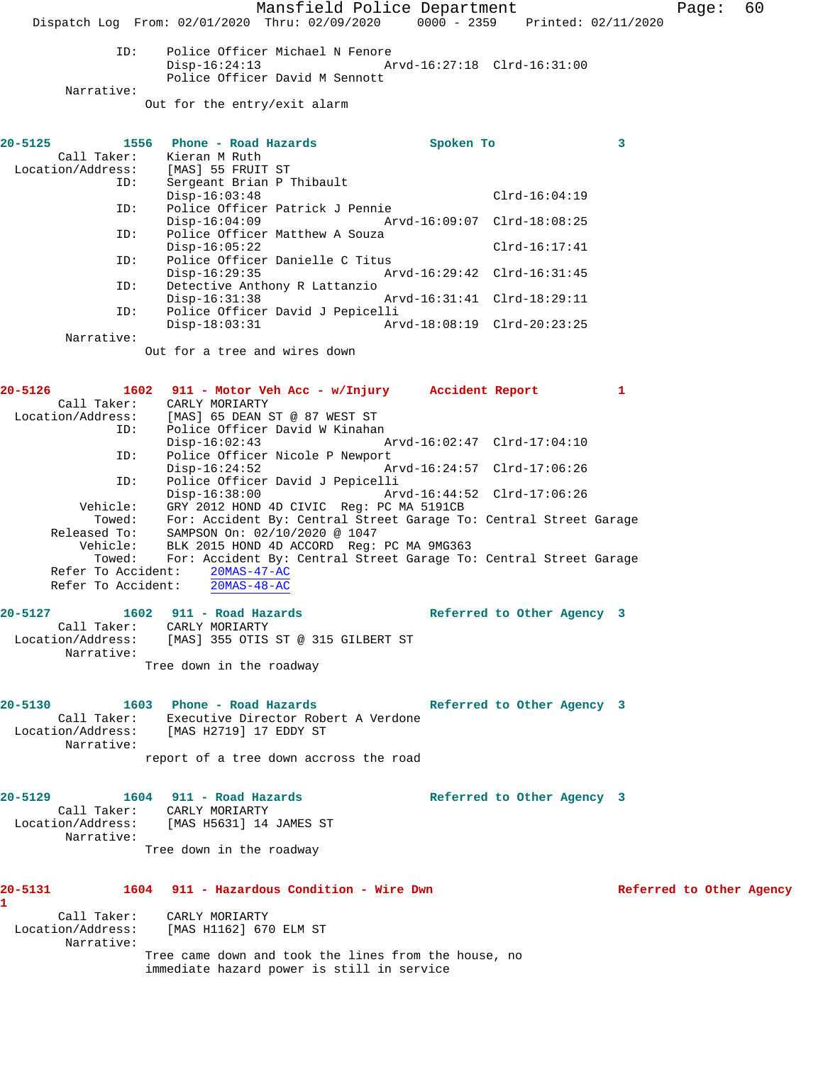Mansfield Police Department Form Page: 60

Dispatch Log From: 02/01/2020 Thru: 02/09/2020 0000 - 2359 Printed: 02/11/2020

ID: Police Officer Michael N Fenore<br>Disp-16:24:13 Ar Disp-16:24:13 Arvd-16:27:18 Clrd-16:31:00 Police Officer David M Sennott

Narrative:

Out for the entry/exit alarm

| $20 - 5125$                         | 1556 Phone - Road Hazards                               | Spoken To |                 | $\overline{\mathbf{3}}$ |
|-------------------------------------|---------------------------------------------------------|-----------|-----------------|-------------------------|
|                                     | Call Taker: Kieran M Ruth                               |           |                 |                         |
|                                     |                                                         |           |                 |                         |
| Location/Address: [MAS] 55 FRUIT ST |                                                         |           |                 |                         |
| ID:                                 | Sergeant Brian P Thibault                               |           |                 |                         |
|                                     | $Disp-16:03:48$                                         |           | $Clrd-16:04:19$ |                         |
| ID:                                 | Police Officer Patrick J Pennie                         |           |                 |                         |
|                                     | Disp-16:04:09 Arvd-16:09:07 Clrd-18:08:25               |           |                 |                         |
|                                     | ID: Police Officer Matthew A Souza                      |           |                 |                         |
|                                     | $Disp-16:05:22$                                         |           | $Clrd-16:17:41$ |                         |
|                                     | ID: Police Officer Danielle C Titus                     |           |                 |                         |
|                                     | $Disp-16:29:35$                                         |           |                 |                         |
| ID:                                 | Detective Anthony R Lattanzio                           |           |                 |                         |
|                                     | $Disp-16:31:38$                                         |           |                 |                         |
|                                     |                                                         |           |                 |                         |
|                                     | ID: Police Officer David J Pepicelli                    |           |                 |                         |
|                                     | $Disp-18:03:31$                                         |           |                 |                         |
| Narrative:                          |                                                         |           |                 |                         |
|                                     | Out for a tree and wires down                           |           |                 |                         |
|                                     |                                                         |           |                 |                         |
|                                     |                                                         |           |                 |                         |
| $20 - 5126$                         | 1602 911 - Motor Veh Acc - w/Injury     Accident Report |           |                 | 1                       |
|                                     | Call Taker: CARLY MORIARTY                              |           |                 |                         |
|                                     | Location/Address: [MAS] 65 DEAN ST @ 87 WEST ST         |           |                 |                         |
| ID:                                 | Police Officer David W Kinahan                          |           |                 |                         |

 Disp-16:02:43 Arvd-16:02:47 Clrd-17:04:10 ID: Police Officer Nicole P Newport<br>Disp-16:24:52 Ar Disp-16:24:52 Arvd-16:24:57 Clrd-17:06:26<br>ID: Police Officer David J Pepicelli ID: Police Officer David J Pepicelli Disp-16:38:00 Arvd-16:44:52 Clrd-17:06:26 Vehicle: GRY 2012 HOND 4D CIVIC Reg: PC MA 5191CB Towed: For: Accident By: Central Street Garage To: Central Street Garage Released To: SAMPSON On: 02/10/2020 @ 1047 Vehicle: BLK 2015 HOND 4D ACCORD Reg: PC MA 9MG363 Towed: For: Accident By: Central Street Garage To: Central Street Garage Refer To Accident: 20MAS-47-AC Refer To Accident: 20MAS-48-AC

**20-5127 1602 911 - Road Hazards Referred to Other Agency 3**  Call Taker: CARLY MORIARTY Location/Address: [MAS] 355 OTIS ST @ 315 GILBERT ST Narrative: Tree down in the roadway

**20-5130 1603 Phone - Road Hazards Referred to Other Agency 3**  Call Taker: Executive Director Robert A Verdone<br>Location/Address: [MAS H2719] 17 EDDY ST [MAS H2719] 17 EDDY ST Narrative: report of a tree down accross the road

**20-5129 1604 911 - Road Hazards Referred to Other Agency 3**  Call Taker: CARLY MORIARTY<br>Location/Address: [MAS H5631] 14 [MAS H5631] 14 JAMES ST Narrative: Tree down in the roadway

## **20-5131 1604 911 - Hazardous Condition - Wire Dwn Referred to Other Agency 1**  Call Taker: CARLY MORIARTY<br>Location/Address: [MAS H1162] 670 [MAS H1162] 670 ELM ST

 Narrative: Tree came down and took the lines from the house, no immediate hazard power is still in service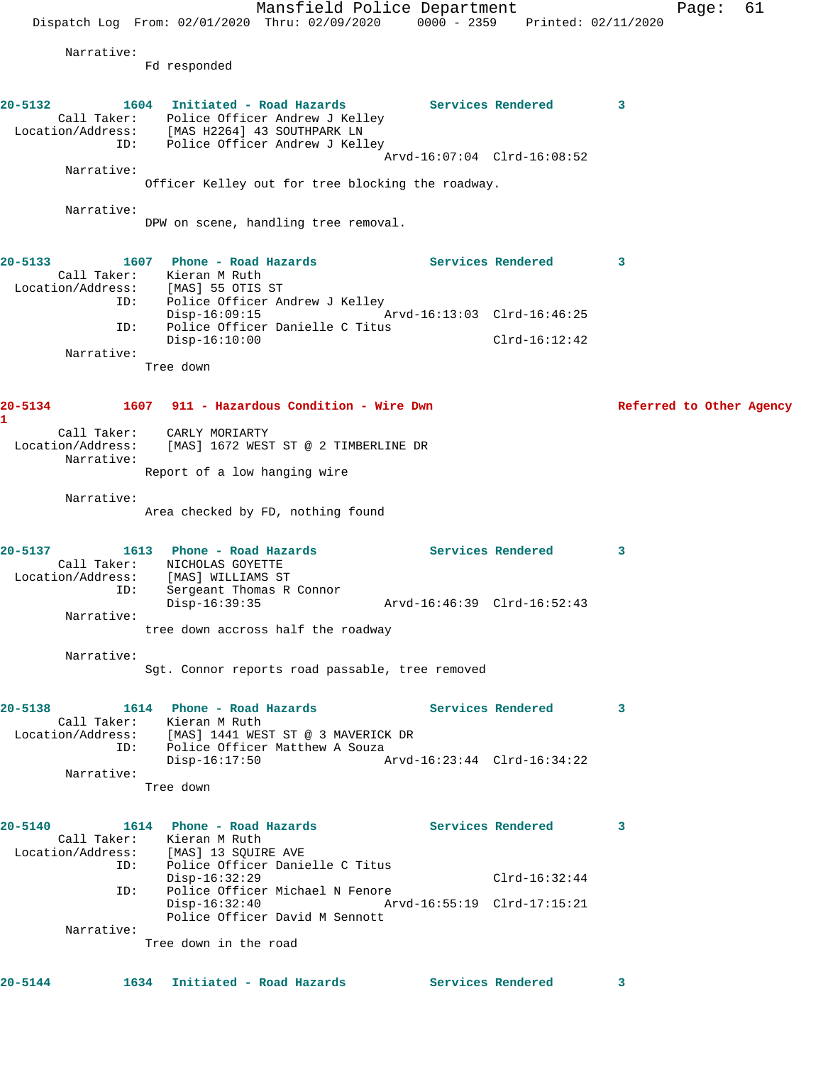Mansfield Police Department Fage: 61 Dispatch Log From:  $02/01/2020$  Thru:  $02/09/2020$  0000 - 2359 Printed:  $02/11/2020$  Narrative: Fd responded **20-5132 1604 Initiated - Road Hazards Services Rendered 3**  Call Taker: Police Officer Andrew J Kelley Location/Address: [MAS H2264] 43 SOUTHPARK LN ID: Police Officer Andrew J Kelley Arvd-16:07:04 Clrd-16:08:52 Narrative: Officer Kelley out for tree blocking the roadway. Narrative: DPW on scene, handling tree removal. **20-5133 1607 Phone - Road Hazards Services Rendered 3**  Call Taker: Kieran M Ruth Location/Address: [MAS] 55 OTIS ST ID: Police Officer Andrew J Kelley Disp-16:09:15 Arvd-16:13:03 Clrd-16:46:25 ID: Police Officer Danielle C Titus Disp-16:10:00 Clrd-16:12:42 Narrative: Tree down **20-5134 1607 911 - Hazardous Condition - Wire Dwn Referred to Other Agency 1**  Call Taker: CARLY MORIARTY Location/Address: [MAS] 1672 WEST ST @ 2 TIMBERLINE DR Narrative: Report of a low hanging wire Narrative: Area checked by FD, nothing found **20-5137 1613 Phone - Road Hazards Services Rendered 3**  Call Taker: NICHOLAS GOYETTE Location/Address: [MAS] WILLIAMS ST ID: Sergeant Thomas R Connor Disp-16:39:35 Arvd-16:46:39 Clrd-16:52:43 Narrative: tree down accross half the roadway Narrative: Sgt. Connor reports road passable, tree removed **20-5138 1614 Phone - Road Hazards Services Rendered 3**  Call Taker: Kieran M Ruth Location/Address: [MAS] 1441 WEST ST @ 3 MAVERICK DR ID: Police Officer Matthew A Souza<br>Disp-16:17:50 A Disp-16:17:50 Arvd-16:23:44 Clrd-16:34:22 Narrative: Tree down 20-5140 1614 Phone - Road Hazards **Services Rendered** 3 Call Taker: Kieran M Ruth Location/Address: [MAS] 13 SQUIRE AVE ID: Police Officer Danielle C Titus Disp-16:32:29 Clrd-16:32:44 ID: Police Officer Michael N Fenore Disp-16:32:40 Arvd-16:55:19 Clrd-17:15:21 Police Officer David M Sennott Narrative: Tree down in the road **20-5144 1634 Initiated - Road Hazards Services Rendered 3**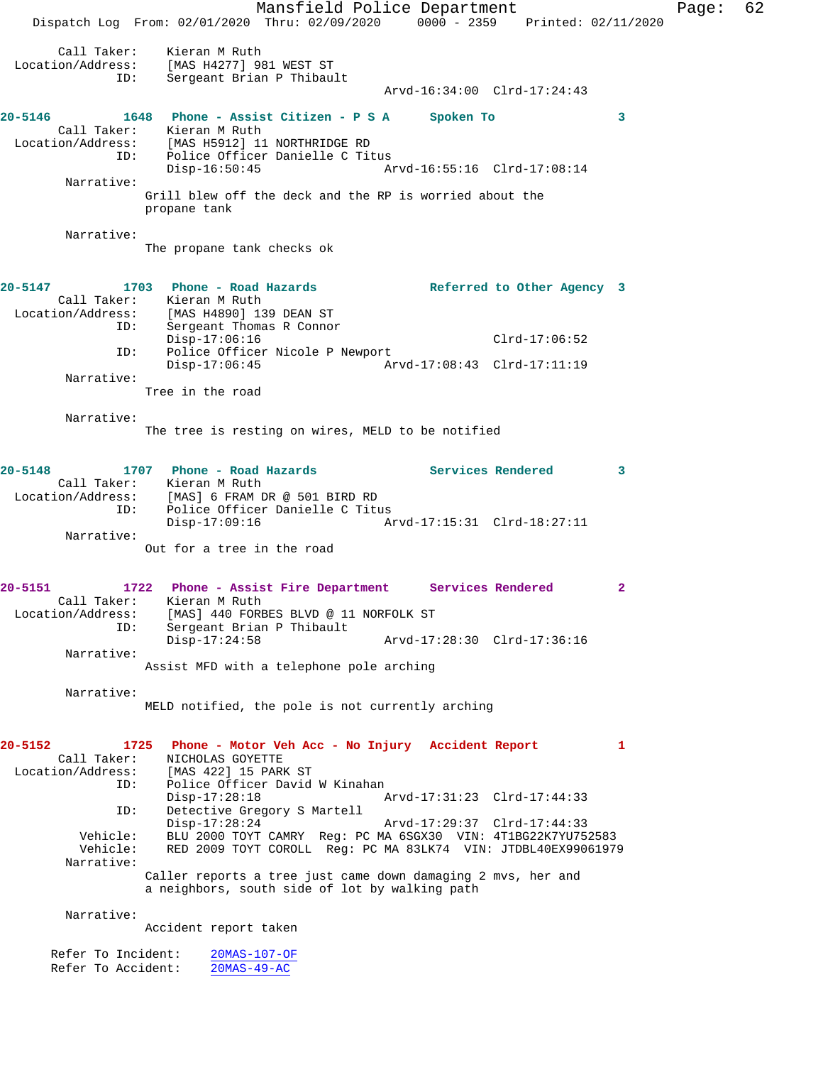Mansfield Police Department Fage: 62 Dispatch Log From: 02/01/2020 Thru: 02/09/2020 0000 - 2359 Printed: 02/11/2020 Call Taker: Kieran M Ruth Location/Address: [MAS H4277] 981 WEST ST ID: Sergeant Brian P Thibault Arvd-16:34:00 Clrd-17:24:43 **20-5146 1648 Phone - Assist Citizen - P S A Spoken To 3**  Call Taker: Kieran M Ruth Location/Address: [MAS H5912] 11 NORTHRIDGE RD ID: Police Officer Danielle C Titus Disp-16:50:45 Arvd-16:55:16 Clrd-17:08:14 Narrative: Grill blew off the deck and the RP is worried about the propane tank Narrative: The propane tank checks ok **20-5147 1703 Phone - Road Hazards Referred to Other Agency 3**  Call Taker: Kieran M Ruth Location/Address: [MAS H4890] 139 DEAN ST Sergeant Thomas R Connor Disp-17:06:16<br>Disp-17:06:16 Clrd-17:06:52 ID: Police Officer Nicole P Newport<br>Disp-17:06:45 Arv Disp-17:06:45 Arvd-17:08:43 Clrd-17:11:19 Narrative: Tree in the road Narrative: The tree is resting on wires, MELD to be notified **20-5148 1707 Phone - Road Hazards Services Rendered 3**  Call Taker: Kieran M Ruth<br>Location/Address: [MAS] 6 FRAM DR @ 501 BIRD RD Location/Address: [MAS] 6 FRAM DR @ 501 BIRD RD ID: Police Officer Danielle C Titus Disp-17:09:16 Arvd-17:15:31 Clrd-18:27:11 Narrative: Out for a tree in the road **20-5151 1722 Phone - Assist Fire Department Services Rendered 2**  Call Taker: Kieran M Ruth Location/Address: [MAS] 440 FORBES BLVD @ 11 NORFOLK ST ID: Sergeant Brian P Thibault Disp-17:24:58 Arvd-17:28:30 Clrd-17:36:16 Narrative: Assist MFD with a telephone pole arching Narrative: MELD notified, the pole is not currently arching **20-5152 1725 Phone - Motor Veh Acc - No Injury Accident Report 1**  Call Taker: NICHOLAS GOYETTE Location/Address: [MAS 422] 15 PARK ST ID: Police Officer David W Kinahan<br>Disp-17:28:18 Disp-17:28:18 Arvd-17:31:23 Clrd-17:44:33 ID: Detective Gregory S Martell Disp-17:28:24 Arvd-17:29:37 Clrd-17:44:33<br>Vehicle: BLU 2000 TOYT CAMRY Reg: PC MA 6SGX30 VIN: 4T1BG22K7YU75 BLU 2000 TOYT CAMRY Reg: PC MA 6SGX30 VIN: 4T1BG22K7YU752583 Vehicle: RED 2009 TOYT COROLL Reg: PC MA 83LK74 VIN: JTDBL40EX99061979 Narrative: Caller reports a tree just came down damaging 2 mvs, her and a neighbors, south side of lot by walking path Narrative: Accident report taken Refer To Incident: 20MAS-107-OF Refer To Accident: 20MAS-49-AC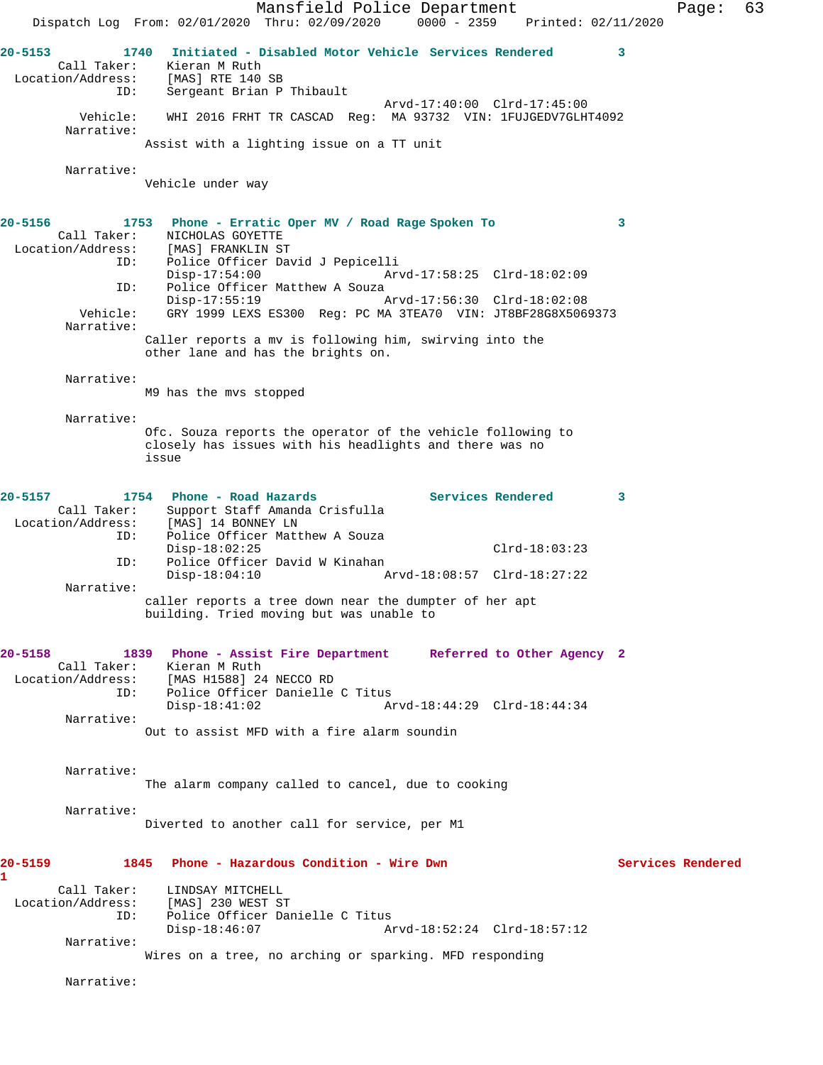Mansfield Police Department Fage: 63 Dispatch Log From: 02/01/2020 Thru: 02/09/2020 0000 - 2359 Printed: 02/11/2020 **20-5153 1740 Initiated - Disabled Motor Vehicle Services Rendered 3**  Call Taker: Kieran M Ruth Location/Address: [MAS] RTE 140 SB ID: Sergeant Brian P Thibault Arvd-17:40:00 Clrd-17:45:00 Vehicle: WHI 2016 FRHT TR CASCAD Reg: MA 93732 VIN: 1FUJGEDV7GLHT4092 Narrative: Assist with a lighting issue on a TT unit Narrative: Vehicle under way **20-5156 1753 Phone - Erratic Oper MV / Road Rage Spoken To 3**  Call Taker: <br>
MICHOLAS GOYETTE<br>
Location/Address: [MAS] FRANKLIN ST [MAS] FRANKLIN ST ID: Police Officer David J Pepicelli Disp-17:54:00 Arvd-17:58:25 Clrd-18:02:09 ID: Police Officer Matthew A Souza<br>Disp-17:55:19 Disp-17:55:19 Arvd-17:56:30 Clrd-18:02:08 Vehicle: GRY 1999 LEXS ES300 Reg: PC MA 3TEA70 VIN: JT8BF28G8X5069373 Narrative: Caller reports a mv is following him, swirving into the other lane and has the brights on. Narrative: M9 has the mvs stopped Narrative: Ofc. Souza reports the operator of the vehicle following to closely has issues with his headlights and there was no issue 20-5157 1754 Phone - Road Hazards **Services Rendered** 3 Call Taker: Support Staff Amanda Crisfulla Location/Address: [MAS] 14 BONNEY LN ID: Police Officer Matthew A Souza Disp-18:02:25 Clrd-18:03:23 ID: Police Officer David W Kinahan Disp-18:04:10 Arvd-18:08:57 Clrd-18:27:22 Narrative: caller reports a tree down near the dumpter of her apt building. Tried moving but was unable to **20-5158 1839 Phone - Assist Fire Department Referred to Other Agency 2**  Call Taker: Kieran M Ruth Location/Address: [MAS H1588] 24 NECCO RD ID: Police Officer Danielle C Titus Disp-18:41:02 Arvd-18:44:29 Clrd-18:44:34 Narrative: Out to assist MFD with a fire alarm soundin Narrative: The alarm company called to cancel, due to cooking Narrative: Diverted to another call for service, per M1 **20-5159 1845 Phone - Hazardous Condition - Wire Dwn Services Rendered 1**  Call Taker: LINDSAY MITCHELL Location/Address: [MAS] 230 WEST ST<br>ID: Police Officer Dan Police Officer Danielle C Titus<br>Disp-18:46:07 A Arvd-18:52:24 Clrd-18:57:12 Narrative: Wires on a tree, no arching or sparking. MFD responding Narrative: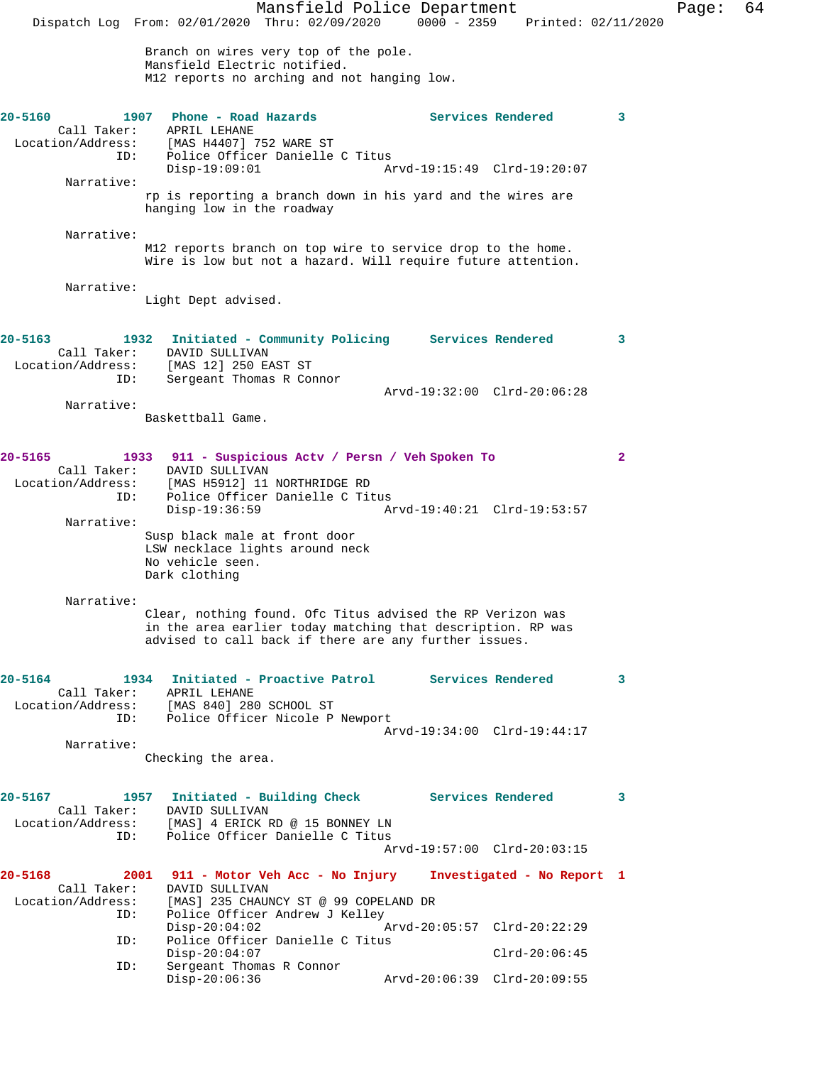Mansfield Police Department Fage: 64 Dispatch Log From: 02/01/2020 Thru: 02/09/2020 0000 - 2359 Printed: 02/11/2020 Branch on wires very top of the pole. Mansfield Electric notified. M12 reports no arching and not hanging low. **20-5160 1907 Phone - Road Hazards Services Rendered 3**  Call Taker: APRIL LEHANE Location/Address: [MAS H4407] 752 WARE ST<br>ID: Police Officer Danielle Police Officer Danielle C Titus Disp-19:09:01 Arvd-19:15:49 Clrd-19:20:07 Narrative: rp is reporting a branch down in his yard and the wires are hanging low in the roadway Narrative: M12 reports branch on top wire to service drop to the home. Wire is low but not a hazard. Will require future attention. Narrative: Light Dept advised. **20-5163 1932 Initiated - Community Policing Services Rendered 3**  Call Taker: DAVID SULLIVAN Location/Address: [MAS 12] 250 EAST ST ID: Sergeant Thomas R Connor Arvd-19:32:00 Clrd-20:06:28 Narrative: Baskettball Game. **20-5165 1933 911 - Suspicious Actv / Persn / Veh Spoken To 2**  Call Taker: DAVID SULLIVAN Location/Address: [MAS H5912] 11 NORTHRIDGE RD<br>ID: Police Officer Danielle C Ti ID: Police Officer Danielle C Titus Disp-19:36:59 Arvd-19:40:21 Clrd-19:53:57 Narrative: Susp black male at front door LSW necklace lights around neck No vehicle seen. Dark clothing Narrative: Clear, nothing found. Ofc Titus advised the RP Verizon was in the area earlier today matching that description. RP was advised to call back if there are any further issues. **20-5164 1934 Initiated - Proactive Patrol Services Rendered 3**  Call Taker: APRIL LEHANE Location/Address: [MAS 840] 280 SCHOOL ST ID: Police Officer Nicole P Newport Arvd-19:34:00 Clrd-19:44:17 Narrative: Checking the area. **20-5167 1957 Initiated - Building Check Services Rendered 3**  Call Taker: DAVID SULLIVAN<br>Location/Address: [MAS] 4 ERICK I ess: [MAS] 4 ERICK RD @ 15 BONNEY LN<br>ID: Police Officer Danielle C Titus Police Officer Danielle C Titus Arvd-19:57:00 Clrd-20:03:15 **20-5168 2001 911 - Motor Veh Acc - No Injury Investigated - No Report 1**  Call Taker: DAVID SULLIVAN<br>Location/Address: [MAS] 235 CHAUI Ess: [MAS] 235 CHAUNCY ST @ 99 COPELAND DR<br>ID: Police Officer Andrew J Kelley Police Officer Andrew J Kelley<br>Disp-20:04:02 *i* Disp-20:04:02 Arvd-20:05:57 Clrd-20:22:29<br>ID: Police Officer Danielle C Titus Police Officer Danielle C Titus Disp-20:04:07 Clrd-20:06:45<br>ID: Sergeant Thomas R Connor Sergeant Thomas R Connor<br>Disp-20:06:36 Disp-20:06:36 Arvd-20:06:39 Clrd-20:09:55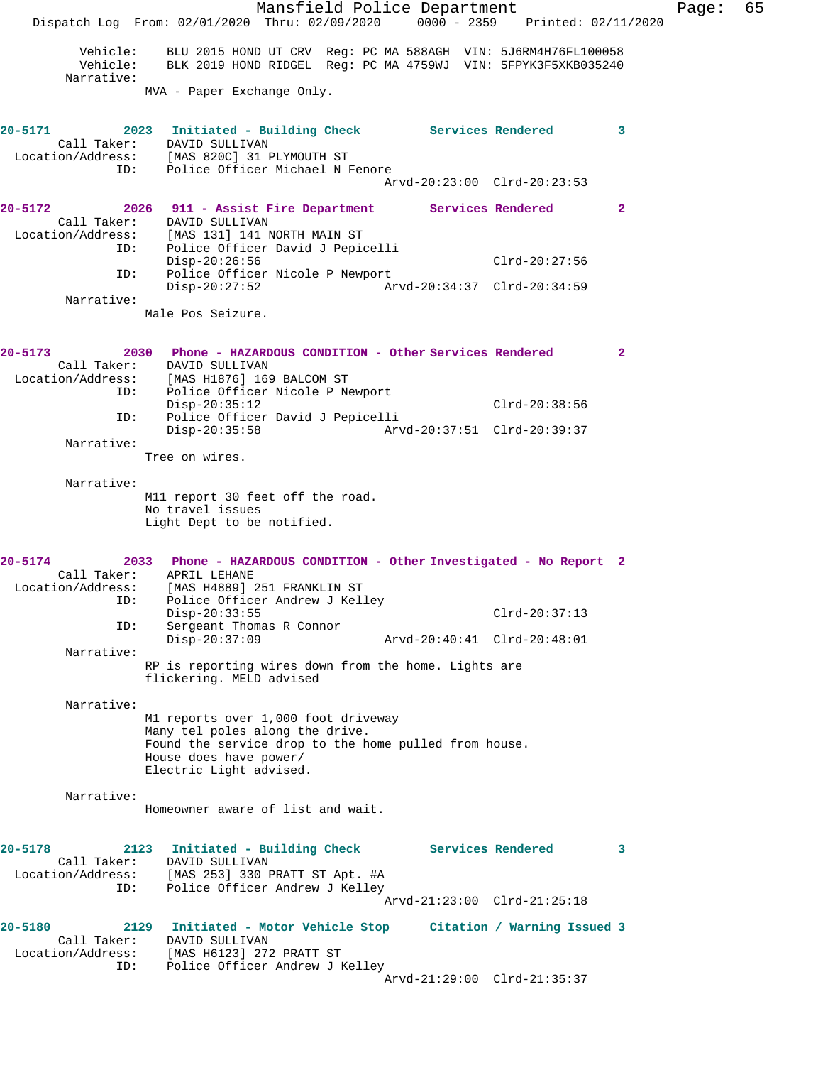|                                                        | Mansfield Police Department<br>Dispatch Log From: 02/01/2020 Thru: 02/09/2020 0000 - 2359 Printed: 02/11/2020                                                                            | Page: | 65 |
|--------------------------------------------------------|------------------------------------------------------------------------------------------------------------------------------------------------------------------------------------------|-------|----|
| Vehicle:<br>Narrative:                                 | BLU 2015 HOND UT CRV Reg: PC MA 588AGH VIN: 5J6RM4H76FL100058<br>Vehicle: BLK 2019 HOND RIDGEL Reg: PC MA 4759WJ VIN: 5FPYK3F5XKB035240                                                  |       |    |
|                                                        | MVA - Paper Exchange Only.                                                                                                                                                               |       |    |
| 20-5171<br>ID:                                         | 2023 Initiated - Building Check Services Rendered<br>$\sim$ 3<br>Call Taker: DAVID SULLIVAN<br>Location/Address: [MAS 820C] 31 PLYMOUTH ST<br>Police Officer Michael N Fenore            |       |    |
|                                                        | Arvd-20:23:00 Clrd-20:23:53                                                                                                                                                              |       |    |
| 20-5172                                                | 2026 911 - Assist Fire Department Services Rendered<br>$\mathbf{2}$<br>Call Taker: DAVID SULLIVAN<br>Location/Address: [MAS 131] 141 NORTH MAIN ST<br>ID: Police Officer David J Pepio   |       |    |
| ID:                                                    | Police Officer David J Pepicelli<br>$Clrd-20:27:56$<br>Disp-20:26:56<br>Police Officer Nicole P Newport                                                                                  |       |    |
| Narrative:                                             | $Disp-20:27:52$<br>Arvd-20:34:37 Clrd-20:34:59                                                                                                                                           |       |    |
|                                                        | Male Pos Seizure.                                                                                                                                                                        |       |    |
| 20-5173                                                | 2030 Phone - HAZARDOUS CONDITION - Other Services Rendered<br>$\overline{\phantom{a}}$ 2<br>Call Taker: DAVID SULLIVAN<br>Location/Address: [MAS H1876] 169 BALCOM ST                    |       |    |
| ID:                                                    | Police Officer Nicole P Newport<br>$Disp-20:35:12$<br>$Clrd-20:38:56$<br>Police Officer David J Pepicelli                                                                                |       |    |
| ID:<br>Narrative:                                      | $Disp-20:35:58$<br>Arvd-20:37:51 Clrd-20:39:37                                                                                                                                           |       |    |
|                                                        | Tree on wires.                                                                                                                                                                           |       |    |
| Narrative:                                             | M11 report 30 feet off the road.<br>No travel issues<br>Light Dept to be notified.                                                                                                       |       |    |
| $20 - 5174$<br>Call Taker:                             | 2033 Phone - HAZARDOUS CONDITION - Other Investigated - No Report 2<br>APRIL LEHANE                                                                                                      |       |    |
| ID:                                                    | Location/Address: [MAS H4889] 251 FRANKLIN ST<br>Police Officer Andrew J Kelley<br>$Disp-20:33:55$<br>$Clrd-20:37:13$                                                                    |       |    |
| ID:                                                    | Sergeant Thomas R Connor<br>$Disp-20:37:09$<br>Arvd-20:40:41 Clrd-20:48:01                                                                                                               |       |    |
| Narrative:                                             | RP is reporting wires down from the home. Lights are<br>flickering. MELD advised                                                                                                         |       |    |
| Narrative:                                             |                                                                                                                                                                                          |       |    |
|                                                        | M1 reports over 1,000 foot driveway<br>Many tel poles along the drive.<br>Found the service drop to the home pulled from house.<br>House does have power/<br>Electric Light advised.     |       |    |
| Narrative:                                             | Homeowner aware of list and wait.                                                                                                                                                        |       |    |
| $20 - 5178$<br>Call Taker:<br>Location/Address:<br>ID: | <b>Services Rendered</b><br>2123<br>Initiated - Building Check<br>3<br>DAVID SULLIVAN<br>[MAS 253] 330 PRATT ST Apt. #A<br>Police Officer Andrew J Kelley<br>Arvd-21:23:00 Clrd-21:25:18 |       |    |
| 20-5180<br>Call Taker:<br>Location/Address:            | 2129 Initiated - Motor Vehicle Stop Citation / Warning Issued 3<br>DAVID SULLIVAN<br>[MAS H6123] 272 PRATT ST                                                                            |       |    |
| ID:                                                    | Police Officer Andrew J Kelley<br>Arvd-21:29:00 Clrd-21:35:37                                                                                                                            |       |    |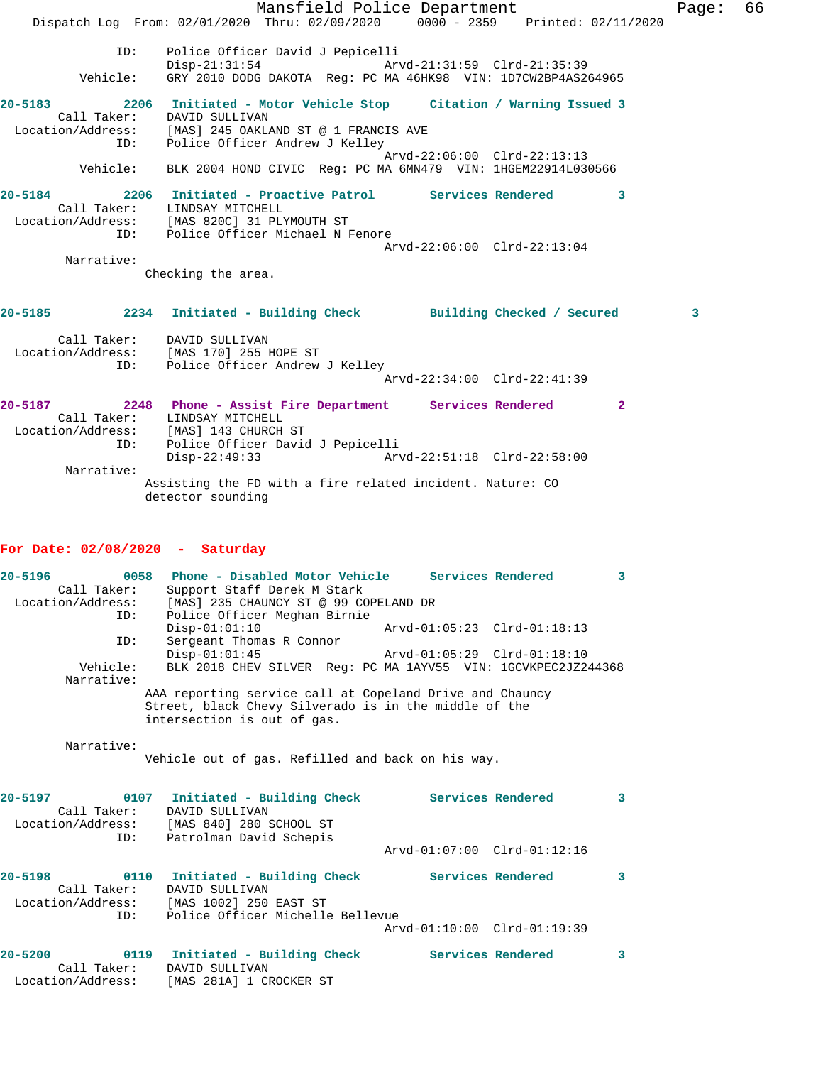Mansfield Police Department The Page: 66 Dispatch Log From: 02/01/2020 Thru: 02/09/2020 0000 - 2359 Printed: 02/11/2020 ID: Police Officer David J Pepicelli<br>Disp-21:31:54 Arv Disp-21:31:54 Arvd-21:31:59 Clrd-21:35:39<br>Vehicle: GRY 2010 DODG DAKOTA Reg: PC MA 46HK98 VIN: 1D7CW2BP4AS2 GRY 2010 DODG DAKOTA Reg: PC MA 46HK98 VIN: 1D7CW2BP4AS264965 **20-5183 2206 Initiated - Motor Vehicle Stop Citation / Warning Issued 3**  Call Taker: DAVID SULLIVAN<br>Location/Address: [MAS] 245 OAKL [MAS] 245 OAKLAND ST @ 1 FRANCIS AVE ID: Police Officer Andrew J Kelley Arvd-22:06:00 Clrd-22:13:13 Vehicle: BLK 2004 HOND CIVIC Reg: PC MA 6MN479 VIN: 1HGEM22914L030566 **20-5184 2206 Initiated - Proactive Patrol Services Rendered 3**  Call Taker: LINDSAY MITCHELL Location/Address: [MAS 820C] 31 PLYMOUTH ST ID: Police Officer Michael N Fenore Arvd-22:06:00 Clrd-22:13:04 Narrative: Checking the area. **20-5185 2234 Initiated - Building Check Building Checked / Secured 3** Call Taker: DAVID SULLIVAN Location/Address: [MAS 170] 255 HOPE ST ID: Police Officer Andrew J Kelley Arvd-22:34:00 Clrd-22:41:39 **20-5187 2248 Phone - Assist Fire Department Services Rendered 2**  Call Taker: LINDSAY MITCHELL Location/Address: [MAS] 143 CHURCH ST ID: Police Officer David J Pepicelli Disp-22:49:33 Arvd-22:51:18 Clrd-22:58:00 Narrative: Assisting the FD with a fire related incident. Nature: CO detector sounding

## **For Date: 02/08/2020 - Saturday**

**20-5196 0058 Phone - Disabled Motor Vehicle Services Rendered 3**  Call Taker: Support Staff Derek M Stark Location/Address: [MAS] 235 CHAUNCY ST @ 99 COPELAND DR ID: Police Officer Meghan Birnie Disp-01:01:10 Arvd-01:05:23 Clrd-01:18:13<br>ID: Sergeant Thomas R Connor Sergeant Thomas R Connor<br>Disp-01:01:45 Disp-01:01:45 Arvd-01:05:29 Clrd-01:18:10<br>Vehicle: BLK 2018 CHEV SILVER Req: PC MA 1AYV55 VIN: 1GCVKPEC2JZ2 BLK 2018 CHEV SILVER Reg: PC MA 1AYV55 VIN: 1GCVKPEC2JZ244368 Narrative: AAA reporting service call at Copeland Drive and Chauncy Street, black Chevy Silverado is in the middle of the intersection is out of gas. Narrative: Vehicle out of gas. Refilled and back on his way. **20-5197 0107 Initiated - Building Check Services Rendered 3**  Call Taker: DAVID SULLIVAN<br>:ion/Address: [MAS 840] 280 SCHOOL ST Cail 1....<br>Location/Address:<br>ID: Patrolman David Schepis Arvd-01:07:00 Clrd-01:12:16 **20-5198 0110 Initiated - Building Check Services Rendered 3**  Call Taker: DAVID SULLIVAN Location/Address: [MAS 1002] 250 EAST ST ID: Police Officer Michelle Bellevue

Arvd-01:10:00 Clrd-01:19:39

| $20 - 5200$ |                   | 0119 Initiated - Building Check | Services Rendered |  |
|-------------|-------------------|---------------------------------|-------------------|--|
|             | Call Taker:       | DAVID SULLIVAN                  |                   |  |
|             | Location/Address: | [MAS 281A] 1 CROCKER ST         |                   |  |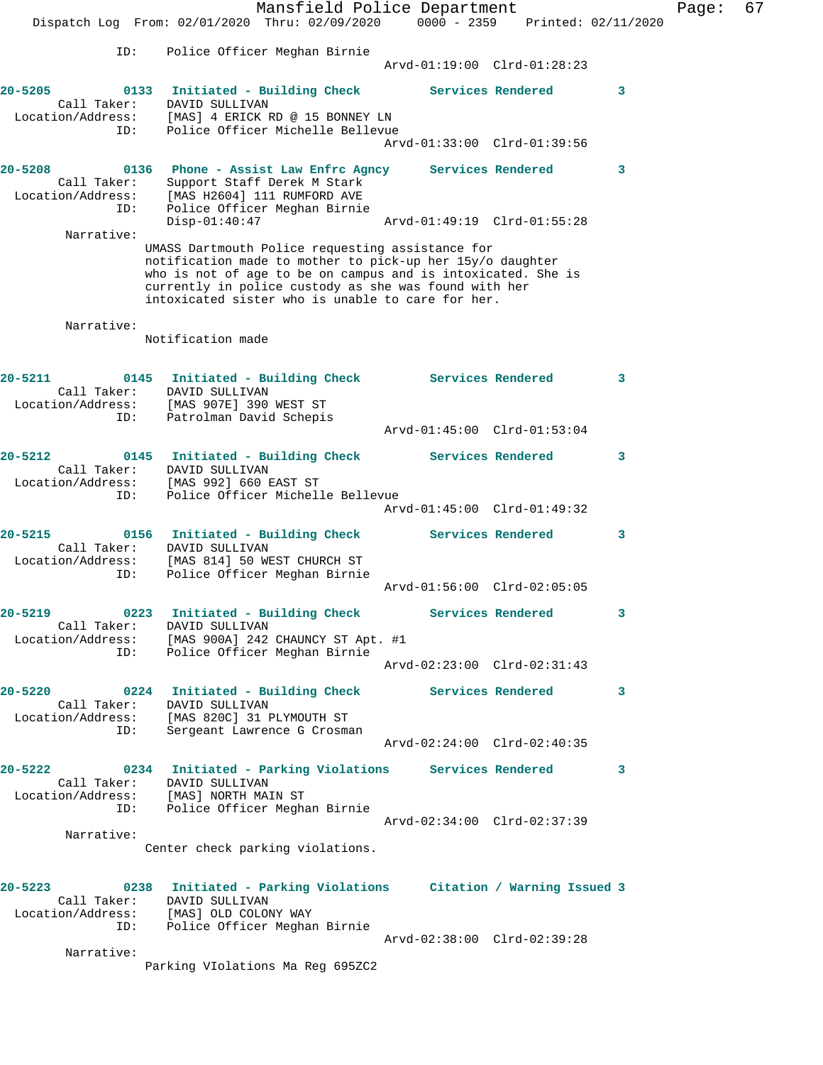Mansfield Police Department Fage: 67 Dispatch Log From: 02/01/2020 Thru: 02/09/2020 0000 - 2359 Printed: 02/11/2020 ID: Police Officer Meghan Birnie Arvd-01:19:00 Clrd-01:28:23 **20-5205 0133 Initiated - Building Check Services Rendered 3**  Call Taker: DAVID SULLIVAN Location/Address: [MAS] 4 ERICK RD @ 15 BONNEY LN ID: Police Officer Michelle Bellevue Arvd-01:33:00 Clrd-01:39:56 **20-5208 0136 Phone - Assist Law Enfrc Agncy Services Rendered 3**  Call Taker: Support Staff Derek M Stark Location/Address: [MAS H2604] 111 RUMFORD AVE ID: Police Officer Meghan Birnie Disp-01:40:47 Arvd-01:49:19 Clrd-01:55:28 Narrative: UMASS Dartmouth Police requesting assistance for notification made to mother to pick-up her 15y/o daughter who is not of age to be on campus and is intoxicated. She is currently in police custody as she was found with her intoxicated sister who is unable to care for her. Narrative: Notification made **20-5211 0145 Initiated - Building Check Services Rendered 3**  Call Taker: DAVID SULLIVAN Location/Address: [MAS 907E] 390 WEST ST ID: Patrolman David Schepis Arvd-01:45:00 Clrd-01:53:04 **20-5212 0145 Initiated - Building Check Services Rendered 3**  Call Taker: DAVID SULLIVAN Location/Address: [MAS 992] 660 EAST ST ID: Police Officer Michelle Bellevue Arvd-01:45:00 Clrd-01:49:32 **20-5215 0156 Initiated - Building Check Services Rendered 3**  Call Taker: DAVID SULLIVAN Location/Address: [MAS 814] 50 WEST CHURCH ST ID: Police Officer Meghan Birnie Arvd-01:56:00 Clrd-02:05:05 **20-5219 0223 Initiated - Building Check Services Rendered 3**  Call Taker: DAVID SULLIVAN Location/Address: [MAS 900A] 242 CHAUNCY ST Apt. #1 ID: Police Officer Meghan Birnie Arvd-02:23:00 Clrd-02:31:43 **20-5220 0224 Initiated - Building Check Services Rendered 3**  Call Taker: DAVID SULLIVAN Location/Address: [MAS 820C] 31 PLYMOUTH ST ID: Sergeant Lawrence G Crosman Arvd-02:24:00 Clrd-02:40:35 **20-5222 0234 Initiated - Parking Violations Services Rendered 3**  Call Taker: DAVID SULLIVAN Location/Address: [MAS] NORTH MAIN ST ID: Police Officer Meghan Birnie Arvd-02:34:00 Clrd-02:37:39 Narrative: Center check parking violations. **20-5223 0238 Initiated - Parking Violations Citation / Warning Issued 3**  Call Taker: DAVID SULLIVAN Location/Address: [MAS] OLD COLONY WAY ID: Police Officer Meghan Birnie Arvd-02:38:00 Clrd-02:39:28 Narrative: Parking VIolations Ma Reg 695ZC2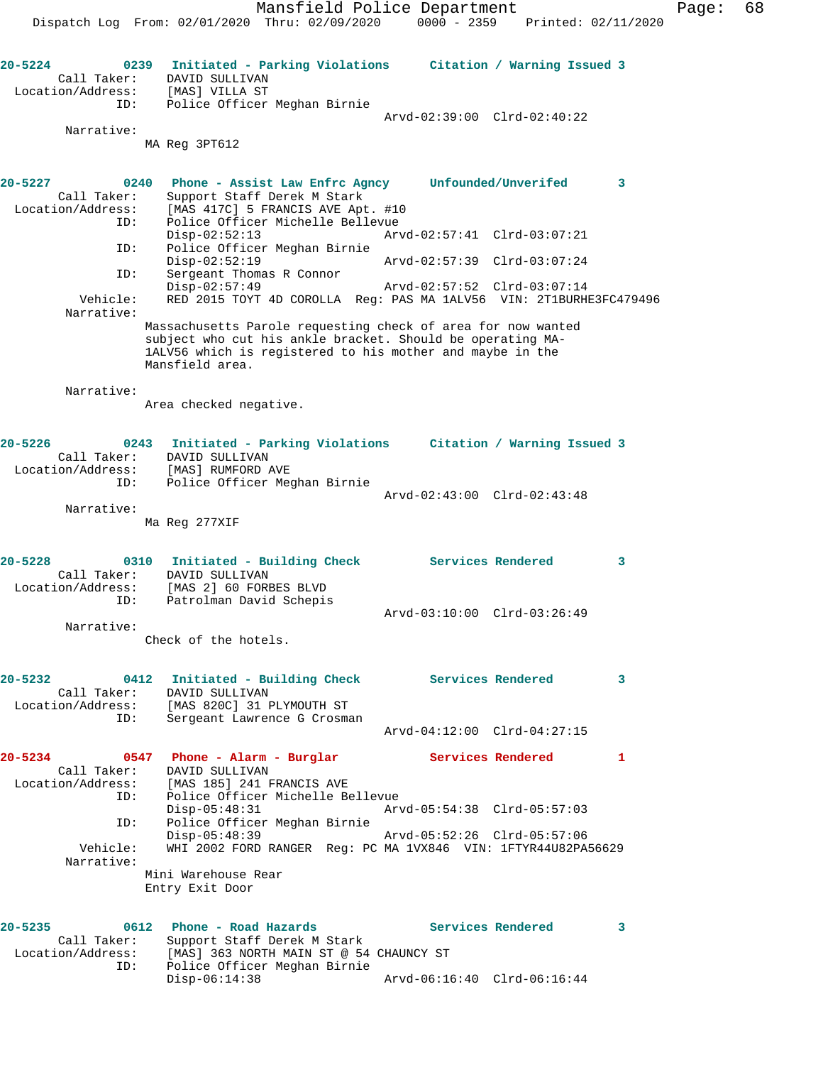**20-5224 0239 Initiated - Parking Violations Citation / Warning Issued 3**  Call Taker: DAVID SULLIVAN Location/Address: [MAS] VILLA ST

Arvd-02:39:00 Clrd-02:40:22

 Narrative: MA Reg 3PT612

ID: Police Officer Meghan Birnie

| 20-5227<br>Call Taker:<br>Location/Address:     | 0240<br>ID: | Phone - Assist Law Enfrc Agncy Unfounded/Unverifed<br>Support Staff Derek M Stark<br>[MAS 417C] 5 FRANCIS AVE Apt. #10<br>Police Officer Michelle Bellevue                                                 |  |                             | 3 |
|-------------------------------------------------|-------------|------------------------------------------------------------------------------------------------------------------------------------------------------------------------------------------------------------|--|-----------------------------|---|
|                                                 | ID:         | $Disp-02:52:13$                                                                                                                                                                                            |  | Arvd-02:57:41 Clrd-03:07:21 |   |
|                                                 | ID:         | Police Officer Meghan Birnie<br>$Disp-02:52:19$<br>Sergeant Thomas R Connor                                                                                                                                |  | Arvd-02:57:39 Clrd-03:07:24 |   |
| Vehicle:                                        |             | $Disp-02:57:49$<br>RED 2015 TOYT 4D COROLLA Req: PAS MA 1ALV56 VIN: 2T1BURHE3FC479496                                                                                                                      |  | Arvd-02:57:52 Clrd-03:07:14 |   |
| Narrative:                                      |             | Massachusetts Parole requesting check of area for now wanted<br>subject who cut his ankle bracket. Should be operating MA-<br>1ALV56 which is registered to his mother and maybe in the<br>Mansfield area. |  |                             |   |
| Narrative:                                      |             | Area checked negative.                                                                                                                                                                                     |  |                             |   |
| $20 - 5226$<br>Call Taker:<br>Location/Address: | ID:         | 0243 Initiated - Parking Violations Citation / Warning Issued 3<br>DAVID SULLIVAN<br>[MAS] RUMFORD AVE<br>Police Officer Meghan Birnie                                                                     |  |                             |   |
| Narrative:                                      |             |                                                                                                                                                                                                            |  | Arvd-02:43:00 Clrd-02:43:48 |   |
|                                                 |             | Ma Reg 277XIF                                                                                                                                                                                              |  |                             |   |
| $20 - 5228$<br>Call Taker:<br>Location/Address: | ID:         | 0310 Initiated - Building Check<br>DAVID SULLIVAN<br>[MAS 2] 60 FORBES BLVD<br>Patrolman David Schepis                                                                                                     |  | <b>Services Rendered</b>    | 3 |
| Narrative:                                      |             |                                                                                                                                                                                                            |  | Arvd-03:10:00 Clrd-03:26:49 |   |
|                                                 |             | Check of the hotels.                                                                                                                                                                                       |  |                             |   |
| $20 - 5232$<br>Call Taker:                      | 0412<br>ID: | Initiated - Building Check<br>DAVID SULLIVAN<br>Location/Address: [MAS 820C] 31 PLYMOUTH ST<br>Sergeant Lawrence G Crosman                                                                                 |  | <b>Services Rendered</b>    | 3 |
|                                                 |             |                                                                                                                                                                                                            |  | Arvd-04:12:00 Clrd-04:27:15 |   |
| 20-5234<br>Call Taker:<br>Location/Address:     | 0547<br>ID: | Phone - Alarm - Burglar<br>DAVID SULLIVAN<br>[MAS 185] 241 FRANCIS AVE<br>Police Officer Michelle Bellevue                                                                                                 |  | Services Rendered           | 1 |
|                                                 | ID:         | $Disp-05:48:31$<br>Police Officer Meghan Birnie                                                                                                                                                            |  | Arvd-05:54:38 Clrd-05:57:03 |   |
| Vehicle:<br>Narrative:                          |             | Disp-05:48:39<br>WHI 2002 FORD RANGER Req: PC MA 1VX846 VIN: 1FTYR44U82PA56629<br>Mini Warehouse Rear                                                                                                      |  | Arvd-05:52:26 Clrd-05:57:06 |   |
|                                                 |             | Entry Exit Door                                                                                                                                                                                            |  |                             |   |
| 20-5235<br>Call Taker:<br>Location/Address:     | 0612<br>ID: | Phone - Road Hazards<br>Support Staff Derek M Stark<br>[MAS] 363 NORTH MAIN ST @ 54 CHAUNCY ST<br>Police Officer Meghan Birnie                                                                             |  | Services Rendered           | 3 |
|                                                 |             | Disp-06:14:38                                                                                                                                                                                              |  | Arvd-06:16:40 Clrd-06:16:44 |   |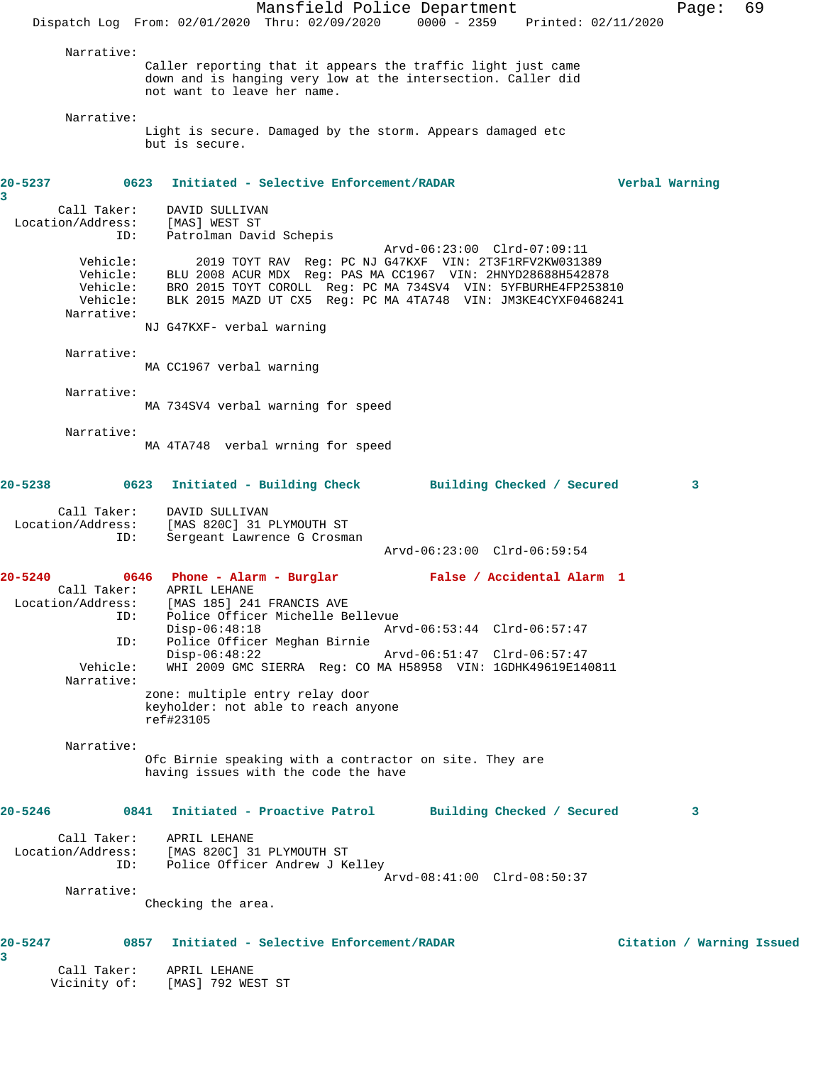Mansfield Police Department Fage: 69 Dispatch Log From: 02/01/2020 Thru: 02/09/2020 0000 - 2359 Printed: 02/11/2020 Narrative: Caller reporting that it appears the traffic light just came down and is hanging very low at the intersection. Caller did not want to leave her name. Narrative: Light is secure. Damaged by the storm. Appears damaged etc but is secure. **20-5237 0623 Initiated - Selective Enforcement/RADAR Verbal Warning 3**  Call Taker: DAVID SULLIVAN Location/Address: [MAS] WEST ST ID: Patrolman David Schepis Arvd-06:23:00 Clrd-07:09:11 Vehicle: 2019 TOYT RAV Reg: PC NJ G47KXF VIN: 2T3F1RFV2KW031389 Vehicle: BLU 2008 ACUR MDX Reg: PAS MA CC1967 VIN: 2HNYD28688H542878 Vehicle: BRO 2015 TOYT COROLL Reg: PC MA 734SV4 VIN: 5YFBURHE4FP253810 Vehicle: BLK 2015 MAZD UT CX5 Reg: PC MA 4TA748 VIN: JM3KE4CYXF0468241 Narrative: NJ G47KXF- verbal warning Narrative: MA CC1967 verbal warning Narrative: MA 734SV4 verbal warning for speed Narrative: MA 4TA748 verbal wrning for speed **20-5238 0623 Initiated - Building Check Building Checked / Secured 3** Call Taker: DAVID SULLIVAN<br>Location/Address: [MAS 820C] 31 1 [MAS 820C] 31 PLYMOUTH ST ess. Inne cert. .<br>ID: Sergeant Lawrence G Crosman Arvd-06:23:00 Clrd-06:59:54 **20-5240 0646 Phone - Alarm - Burglar False / Accidental Alarm 1**  Call Taker: APRIL LEHANE Location/Address: [MAS 185] 241 FRANCIS AVE ess: [MAS 185] 241 FRANCIS AVE<br>ID: Police Officer Michelle Bellevue Disp-06:48:18 Arvd-06:53:44 Clrd-06:57:47 ID: Police Officer Meghan Birnie Disp-06:48:22 Arvd-06:51:47 Clrd-06:57:47<br>Vehicle: WHI 2009 GMC SIERRA Req: CO MA H58958 VIN: 1GDHK49619E14 Vehicle: WHI 2009 GMC SIERRA Reg: CO MA H58958 VIN: 1GDHK49619E140811 Narrative: zone: multiple entry relay door keyholder: not able to reach anyone ref#23105 Narrative: Ofc Birnie speaking with a contractor on site. They are having issues with the code the have **20-5246 0841 Initiated - Proactive Patrol Building Checked / Secured 3** Call Taker: APRIL LEHANE Location/Address: [MAS 820C] 31 PLYMOUTH ST ID: Police Officer Andrew J Kelley Arvd-08:41:00 Clrd-08:50:37 Narrative: Checking the area. **20-5247 0857 Initiated - Selective Enforcement/RADAR Citation / Warning Issued 3**  Call Taker: APRIL LEHANE Vicinity of: [MAS] 792 WEST ST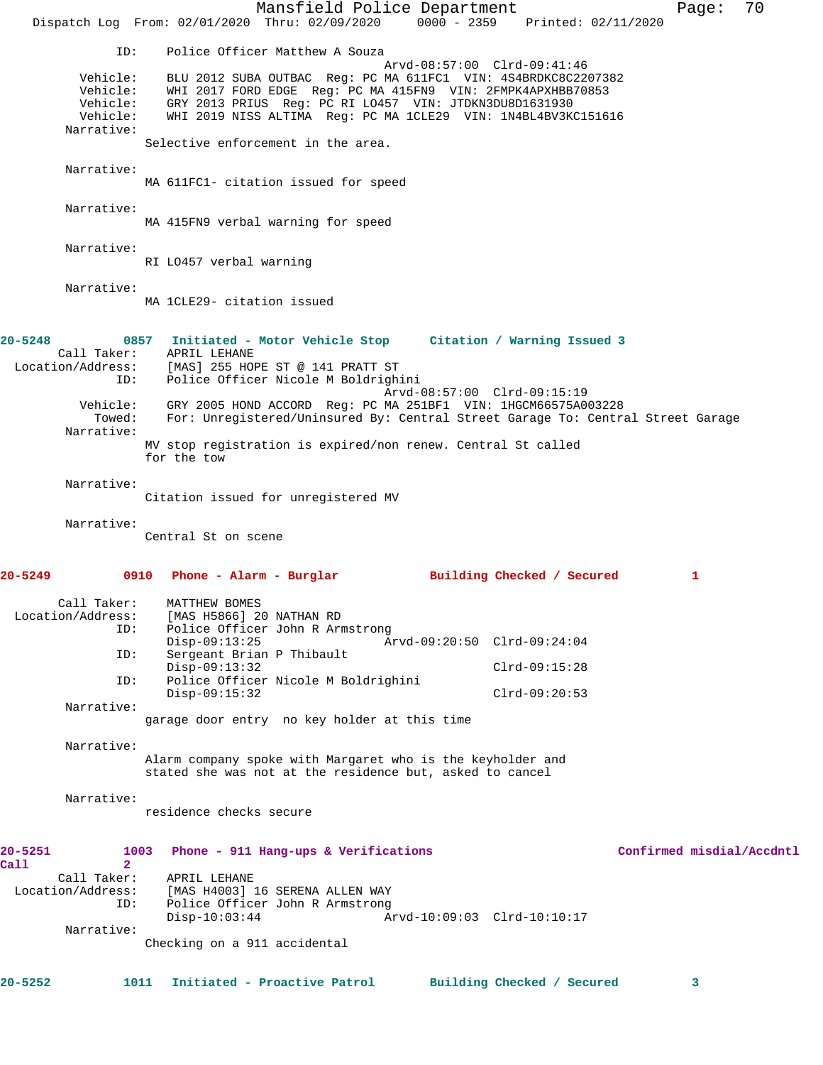Mansfield Police Department Page: 70 Dispatch Log From: 02/01/2020 Thru: 02/09/2020 0000 - 2359 Printed: 02/11/2020 ID: Police Officer Matthew A Souza Arvd-08:57:00 Clrd-09:41:46 Vehicle: BLU 2012 SUBA OUTBAC Reg: PC MA 611FC1 VIN: 4S4BRDKC8C2207382 Vehicle: WHI 2017 FORD EDGE Reg: PC MA 415FN9 VIN: 2FMPK4APXHBB70853 Vehicle: GRY 2013 PRIUS Reg: PC RI LO457 VIN: JTDKN3DU8D1631930 Vehicle: WHI 2019 NISS ALTIMA Reg: PC MA 1CLE29 VIN: 1N4BL4BV3KC151616 Narrative: Selective enforcement in the area. Narrative: MA 611FC1- citation issued for speed Narrative: MA 415FN9 verbal warning for speed Narrative: RI LO457 verbal warning Narrative: MA 1CLE29- citation issued **20-5248 0857 Initiated - Motor Vehicle Stop Citation / Warning Issued 3**  Call Taker: APRIL LEHANE Location/Address: [MAS] 255 HOPE ST @ 141 PRATT ST ID: Police Officer Nicole M Boldrighini Arvd-08:57:00 Clrd-09:15:19 Vehicle: GRY 2005 HOND ACCORD Reg: PC MA 251BF1 VIN: 1HGCM66575A003228 Towed: For: Unregistered/Uninsured By: Central Street Garage To: Central Street Garage Narrative: MV stop registration is expired/non renew. Central St called for the tow Narrative: Citation issued for unregistered MV Narrative: Central St on scene **20-5249 0910 Phone - Alarm - Burglar Building Checked / Secured 1** Call Taker: MATTHEW BOMES Location/Address: [MAS H5866] 20 NATHAN RD ID: Police Officer John R Armstrong<br>Disp-09:13:25 Ar Disp-09:13:25 Arvd-09:20:50 Clrd-09:24:04 ID: Sergeant Brian P Thibault Disp-09:13:32 Clrd-09:15:28<br>ID: Police Officer Nicole M Boldrighini Police Officer Nicole M Boldrighini Disp-09:15:32 Clrd-09:20:53 Narrative: garage door entry no key holder at this time Narrative: Alarm company spoke with Margaret who is the keyholder and stated she was not at the residence but, asked to cancel Narrative: residence checks secure **20-5251 1003 Phone - 911 Hang-ups & Verifications Confirmed misdial/Accdntl Call 2**  Call Taker: APRIL LEHANE Location/Address: [MAS H4003] 16 SERENA ALLEN WAY ID: Police Officer John R Armstrong<br>Disp-10:03:44 Am Disp-10:03:44 Arvd-10:09:03 Clrd-10:10:17 Narrative: Checking on a 911 accidental **20-5252 1011 Initiated - Proactive Patrol Building Checked / Secured 3**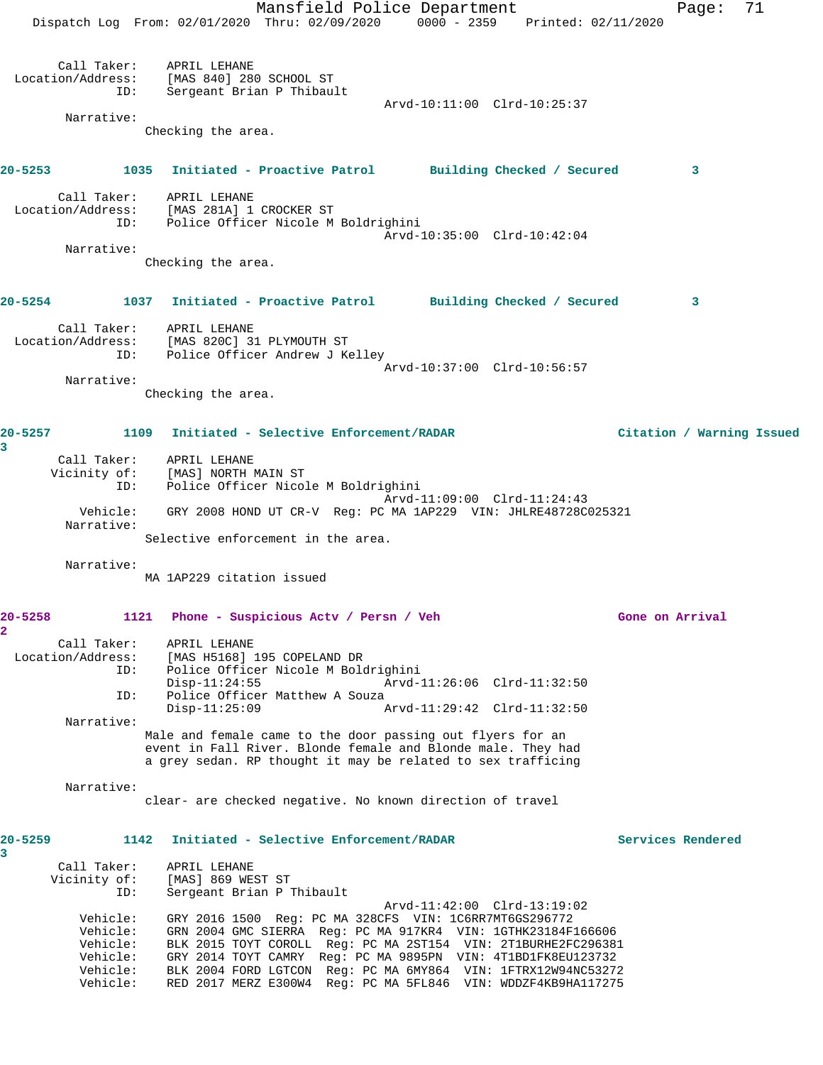Mansfield Police Department Page: 71 Dispatch Log From: 02/01/2020 Thru: 02/09/2020 0000 - 2359 Printed: 02/11/2020 Call Taker: APRIL LEHANE Location/Address: [MAS 840] 280 SCHOOL ST ID: Sergeant Brian P Thibault Arvd-10:11:00 Clrd-10:25:37 Narrative: Checking the area. **20-5253 1035 Initiated - Proactive Patrol Building Checked / Secured 3** Call Taker: APRIL LEHANE Location/Address: [MAS 281A] 1 CROCKER ST ID: Police Officer Nicole M Boldrighini Arvd-10:35:00 Clrd-10:42:04 Narrative: Checking the area. **20-5254 1037 Initiated - Proactive Patrol Building Checked / Secured 3** Call Taker: APRIL LEHANE Location/Address: [MAS 820C] 31 PLYMOUTH ST ID: Police Officer Andrew J Kelley Arvd-10:37:00 Clrd-10:56:57 Narrative: Checking the area. **20-5257 1109 Initiated - Selective Enforcement/RADAR Citation / Warning Issued 3**  Call Taker: APRIL LEHANE Vicinity of: [MAS] NORTH MAIN ST ID: Police Officer Nicole M Boldrighini Arvd-11:09:00 Clrd-11:24:43 Vehicle: GRY 2008 HOND UT CR-V Reg: PC MA 1AP229 VIN: JHLRE48728C025321 Narrative: Selective enforcement in the area. Narrative: MA 1AP229 citation issued **20-5258 1121 Phone - Suspicious Actv / Persn / Veh Gone on Arrival 2**  Call Taker: APRIL LEHANE Location/Address: [MAS H5168] 195 COPELAND DR ID: Police Officer Nicole M Boldrighini Disp-11:24:55 Arvd-11:26:06 Clrd-11:32:50<br>ID: Police Officer Matthew A Souza Police Officer Matthew A Souza<br>Disp-11:25:09  $P$ Arvd-11:29:42 Clrd-11:32:50 Narrative: Male and female came to the door passing out flyers for an event in Fall River. Blonde female and Blonde male. They had a grey sedan. RP thought it may be related to sex trafficing Narrative: clear- are checked negative. No known direction of travel **20-5259 1142 Initiated - Selective Enforcement/RADAR Services Rendered 3**  Call Taker: APRIL LEHANE<br>Vicinity of: [MAS] 869 WES of: [MAS] 869 WEST ST<br>ID: Sergeant Brian D T Sergeant Brian P Thibault Arvd-11:42:00 Clrd-13:19:02 Vehicle: GRY 2016 1500 Reg: PC MA 328CFS VIN: 1C6RR7MT6GS296772 Vehicle: GRN 2004 GMC SIERRA Reg: PC MA 917KR4 VIN: 1GTHK23184F166606 Vehicle: BLK 2015 TOYT COROLL Reg: PC MA 2ST154 VIN: 2T1BURHE2FC296381 Vehicle: GRY 2014 TOYT CAMRY Reg: PC MA 9895PN VIN: 4T1BD1FK8EU123732 Vehicle: BLK 2004 FORD LGTCON Reg: PC MA 6MY864 VIN: 1FTRX12W94NC53272 Vehicle: RED 2017 MERZ E300W4 Reg: PC MA 5FL846 VIN: WDDZF4KB9HA117275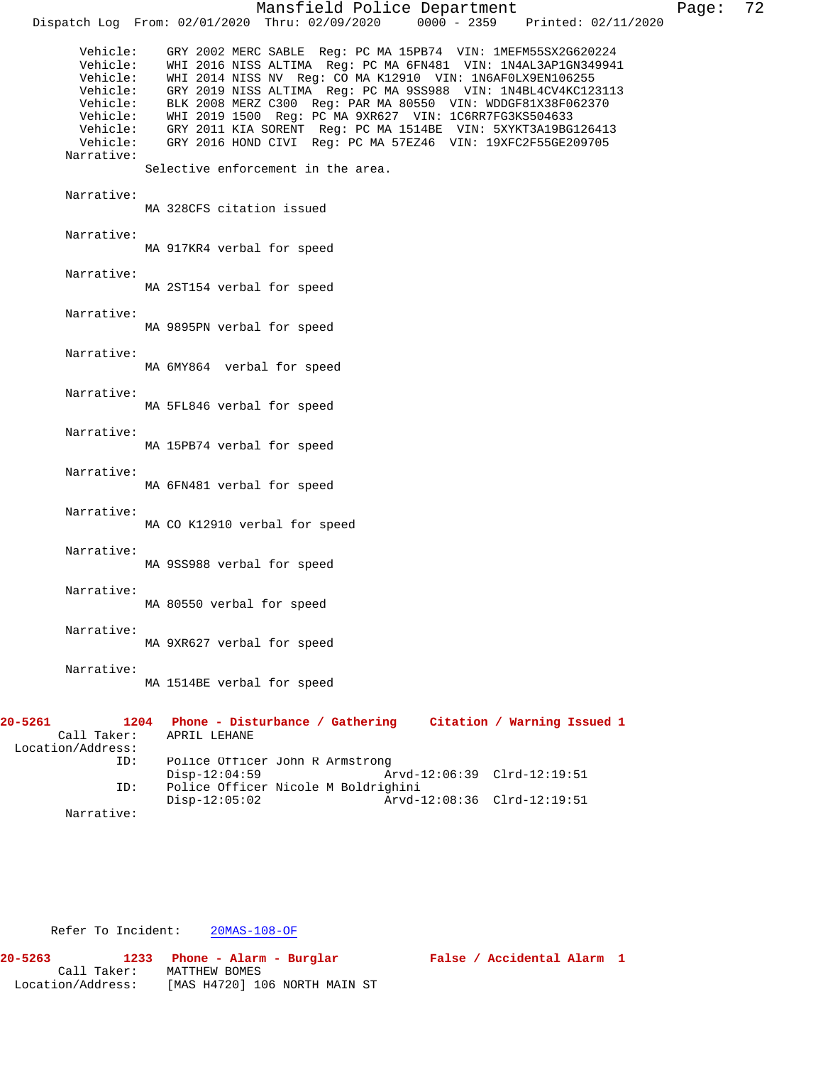|                                                                                                            | Mansfield Police Department                                                                                                                                                                                                                                                                                                                                                                                                                                                                                                                               | Page: 72 |  |
|------------------------------------------------------------------------------------------------------------|-----------------------------------------------------------------------------------------------------------------------------------------------------------------------------------------------------------------------------------------------------------------------------------------------------------------------------------------------------------------------------------------------------------------------------------------------------------------------------------------------------------------------------------------------------------|----------|--|
|                                                                                                            | Dispatch Log From: 02/01/2020 Thru: 02/09/2020 0000 - 2359 Printed: 02/11/2020                                                                                                                                                                                                                                                                                                                                                                                                                                                                            |          |  |
| Vehicle:<br>Vehicle:<br>Vehicle:<br>Vehicle:<br>Vehicle:<br>Vehicle:<br>Vehicle:<br>Vehicle:<br>Narrative: | GRY 2002 MERC SABLE Reg: PC MA 15PB74 VIN: 1MEFM55SX2G620224<br>WHI 2016 NISS ALTIMA Reg: PC MA 6FN481 VIN: 1N4AL3AP1GN349941<br>WHI 2014 NISS NV Reg: CO MA K12910 VIN: 1N6AF0LX9EN106255<br>GRY 2019 NISS ALTIMA Req: PC MA 9SS988 VIN: 1N4BL4CV4KC123113<br>BLK 2008 MERZ C300 Reg: PAR MA 80550 VIN: WDDGF81X38F062370<br>WHI 2019 1500 Reg: PC MA 9XR627 VIN: 1C6RR7FG3KS504633<br>GRY 2011 KIA SORENT Reg: PC MA 1514BE VIN: 5XYKT3A19BG126413<br>GRY 2016 HOND CIVI Reg: PC MA 57EZ46 VIN: 19XFC2F55GE209705<br>Selective enforcement in the area. |          |  |
| Narrative:                                                                                                 |                                                                                                                                                                                                                                                                                                                                                                                                                                                                                                                                                           |          |  |
|                                                                                                            | MA 328CFS citation issued                                                                                                                                                                                                                                                                                                                                                                                                                                                                                                                                 |          |  |
| Narrative:                                                                                                 | MA 917KR4 verbal for speed                                                                                                                                                                                                                                                                                                                                                                                                                                                                                                                                |          |  |
| Narrative:                                                                                                 | MA 2ST154 verbal for speed                                                                                                                                                                                                                                                                                                                                                                                                                                                                                                                                |          |  |
| Narrative:                                                                                                 | MA 9895PN verbal for speed                                                                                                                                                                                                                                                                                                                                                                                                                                                                                                                                |          |  |
| Narrative:                                                                                                 | MA 6MY864 verbal for speed                                                                                                                                                                                                                                                                                                                                                                                                                                                                                                                                |          |  |
| Narrative:                                                                                                 | MA 5FL846 verbal for speed                                                                                                                                                                                                                                                                                                                                                                                                                                                                                                                                |          |  |
| Narrative:                                                                                                 | MA 15PB74 verbal for speed                                                                                                                                                                                                                                                                                                                                                                                                                                                                                                                                |          |  |
| Narrative:                                                                                                 | MA 6FN481 verbal for speed                                                                                                                                                                                                                                                                                                                                                                                                                                                                                                                                |          |  |
| Narrative:                                                                                                 | MA CO K12910 verbal for speed                                                                                                                                                                                                                                                                                                                                                                                                                                                                                                                             |          |  |
| Narrative:                                                                                                 | MA 9SS988 verbal for speed                                                                                                                                                                                                                                                                                                                                                                                                                                                                                                                                |          |  |
| Narrative:                                                                                                 | MA 80550 verbal for speed                                                                                                                                                                                                                                                                                                                                                                                                                                                                                                                                 |          |  |
| Narrative:                                                                                                 | MA 9XR627 verbal for speed                                                                                                                                                                                                                                                                                                                                                                                                                                                                                                                                |          |  |
| Narrative:                                                                                                 | MA 1514BE verbal for speed                                                                                                                                                                                                                                                                                                                                                                                                                                                                                                                                |          |  |
| 20-5261<br>1204<br>Call Taker:<br>Location/Address:                                                        | Phone - Disturbance / Gathering<br>Citation / Warning Issued 1<br>APRIL LEHANE                                                                                                                                                                                                                                                                                                                                                                                                                                                                            |          |  |
| ID:<br>ID:                                                                                                 | Police Officer John R Armstrong<br>$Disp-12:04:59$<br>Arvd-12:06:39 Clrd-12:19:51<br>Police Officer Nicole M Boldrighini                                                                                                                                                                                                                                                                                                                                                                                                                                  |          |  |
| Narrative:                                                                                                 | $Disp-12:05:02$<br>Arvd-12:08:36 Clrd-12:19:51                                                                                                                                                                                                                                                                                                                                                                                                                                                                                                            |          |  |

Refer To Incident: 20MAS-108-OF

| 20-5263           | 1233        | Phone - Alarm - Burglar       |  |
|-------------------|-------------|-------------------------------|--|
|                   | Call Taker: | MATTHEW BOMES                 |  |
| Location/Address: |             | [MAS H4720] 106 NORTH MAIN ST |  |

False / Accidental Alarm 1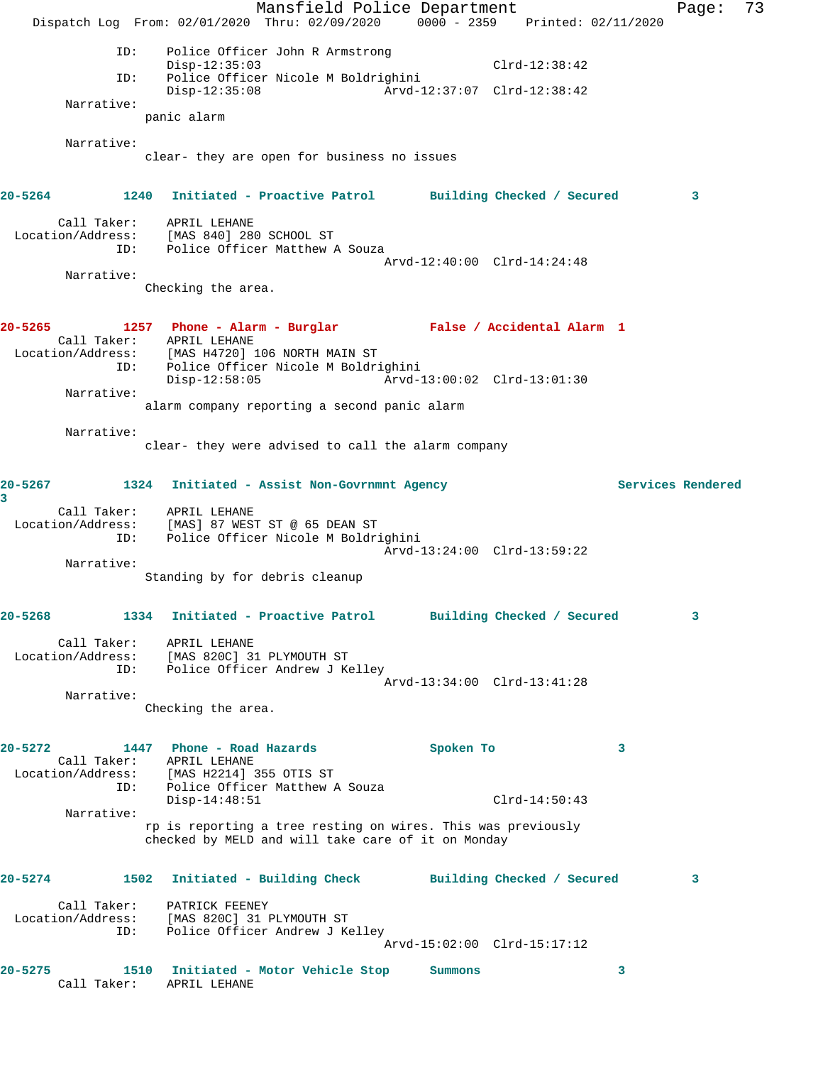Mansfield Police Department Fage: 73 Dispatch Log From: 02/01/2020 Thru: 02/09/2020 0000 - 2359 Printed: 02/11/2020 ID: Police Officer John R Armstrong Disp-12:35:03 Clrd-12:38:42 ID: Police Officer Nicole M Boldrighini Disp-12:35:08 Arvd-12:37:07 Clrd-12:38:42 Narrative: panic alarm Narrative: clear- they are open for business no issues **20-5264 1240 Initiated - Proactive Patrol Building Checked / Secured 3** Call Taker: APRIL LEHANE Location/Address: [MAS 840] 280 SCHOOL ST ID: Police Officer Matthew A Souza Arvd-12:40:00 Clrd-14:24:48 Narrative: Checking the area. **20-5265 1257 Phone - Alarm - Burglar False / Accidental Alarm 1**  Call Taker: APRIL LEHANE<br>Location/Address: [MAS H4720] [MAS H4720] 106 NORTH MAIN ST ID: Police Officer Nicole M Boldrighini<br>Disp-12:58:05 Arvd-1 Disp-12:58:05 Arvd-13:00:02 Clrd-13:01:30 Narrative: alarm company reporting a second panic alarm Narrative: clear- they were advised to call the alarm company **20-5267 1324 Initiated - Assist Non-Govrnmnt Agency Services Rendered 3**  Call Taker: APRIL LEHANE Location/Address: [MAS] 87 WEST ST @ 65 DEAN ST ess: ITHASI OF NEWSLEY OF THE RESERVING POLICE Officer Nicole M Boldrighini Arvd-13:24:00 Clrd-13:59:22 Narrative: Standing by for debris cleanup **20-5268 1334 Initiated - Proactive Patrol Building Checked / Secured 3** Call Taker: APRIL LEHANE Location/Address: [MAS 820C] 31 PLYMOUTH ST ID: Police Officer Andrew J Kelley Arvd-13:34:00 Clrd-13:41:28 Narrative: Checking the area. **20-5272 1447 Phone - Road Hazards Spoken To 3**  Call Taker: APRIL LEHANE Location/Address: [MAS H2214] 355 OTIS ST ID: Police Officer Matthew A Souza Disp-14:48:51 Clrd-14:50:43 Narrative: rp is reporting a tree resting on wires. This was previously checked by MELD and will take care of it on Monday **20-5274 1502 Initiated - Building Check Building Checked / Secured 3** Call Taker: PATRICK FEENEY Location/Address: [MAS 820C] 31 PLYMOUTH ST ID: Police Officer Andrew J Kelley Arvd-15:02:00 Clrd-15:17:12 **20-5275 1510 Initiated - Motor Vehicle Stop Summons 3**  Call Taker: APRIL LEHANE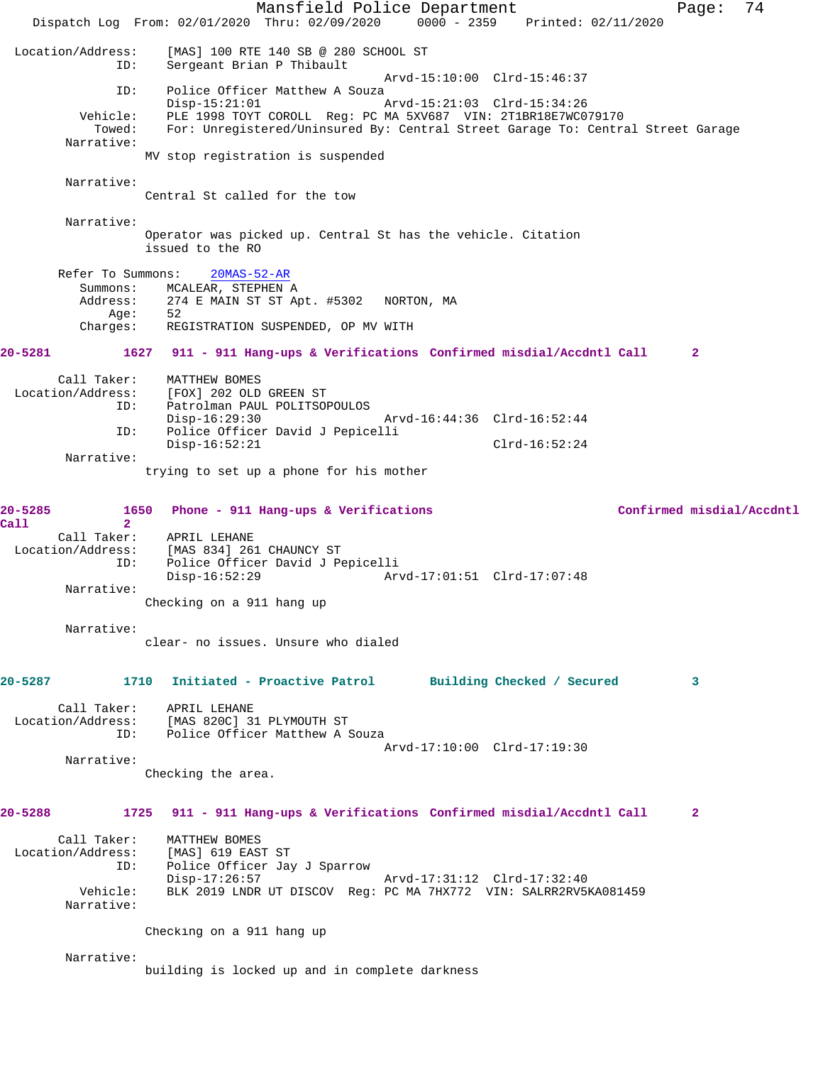Mansfield Police Department Page: 74 Dispatch Log From: 02/01/2020 Thru: 02/09/2020 0000 - 2359 Printed: 02/11/2020 Location/Address: [MAS] 100 RTE 140 SB @ 280 SCHOOL ST Sergeant Brian P Thibault Arvd-15:10:00 Clrd-15:46:37 ID: Police Officer Matthew A Souza<br>Disp-15:21:01 Disp-15:21:01 Arvd-15:21:03 Clrd-15:34:26 Vehicle: PLE 1998 TOYT COROLL Reg: PC MA 5XV687 VIN: 2T1BR18E7WC079170 Towed: For: Unregistered/Uninsured By: Central Street Garage To: Central Street Garage Narrative: MV stop registration is suspended Narrative: Central St called for the tow Narrative: Operator was picked up. Central St has the vehicle. Citation issued to the RO Refer To Summons: 20MAS-52-AR Summons: MCALEAR, STEPHEN A<br>Address: 274 E MAIN ST ST A 274 E MAIN ST ST Apt. #5302 NORTON, MA<br>52 Age: Charges: REGISTRATION SUSPENDED, OP MV WITH **20-5281 1627 911 - 911 Hang-ups & Verifications Confirmed misdial/Accdntl Call 2** Call Taker: MATTHEW BOMES Location/Address: [FOX] 202 OLD GREEN ST Patrolman PAUL POLITSOPOULOS<br>Disp-16:29:30 Disp-16:29:30 Arvd-16:44:36 Clrd-16:52:44 ID: Police Officer David J Pepicelli Disp-16:52:21 Clrd-16:52:24 Narrative: trying to set up a phone for his mother **20-5285 1650 Phone - 911 Hang-ups & Verifications Confirmed misdial/Accdntl Call 2**  Call Taker: APRIL LEHANE Location/Address: [MAS 834] 261 CHAUNCY ST ID: Police Officer David J Pepicelli Disp-16:52:29 Arvd-17:01:51 Clrd-17:07:48 Narrative: Checking on a 911 hang up Narrative: clear- no issues. Unsure who dialed **20-5287 1710 Initiated - Proactive Patrol Building Checked / Secured 3** Call Taker: APRIL LEHANE Location/Address: [MAS 820C] 31 PLYMOUTH ST ID: Police Officer Matthew A Souza Arvd-17:10:00 Clrd-17:19:30 Narrative: Checking the area. **20-5288 1725 911 - 911 Hang-ups & Verifications Confirmed misdial/Accdntl Call 2** Call Taker: MATTHEW BOMES<br>ion/Address: [MAS] 619 EAST ST Location/Address: ID: Police Officer Jay J Sparrow Disp-17:26:57 Arvd-17:31:12 Clrd-17:32:40<br>Vehicle: BLK 2019 LNDR UT DISCOV Reg: PC MA 7HX772 VIN: SALRR2RV51 BLK 2019 LNDR UT DISCOV Reg: PC MA 7HX772 VIN: SALRR2RV5KA081459 Narrative: Checking on a 911 hang up Narrative: building is locked up and in complete darkness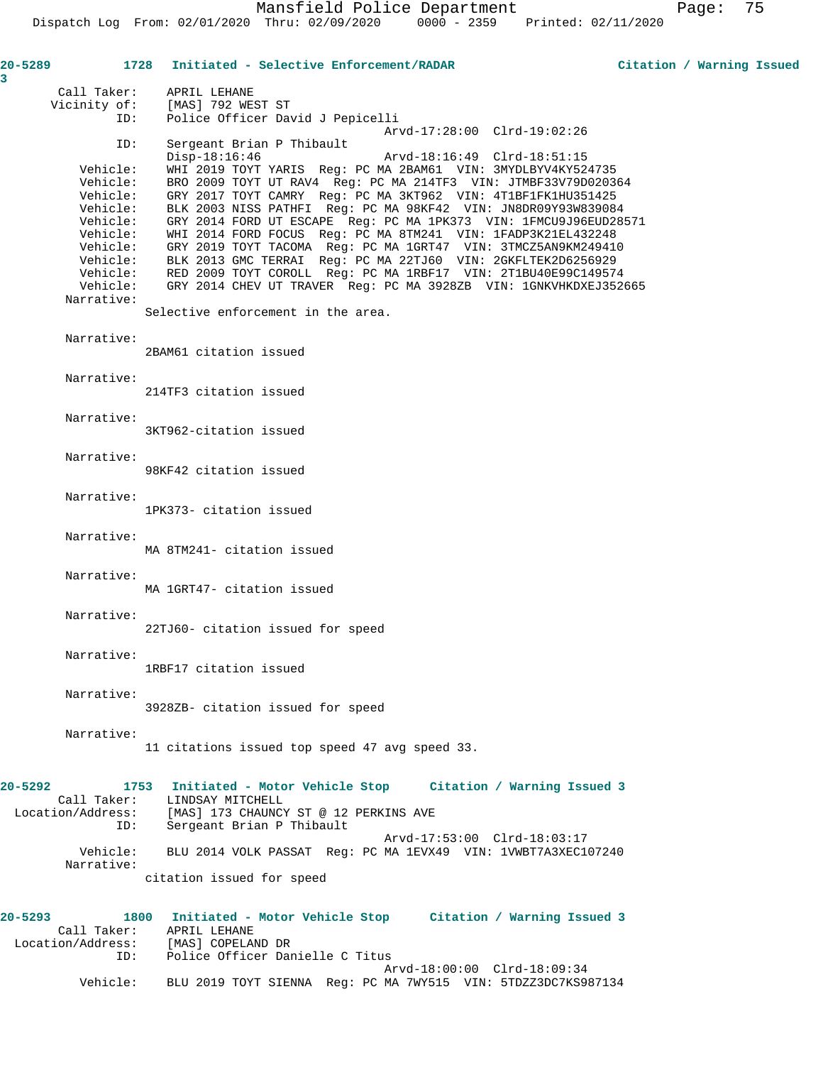| 20-5289<br>3 |                      | 1728 Initiated - Selective Enforcement/RADAR                                                                                               | Citation / Warning Issued |
|--------------|----------------------|--------------------------------------------------------------------------------------------------------------------------------------------|---------------------------|
|              | Call Taker:          | APRIL LEHANE                                                                                                                               |                           |
|              | Vicinity of:         | [MAS] 792 WEST ST                                                                                                                          |                           |
|              | ID:                  | Police Officer David J Pepicelli                                                                                                           |                           |
|              | ID:                  | Arvd-17:28:00 Clrd-19:02:26<br>Sergeant Brian P Thibault                                                                                   |                           |
|              |                      | $Disp-18:16:46$<br>Arvd-18:16:49 Clrd-18:51:15                                                                                             |                           |
|              | Vehicle:             | WHI 2019 TOYT YARIS Req: PC MA 2BAM61 VIN: 3MYDLBYV4KY524735                                                                               |                           |
|              | Vehicle:             | BRO 2009 TOYT UT RAV4 Reg: PC MA 214TF3 VIN: JTMBF33V79D020364                                                                             |                           |
|              | Vehicle:<br>Vehicle: | GRY 2017 TOYT CAMRY Req: PC MA 3KT962 VIN: 4T1BF1FK1HU351425<br>BLK 2003 NISS PATHFI Reg: PC MA 98KF42 VIN: JN8DR09Y93W839084              |                           |
|              | Vehicle:             | GRY 2014 FORD UT ESCAPE Reg: PC MA 1PK373 VIN: 1FMCU9J96EUD28571                                                                           |                           |
|              | Vehicle:             | WHI 2014 FORD FOCUS Req: PC MA 8TM241 VIN: 1FADP3K21EL432248                                                                               |                           |
|              | Vehicle:             | GRY 2019 TOYT TACOMA Req: PC MA 1GRT47 VIN: 3TMCZ5AN9KM249410                                                                              |                           |
|              | Vehicle:             | BLK 2013 GMC TERRAI Reg: PC MA 22TJ60 VIN: 2GKFLTEK2D6256929                                                                               |                           |
|              | Vehicle:             | Vehicle: RED 2009 TOYT COROLL Reg: PC MA 1RBF17 VIN: 2T1BU40E99C149574<br>GRY 2014 CHEV UT TRAVER Reg: PC MA 3928ZB VIN: 1GNKVHKDXEJ352665 |                           |
|              | Narrative:           |                                                                                                                                            |                           |
|              |                      | Selective enforcement in the area.                                                                                                         |                           |
|              | Narrative:           |                                                                                                                                            |                           |
|              |                      | 2BAM61 citation issued                                                                                                                     |                           |
|              | Narrative:           |                                                                                                                                            |                           |
|              |                      | 214TF3 citation issued                                                                                                                     |                           |
|              | Narrative:           |                                                                                                                                            |                           |
|              |                      | 3KT962-citation issued                                                                                                                     |                           |
|              | Narrative:           |                                                                                                                                            |                           |
|              |                      | 98KF42 citation issued                                                                                                                     |                           |
|              |                      |                                                                                                                                            |                           |
|              | Narrative:           | 1PK373- citation issued                                                                                                                    |                           |
|              |                      |                                                                                                                                            |                           |
|              | Narrative:           |                                                                                                                                            |                           |
|              |                      | MA 8TM241- citation issued                                                                                                                 |                           |
|              | Narrative:           |                                                                                                                                            |                           |
|              |                      | MA 1GRT47- citation issued                                                                                                                 |                           |
|              | Narrative:           |                                                                                                                                            |                           |
|              |                      | 22TJ60- citation issued for speed                                                                                                          |                           |
|              | Narrative:           |                                                                                                                                            |                           |
|              |                      | 1RBF17 citation issued                                                                                                                     |                           |
|              | Narrative:           |                                                                                                                                            |                           |
|              |                      | 3928ZB- citation issued for speed                                                                                                          |                           |
|              |                      |                                                                                                                                            |                           |
|              | Narrative:           | 11 citations issued top speed 47 avg speed 33.                                                                                             |                           |
|              |                      |                                                                                                                                            |                           |
| 20-5292      |                      | 1753 Initiated - Motor Vehicle Stop Citation / Warning Issued 3                                                                            |                           |
|              | Call Taker:          | LINDSAY MITCHELL                                                                                                                           |                           |
|              | Location/Address:    | [MAS] 173 CHAUNCY ST @ 12 PERKINS AVE                                                                                                      |                           |
|              | ID:                  | Sergeant Brian P Thibault<br>Arvd-17:53:00 Clrd-18:03:17                                                                                   |                           |
|              | Vehicle:             | BLU 2014 VOLK PASSAT Req: PC MA 1EVX49 VIN: 1VWBT7A3XEC107240                                                                              |                           |
|              | Narrative:           |                                                                                                                                            |                           |
|              |                      | citation issued for speed                                                                                                                  |                           |
| $20 - 5293$  | 1800                 | Initiated - Motor Vehicle Stop      Citation / Warning Issued 3                                                                            |                           |
|              | Call Taker:          | APRIL LEHANE                                                                                                                               |                           |
|              |                      | Location/Address: [MAS] COPELAND DR                                                                                                        |                           |
|              | ID:                  | Police Officer Danielle C Titus                                                                                                            |                           |

 Arvd-18:00:00 Clrd-18:09:34 Vehicle: BLU 2019 TOYT SIENNA Reg: PC MA 7WY515 VIN: 5TDZZ3DC7KS987134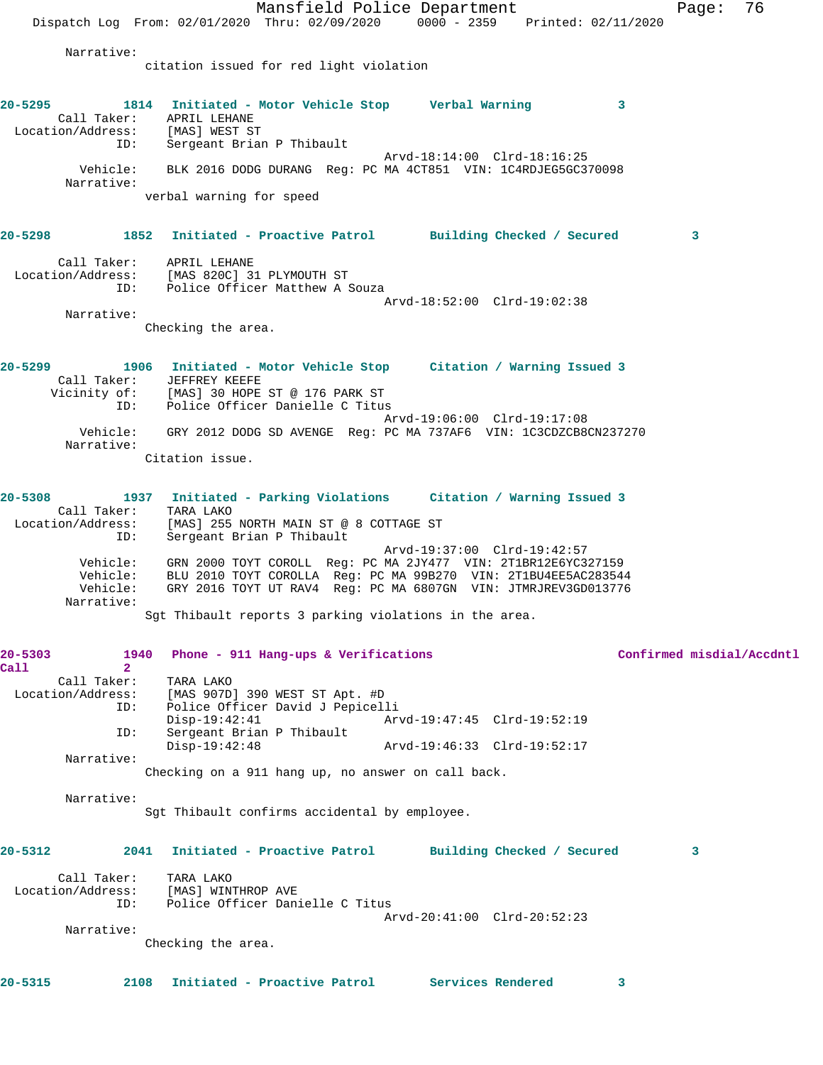Mansfield Police Department Page: 76 Dispatch Log From: 02/01/2020 Thru: 02/09/2020 0000 - 2359 Printed: 02/11/2020 Narrative: citation issued for red light violation **20-5295 1814 Initiated - Motor Vehicle Stop Verbal Warning 3**  Call Taker: APRIL LEHANE Location/Address: [MAS] WEST ST ID: Sergeant Brian P Thibault Arvd-18:14:00 Clrd-18:16:25 Vehicle: BLK 2016 DODG DURANG Reg: PC MA 4CT851 VIN: 1C4RDJEG5GC370098 Narrative: verbal warning for speed **20-5298 1852 Initiated - Proactive Patrol Building Checked / Secured 3** Call Taker: APRIL LEHANE Location/Address: [MAS 820C] 31 PLYMOUTH ST ID: Police Officer Matthew A Souza Arvd-18:52:00 Clrd-19:02:38 Narrative: Checking the area. **20-5299 1906 Initiated - Motor Vehicle Stop Citation / Warning Issued 3**  Call Taker: JEFFREY KEEFE Vicinity of: [MAS] 30 HOPE ST @ 176 PARK ST ID: Police Officer Danielle C Titus Arvd-19:06:00 Clrd-19:17:08 Vehicle: GRY 2012 DODG SD AVENGE Reg: PC MA 737AF6 VIN: 1C3CDZCB8CN237270 Narrative: Citation issue. **20-5308 1937 Initiated - Parking Violations Citation / Warning Issued 3**  Call Taker: TARA LAKO Location/Address: [MAS] 255 NORTH MAIN ST @ 8 COTTAGE ST ID: Sergeant Brian P Thibault Arvd-19:37:00 Clrd-19:42:57 Vehicle: GRN 2000 TOYT COROLL Reg: PC MA 2JY477 VIN: 2T1BR12E6YC327159 Vehicle: BLU 2010 TOYT COROLLA Reg: PC MA 99B270 VIN: 2T1BU4EE5AC283544 Vehicle: GRY 2016 TOYT UT RAV4 Reg: PC MA 6807GN VIN: JTMRJREV3GD013776 Narrative: Sgt Thibault reports 3 parking violations in the area. **20-5303 1940 Phone - 911 Hang-ups & Verifications Confirmed misdial/Accdntl Call 2**  Call Taker: TARA LAKO Location/Address: [MAS 907D] 390 WEST ST Apt. #D ID: Police Officer David J Pepicelli<br>Disp-19:42:41 Arvd-19:47:45 Clrd-19:52:19 Disp-19:42:41 Arvd-19:47:45 Clrd-19:52:19 ID: Sergeant Brian P Thibault Disp-19:42:48 Arvd-19:46:33 Clrd-19:52:17 Narrative: Checking on a 911 hang up, no answer on call back. Narrative: Sgt Thibault confirms accidental by employee. **20-5312 2041 Initiated - Proactive Patrol Building Checked / Secured 3** Call Taker: TARA LAKO Location/Address: [MAS] WINTHROP AVE ID: Police Officer Danielle C Titus Arvd-20:41:00 Clrd-20:52:23 Narrative: Checking the area. **20-5315 2108 Initiated - Proactive Patrol Services Rendered 3**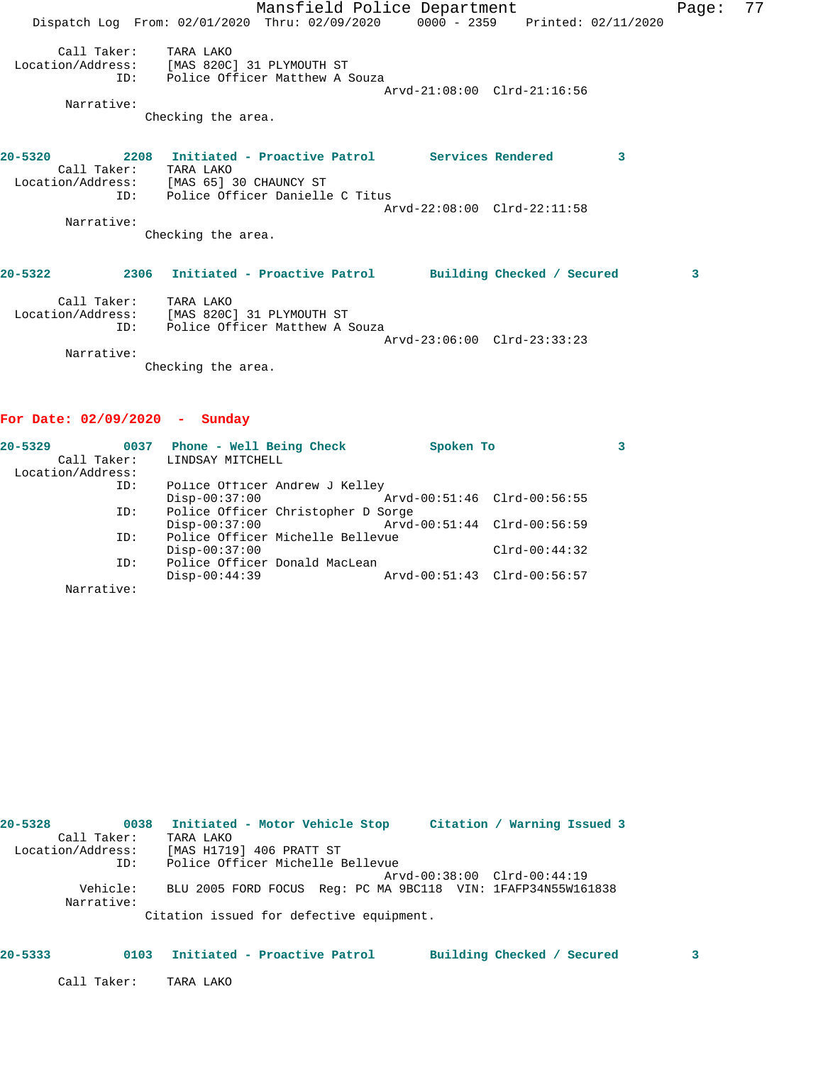Mansfield Police Department Fage: 77 Dispatch Log From: 02/01/2020 Thru: 02/09/2020 0000 - 2359 Printed: 02/11/2020 Call Taker: TARA LAKO Location/Address: [MAS 820C] 31 PLYMOUTH ST ID: Police Officer Matthew A Souza Arvd-21:08:00 Clrd-21:16:56 Narrative: Checking the area. **20-5320 2208 Initiated - Proactive Patrol Services Rendered 3**  Call Taker: TARA LAKO Location/Address: [MAS 65] 30 CHAUNCY ST ID: Police Officer Danielle C Titus Arvd-22:08:00 Clrd-22:11:58 Narrative: Checking the area. **20-5322 2306 Initiated - Proactive Patrol Building Checked / Secured 3** Call Taker: TARA LAKO Location/Address: [MAS 820C] 31 PLYMOUTH ST ID: Police Officer Matthew A Souza Arvd-23:06:00 Clrd-23:33:23 Narrative: Checking the area.

### **For Date: 02/09/2020 - Sunday**

| $20 - 5329$<br>0037 | Phone - Well Being Check           | Spoken To                   |                             |  |
|---------------------|------------------------------------|-----------------------------|-----------------------------|--|
| Call Taker:         | LINDSAY MITCHELL                   |                             |                             |  |
| Location/Address:   |                                    |                             |                             |  |
| ID:                 | Police Officer Andrew J Kelley     |                             |                             |  |
|                     | $Disp-00:37:00$                    | Arvd-00:51:46 Clrd-00:56:55 |                             |  |
| ID:                 | Police Officer Christopher D Sorge |                             |                             |  |
|                     | $Disp-00:37:00$                    | Arvd-00:51:44 Clrd-00:56:59 |                             |  |
| ID:                 | Police Officer Michelle Bellevue   |                             |                             |  |
|                     | $Disp-00:37:00$                    |                             | $Clrd-00:44:32$             |  |
| ID:                 | Police Officer Donald MacLean      |                             |                             |  |
|                     | $Disp-00:44:39$                    |                             | Arvd-00:51:43 Clrd-00:56:57 |  |
| Narrative:          |                                    |                             |                             |  |

| 20-5328           |          |           | 0038 Initiated - Motor Vehicle Stop                          |  | Citation / Warning Issued 3 |  |
|-------------------|----------|-----------|--------------------------------------------------------------|--|-----------------------------|--|
| Call Taker:       |          | TARA LAKO |                                                              |  |                             |  |
| Location/Address: |          |           | [MAS H1719] 406 PRATT ST                                     |  |                             |  |
|                   | ID:      |           | Police Officer Michelle Bellevue                             |  |                             |  |
|                   |          |           |                                                              |  | Arvd-00:38:00 Clrd-00:44:19 |  |
| Narrative:        | Vehicle: |           | BLU 2005 FORD FOCUS Req: PC MA 9BC118 VIN: 1FAFP34N55W161838 |  |                             |  |
|                   |          |           | Citation issued for defective equipment.                     |  |                             |  |

### **20-5333 0103 Initiated - Proactive Patrol Building Checked / Secured 3**

Call Taker: TARA LAKO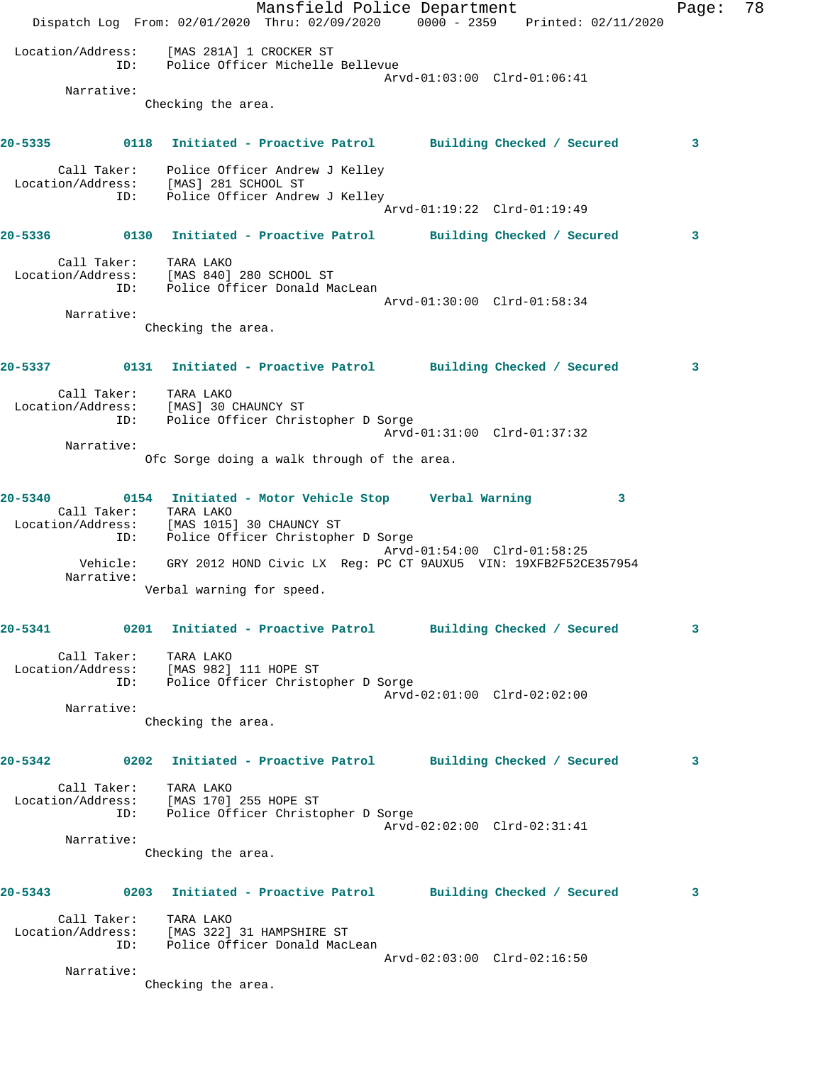Mansfield Police Department Fage: 78 Dispatch Log From: 02/01/2020 Thru: 02/09/2020 0000 - 2359 Printed: 02/11/2020 Location/Address: [MAS 281A] 1 CROCKER ST ID: Police Officer Michelle Bellevue Arvd-01:03:00 Clrd-01:06:41 Narrative: Checking the area. **20-5335 0118 Initiated - Proactive Patrol Building Checked / Secured 3** Call Taker: Police Officer Andrew J Kelley Location/Address: [MAS] 281 SCHOOL ST ID: Police Officer Andrew J Kelley Arvd-01:19:22 Clrd-01:19:49 **20-5336 0130 Initiated - Proactive Patrol Building Checked / Secured 3** Call Taker: TARA LAKO Location/Address: [MAS 840] 280 SCHOOL ST ID: Police Officer Donald MacLean Arvd-01:30:00 Clrd-01:58:34 Narrative: Checking the area. **20-5337 0131 Initiated - Proactive Patrol Building Checked / Secured 3** Call Taker: TARA LAKO Location/Address: [MAS] 30 CHAUNCY ST ID: Police Officer Christopher D Sorge Arvd-01:31:00 Clrd-01:37:32 Narrative: Ofc Sorge doing a walk through of the area. **20-5340 0154 Initiated - Motor Vehicle Stop Verbal Warning 3**  Call Taker: TARA LAKO Location/Address: [MAS 1015] 30 CHAUNCY ST ID: Police Officer Christopher D Sorge Arvd-01:54:00 Clrd-01:58:25 Vehicle: GRY 2012 HOND Civic LX Reg: PC CT 9AUXU5 VIN: 19XFB2F52CE357954 Narrative: Verbal warning for speed. **20-5341 0201 Initiated - Proactive Patrol Building Checked / Secured 3** Call Taker: TARA LAKO Location/Address: [MAS 982] 111 HOPE ST ID: Police Officer Christopher D Sorge Arvd-02:01:00 Clrd-02:02:00 Narrative: Checking the area. **20-5342 0202 Initiated - Proactive Patrol Building Checked / Secured 3** Call Taker: TARA LAKO Location/Address: [MAS 170] 255 HOPE ST ID: Police Officer Christopher D Sorge Arvd-02:02:00 Clrd-02:31:41 Narrative: Checking the area. **20-5343 0203 Initiated - Proactive Patrol Building Checked / Secured 3** Call Taker: TARA LAKO Location/Address: [MAS 322] 31 HAMPSHIRE ST ID: Police Officer Donald MacLean Arvd-02:03:00 Clrd-02:16:50 Narrative: Checking the area.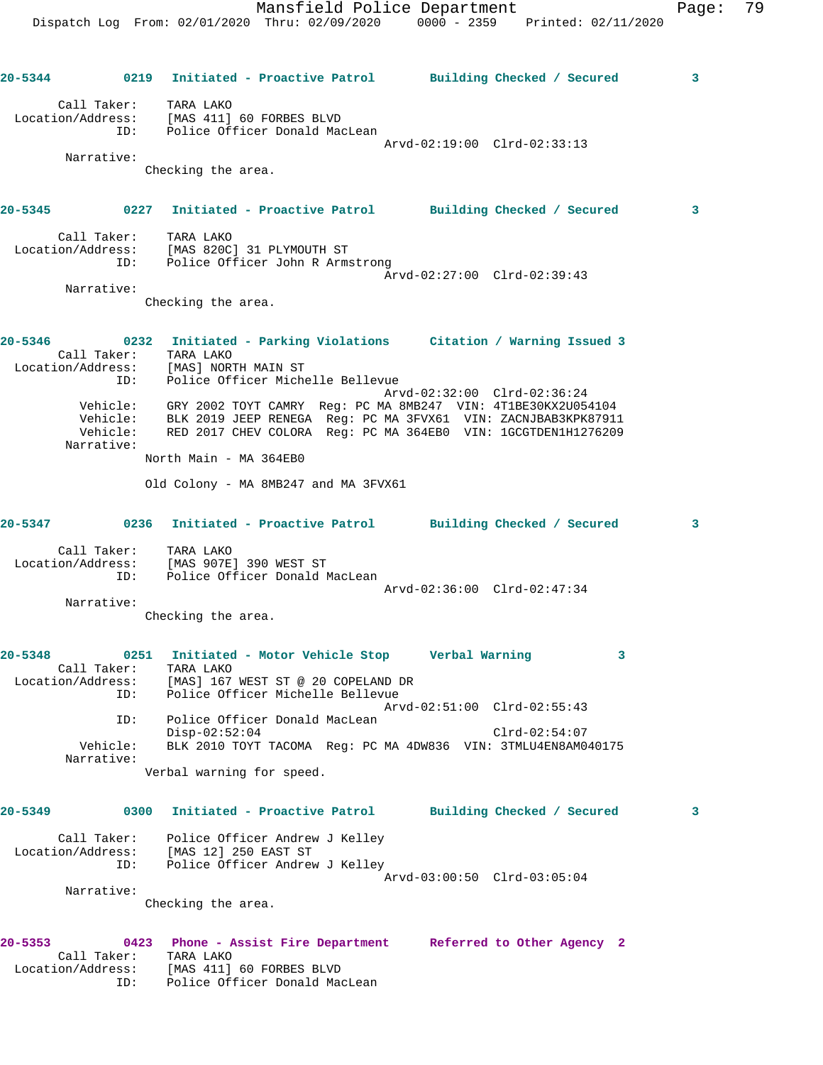Arvd-02:19:00 Clrd-02:33:13 Narrative: Checking the area. **20-5345 0227 Initiated - Proactive Patrol Building Checked / Secured 3**

| Call Taker:<br>Location/Address: | TARA LAKO<br>[MAS 820C] 31 PLYMOUTH ST                         |  |
|----------------------------------|----------------------------------------------------------------|--|
| TD:                              | Police Officer John R Armstrong<br>Arvd-02:27:00 Clrd-02:39:43 |  |
| Narrative:                       |                                                                |  |

Checking the area.

ID: Police Officer Donald MacLean

| $20 - 5346$ | 0232<br>Call Taker:<br>Location/Address: | TARA LAKO | Initiated - Parking Violations<br>[MAS] NORTH MAIN ST |  | Citation / Warning Issued 3                                   |
|-------------|------------------------------------------|-----------|-------------------------------------------------------|--|---------------------------------------------------------------|
|             | ID:                                      |           | Police Officer Michelle Bellevue                      |  |                                                               |
|             |                                          |           |                                                       |  | Arvd-02:32:00 Clrd-02:36:24                                   |
|             | Vehicle:                                 |           |                                                       |  | GRY 2002 TOYT CAMRY Req: PC MA 8MB247 VIN: 4T1BE30KX2U054104  |
|             | Vehicle:                                 |           |                                                       |  | BLK 2019 JEEP RENEGA Req: PC MA 3FVX61 VIN: ZACNJBAB3KPK87911 |
|             | Vehicle:                                 |           |                                                       |  | RED 2017 CHEV COLORA Req: PC MA 364EB0 VIN: 1GCGTDEN1H1276209 |
|             | Narrative:                               |           |                                                       |  |                                                               |
|             |                                          |           |                                                       |  |                                                               |

North Main - MA 364EB0

Old Colony - MA 8MB247 and MA 3FVX61

| $20 - 5347$       | 0236               | Initiated - Proactive Patrol                                         | Building Checked / Secured  |  |
|-------------------|--------------------|----------------------------------------------------------------------|-----------------------------|--|
| Location/Address: | Call Taker:<br>ID: | TARA LAKO<br>[MAS 907E] 390 WEST ST<br>Police Officer Donald MacLean |                             |  |
|                   |                    |                                                                      | Arvd-02:36:00 Clrd-02:47:34 |  |

Narrative:

Checking the area.

| $20 - 5348$       | 0251 Initiated - Motor Vehicle Stop |  |  | Verbal Warning                                                |  |
|-------------------|-------------------------------------|--|--|---------------------------------------------------------------|--|
| Call Taker:       | TARA LAKO                           |  |  |                                                               |  |
| Location/Address: | [MAS] 167 WEST ST @ 20 COPELAND DR  |  |  |                                                               |  |
| ID:               | Police Officer Michelle Bellevue    |  |  |                                                               |  |
|                   |                                     |  |  | Arvd-02:51:00 Clrd-02:55:43                                   |  |
| ID:               | Police Officer Donald MacLean       |  |  |                                                               |  |
|                   | $Disp-02:52:04$                     |  |  | $Clrd-02:54:07$                                               |  |
| Vehicle:          |                                     |  |  | BLK 2010 TOYT TACOMA Req: PC MA 4DW836 VIN: 3TMLU4EN8AM040175 |  |
| Narrative:        |                                     |  |  |                                                               |  |
|                   | Verbal warning for speed.           |  |  |                                                               |  |

**20-5349 0300 Initiated - Proactive Patrol Building Checked / Secured 3** Call Taker: Police Officer Andrew J Kelley Location/Address: [MAS 12] 250 EAST ST ID: Police Officer Andrew J Kelley Arvd-03:00:50 Clrd-03:05:04 Narrative: Checking the area. **20-5353 0423 Phone - Assist Fire Department Referred to Other Agency 2** 

| -----             | $0.723$ $1.10116$ $ 0.00100$ $0.116$ $0.0001$ $0.0001$ | Referred to other Agency 2 |  |  |
|-------------------|--------------------------------------------------------|----------------------------|--|--|
| Call Taker:       | TARA LAKO                                              |                            |  |  |
| Location/Address: | [MAS 411] 60 FORBES BLVD                               |                            |  |  |
| ID:               | Police Officer Donald MacLean                          |                            |  |  |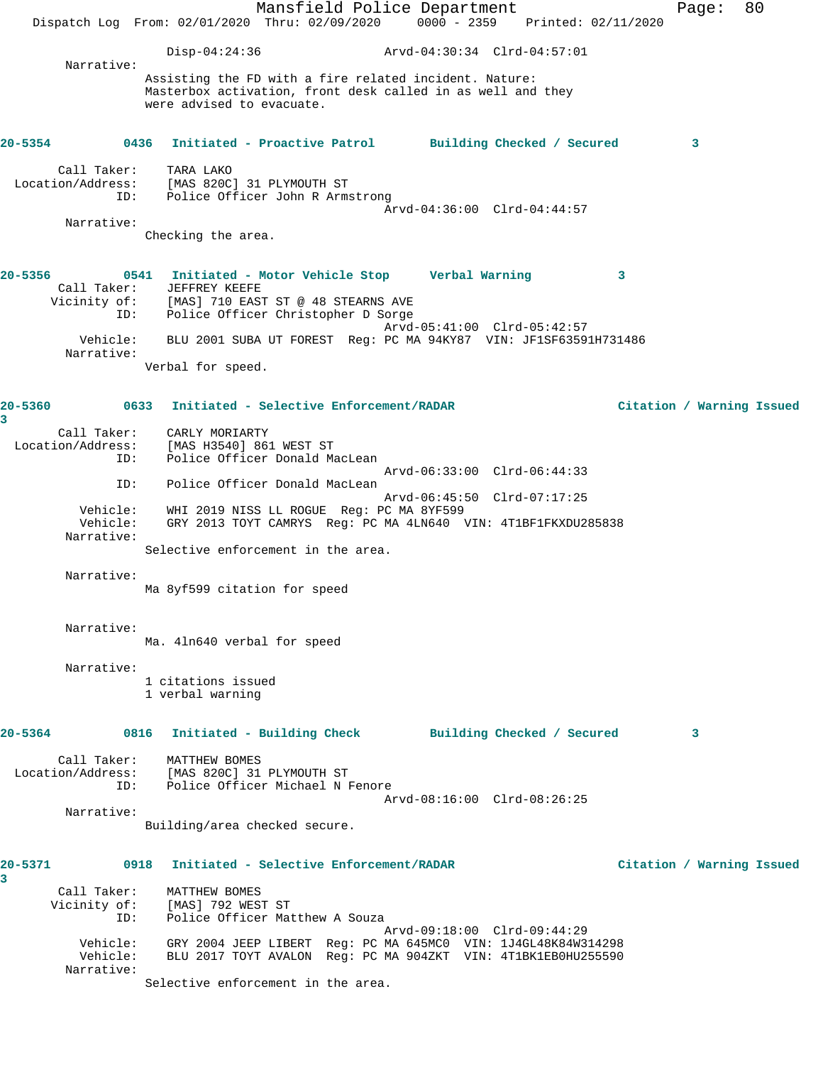Mansfield Police Department Fage: 80 Dispatch Log From: 02/01/2020 Thru: 02/09/2020 0000 - 2359 Printed: 02/11/2020 Disp-04:24:36 Arvd-04:30:34 Clrd-04:57:01 Narrative: Assisting the FD with a fire related incident. Nature: Masterbox activation, front desk called in as well and they were advised to evacuate. **20-5354 0436 Initiated - Proactive Patrol Building Checked / Secured 3** Call Taker: TARA LAKO Location/Address: [MAS 820C] 31 PLYMOUTH ST ID: Police Officer John R Armstrong Arvd-04:36:00 Clrd-04:44:57 Narrative: Checking the area. **20-5356 0541 Initiated - Motor Vehicle Stop Verbal Warning 3**  Call Taker: JEFFREY KEEFE Vicinity of: [MAS] 710 EAST ST @ 48 STEARNS AVE ID: Police Officer Christopher D Sorge Arvd-05:41:00 Clrd-05:42:57 Vehicle: BLU 2001 SUBA UT FOREST Reg: PC MA 94KY87 VIN: JF1SF63591H731486 Narrative: Verbal for speed. **20-5360 0633 Initiated - Selective Enforcement/RADAR Citation / Warning Issued 3**  Call Taker: CARLY MORIARTY Location/Address: [MAS H3540] 861 WEST ST ID: Police Officer Donald MacLean Arvd-06:33:00 Clrd-06:44:33 ID: Police Officer Donald MacLean Arvd-06:45:50 Clrd-07:17:25 Vehicle: WHI 2019 NISS LL ROGUE Reg: PC MA 8YF599 Vehicle: GRY 2013 TOYT CAMRYS Reg: PC MA 4LN640 VIN: 4T1BF1FKXDU285838 Narrative: Selective enforcement in the area. Narrative: Ma 8yf599 citation for speed Narrative: Ma. 4ln640 verbal for speed Narrative: 1 citations issued 1 verbal warning **20-5364 0816 Initiated - Building Check Building Checked / Secured 3** Call Taker: MATTHEW BOMES Location/Address: [MAS 820C] 31 PLYMOUTH ST ID: Police Officer Michael N Fenore Arvd-08:16:00 Clrd-08:26:25 Narrative: Building/area checked secure. **20-5371 0918 Initiated - Selective Enforcement/RADAR Citation / Warning Issued 3**  Call Taker: MATTHEW BOMES Vicinity of: [MAS] 792 WEST ST ID: Police Officer Matthew A Souza Arvd-09:18:00 Clrd-09:44:29 Vehicle: GRY 2004 JEEP LIBERT Reg: PC MA 645MC0 VIN: 1J4GL48K84W314298 Vehicle: BLU 2017 TOYT AVALON Reg: PC MA 904ZKT VIN: 4T1BK1EB0HU255590 Narrative: Selective enforcement in the area.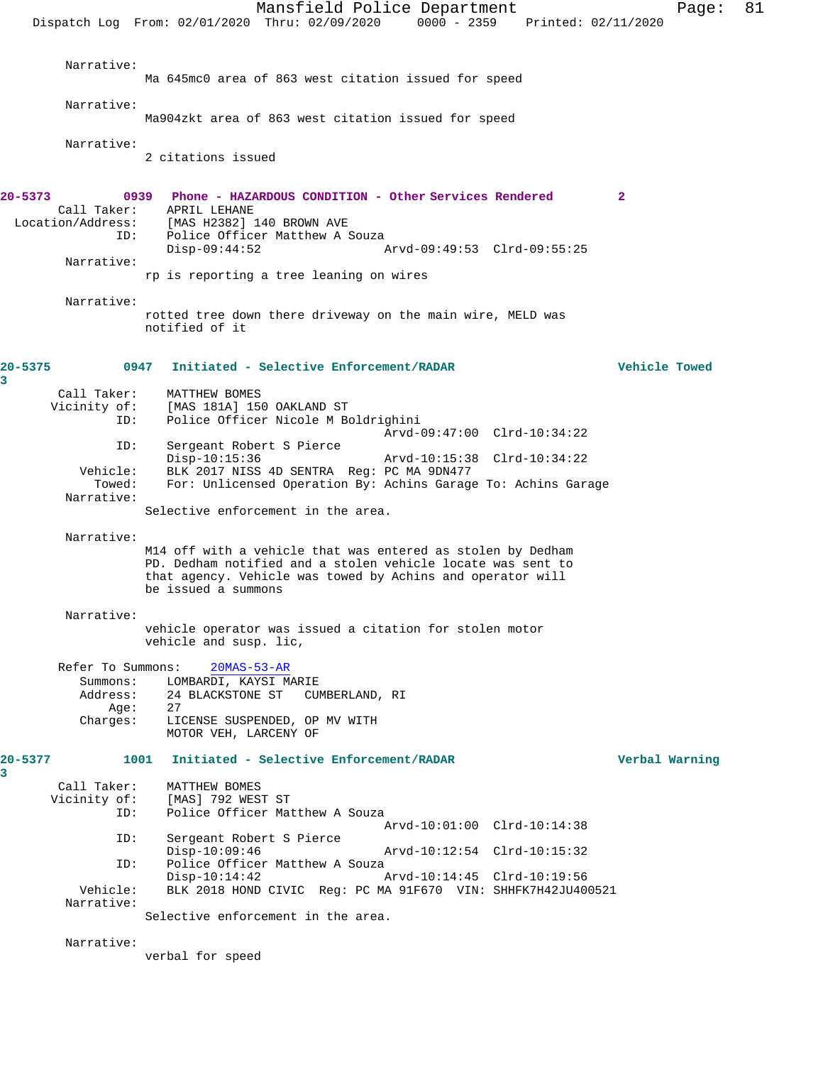Mansfield Police Department Page: 81 Dispatch Log From: 02/01/2020 Thru: 02/09/2020 0000 - 2359 Printed: 02/11/2020 Narrative: Ma 645mc0 area of 863 west citation issued for speed Narrative: Ma904zkt area of 863 west citation issued for speed Narrative: 2 citations issued **20-5373 0939 Phone - HAZARDOUS CONDITION - Other Services Rendered 2**  Call Taker: APRIL LEHANE Location/Address: [MAS H2382] 140 BROWN AVE ID: Police Officer Matthew A Souza<br>Disp-09:44:52 Disp-09:44:52 Arvd-09:49:53 Clrd-09:55:25 Narrative: rp is reporting a tree leaning on wires Narrative: rotted tree down there driveway on the main wire, MELD was notified of it **20-5375 0947 Initiated - Selective Enforcement/RADAR Vehicle Towed** Call Taker: MATTHEW BOMES Vicinity of: [MAS 181A] 150 OAKLAND ST<br>ID: Police Officer Nicole M Be Police Officer Nicole M Boldrighini Arvd-09:47:00 Clrd-10:34:22 ID: Sergeant Robert S Pierce Disp-10:15:36 Arvd-10:15:38 Clrd-10:34:22 Vehicle: BLK 2017 NISS 4D SENTRA Reg: PC MA 9DN477 Towed: For: Unlicensed Operation By: Achins Garage To: Achins Garage Narrative: Selective enforcement in the area. Narrative: M14 off with a vehicle that was entered as stolen by Dedham PD. Dedham notified and a stolen vehicle locate was sent to that agency. Vehicle was towed by Achins and operator will be issued a summons Narrative: vehicle operator was issued a citation for stolen motor vehicle and susp. lic, Refer To Summons: 20MAS-53-AR Summons: LOMBARDI, KAYSI MARIE<br>Address: 24 BLACKSTONE ST CUI 24 BLACKSTONE ST CUMBERLAND, RI Age: 27 Charges: LICENSE SUSPENDED, OP MV WITH MOTOR VEH, LARCENY OF **20-5377 1001 Initiated - Selective Enforcement/RADAR Verbal Warning** Call Taker: MATTHEW BOMES<br>Vicinity of: [MAS] 792 WEST [MAS] 792 WEST ST ID: Police Officer Matthew A Souza Arvd-10:01:00 Clrd-10:14:38<br>ID: Sergeant Robert S Pierce Sergeant Robert S Pierce<br>Disp-10:09:46 Disp-10:09:46 Arvd-10:12:54 Clrd-10:15:32 ID: Police Officer Matthew A Souza<br>Disp-10:14:42 Disp-10:14:42 Arvd-10:14:45 Clrd-10:19:56<br>Vehicle: BLK 2018 HOND CIVIC Req: PC MA 91F670 VIN: SHHFK7H42JU40 BLK 2018 HOND CIVIC Req: PC MA 91F670 VIN: SHHFK7H42JU400521 Narrative: Selective enforcement in the area.

verbal for speed

Narrative:

**3** 

**3**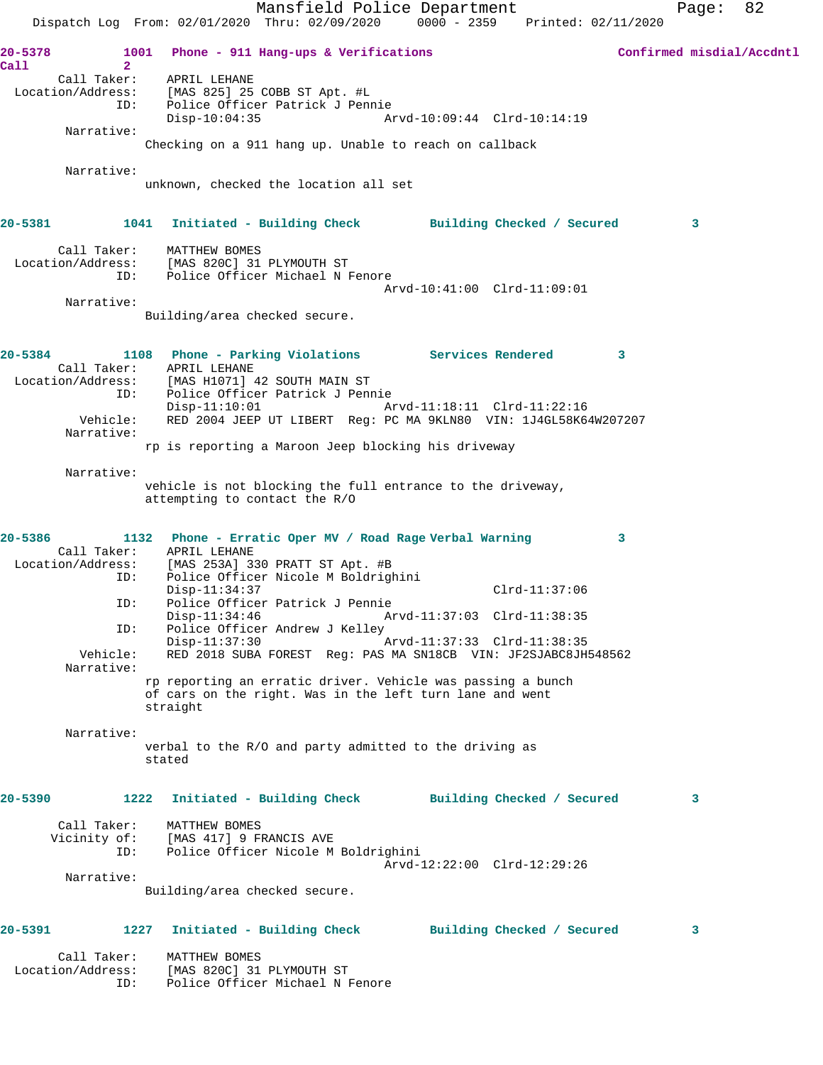Mansfield Police Department Page: 82 Dispatch Log From: 02/01/2020 Thru: 02/09/2020 0000 - 2359 Printed: 02/11/2020 **20-5378 1001 Phone - 911 Hang-ups & Verifications Confirmed misdial/Accdntl Call 2**  Call Taker: APRIL LEHANE Location/Address: [MAS 825] 25 COBB ST Apt. #L ID: Police Officer Patrick J Pennie Disp-10:04:35 Arvd-10:09:44 Clrd-10:14:19 Narrative: Checking on a 911 hang up. Unable to reach on callback Narrative: unknown, checked the location all set **20-5381 1041 Initiated - Building Check Building Checked / Secured 3** Call Taker: MATTHEW BOMES Location/Address: [MAS 820C] 31 PLYMOUTH ST ID: Police Officer Michael N Fenore Arvd-10:41:00 Clrd-11:09:01 Narrative: Building/area checked secure. **20-5384 1108 Phone - Parking Violations Services Rendered 3**  Call Taker: APRIL LEHANE Location/Address: [MAS H1071] 42 SOUTH MAIN ST ID: Police Officer Patrick J Pennie Disp-11:10:01 Arvd-11:18:11 Clrd-11:22:16 Vehicle: RED 2004 JEEP UT LIBERT Reg: PC MA 9KLN80 VIN: 1J4GL58K64W207207 Narrative: rp is reporting a Maroon Jeep blocking his driveway Narrative: vehicle is not blocking the full entrance to the driveway, attempting to contact the R/O **20-5386 1132 Phone - Erratic Oper MV / Road Rage Verbal Warning 3**  Call Taker: APRIL LEHANE Location/Address: [MAS 253A] 330 PRATT ST Apt. #B ID: Police Officer Nicole M Boldrighini Disp-11:34:37 Clrd-11:37:06 ID: Police Officer Patrick J Pennie Disp-11:34:46 Arvd-11:37:03 Clrd-11:38:35 ID: Police Officer Andrew J Kelley<br>Disp-11:37:30 Arvd-11:37:33 Clrd-11:38:35 Vehicle: RED 2018 SUBA FOREST Reg: PAS MA SN18CB VIN: JF2SJABC8JH548562 Narrative: rp reporting an erratic driver. Vehicle was passing a bunch of cars on the right. Was in the left turn lane and went straight Narrative: verbal to the R/O and party admitted to the driving as stated **20-5390 1222 Initiated - Building Check Building Checked / Secured 3** Call Taker: MATTHEW BOMES Vicinity of: [MAS 417] 9 FRANCIS AVE<br>ID: Police Officer Nicole M Police Officer Nicole M Boldrighini Arvd-12:22:00 Clrd-12:29:26 Narrative: Building/area checked secure. **20-5391 1227 Initiated - Building Check Building Checked / Secured 3** Call Taker: MATTHEW BOMES Location/Address: [MAS 820C] 31 PLYMOUTH ST ID: Police Officer Michael N Fenore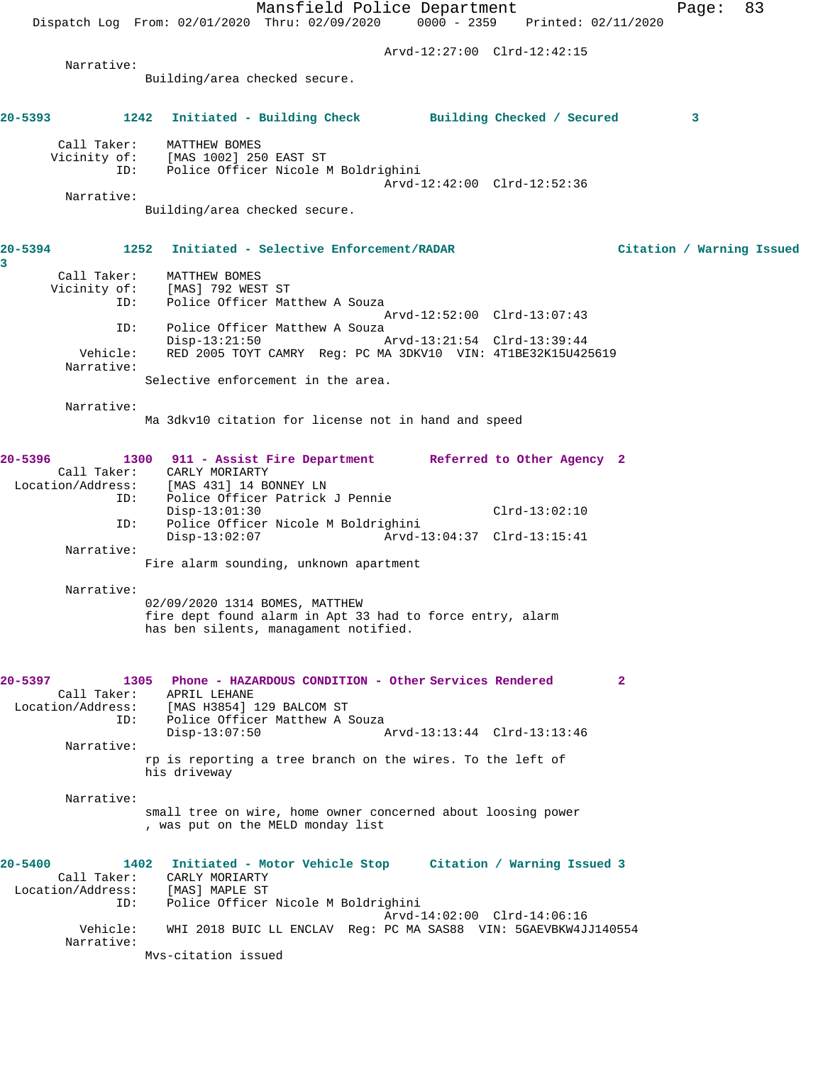|              |                                  | Mansfield Police Department<br>83<br>Page:                                                         |  |
|--------------|----------------------------------|----------------------------------------------------------------------------------------------------|--|
|              |                                  | Dispatch Log From: 02/01/2020 Thru: 02/09/2020 0000 - 2359 Printed: 02/11/2020                     |  |
|              |                                  | Arvd-12:27:00 Clrd-12:42:15                                                                        |  |
|              | Narrative:                       | Building/area checked secure.                                                                      |  |
|              |                                  |                                                                                                    |  |
| 20-5393      |                                  | 1242<br>Initiated - Building Check Building Checked / Secured<br>3                                 |  |
|              | Call Taker:                      | MATTHEW BOMES                                                                                      |  |
|              | Vicinity of:<br>ID:              | [MAS 1002] 250 EAST ST<br>Police Officer Nicole M Boldrighini                                      |  |
|              |                                  | Arvd-12:42:00 Clrd-12:52:36                                                                        |  |
|              | Narrative:                       | Building/area checked secure.                                                                      |  |
|              |                                  |                                                                                                    |  |
| 20-5394<br>3 | 1252                             | Initiated - Selective Enforcement/RADAR<br>Citation / Warning Issued                               |  |
|              | Call Taker:                      | MATTHEW BOMES                                                                                      |  |
|              | Vicinity of:<br>ID:              | [MAS] 792 WEST ST<br>Police Officer Matthew A Souza                                                |  |
|              |                                  | Arvd-12:52:00 Clrd-13:07:43                                                                        |  |
|              | ID:                              | Police Officer Matthew A Souza<br>$Disp-13:21:50$<br>Arvd-13:21:54 Clrd-13:39:44                   |  |
|              | Vehicle:                         | RED 2005 TOYT CAMRY Reg: PC MA 3DKV10 VIN: 4T1BE32K15U425619                                       |  |
|              | Narrative:                       | Selective enforcement in the area.                                                                 |  |
|              | Narrative:                       |                                                                                                    |  |
|              |                                  | Ma 3dkv10 citation for license not in hand and speed                                               |  |
| 20-5396      |                                  | 1300 911 - Assist Fire Department Referred to Other Agency 2                                       |  |
|              |                                  | Call Taker: CARLY MORIARTY                                                                         |  |
|              | ID:                              | Location/Address: [MAS 431] 14 BONNEY LN<br>Police Officer Patrick J Pennie                        |  |
|              |                                  | $Clrd-13:02:10$<br>$Disp-13:01:30$                                                                 |  |
|              | ID:                              | Police Officer Nicole M Boldrighini<br>$Disp-13:02:07$<br>Arvd-13:04:37 Clrd-13:15:41              |  |
|              | Narrative:                       | Fire alarm sounding, unknown apartment                                                             |  |
|              |                                  |                                                                                                    |  |
|              | Narrative:                       | 02/09/2020 1314 BOMES, MATTHEW                                                                     |  |
|              |                                  | fire dept found alarm in Apt 33 had to force entry, alarm<br>has ben silents, managament notified. |  |
| 20-5397      |                                  | Phone - HAZARDOUS CONDITION - Other Services Rendered<br>$\mathbf{2}$<br>1305                      |  |
|              | Call Taker:<br>Location/Address: | APRIL LEHANE<br>[MAS H3854] 129 BALCOM ST                                                          |  |
|              | ID:                              | Police Officer Matthew A Souza                                                                     |  |
|              | Narrative:                       | Arvd-13:13:44 Clrd-13:13:46<br>$Disp-13:07:50$                                                     |  |
|              |                                  | rp is reporting a tree branch on the wires. To the left of<br>his driveway                         |  |
|              | Narrative:                       |                                                                                                    |  |
|              |                                  | small tree on wire, home owner concerned about loosing power                                       |  |
|              |                                  | , was put on the MELD monday list                                                                  |  |
| $20 - 5400$  |                                  | Initiated - Motor Vehicle Stop Citation / Warning Issued 3<br>1402                                 |  |
|              | Call Taker:                      | CARLY MORIARTY                                                                                     |  |
|              | Location/Address:<br>ID:         | [MAS] MAPLE ST<br>Police Officer Nicole M Boldrighini                                              |  |
|              |                                  | Arvd-14:02:00 Clrd-14:06:16                                                                        |  |
|              | Vehicle:<br>Narrative:           | WHI 2018 BUIC LL ENCLAV Reg: PC MA SAS88 VIN: 5GAEVBKW4JJ140554                                    |  |
|              |                                  | Mys-citation issued                                                                                |  |
|              |                                  |                                                                                                    |  |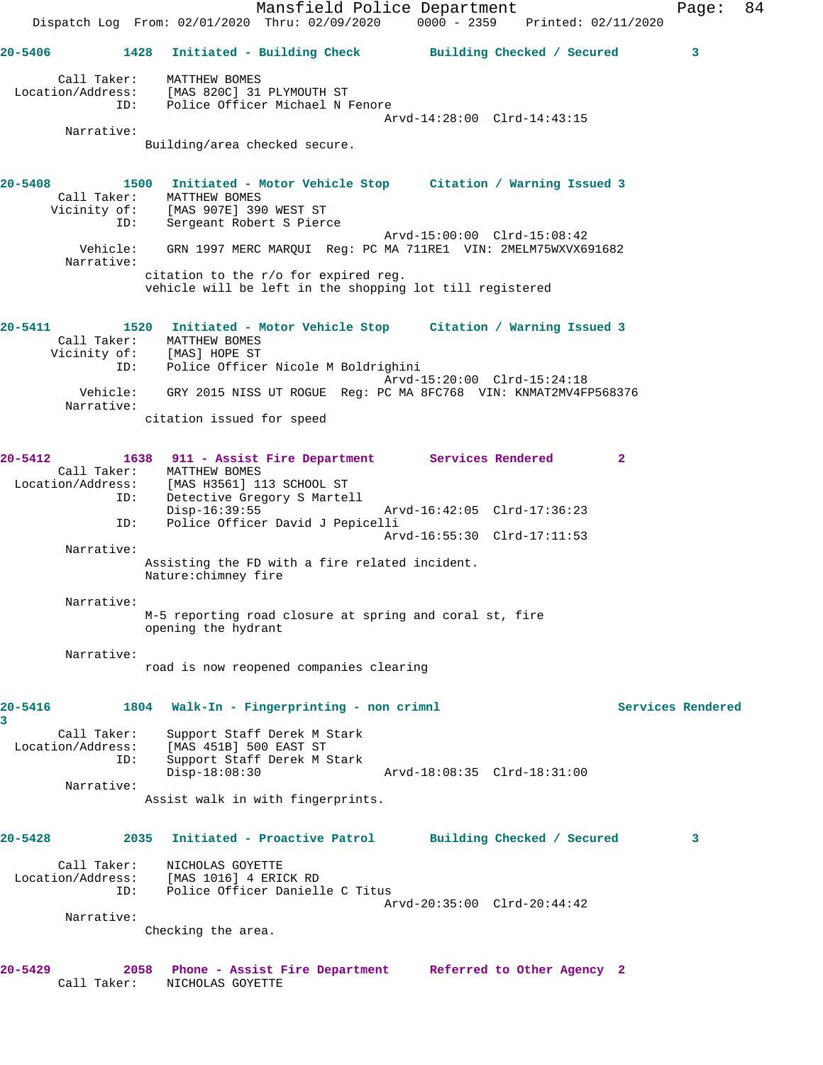Mansfield Police Department Fage: 84 Dispatch Log From: 02/01/2020 Thru: 02/09/2020 0000 - 2359 Printed: 02/11/2020 **20-5406 1428 Initiated - Building Check Building Checked / Secured 3** Call Taker: MATTHEW BOMES Location/Address: [MAS 820C] 31 PLYMOUTH ST ID: Police Officer Michael N Fenore Arvd-14:28:00 Clrd-14:43:15 Narrative: Building/area checked secure. **20-5408 1500 Initiated - Motor Vehicle Stop Citation / Warning Issued 3**  Call Taker: MATTHEW BOMES Vicinity of: [MAS 907E] 390 WEST ST ID: Sergeant Robert S Pierce Arvd-15:00:00 Clrd-15:08:42 Vehicle: GRN 1997 MERC MARQUI Reg: PC MA 711RE1 VIN: 2MELM75WXVX691682 Narrative: citation to the r/o for expired reg. vehicle will be left in the shopping lot till registered **20-5411 1520 Initiated - Motor Vehicle Stop Citation / Warning Issued 3**  Call Taker: MATTHEW BOMES Vicinity of: [MAS] HOPE ST ID: Police Officer Nicole M Boldrighini Arvd-15:20:00 Clrd-15:24:18 Vehicle: GRY 2015 NISS UT ROGUE Reg: PC MA 8FC768 VIN: KNMAT2MV4FP568376 Narrative: citation issued for speed **20-5412 1638 911 - Assist Fire Department Services Rendered 2**  Call Taker: MATTHEW BOMES Location/Address: [MAS H3561] 113 SCHOOL ST ID: Detective Gregory S Martell<br>Disp-16:39:55 Arvd-16:42:05 Clrd-17:36:23 ID: Police Officer David J Pepicelli Arvd-16:55:30 Clrd-17:11:53 Narrative: Assisting the FD with a fire related incident. Nature:chimney fire Narrative: M-5 reporting road closure at spring and coral st, fire opening the hydrant Narrative: road is now reopened companies clearing **20-5416 1804 Walk-In - Fingerprinting - non crimnl Services Rendered 3**  Call Taker: Support Staff Derek M Stark Location/Address: [MAS 451B] 500 EAST ST ID: Support Staff Derek M Stark Disp-18:08:30 Arvd-18:08:35 Clrd-18:31:00 Narrative: Assist walk in with fingerprints. **20-5428 2035 Initiated - Proactive Patrol Building Checked / Secured 3** Call Taker: NICHOLAS GOYETTE Location/Address: [MAS 1016] 4 ERICK RD ID: Police Officer Danielle C Titus Arvd-20:35:00 Clrd-20:44:42 Narrative: Checking the area. **20-5429 2058 Phone - Assist Fire Department Referred to Other Agency 2** 

Call Taker: NICHOLAS GOYETTE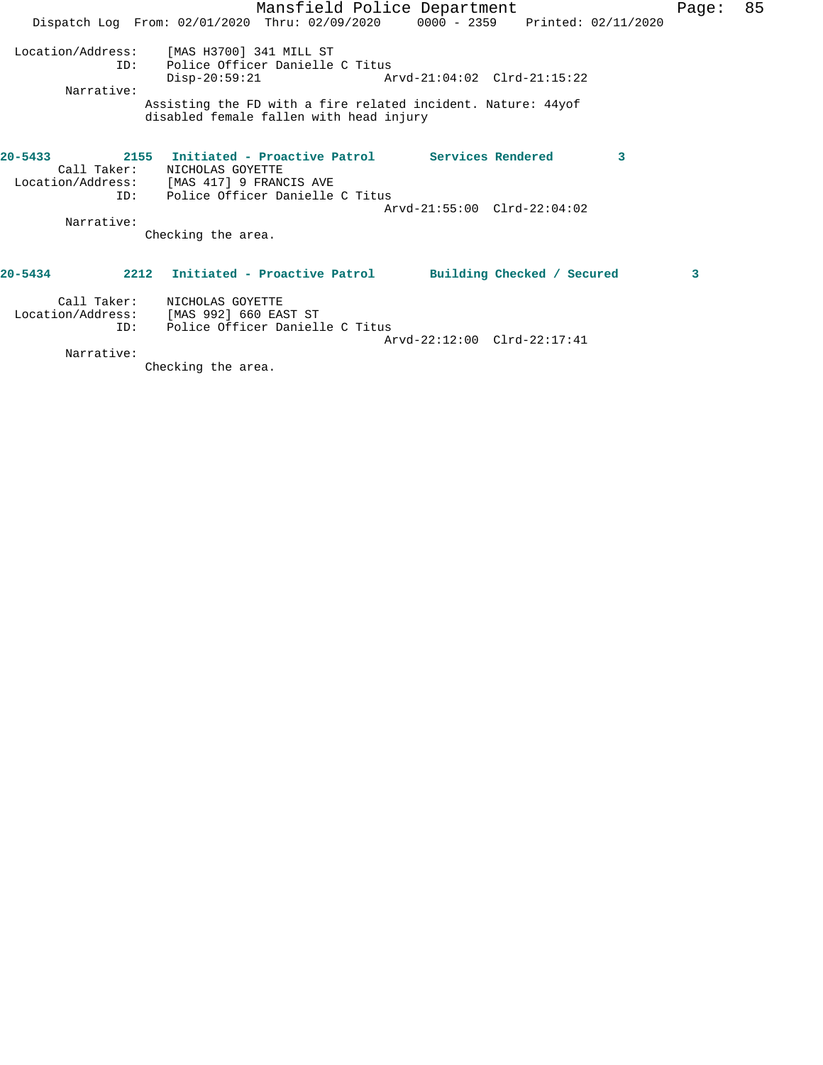|             |             |                                           | Mansfield Police Department                                                                             |                             |   | Page: | 85 |
|-------------|-------------|-------------------------------------------|---------------------------------------------------------------------------------------------------------|-----------------------------|---|-------|----|
|             |             |                                           | Dispatch Log From: 02/01/2020 Thru: 02/09/2020 0000 - 2359 Printed: 02/11/2020                          |                             |   |       |    |
|             |             | Location/Address: [MAS H3700] 341 MILL ST |                                                                                                         |                             |   |       |    |
|             | TD:         | $Disp-20:59:21$                           | Police Officer Danielle C Titus                                                                         | Arvd-21:04:02 Clrd-21:15:22 |   |       |    |
|             | Narrative:  |                                           |                                                                                                         |                             |   |       |    |
|             |             |                                           | Assisting the FD with a fire related incident. Nature: 44yof<br>disabled female fallen with head injury |                             |   |       |    |
| $20 - 5433$ | Call Taker: | NICHOLAS GOYETTE                          | 2155 Initiated - Proactive Patrol Services Rendered                                                     |                             | 3 |       |    |
|             |             | Location/Address: [MAS 417] 9 FRANCIS AVE | ID: Police Officer Danielle C Titus                                                                     | Arvd-21:55:00 Clrd-22:04:02 |   |       |    |
|             | Narrative:  |                                           |                                                                                                         |                             |   |       |    |
|             |             | Checking the area.                        |                                                                                                         |                             |   |       |    |
| $20 - 5434$ |             |                                           | 2212 Initiated - Proactive Patrol Building Checked / Secured                                            |                             |   | 3     |    |
|             | Call Taker: | NICHOLAS GOYETTE                          |                                                                                                         |                             |   |       |    |
|             |             | Location/Address: [MAS 992] 660 EAST ST   |                                                                                                         |                             |   |       |    |
|             | ID:         |                                           | Police Officer Danielle C Titus                                                                         |                             |   |       |    |
|             |             |                                           |                                                                                                         | Arvd-22:12:00 Clrd-22:17:41 |   |       |    |
|             | Narrative:  |                                           |                                                                                                         |                             |   |       |    |

Checking the area.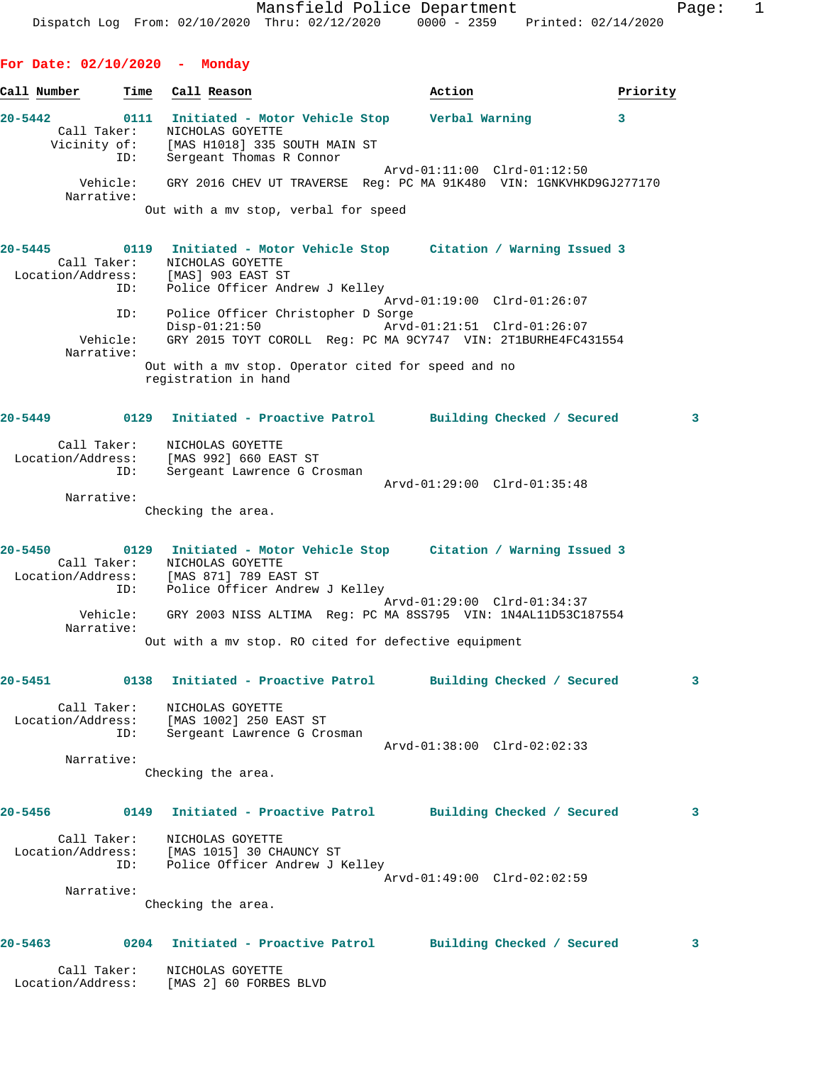Mansfield Police Department Fage: 1 Dispatch Log From: 02/10/2020 Thru: 02/12/2020 0000 - 2359 Printed: 02/14/2020 **For Date: 02/10/2020 - Monday Call Number Time Call Reason Action Priority 20-5442 0111 Initiated - Motor Vehicle Stop Verbal Warning 3**  Call Taker: NICHOLAS GOYETTE Vicinity of: [MAS H1018] 335 SOUTH MAIN ST ID: Sergeant Thomas R Connor Arvd-01:11:00 Clrd-01:12:50 Vehicle: GRY 2016 CHEV UT TRAVERSE Reg: PC MA 91K480 VIN: 1GNKVHKD9GJ277170 Narrative: Out with a mv stop, verbal for speed

**20-5445 0119 Initiated - Motor Vehicle Stop Citation / Warning Issued 3**  Call Taker: NICHOLAS GOYETTE Location/Address: [MAS] 903 EAST ST ID: Police Officer Andrew J Kelley Arvd-01:19:00 Clrd-01:26:07 ID: Police Officer Christopher D Sorge Arvd-01:21:51 Clrd-01:26:07 Vehicle: GRY 2015 TOYT COROLL Reg: PC MA 9CY747 VIN: 2T1BURHE4FC431554 Narrative: Out with a mv stop. Operator cited for speed and no registration in hand

### **20-5449 0129 Initiated - Proactive Patrol Building Checked / Secured 3**

| Call Taker:<br>Location/Address:<br>ID: | NICHOLAS GOYETTE<br>[MAS 992] 660 EAST ST<br>Sergeant Lawrence G Crosman |                             |  |
|-----------------------------------------|--------------------------------------------------------------------------|-----------------------------|--|
|                                         |                                                                          | Arvd-01:29:00 Clrd-01:35:48 |  |
| Narrative:                              |                                                                          |                             |  |

Checking the area.

**20-5450 0129 Initiated - Motor Vehicle Stop Citation / Warning Issued 3**  Call Taker: NICHOLAS GOYETTE Location/Address: [MAS 871] 789 EAST ST ID: Police Officer Andrew J Kelley Arvd-01:29:00 Clrd-01:34:37 Vehicle: GRY 2003 NISS ALTIMA Reg: PC MA 8SS795 VIN: 1N4AL11D53C187554 Narrative: Out with a mv stop. RO cited for defective equipment

# **20-5451 0138 Initiated - Proactive Patrol Building Checked / Secured 3**

 Call Taker: NICHOLAS GOYETTE Location/Address: [MAS 1002] 250 EAST ST ID: Sergeant Lawrence G Crosman Arvd-01:38:00 Clrd-02:02:33 Narrative:

Checking the area.

### **20-5456 0149 Initiated - Proactive Patrol Building Checked / Secured 3**

 Call Taker: NICHOLAS GOYETTE Location/Address: [MAS 1015] 30 CHAUNCY ST ID: Police Officer Andrew J Kelley Arvd-01:49:00 Clrd-02:02:59

Narrative:

Checking the area.

## **20-5463 0204 Initiated - Proactive Patrol Building Checked / Secured 3**

 Call Taker: NICHOLAS GOYETTE Location/Address: [MAS 2] 60 FORBES BLVD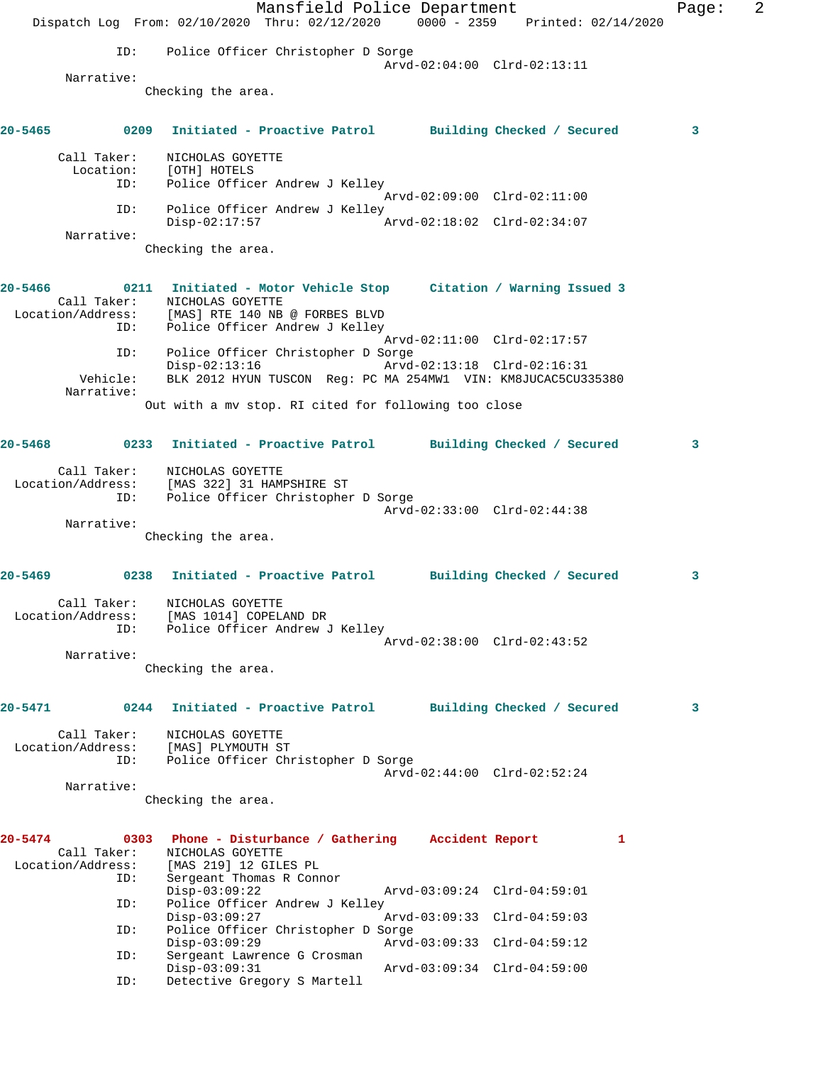|             |                                         | Dispatch Log From: 02/10/2020 Thru: 02/12/2020 0000 - 2359 Printed: 02/14/2020                                                                                            | Mansfield Police Department |                             |   | Page: | 2 |
|-------------|-----------------------------------------|---------------------------------------------------------------------------------------------------------------------------------------------------------------------------|-----------------------------|-----------------------------|---|-------|---|
|             | ID:                                     | Police Officer Christopher D Sorge                                                                                                                                        |                             |                             |   |       |   |
|             | Narrative:                              |                                                                                                                                                                           |                             | Arvd-02:04:00 Clrd-02:13:11 |   |       |   |
|             |                                         | Checking the area.                                                                                                                                                        |                             |                             |   |       |   |
| 20-5465     |                                         | 0209 Initiated - Proactive Patrol Building Checked / Secured                                                                                                              |                             |                             |   | 3     |   |
|             | Call Taker:                             | NICHOLAS GOYETTE<br>Location: [OTH] HOTELS                                                                                                                                |                             |                             |   |       |   |
|             | ID:                                     | Police Officer Andrew J Kelley                                                                                                                                            |                             | Arvd-02:09:00 Clrd-02:11:00 |   |       |   |
|             | ID:                                     | Police Officer Andrew J Kelley<br>$Disp-02:17:57$                                                                                                                         |                             | Arvd-02:18:02 Clrd-02:34:07 |   |       |   |
|             | Narrative:                              | Checking the area.                                                                                                                                                        |                             |                             |   |       |   |
| 20-5466     | Call Taker:<br>ID:                      | 0211 Initiated - Motor Vehicle Stop Citation / Warning Issued 3<br>NICHOLAS GOYETTE<br>Location/Address: [MAS] RTE 140 NB @ FORBES BLVD<br>Police Officer Andrew J Kelley |                             |                             |   |       |   |
|             | ID:                                     | Police Officer Christopher D Sorge                                                                                                                                        |                             | Arvd-02:11:00 Clrd-02:17:57 |   |       |   |
|             | Vehicle:                                | $Disp-02:13:16$<br>BLK 2012 HYUN TUSCON Reg: PC MA 254MW1 VIN: KM8JUCAC5CU335380                                                                                          |                             | Arvd-02:13:18 Clrd-02:16:31 |   |       |   |
|             | Narrative:                              | Out with a mv stop. RI cited for following too close                                                                                                                      |                             |                             |   |       |   |
| $20 - 5468$ |                                         | 0233 Initiated - Proactive Patrol Building Checked / Secured                                                                                                              |                             |                             |   | 3     |   |
|             | Call Taker:<br>Location/Address:<br>ID: | NICHOLAS GOYETTE<br>[MAS 322] 31 HAMPSHIRE ST<br>Police Officer Christopher D Sorge                                                                                       |                             |                             |   |       |   |
|             | Narrative:                              |                                                                                                                                                                           |                             | Arvd-02:33:00 Clrd-02:44:38 |   |       |   |
|             |                                         | Checking the area.                                                                                                                                                        |                             |                             |   |       |   |
| $20 - 5469$ |                                         | 0238 Initiated - Proactive Patrol Building Checked / Secured                                                                                                              |                             |                             |   | 3     |   |
|             | Location/Address:<br>ID:                | Call Taker: NICHOLAS GOYETTE<br>[MAS 1014] COPELAND DR<br>Police Officer Andrew J Kelley                                                                                  |                             |                             |   |       |   |
|             |                                         |                                                                                                                                                                           |                             | Arvd-02:38:00 Clrd-02:43:52 |   |       |   |
|             | Narrative:                              | Checking the area.                                                                                                                                                        |                             |                             |   |       |   |
| 20-5471     | 0244                                    | Initiated - Proactive Patrol                                                                                                                                              |                             | Building Checked / Secured  |   | 3     |   |
|             | Call Taker:<br>Location/Address:<br>ID: | NICHOLAS GOYETTE<br>[MAS] PLYMOUTH ST<br>Police Officer Christopher D Sorge                                                                                               |                             |                             |   |       |   |
|             | Narrative:                              |                                                                                                                                                                           |                             | Arvd-02:44:00 Clrd-02:52:24 |   |       |   |
|             |                                         | Checking the area.                                                                                                                                                        |                             |                             |   |       |   |
| 20-5474     | Call Taker:<br>Location/Address:        | 0303 Phone - Disturbance / Gathering Accident Report<br>NICHOLAS GOYETTE<br>[MAS 219] 12 GILES PL                                                                         |                             |                             | 1 |       |   |
|             | ID:                                     | Sergeant Thomas R Connor<br>$Disp-03:09:22$                                                                                                                               |                             | Arvd-03:09:24 Clrd-04:59:01 |   |       |   |
|             | ID:                                     | Police Officer Andrew J Kelley<br>$Disp-03:09:27$                                                                                                                         |                             | Arvd-03:09:33 Clrd-04:59:03 |   |       |   |
|             | ID:                                     | Police Officer Christopher D Sorge<br>$Disp-03:09:29$                                                                                                                     |                             | Arvd-03:09:33 Clrd-04:59:12 |   |       |   |
|             | ID:<br>ID:                              | Sergeant Lawrence G Crosman<br>$Disp-03:09:31$<br>Detective Gregory S Martell                                                                                             |                             | Arvd-03:09:34 Clrd-04:59:00 |   |       |   |
|             |                                         |                                                                                                                                                                           |                             |                             |   |       |   |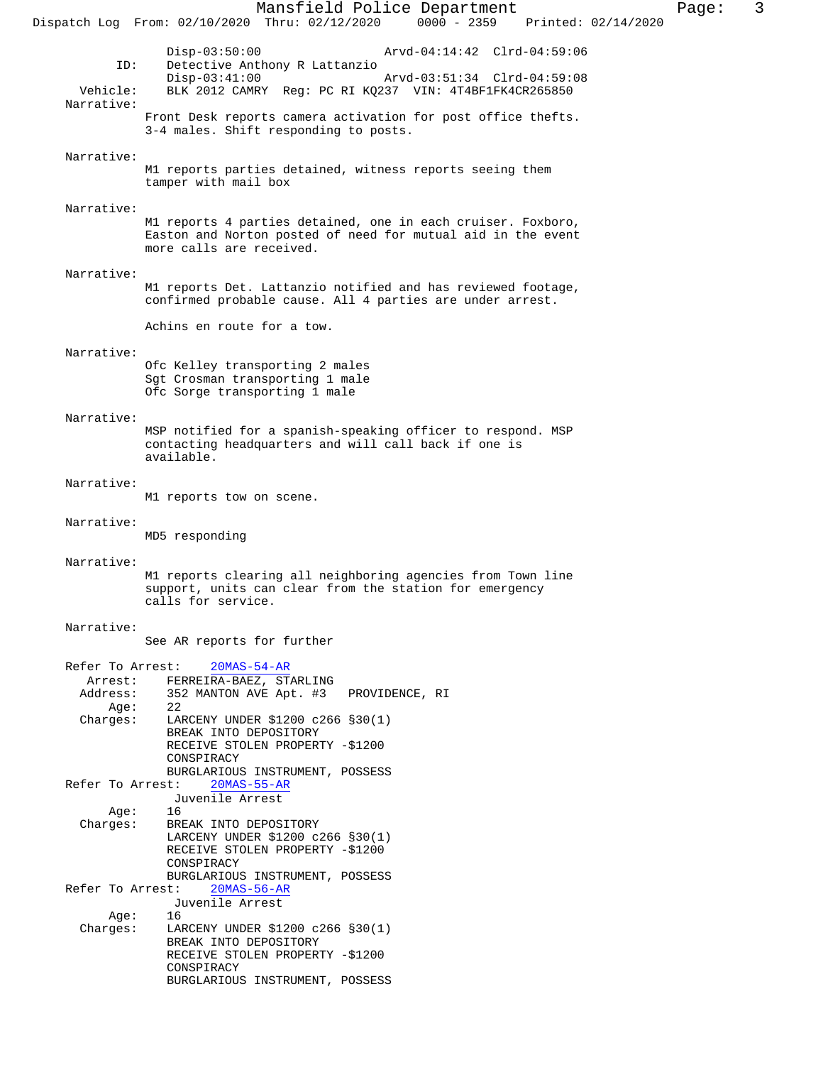Mansfield Police Department<br>Thru: 02/12/2020 0000 - 2359 Printed: 02/14/2020 Dispatch Log From:  $02/10/2020$  Thru:  $02/12/2020$  0000 - 2359 Disp-03:50:00 Arvd-04:14:42 Clrd-04:59:06<br>ID: Detective Anthony R Lattanzio Detective Anthony R Lattanzio<br>Disp-03:41:00 Disp-03:41:00 Arvd-03:51:34 Clrd-04:59:08 Vehicle: BLK 2012 CAMRY Reg: PC RI KQ237 VIN: 4T4BF1FK4CR265850 Narrative: Front Desk reports camera activation for post office thefts. 3-4 males. Shift responding to posts. Narrative: M1 reports parties detained, witness reports seeing them tamper with mail box Narrative: M1 reports 4 parties detained, one in each cruiser. Foxboro, Easton and Norton posted of need for mutual aid in the event more calls are received. Narrative: M1 reports Det. Lattanzio notified and has reviewed footage, confirmed probable cause. All 4 parties are under arrest. Achins en route for a tow. Narrative: Ofc Kelley transporting 2 males Sgt Crosman transporting 1 male Ofc Sorge transporting 1 male Narrative: MSP notified for a spanish-speaking officer to respond. MSP contacting headquarters and will call back if one is available. Narrative: M1 reports tow on scene. Narrative: MD5 responding Narrative: M1 reports clearing all neighboring agencies from Town line support, units can clear from the station for emergency calls for service. Narrative: See AR reports for further

 Refer To Arrest: 20MAS-54-AR Arrest: FERREIRA-BAEZ, STARLING Address: 352 MANTON AVE Apt. #3 PROVIDENCE, RI<br>Age: 22 Age: Charges: LARCENY UNDER \$1200 c266 §30(1) BREAK INTO DEPOSITORY RECEIVE STOLEN PROPERTY -\$1200 CONSPIRACY BURGLARIOUS INSTRUMENT, POSSESS<br>st: 20MAS-55-AR Refer To Arrest: Juvenile Arrest Age: 16 Charges: BREAK INTO DEPOSITORY LARCENY UNDER \$1200 c266 §30(1) RECEIVE STOLEN PROPERTY -\$1200 CONSPIRACY BURGLARIOUS INSTRUMENT, POSSESS<br>st: 20MAS-56-AR Refer To Arrest: Juvenile Arrest Age:<br>:Charges LARCENY UNDER \$1200 c266 §30(1) BREAK INTO DEPOSITORY RECEIVE STOLEN PROPERTY -\$1200 CONSPIRACY BURGLARIOUS INSTRUMENT, POSSESS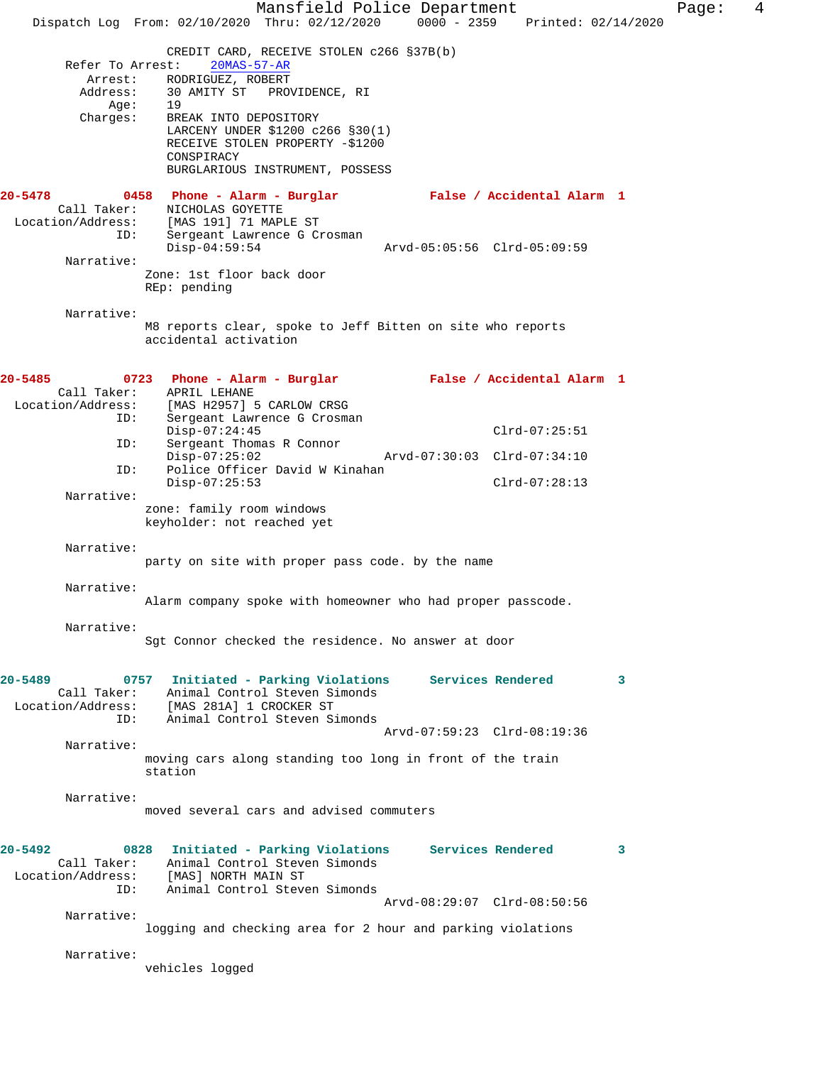Mansfield Police Department Fage: 4 Dispatch Log From: 02/10/2020 Thru: 02/12/2020 0000 - 2359 Printed: 02/14/2020 CREDIT CARD, RECEIVE STOLEN c266 §37B(b) Refer To Arrest: 20MAS-57-AR Arrest: RODRIGUEZ, ROBERT Address: 30 AMITY ST PROVIDENCE, RI Age: 19<br>Charges: BRI BREAK INTO DEPOSITORY LARCENY UNDER \$1200 c266 §30(1) RECEIVE STOLEN PROPERTY -\$1200 CONSPIRACY BURGLARIOUS INSTRUMENT, POSSESS **20-5478 0458 Phone - Alarm - Burglar False / Accidental Alarm 1**  Call Taker: NICHOLAS GOYETTE Location/Address: [MAS 191] 71 MAPLE ST ID: Sergeant Lawrence G Crosman<br>Disp-04:59:54 Disp-04:59:54 Arvd-05:05:56 Clrd-05:09:59 Narrative: Zone: 1st floor back door REp: pending Narrative: M8 reports clear, spoke to Jeff Bitten on site who reports accidental activation **20-5485 0723 Phone - Alarm - Burglar False / Accidental Alarm 1**  Call Taker: APRIL LEHANE<br>Location/Address: [MAS H2957] ! [MAS H2957] 5 CARLOW CRSG ID: Sergeant Lawrence G Crosman Disp-07:24:45 Clrd-07:25:51<br>ID: Sergeant Thomas R Connor Sergeant Thomas R Connor<br>Disp-07:25:02 Disp-07:25:02 Arvd-07:30:03 Clrd-07:34:10 ID: Police Officer David W Kinahan Disp-07:25:53 Clrd-07:28:13 Narrative: zone: family room windows keyholder: not reached yet Narrative: party on site with proper pass code. by the name Narrative: Alarm company spoke with homeowner who had proper passcode. Narrative: Sgt Connor checked the residence. No answer at door **20-5489 0757 Initiated - Parking Violations Services Rendered 3**  Call Taker: Animal Control Steven Simonds Location/Address: [MAS 281A] 1 CROCKER ST ID: Animal Control Steven Simonds Arvd-07:59:23 Clrd-08:19:36 Narrative: moving cars along standing too long in front of the train station Narrative: moved several cars and advised commuters **20-5492 0828 Initiated - Parking Violations Services Rendered 3**  Call Taker: Animal Control Steven Simonds Location/Address: [MAS] NORTH MAIN ST ID: Animal Control Steven Simonds Arvd-08:29:07 Clrd-08:50:56 Narrative: logging and checking area for 2 hour and parking violations Narrative: vehicles logged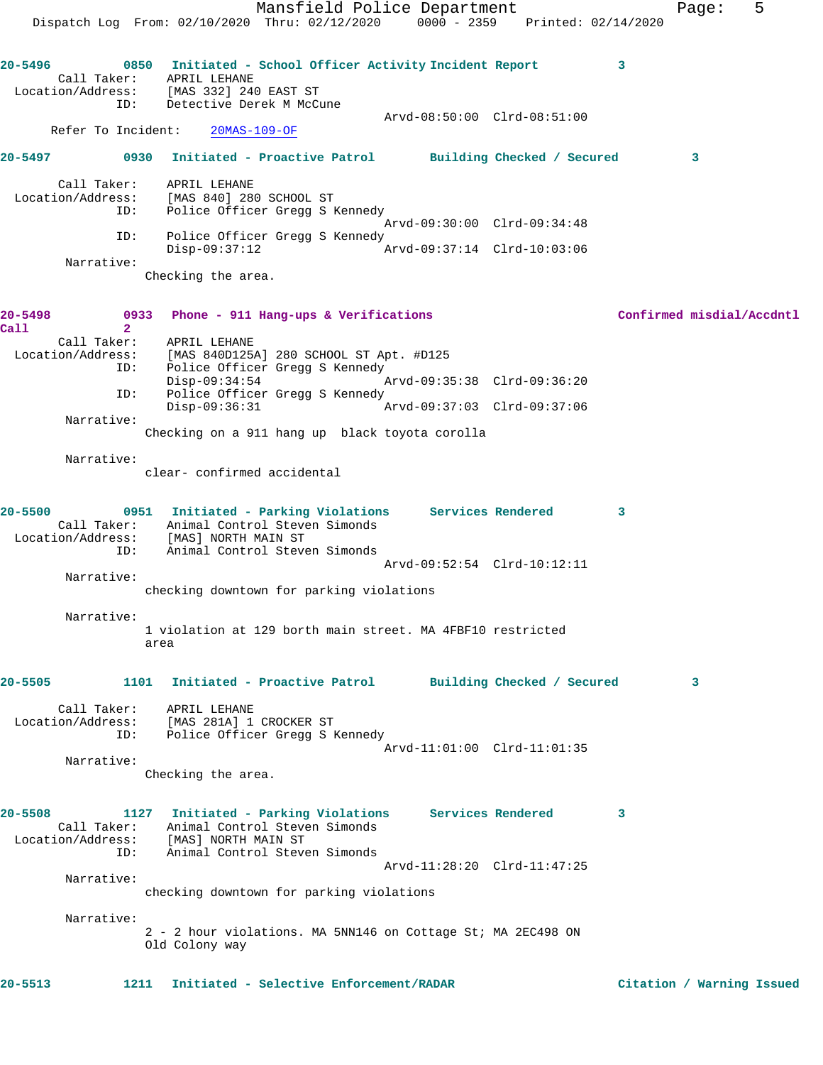Mansfield Police Department Fage: 5 Dispatch Log From: 02/10/2020 Thru: 02/12/2020 0000 - 2359 Printed: 02/14/2020 **20-5496 0850 Initiated - School Officer Activity Incident Report 3**  Call Taker: APRIL LEHANE Location/Address: [MAS 332] 240 EAST ST ID: Detective Derek M McCune Arvd-08:50:00 Clrd-08:51:00 Refer To Incident: 20MAS-109-OF **20-5497 0930 Initiated - Proactive Patrol Building Checked / Secured 3** Call Taker: APRIL LEHANE Location/Address: [MAS 840] 280 SCHOOL ST ID: Police Officer Gregg S Kennedy Arvd-09:30:00 Clrd-09:34:48 ID: Police Officer Gregg S Kennedy Disp-09:37:12 Arvd-09:37:14 Clrd-10:03:06 Narrative: Checking the area. **20-5498 0933 Phone - 911 Hang-ups & Verifications Confirmed misdial/Accdntl Call 2**  Call Taker: APRIL LEHANE Location/Address: [MAS 840D125A] 280 SCHOOL ST Apt. #D125 ID: Police Officer Gregg S Kennedy Disp-09:34:54 Arvd-09:35:38 Clrd-09:36:20 ID: Police Officer Gregg S Kennedy<br>Disp-09:36:31 Mrvd-09:37:03 Clrd-09:37:06 Disp-09:36:31 Narrative: Checking on a 911 hang up black toyota corolla Narrative: clear- confirmed accidental **20-5500 0951 Initiated - Parking Violations Services Rendered 3**  Call Taker: Animal Control Steven Simonds Location/Address: [MAS] NORTH MAIN ST ID: Animal Control Steven Simonds Arvd-09:52:54 Clrd-10:12:11 Narrative: checking downtown for parking violations Narrative: 1 violation at 129 borth main street. MA 4FBF10 restricted area **20-5505 1101 Initiated - Proactive Patrol Building Checked / Secured 3** Call Taker: APRIL LEHANE Location/Address: [MAS 281A] 1 CROCKER ST ID: Police Officer Gregg S Kennedy Arvd-11:01:00 Clrd-11:01:35 Narrative: Checking the area. **20-5508 1127 Initiated - Parking Violations Services Rendered 3**  Call Taker: Animal Control Steven Simonds Location/Address: [MAS] NORTH MAIN ST ID: Animal Control Steven Simonds Arvd-11:28:20 Clrd-11:47:25 Narrative: checking downtown for parking violations Narrative: 2 - 2 hour violations. MA 5NN146 on Cottage St; MA 2EC498 ON Old Colony way **20-5513 1211 Initiated - Selective Enforcement/RADAR Citation / Warning Issued**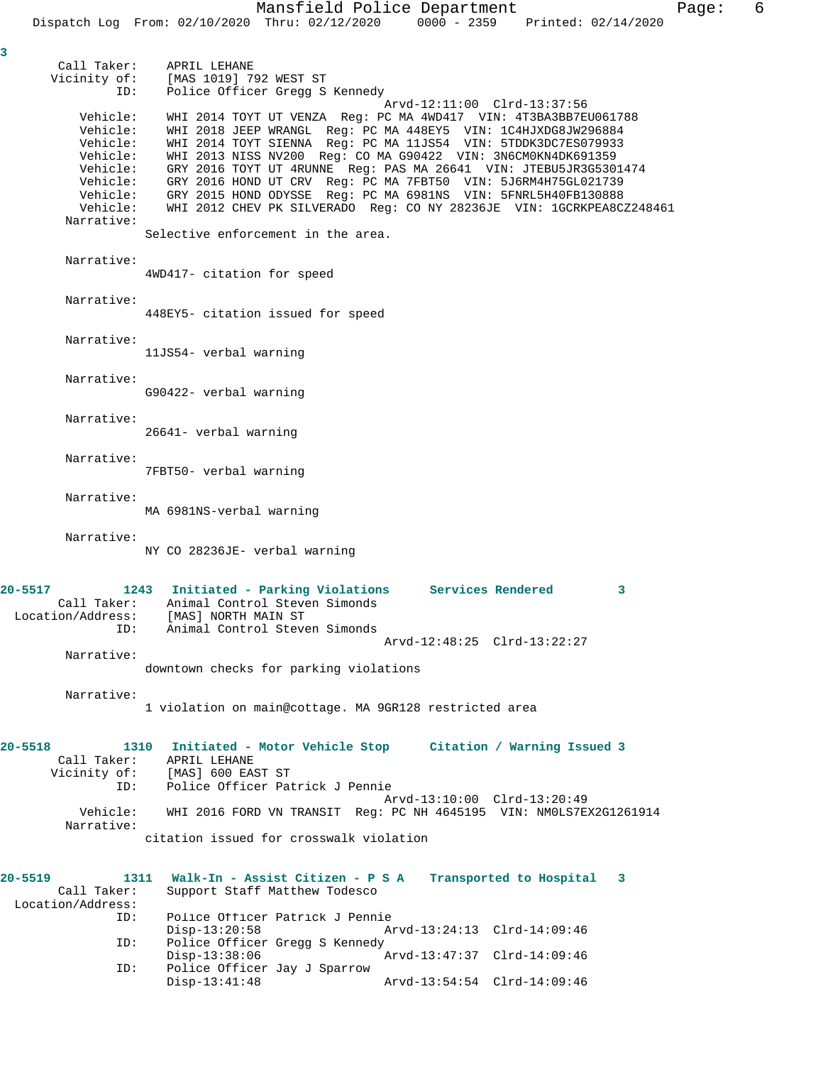Call Taker: APRIL LEHANE Vicinity of: [MAS 1019] 792 WEST ST ID: Police Officer Gregg S Kennedy Arvd-12:11:00 Clrd-13:37:56 Vehicle: WHI 2014 TOYT UT VENZA Reg: PC MA 4WD417 VIN: 4T3BA3BB7EU061788 Vehicle: WHI 2018 JEEP WRANGL Reg: PC MA 448EY5 VIN: 1C4HJXDG8JW296884 Vehicle: WHI 2014 TOYT SIENNA Reg: PC MA 11JS54 VIN: 5TDDK3DC7ES079933 Vehicle: WHI 2013 NISS NV200 Reg: CO MA G90422 VIN: 3N6CM0KN4DK691359 Vehicle: GRY 2016 TOYT UT 4RUNNE Reg: PAS MA 26641 VIN: JTEBU5JR3G5301474 Vehicle: GRY 2016 HOND UT CRV Reg: PC MA 7FBT50 VIN: 5J6RM4H75GL021739 Vehicle: GRY 2015 HOND ODYSSE Reg: PC MA 6981NS VIN: 5FNRL5H40FB130888 Vehicle: WHI 2012 CHEV PK SILVERADO Reg: CO NY 28236JE VIN: 1GCRKPEA8CZ248461 Narrative: Selective enforcement in the area. Narrative: 4WD417- citation for speed Narrative: 448EY5- citation issued for speed Narrative: 11JS54- verbal warning Narrative: G90422- verbal warning Narrative: 26641- verbal warning Narrative: 7FBT50- verbal warning Narrative: MA 6981NS-verbal warning Narrative: NY CO 28236JE- verbal warning **20-5517 1243 Initiated - Parking Violations Services Rendered 3**  Call Taker: Animal Control Steven Simonds Location/Address: [MAS] NORTH MAIN ST ID: Animal Control Steven Simonds Arvd-12:48:25 Clrd-13:22:27 Narrative: downtown checks for parking violations Narrative: 1 violation on main@cottage. MA 9GR128 restricted area **20-5518 1310 Initiated - Motor Vehicle Stop Citation / Warning Issued 3**  Call Taker: APRIL LEHANE Vicinity of: [MAS] 600 EAST ST ID: Police Officer Patrick J Pennie Arvd-13:10:00 Clrd-13:20:49 Vehicle: WHI 2016 FORD VN TRANSIT Reg: PC NH 4645195 VIN: NM0LS7EX2G1261914 Narrative: citation issued for crosswalk violation **20-5519 1311 Walk-In - Assist Citizen - P S A Transported to Hospital 3**  Call Taker: Support Staff Matthew Todesco Location/Address:<br>ID: Police Officer Patrick J Pennie<br>Disp-13:20:58 Ar Disp-13:20:58 Arvd-13:24:13 Clrd-14:09:46 ID: Police Officer Gregg S Kennedy Disp-13:38:06 Arvd-13:47:37 Clrd-14:09:46<br>ID: Police Officer Jay J Sparrow Police Officer Jay J Sparrow<br>Disp-13:41:48 Arvd-13:54:54 Clrd-14:09:46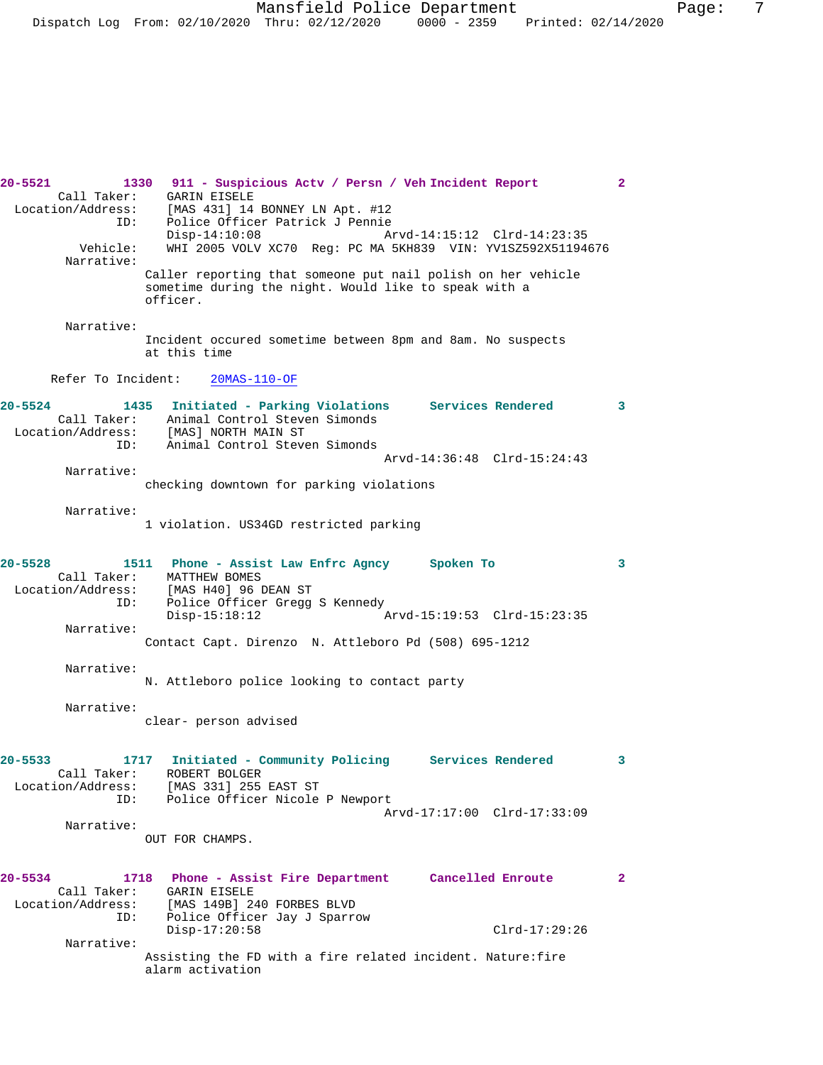Mansfield Police Department Fage: 7 Dispatch Log From: 02/10/2020 Thru: 02/12/2020 0000 - 2359 Printed: 02/14/2020

**20-5521 1330 911 - Suspicious Actv / Persn / Veh Incident Report 2**  Call Taker: GARIN EISELE Location/Address: [MAS 431] 14 BONNEY LN Apt. #12 ID: Police Officer Patrick J Pennie Arvd-14:15:12 Clrd-14:23:35 Vehicle: WHI 2005 VOLV XC70 Reg: PC MA 5KH839 VIN: YV1SZ592X51194676 Narrative: Caller reporting that someone put nail polish on her vehicle sometime during the night. Would like to speak with a officer. Narrative: Incident occured sometime between 8pm and 8am. No suspects at this time Refer To Incident: 20MAS-110-OF **20-5524 1435 Initiated - Parking Violations Services Rendered 3**  Call Taker: Animal Control Steven Simonds Location/Address: [MAS] NORTH MAIN ST ID: Animal Control Steven Simonds Arvd-14:36:48 Clrd-15:24:43 Narrative: checking downtown for parking violations Narrative: 1 violation. US34GD restricted parking **20-5528 1511 Phone - Assist Law Enfrc Agncy Spoken To 3**  Call Taker: MATTHEW BOMES<br>Location/Address: [MAS H40] 96 J [MAS H40] 96 DEAN ST ID: Police Officer Gregg S Kennedy<br>Disp-15:18:12 Arvd-15:19:53 Clrd-15:23:35 Narrative: Contact Capt. Direnzo N. Attleboro Pd (508) 695-1212 Narrative: N. Attleboro police looking to contact party Narrative: clear- person advised **20-5533 1717 Initiated - Community Policing Services Rendered 3**  Call Taker: ROBERT BOLGER Location/Address: [MAS 331] 255 EAST ST ID: Police Officer Nicole P Newport Arvd-17:17:00 Clrd-17:33:09 Narrative: OUT FOR CHAMPS. **20-5534 1718 Phone - Assist Fire Department Cancelled Enroute 2**  Call Taker: GARIN EISELE Location/Address: [MAS 149B] 240 FORBES BLVD ID: Police Officer Jay J Sparrow Disp-17:20:58 Clrd-17:29:26 Narrative: Assisting the FD with a fire related incident. Nature:fire alarm activation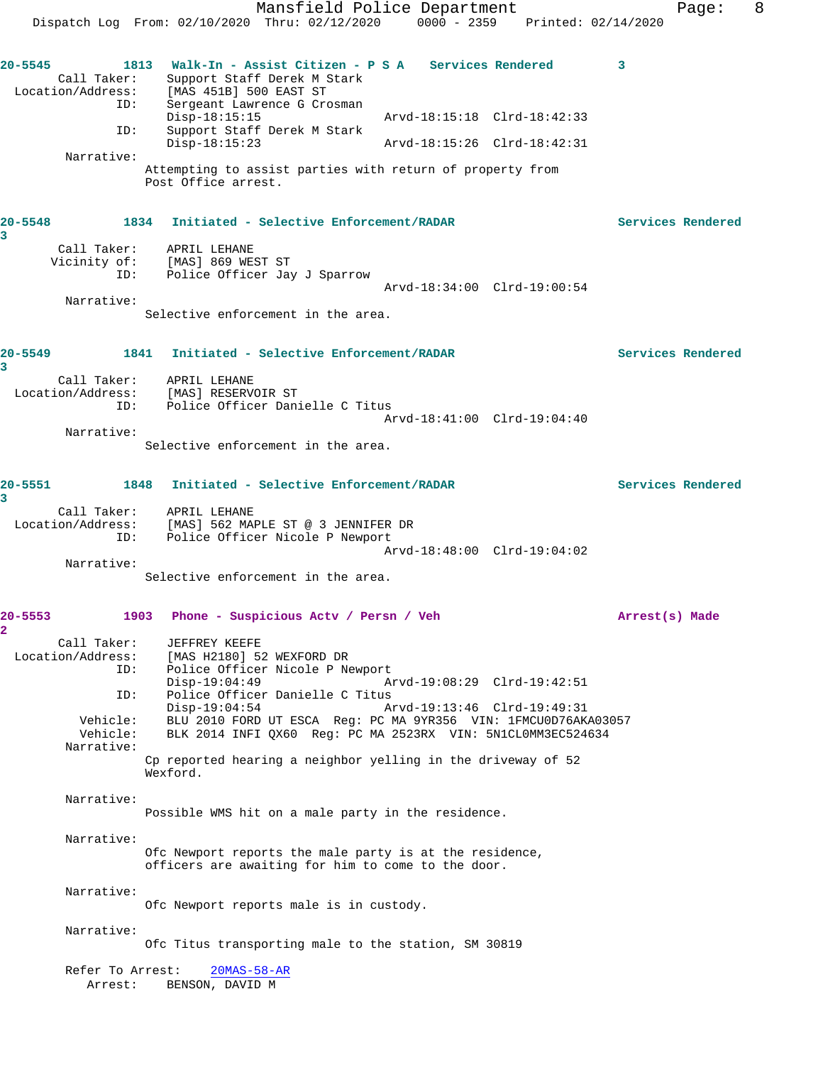Mansfield Police Department Form Page: 8 Dispatch Log From: 02/10/2020 Thru: 02/12/2020 0000 - 2359 Printed: 02/14/2020 **20-5545 1813 Walk-In - Assist Citizen - P S A Services Rendered 3**  Call Taker: Support Staff Derek M Stark<br>Location/Address: [MAS 451B] 500 EAST ST [MAS 451B] 500 EAST ST ID: Sergeant Lawrence G Crosman<br>Disp-18:15:15 Disp-18:15:15 Arvd-18:15:18 Clrd-18:42:33 ID: Support Staff Derek M Stark Disp-18:15:23 Arvd-18:15:26 Clrd-18:42:31 Narrative: Attempting to assist parties with return of property from Post Office arrest. **20-5548 1834 Initiated - Selective Enforcement/RADAR Services Rendered 3**  Call Taker: APRIL LEHANE Vicinity of: [MAS] 869 WEST ST ID: Police Officer Jay J Sparrow Arvd-18:34:00 Clrd-19:00:54 Narrative: Selective enforcement in the area. **20-5549 1841 Initiated - Selective Enforcement/RADAR Services Rendered 3**  Call Taker: APRIL LEHANE Location/Address: [MAS] RESERVOIR ST ID: Police Officer Danielle C Titus Arvd-18:41:00 Clrd-19:04:40 Narrative: Selective enforcement in the area. **20-5551 1848 Initiated - Selective Enforcement/RADAR Services Rendered 3**  Call Taker: APRIL LEHANE<br>Location/Address: [MAS] 562 MAI ess: [MAS] 562 MAPLE ST @ 3 JENNIFER DR<br>ID: Police Officer Nicole P Newport Police Officer Nicole P Newport Arvd-18:48:00 Clrd-19:04:02 Narrative: Selective enforcement in the area. **20-5553 1903 Phone - Suspicious Actv / Persn / Veh Arrest(s) Made 2**  Call Taker: JEFFREY KEEFE Location/Address: [MAS H2180] 52 WEXFORD DR ID: Police Officer Nicole P Newport<br>Disp-19:04:49 A Disp-19:04:49 Arvd-19:08:29 Clrd-19:42:51<br>ID: Police Officer Danielle C Titus Police Officer Danielle C Titus Disp-19:04:54 Arvd-19:13:46 Clrd-19:49:31 Vehicle: BLU 2010 FORD UT ESCA Reg: PC MA 9YR356 VIN: 1FMCU0D76AKA03057 Vehicle: BLK 2014 INFI QX60 Reg: PC MA 2523RX VIN: 5N1CL0MM3EC524634 Narrative: Cp reported hearing a neighbor yelling in the driveway of 52 Wexford. Narrative: Possible WMS hit on a male party in the residence. Narrative: Ofc Newport reports the male party is at the residence, officers are awaiting for him to come to the door. Narrative: Ofc Newport reports male is in custody. Narrative: Ofc Titus transporting male to the station, SM 30819 Refer To Arrest: 20MAS-58-AR Arrest: BENSON, DAVID M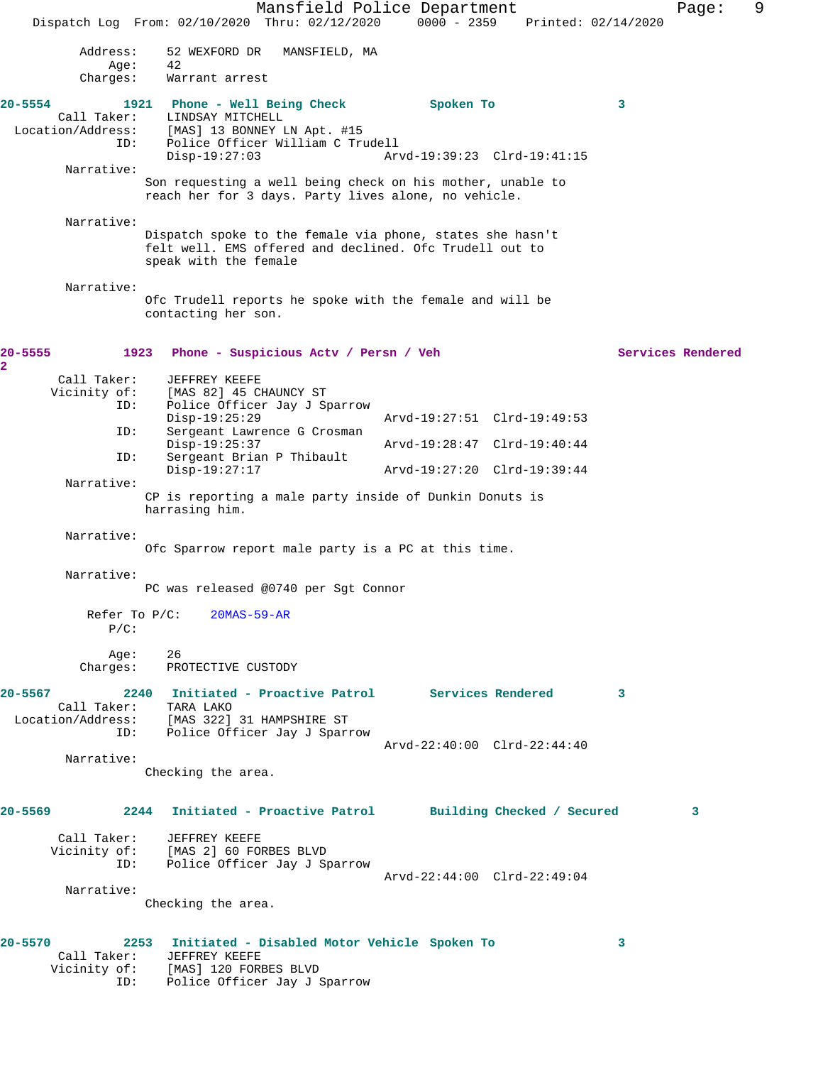Mansfield Police Department Fage: 9 Dispatch Log From: 02/10/2020 Thru: 02/12/2020 0000 - 2359 Printed: 02/14/2020 Address: 52 WEXFORD DR MANSFIELD, MA<br>Age: 42 Age:<br>:Charges Warrant arrest **20-5554 1921 Phone - Well Being Check Spoken To 3**  Call Taker: LINDSAY MITCHELL Location/Address: [MAS] 13 BONNEY LN Apt. #15 ID: Police Officer William C Trudell Disp-19:27:03 Arvd-19:39:23 Clrd-19:41:15 Narrative: Son requesting a well being check on his mother, unable to reach her for 3 days. Party lives alone, no vehicle. Narrative: Dispatch spoke to the female via phone, states she hasn't felt well. EMS offered and declined. Ofc Trudell out to speak with the female Narrative: Ofc Trudell reports he spoke with the female and will be contacting her son. **20-5555 1923 Phone - Suspicious Actv / Persn / Veh Services Rendered 2**  Call Taker: JEFFREY KEEFE Vicinity of: [MAS 82] 45 CHAUNCY ST<br>ID: Police Officer Jay J St Police Officer Jay J Sparrow<br>Disp-19:25:29 Disp-19:25:29 Arvd-19:27:51 Clrd-19:49:53 ID: Sergeant Lawrence G Crosman<br>Disp-19:25:37 Disp-19:25:37 Arvd-19:28:47 Clrd-19:40:44<br>ID: Sergeant Brian P Thibault Sergeant Brian P Thibault<br>Disp-19:27:17 Disp-19:27:17 Arvd-19:27:20 Clrd-19:39:44 Narrative: CP is reporting a male party inside of Dunkin Donuts is harrasing him. Narrative: Ofc Sparrow report male party is a PC at this time. Narrative: PC was released @0740 per Sgt Connor Refer To P/C: 20MAS-59-AR P/C: Age: 26<br>Charges: PRC PROTECTIVE CUSTODY **20-5567 2240 Initiated - Proactive Patrol Services Rendered 3**  Call Taker: TARA LAKO Location/Address: [MAS 322] 31 HAMPSHIRE ST ID: Police Officer Jay J Sparrow Arvd-22:40:00 Clrd-22:44:40 Narrative: Checking the area. **20-5569 2244 Initiated - Proactive Patrol Building Checked / Secured 3** Call Taker: JEFFREY KEEFE Vicinity of: [MAS 2] 60 FORBES BLVD ID: Police Officer Jay J Sparrow Arvd-22:44:00 Clrd-22:49:04 Narrative: Checking the area. **20-5570 2253 Initiated - Disabled Motor Vehicle Spoken To 3**  Call Taker: JEFFREY KEEFE Vicinity of: [MAS] 120 FORBES BLVD ID: Police Officer Jay J Sparrow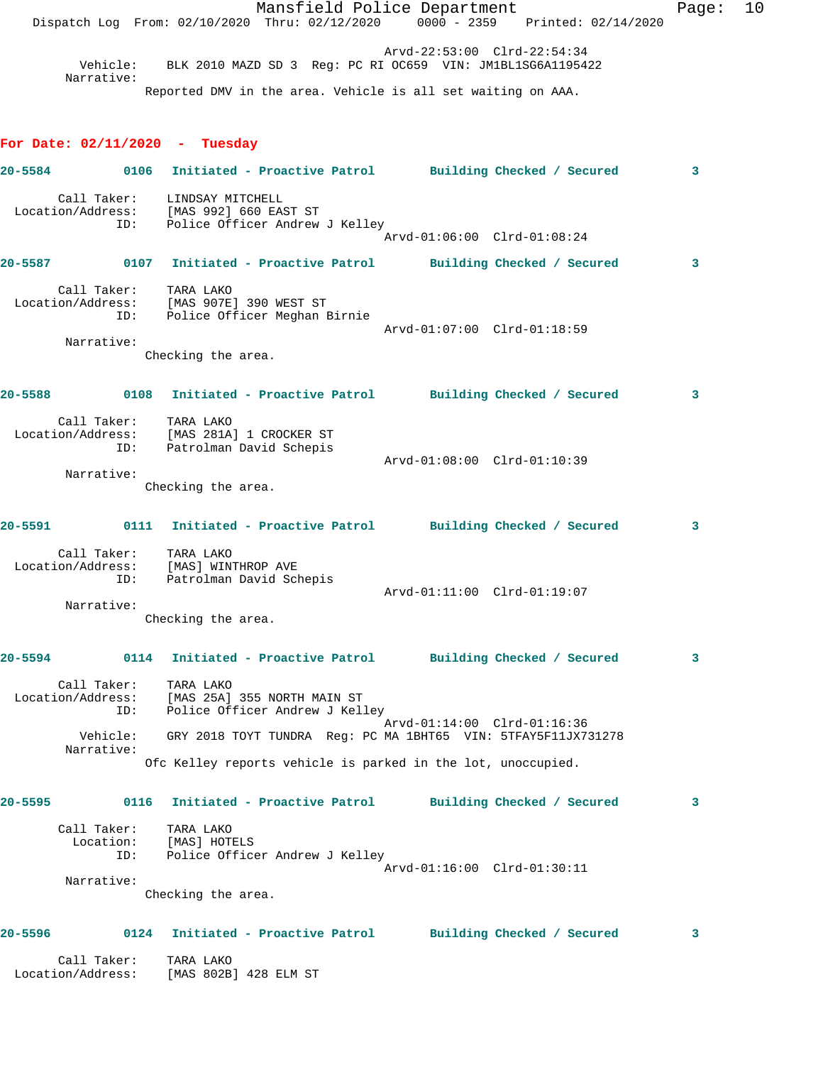|             | Call Taker:                             | TARA LAKO<br>Location/Address: [MAS 802B] 428 ELM ST                                                          |                             |                             |  |       |    |
|-------------|-----------------------------------------|---------------------------------------------------------------------------------------------------------------|-----------------------------|-----------------------------|--|-------|----|
|             |                                         | 0124 Initiated - Proactive Patrol Building Checked / Secured                                                  |                             |                             |  | 3     |    |
|             | Narrative:                              | Checking the area.                                                                                            |                             |                             |  |       |    |
|             | Call Taker: TARA LAKO<br>ID:            | Location: [MAS] HOTELS<br>Police Officer Andrew J Kelley                                                      |                             | Arvd-01:16:00 Clrd-01:30:11 |  |       |    |
| 20-5595     |                                         | 0116 Initiated - Proactive Patrol Building Checked / Secured                                                  |                             |                             |  | 3     |    |
|             |                                         | Ofc Kelley reports vehicle is parked in the lot, unoccupied.                                                  |                             |                             |  |       |    |
|             | ID:<br>Vehicle:<br>Narrative:           | Police Officer Andrew J Kelley<br>GRY 2018 TOYT TUNDRA Reg: PC MA 1BHT65 VIN: 5TFAY5F11JX731278               |                             | Arvd-01:14:00 Clrd-01:16:36 |  |       |    |
|             | Call Taker:                             | TARA LAKO<br>Location/Address: [MAS 25A] 355 NORTH MAIN ST                                                    |                             |                             |  |       |    |
| 20-5594     |                                         | 0114 Initiated - Proactive Patrol Building Checked / Secured                                                  |                             |                             |  | 3     |    |
|             | Narrative:                              | Checking the area.                                                                                            |                             | Arvd-01:11:00 Clrd-01:19:07 |  |       |    |
|             | Call Taker: TARA LAKO                   | Location/Address: [MAS] WINTHROP AVE<br>ID: Patrolman David Schepis                                           |                             |                             |  |       |    |
| $20 - 5591$ |                                         | 0111 Initiated - Proactive Patrol Building Checked / Secured                                                  |                             |                             |  | 3     |    |
|             | Narrative:                              | Checking the area.                                                                                            |                             |                             |  |       |    |
|             | Location/Address:<br>ID:                | Call Taker: TARA LAKO<br>ion/Address: [MAS 281A] 1 CROCKER ST<br>Patrolman David Schepis                      |                             | Arvd-01:08:00 Clrd-01:10:39 |  |       |    |
| 20-5588     |                                         | 0108 Initiated - Proactive Patrol Building Checked / Secured                                                  |                             |                             |  | 3     |    |
|             | Narrative:                              | Checking the area.                                                                                            |                             | Arvd-01:07:00 Clrd-01:18:59 |  |       |    |
|             | Call Taker:<br>Location/Address:<br>ID: | TARA LAKO<br>[MAS 907E] 390 WEST ST<br>Police Officer Meghan Birnie                                           |                             |                             |  |       |    |
|             |                                         | 20-5587 0107 Initiated - Proactive Patrol Building Checked / Secured                                          |                             |                             |  | 3     |    |
|             |                                         | Call Taker: LINDSAY MITCHELL<br>Location/Address: [MAS 992] 660 EAST ST<br>ID: Police Officer Andrew J Kelley |                             | Arvd-01:06:00 Clrd-01:08:24 |  |       |    |
| $20 - 5584$ |                                         | 0106 Initiated - Proactive Patrol Building Checked / Secured                                                  |                             |                             |  | 3     |    |
|             | For Date: $02/11/2020$ - Tuesday        |                                                                                                               |                             |                             |  |       |    |
|             | Narrative:                              | Reported DMV in the area. Vehicle is all set waiting on AAA.                                                  |                             |                             |  |       |    |
|             | Vehicle:                                | BLK 2010 MAZD SD 3 Reg: PC RI OC659 VIN: JM1BL1SG6A1195422                                                    |                             | Arvd-22:53:00 Clrd-22:54:34 |  |       |    |
|             |                                         | Dispatch Log From: 02/10/2020 Thru: 02/12/2020 0000 - 2359 Printed: 02/14/2020                                | Mansfield Police Department |                             |  | Page: | 10 |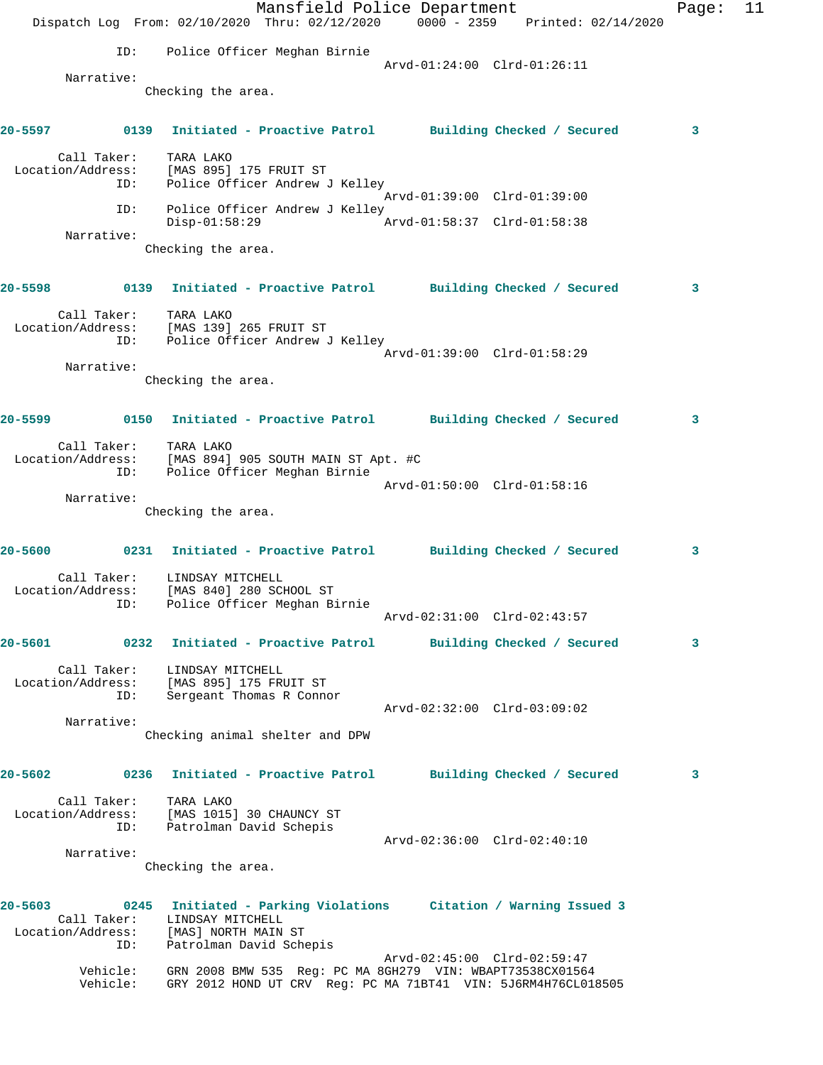|             |                                         | Dispatch Log From: 02/10/2020 Thru: 02/12/2020 0000 - 2359 Printed: 02/14/2020                                             | Mansfield Police Department | Page: | 11 |
|-------------|-----------------------------------------|----------------------------------------------------------------------------------------------------------------------------|-----------------------------|-------|----|
|             | ID:                                     | Police Officer Meghan Birnie                                                                                               |                             |       |    |
|             | Narrative:                              |                                                                                                                            | Arvd-01:24:00 Clrd-01:26:11 |       |    |
|             |                                         | Checking the area.                                                                                                         |                             |       |    |
|             |                                         | 20-5597       0139   Initiated - Proactive Patrol     Building Checked / Secured                                           |                             | 3     |    |
|             | Call Taker:                             | TARA LAKO<br>Location/Address: [MAS 895] 175 FRUIT ST<br>ID: Police Officer Andrew J Kelley                                |                             |       |    |
|             | ID:                                     | Police Officer Andrew J Kelley<br>$Disp-01:58:29$                                                                          | Arvd-01:39:00 Clrd-01:39:00 |       |    |
|             | Narrative:                              | Checking the area.                                                                                                         |                             |       |    |
|             |                                         | 20-5598 		 0139 Initiated - Proactive Patrol 		 Building Checked / Secured                                                 |                             | 3     |    |
|             | Call Taker: TARA LAKO                   | Location/Address: [MAS 139] 265 FRUIT ST<br>ID: Police Officer Andrew J Kelley                                             |                             |       |    |
|             |                                         |                                                                                                                            | Arvd-01:39:00 Clrd-01:58:29 |       |    |
|             | Narrative:                              | Checking the area.                                                                                                         |                             |       |    |
|             |                                         | 20-5599 		 0150 Initiated - Proactive Patrol 		 Building Checked / Secured                                                 |                             | 3     |    |
|             |                                         | Call Taker: TARA LAKO<br>Location/Address: [MAS 894] 905 SOUTH MAIN ST Apt. #C<br>ID: Police Officer Meghan Birnie         | Arvd-01:50:00 Clrd-01:58:16 |       |    |
|             | Narrative:                              |                                                                                                                            |                             |       |    |
|             |                                         | Checking the area.                                                                                                         |                             |       |    |
|             |                                         | 20-5600 0231 Initiated - Proactive Patrol Building Checked / Secured                                                       |                             | 3     |    |
|             | Call Taker:<br>Location/Address:        | LINDSAY MITCHELL<br>[MAS 840] 280 SCHOOL ST<br>ID: Police Officer Meghan Birnie                                            |                             |       |    |
|             |                                         |                                                                                                                            | Arvd-02:31:00 Clrd-02:43:57 |       |    |
| $20 - 5601$ |                                         | 0232 Initiated - Proactive Patrol Building Checked / Secured                                                               |                             | 3     |    |
|             | Call Taker:<br>ID:                      | LINDSAY MITCHELL<br>Location/Address: [MAS 895] 175 FRUIT ST<br>Sergeant Thomas R Connor                                   | Arvd-02:32:00 Clrd-03:09:02 |       |    |
|             | Narrative:                              |                                                                                                                            |                             |       |    |
|             |                                         | Checking animal shelter and DPW                                                                                            |                             |       |    |
| $20 - 5602$ |                                         | 0236 Initiated - Proactive Patrol Building Checked / Secured                                                               |                             | 3     |    |
|             | Call Taker:<br>Location/Address:<br>ID: | TARA LAKO<br>[MAS 1015] 30 CHAUNCY ST<br>Patrolman David Schepis                                                           |                             |       |    |
|             |                                         |                                                                                                                            | Arvd-02:36:00 Clrd-02:40:10 |       |    |
|             | Narrative:                              | Checking the area.                                                                                                         |                             |       |    |
| 20-5603     | Call Taker:                             | 0245 Initiated - Parking Violations Citation / Warning Issued 3<br>LINDSAY MITCHELL                                        |                             |       |    |
|             | Location/Address:<br>ID:                | [MAS] NORTH MAIN ST<br>Patrolman David Schepis                                                                             | Arvd-02:45:00 Clrd-02:59:47 |       |    |
|             | Vehicle:<br>Vehicle:                    | GRN 2008 BMW 535 Reg: PC MA 8GH279 VIN: WBAPT73538CX01564<br>GRY 2012 HOND UT CRV Reg: PC MA 71BT41 VIN: 5J6RM4H76CL018505 |                             |       |    |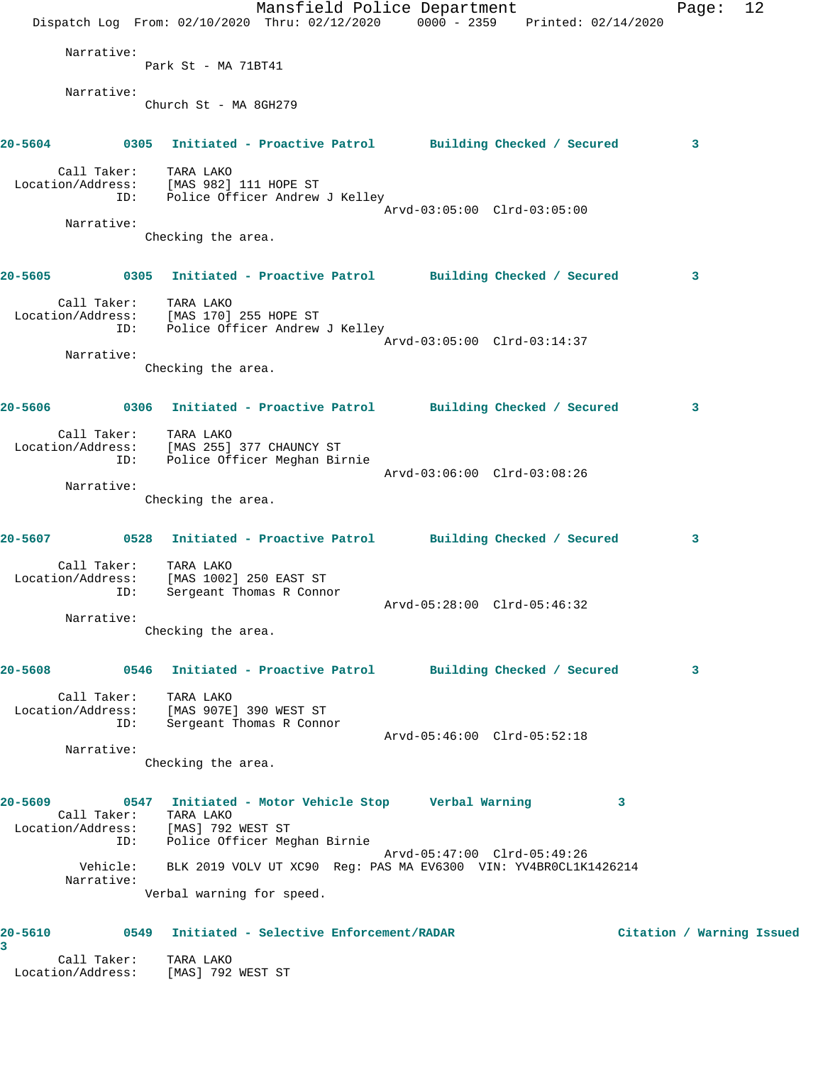|   |                                         | Dispatch Log From: 02/10/2020 Thru: 02/12/2020 0000 - 2359 Printed: 02/14/2020                                                                     | Mansfield Police Department |                             |   | Page:                     | 12 |
|---|-----------------------------------------|----------------------------------------------------------------------------------------------------------------------------------------------------|-----------------------------|-----------------------------|---|---------------------------|----|
|   | Narrative:                              |                                                                                                                                                    |                             |                             |   |                           |    |
|   |                                         | Park St - MA 71BT41                                                                                                                                |                             |                             |   |                           |    |
|   | Narrative:                              | Church St - MA 8GH279                                                                                                                              |                             |                             |   |                           |    |
|   |                                         | 20-5604 0305 Initiated - Proactive Patrol Building Checked / Secured                                                                               |                             |                             |   | $\mathbf{3}$              |    |
|   | Call Taker: TARA LAKO                   | Location/Address: [MAS 982] 111 HOPE ST<br>ID: Police Officer Andrew J Kelley                                                                      |                             |                             |   |                           |    |
|   | Narrative:                              |                                                                                                                                                    |                             | Arvd-03:05:00 Clrd-03:05:00 |   |                           |    |
|   |                                         | Checking the area.                                                                                                                                 |                             |                             |   |                           |    |
|   |                                         | 20-5605 		 0305 Initiated - Proactive Patrol 		 Building Checked / Secured                                                                         |                             |                             |   | 3                         |    |
|   | Call Taker: TARA LAKO                   | Location/Address: [MAS 170] 255 HOPE ST<br>ID: Police Officer Andrew J Kelley                                                                      |                             |                             |   |                           |    |
|   |                                         |                                                                                                                                                    |                             | Arvd-03:05:00 Clrd-03:14:37 |   |                           |    |
|   | Narrative:                              | Checking the area.                                                                                                                                 |                             |                             |   |                           |    |
|   |                                         | 20-5606       0306   Initiated - Proactive Patrol     Building Checked / Secured                                                                   |                             |                             |   | 3                         |    |
|   | Call Taker: TARA LAKO<br>ID:            | Location/Address: [MAS 255] 377 CHAUNCY ST<br>Police Officer Meghan Birnie                                                                         |                             |                             |   |                           |    |
|   | Narrative:                              |                                                                                                                                                    |                             | Arvd-03:06:00 Clrd-03:08:26 |   |                           |    |
|   |                                         | Checking the area.                                                                                                                                 |                             |                             |   |                           |    |
|   |                                         | 20-5607 0528 Initiated - Proactive Patrol Building Checked / Secured                                                                               |                             |                             |   | 3                         |    |
|   | Call Taker:<br>Location/Address:<br>ID: | TARA LAKO<br>[MAS 1002] 250 EAST ST<br>Sergeant Thomas R Connor                                                                                    |                             |                             |   |                           |    |
|   |                                         |                                                                                                                                                    |                             | Arvd-05:28:00 Clrd-05:46:32 |   |                           |    |
|   | Narrative:                              | Checking the area.                                                                                                                                 |                             |                             |   |                           |    |
|   |                                         | 20-5608       0546   Initiated - Proactive Patrol     Building Checked / Secured                                                                   |                             |                             |   | 3                         |    |
|   | Call Taker: TARA LAKO<br>ID:            | Location/Address: [MAS 907E] 390 WEST ST<br>Sergeant Thomas R Connor                                                                               |                             |                             |   |                           |    |
|   |                                         |                                                                                                                                                    |                             | Arvd-05:46:00 Clrd-05:52:18 |   |                           |    |
|   | Narrative:                              | Checking the area.                                                                                                                                 |                             |                             |   |                           |    |
|   | Call Taker:                             | 20-5609 0547 Initiated - Motor Vehicle Stop Verbal Warning<br>TARA LAKO<br>Location/Address: [MAS] 792 WEST ST<br>ID: Police Officer Meghan Birnie |                             |                             | 3 |                           |    |
|   | Vehicle:<br>Narrative:                  | BLK 2019 VOLV UT XC90 Reg: PAS MA EV6300 VIN: YV4BR0CL1K1426214                                                                                    |                             | Arvd-05:47:00 Clrd-05:49:26 |   |                           |    |
|   |                                         | Verbal warning for speed.                                                                                                                          |                             |                             |   |                           |    |
| 3 |                                         | 20-5610 		 0549 Initiated - Selective Enforcement/RADAR                                                                                            |                             |                             |   | Citation / Warning Issued |    |
|   | Call Taker:                             | TARA LAKO<br>Location/Address: [MAS] 792 WEST ST                                                                                                   |                             |                             |   |                           |    |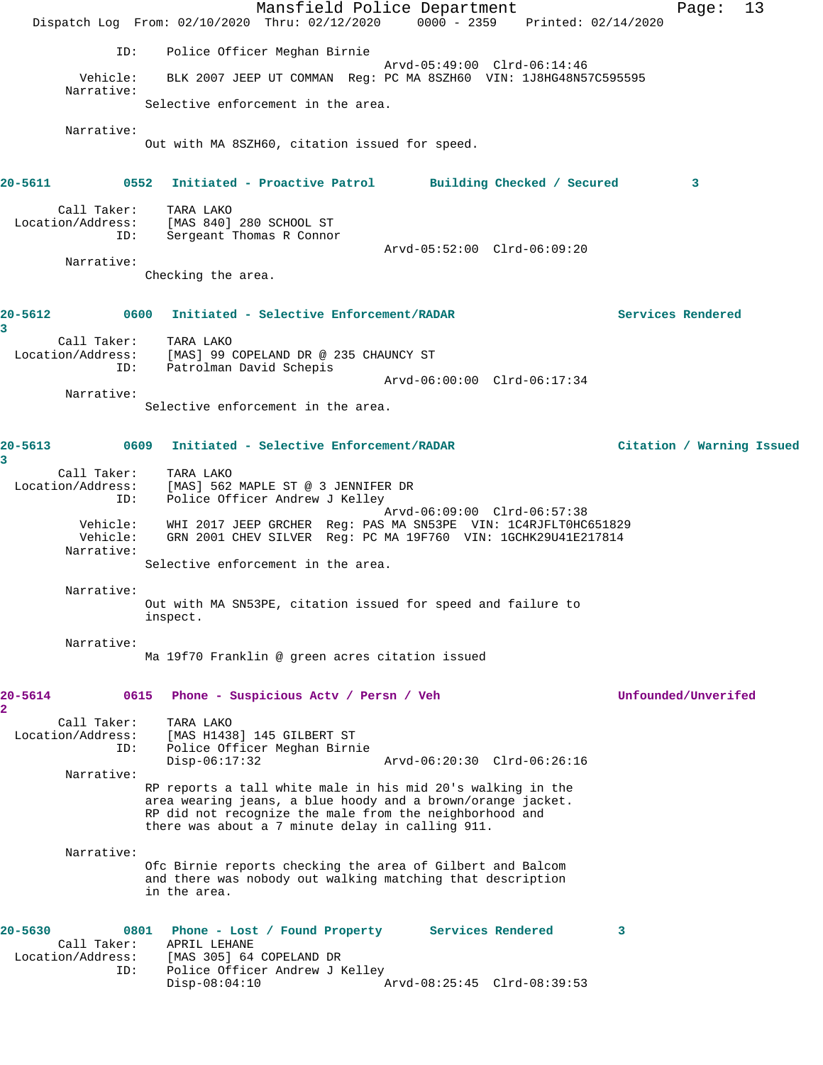Mansfield Police Department Page: 13 Dispatch Log From: 02/10/2020 Thru: 02/12/2020 0000 - 2359 Printed: 02/14/2020 ID: Police Officer Meghan Birnie Arvd-05:49:00 Clrd-06:14:46 Vehicle: BLK 2007 JEEP UT COMMAN Reg: PC MA 8SZH60 VIN: 1J8HG48N57C595595 Narrative: Selective enforcement in the area. Narrative: Out with MA 8SZH60, citation issued for speed. **20-5611 0552 Initiated - Proactive Patrol Building Checked / Secured 3** Call Taker: TARA LAKO Location/Address: [MAS 840] 280 SCHOOL ST ID: Sergeant Thomas R Connor Arvd-05:52:00 Clrd-06:09:20 Narrative: Checking the area. **20-5612 0600 Initiated - Selective Enforcement/RADAR Services Rendered 3**  Call Taker: TARA LAKO Location/Address: [MAS] 99 COPELAND DR @ 235 CHAUNCY ST ID: Patrolman David Schepis Arvd-06:00:00 Clrd-06:17:34 Narrative: Selective enforcement in the area. **20-5613 0609 Initiated - Selective Enforcement/RADAR Citation / Warning Issued 3**  Call Taker: TARA LAKO Location/Address: [MAS] 562 MAPLE ST @ 3 JENNIFER DR ID: Police Officer Andrew J Kelley Arvd-06:09:00 Clrd-06:57:38 Vehicle: WHI 2017 JEEP GRCHER Reg: PAS MA SN53PE VIN: 1C4RJFLT0HC651829 Vehicle: GRN 2001 CHEV SILVER Reg: PC MA 19F760 VIN: 1GCHK29U41E217814 Narrative: Selective enforcement in the area. Narrative: Out with MA SN53PE, citation issued for speed and failure to inspect. Narrative: Ma 19f70 Franklin @ green acres citation issued **20-5614 0615 Phone - Suspicious Actv / Persn / Veh Unfounded/Unverifed 2**  Call Taker: TARA LAKO Location/Address: [MAS H1438] 145 GILBERT ST ID: Police Officer Meghan Birnie Disp-06:17:32 Arvd-06:20:30 Clrd-06:26:16 Narrative: RP reports a tall white male in his mid 20's walking in the area wearing jeans, a blue hoody and a brown/orange jacket. RP did not recognize the male from the neighborhood and there was about a 7 minute delay in calling 911. Narrative: Ofc Birnie reports checking the area of Gilbert and Balcom and there was nobody out walking matching that description in the area. **20-5630 0801 Phone - Lost / Found Property Services Rendered 3**  Call Taker: APRIL LEHANE Location/Address: [MAS 305] 64 COPELAND DR ID: Police Officer Andrew J Kelley<br>Disp-08:04:10 Disp-08:04:10 Arvd-08:25:45 Clrd-08:39:53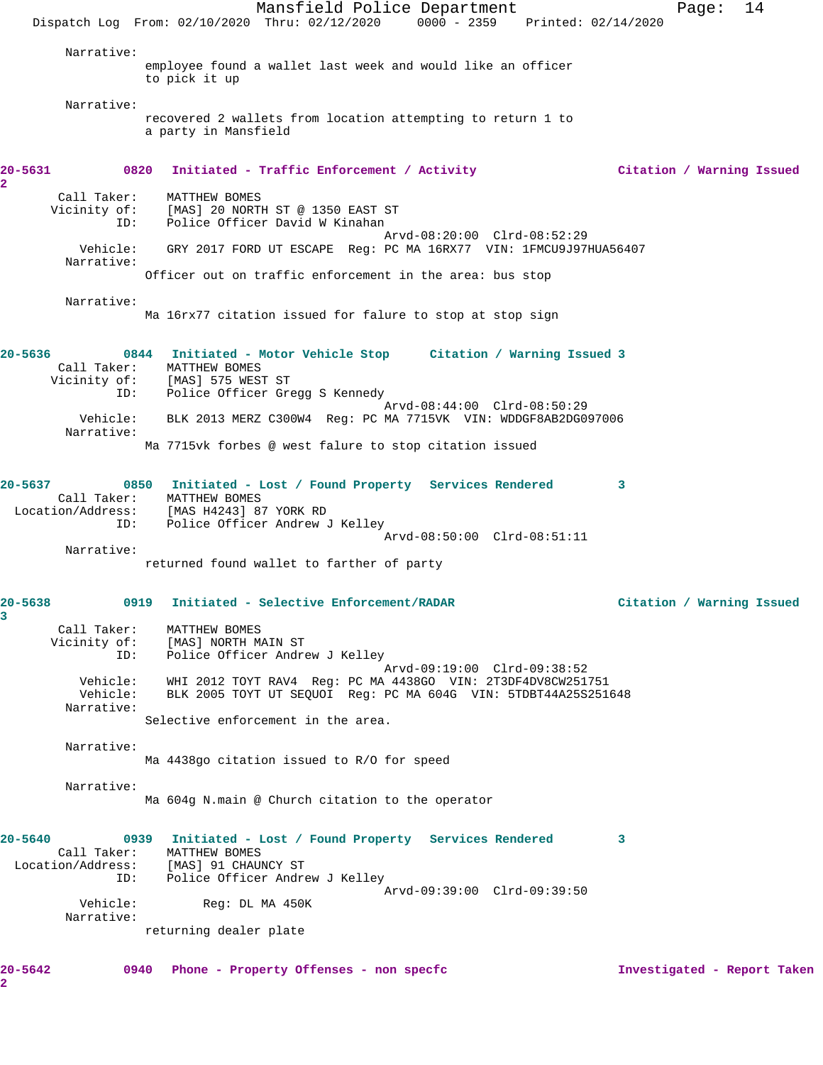Mansfield Police Department The Page: 14 Dispatch Log From: 02/10/2020 Thru: 02/12/2020 0000 - 2359 Printed: 02/14/2020 Narrative: employee found a wallet last week and would like an officer to pick it up Narrative: recovered 2 wallets from location attempting to return 1 to a party in Mansfield **20-5631 0820 Initiated - Traffic Enforcement / Activity Citation / Warning Issued** Call Taker: MATTHEW BOMES Vicinity of: [MAS] 20 NORTH ST @ 1350 EAST ST ID: Police Officer David W Kinahan Arvd-08:20:00 Clrd-08:52:29 Vehicle: GRY 2017 FORD UT ESCAPE Reg: PC MA 16RX77 VIN: 1FMCU9J97HUA56407 Narrative: Officer out on traffic enforcement in the area: bus stop Narrative: Ma 16rx77 citation issued for falure to stop at stop sign **20-5636 0844 Initiated - Motor Vehicle Stop Citation / Warning Issued 3**  Call Taker: MATTHEW BOMES Vicinity of: [MAS] 575 WEST ST ID: Police Officer Gregg S Kennedy Arvd-08:44:00 Clrd-08:50:29 Vehicle: BLK 2013 MERZ C300W4 Reg: PC MA 7715VK VIN: WDDGF8AB2DG097006 Narrative: Ma 7715vk forbes @ west falure to stop citation issued **20-5637 0850 Initiated - Lost / Found Property Services Rendered 3**  Call Taker: MATTHEW BOMES<br>ocation/Address: [MAS H4243] 87 YORK RD Location/Address:<br>ID: Police Officer Andrew J Kelley Arvd-08:50:00 Clrd-08:51:11 Narrative: returned found wallet to farther of party **20-5638 0919 Initiated - Selective Enforcement/RADAR Citation / Warning Issued 3**  Call Taker: MATTHEW BOMES Vicinity of: [MAS] NORTH MAIN ST ID: Police Officer Andrew J Kelley Arvd-09:19:00 Clrd-09:38:52 Vehicle: WHI 2012 TOYT RAV4 Reg: PC MA 4438GO VIN: 2T3DF4DV8CW251751 Vehicle: BLK 2005 TOYT UT SEQUOI Reg: PC MA 604G VIN: 5TDBT44A25S251648 Narrative: Selective enforcement in the area. Narrative: Ma 4438go citation issued to R/O for speed Narrative: Ma 604g N.main @ Church citation to the operator **20-5640 0939 Initiated - Lost / Found Property Services Rendered 3**  Call Taker: MATTHEW BOMES Location/Address: [MAS] 91 CHAUNCY ST ID: Police Officer Andrew J Kelley Arvd-09:39:00 Clrd-09:39:50 Vehicle: Reg: DL MA 450K Narrative: returning dealer plate **20-5642 0940 Phone - Property Offenses - non specfc Investigated - Report Taken**

**2** 

**2**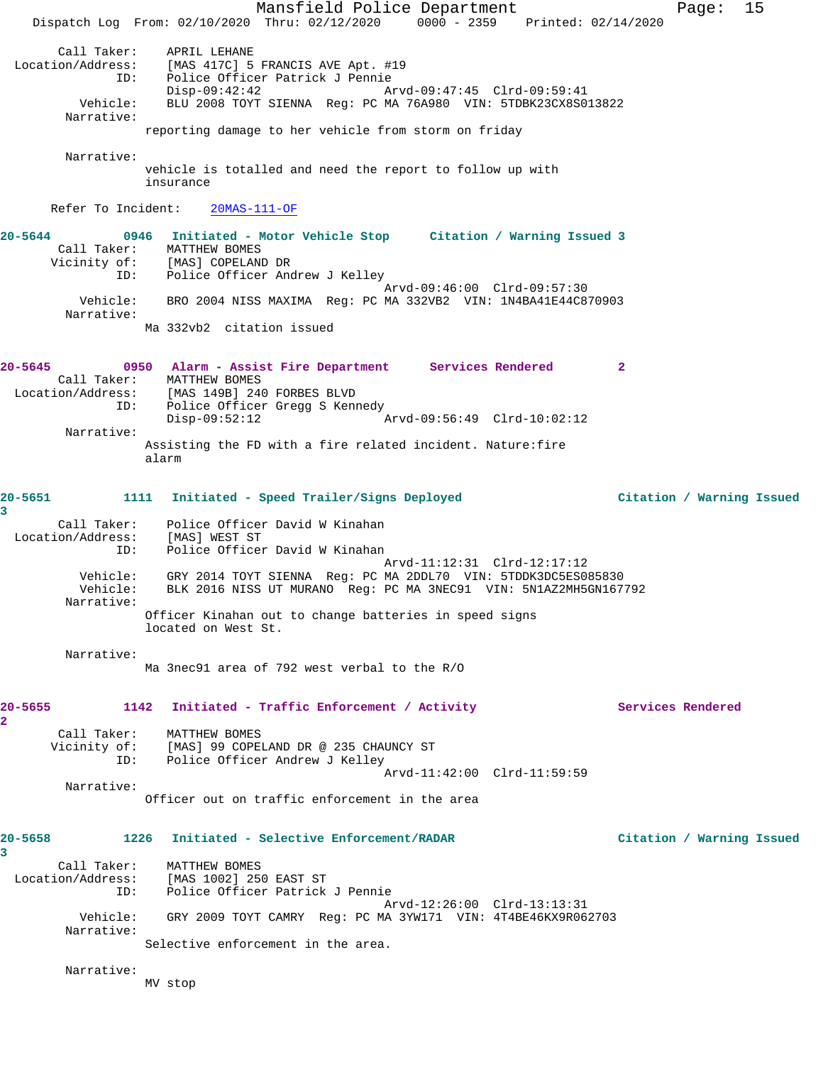Mansfield Police Department Page: 15 Dispatch Log From: 02/10/2020 Thru: 02/12/2020 0000 - 2359 Printed: 02/14/2020 Call Taker: APRIL LEHANE Location/Address: [MAS 417C] 5 FRANCIS AVE Apt. #19 ID: Police Officer Patrick J Pennie Disp-09:42:42 Arvd-09:47:45 Clrd-09:59:41 Vehicle: BLU 2008 TOYT SIENNA Reg: PC MA 76A980 VIN: 5TDBK23CX8S013822 Narrative: reporting damage to her vehicle from storm on friday Narrative: vehicle is totalled and need the report to follow up with insurance Refer To Incident: 20MAS-111-OF **20-5644 0946 Initiated - Motor Vehicle Stop Citation / Warning Issued 3**  Call Taker: MATTHEW BOMES Vicinity of: [MAS] COPELAND DR OI: IMASI CURBURNY DA<br>ID: Police Officer Andrew J Kelley Arvd-09:46:00 Clrd-09:57:30 Vehicle: BRO 2004 NISS MAXIMA Reg: PC MA 332VB2 VIN: 1N4BA41E44C870903 Narrative: Ma 332vb2 citation issued **20-5645 0950 Alarm - Assist Fire Department Services Rendered 2**  Call Taker: MATTHEW BOMES Location/Address: [MAS 149B] 240 FORBES BLVD ID: Police Officer Gregg S Kennedy<br>Disp-09:52:12 Disp-09:52:12 Arvd-09:56:49 Clrd-10:02:12 Narrative: Assisting the FD with a fire related incident. Nature:fire alarm **20-5651 1111 Initiated - Speed Trailer/Signs Deployed Citation / Warning Issued 3**  Call Taker: Police Officer David W Kinahan Location/Address: [MAS] WEST ST ID: Police Officer David W Kinahan Arvd-11:12:31 Clrd-12:17:12 Vehicle: GRY 2014 TOYT SIENNA Reg: PC MA 2DDL70 VIN: 5TDDK3DC5ES085830 Vehicle: BLK 2016 NISS UT MURANO Reg: PC MA 3NEC91 VIN: 5N1AZ2MH5GN167792 Narrative: Officer Kinahan out to change batteries in speed signs located on West St. Narrative: Ma 3nec91 area of 792 west verbal to the R/O 20-5655 1142 Initiated - Traffic Enforcement / Activity **Services Rendered 2**  Call Taker: MATTHEW BOMES Vicinity of: [MAS] 99 COPELAND DR @ 235 CHAUNCY ST ID: Police Officer Andrew J Kelley Arvd-11:42:00 Clrd-11:59:59 Narrative: Officer out on traffic enforcement in the area **20-5658 1226 Initiated - Selective Enforcement/RADAR Citation / Warning Issued 3**  Call Taker: MATTHEW BOMES Location/Address: [MAS 1002] 250 EAST ST ID: Police Officer Patrick J Pennie Arvd-12:26:00 Clrd-13:13:31 Vehicle: GRY 2009 TOYT CAMRY Reg: PC MA 3YW171 VIN: 4T4BE46KX9R062703 Narrative: Selective enforcement in the area. Narrative: MV stop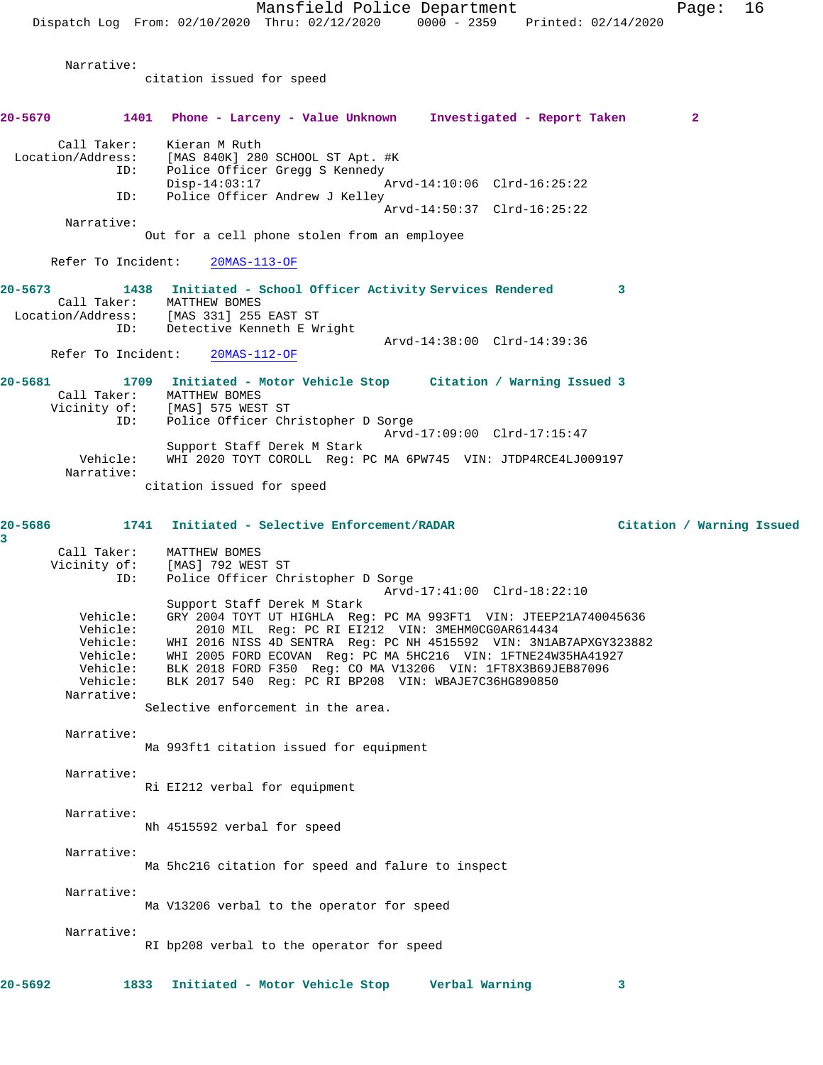Mansfield Police Department Fage: 16 Dispatch Log From: 02/10/2020 Thru: 02/12/2020 0000 - 2359 Printed: 02/14/2020 Narrative: citation issued for speed **20-5670 1401 Phone - Larceny - Value Unknown Investigated - Report Taken 2** Call Taker: Kieran M Ruth Location/Address: [MAS 840K] 280 SCHOOL ST Apt. #K Police Officer Gregg S Kennedy<br>Disp-14:03:17 Arvd-14:10:06 Clrd-16:25:22 ID: Police Officer Andrew J Kelley Arvd-14:50:37 Clrd-16:25:22 Narrative: Out for a cell phone stolen from an employee Refer To Incident: 20MAS-113-OF **20-5673 1438 Initiated - School Officer Activity Services Rendered 3**  Call Taker: MATTHEW BOMES Location/Address: [MAS 331] 255 EAST ST ID: Detective Kenneth E Wright Arvd-14:38:00 Clrd-14:39:36<br>20MAS-112-OF Refer To Incident: **20-5681 1709 Initiated - Motor Vehicle Stop Citation / Warning Issued 3**  Call Taker: MATTHEW BOMES<br>Vicinity of: [MAS] 575 WEST [MAS] 575 WEST ST ID: Police Officer Christopher D Sorge Arvd-17:09:00 Clrd-17:15:47 Support Staff Derek M Stark Vehicle: WHI 2020 TOYT COROLL Reg: PC MA 6PW745 VIN: JTDP4RCE4LJ009197 Narrative: citation issued for speed **20-5686 1741 Initiated - Selective Enforcement/RADAR Citation / Warning Issued 3**  Call Taker: MATTHEW BOMES Vicinity of: [MAS] 792 WEST ST ID: Police Officer Christopher D Sorge Arvd-17:41:00 Clrd-18:22:10 Support Staff Derek M Stark Vehicle: GRY 2004 TOYT UT HIGHLA Reg: PC MA 993FT1 VIN: JTEEP21A740045636 Vehicle: 2010 MIL Reg: PC RI EI212 VIN: 3MEHM0CG0AR614434 Vehicle: WHI 2016 NISS 4D SENTRA Reg: PC NH 4515592 VIN: 3N1AB7APXGY323882 Vehicle: WHI 2005 FORD ECOVAN Reg: PC MA 5HC216 VIN: 1FTNE24W35HA41927 Vehicle: BLK 2018 FORD F350 Reg: CO MA V13206 VIN: 1FT8X3B69JEB87096<br>Vehicle: BLK 2017 540 Reg: PC RI BP208 VIN: WBAJE7C36HG890850 BLK 2017 540 Reg: PC RI BP208 VIN: WBAJE7C36HG890850 Narrative: Selective enforcement in the area. Narrative: Ma 993ft1 citation issued for equipment Narrative: Ri EI212 verbal for equipment Narrative: Nh 4515592 verbal for speed Narrative: Ma 5hc216 citation for speed and falure to inspect Narrative: Ma V13206 verbal to the operator for speed Narrative: RI bp208 verbal to the operator for speed **20-5692 1833 Initiated - Motor Vehicle Stop Verbal Warning 3**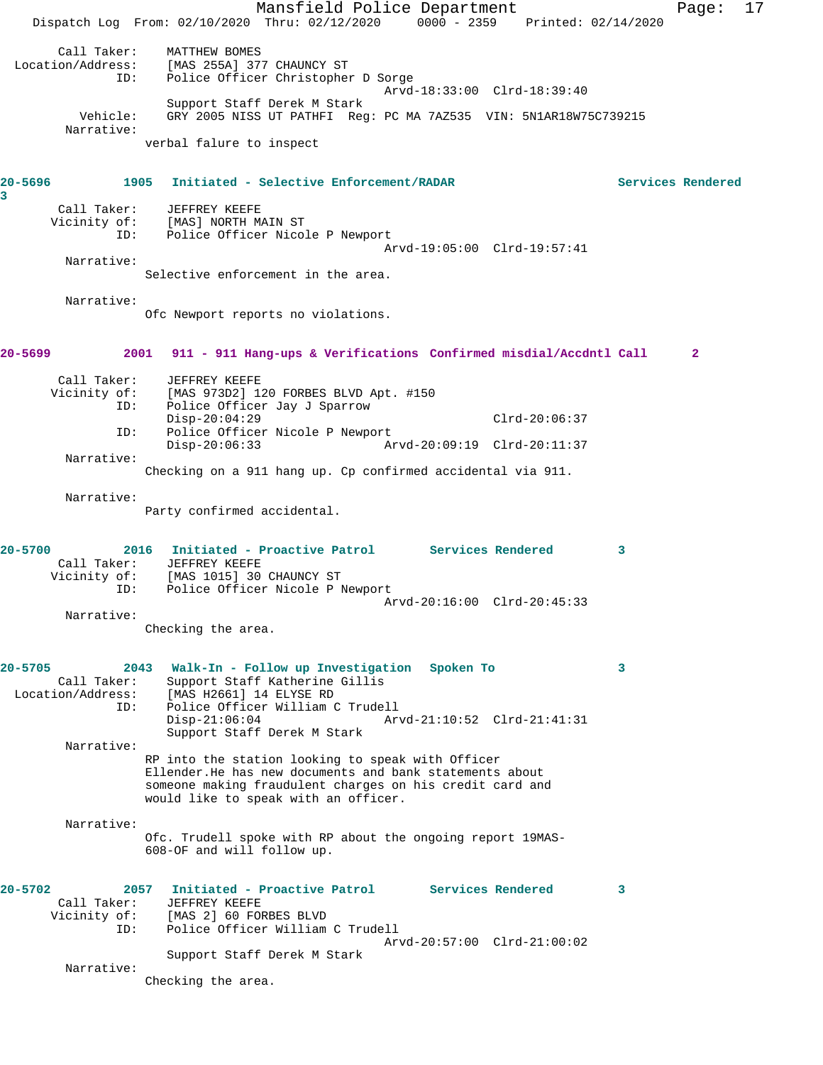Mansfield Police Department Page: 17 Dispatch Log From: 02/10/2020 Thru: 02/12/2020 0000 - 2359 Printed: 02/14/2020 Call Taker: MATTHEW BOMES Location/Address: [MAS 255A] 377 CHAUNCY ST ID: Police Officer Christopher D Sorge Arvd-18:33:00 Clrd-18:39:40 Support Staff Derek M Stark Vehicle: GRY 2005 NISS UT PATHFI Reg: PC MA 7AZ535 VIN: 5N1AR18W75C739215 Narrative: verbal falure to inspect **20-5696 1905 Initiated - Selective Enforcement/RADAR Services Rendered 3**  Call Taker: JEFFREY KEEFE Vicinity of: [MAS] NORTH MAIN ST ID: Police Officer Nicole P Newport Arvd-19:05:00 Clrd-19:57:41 Narrative: Selective enforcement in the area. Narrative: Ofc Newport reports no violations. **20-5699 2001 911 - 911 Hang-ups & Verifications Confirmed misdial/Accdntl Call 2** Call Taker: JEFFREY KEEFE<br>Vicinity of: [MAS 973D2] 1 of: [MAS 973D2] 120 FORBES BLVD Apt. #150<br>ID: Police Officer Jay J Sparrow Police Officer Jay J Sparrow Disp-20:04:29 Clrd-20:06:37 ID: Police Officer Nicole P Newport<br>Disp-20:06:33 Ar Disp-20:06:33 Arvd-20:09:19 Clrd-20:11:37 Narrative: Checking on a 911 hang up. Cp confirmed accidental via 911. Narrative: Party confirmed accidental. **20-5700 2016 Initiated - Proactive Patrol Services Rendered 3**  Call Taker: JEFFREY KEEFE Vicinity of: [MAS 1015] 30 CHAUNCY ST ID: Police Officer Nicole P Newport Arvd-20:16:00 Clrd-20:45:33 Narrative: Checking the area. **20-5705 2043 Walk-In - Follow up Investigation Spoken To 3**  Call Taker: Support Staff Katherine Gillis Location/Address: [MAS H2661] 14 ELYSE RD ID: Police Officer William C Trudell Arvd-21:10:52 Clrd-21:41:31 Support Staff Derek M Stark Narrative: RP into the station looking to speak with Officer Ellender.He has new documents and bank statements about someone making fraudulent charges on his credit card and would like to speak with an officer. Narrative: Ofc. Trudell spoke with RP about the ongoing report 19MAS-608-OF and will follow up. **20-5702 2057 Initiated - Proactive Patrol Services Rendered 3**  Call Taker: JEFFREY KEEFE Vicinity of: [MAS 2] 60 FORBES BLVD ID: Police Officer William C Trudell Arvd-20:57:00 Clrd-21:00:02 Support Staff Derek M Stark Narrative: Checking the area.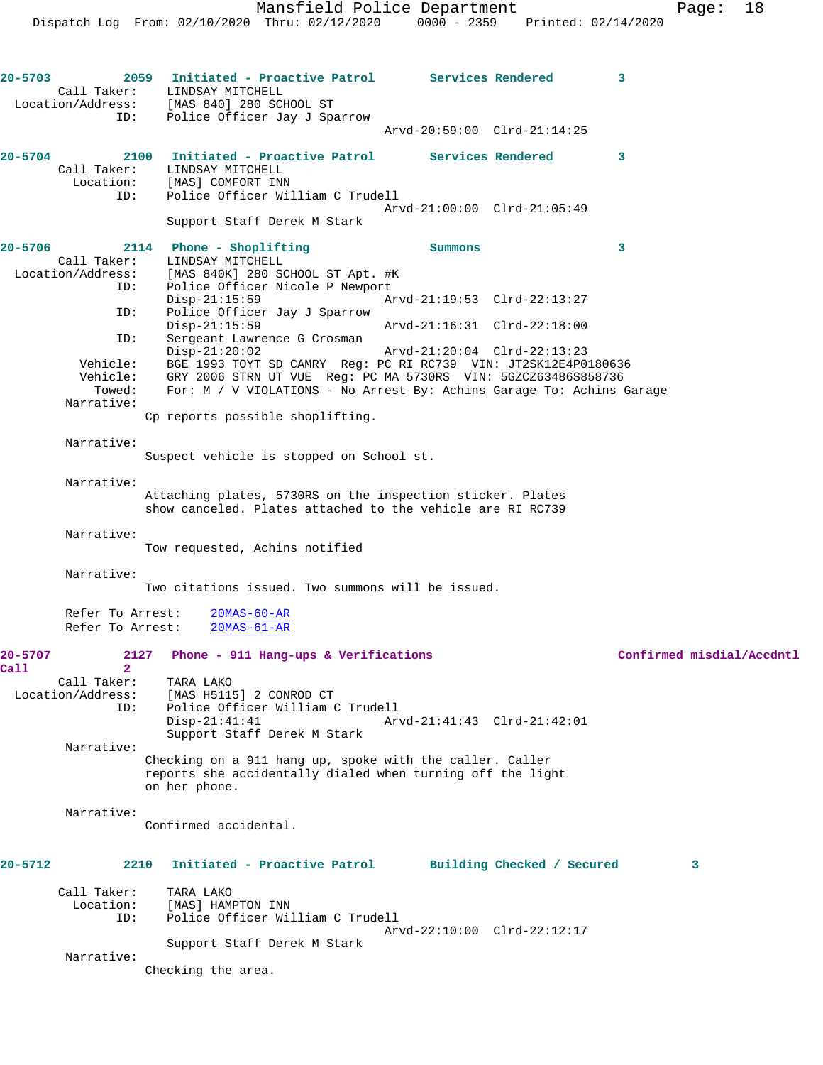**20-5703 2059 Initiated - Proactive Patrol Services Rendered 3**  Call Taker: LINDSAY MITCHELL Location/Address: [MAS 840] 280 SCHOOL ST ID: Police Officer Jay J Sparrow Arvd-20:59:00 Clrd-21:14:25 **20-5704 2100 Initiated - Proactive Patrol Services Rendered 3**  all Taker: LINDSAY MITCHELL<br>Location: [MAS] COMFORT IN [MAS] COMFORT INN ID: Police Officer William C Trudell Arvd-21:00:00 Clrd-21:05:49 Support Staff Derek M Stark **20-5706 2114 Phone - Shoplifting Summons 3**  Call Taker: LINDSAY MITCHELL Location/Address: [MAS 840K] 280 SCHOOL ST Apt. #K ID: Police Officer Nicole P Newport Disp-21:15:59 Arvd-21:19:53 Clrd-22:13:27<br>ID: Police Officer Jay J Sparrow Police Officer Jay J Sparrow<br>Disp-21:15:59 Disp-21:15:59 Arvd-21:16:31 Clrd-22:18:00 ID: Sergeant Lawrence G Crosman<br>Disp-21:20:02 Disp-21:20:02 Arvd-21:20:04 Clrd-22:13:23 Vehicle: BGE 1993 TOYT SD CAMRY Reg: PC RI RC739 VIN: JT2SK12E4P0180636 Vehicle: GRY 2006 STRN UT VUE Reg: PC MA 5730RS VIN: 5GZCZ63486S858736<br>Towed: For: M / V VIOLATIONS - No Arrest By: Achins Garage To: Achins G For: M / V VIOLATIONS - No Arrest By: Achins Garage To: Achins Garage Narrative: Cp reports possible shoplifting. Narrative: Suspect vehicle is stopped on School st. Narrative: Attaching plates, 5730RS on the inspection sticker. Plates show canceled. Plates attached to the vehicle are RI RC739 Narrative: Tow requested, Achins notified Narrative: Two citations issued. Two summons will be issued. Refer To Arrest: 20MAS-60-AR Refer To Arrest: 20MAS-61-AR **20-5707 2127 Phone - 911 Hang-ups & Verifications Confirmed misdial/Accdntl Call 2**  Call Taker: TARA LAKO<br>Location/Address: [MAS H511! [MAS H5115] 2 CONROD CT ID: Police Officer William C Trudell Disp-21:41:41 Arvd-21:41:43 Clrd-21:42:01 Support Staff Derek M Stark Narrative: Checking on a 911 hang up, spoke with the caller. Caller reports she accidentally dialed when turning off the light on her phone. Narrative: Confirmed accidental. **20-5712 2210 Initiated - Proactive Patrol Building Checked / Secured 3** Call Taker: TARA LAKO Location: [MAS] HAMPTON INN ID: Police Officer William C Trudell Arvd-22:10:00 Clrd-22:12:17 Support Staff Derek M Stark Narrative: Checking the area.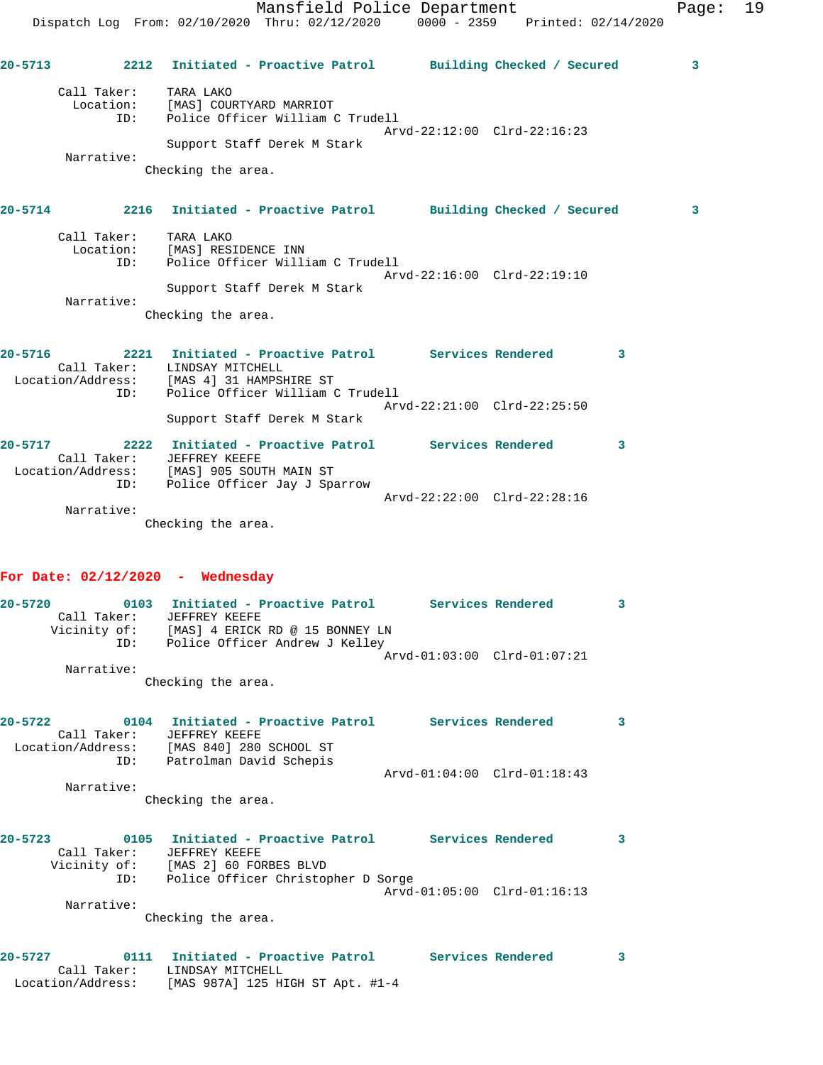|         |                                            | Mansfield Police Department<br>Dispatch Log From: 02/10/2020 Thru: 02/12/2020 0000 - 2359 Printed: 02/14/2020                                                 |                             |              | Page: | 19 |
|---------|--------------------------------------------|---------------------------------------------------------------------------------------------------------------------------------------------------------------|-----------------------------|--------------|-------|----|
| 20-5713 |                                            | 2212 Initiated - Proactive Patrol Building Checked / Secured                                                                                                  |                             |              | 3     |    |
|         | Call Taker: TARA LAKO<br>Narrative:        | Location: [MAS] COURTYARD MARRIOT<br>ID: Police Officer William C Trudell<br>Support Staff Derek M Stark<br>Checking the area.                                | Arvd-22:12:00 Clrd-22:16:23 |              |       |    |
|         |                                            | 20-5714 2216 Initiated - Proactive Patrol Building Checked / Secured                                                                                          |                             |              | 3     |    |
|         | Call Taker: TARA LAKO<br>ID:<br>Narrative: | Location: [MAS] RESIDENCE INN<br>Police Officer William C Trudell<br>Support Staff Derek M Stark<br>Checking the area.                                        | Arvd-22:16:00 Clrd-22:19:10 |              |       |    |
|         |                                            | 20-5716 2221 Initiated - Proactive Patrol Services Rendered 3<br>Call Taker: LINDSAY MITCHELL<br>Location/Address: [MAS 4] 31 HAMPSHIRE ST                    |                             |              |       |    |
|         | ID:                                        | Police Officer William C Trudell<br>Support Staff Derek M Stark                                                                                               | Arvd-22:21:00 Clrd-22:25:50 |              |       |    |
|         | Call Taker:                                | 20-5717 2222 Initiated - Proactive Patrol Services Rendered<br>JEFFREY KEEFE<br>Location/Address: [MAS] 905 SOUTH MAIN ST<br>ID: Police Officer Jay J Sparrow |                             | $\mathbf{3}$ |       |    |
|         | Narrative:                                 | Checking the area.                                                                                                                                            | Arvd-22:22:00 Clrd-22:28:16 |              |       |    |
|         |                                            |                                                                                                                                                               |                             |              |       |    |

## **For Date: 02/12/2020 - Wednesday**

| $20 - 5720$ | 0103         | Initiated - Proactive Patrol    |  | Services Rendered           |  |
|-------------|--------------|---------------------------------|--|-----------------------------|--|
|             | Call Taker:  | JEFFREY KEEFE                   |  |                             |  |
|             | Vicinity of: | [MAS] 4 ERICK RD @ 15 BONNEY LN |  |                             |  |
|             | ID:          | Police Officer Andrew J Kelley  |  |                             |  |
|             |              |                                 |  | Arvd-01:03:00 Clrd-01:07:21 |  |
|             | Narrative:   |                                 |  |                             |  |
|             |              | Checking the area.              |  |                             |  |

| $20 - 5722$ | 0104<br>Call Taker:      | Initiated - Proactive Patrol<br>JEFFREY KEEFE      |                                 | Services Rendered | 3 |
|-------------|--------------------------|----------------------------------------------------|---------------------------------|-------------------|---|
|             | Location/Address:<br>ID: | [MAS 840] 280 SCHOOL ST<br>Patrolman David Schepis | $Arvd-01:04:00$ $Clrd-01:18:43$ |                   |   |
|             | Narrative:               | Checking the area.                                 |                                 |                   |   |
| $20 - 5723$ | 0105<br>Call Taker:      | Initiated - Proactive Patrol<br>JEFFREY KEEFE      |                                 | Services Rendered |   |

| Call Taker:  | JEFFREY KEEFE                      |  |
|--------------|------------------------------------|--|
| Vicinity of: | [MAS 2] 60 FORBES BLVD             |  |
| ID:          | Police Officer Christopher D Sorge |  |
|              | Arvd-01:05:00 Clrd-01:16:13        |  |
| Narrative:   |                                    |  |

Checking the area.

| 20-5727           | 0111 Initiated - Proactive Patrol | Services Rendered |  |
|-------------------|-----------------------------------|-------------------|--|
| Call Taker:       | LINDSAY MITCHELL                  |                   |  |
| Location/Address: | [MAS 987A] 125 HIGH ST Apt. #1-4  |                   |  |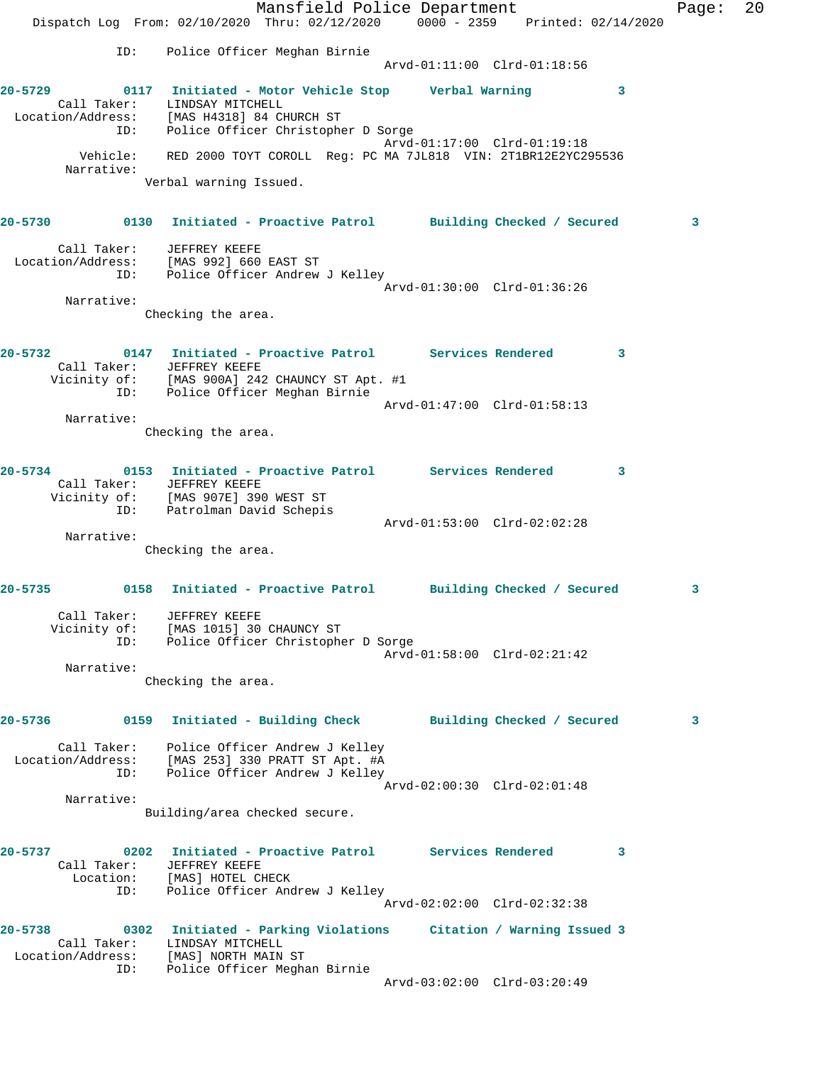Mansfield Police Department Fage: 20 Dispatch Log From: 02/10/2020 Thru: 02/12/2020 0000 - 2359 Printed: 02/14/2020 ID: Police Officer Meghan Birnie Arvd-01:11:00 Clrd-01:18:56 **20-5729 0117 Initiated - Motor Vehicle Stop Verbal Warning 3**  Call Taker: LINDSAY MITCHELL Location/Address: [MAS H4318] 84 CHURCH ST ID: Police Officer Christopher D Sorge Arvd-01:17:00 Clrd-01:19:18 Vehicle: RED 2000 TOYT COROLL Reg: PC MA 7JL818 VIN: 2T1BR12E2YC295536 Narrative: Verbal warning Issued. **20-5730 0130 Initiated - Proactive Patrol Building Checked / Secured 3** Call Taker: JEFFREY KEEFE Location/Address: [MAS 992] 660 EAST ST ID: Police Officer Andrew J Kelley Arvd-01:30:00 Clrd-01:36:26 Narrative: Checking the area. **20-5732 0147 Initiated - Proactive Patrol Services Rendered 3**  Call Taker: JEFFREY KEEFE Vicinity of: [MAS 900A] 242 CHAUNCY ST Apt. #1 ID: Police Officer Meghan Birnie Arvd-01:47:00 Clrd-01:58:13 Narrative: Checking the area. **20-5734 0153 Initiated - Proactive Patrol Services Rendered 3**  Call Taker: JEFFREY KEEFE Vicinity of: [MAS 907E] 390 WEST ST ID: Patrolman David Schepis Arvd-01:53:00 Clrd-02:02:28 Narrative: Checking the area. **20-5735 0158 Initiated - Proactive Patrol Building Checked / Secured 3** Call Taker: JEFFREY KEEFE Vicinity of: [MAS 1015] 30 CHAUNCY ST ID: Police Officer Christopher D Sorge Arvd-01:58:00 Clrd-02:21:42 Narrative: Checking the area. **20-5736 0159 Initiated - Building Check Building Checked / Secured 3** Call Taker: Police Officer Andrew J Kelley Location/Address: [MAS 253] 330 PRATT ST Apt. #A ID: Police Officer Andrew J Kelley Arvd-02:00:30 Clrd-02:01:48 Narrative: Building/area checked secure. **20-5737 0202 Initiated - Proactive Patrol Services Rendered 3**  Call Taker: JEFFREY KEEFE Location: [MAS] HOTEL CHECK ID: Police Officer Andrew J Kelley Arvd-02:02:00 Clrd-02:32:38 **20-5738 0302 Initiated - Parking Violations Citation / Warning Issued 3**  Call Taker: LINDSAY MITCHELL Location/Address: [MAS] NORTH MAIN ST ID: Police Officer Meghan Birnie Arvd-03:02:00 Clrd-03:20:49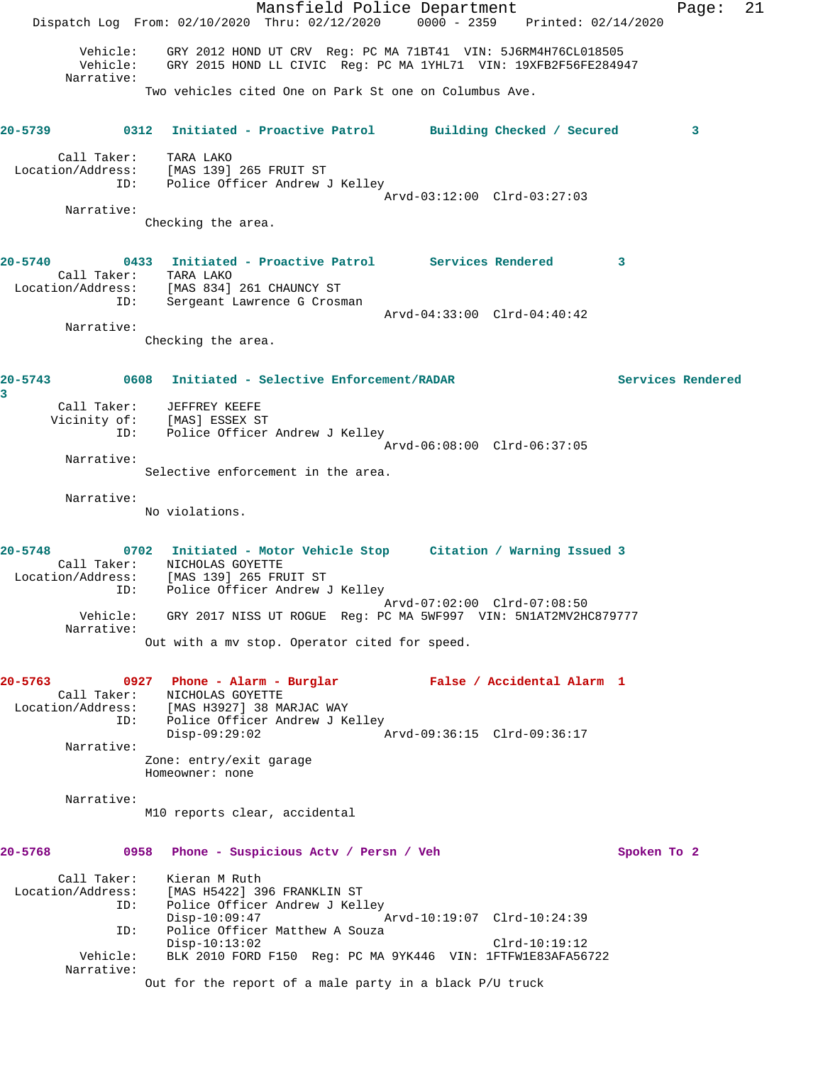Mansfield Police Department Fage: 21 Dispatch Log From: 02/10/2020 Thru: 02/12/2020 0000 - 2359 Printed: 02/14/2020 Vehicle: GRY 2012 HOND UT CRV Reg: PC MA 71BT41 VIN: 5J6RM4H76CL018505 Vehicle: GRY 2015 HOND LL CIVIC Reg: PC MA 1YHL71 VIN: 19XFB2F56FE284947 Narrative: Two vehicles cited One on Park St one on Columbus Ave. **20-5739 0312 Initiated - Proactive Patrol Building Checked / Secured 3** Call Taker: TARA LAKO Location/Address: [MAS 139] 265 FRUIT ST ID: Police Officer Andrew J Kelley Arvd-03:12:00 Clrd-03:27:03 Narrative: Checking the area. **20-5740 0433 Initiated - Proactive Patrol Services Rendered 3**  Call Taker: TARA LAKO Location/Address: [MAS 834] 261 CHAUNCY ST ID: Sergeant Lawrence G Crosman Arvd-04:33:00 Clrd-04:40:42 Narrative: Checking the area. **20-5743 0608 Initiated - Selective Enforcement/RADAR Services Rendered 3**  Call Taker: JEFFREY KEEFE Vicinity of: [MAS] ESSEX ST ID: Police Officer Andrew J Kelley Arvd-06:08:00 Clrd-06:37:05 Narrative: Selective enforcement in the area. Narrative: No violations. **20-5748 0702 Initiated - Motor Vehicle Stop Citation / Warning Issued 3**  Call Taker: NICHOLAS GOYETTE Location/Address: [MAS 139] 265 FRUIT ST ID: Police Officer Andrew J Kelley Arvd-07:02:00 Clrd-07:08:50 Vehicle: GRY 2017 NISS UT ROGUE Reg: PC MA 5WF997 VIN: 5N1AT2MV2HC879777 Narrative: Out with a mv stop. Operator cited for speed. **20-5763 0927 Phone - Alarm - Burglar False / Accidental Alarm 1**  Call Taker: NICHOLAS GOYETTE Location/Address: [MAS H3927] 38 MARJAC WAY ID: Police Officer Andrew J Kelley Disp-09:29:02 Arvd-09:36:15 Clrd-09:36:17 Narrative: Zone: entry/exit garage Homeowner: none Narrative: M10 reports clear, accidental **20-5768 0958 Phone - Suspicious Actv / Persn / Veh Spoken To 2** Call Taker: Kieran M Ruth Location/Address: [MAS H5422] 396 FRANKLIN ST ID: Police Officer Andrew J Kelley<br>Disp-10:09:47 Disp-10:09:47 Arvd-10:19:07 Clrd-10:24:39 ID: Police Officer Matthew A Souza Disp-10:13:02 Clrd-10:19:12 Vehicle: BLK 2010 FORD F150 Reg: PC MA 9YK446 VIN: 1FTFW1E83AFA56722 Narrative: Out for the report of a male party in a black P/U truck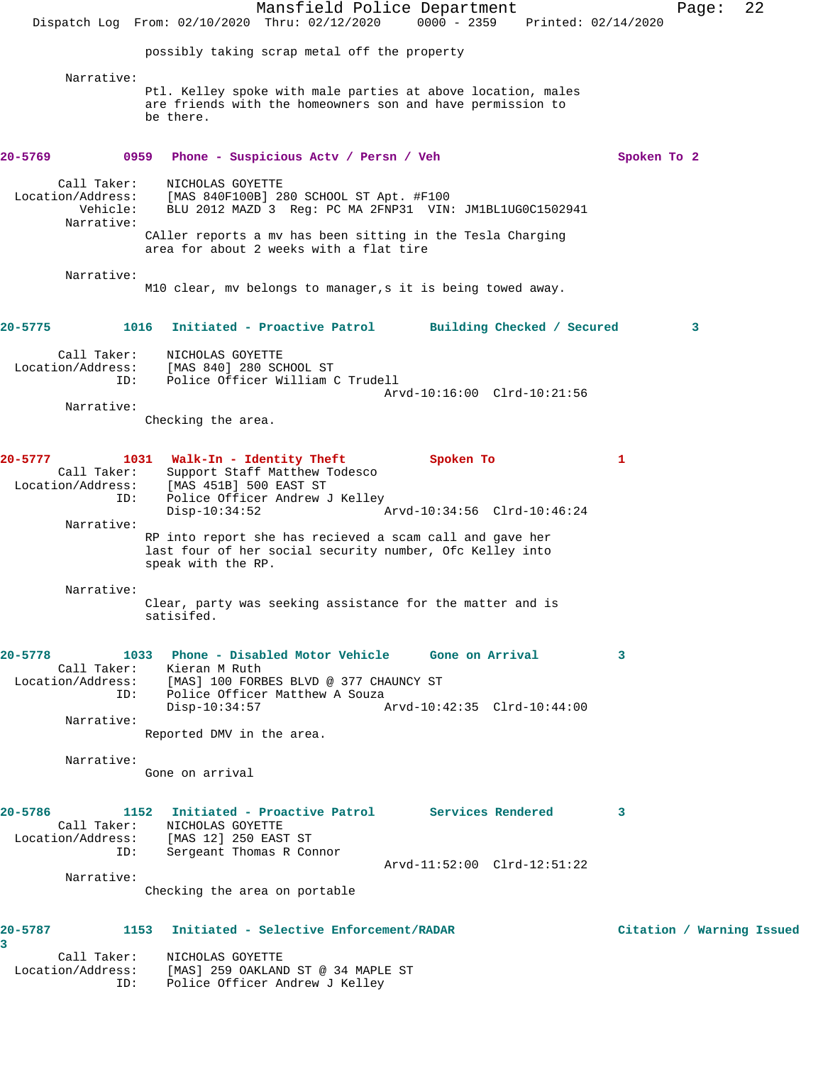|                                                            | Mansfield Police Department<br>Dispatch Log From: 02/10/2020 Thru: 02/12/2020 0000 - 2359                                                                                                                                        | Printed: 02/14/2020                      | Page:                     | 22 |
|------------------------------------------------------------|----------------------------------------------------------------------------------------------------------------------------------------------------------------------------------------------------------------------------------|------------------------------------------|---------------------------|----|
|                                                            | possibly taking scrap metal off the property                                                                                                                                                                                     |                                          |                           |    |
| Narrative:                                                 | Ptl. Kelley spoke with male parties at above location, males<br>are friends with the homeowners son and have permission to<br>be there.                                                                                          |                                          |                           |    |
| 20-5769                                                    | 0959<br>Phone - Suspicious Actv / Persn / Veh                                                                                                                                                                                    |                                          | Spoken To 2               |    |
| Call Taker:<br>Location/Address:<br>Vehicle:<br>Narrative: | NICHOLAS GOYETTE<br>[MAS 840F100B] 280 SCHOOL ST Apt. #F100<br>BLU 2012 MAZD 3 Reg: PC MA 2FNP31 VIN: JM1BL1UG0C1502941<br>CAller reports a mv has been sitting in the Tesla Charging<br>area for about 2 weeks with a flat tire |                                          |                           |    |
| Narrative:                                                 | M10 clear, mv belongs to manager, s it is being towed away.                                                                                                                                                                      |                                          |                           |    |
| $20 - 5775$<br>1016                                        | Initiated - Proactive Patrol                                                                                                                                                                                                     | Building Checked / Secured               | 3                         |    |
| Call Taker:<br>Location/Address:<br>ID:<br>Narrative:      | NICHOLAS GOYETTE<br>[MAS 840] 280 SCHOOL ST<br>Police Officer William C Trudell                                                                                                                                                  | Arvd-10:16:00 Clrd-10:21:56              |                           |    |
|                                                            | Checking the area.                                                                                                                                                                                                               |                                          |                           |    |
| 20-5777<br>Call Taker:<br>ID:                              | 1031 Walk-In - Identity Theft<br>Support Staff Matthew Todesco<br>Location/Address: [MAS 451B] 500 EAST ST<br>Police Officer Andrew J Kelley<br>$Disp-10:34:52$                                                                  | Spoken To<br>Arvd-10:34:56 Clrd-10:46:24 | 1                         |    |
| Narrative:                                                 | RP into report she has recieved a scam call and gave her<br>last four of her social security number, Ofc Kelley into<br>speak with the RP.                                                                                       |                                          |                           |    |
| Narrative:                                                 | Clear, party was seeking assistance for the matter and is<br>satisifed.                                                                                                                                                          |                                          |                           |    |
| 20-5778<br>TD:<br>Narrative:                               | 1033 Phone - Disabled Motor Vehicle Gone on Arrival<br>Call Taker: Kieran M Ruth<br>Location/Address: [MAS] 100 FORBES BLVD @ 377 CHAUNCY ST<br>Police Officer Matthew A Souza<br>$Disp-10:34:57$<br>Reported DMV in the area.   | Arvd-10:42:35 Clrd-10:44:00              | 3                         |    |
| Narrative:                                                 | Gone on arrival                                                                                                                                                                                                                  |                                          |                           |    |
| 20-5786<br>ID:<br>Narrative:                               | 1152 Initiated - Proactive Patrol Services Rendered<br>Call Taker: NICHOLAS GOYETTE<br>Location/Address: [MAS 12] 250 EAST ST<br>Sergeant Thomas R Connor                                                                        | Arvd-11:52:00 Clrd-12:51:22              | 3                         |    |
|                                                            | Checking the area on portable                                                                                                                                                                                                    |                                          |                           |    |
| 20-5787<br>1153<br>3                                       | Initiated - Selective Enforcement/RADAR<br>Call Taker: NICHOLAS GOYETTE<br>Location/Address: [MAS] 259 OAKLAND ST @ 34 MAPLE ST<br>ID: Police Officer Andrew J Kelley                                                            |                                          | Citation / Warning Issued |    |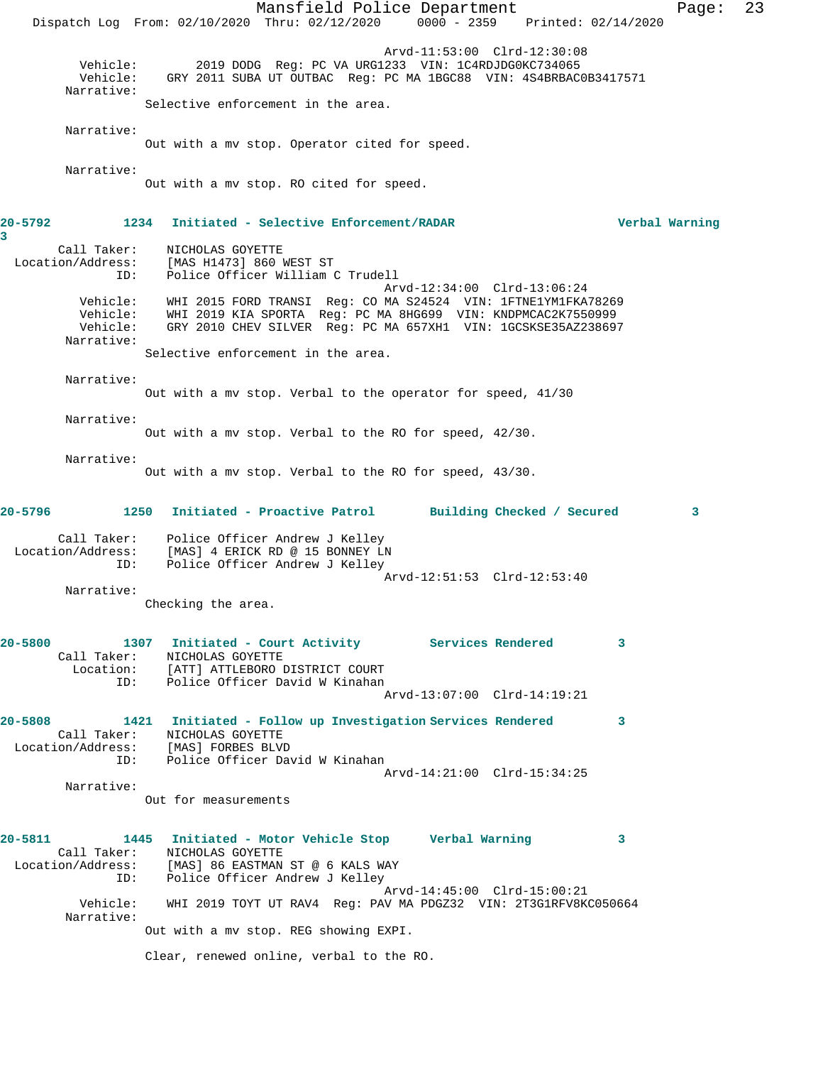Mansfield Police Department Page: 23 Dispatch Log From: 02/10/2020 Thru: 02/12/2020 0000 - 2359 Printed: 02/14/2020 Arvd-11:53:00 Clrd-12:30:08 Vehicle: 2019 DODG Reg: PC VA URG1233 VIN: 1C4RDJDG0KC734065 Vehicle: GRY 2011 SUBA UT OUTBAC Reg: PC MA 1BGC88 VIN: 4S4BRBAC0B3417571 Narrative: Selective enforcement in the area. Narrative: Out with a mv stop. Operator cited for speed. Narrative: Out with a mv stop. RO cited for speed. **20-5792 1234 Initiated - Selective Enforcement/RADAR Verbal Warning 3**  Call Taker: NICHOLAS GOYETTE Location/Address: [MAS H1473] 860 WEST ST ID: Police Officer William C Trudell Arvd-12:34:00 Clrd-13:06:24 Vehicle: WHI 2015 FORD TRANSI Reg: CO MA S24524 VIN: 1FTNE1YM1FKA78269 Vehicle: WHI 2019 KIA SPORTA Reg: PC MA 8HG699 VIN: KNDPMCAC2K7550999 Vehicle: GRY 2010 CHEV SILVER Reg: PC MA 657XH1 VIN: 1GCSKSE35AZ238697 Narrative: Selective enforcement in the area. Narrative: Out with a mv stop. Verbal to the operator for speed, 41/30 Narrative: Out with a mv stop. Verbal to the RO for speed, 42/30. Narrative: Out with a mv stop. Verbal to the RO for speed, 43/30. **20-5796 1250 Initiated - Proactive Patrol Building Checked / Secured 3** Call Taker: Police Officer Andrew J Kelley Location/Address: [MAS] 4 ERICK RD @ 15 BONNEY LN ID: Police Officer Andrew J Kelley Arvd-12:51:53 Clrd-12:53:40 Narrative: Checking the area. **20-5800 1307 Initiated - Court Activity Services Rendered 3**  Call Taker: NICHOLAS GOYETTE Location: [ATT] ATTLEBORO DISTRICT COURT<br>TD: Police Officer David W Kinaban Police Officer David W Kinahan Arvd-13:07:00 Clrd-14:19:21 **20-5808 1421 Initiated - Follow up Investigation Services Rendered 3**  Call Taker: NICHOLAS GOYETTE Location/Address: [MAS] FORBES BLVD ID: Police Officer David W Kinahan Arvd-14:21:00 Clrd-15:34:25 Narrative: Out for measurements **20-5811 1445 Initiated - Motor Vehicle Stop Verbal Warning 3**  Call Taker: <br>
NICHOLAS GOYETTE<br>
Location/Address: [MAS] 86 EASTMAN [MAS] 86 EASTMAN ST @ 6 KALS WAY ID: Police Officer Andrew J Kelley Arvd-14:45:00 Clrd-15:00:21 Vehicle: WHI 2019 TOYT UT RAV4 Reg: PAV MA PDGZ32 VIN: 2T3G1RFV8KC050664 Narrative: Out with a mv stop. REG showing EXPI. Clear, renewed online, verbal to the RO.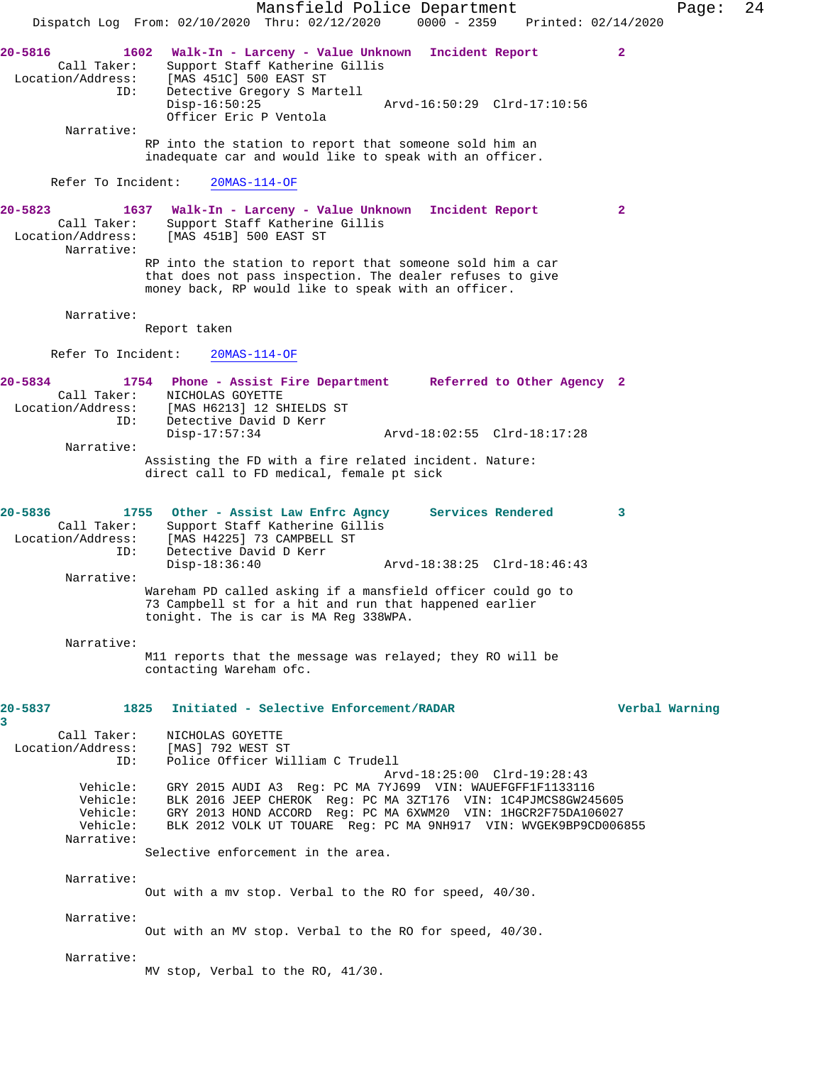Mansfield Police Department Page: 24 Dispatch Log From: 02/10/2020 Thru: 02/12/2020 0000 - 2359 Printed: 02/14/2020 **20-5816 1602 Walk-In - Larceny - Value Unknown Incident Report 2**  Call Taker: Support Staff Katherine Gillis<br>Location/Address: [MAS 451C] 500 EAST ST ess: [MAS 451C] 500 EAST ST<br>ID: Detective Gregory S Mar Detective Gregory S Martell Disp-16:50:25 Arvd-16:50:29 Clrd-17:10:56 Officer Eric P Ventola Narrative: RP into the station to report that someone sold him an inadequate car and would like to speak with an officer. Refer To Incident: 20MAS-114-OF **20-5823 1637 Walk-In - Larceny - Value Unknown Incident Report 2**  Call Taker: Support Staff Katherine Gillis Location/Address: [MAS 451B] 500 EAST ST Narrative: RP into the station to report that someone sold him a car that does not pass inspection. The dealer refuses to give money back, RP would like to speak with an officer. Narrative: Report taken Refer To Incident: 20MAS-114-OF **20-5834 1754 Phone - Assist Fire Department Referred to Other Agency 2**  Call Taker: NICHOLAS GOYETTE Location/Address: [MAS H6213] 12 SHIELDS ST ID: Detective David D Kerr Disp-17:57:34 Arvd-18:02:55 Clrd-18:17:28 Narrative: Assisting the FD with a fire related incident. Nature: direct call to FD medical, female pt sick **20-5836 1755 Other - Assist Law Enfrc Agncy Services Rendered 3**  Call Taker: Support Staff Katherine Gillis<br>Location/Address: [MAS H4225] 73 CAMPBELL ST [MAS H4225] 73 CAMPBELL ST ID: Detective David D Kerr<br>Disp-18:36:40 Disp-18:36:40 Arvd-18:38:25 Clrd-18:46:43 Narrative: Wareham PD called asking if a mansfield officer could go to 73 Campbell st for a hit and run that happened earlier tonight. The is car is MA Reg 338WPA. Narrative: M11 reports that the message was relayed; they RO will be contacting Wareham ofc. **20-5837 1825 Initiated - Selective Enforcement/RADAR Verbal Warning 3**  Call Taker: NICHOLAS GOYETTE Location/Address: [MAS] 792 WEST ST ID: Police Officer William C Trudell Arvd-18:25:00 Clrd-19:28:43 Vehicle: GRY 2015 AUDI A3 Reg: PC MA 7YJ699 VIN: WAUEFGFF1F1133116 Vehicle: BLK 2016 JEEP CHEROK Reg: PC MA 3ZT176 VIN: 1C4PJMCS8GW245605 Vehicle: GRY 2013 HOND ACCORD Reg: PC MA 6XWM20 VIN: 1HGCR2F75DA106027 Vehicle: BLK 2012 VOLK UT TOUARE Reg: PC MA 9NH917 VIN: WVGEK9BP9CD006855 Narrative: Selective enforcement in the area. Narrative: Out with a mv stop. Verbal to the RO for speed, 40/30. Narrative: Out with an MV stop. Verbal to the RO for speed, 40/30. Narrative: MV stop, Verbal to the RO, 41/30.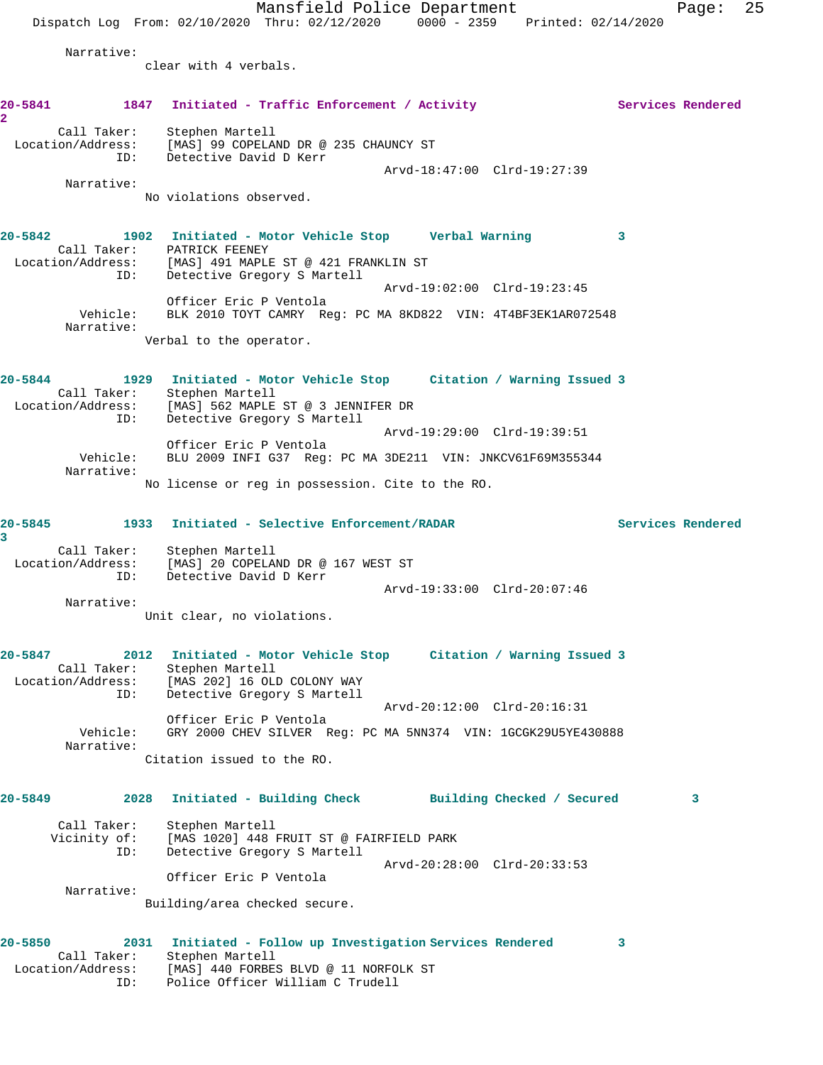Mansfield Police Department Fage: 25 Dispatch Log From: 02/10/2020 Thru: 02/12/2020 0000 - 2359 Printed: 02/14/2020 Narrative: clear with 4 verbals. 20-5841 1847 Initiated - Traffic Enforcement / Activity **Services Rendered 2**  Call Taker: Stephen Martell Location/Address: [MAS] 99 COPELAND DR @ 235 CHAUNCY ST ID: Detective David D Kerr Arvd-18:47:00 Clrd-19:27:39 Narrative: No violations observed. **20-5842 1902 Initiated - Motor Vehicle Stop Verbal Warning 3**  Call Taker: PATRICK FEENEY Location/Address: [MAS] 491 MAPLE ST @ 421 FRANKLIN ST ID: Detective Gregory S Martell Arvd-19:02:00 Clrd-19:23:45 Officer Eric P Ventola Vehicle: BLK 2010 TOYT CAMRY Reg: PC MA 8KD822 VIN: 4T4BF3EK1AR072548 Narrative: Verbal to the operator. **20-5844 1929 Initiated - Motor Vehicle Stop Citation / Warning Issued 3**  Call Taker: Stephen Martell Location/Address: [MAS] 562 MAPLE ST @ 3 JENNIFER DR ID: Detective Gregory S Martell Arvd-19:29:00 Clrd-19:39:51 Officer Eric P Ventola Vehicle: BLU 2009 INFI G37 Reg: PC MA 3DE211 VIN: JNKCV61F69M355344 Narrative: No license or reg in possession. Cite to the RO. **20-5845 1933 Initiated - Selective Enforcement/RADAR Services Rendered 3**  Call Taker: Stephen Martell Location/Address: [MAS] 20 COPELAND DR @ 167 WEST ST ID: Detective David D Kerr Arvd-19:33:00 Clrd-20:07:46 Narrative: Unit clear, no violations. **20-5847 2012 Initiated - Motor Vehicle Stop Citation / Warning Issued 3**  Call Taker: Stephen Martell<br>Location/Address: [MAS 202] 16 OLI<br>ID: Detective Gregor [MAS 202] 16 OLD COLONY WAY Detective Gregory S Martell Arvd-20:12:00 Clrd-20:16:31 Officer Eric P Ventola Vehicle: GRY 2000 CHEV SILVER Reg: PC MA 5NN374 VIN: 1GCGK29U5YE430888 Narrative: Citation issued to the RO. **20-5849 2028 Initiated - Building Check Building Checked / Secured 3** Call Taker: Stephen Martell Vicinity of: [MAS 1020] 448 FRUIT ST @ FAIRFIELD PARK ID: Detective Gregory S Martell Arvd-20:28:00 Clrd-20:33:53 Officer Eric P Ventola Narrative: Building/area checked secure. **20-5850 2031 Initiated - Follow up Investigation Services Rendered 3**  Call Taker: Stephen Martell Location/Address: [MAS] 440 FORBES BLVD @ 11 NORFOLK ST ID: Police Officer William C Trudell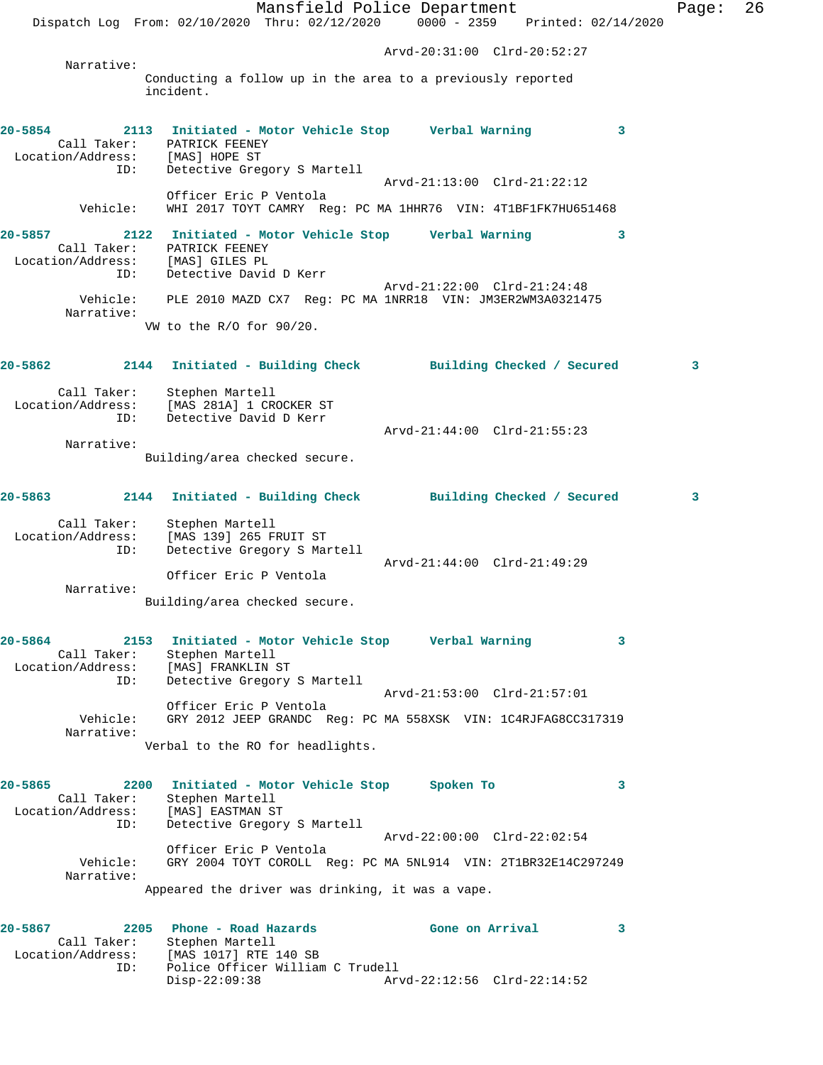Mansfield Police Department Page: 26 Dispatch Log From: 02/10/2020 Thru: 02/12/2020 0000 - 2359 Printed: 02/14/2020 Arvd-20:31:00 Clrd-20:52:27 Narrative: Conducting a follow up in the area to a previously reported incident. **20-5854 2113 Initiated - Motor Vehicle Stop Verbal Warning 3**  Call Taker: PATRICK FEENEY Location/Address:<br>ID: Detective Gregory S Martell Arvd-21:13:00 Clrd-21:22:12 Officer Eric P Ventola Vehicle: WHI 2017 TOYT CAMRY Reg: PC MA 1HHR76 VIN: 4T1BF1FK7HU651468 **20-5857 2122 Initiated - Motor Vehicle Stop Verbal Warning 3**  Call Taker: PATRICK FEENEY Location/Address: [MAS] GILES PL ID: Detective David D Kerr Arvd-21:22:00 Clrd-21:24:48 Vehicle: PLE 2010 MAZD CX7 Reg: PC MA 1NRR18 VIN: JM3ER2WM3A0321475 Narrative: VW to the R/O for 90/20. **20-5862 2144 Initiated - Building Check Building Checked / Secured 3** Call Taker: Stephen Martell Location/Address: [MAS 281A] 1 CROCKER ST ID: Detective David D Kerr Arvd-21:44:00 Clrd-21:55:23 Narrative: Building/area checked secure. **20-5863 2144 Initiated - Building Check Building Checked / Secured 3** Call Taker: Stephen Martell Location/Address: [MAS 139] 265 FRUIT ST ID: Detective Gregory S Martell Arvd-21:44:00 Clrd-21:49:29 Officer Eric P Ventola Narrative: Building/area checked secure. **20-5864 2153 Initiated - Motor Vehicle Stop Verbal Warning 3**  Call Taker: Stephen Martell<br>tion/Address: [MAS] FRANKLIN ST Location/Address:<br>ID: Detective Gregory S Martell Arvd-21:53:00 Clrd-21:57:01 Officer Eric P Ventola Vehicle: GRY 2012 JEEP GRANDC Reg: PC MA 558XSK VIN: 1C4RJFAG8CC317319 Narrative: Verbal to the RO for headlights. **20-5865 2200 Initiated - Motor Vehicle Stop Spoken To 3**  Call Taker: Stephen Martell Location/Address: [MAS] EASTMAN ST ID: Detective Gregory S Martell Arvd-22:00:00 Clrd-22:02:54 Officer Eric P Ventola Vehicle: GRY 2004 TOYT COROLL Reg: PC MA 5NL914 VIN: 2T1BR32E14C297249 Narrative: Appeared the driver was drinking, it was a vape. **20-5867 2205 Phone - Road Hazards Gone on Arrival 3**  Call Taker: Stephen Martell Location/Address: [MAS 1017] RTE 140 SB ID: Police Officer William C Trudell<br>Disp-22:09:38 Arv Disp-22:09:38 Arvd-22:12:56 Clrd-22:14:52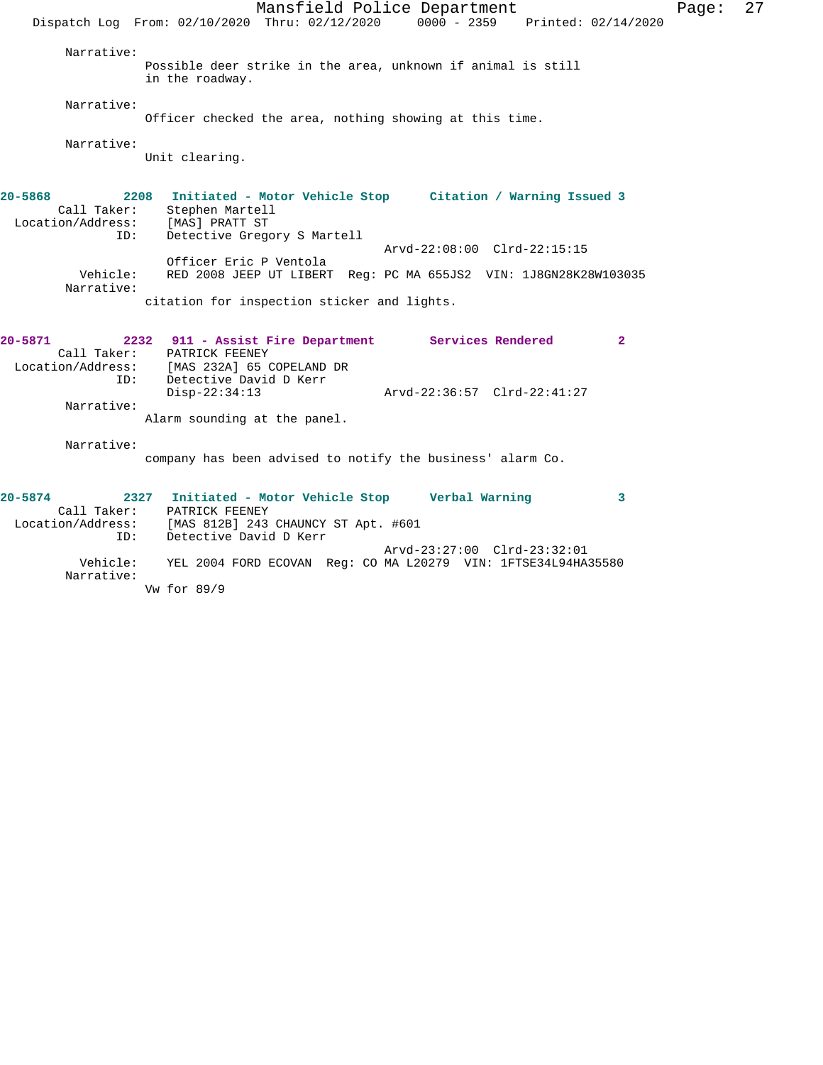Mansfield Police Department Page: 27 Dispatch Log From: 02/10/2020 Thru: 02/12/2020 0000 - 2359 Printed: 02/14/2020 Narrative: Possible deer strike in the area, unknown if animal is still in the roadway. Narrative: Officer checked the area, nothing showing at this time. Narrative: Unit clearing. **20-5868 2208 Initiated - Motor Vehicle Stop Citation / Warning Issued 3**  Call Taker: Stephen Martell Location/Address: [MAS] PRATT ST ID: Detective Gregory S Martell Arvd-22:08:00 Clrd-22:15:15 Officer Eric P Ventola Vehicle: RED 2008 JEEP UT LIBERT Reg: PC MA 655JS2 VIN: 1J8GN28K28W103035 Narrative: citation for inspection sticker and lights. **20-5871 2232 911 - Assist Fire Department Services Rendered 2**  Call Taker: PATRICK FEENEY Location/Address: [MAS 232A] 65 COPELAND DR ID: Detective David D Kerr<br>Disp-22:34:13 Disp-22:34:13 Arvd-22:36:57 Clrd-22:41:27 Narrative: Alarm sounding at the panel. Narrative: company has been advised to notify the business' alarm Co. **20-5874 2327 Initiated - Motor Vehicle Stop Verbal Warning 3**  Call Taker: PATRICK FEENEY Location/Address: [MAS 812B] 243 CHAUNCY ST Apt. #601 ID: Detective David D Kerr Arvd-23:27:00 Clrd-23:32:01 Vehicle: YEL 2004 FORD ECOVAN Reg: CO MA L20279 VIN: 1FTSE34L94HA35580 Narrative:

Vw for 89/9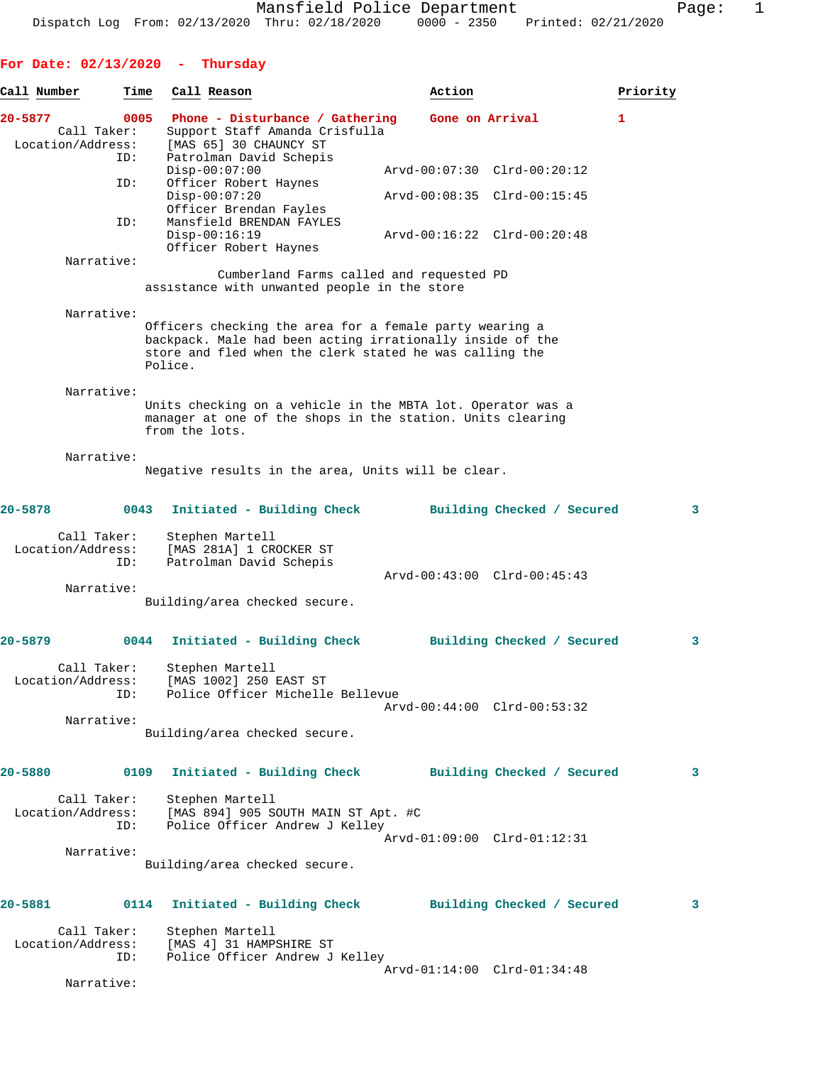## **For Date: 02/13/2020 - Thursday**

| Call Number                      | Time | Call Reason                                                                                                              | Action                                                                                                                                                                          | Priority |
|----------------------------------|------|--------------------------------------------------------------------------------------------------------------------------|---------------------------------------------------------------------------------------------------------------------------------------------------------------------------------|----------|
| 20-5877<br>Call Taker:           | 0005 | Phone - Disturbance / Gathering<br>Support Staff Amanda Crisfulla                                                        | Gone on Arrival                                                                                                                                                                 | 1        |
| Location/Address:                | ID:  | [MAS 65] 30 CHAUNCY ST<br>Patrolman David Schepis                                                                        |                                                                                                                                                                                 |          |
|                                  | ID:  | $Disp-00:07:00$<br>Officer Robert Haynes                                                                                 | Arvd-00:07:30 Clrd-00:20:12                                                                                                                                                     |          |
|                                  |      | $Disp-00:07:20$<br>Officer Brendan Fayles                                                                                | Arvd-00:08:35 Clrd-00:15:45                                                                                                                                                     |          |
|                                  | ID:  | Mansfield BRENDAN FAYLES<br>Disp-00:16:19<br>Officer Robert Haynes                                                       | Arvd-00:16:22 Clrd-00:20:48                                                                                                                                                     |          |
| Narrative:                       |      |                                                                                                                          | Cumberland Farms called and requested PD<br>assistance with unwanted people in the store                                                                                        |          |
| Narrative:                       |      |                                                                                                                          |                                                                                                                                                                                 |          |
|                                  |      | Police.                                                                                                                  | Officers checking the area for a female party wearing a<br>backpack. Male had been acting irrationally inside of the<br>store and fled when the clerk stated he was calling the |          |
| Narrative:                       |      |                                                                                                                          |                                                                                                                                                                                 |          |
|                                  |      | from the lots.                                                                                                           | Units checking on a vehicle in the MBTA lot. Operator was a<br>manager at one of the shops in the station. Units clearing                                                       |          |
| Narrative:                       |      |                                                                                                                          | Negative results in the area, Units will be clear.                                                                                                                              |          |
| 20-5878                          | 0043 | Initiated - Building Check                                                                                               | Building Checked / Secured                                                                                                                                                      | 3        |
| Call Taker:<br>Location/Address: | ID:  | Stephen Martell<br>[MAS 281A] 1 CROCKER ST<br>Patrolman David Schepis                                                    |                                                                                                                                                                                 |          |
| Narrative:                       |      |                                                                                                                          | Arvd-00:43:00 Clrd-00:45:43                                                                                                                                                     |          |
|                                  |      | Building/area checked secure.                                                                                            |                                                                                                                                                                                 |          |
| 20-5879                          | 0044 | Initiated - Building Check                                                                                               | Building Checked / Secured                                                                                                                                                      | 3        |
| Call Taker:<br>Location/Address: | ID:  | Stephen Martell<br>[MAS 1002] 250 EAST ST<br>Police Officer Michelle Bellevue                                            |                                                                                                                                                                                 |          |
| Narrative:                       |      |                                                                                                                          | Arvd-00:44:00 Clrd-00:53:32                                                                                                                                                     |          |
|                                  |      | Building/area checked secure.                                                                                            |                                                                                                                                                                                 |          |
| $20 - 5880$                      | 0109 |                                                                                                                          | Initiated - Building Check Building Checked / Secured                                                                                                                           | 3        |
| Call Taker:<br>Location/Address: | ID:  | Stephen Marteil<br>[MAS 894] 905 SOUTH MAIN ST Apt. #C<br>- - - - - - - - - - "Felley"<br>Police Officer Andrew J Kelley |                                                                                                                                                                                 |          |
| Narrative:                       |      | Building/area checked secure.                                                                                            | Arvd-01:09:00 Clrd-01:12:31                                                                                                                                                     |          |
|                                  |      |                                                                                                                          |                                                                                                                                                                                 |          |
| 20-5881                          | 0114 |                                                                                                                          | Initiated - Building Check Building Checked / Secured                                                                                                                           | 3        |
| Call Taker:<br>Location/Address: | ID:  | Stephen Martell<br>[MAS 4] 31 HAMPSHIRE ST<br>Police Officer Andrew J Kelley                                             |                                                                                                                                                                                 |          |
| Narrative:                       |      |                                                                                                                          | Arvd-01:14:00 Clrd-01:34:48                                                                                                                                                     |          |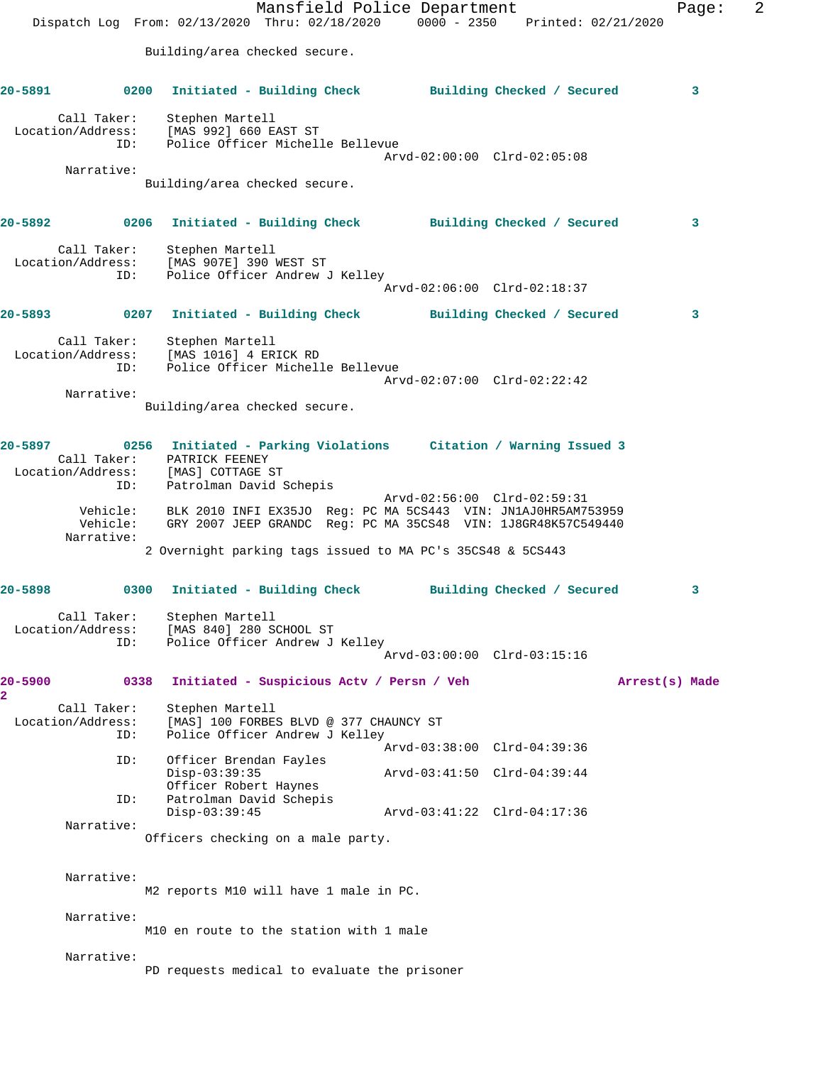Mansfield Police Department Fage: 2 Dispatch Log From: 02/13/2020 Thru: 02/18/2020 0000 - 2350 Printed: 02/21/2020 Building/area checked secure. **20-5891 0200 Initiated - Building Check Building Checked / Secured 3** Call Taker: Stephen Martell Location/Address: [MAS 992] 660 EAST ST ID: Police Officer Michelle Bellevue Arvd-02:00:00 Clrd-02:05:08 Narrative: Building/area checked secure. **20-5892 0206 Initiated - Building Check Building Checked / Secured 3** Call Taker: Stephen Martell Location/Address: [MAS 907E] 390 WEST ST ID: Police Officer Andrew J Kelley Arvd-02:06:00 Clrd-02:18:37 **20-5893 0207 Initiated - Building Check Building Checked / Secured 3** Call Taker: Stephen Martell Location/Address: [MAS 1016] 4 ERICK RD ID: Police Officer Michelle Bellevue Arvd-02:07:00 Clrd-02:22:42 Narrative: Building/area checked secure. **20-5897 0256 Initiated - Parking Violations Citation / Warning Issued 3**  Call Taker: PATRICK FEENEY Location/Address: [MAS] COTTAGE ST ID: Patrolman David Schepis Arvd-02:56:00 Clrd-02:59:31 Vehicle: BLK 2010 INFI EX35JO Reg: PC MA 5CS443 VIN: JN1AJ0HR5AM753959 Vehicle: GRY 2007 JEEP GRANDC Reg: PC MA 35CS48 VIN: 1J8GR48K57C549440 Narrative: 2 Overnight parking tags issued to MA PC's 35CS48 & 5CS443 **20-5898 0300 Initiated - Building Check Building Checked / Secured 3** Call Taker: Stephen Martell Location/Address: [MAS 840] 280 SCHOOL ST ID: Police Officer Andrew J Kelley Arvd-03:00:00 Clrd-03:15:16 **20-5900 0338 Initiated - Suspicious Actv / Persn / Veh Arrest(s) Made 2**  Call Taker: Stephen Martell<br>Location/Address: [MAS] 100 FORBE [MAS] 100 FORBES BLVD @ 377 CHAUNCY ST ID: Police Officer Andrew J Kelley Arvd-03:38:00 Clrd-04:39:36<br>ID: Officer Brendan Favles Officer Brendan Fayles<br>Disp-03:39:35 Disp-03:39:35 Arvd-03:41:50 Clrd-04:39:44 Officer Robert Haynes<br>ID: Patrolman David Schepis Patrolman David Schepis<br>Disp-03:39:45 Disp-03:39:45 Arvd-03:41:22 Clrd-04:17:36 Narrative: Officers checking on a male party. Narrative: M2 reports M10 will have 1 male in PC. Narrative: M10 en route to the station with 1 male Narrative: PD requests medical to evaluate the prisoner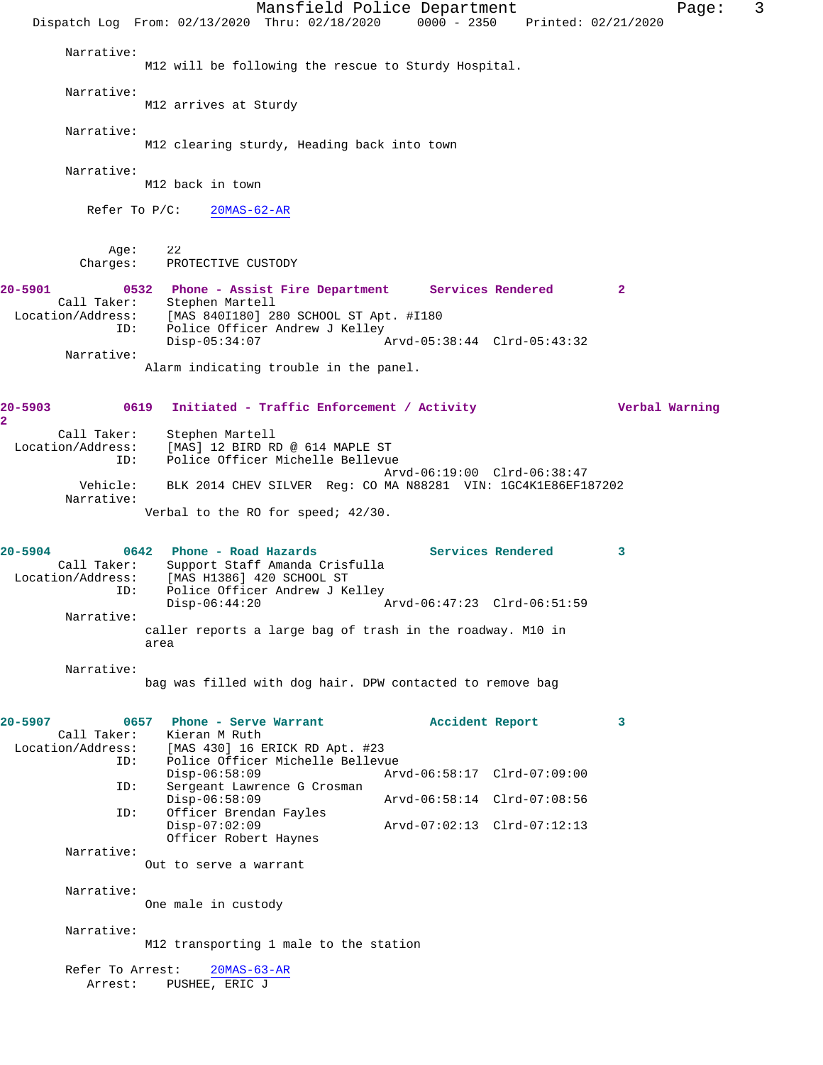Mansfield Police Department Fage: 3 Dispatch Log From: 02/13/2020 Thru: 02/18/2020 0000 - 2350 Printed: 02/21/2020 Narrative: M12 will be following the rescue to Sturdy Hospital. Narrative: M12 arrives at Sturdy Narrative: M12 clearing sturdy, Heading back into town Narrative: M12 back in town Refer To P/C: 20MAS-62-AR Age: 22<br>Charges: PRO PROTECTIVE CUSTODY **20-5901 0532 Phone - Assist Fire Department Services Rendered 2**  Call Taker: Stephen Martell Location/Address: [MAS 840I180] 280 SCHOOL ST Apt. #I180 ID: Police Officer Andrew J Kelley<br>Disp-05:34:07 Disp-05:34:07 Arvd-05:38:44 Clrd-05:43:32 Narrative: Alarm indicating trouble in the panel. **20-5903 0619 Initiated - Traffic Enforcement / Activity Verbal Warning** Call Taker: Stephen Martell Location/Address: [MAS] 12 BIRD RD @ 614 MAPLE ST ID: Police Officer Michelle Bellevue Arvd-06:19:00 Clrd-06:38:47 Vehicle: BLK 2014 CHEV SILVER Reg: CO MA N88281 VIN: 1GC4K1E86EF187202 Narrative: Verbal to the RO for speed; 42/30. **20-5904 0642 Phone - Road Hazards Services Rendered 3**  Call Taker: Support Staff Amanda Crisfulla Location/Address: [MAS H1386] 420 SCHOOL ST ID: Police Officer Andrew J Kelley<br>Disp-06:44:20 Disp-06:44:20 Arvd-06:47:23 Clrd-06:51:59 Narrative: caller reports a large bag of trash in the roadway. M10 in area Narrative: bag was filled with dog hair. DPW contacted to remove bag **20-5907 0657 Phone - Serve Warrant Accident Report 3**  Call Taker: Kieran M Ruth Location/Address: [MAS 430] 16 ERICK RD Apt. #23 Police Officer Michelle Bellevue<br>Disp-06:58:09 Arv Disp-06:58:09 Arvd-06:58:17 Clrd-07:09:00 ID: Sergeant Lawrence G Crosman Disp-06:58:09 Arvd-06:58:14 Clrd-07:08:56<br>ID: Officer Brendan Fayles Officer Brendan Fayles Disp-07:02:09 Arvd-07:02:13 Clrd-07:12:13 Officer Robert Haynes Narrative: Out to serve a warrant Narrative: One male in custody Narrative: M12 transporting 1 male to the station Refer To Arrest: 20MAS-63-AR Arrest: PUSHEE, ERIC J

**2**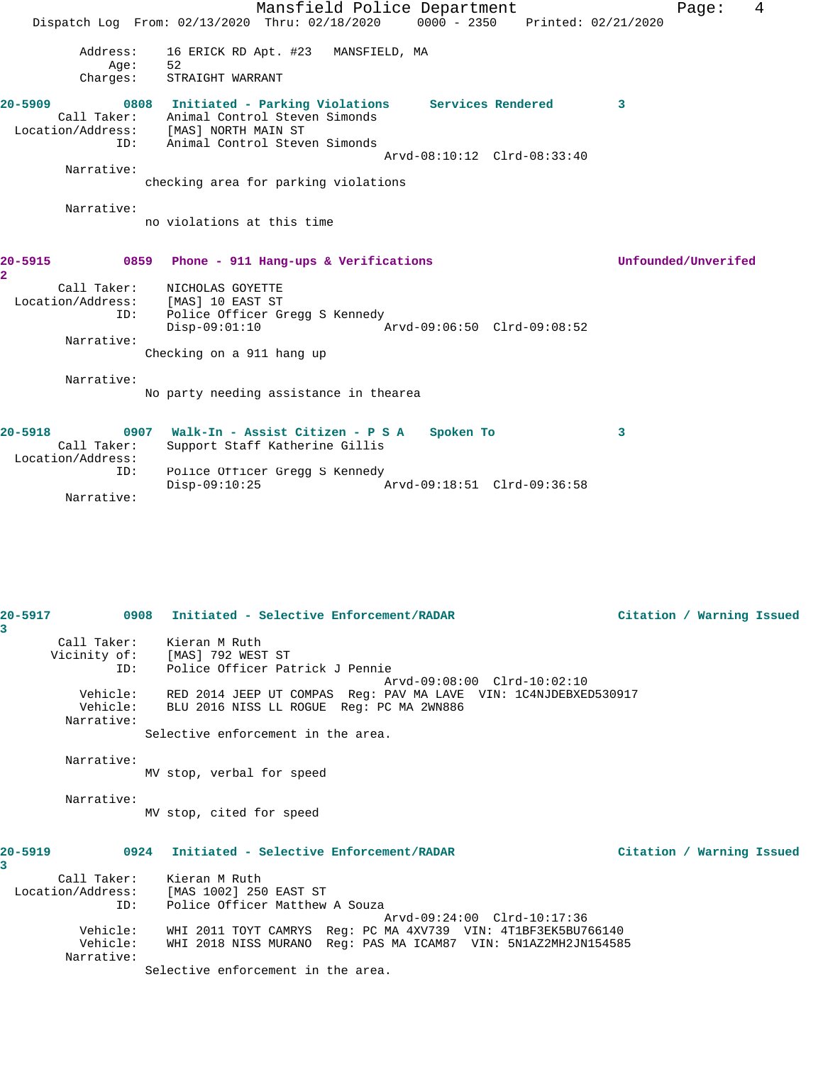Mansfield Police Department Fage: 4 Dispatch Log From: 02/13/2020 Thru: 02/18/2020 0000 - 2350 Printed: 02/21/2020 Address: 16 ERICK RD Apt. #23 MANSFIELD, MA Age: 52 Charges: STRAIGHT WARRANT **20-5909 0808 Initiated - Parking Violations Services Rendered 3**  Call Taker: Animal Control Steven Simonds Location/Address: [MAS] NORTH MAIN ST ID: Animal Control Steven Simonds Arvd-08:10:12 Clrd-08:33:40 Narrative: checking area for parking violations Narrative: no violations at this time **20-5915 0859 Phone - 911 Hang-ups & Verifications Unfounded/Unverifed 2**  Call Taker: NICHOLAS GOYETTE Location/Address: [MAS] 10 EAST ST ID: Police Officer Gregg S Kennedy Disp-09:01:10 Arvd-09:06:50 Clrd-09:08:52 Narrative: Checking on a 911 hang up Narrative: No party needing assistance in thearea **20-5918 0907 Walk-In - Assist Citizen - P S A Spoken To 3**  Call Taker: Support Staff Katherine Gillis Location/Address: ID: Police Officer Gregg S Kennedy<br>Disp-09:10:25  $\bar{P}_{AYd-09:18:51}$  Clrd-09:36:58 Narrative:

**20-5917 0908 Initiated - Selective Enforcement/RADAR Citation / Warning Issued 3**  Call Taker: Kieran M Ruth Vicinity of: [MAS] 792 WEST ST ID: Police Officer Patrick J Pennie Arvd-09:08:00 Clrd-10:02:10 Vehicle: RED 2014 JEEP UT COMPAS Reg: PAV MA LAVE VIN: 1C4NJDEBXED530917 Vehicle: BLU 2016 NISS LL ROGUE Reg: PC MA 2WN886 Narrative: Selective enforcement in the area. Narrative: MV stop, verbal for speed Narrative: MV stop, cited for speed **20-5919 0924 Initiated - Selective Enforcement/RADAR Citation / Warning Issued 3**  Call Taker: Kieran M Ruth Location/Address: [MAS 1002] 250 EAST ST ID: Police Officer Matthew A Souza Arvd-09:24:00 Clrd-10:17:36 Vehicle: WHI 2011 TOYT CAMRYS Reg: PC MA 4XV739 VIN: 4T1BF3EK5BU766140 Vehicle: WHI 2018 NISS MURANO Reg: PAS MA ICAM87 VIN: 5N1AZ2MH2JN154585 Narrative: Selective enforcement in the area.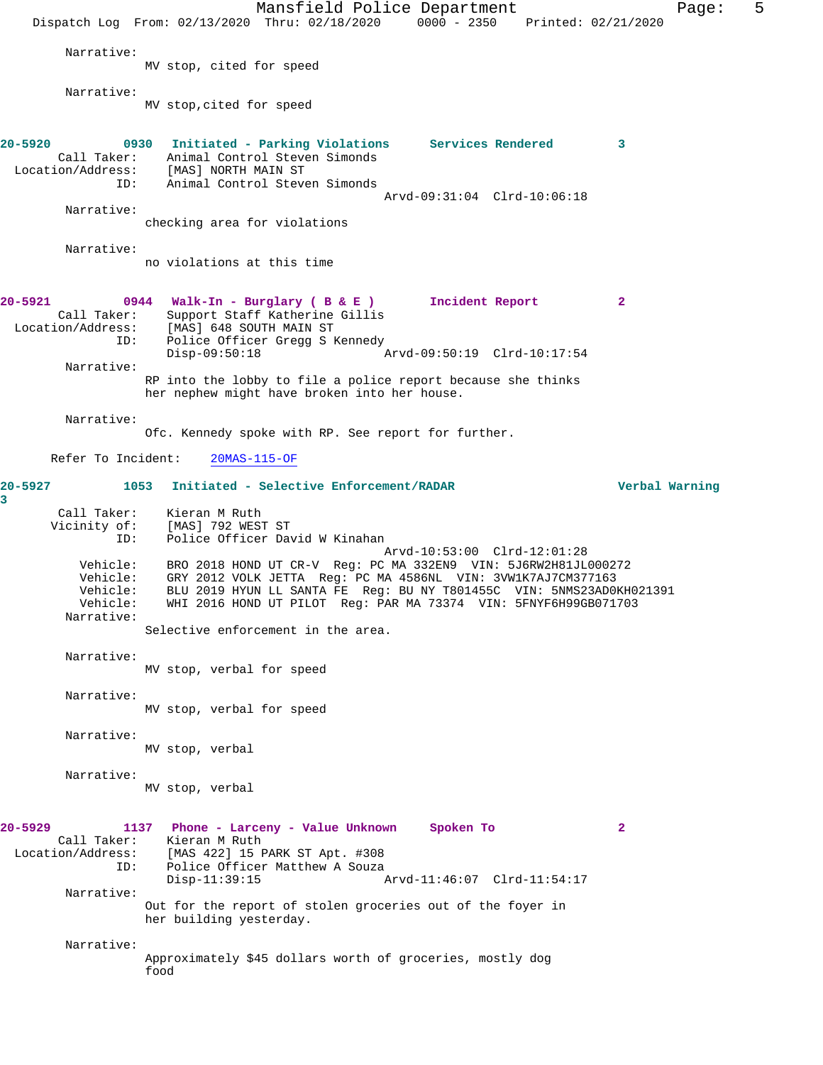Mansfield Police Department Fage: 5 Dispatch Log From: 02/13/2020 Thru: 02/18/2020 0000 - 2350 Printed: 02/21/2020 Narrative: MV stop, cited for speed Narrative: MV stop,cited for speed **20-5920 0930 Initiated - Parking Violations Services Rendered 3**  Call Taker: Animal Control Steven Simonds<br>ion/Address: [MAS] NORTH MAIN ST Location/Address:<br>ID: Animal Control Steven Simonds Arvd-09:31:04 Clrd-10:06:18 Narrative: checking area for violations Narrative: no violations at this time **20-5921 0944 Walk-In - Burglary ( B & E ) Incident Report 2**  Call Taker: Support Staff Katherine Gillis<br>Location/Address: [MAS] 648 SOUTH MAIN ST ess: [MAS] 648 SOUTH MAIN ST<br>ID: Police Officer Gregg S M Police Officer Gregg S Kennedy<br>Disp-09:50:18 Disp-09:50:18 Arvd-09:50:19 Clrd-10:17:54 Narrative: RP into the lobby to file a police report because she thinks her nephew might have broken into her house. Narrative: Ofc. Kennedy spoke with RP. See report for further. Refer To Incident: 20MAS-115-OF **20-5927 1053 Initiated - Selective Enforcement/RADAR Verbal Warning 3**  Call Taker: Kieran M Ruth Vicinity of: [MAS] 792 WEST ST<br>ID: Police Officer Dav Police Officer David W Kinahan Arvd-10:53:00 Clrd-12:01:28 Vehicle: BRO 2018 HOND UT CR-V Reg: PC MA 332EN9 VIN: 5J6RW2H81JL000272 Vehicle: GRY 2012 VOLK JETTA Reg: PC MA 4586NL VIN: 3VW1K7AJ7CM377163 Vehicle: BLU 2019 HYUN LL SANTA FE Reg: BU NY T801455C VIN: 5NMS23AD0KH021391<br>Vehicle: WHI 2016 HOND UT PILOT Reg: PAR MA 73374 VIN: 5FNYF6H99GB071703 WHI 2016 HOND UT PILOT Reg: PAR MA 73374 VIN: 5FNYF6H99GB071703 Narrative: Selective enforcement in the area. Narrative: MV stop, verbal for speed Narrative: MV stop, verbal for speed Narrative: MV stop, verbal Narrative: MV stop, verbal **20-5929 1137 Phone - Larceny - Value Unknown Spoken To 2**  Call Taker: Kieran M Ruth Location/Address: [MAS 422] 15 PARK ST Apt. #308 Police Officer Matthew A Souza<br>Disp-11:39:15 Arvd-11:46:07 Clrd-11:54:17 Narrative: Out for the report of stolen groceries out of the foyer in her building yesterday. Narrative: Approximately \$45 dollars worth of groceries, mostly dog food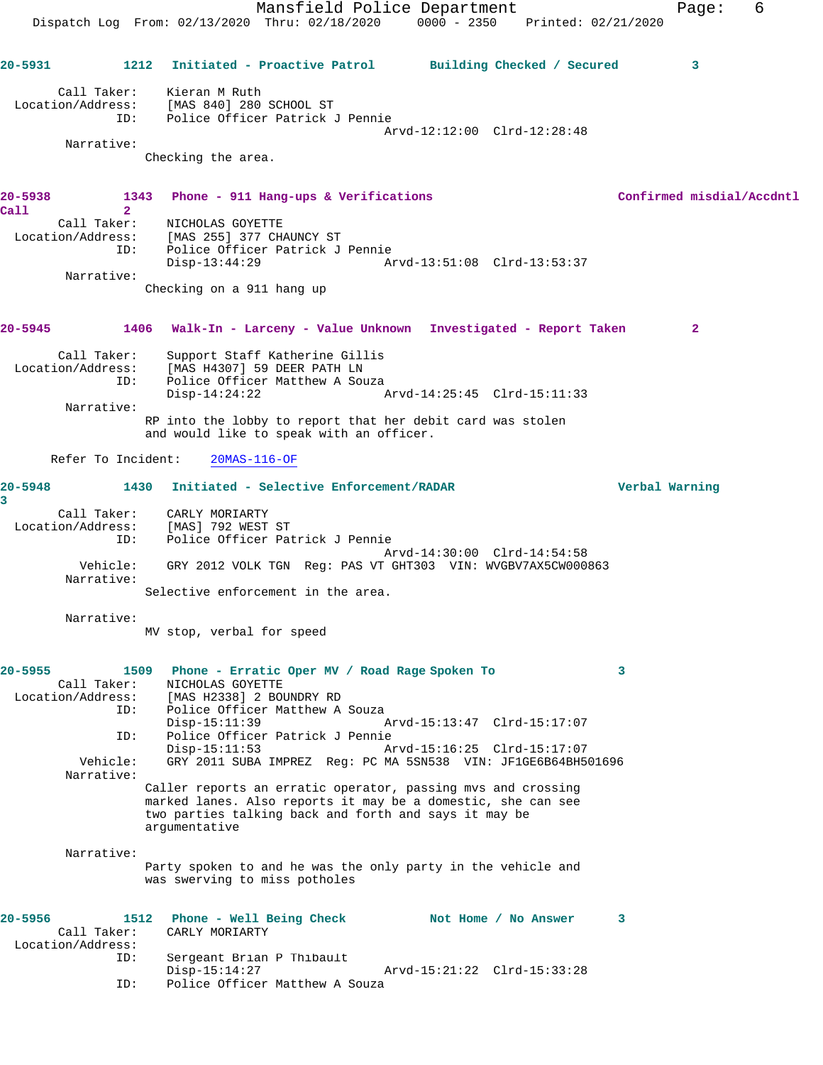Mansfield Police Department Fage: 6 Dispatch Log From: 02/13/2020 Thru: 02/18/2020 0000 - 2350 Printed: 02/21/2020 **20-5931 1212 Initiated - Proactive Patrol Building Checked / Secured 3** Call Taker: Kieran M Ruth Location/Address: [MAS 840] 280 SCHOOL ST ID: Police Officer Patrick J Pennie Arvd-12:12:00 Clrd-12:28:48 Narrative: Checking the area. **20-5938 1343 Phone - 911 Hang-ups & Verifications Confirmed misdial/Accdntl Call 2**  Call Taker: NICHOLAS GOYETTE Location/Address: [MAS 255] 377 CHAUNCY ST ID: Police Officer Patrick J Pennie Disp-13:44:29 Arvd-13:51:08 Clrd-13:53:37 Narrative: Checking on a 911 hang up **20-5945 1406 Walk-In - Larceny - Value Unknown Investigated - Report Taken 2** Call Taker: Support Staff Katherine Gillis Location/Address: [MAS H4307] 59 DEER PATH LN ISS. THE HISTORY OF BELL AND HISTORY OF BELL AND THE POLICE Officer Matthew A Souza Arvd-14:25:45 Clrd-15:11:33 Narrative: RP into the lobby to report that her debit card was stolen and would like to speak with an officer. Refer To Incident: 20MAS-116-OF **20-5948 1430 Initiated - Selective Enforcement/RADAR Verbal Warning 3**  Call Taker: CARLY MORIARTY Location/Address: [MAS] 792 WEST ST ID: Police Officer Patrick J Pennie Arvd-14:30:00 Clrd-14:54:58 Vehicle: GRY 2012 VOLK TGN Reg: PAS VT GHT303 VIN: WVGBV7AX5CW000863 Narrative: Selective enforcement in the area. Narrative: MV stop, verbal for speed **20-5955 1509 Phone - Erratic Oper MV / Road Rage Spoken To 3**  Call Taker: NICHOLAS GOYETTE Location/Address: [MAS H2338] 2 BOUNDRY RD Police Officer Matthew A Souza<br>Disp-15:11:39 Disp-15:11:39 Arvd-15:13:47 Clrd-15:17:07<br>ID: Police Officer Patrick J Pennie ID: Police Officer Patrick J Pennie Arvd-15:16:25 Clrd-15:17:07 Vehicle: GRY 2011 SUBA IMPREZ Reg: PC MA 5SN538 VIN: JF1GE6B64BH501696 Narrative: Caller reports an erratic operator, passing mvs and crossing marked lanes. Also reports it may be a domestic, she can see two parties talking back and forth and says it may be argumentative Narrative: Party spoken to and he was the only party in the vehicle and was swerving to miss potholes **20-5956 1512 Phone - Well Being Check Not Home / No Answer 3**  Call Taker: CARLY MORIARTY Location/Address: Sergeant Brian P Thibault<br>Disp-15:14:27 Disp-15:14:27 Arvd-15:21:22 Clrd-15:33:28 ID: Police Officer Matthew A Souza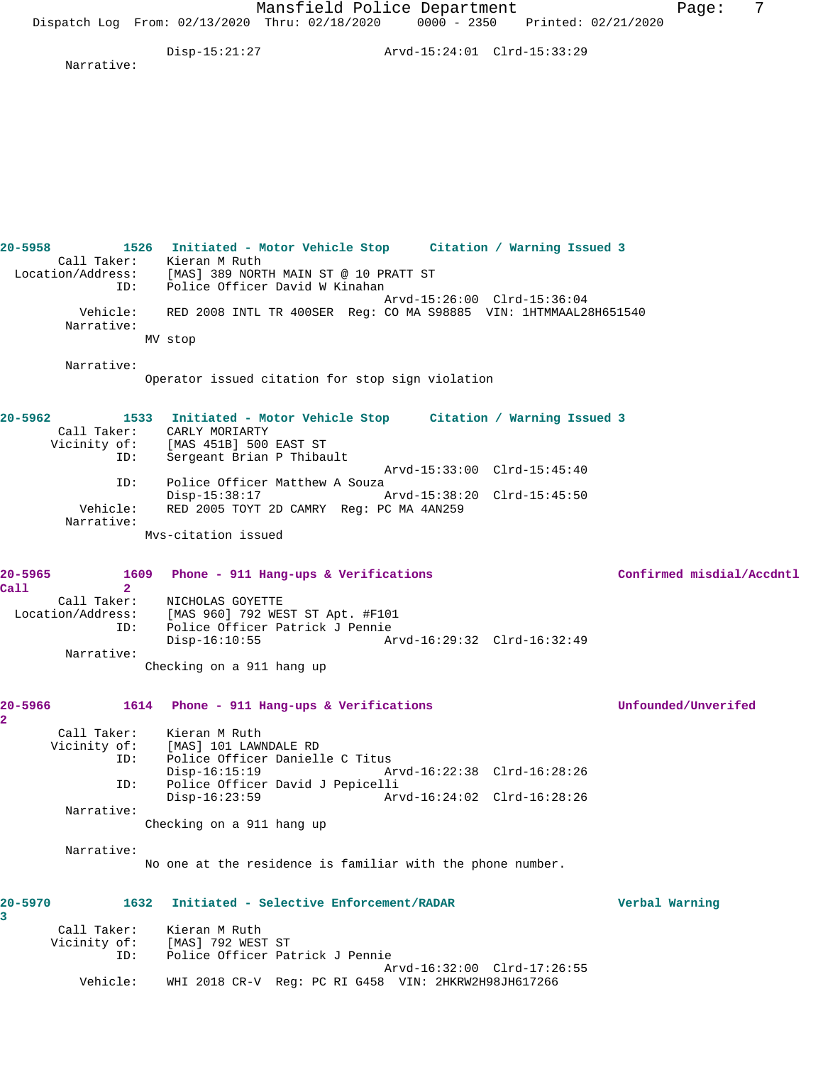Mansfield Police Department Fage: 7 Dispatch Log From: 02/13/2020 Thru: 02/18/2020 0000 - 2350 Printed: 02/21/2020 Disp-15:21:27 Arvd-15:24:01 Clrd-15:33:29 Narrative: **20-5958 1526 Initiated - Motor Vehicle Stop Citation / Warning Issued 3**  Call Taker: Kieran M Ruth Location/Address: [MAS] 389 NORTH MAIN ST @ 10 PRATT ST ID: Police Officer David W Kinahan Arvd-15:26:00 Clrd-15:36:04 Vehicle: RED 2008 INTL TR 400SER Reg: CO MA S98885 VIN: 1HTMMAAL28H651540 Narrative: MV stop Narrative: Operator issued citation for stop sign violation **20-5962 1533 Initiated - Motor Vehicle Stop Citation / Warning Issued 3**  Call Taker: CARLY MORIARTY Vicinity of: [MAS 451B] 500 EAST ST ID: Sergeant Brian P Thibault Arvd-15:33:00 Clrd-15:45:40<br>ID: Police Officer Matthew A Souza Police Officer Matthew A Souza Disp-15:38:17 Arvd-15:38:20 Clrd-15:45:50 Vehicle: RED 2005 TOYT 2D CAMRY Reg: PC MA 4AN259 Narrative: Mvs-citation issued **20-5965 1609 Phone - 911 Hang-ups & Verifications Confirmed misdial/Accdntl Call 2**  Call Taker: NICHOLAS GOYETTE Location/Address: [MAS 960] 792 WEST ST Apt. #F101 ID: Police Officer Patrick J Pennie Disp-16:10:55 Arvd-16:29:32 Clrd-16:32:49 Narrative: Checking on a 911 hang up **20-5966 1614 Phone - 911 Hang-ups & Verifications Unfounded/Unverifed** Call Taker: Kieran M Ruth<br>Vicinity of: [MAS] 101 LAWN [MAS] 101 LAWNDALE RD ID: Police Officer Danielle C Titus Disp-16:15:19 Arvd-16:22:38 Clrd-16:28:26 ID: Police Officer David J Pepicelli Disp-16:23:59 Arvd-16:24:02 Clrd-16:28:26 Narrative: Checking on a 911 hang up Narrative: No one at the residence is familiar with the phone number. **20-5970 1632 Initiated - Selective Enforcement/RADAR Verbal Warning** Call Taker: Kieran M Ruth<br>Vicinity of: [MAS] 792 WES: [MAS] 792 WEST ST ID: Police Officer Patrick J Pennie Arvd-16:32:00 Clrd-17:26:55 Vehicle: WHI 2018 CR-V Reg: PC RI G458 VIN: 2HKRW2H98JH617266

**2** 

**3**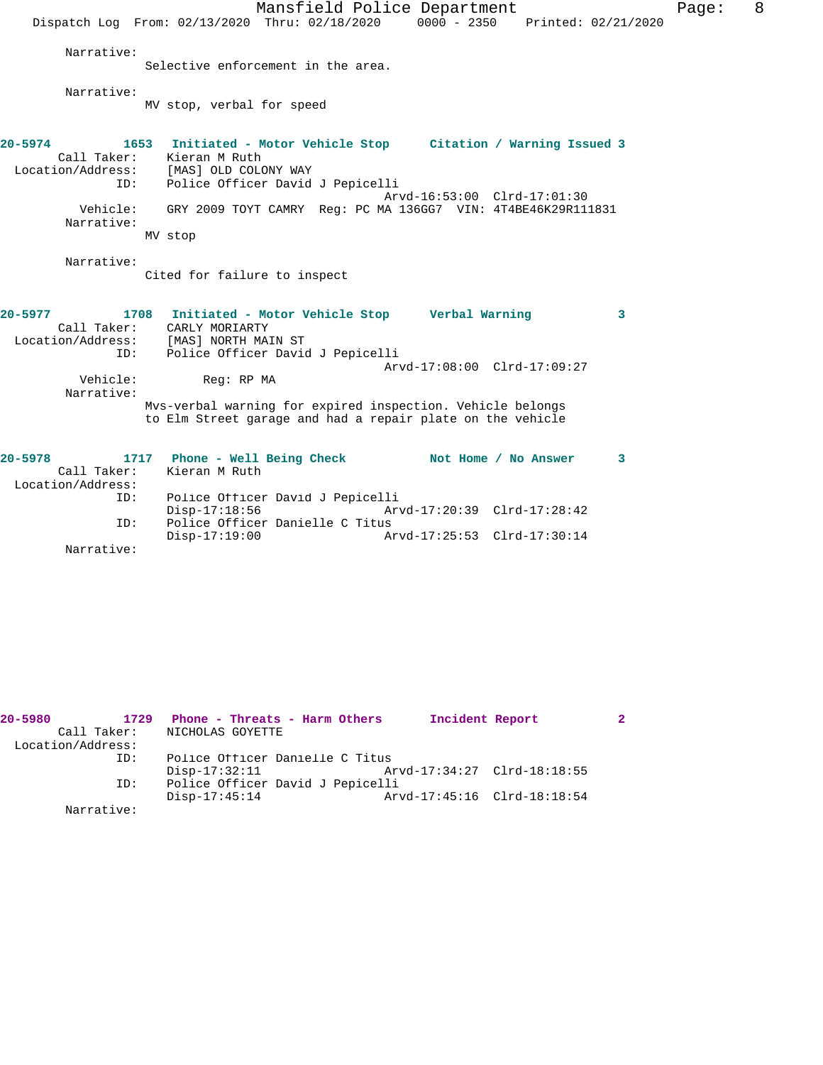|                                                               |                              | Mansfield Police Department                                                                                              |                             |                     | 8<br>Page: |
|---------------------------------------------------------------|------------------------------|--------------------------------------------------------------------------------------------------------------------------|-----------------------------|---------------------|------------|
|                                                               |                              | Dispatch Log From: 02/13/2020 Thru: 02/18/2020                                                                           | $0000 - 2350$               | Printed: 02/21/2020 |            |
| Narrative:                                                    |                              |                                                                                                                          |                             |                     |            |
|                                                               |                              | Selective enforcement in the area.                                                                                       |                             |                     |            |
| Narrative:                                                    |                              |                                                                                                                          |                             |                     |            |
|                                                               | MV stop, verbal for speed    |                                                                                                                          |                             |                     |            |
|                                                               |                              |                                                                                                                          |                             |                     |            |
| $20 - 5974$                                                   | 1653                         | Initiated - Motor Vehicle Stop Citation / Warning Issued 3                                                               |                             |                     |            |
| Call Taker: Kieran M Ruth<br>Location/Address: [MAS] OLD COLO | [MAS] OLD COLONY WAY         |                                                                                                                          |                             |                     |            |
| ID:                                                           |                              | Police Officer David J Pepicelli                                                                                         |                             |                     |            |
|                                                               |                              |                                                                                                                          | Arvd-16:53:00 Clrd-17:01:30 |                     |            |
| Vehicle:<br>Narrative:                                        |                              | GRY 2009 TOYT CAMRY Req: PC MA 136GG7 VIN: 4T4BE46K29R111831                                                             |                             |                     |            |
|                                                               | MV stop                      |                                                                                                                          |                             |                     |            |
| Narrative:                                                    |                              |                                                                                                                          |                             |                     |            |
|                                                               | Cited for failure to inspect |                                                                                                                          |                             |                     |            |
| 20–5977                                                       |                              |                                                                                                                          |                             | 3                   |            |
|                                                               | Call Taker: CARLY MORIARTY   | 1708 Initiated - Motor Vehicle Stop Verbal Warning                                                                       |                             |                     |            |
| Location/Address:                                             | [MAS] NORTH MAIN ST          |                                                                                                                          |                             |                     |            |
| ID:                                                           |                              | Police Officer David J Pepicelli                                                                                         |                             |                     |            |
|                                                               |                              |                                                                                                                          | Arvd-17:08:00 Clrd-17:09:27 |                     |            |
| Vehicle:<br>Narrative:                                        | Req: RP MA                   |                                                                                                                          |                             |                     |            |
|                                                               |                              | Mys-verbal warning for expired inspection. Vehicle belongs<br>to Elm Street garage and had a repair plate on the vehicle |                             |                     |            |
|                                                               |                              |                                                                                                                          |                             |                     |            |
| $20 - 5978$                                                   | 1717                         | Phone - Well Being Check Not Home / No Answer                                                                            |                             | 3                   |            |
| Call Taker:                                                   | Kieran M Ruth                |                                                                                                                          |                             |                     |            |
| Location/Address:<br>ID:                                      |                              | Police Officer David J Pepicelli                                                                                         |                             |                     |            |
|                                                               | $Disp-17:18:56$              |                                                                                                                          | Arvd-17:20:39 Clrd-17:28:42 |                     |            |
| ID:                                                           |                              | Police Officer Danielle C Titus                                                                                          |                             |                     |            |
|                                                               | $Disp-17:19:00$              |                                                                                                                          | Arvd-17:25:53 Clrd-17:30:14 |                     |            |

Narrative:

| 20-5980<br>Call Taker: | 1729 | Phone - Threats - Harm Others<br>NICHOLAS GOYETTE |  | Incident Report             |  |
|------------------------|------|---------------------------------------------------|--|-----------------------------|--|
| Location/Address:      |      |                                                   |  |                             |  |
|                        | ID:  | Police Officer Danielle C Titus                   |  |                             |  |
|                        |      | $Disp-17:32:11$                                   |  | Arvd-17:34:27 Clrd-18:18:55 |  |
|                        | ID:  | Police Officer David J Pepicelli                  |  |                             |  |
|                        |      | $Disp-17:45:14$                                   |  | Arvd-17:45:16 Clrd-18:18:54 |  |
| Narrative:             |      |                                                   |  |                             |  |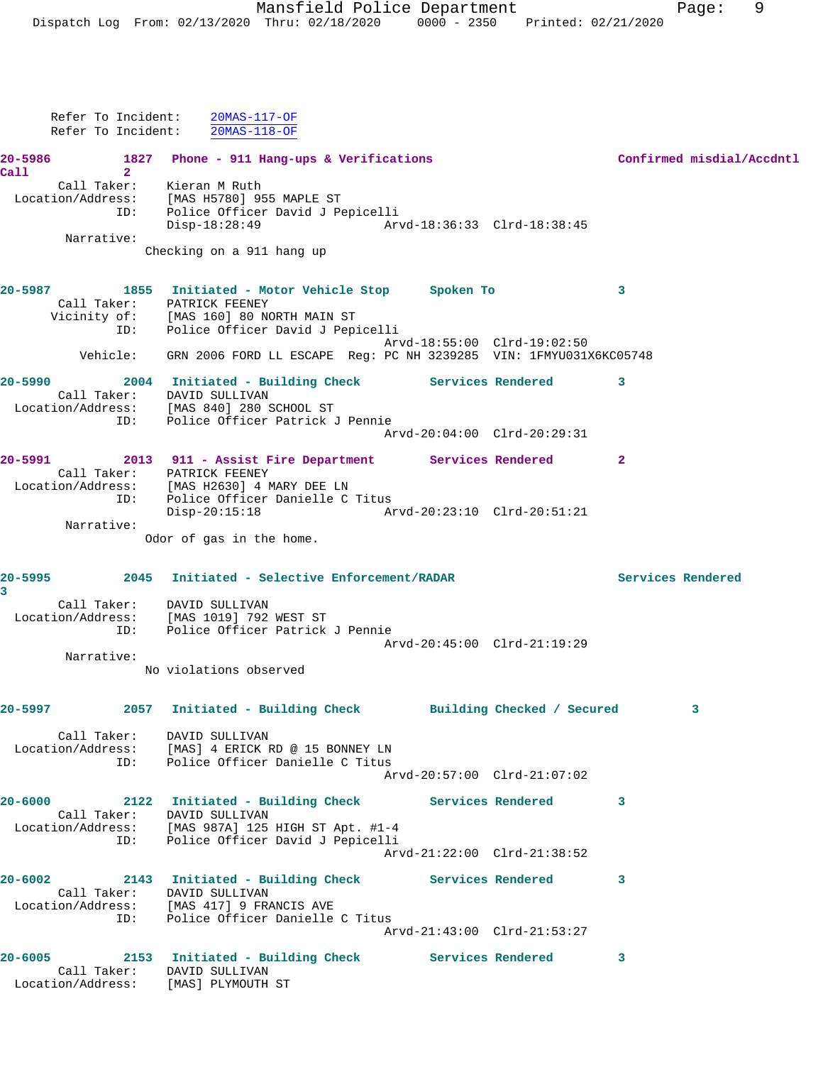|                         |                                             | Refer To Incident: 20MAS-117-OF<br>Refer To Incident: 20MAS-118-OF                                                                                |                             |                   |                           |
|-------------------------|---------------------------------------------|---------------------------------------------------------------------------------------------------------------------------------------------------|-----------------------------|-------------------|---------------------------|
|                         |                                             | 20-5986 1827 Phone - 911 Hang-ups & Verifications                                                                                                 |                             |                   | Confirmed misdial/Accdntl |
| Call                    | 2 <sup>1</sup><br>Call Taker: Kieran M Ruth | Location/Address: [MAS H5780] 955 MAPLE ST<br>ID: Police Officer David J Pepicelli<br>Disp-18:28:49 Arvd-18:36:33 Clrd-18:38:45                   |                             |                   |                           |
|                         | Narrative:                                  | Checking on a 911 hang up                                                                                                                         |                             |                   |                           |
|                         | Call Taker: PATRICK FEENEY                  | 20-5987 1855 Initiated - Motor Vehicle Stop Spoken To<br>Vicinity of: [MAS 160] 80 NORTH MAIN ST<br>ID: Police Officer David J Pepicelli          |                             | 3                 |                           |
|                         |                                             | Vehicle: GRN 2006 FORD LL ESCAPE Reg: PC NH 3239285 VIN: 1FMYU031X6KC05748                                                                        | Arvd-18:55:00 Clrd-19:02:50 |                   |                           |
|                         | Call Taker: DAVID SULLIVAN                  | 20-5990 2004 Initiated - Building Check Services Rendered 3<br>Location/Address: [MAS 840] 280 SCHOOL ST<br>ID: Police Officer Patrick J Pennie   |                             |                   |                           |
|                         |                                             |                                                                                                                                                   | Arvd-20:04:00 Clrd-20:29:31 |                   |                           |
|                         | Call Taker: PATRICK FEENEY                  | 20-5991 2013 911 - Assist Fire Department Services Rendered<br>Location/Address: [MAS H2630] 4 MARY DEE LN<br>ID: Police Officer Danielle C Titus |                             | $\mathbf{2}$      |                           |
|                         | Narrative:                                  | Disp-20:15:18 Arvd-20:23:10 Clrd-20:51:21                                                                                                         |                             |                   |                           |
|                         |                                             | Odor of gas in the home.                                                                                                                          |                             |                   |                           |
| $\overline{\mathbf{3}}$ |                                             | 20-5995 2045 Initiated - Selective Enforcement/RADAR                                                                                              |                             | Services Rendered |                           |
|                         | Call Taker: DAVID SULLIVAN                  | Location/Address: [MAS 1019] 792 WEST ST<br>ID: Police Officer Patrick J Pennie                                                                   | Arvd-20:45:00 Clrd-21:19:29 |                   |                           |
|                         | Narrative:                                  |                                                                                                                                                   |                             |                   |                           |
|                         |                                             | No violations observed                                                                                                                            |                             |                   |                           |
|                         | 20-5997 марти                               | 2057 Initiated - Building Check Building Checked / Secured                                                                                        |                             |                   | 3                         |
|                         |                                             | Call Taker: DAVID SULLIVAN<br>Location/Address: [MAS] 4 ERICK RD @ 15 BONNEY LN<br>ID: Police Officer Danielle C Titus                            | Arvd-20:57:00 Clrd-21:07:02 |                   |                           |
|                         | Call Taker: DAVID SULLIVAN                  | 20-6000 2122 Initiated - Building Check Services Rendered                                                                                         |                             | 3                 |                           |
|                         | ID:                                         | Location/Address: [MAS 987A] 125 HIGH ST Apt. #1-4<br>Police Officer David J Pepicelli                                                            | Arvd-21:22:00 Clrd-21:38:52 |                   |                           |
|                         | $20 - 6002$<br>Call Taker: DAVID SULLIVAN   | 2143 Initiated - Building Check Services Rendered<br>Location/Address: [MAS 417] 9 FRANCIS AVE                                                    |                             | 3                 |                           |
|                         |                                             | ID: Police Officer Danielle C Titus                                                                                                               | Arvd-21:43:00 Clrd-21:53:27 |                   |                           |
|                         | Call Taker: DAVID SULLIVAN                  | 20-6005 2153 Initiated - Building Check Services Rendered<br>Location/Address: [MAS] PLYMOUTH ST                                                  |                             | 3                 |                           |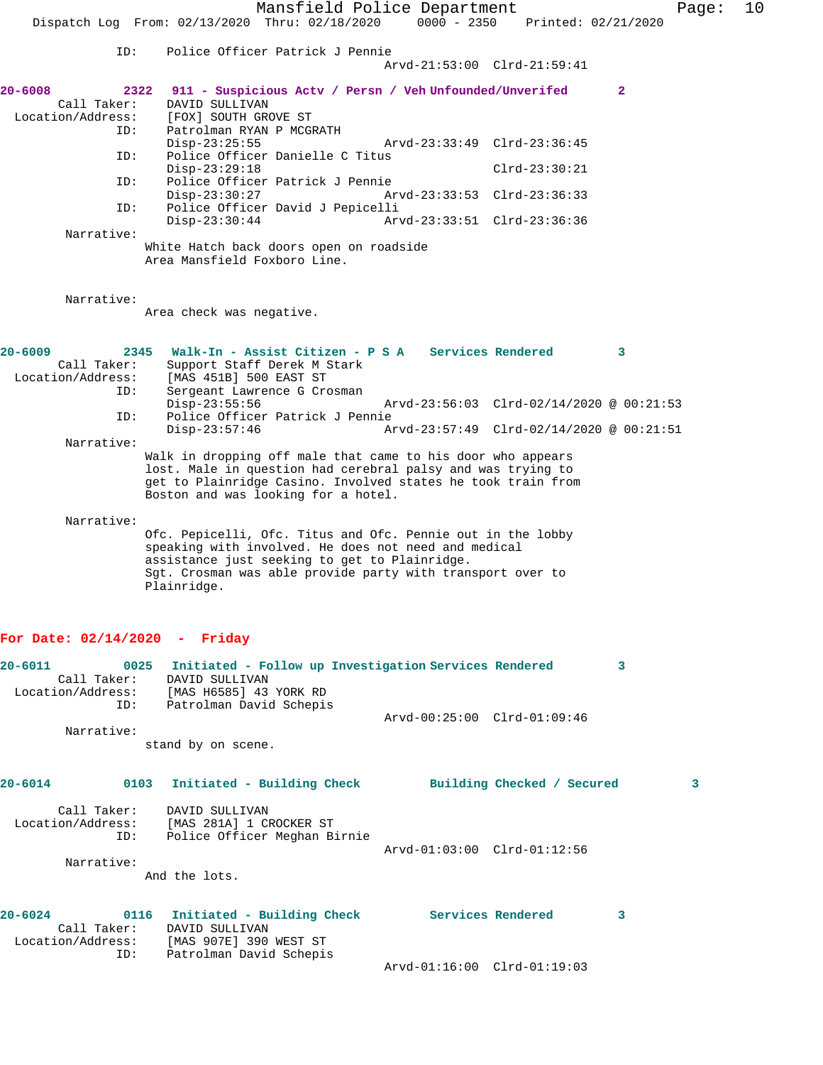Mansfield Police Department Page: 10 Dispatch Log From: 02/13/2020 Thru: 02/18/2020 0000 - 2350 Printed: 02/21/2020 ID: Police Officer Patrick J Pennie Arvd-21:53:00 Clrd-21:59:41 **20-6008 2322 911 - Suspicious Actv / Persn / Veh Unfounded/Unverifed 2**  Call Taker: DAVID SULLIVAN<br>Location/Address: [FOX] SOUTH GRO ess: [FOX] SOUTH GROVE ST<br>ID: Patrolman RYAN P MCGI Patrolman RYAN P MCGRATH<br>Disp-23:25:55 Disp-23:25:55 Arvd-23:33:49 Clrd-23:36:45<br>ID: Police Officer Danielle C Titus Police Officer Danielle C Titus Disp-23:29:18 Clrd-23:30:21<br>ID: Police Officer Patrick J Pennie Police Officer Patrick J Pennie<br>Disp-23:30:27 Ar Disp-23:30:27 Arvd-23:33:53 Clrd-23:36:33<br>TD: Police Officer David J Pepicelli Police Officer David J Pepicelli<br>Disp-23:30:44 Arv Disp-23:30:44 Arvd-23:33:51 Clrd-23:36:36 Narrative: White Hatch back doors open on roadside Area Mansfield Foxboro Line. Narrative: Area check was negative. **20-6009 2345 Walk-In - Assist Citizen - P S A Services Rendered 3**  Call Taker: Support Staff Derek M Stark<br>Location/Address: [MAS 451B] 500 EAST ST [MAS 451B] 500 EAST ST ID: Sergeant Lawrence G Crosman Disp-23:55:56 Arvd-23:56:03 Clrd-02/14/2020 @ 00:21:53 ID: Police Officer Patrick J Pennie Disp-23:57:46 Arvd-23:57:49 Clrd-02/14/2020 @ 00:21:51 Narrative: Walk in dropping off male that came to his door who appears lost. Male in question had cerebral palsy and was trying to get to Plainridge Casino. Involved states he took train from Boston and was looking for a hotel. Narrative: Ofc. Pepicelli, Ofc. Titus and Ofc. Pennie out in the lobby speaking with involved. He does not need and medical assistance just seeking to get to Plainridge. Sgt. Crosman was able provide party with transport over to Plainridge. **For Date: 02/14/2020 - Friday 20-6011 0025 Initiated - Follow up Investigation Services Rendered 3**  Call Taker: DAVID SULLIVAN Location/Address: [MAS H6585] 43 YORK RD ID: Patrolman David Schepis Arvd-00:25:00 Clrd-01:09:46 Narrative: stand by on scene. **20-6014 0103 Initiated - Building Check Building Checked / Secured 3** Call Taker: DAVID SULLIVAN<br>ion/Address: [MAS 281A] 1 CROCKER ST Location/Address:<br>ID: Police Officer Meghan Birnie Arvd-01:03:00 Clrd-01:12:56 Narrative: And the lots. **20-6024 0116 Initiated - Building Check Services Rendered 3**  Call Taker: DAVID SULLIVAN Location/Address: [MAS 907E] 390 WEST ST ID: Patrolman David Schepis Arvd-01:16:00 Clrd-01:19:03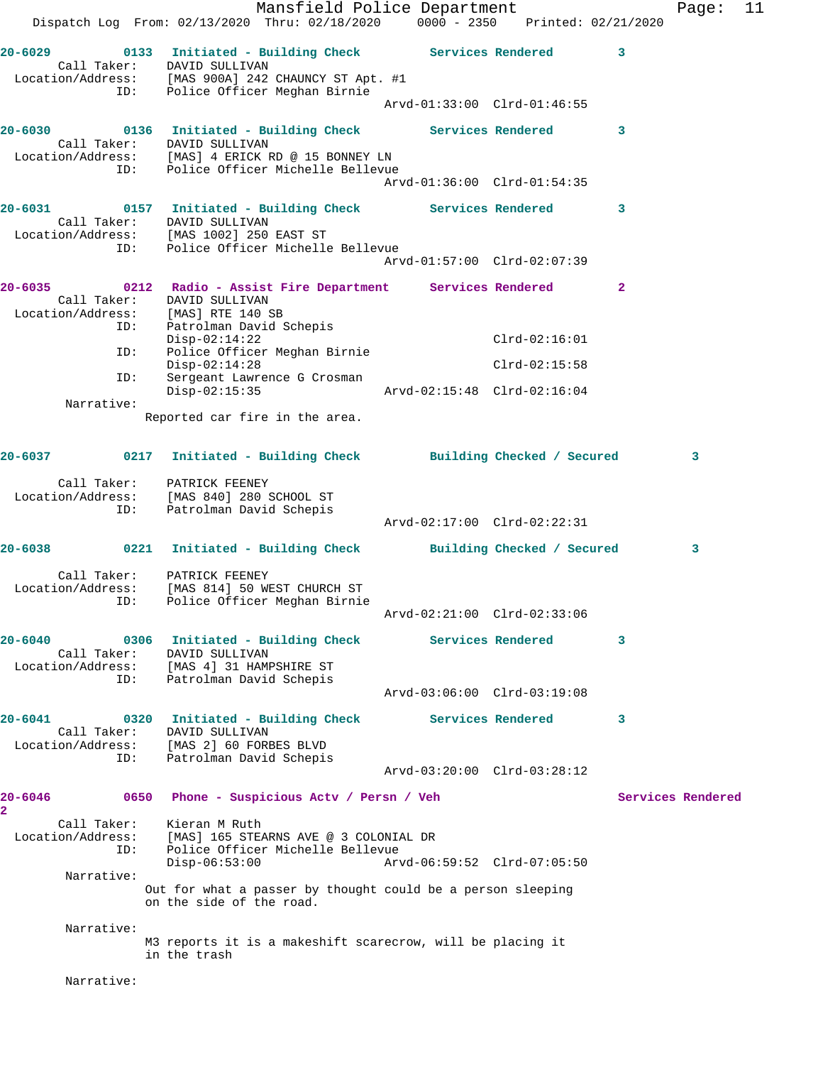Mansfield Police Department Fage: 11 Dispatch Log From: 02/13/2020 Thru: 02/18/2020 0000 - 2350 Printed: 02/21/2020 **20-6029 0133 Initiated - Building Check Services Rendered 3**  Call Taker: DAVID SULLIVAN Location/Address: [MAS 900A] 242 CHAUNCY ST Apt. #1 ID: Police Officer Meghan Birnie Arvd-01:33:00 Clrd-01:46:55 **20-6030 0136 Initiated - Building Check Services Rendered 3**  Call Taker: DAVID SULLIVAN Location/Address: [MAS] 4 ERICK RD @ 15 BONNEY LN ID: Police Officer Michelle Bellevue Arvd-01:36:00 Clrd-01:54:35 **20-6031 0157 Initiated - Building Check Services Rendered 3**  Call Taker: DAVID SULLIVAN Location/Address: [MAS 1002] 250 EAST ST ID: Police Officer Michelle Bellevue Arvd-01:57:00 Clrd-02:07:39 **20-6035 0212 Radio - Assist Fire Department Services Rendered 2**  Call Taker: DAVID SULLIVAN Location/Address: [MAS] RTE 140 SB ID: Patrolman David Schepis Disp-02:14:22 Clrd-02:16:01 ID: Police Officer Meghan Birnie Disp-02:14:28 Clrd-02:15:58 ID: Sergeant Lawrence G Crosman Disp-02:15:35 Arvd-02:15:48 Clrd-02:16:04 Narrative: Reported car fire in the area. **20-6037 0217 Initiated - Building Check Building Checked / Secured 3** Call Taker: PATRICK FEENEY Location/Address: [MAS 840] 280 SCHOOL ST ID: Patrolman David Schepis Arvd-02:17:00 Clrd-02:22:31 **20-6038 0221 Initiated - Building Check Building Checked / Secured 3** Call Taker: PATRICK FEENEY Location/Address: [MAS 814] 50 WEST CHURCH ST ID: Police Officer Meghan Birnie Arvd-02:21:00 Clrd-02:33:06 **20-6040 0306 Initiated - Building Check Services Rendered 3**  Call Taker: DAVID SULLIVAN Location/Address: [MAS 4] 31 HAMPSHIRE ST ID: Patrolman David Schepis Arvd-03:06:00 Clrd-03:19:08 **20-6041 0320 Initiated - Building Check Services Rendered 3**  Call Taker: DAVID SULLIVAN Location/Address: [MAS 2] 60 FORBES BLVD ID: Patrolman David Schepis Arvd-03:20:00 Clrd-03:28:12 20-6046 **0650** Phone - Suspicious Actv / Persn / Veh Services Rendered **2**  Call Taker: Kieran M Ruth Location/Address: [MAS] 165 STEARNS AVE @ 3 COLONIAL DR ID: Police Officer Michelle Bellevue Disp-06:53:00 Arvd-06:59:52 Clrd-07:05:50 Narrative: Out for what a passer by thought could be a person sleeping on the side of the road. Narrative: M3 reports it is a makeshift scarecrow, will be placing it in the trash Narrative: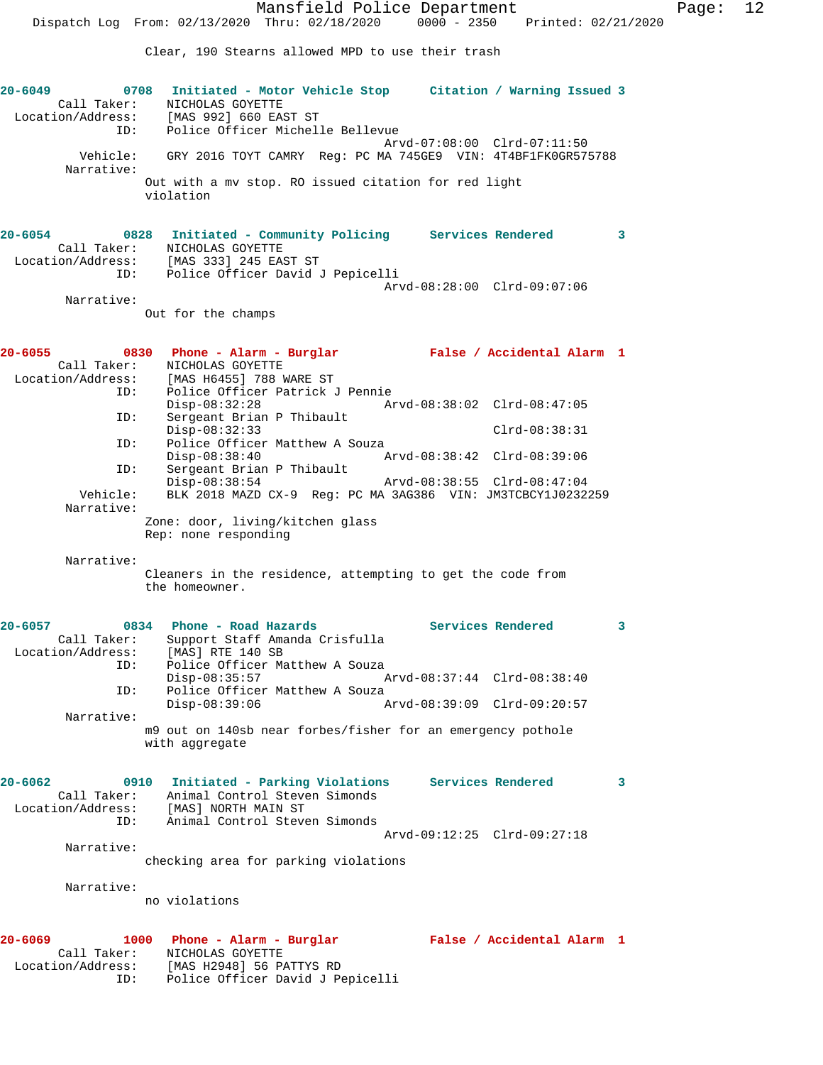Clear, 190 Stearns allowed MPD to use their trash

| $20 - 6049$ | Call Taker:<br>ID:                                     | 0708 Initiated - Motor Vehicle Stop Citation / Warning Issued 3<br>NICHOLAS GOYETTE<br>Location/Address: [MAS 992] 660 EAST ST<br>Police Officer Michelle Bellevue                           |                         |
|-------------|--------------------------------------------------------|----------------------------------------------------------------------------------------------------------------------------------------------------------------------------------------------|-------------------------|
|             |                                                        | Arvd-07:08:00 Clrd-07:11:50<br>GRY 2016 TOYT CAMRY Req: PC MA 745GE9 VIN: 4T4BF1FK0GR575788                                                                                                  |                         |
|             | Vehicle:<br>Narrative:                                 |                                                                                                                                                                                              |                         |
|             |                                                        | Out with a mv stop. RO issued citation for red light<br>violation                                                                                                                            |                         |
| $20 - 6054$ | Call Taker:<br>ID:                                     | 0828 Initiated - Community Policing Services Rendered<br>NICHOLAS GOYETTE<br>$Location/Address:$ [MAS 333] 245 EAST ST<br>Police Officer David J Pepicelli                                   | $\overline{\mathbf{3}}$ |
|             |                                                        | Arvd-08:28:00 Clrd-09:07:06                                                                                                                                                                  |                         |
|             | Narrative:                                             | Out for the champs                                                                                                                                                                           |                         |
|             |                                                        |                                                                                                                                                                                              |                         |
| 20-6055     | $\sim$ 0830<br>Call Taker:<br>Location/Address:<br>ID: | Phone - Alarm - Burglar Malse / Accidental Alarm 1<br>NICHOLAS GOYETTE<br>[MAS H6455] 788 WARE ST<br>Police Officer Patrick J Pennie                                                         |                         |
|             |                                                        | $Disp-08:32:28$                                                                                                                                                                              |                         |
|             | ID:                                                    | Sergeant Brian P Thibault<br>$Disp-08:32:33$<br>$Clrd-08:38:31$                                                                                                                              |                         |
|             | ID:                                                    | Police Officer Matthew A Souza<br>$Disp-08:38:40$<br>Arvd-08:38:42 Clrd-08:39:06                                                                                                             |                         |
|             | ID:                                                    | Sergeant Brian P Thibault                                                                                                                                                                    |                         |
|             | Vehicle:<br>Narrative:                                 | $Disp-08:38:54$<br>Arvd-08:38:55 Clrd-08:47:04<br>BLK 2018 MAZD CX-9 Req: PC MA 3AG386 VIN: JM3TCBCY1J0232259                                                                                |                         |
|             |                                                        | Zone: door, living/kitchen glass<br>Rep: none responding                                                                                                                                     |                         |
|             | Narrative:                                             | Cleaners in the residence, attempting to get the code from<br>the homeowner.                                                                                                                 |                         |
| $20 - 6057$ |                                                        | 0834 Phone - Road Hazards<br>Services Rendered<br>$\overline{\phantom{a}}$ 3                                                                                                                 |                         |
|             | Call Taker:<br>Location/Address:<br>ID:                | Support Staff Amanda Crisfulla<br>[MAS] RTE 140 SB<br>Police Officer Matthew A Souza                                                                                                         |                         |
|             | ID:                                                    | $Disp-08:35:57$<br>Arvd-08:37:44 Clrd-08:38:40<br>Police Officer Matthew A Souza                                                                                                             |                         |
|             |                                                        | $Disp-08:39:06$<br>Arvd-08:39:09 Clrd-09:20:57                                                                                                                                               |                         |
|             | Narrative:                                             | m9 out on 140sb near forbes/fisher for an emergency pothole                                                                                                                                  |                         |
|             |                                                        | with aggregate                                                                                                                                                                               |                         |
| $20 - 6062$ | Call Taker:                                            | 0910 Initiated - Parking Violations Services Rendered<br>Animal Control Steven Simonds<br>Location/Address: [MAS] NORTH MAIN ST<br>ID: Animal Control Steve<br>Animal Control Steven Simonds | 3                       |
|             |                                                        | Arvd-09:12:25 Clrd-09:27:18                                                                                                                                                                  |                         |
|             | Narrative:                                             | checking area for parking violations                                                                                                                                                         |                         |
|             |                                                        |                                                                                                                                                                                              |                         |
|             | Narrative:                                             | no violations                                                                                                                                                                                |                         |
| 20-6069     | Call Taker:                                            | False / Accidental Alarm 1<br>1000<br>Phone - Alarm - Burglar<br>NICHOLAS GOYETTE<br>Location/Address: [MAS H2948] 56 PATTYS RD                                                              |                         |
|             | ID:                                                    | Police Officer David J Pepicelli                                                                                                                                                             |                         |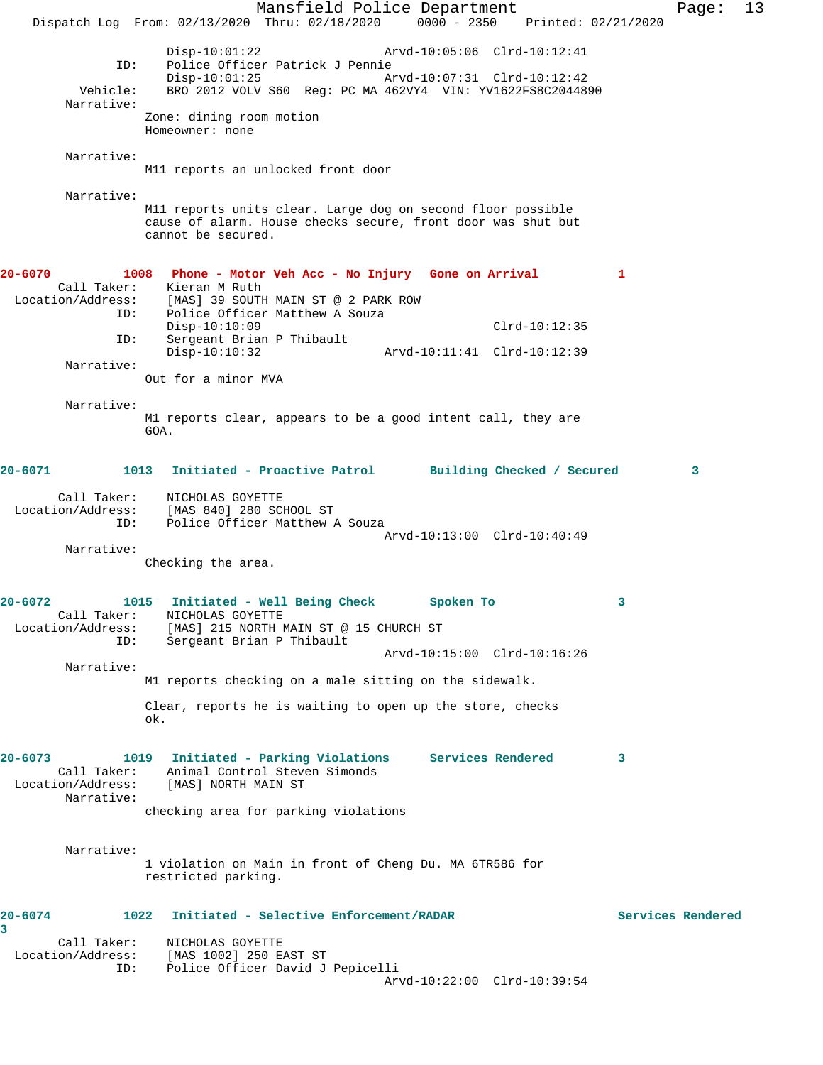Mansfield Police Department Page: 13 Dispatch Log From: 02/13/2020 Thru: 02/18/2020 0000 - 2350 Printed: 02/21/2020 Disp-10:01:22 Arvd-10:05:06 Clrd-10:12:41 ID: Police Officer Patrick J Pennie Disp-10:01:25 Arvd-10:07:31 Clrd-10:12:42 Vehicle: BRO 2012 VOLV S60 Reg: PC MA 462VY4 VIN: YV1622FS8C2044890 Narrative: Zone: dining room motion Homeowner: none Narrative: M11 reports an unlocked front door Narrative: M11 reports units clear. Large dog on second floor possible cause of alarm. House checks secure, front door was shut but cannot be secured. **20-6070 1008 Phone - Motor Veh Acc - No Injury Gone on Arrival 1**  Call Taker: Kieran M Ruth Location/Address: [MAS] 39 SOUTH MAIN ST @ 2 PARK ROW ID: Police Officer Matthew A Souza Disp-10:10:09<br>
D: Sergeant Brian P Thibault<br>
D: Sergeant Brian P Thibault Sergeant Brian P Thibault<br>Disp-10:10:32 Disp-10:10:32 Arvd-10:11:41 Clrd-10:12:39 Narrative: Out for a minor MVA Narrative: M1 reports clear, appears to be a good intent call, they are GOA. **20-6071 1013 Initiated - Proactive Patrol Building Checked / Secured 3** Call Taker: NICHOLAS GOYETTE Location/Address: [MAS 840] 280 SCHOOL ST ID: Police Officer Matthew A Souza Arvd-10:13:00 Clrd-10:40:49 Narrative: Checking the area. **20-6072 1015 Initiated - Well Being Check Spoken To 3**  Call Taker: NICHOLAS GOYETTE Location/Address: [MAS] 215 NORTH MAIN ST @ 15 CHURCH ST ID: Sergeant Brian P Thibault Arvd-10:15:00 Clrd-10:16:26 Narrative: M1 reports checking on a male sitting on the sidewalk. Clear, reports he is waiting to open up the store, checks ok. **20-6073 1019 Initiated - Parking Violations Services Rendered 3**  Call Taker: Animal Control Steven Simonds Location/Address: [MAS] NORTH MAIN ST Narrative: checking area for parking violations Narrative: 1 violation on Main in front of Cheng Du. MA 6TR586 for restricted parking. **20-6074 1022 Initiated - Selective Enforcement/RADAR Services Rendered 3**  Call Taker: NICHOLAS GOYETTE Location/Address: [MAS 1002] 250 EAST ST ID: Police Officer David J Pepicelli Arvd-10:22:00 Clrd-10:39:54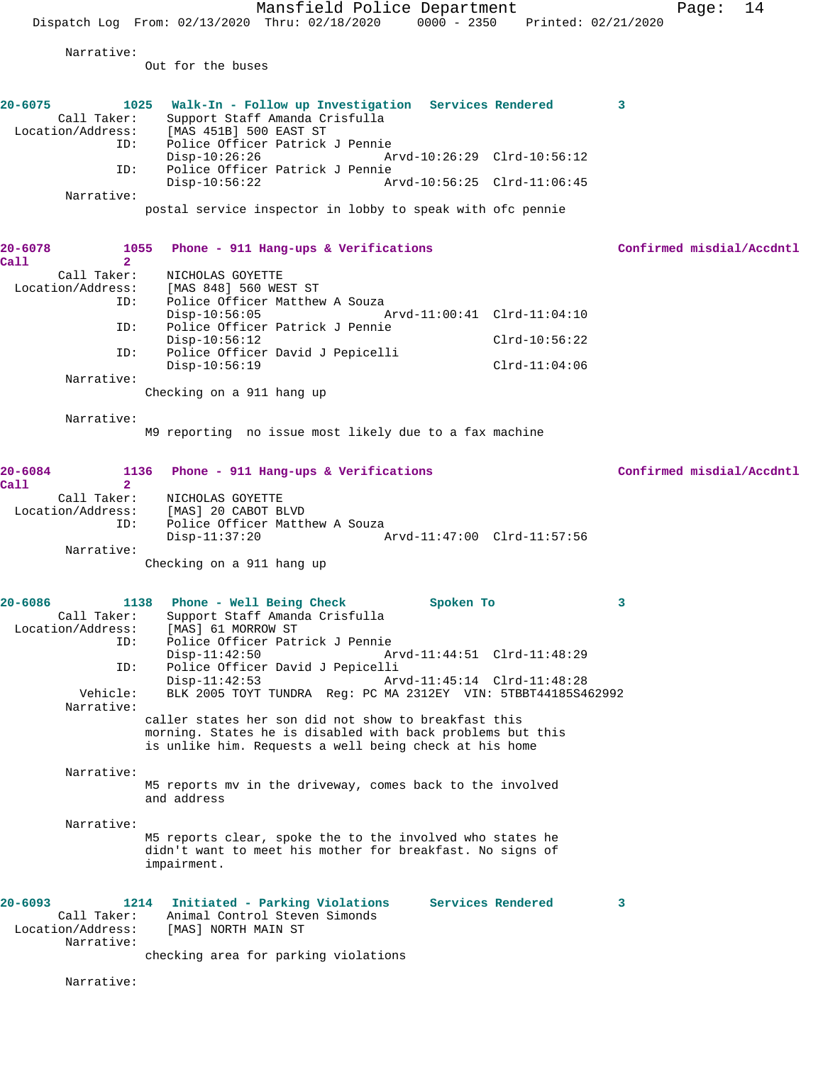|                                               | Mansfield Police Department                                                                                            | 14<br>Page:               |
|-----------------------------------------------|------------------------------------------------------------------------------------------------------------------------|---------------------------|
|                                               | Dispatch Log From: 02/13/2020 Thru: 02/18/2020<br>0000 - 2350 Printed: 02/21/2020                                      |                           |
| Narrative:                                    |                                                                                                                        |                           |
|                                               | Out for the buses                                                                                                      |                           |
|                                               |                                                                                                                        |                           |
| $20 - 6075$                                   | 1025<br>Walk-In - Follow up Investigation Services Rendered                                                            | 3                         |
| Call Taker:<br>Location/Address:              | Support Staff Amanda Crisfulla<br>[MAS 451B] 500 EAST ST                                                               |                           |
| ID:                                           | Police Officer Patrick J Pennie                                                                                        |                           |
| ID:                                           | $Disp-10:26:26$<br>Arvd-10:26:29 Clrd-10:56:12<br>Police Officer Patrick J Pennie                                      |                           |
|                                               | $Disp-10:56:22$<br>Arvd-10:56:25 Clrd-11:06:45                                                                         |                           |
| Narrative:                                    |                                                                                                                        |                           |
|                                               | postal service inspector in lobby to speak with ofc pennie                                                             |                           |
|                                               |                                                                                                                        |                           |
| $20 - 6078$<br>1055<br>$\overline{2}$<br>Call | Phone - 911 Hang-ups & Verifications                                                                                   | Confirmed misdial/Accdntl |
| Call Taker:                                   | NICHOLAS GOYETTE                                                                                                       |                           |
| Location/Address:<br>ID:                      | [MAS 848] 560 WEST ST<br>Police Officer Matthew A Souza                                                                |                           |
|                                               | $Disp-10:56:05$<br>Arvd-11:00:41 Clrd-11:04:10                                                                         |                           |
| ID:                                           | Police Officer Patrick J Pennie<br>$Disp-10:56:12$<br>$Clrd-10:56:22$                                                  |                           |
| ID:                                           | Police Officer David J Pepicelli                                                                                       |                           |
|                                               | $Disp-10:56:19$<br>$Clrd-11:04:06$                                                                                     |                           |
| Narrative:                                    | Checking on a 911 hang up                                                                                              |                           |
|                                               |                                                                                                                        |                           |
| Narrative:                                    | M9 reporting no issue most likely due to a fax machine                                                                 |                           |
|                                               |                                                                                                                        |                           |
| $20 - 6084$                                   | 1136<br>Phone - 911 Hang-ups & Verifications                                                                           | Confirmed misdial/Accdntl |
| Call<br>$\overline{2}$                        |                                                                                                                        |                           |
| Call Taker:<br>Location/Address:              | NICHOLAS GOYETTE<br>[MAS] 20 CABOT BLVD                                                                                |                           |
| ID:                                           | Police Officer Matthew A Souza                                                                                         |                           |
| Narrative:                                    | $Disp-11:37:20$<br>Arvd-11:47:00 Clrd-11:57:56                                                                         |                           |
|                                               | Checking on a 911 hang up                                                                                              |                           |
|                                               |                                                                                                                        |                           |
| $20 - 6086$                                   | 1138 Phone - Well Being Check<br>Spoken To                                                                             |                           |
| Call Taker:                                   | Support Staff Amanda Crisfulla                                                                                         |                           |
| Location/Address:<br>ID:                      | [MAS] 61 MORROW ST<br>Police Officer Patrick J Pennie                                                                  |                           |
|                                               | Arvd-11:44:51 Clrd-11:48:29<br>$Disp-11:42:50$                                                                         |                           |
| ID:                                           | Police Officer David J Pepicelli<br>$Disp-11:42:53$<br>Arvd-11:45:14 Clrd-11:48:28                                     |                           |
| Vehicle:                                      | BLK 2005 TOYT TUNDRA Req: PC MA 2312EY VIN: 5TBBT44185S462992                                                          |                           |
| Narrative:                                    | caller states her son did not show to breakfast this                                                                   |                           |
|                                               | morning. States he is disabled with back problems but this                                                             |                           |
|                                               | is unlike him. Requests a well being check at his home                                                                 |                           |
| Narrative:                                    |                                                                                                                        |                           |
|                                               | M5 reports mv in the driveway, comes back to the involved<br>and address                                               |                           |
|                                               |                                                                                                                        |                           |
| Narrative:                                    |                                                                                                                        |                           |
|                                               | M5 reports clear, spoke the to the involved who states he<br>didn't want to meet his mother for breakfast. No signs of |                           |
|                                               | impairment.                                                                                                            |                           |
|                                               |                                                                                                                        |                           |
| $20 - 6093$                                   | Initiated - Parking Violations<br>Services Rendered<br>1214                                                            | 3                         |
| Call Taker:<br>Location/Address:              | Animal Control Steven Simonds<br>[MAS] NORTH MAIN ST                                                                   |                           |
| Narrative:                                    |                                                                                                                        |                           |
|                                               | checking area for parking violations                                                                                   |                           |
| Narrative:                                    |                                                                                                                        |                           |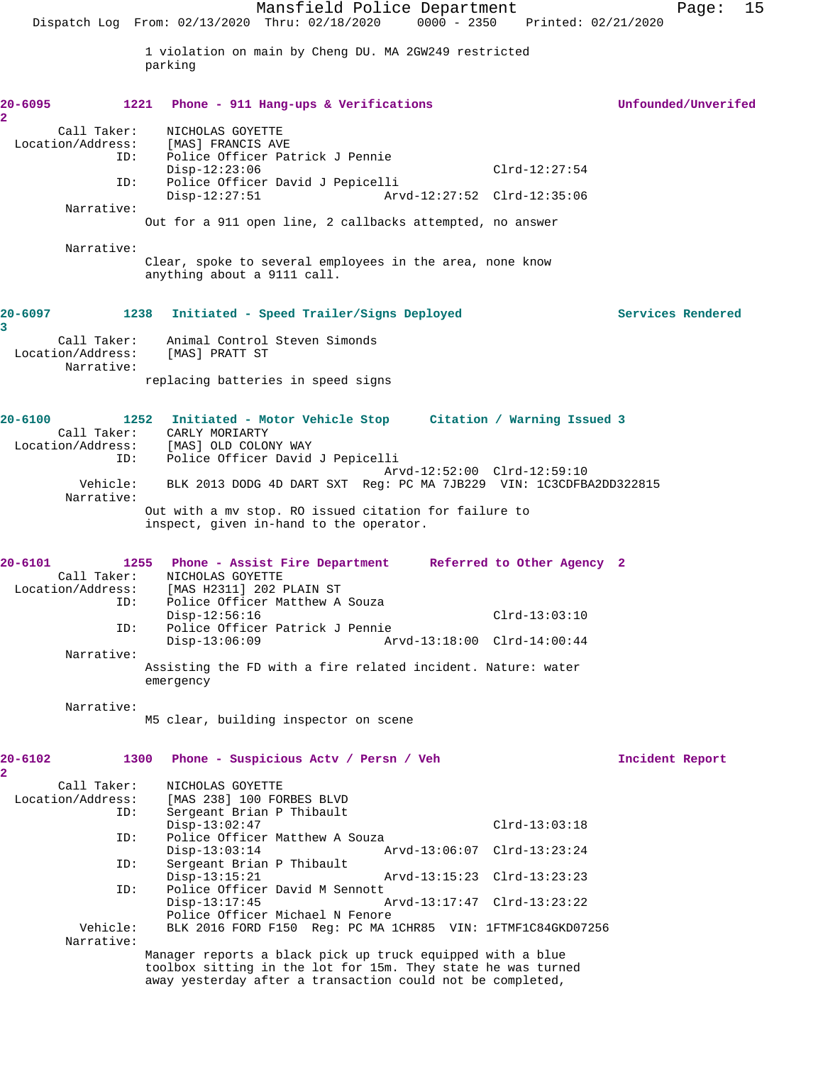Mansfield Police Department Page: 15 Dispatch Log From: 02/13/2020 Thru: 02/18/2020 0000 - 2350 Printed: 02/21/2020 1 violation on main by Cheng DU. MA 2GW249 restricted parking **20-6095 1221 Phone - 911 Hang-ups & Verifications Unfounded/Unverifed 2**  Call Taker: NICHOLAS GOYETTE Location/Address: [MAS] FRANCIS AVE<br>ID: Police Officer Pat Police Officer Patrick J Pennie Disp-12:23:06 Clrd-12:27:54<br>ID: Police Officer David J Pepicelli ID: Police Officer David J Pepicelli Disp-12:27:51 Arvd-12:27:52 Clrd-12:35:06 Narrative: Out for a 911 open line, 2 callbacks attempted, no answer Narrative: Clear, spoke to several employees in the area, none know anything about a 9111 call. **20-6097 1238 Initiated - Speed Trailer/Signs Deployed Services Rendered 3**  Call Taker: Animal Control Steven Simonds Location/Address: [MAS] PRATT ST Narrative: replacing batteries in speed signs **20-6100 1252 Initiated - Motor Vehicle Stop Citation / Warning Issued 3**  Call Taker: CARLY MORIARTY Location/Address: [MAS] OLD COLONY WAY ID: Police Officer David J Pepicelli Arvd-12:52:00 Clrd-12:59:10 Vehicle: BLK 2013 DODG 4D DART SXT Reg: PC MA 7JB229 VIN: 1C3CDFBA2DD322815 Narrative: Out with a mv stop. RO issued citation for failure to inspect, given in-hand to the operator. **20-6101 1255 Phone - Assist Fire Department Referred to Other Agency 2**  Call Taker: NICHOLAS GOYETTE<br>Location/Address: [MAS H2311] 202 I ess: [MAS H2311] 202 PLAIN ST<br>ID: Police Officer Matthew A Police Officer Matthew A Souza Disp-12:56:16 Clrd-13:03:10<br>ID: Police Officer Patrick J Pennie Police Officer Patrick J Pennie Disp-13:06:09 Arvd-13:18:00 Clrd-14:00:44 Narrative: Assisting the FD with a fire related incident. Nature: water emergency Narrative: M5 clear, building inspector on scene **20-6102 1300 Phone - Suspicious Actv / Persn / Veh Incident Report 2**  Call Taker: NICHOLAS GOYETTE Location/Address: [MAS 238] 100 FORBES BLVD<br>ID: Sergeant Brian P Thibault Sergeant Brian P Thibault Disp-13:02:47 Clrd-13:03:18<br>ID: Police Officer Matthew A Souza Police Officer Matthew A Souza Disp-13:03:14 Arvd-13:06:07 Clrd-13:23:24<br>TD: Sergeant Brian P Thibault Sergeant Brian P Thibault Disp-13:15:21 Arvd-13:15:23 Clrd-13:23:23 ID: Police Officer David M Sennott Arvd-13:17:47 Clrd-13:23:22 Police Officer Michael N Fenore Vehicle: BLK 2016 FORD F150 Reg: PC MA 1CHR85 VIN: 1FTMF1C84GKD07256 Narrative: Manager reports a black pick up truck equipped with a blue toolbox sitting in the lot for 15m. They state he was turned away yesterday after a transaction could not be completed,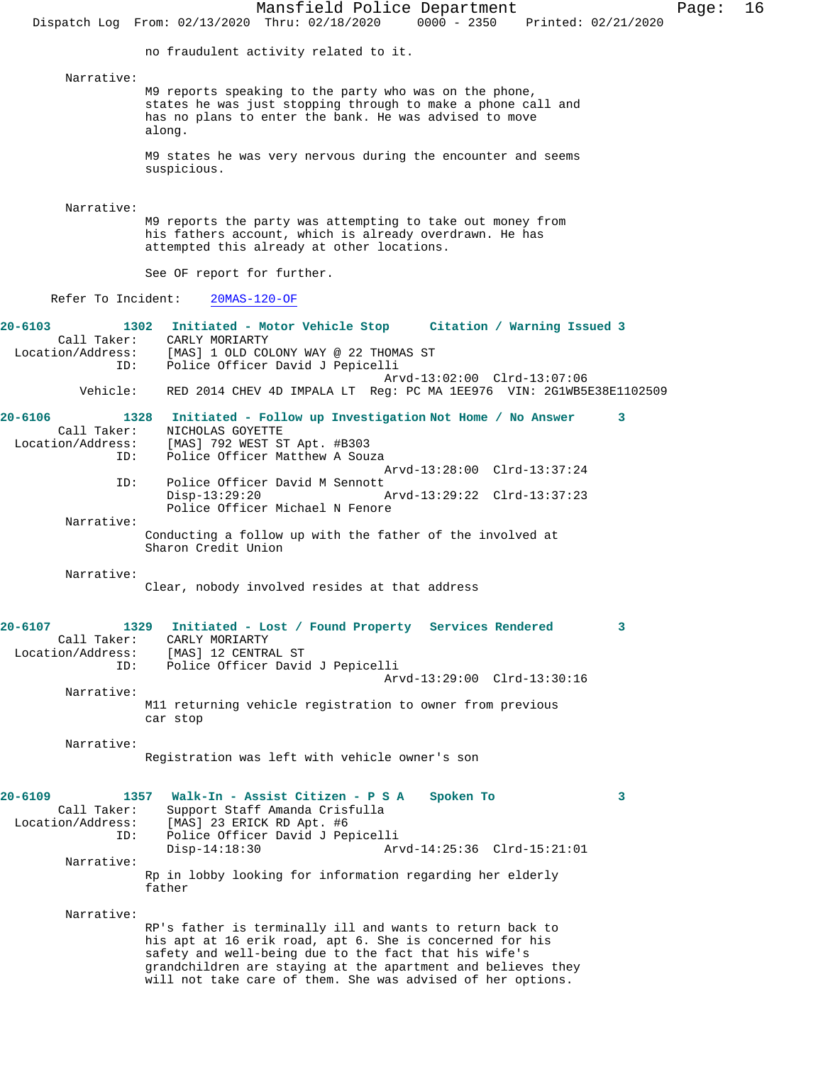Mansfield Police Department Page: 16 Dispatch Log From: 02/13/2020 Thru: 02/18/2020 0000 - 2350 Printed: 02/21/2020 no fraudulent activity related to it. Narrative: M9 reports speaking to the party who was on the phone, states he was just stopping through to make a phone call and has no plans to enter the bank. He was advised to move along. M9 states he was very nervous during the encounter and seems suspicious. Narrative: M9 reports the party was attempting to take out money from his fathers account, which is already overdrawn. He has attempted this already at other locations. See OF report for further. Refer To Incident: 20MAS-120-OF **20-6103 1302 Initiated - Motor Vehicle Stop Citation / Warning Issued 3**  Call Taker: CARLY MORIARTY Location/Address: [MAS] 1 OLD COLONY WAY @ 22 THOMAS ST ID: Police Officer David J Pepicelli Arvd-13:02:00 Clrd-13:07:06<br>Vehicle: RED 2014 CHEV 4D IMPALA LT Reg: PC MA 1EE976 VIN: 2G1WB5 RED 2014 CHEV 4D IMPALA LT Reg: PC MA 1EE976 VIN: 2G1WB5E38E1102509 **20-6106 1328 Initiated - Follow up Investigation Not Home / No Answer 3**  Call Taker: NICHOLAS GOYETTE<br>Location/Address: [MAS] 792 WEST S' ess: [MAS] 792 WEST ST Apt. #B303<br>ID: Police Officer Matthew A Sou: Police Officer Matthew A Souza Arvd-13:28:00 Clrd-13:37:24 ID: Police Officer David M Sennott Disp-13:29:20 Arvd-13:29:22 Clrd-13:37:23 Police Officer Michael N Fenore Narrative: Conducting a follow up with the father of the involved at Sharon Credit Union Narrative: Clear, nobody involved resides at that address **20-6107 1329 Initiated - Lost / Found Property Services Rendered 3**  Call Taker: CARLY MORIARTY<br>ion/Address: [MAS] 12 CENTRAL ST Location/Address: ID: Police Officer David J Pepicelli Arvd-13:29:00 Clrd-13:30:16 Narrative: M11 returning vehicle registration to owner from previous car stop Narrative: Registration was left with vehicle owner's son **20-6109 1357 Walk-In - Assist Citizen - P S A Spoken To 3**  Support Staff Amanda Crisfulla Location/Address: [MAS] 23 ERICK RD Apt. #6 ID: Police Officer David J Pepicelli Disp-14:18:30 Arvd-14:25:36 Clrd-15:21:01 Narrative: Rp in lobby looking for information regarding her elderly father Narrative: RP's father is terminally ill and wants to return back to his apt at 16 erik road, apt 6. She is concerned for his safety and well-being due to the fact that his wife's grandchildren are staying at the apartment and believes they will not take care of them. She was advised of her options.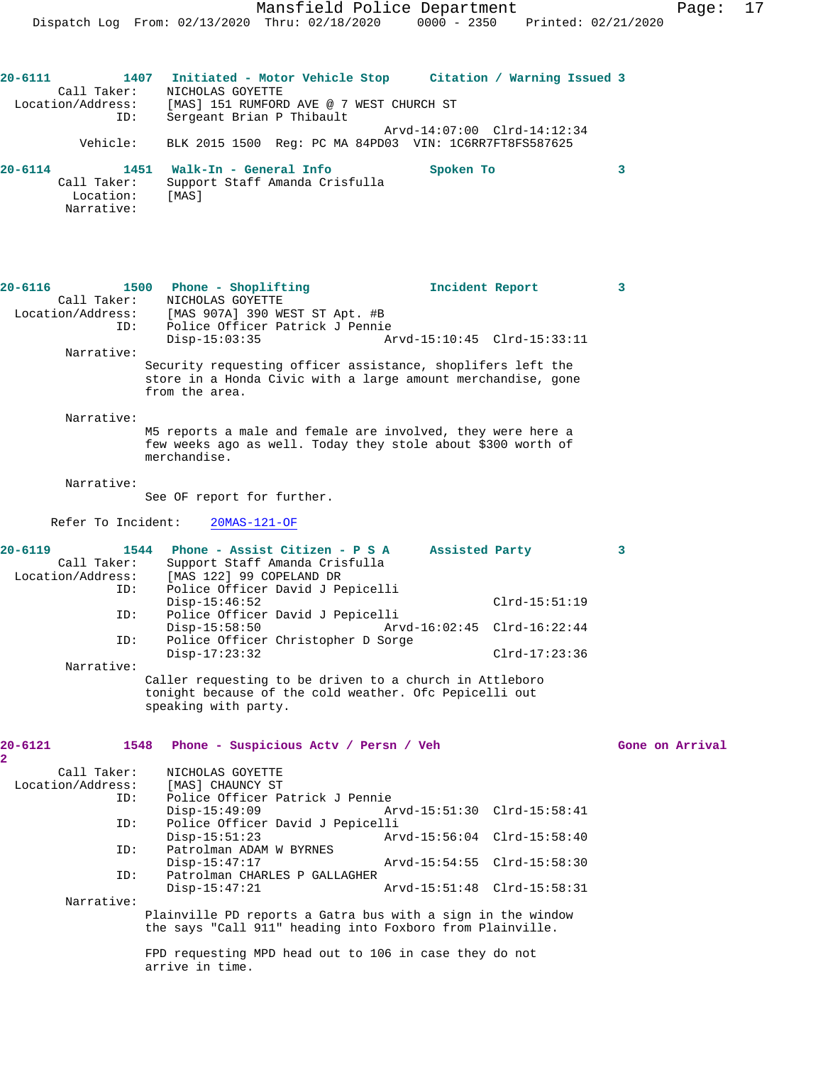**20-6111 1407 Initiated - Motor Vehicle Stop Citation / Warning Issued 3**  Call Taker: <br> NICHOLAS GOYETTE<br>
Location/Address: [MAS] 151 RUMFORI [MAS] 151 RUMFORD AVE @ 7 WEST CHURCH ST ID: Sergeant Brian P Thibault Arvd-14:07:00 Clrd-14:12:34 Vehicle: BLK 2015 1500 Reg: PC MA 84PD03 VIN: 1C6RR7FT8FS587625 **20-6114 1451 Walk-In - General Info Spoken To 3**  Call Taker: Support Staff Amanda Crisfulla Location: [MAS] Narrative: **20-6116 1500 Phone - Shoplifting Incident Report 3**  Call Taker: NICHOLAS GOYETTE Location/Address: [MAS 907A] 390 WEST ST Apt. #B ID: Police Officer Patrick J Pennie Disp-15:03:35 Arvd-15:10:45 Clrd-15:33:11 Narrative: Security requesting officer assistance, shoplifers left the store in a Honda Civic with a large amount merchandise, gone from the area. Narrative: M5 reports a male and female are involved, they were here a few weeks ago as well. Today they stole about \$300 worth of merchandise. Narrative: See OF report for further. Refer To Incident: 20MAS-121-OF **20-6119 1544 Phone - Assist Citizen - P S A Assisted Party 3**  Call Taker: Support Staff Amanda Crisfulla Location/Address: [MAS 122] 99 COPELAND DR<br>TD: Police Officer David J Pe Police Officer David J Pepicelli Disp-15:46:52 Clrd-15:51:19 ID: Police Officer David J Pepicelli Disp-15:58:50 Arvd-16:02:45 Clrd-16:22:44 ID: Police Officer Christopher D Sorge Disp-17:23:32 Clrd-17:23:36 Narrative: Caller requesting to be driven to a church in Attleboro tonight because of the cold weather. Ofc Pepicelli out speaking with party. **20-6121 1548 Phone - Suspicious Actv / Persn / Veh Gone on Arrival 2**  Call Taker: NICHOLAS GOYETTE Location/Address: [MAS] CHAUNCY ST<br>ID: Police Officer Pa Police Officer Patrick J Pennie<br>Disp-15:49:09 A Disp-15:49:09 Arvd-15:51:30 Clrd-15:58:41<br>ID: Police Officer David J Pepicelli Police Officer David J Pepicelli<br>Disp-15:51:23 Arv Disp-15:51:23 Arvd-15:56:04 Clrd-15:58:40<br>TD: Patrolman ADAM W BYRNES Patrolman ADAM W BYRNES<br>Disp-15:47:17 Disp-15:47:17 Arvd-15:54:55 Clrd-15:58:30 ID: Patrolman CHARLES P GALLAGHER Arvd-15:51:48 Clrd-15:58:31 Narrative: Plainville PD reports a Gatra bus with a sign in the window the says "Call 911" heading into Foxboro from Plainville. FPD requesting MPD head out to 106 in case they do not arrive in time.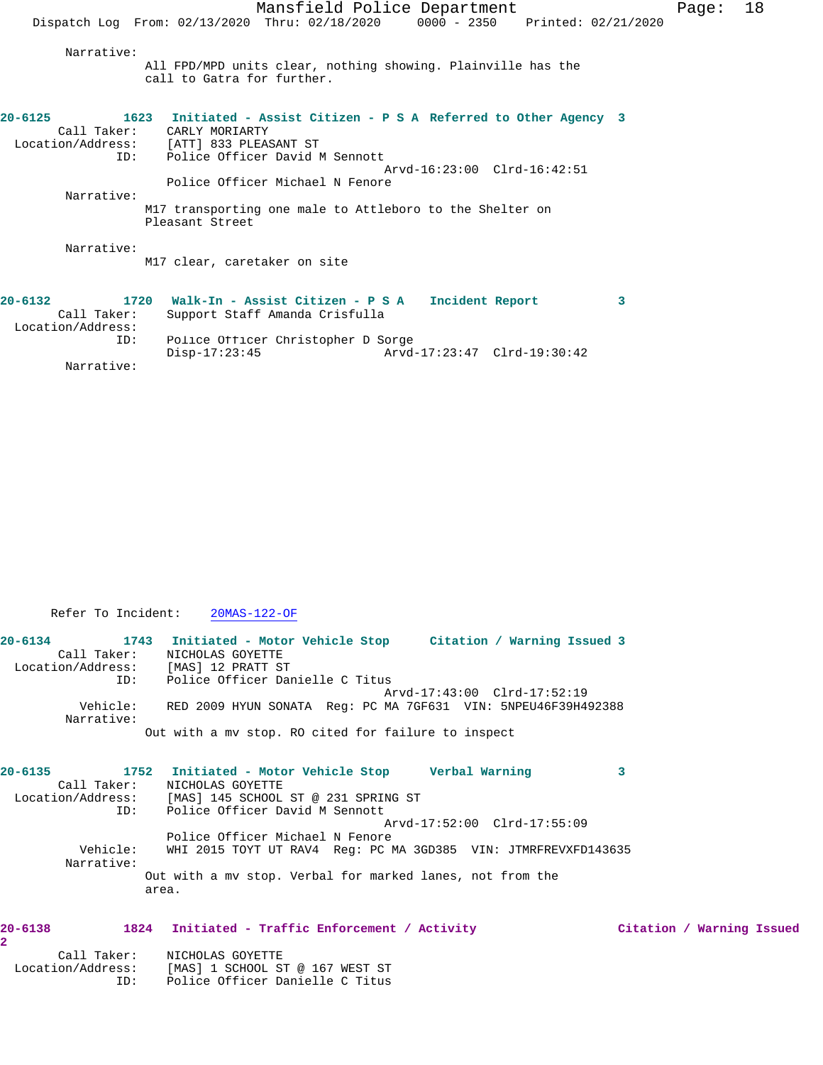| Mansfield Police Department                                                                                                                                                                                                                                       |  |
|-------------------------------------------------------------------------------------------------------------------------------------------------------------------------------------------------------------------------------------------------------------------|--|
| Dispatch Log From: 02/13/2020 Thru: 02/18/2020 0000 - 2350 Printed: 02/21/2020                                                                                                                                                                                    |  |
| Narrative:<br>All FPD/MPD units clear, nothing showing. Plainville has the<br>call to Gatra for further.                                                                                                                                                          |  |
| 1623 Initiated - Assist Citizen - P S A Referred to Other Agency 3<br>20-6125<br>Call Taker: CARLY MORIARTY<br>Location/Address: [ATT] 833 PLEASANT ST<br>Police Officer David M Sennott<br>ID:<br>Arvd-16:23:00 Clrd-16:42:51<br>Police Officer Michael N Fenore |  |
| Narrative:                                                                                                                                                                                                                                                        |  |
| M17 transporting one male to Attleboro to the Shelter on<br>Pleasant Street                                                                                                                                                                                       |  |
| Narrative:<br>M17 clear, caretaker on site                                                                                                                                                                                                                        |  |
| 1720 Walk-In - Assist Citizen - P S A<br>$20 - 6132$<br>Incident Report<br>3<br>Call Taker:<br>Support Staff Amanda Crisfulla<br>Location/Address:                                                                                                                |  |
| Police Officer Christopher D Sorge<br>ID:                                                                                                                                                                                                                         |  |

Disp-17:23:45 Arvd-17:23:47 Clrd-19:30:42

Page: 18

Narrative:

Refer To Incident: 20MAS-122-OF

| $20 - 6134$            | 1743 Initiated - Motor Vehicle Stop                           |  |                             |  | Citation / Warning Issued 3 |
|------------------------|---------------------------------------------------------------|--|-----------------------------|--|-----------------------------|
| Call Taker:            | NICHOLAS GOYETTE                                              |  |                             |  |                             |
| Location/Address:      | [MAS] 12 PRATT ST                                             |  |                             |  |                             |
| ID:                    | Police Officer Danielle C Titus                               |  |                             |  |                             |
|                        |                                                               |  | Arvd-17:43:00 Clrd-17:52:19 |  |                             |
| Vehicle:<br>Narrative: | RED 2009 HYUN SONATA Req: PC MA 7GF631 VIN: 5NPEU46F39H492388 |  |                             |  |                             |
|                        | Out with a my stop. RO cited for failure to inspect           |  |                             |  |                             |

| $20 - 6135$       |             | 1752 Initiated - Motor Vehicle Stop                       |  | Verbal Warning                                                 |  |
|-------------------|-------------|-----------------------------------------------------------|--|----------------------------------------------------------------|--|
|                   | Call Taker: | NICHOLAS GOYETTE                                          |  |                                                                |  |
| Location/Address: |             | [MAS] 145 SCHOOL ST @ 231 SPRING ST                       |  |                                                                |  |
|                   | ID:         | Police Officer David M Sennott                            |  |                                                                |  |
|                   |             |                                                           |  | Arvd-17:52:00 Clrd-17:55:09                                    |  |
|                   |             | Police Officer Michael N Fenore                           |  |                                                                |  |
|                   | Vehicle:    |                                                           |  | WHI 2015 TOYT UT RAV4 Req: PC MA 3GD385 VIN: JTMRFREVXFD143635 |  |
|                   | Narrative:  |                                                           |  |                                                                |  |
|                   |             | Out with a my stop. Verbal for marked lanes, not from the |  |                                                                |  |
|                   |             | area.                                                     |  |                                                                |  |

## **20-6138 1824 Initiated - Traffic Enforcement / Activity Citation / Warning Issued**

| Call Taker:       | NICHOLAS GOYETTE                |
|-------------------|---------------------------------|
| Location/Address: | [MAS] 1 SCHOOL ST @ 167 WEST ST |
| TD:               | Police Officer Danielle C Titus |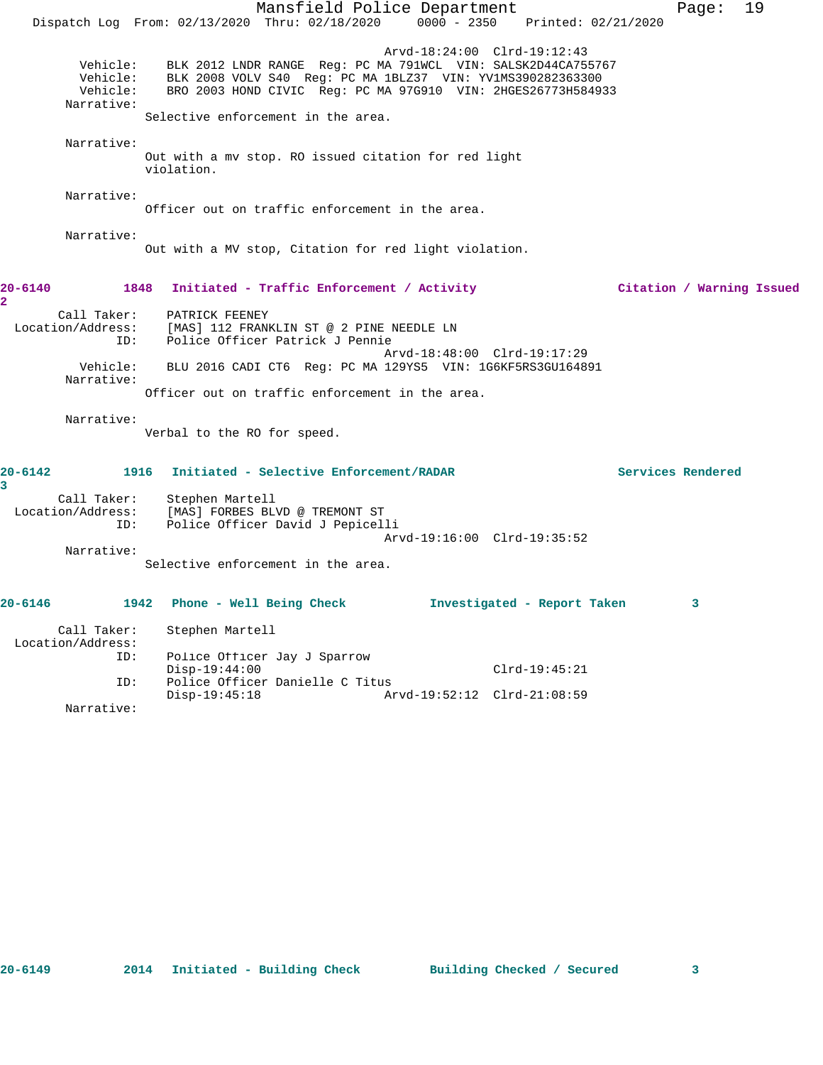Mansfield Police Department Fage: 19 Dispatch Log From: 02/13/2020 Thru: 02/18/2020 0000 - 2350 Printed: 02/21/2020 Arvd-18:24:00 Clrd-19:12:43 Vehicle: BLK 2012 LNDR RANGE Reg: PC MA 791WCL VIN: SALSK2D44CA755767 Vehicle: BLK 2008 VOLV S40 Reg: PC MA 1BLZ37 VIN: YV1MS390282363300 Vehicle: BRO 2003 HOND CIVIC Reg: PC MA 97G910 VIN: 2HGES26773H584933 Narrative: Selective enforcement in the area. Narrative: Out with a mv stop. RO issued citation for red light violation. Narrative: Officer out on traffic enforcement in the area. Narrative: Out with a MV stop, Citation for red light violation. **20-6140 1848 Initiated - Traffic Enforcement / Activity Citation / Warning Issued 2**  Call Taker: PATRICK FEENEY Location/Address: [MAS] 112 FRANKLIN ST @ 2 PINE NEEDLE LN ID: Police Officer Patrick J Pennie Arvd-18:48:00 Clrd-19:17:29 Vehicle: BLU 2016 CADI CT6 Reg: PC MA 129YS5 VIN: 1G6KF5RS3GU164891 Narrative: Officer out on traffic enforcement in the area. Narrative: Verbal to the RO for speed. **20-6142 1916 Initiated - Selective Enforcement/RADAR Services Rendered 3**  Call Taker: Stephen Martell Location/Address: [MAS] FORBES BLVD @ TREMONT ST ID: Police Officer David J Pepicelli Arvd-19:16:00 Clrd-19:35:52 Narrative: Selective enforcement in the area. **20-6146 1942 Phone - Well Being Check Investigated - Report Taken 3** Call Taker: Stephen Martell Location/Address: ID: Police Officer Jay J Sparrow Disp-19:44:00 Clrd-19:45:21<br>ID: Police Officer Danielle C Titus Police Officer Danielle C Titus<br>Disp-19:45:18 Ar

Disp-19:45:18 Arvd-19:52:12 Clrd-21:08:59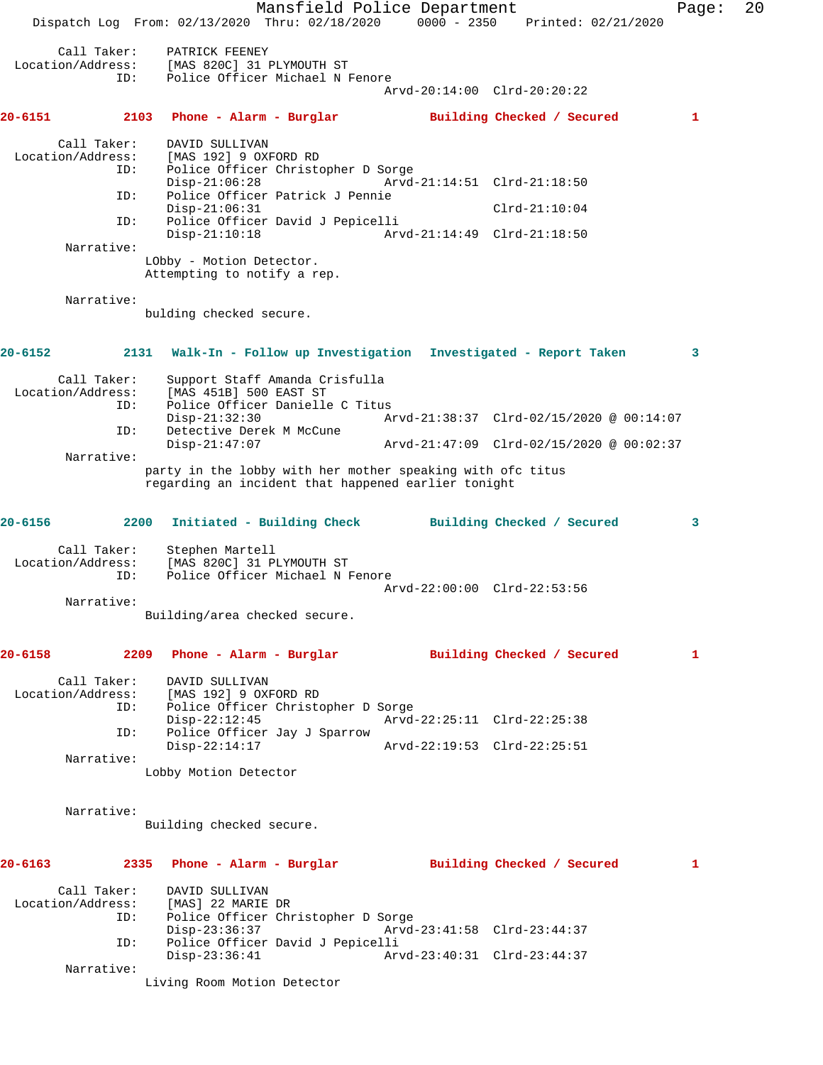Mansfield Police Department Page: 20 Dispatch Log From: 02/13/2020 Thru: 02/18/2020 0000 - 2350 Printed: 02/21/2020 Call Taker: PATRICK FEENEY Location/Address: [MAS 820C] 31 PLYMOUTH ST ID: Police Officer Michael N Fenore Arvd-20:14:00 Clrd-20:20:22 **20-6151 2103 Phone - Alarm - Burglar Building Checked / Secured 1** Call Taker: DAVID SULLIVAN<br>Location/Address: [MAS 192] 9 OXI للمعين من المعينة بن المعينة [MAS 192] 9 OXFORD RD<br>ID: Police Officer Christo Police Officer Christopher D Sorge<br>Disp-21:06:28 Arvd- Disp-21:06:28 Arvd-21:14:51 Clrd-21:18:50 ID: Police Officer Patrick J Pennie Disp-21:06:31 Clrd-21:10:04 ID: Police Officer David J Pepicelli Disp-21:10:18 Arvd-21:14:49 Clrd-21:18:50 Narrative: LObby - Motion Detector. Attempting to notify a rep. Narrative: bulding checked secure. **20-6152 2131 Walk-In - Follow up Investigation Investigated - Report Taken 3** Call Taker: Support Staff Amanda Crisfulla Location/Address: [MAS 451B] 500 EAST ST Police Officer Danielle C Titus<br>Disp-21:32:30 Ar Disp-21:32:30 Arvd-21:38:37 Clrd-02/15/2020 @ 00:14:07 ID: Detective Derek M McCune<br>Disp-21:47:07 Disp-21:47:07 Arvd-21:47:09 Clrd-02/15/2020 @ 00:02:37 Narrative: party in the lobby with her mother speaking with ofc titus regarding an incident that happened earlier tonight **20-6156 2200 Initiated - Building Check Building Checked / Secured 3** Call Taker: Stephen Martell Location/Address: [MAS 820C] 31 PLYMOUTH ST<br>ID: Police Officer Michael N I Police Officer Michael N Fenore Arvd-22:00:00 Clrd-22:53:56 Narrative: Building/area checked secure. **20-6158 2209 Phone - Alarm - Burglar Building Checked / Secured 1** Call Taker: DAVID SULLIVAN Location/Address: [MAS 192] 9 OXFORD RD ID: Police Officer Christopher D Sorge Disp-22:12:45 Arvd-22:25:11 Clrd-22:25:38 ID: Police Officer Jay J Sparrow Arvd-22:19:53 Clrd-22:25:51 Narrative: Lobby Motion Detector Narrative: Building checked secure. **20-6163 2335 Phone - Alarm - Burglar Building Checked / Secured 1** Call Taker: DAVID SULLIVAN<br>ion/Address: [MAS] 22 MARIE DR Location/Address:<br>ID: Police Officer Christopher D Sorge<br>Disp-23:36:37 Arvd- Disp-23:36:37 Arvd-23:41:58 Clrd-23:44:37 ID: Police Officer David J Pepicelli Disp-23:36:41 Arvd-23:40:31 Clrd-23:44:37 Narrative: Living Room Motion Detector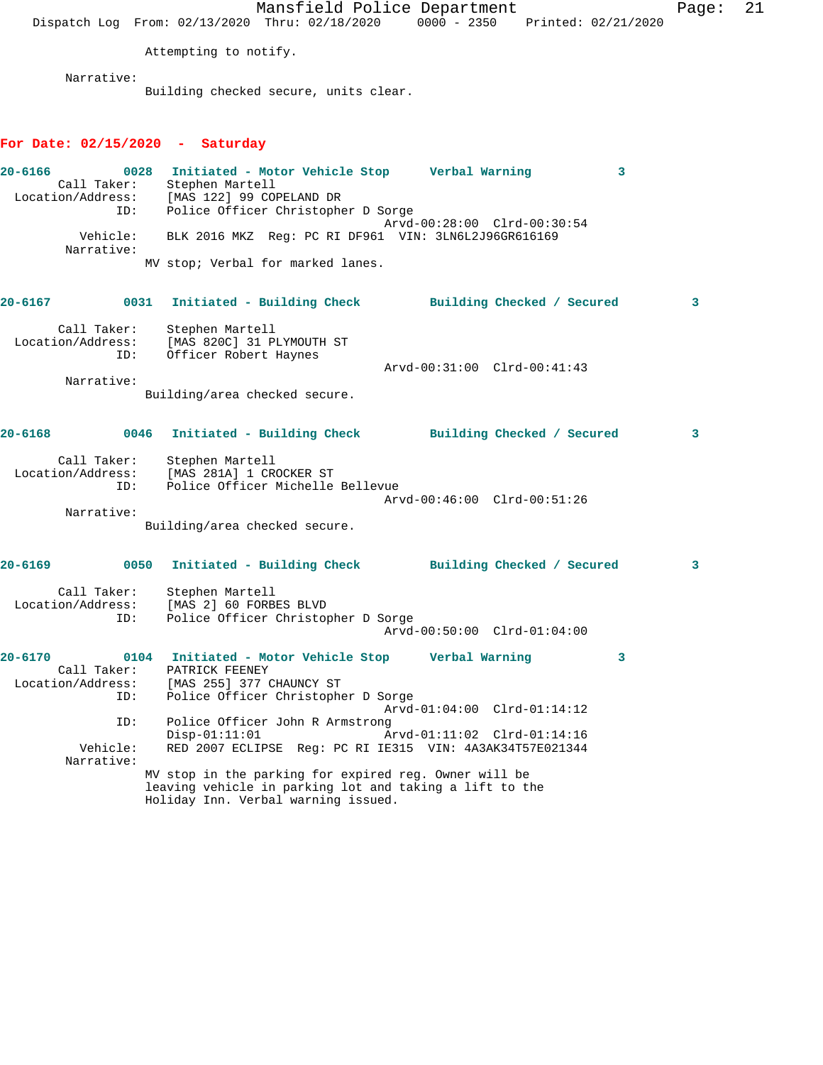|                                                                  |                                                                                                                                                         |                                                                | Mansfield Police Department                                                             |   | Page: | 21 |
|------------------------------------------------------------------|---------------------------------------------------------------------------------------------------------------------------------------------------------|----------------------------------------------------------------|-----------------------------------------------------------------------------------------|---|-------|----|
|                                                                  | Dispatch Log From: 02/13/2020 Thru: 02/18/2020 0000 - 2350 Printed: 02/21/2020                                                                          |                                                                |                                                                                         |   |       |    |
|                                                                  | Attempting to notify.                                                                                                                                   |                                                                |                                                                                         |   |       |    |
| Narrative:                                                       | Building checked secure, units clear.                                                                                                                   |                                                                |                                                                                         |   |       |    |
| For Date: $02/15/2020$ - Saturday                                |                                                                                                                                                         |                                                                |                                                                                         |   |       |    |
| $20 - 6166$<br>Location/Address: [MAS 122] 99 COPELAND DR<br>ID: | 0028 Initiated - Motor Vehicle Stop Greek Warning<br>Call Taker: Stephen Martell                                                                        | Police Officer Christopher D Sorge                             |                                                                                         | 3 |       |    |
| Vehicle:                                                         |                                                                                                                                                         |                                                                | Arvd-00:28:00 Clrd-00:30:54<br>BLK 2016 MKZ Reg: PC RI DF961 VIN: 3LN6L2J96GR616169     |   |       |    |
| Narrative:                                                       |                                                                                                                                                         |                                                                |                                                                                         |   |       |    |
|                                                                  | MV stop; Verbal for marked lanes.                                                                                                                       |                                                                |                                                                                         |   |       |    |
| 20-6167                                                          | 0031 Initiated - Building Check Building Checked / Secured                                                                                              |                                                                |                                                                                         |   | 3     |    |
| Call Taker:<br>Location/Address:<br>ID:                          | Stephen Martell<br>[MAS 820C] 31 PLYMOUTH ST<br>Officer Robert Haynes                                                                                   |                                                                |                                                                                         |   |       |    |
| Narrative:                                                       |                                                                                                                                                         |                                                                | Arvd-00:31:00 Clrd-00:41:43                                                             |   |       |    |
|                                                                  | Building/area checked secure.                                                                                                                           |                                                                |                                                                                         |   |       |    |
| $20 - 6168$                                                      | 0046                                                                                                                                                    |                                                                | Initiated - Building Check Building Checked / Secured                                   |   | 3     |    |
| Call Taker:<br>Location/Address: [MAS 281A] 1 CROCKER ST<br>ID:  | Stephen Martell                                                                                                                                         | Police Officer Michelle Bellevue                               |                                                                                         |   |       |    |
| Narrative:                                                       |                                                                                                                                                         |                                                                | Arvd-00:46:00 Clrd-00:51:26                                                             |   |       |    |
|                                                                  | Building/area checked secure.                                                                                                                           |                                                                |                                                                                         |   |       |    |
| 20-6169                                                          | 0050 Initiated - Building Check                                                                                                                         |                                                                | Building Checked / Secured                                                              |   | 3     |    |
| Call Taker:<br>Location/Address:<br>ID:                          | Stephen Martell<br>[MAS 2] 60 FORBES BLVD                                                                                                               | Police Officer Christopher D Sorge                             | Arvd-00:50:00 Clrd-01:04:00                                                             |   |       |    |
| $20 - 6170$<br>Call Taker:                                       | 0104<br>PATRICK FEENEY                                                                                                                                  | Initiated - Motor Vehicle Stop                                 | Verbal Warning                                                                          | 3 |       |    |
| Location/Address:<br>ID:                                         |                                                                                                                                                         | [MAS 255] 377 CHAUNCY ST<br>Police Officer Christopher D Sorge | Arvd-01:04:00 Clrd-01:14:12                                                             |   |       |    |
| ID:<br>Vehicle:                                                  | $Disp-01:11:01$                                                                                                                                         | Police Officer John R Armstrong                                | Arvd-01:11:02 Clrd-01:14:16<br>RED 2007 ECLIPSE Req: PC RI IE315 VIN: 4A3AK34T57E021344 |   |       |    |
| Narrative:                                                       | MV stop in the parking for expired reg. Owner will be<br>leaving vehicle in parking lot and taking a lift to the<br>Holiday Inn. Verbal warning issued. |                                                                |                                                                                         |   |       |    |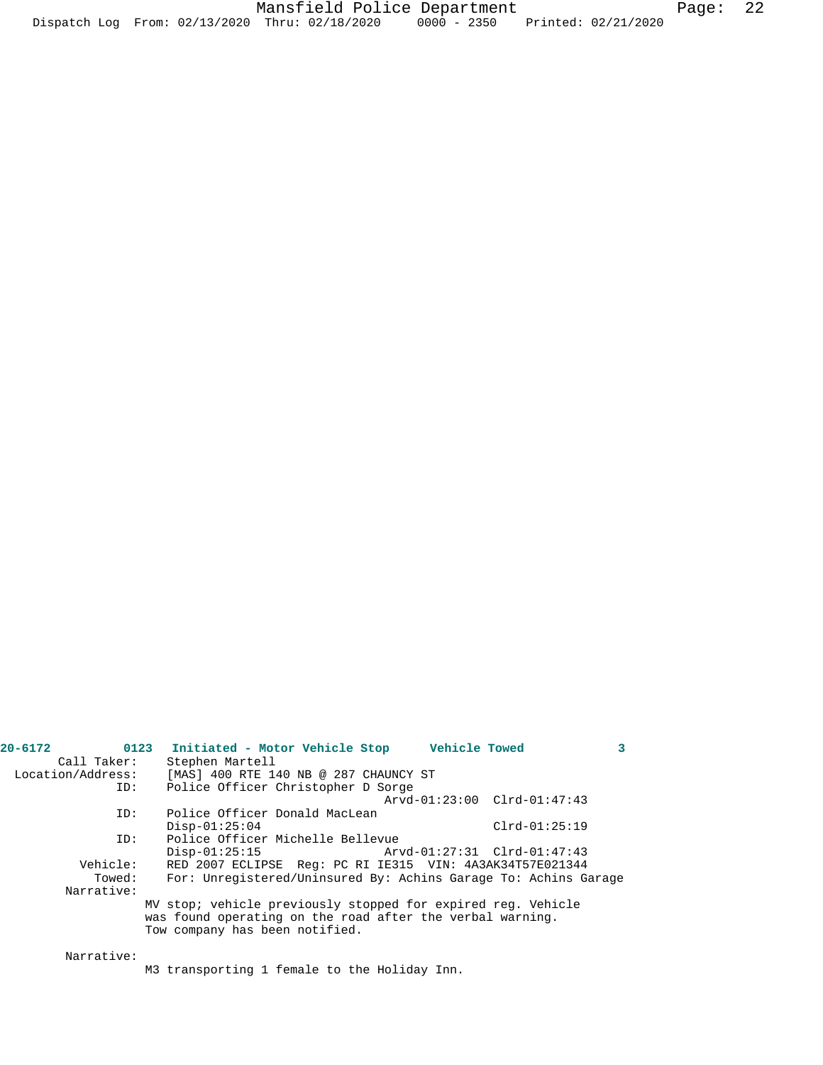| Call Taker:       | Stephen Martell                                                                                                                                             |
|-------------------|-------------------------------------------------------------------------------------------------------------------------------------------------------------|
| Location/Address: | [MAS] 400 RTE 140 NB @ 287 CHAUNCY ST                                                                                                                       |
| ID:               | Police Officer Christopher D Sorge                                                                                                                          |
|                   | Arvd-01:23:00 Clrd-01:47:43                                                                                                                                 |
| ID:               | Police Officer Donald MacLean                                                                                                                               |
|                   | $Disp-01:25:04$<br>$Clrd-01:25:19$                                                                                                                          |
| ID:               | Police Officer Michelle Bellevue                                                                                                                            |
|                   | Arvd-01:27:31 Clrd-01:47:43<br>$Disp-01:25:15$                                                                                                              |
| Vehicle:          | RED 2007 ECLIPSE Req: PC RI IE315 VIN: 4A3AK34T57E021344                                                                                                    |
| Towed:            | For: Unregistered/Uninsured By: Achins Garage To: Achins Garage                                                                                             |
| Narrative:        |                                                                                                                                                             |
|                   | MV stop; vehicle previously stopped for expired req. Vehicle<br>was found operating on the road after the verbal warning.<br>Tow company has been notified. |
|                   |                                                                                                                                                             |
| Narrative:        |                                                                                                                                                             |

**20-6172 0123 Initiated - Motor Vehicle Stop Vehicle Towed 3** 

M3 transporting 1 female to the Holiday Inn.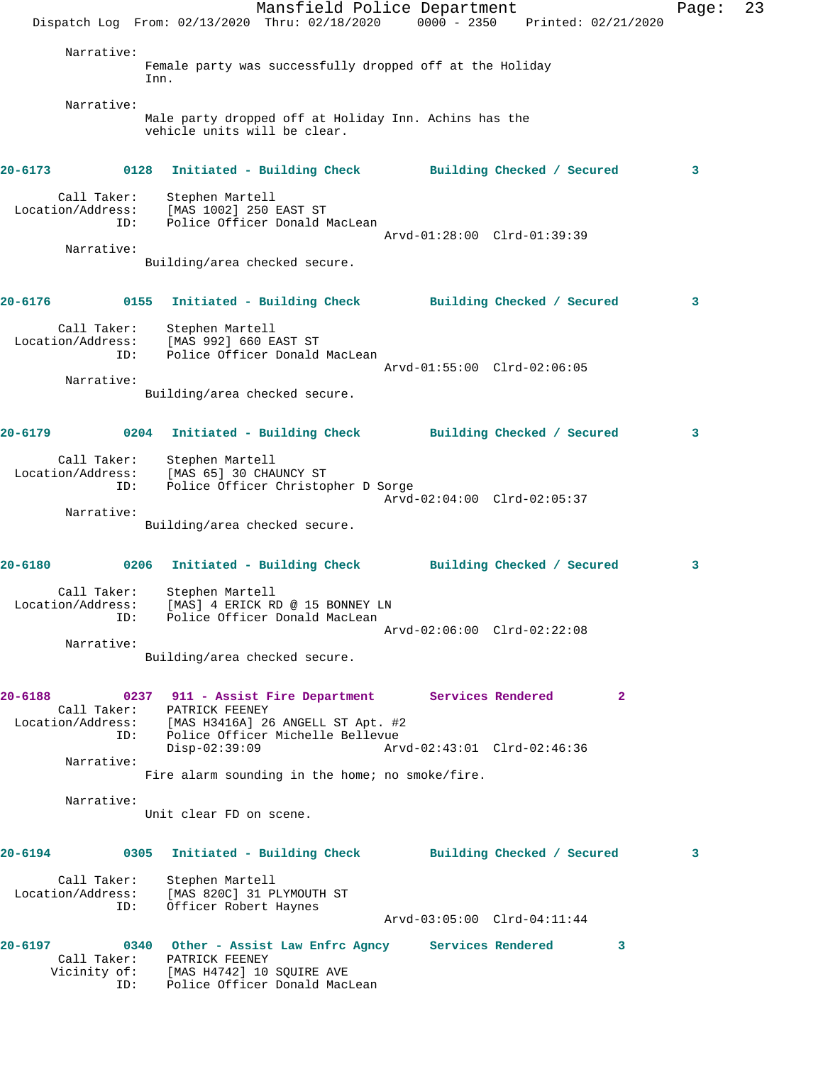|             |                                         | Dispatch Log From: 02/13/2020 Thru: 02/18/2020 0000 - 2350 Printed: 02/21/2020                                                                                 | Mansfield Police Department |                             |  |              | Page: | 23 |
|-------------|-----------------------------------------|----------------------------------------------------------------------------------------------------------------------------------------------------------------|-----------------------------|-----------------------------|--|--------------|-------|----|
|             | Narrative:                              | Female party was successfully dropped off at the Holiday<br>Inn.                                                                                               |                             |                             |  |              |       |    |
|             | Narrative:                              | Male party dropped off at Holiday Inn. Achins has the<br>vehicle units will be clear.                                                                          |                             |                             |  |              |       |    |
| $20 - 6173$ |                                         | 0128 Initiated - Building Check Building Checked / Secured                                                                                                     |                             |                             |  |              | 3     |    |
|             | Call Taker:<br>Location/Address:<br>ID: | Stephen Martell<br>[MAS 1002] 250 EAST ST<br>Police Officer Donald MacLean                                                                                     |                             | Arvd-01:28:00 Clrd-01:39:39 |  |              |       |    |
|             | Narrative:                              | Building/area checked secure.                                                                                                                                  |                             |                             |  |              |       |    |
| $20 - 6176$ |                                         | 0155 Initiated - Building Check Building Checked / Secured                                                                                                     |                             |                             |  |              | 3     |    |
|             | ID:                                     | Call Taker: Stephen Martell<br>Location/Address: [MAS 992] 660 EAST ST<br>Police Officer Donald MacLean                                                        |                             |                             |  |              |       |    |
|             | Narrative:                              | Building/area checked secure.                                                                                                                                  |                             | Arvd-01:55:00 Clrd-02:06:05 |  |              |       |    |
| 20-6179     |                                         | 0204 Initiated - Building Check Building Checked / Secured                                                                                                     |                             |                             |  |              | 3     |    |
|             | ID:                                     | Call Taker: Stephen Martell<br>Location/Address: [MAS 65] 30 CHAUNCY ST<br>Police Officer Christopher D Sorge                                                  |                             |                             |  |              |       |    |
|             | Narrative:                              | Building/area checked secure.                                                                                                                                  |                             | Arvd-02:04:00 Clrd-02:05:37 |  |              |       |    |
|             |                                         | 20-6180 			 0206 Initiated - Building Check 			 Building Checked / Secured                                                                                     |                             |                             |  |              | 3     |    |
|             | Call Taker:<br>ID:                      | Stephen Martell<br>Location/Address: [MAS] 4 ERICK RD @ 15 BONNEY LN<br>Police Officer Donald MacLean                                                          |                             | Arvd-02:06:00 Clrd-02:22:08 |  |              |       |    |
|             | Narrative:                              | Building/area checked secure.                                                                                                                                  |                             |                             |  |              |       |    |
| $20 - 6188$ |                                         | 0237 911 - Assist Fire Department Services Rendered<br>Call Taker: PATRICK FEENEY<br>Location/Address: [MAS H3416A] 26 ANGELL ST Apt. #2                       |                             |                             |  | $\mathbf{2}$ |       |    |
|             | ID:<br>Narrative:                       | Police Officer Michelle Bellevue<br>$Disp-02:39:09$                                                                                                            |                             | Arvd-02:43:01 Clrd-02:46:36 |  |              |       |    |
|             | Narrative:                              | Fire alarm sounding in the home; no smoke/fire.                                                                                                                |                             |                             |  |              |       |    |
|             |                                         | Unit clear FD on scene.                                                                                                                                        |                             |                             |  |              |       |    |
| $20 - 6194$ |                                         | 0305 Initiated - Building Check Building Checked / Secured                                                                                                     |                             |                             |  |              | 3     |    |
|             | Call Taker:<br>Location/Address:<br>ID: | Stephen Martell<br>[MAS 820C] 31 PLYMOUTH ST<br>Officer Robert Haynes                                                                                          |                             | Arvd-03:05:00 Clrd-04:11:44 |  |              |       |    |
| $20 - 6197$ | ID:                                     | 0340 Other - Assist Law Enfrc Agncy Services Rendered<br>Call Taker: PATRICK FEENEY<br>Vicinity of: [MAS H4742] 10 SQUIRE AVE<br>Police Officer Donald MacLean |                             |                             |  | 3            |       |    |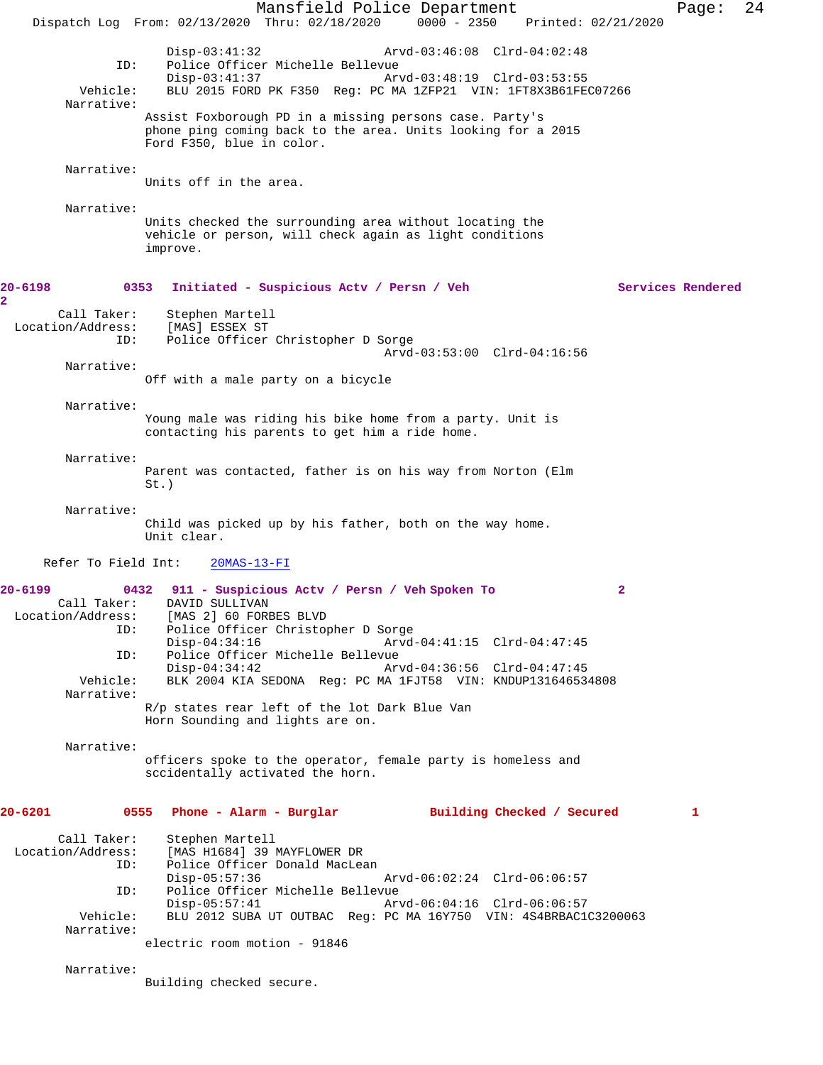Mansfield Police Department Page: 24 Dispatch Log From: 02/13/2020 Thru: 02/18/2020 0000 - 2350 Printed: 02/21/2020 Disp-03:41:32 Arvd-03:46:08 Clrd-04:02:48<br>TD: Police Officer Michelle Bellevue Police Officer Michelle Bellevue<br>Disp-03:41:37 Arv Arvd-03:48:19 Clrd-03:53:55 Vehicle: BLU 2015 FORD PK F350 Reg: PC MA 1ZFP21 VIN: 1FT8X3B61FEC07266 Narrative: Assist Foxborough PD in a missing persons case. Party's phone ping coming back to the area. Units looking for a 2015 Ford F350, blue in color. Narrative: Units off in the area. Narrative: Units checked the surrounding area without locating the vehicle or person, will check again as light conditions improve. **20-6198 0353 Initiated - Suspicious Actv / Persn / Veh Services Rendered** Call Taker: Stephen Martell<br>.on/Address: [MAS] ESSEX ST Location/Address:<br>ID: Police Officer Christopher D Sorge Arvd-03:53:00 Clrd-04:16:56 Narrative: Off with a male party on a bicycle Narrative: Young male was riding his bike home from a party. Unit is contacting his parents to get him a ride home. Narrative: Parent was contacted, father is on his way from Norton (Elm St.) Narrative: Child was picked up by his father, both on the way home. Unit clear. Refer To Field Int: 20MAS-13-FI **20-6199 0432 911 - Suspicious Actv / Persn / Veh Spoken To 2**  DAVID SULLIVAN Location/Address: [MAS 2] 60 FORBES BLVD Police Officer Christopher D Sorge<br>Disp-04:34:16 Arvd- Disp-04:34:16 Arvd-04:41:15 Clrd-04:47:45 ID: Police Officer Michelle Bellevue Disp-04:34:42 Arvd-04:36:56 Clrd-04:47:45<br>Vehicle: BLK 2004 KIA SEDONA Req: PC MA 1FJT58 VIN: KNDUP13164653 BLK 2004 KIA SEDONA Reg: PC MA 1FJT58 VIN: KNDUP131646534808 Narrative: R/p states rear left of the lot Dark Blue Van Horn Sounding and lights are on. Narrative: officers spoke to the operator, female party is homeless and sccidentally activated the horn. **20-6201 0555 Phone - Alarm - Burglar Building Checked / Secured 1** Call Taker: Stephen Martell<br>Location/Address: [MAS H1684] 39 I [MAS H1684] 39 MAYFLOWER DR ID: Police Officer Donald MacLean Disp-05:57:36 Arvd-06:02:24 Clrd-06:06:57 ID: Police Officer Michelle Bellevue Disp-05:57:41 Arvd-06:04:16 Clrd-06:06:57<br>Vehicle: BLU 2012 SUBA UT OUTBAC Reg: PC MA 16Y750 VIN: 4S4BRBAC10 BLU 2012 SUBA UT OUTBAC Reg: PC MA 16Y750 VIN: 4S4BRBAC1C3200063 Narrative: electric room motion - 91846 Narrative: Building checked secure.

**2**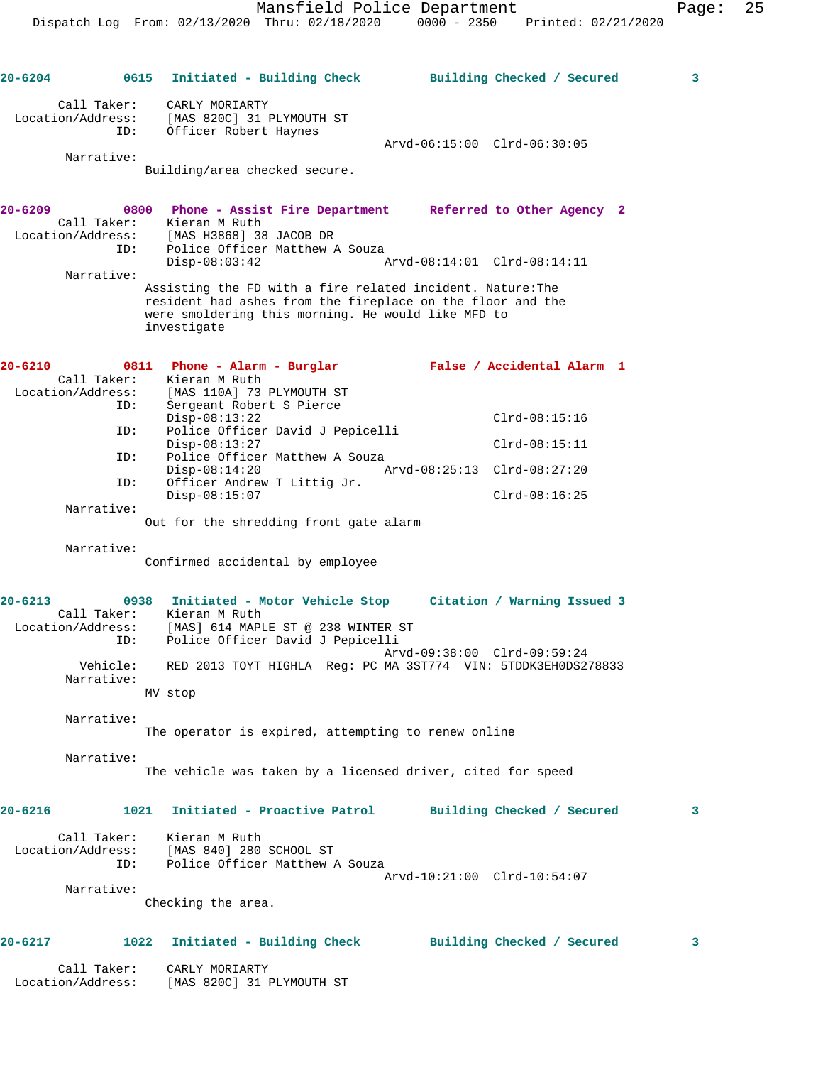| 20-6204           |                     | 0615 Initiated - Building Check Building Checked / Secured                                                                                                                                    |                             | 3 |
|-------------------|---------------------|-----------------------------------------------------------------------------------------------------------------------------------------------------------------------------------------------|-----------------------------|---|
| Location/Address: | Call Taker:<br>ID:  | CARLY MORIARTY<br>[MAS 820C] 31 PLYMOUTH ST<br>Officer Robert Haynes                                                                                                                          |                             |   |
|                   |                     |                                                                                                                                                                                               | Arvd-06:15:00 Clrd-06:30:05 |   |
|                   | Narrative:          | Building/area checked secure.                                                                                                                                                                 |                             |   |
| 20-6209           |                     | 0800 Phone - Assist Fire Department Referred to Other Agency 2                                                                                                                                |                             |   |
|                   |                     | Call Taker: Kieran M Ruth<br>Location/Address: [MAS H3868] 38 JACOB DR                                                                                                                        |                             |   |
|                   | ID:<br>Narrative:   | Police Officer Matthew A Souza<br>$Disp-08:03:42$                                                                                                                                             | Arvd-08:14:01 Clrd-08:14:11 |   |
|                   |                     | Assisting the FD with a fire related incident. Nature: The<br>resident had ashes from the fireplace on the floor and the<br>were smoldering this morning. He would like MFD to<br>investigate |                             |   |
| 20-6210           | 0811<br>Call Taker: | Phone - Alarm - Burglar Malse / Accidental Alarm 1<br>Kieran M Ruth                                                                                                                           |                             |   |
| Location/Address: |                     | [MAS 110A] 73 PLYMOUTH ST                                                                                                                                                                     |                             |   |
|                   | ID:                 | Sergeant Robert S Pierce<br>$Disp-08:13:22$                                                                                                                                                   | $Clrd-08:15:16$             |   |
|                   | ID:                 | Police Officer David J Pepicelli<br>$Disp-08:13:27$                                                                                                                                           | $Clrd-08:15:11$             |   |
|                   | ID:<br>ID:          | Police Officer Matthew A Souza<br>$Disp-08:14:20$<br>Officer Andrew T Littig Jr.                                                                                                              | Arvd-08:25:13 Clrd-08:27:20 |   |
|                   | Narrative:          | $Disp-08:15:07$                                                                                                                                                                               | $Clrd-08:16:25$             |   |
|                   |                     | Out for the shredding front gate alarm                                                                                                                                                        |                             |   |
|                   | Narrative:          | Confirmed accidental by employee                                                                                                                                                              |                             |   |
| $20 - 6213$       | Call Taker:<br>ID:  | 0938 Initiated - Motor Vehicle Stop Citation / Warning Issued 3<br>Kieran M Ruth<br>Location/Address: [MAS] 614 MAPLE ST @ 238 WINTER ST<br>Police Officer David J Pepicelli                  |                             |   |
|                   | Vehicle:            | RED 2013 TOYT HIGHLA Req: PC MA 3ST774 VIN: 5TDDK3EH0DS278833                                                                                                                                 | Arvd-09:38:00 Clrd-09:59:24 |   |
|                   | Narrative:          | MV stop                                                                                                                                                                                       |                             |   |
|                   |                     |                                                                                                                                                                                               |                             |   |
|                   | Narrative:          | The operator is expired, attempting to renew online                                                                                                                                           |                             |   |
|                   | Narrative:          | The vehicle was taken by a licensed driver, cited for speed                                                                                                                                   |                             |   |
|                   |                     |                                                                                                                                                                                               |                             |   |
| 20-6216           |                     | 1021 Initiated - Proactive Patrol                                                                                                                                                             | Building Checked / Secured  | 3 |
| Location/Address: | Call Taker:<br>ID:  | Kieran M Ruth<br>[MAS 840] 280 SCHOOL ST<br>Police Officer Matthew A Souza                                                                                                                    | Arvd-10:21:00 Clrd-10:54:07 |   |
|                   | Narrative:          |                                                                                                                                                                                               |                             |   |
|                   |                     | Checking the area.                                                                                                                                                                            |                             |   |
| $20 - 6217$       | 1022                | Initiated - Building Check                                                                                                                                                                    | Building Checked / Secured  | 3 |
| Location/Address: | Call Taker:         | CARLY MORIARTY<br>[MAS 820C] 31 PLYMOUTH ST                                                                                                                                                   |                             |   |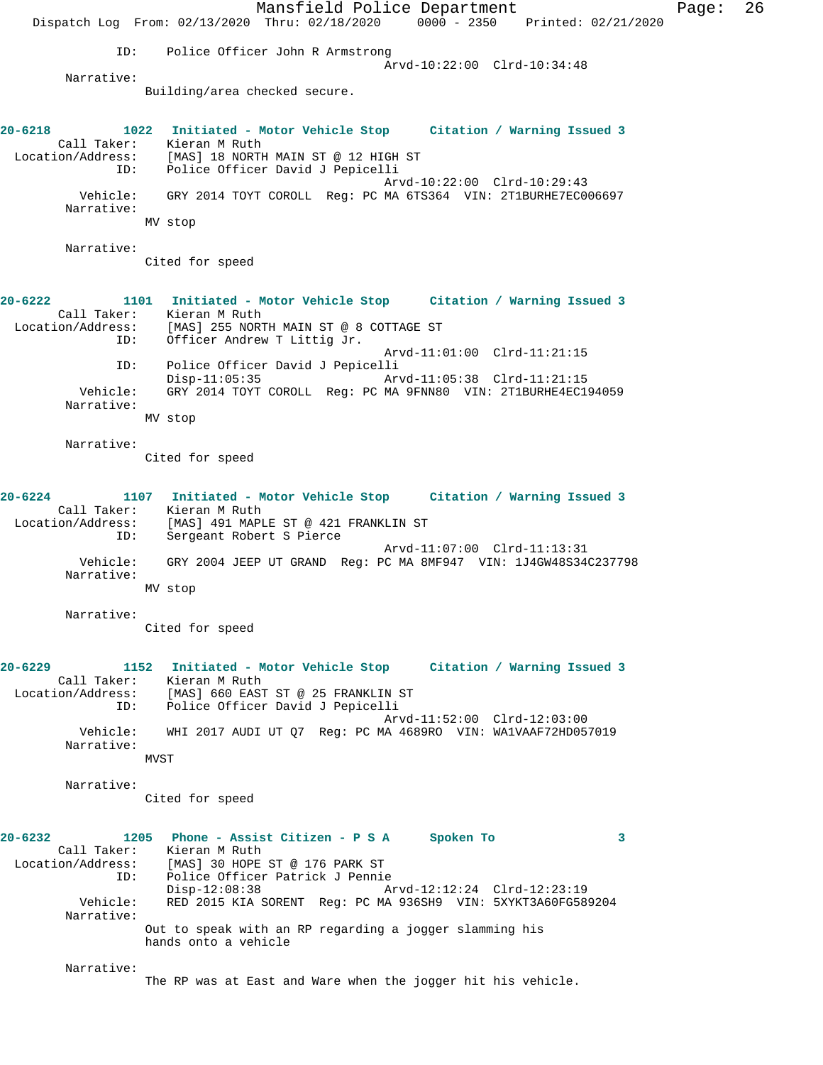Mansfield Police Department Page: 26 Dispatch Log From: 02/13/2020 Thru: 02/18/2020 0000 - 2350 Printed: 02/21/2020 ID: Police Officer John R Armstrong Arvd-10:22:00 Clrd-10:34:48 Narrative: Building/area checked secure. **20-6218 1022 Initiated - Motor Vehicle Stop Citation / Warning Issued 3**  Call Taker: Kieran M Ruth<br>Location/Address: [MAS] 18 NORTH<br>ID: Police Officer [MAS] 18 NORTH MAIN ST @ 12 HIGH ST Police Officer David J Pepicelli Arvd-10:22:00 Clrd-10:29:43 Vehicle: GRY 2014 TOYT COROLL Reg: PC MA 6TS364 VIN: 2T1BURHE7EC006697 Narrative: MV stop Narrative: Cited for speed **20-6222 1101 Initiated - Motor Vehicle Stop Citation / Warning Issued 3**  Call Taker: Kieran M Ruth<br>Location/Address: [MAS] 255 NOR1 ess: [MAS] 255 NORTH MAIN ST @ 8 COTTAGE ST<br>ID: Officer Andrew T Littig Jr. Officer Andrew T Littig Jr. Arvd-11:01:00 Clrd-11:21:15 ID: Police Officer David J Pepicelli Disp-11:05:35 Arvd-11:05:38 Clrd-11:21:15<br>Vehicle: GRY 2014 TOYT COROLL Reg: PC MA 9FNN80 VIN: 2T1BURHE4EC19 Vehicle: GRY 2014 TOYT COROLL Reg: PC MA 9FNN80 VIN: 2T1BURHE4EC194059 Narrative: MV stop Narrative: Cited for speed **20-6224 1107 Initiated - Motor Vehicle Stop Citation / Warning Issued 3**  Call Taker: Kieran M Ruth<br>Location/Address: [MAS] 491 MAPI [MAS] 491 MAPLE ST @ 421 FRANKLIN ST ID: Sergeant Robert S Pierce Arvd-11:07:00 Clrd-11:13:31 Vehicle: GRY 2004 JEEP UT GRAND Reg: PC MA 8MF947 VIN: 1J4GW48S34C237798 Narrative: MV stop Narrative: Cited for speed **20-6229 1152 Initiated - Motor Vehicle Stop Citation / Warning Issued 3**  Call Taker: Kieran M Ruth Location/Address: [MAS] 660 EAST ST @ 25 FRANKLIN ST ID: Police Officer David J Pepicelli Arvd-11:52:00 Clrd-12:03:00 Vehicle: WHI 2017 AUDI UT Q7 Reg: PC MA 4689RO VIN: WA1VAAF72HD057019 Narrative: MVST Narrative: Cited for speed **20-6232 1205 Phone - Assist Citizen - P S A Spoken To 3**  Call Taker: Kieran M Ruth<br>Location/Address: [MAS] 30 HOPE [MAS] 30 HOPE ST @ 176 PARK ST ID: Police Officer Patrick J Pennie Disp-12:08:38 Arvd-12:12:24 Clrd-12:23:19<br>Vehicle: RED 2015 KIA SORENT Reg: PC MA 936SH9 VIN: 5XYKT3A60FG58 RED 2015 KIA SORENT Reg: PC MA 936SH9 VIN: 5XYKT3A60FG589204 Narrative: Out to speak with an RP regarding a jogger slamming his hands onto a vehicle Narrative: The RP was at East and Ware when the jogger hit his vehicle.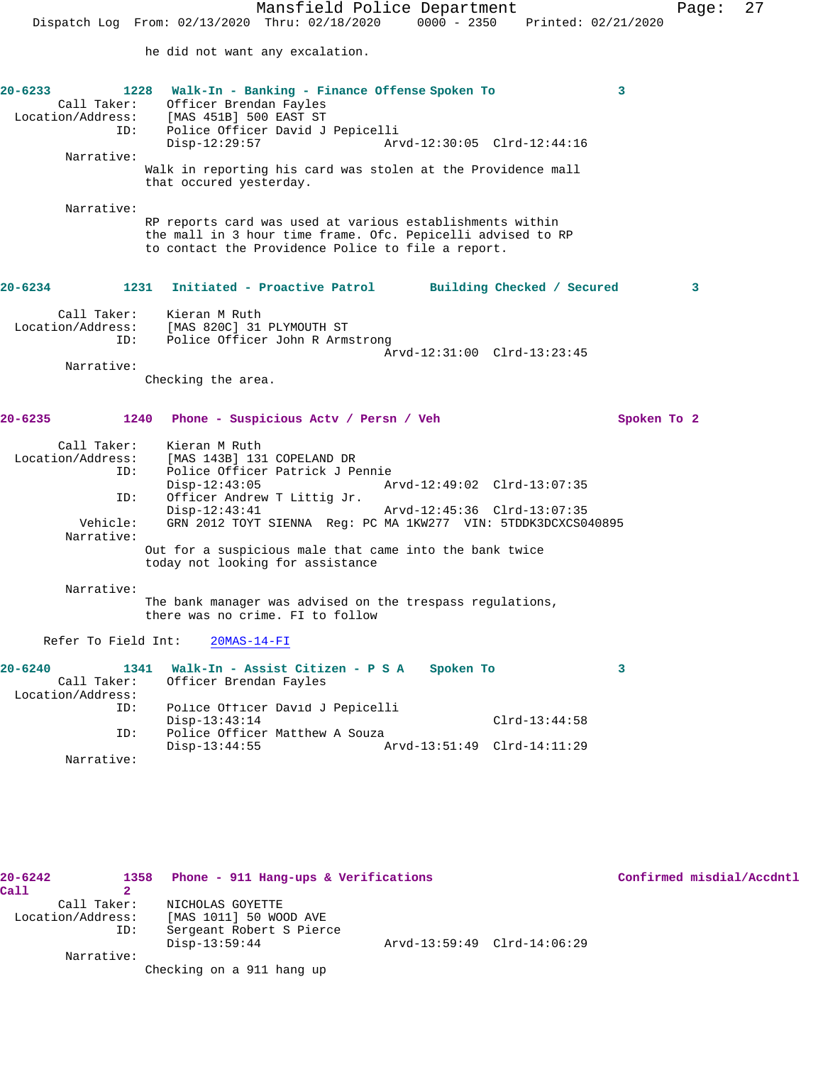Mansfield Police Department Page: 27 Dispatch Log From: 02/13/2020 Thru: 02/18/2020 0000 - 2350 Printed: 02/21/2020 he did not want any excalation. **20-6233 1228 Walk-In - Banking - Finance Offense Spoken To 3**  Call Taker: Officer Brendan Fayles Location/Address: [MAS 451B] 500 EAST ST ID: Police Officer David J Pepicelli Arvd-12:30:05 Clrd-12:44:16 Narrative: Walk in reporting his card was stolen at the Providence mall that occured yesterday. Narrative: RP reports card was used at various establishments within the mall in 3 hour time frame. Ofc. Pepicelli advised to RP to contact the Providence Police to file a report. **20-6234 1231 Initiated - Proactive Patrol Building Checked / Secured 3** Call Taker: Kieran M Ruth Location/Address: [MAS 820C] 31 PLYMOUTH ST ID: Police Officer John R Armstrong Arvd-12:31:00 Clrd-13:23:45 Narrative: Checking the area. **20-6235 1240 Phone - Suspicious Actv / Persn / Veh Spoken To 2** Call Taker: Kieran M Ruth Location/Address: [MAS 143B] 131 COPELAND DR ID: Police Officer Patrick J Pennie<br>Disp-12:43:05 Mrvd-12:49:02 Clrd-13:07:35 Disp-12:43:05 Arvd-12:49:02 Clrd-13:07:35 ID: Officer Andrew T Littig Jr. Disp-12:43:41 Arvd-12:45:36 Clrd-13:07:35 Vehicle: GRN 2012 TOYT SIENNA Reg: PC MA 1KW277 VIN: 5TDDK3DCXCS040895 Narrative: Out for a suspicious male that came into the bank twice today not looking for assistance Narrative: The bank manager was advised on the trespass regulations, there was no crime. FI to follow Refer To Field Int: 20MAS-14-FI **20-6240 1341 Walk-In - Assist Citizen - P S A Spoken To 3**  Call Taker: Officer Brendan Fayles Location/Address: ID: Police Officer David J Pepicelli Disp-13:43:14 Clrd-13:44:58 ID: Police Officer Matthew A Souza<br>Disp-13:44:55 A Disp-13:44:55 Arvd-13:51:49 Clrd-14:11:29 Narrative:

**20-6242 1358 Phone - 911 Hang-ups & Verifications Confirmed misdial/Accdntl Call 2**  Call Taker: NICHOLAS GOYETTE Location/Address: [MAS 1011] 50 WOOD AVE ID: Sergeant Robert S Pierce Disp-13:59:44 Arvd-13:59:49 Clrd-14:06:29 Narrative: Checking on a 911 hang up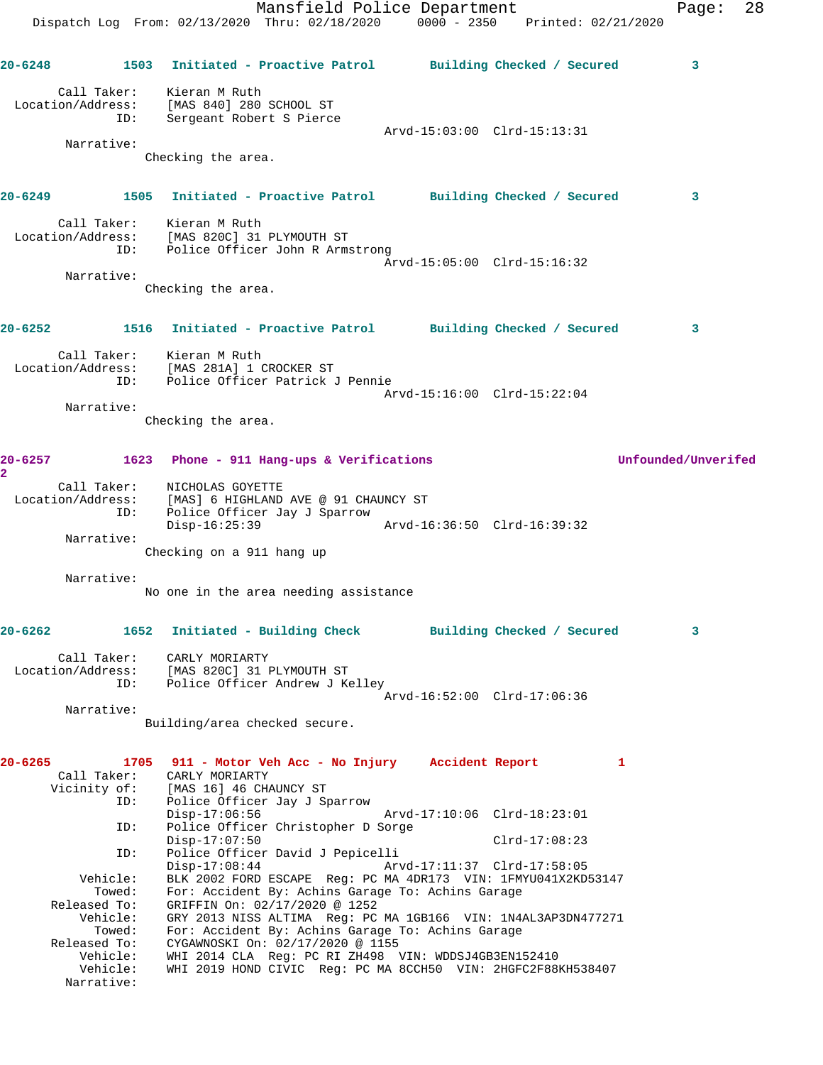Mansfield Police Department Fage: 28 Dispatch Log From: 02/13/2020 Thru: 02/18/2020 0000 - 2350 Printed: 02/21/2020 **20-6248 1503 Initiated - Proactive Patrol Building Checked / Secured 3** Call Taker: Kieran M Ruth Location/Address: [MAS 840] 280 SCHOOL ST ID: Sergeant Robert S Pierce Arvd-15:03:00 Clrd-15:13:31 Narrative: Checking the area. **20-6249 1505 Initiated - Proactive Patrol Building Checked / Secured 3** Call Taker: Kieran M Ruth Location/Address: [MAS 820C] 31 PLYMOUTH ST ID: Police Officer John R Armstrong Arvd-15:05:00 Clrd-15:16:32 Narrative: Checking the area. **20-6252 1516 Initiated - Proactive Patrol Building Checked / Secured 3** Call Taker: Kieran M Ruth Location/Address: [MAS 281A] 1 CROCKER ST ID: Police Officer Patrick J Pennie Arvd-15:16:00 Clrd-15:22:04 Narrative: Checking the area. **20-6257 1623 Phone - 911 Hang-ups & Verifications Unfounded/Unverifed 2**  Call Taker: NICHOLAS GOYETTE Location/Address: [MAS] 6 HIGHLAND AVE @ 91 CHAUNCY ST ID: Police Officer Jay J Sparrow Disp-16:25:39 Arvd-16:36:50 Clrd-16:39:32 Narrative: Checking on a 911 hang up Narrative: No one in the area needing assistance **20-6262 1652 Initiated - Building Check Building Checked / Secured 3** Call Taker: CARLY MORIARTY Location/Address: [MAS 820C] 31 PLYMOUTH ST ID: Police Officer Andrew J Kelley Arvd-16:52:00 Clrd-17:06:36 Narrative: Building/area checked secure. **20-6265 1705 911 - Motor Veh Acc - No Injury Accident Report 1**  Call Taker: CARLY MORIARTY Vicinity of: [MAS 16] 46 CHAUNCY ST ID: Police Officer Jay J Sparrow Disp-17:06:56 Arvd-17:10:06 Clrd-18:23:01 ID: Police Officer Christopher D Sorge Disp-17:07:50 Clrd-17:08:23 ID: Police Officer David J Pepicelli Disp-17:08:44 Arvd-17:11:37 Clrd-17:58:05 Vehicle: BLK 2002 FORD ESCAPE Reg: PC MA 4DR173 VIN: 1FMYU041X2KD53147 Towed: For: Accident By: Achins Garage To: Achins Garage Released To: GRIFFIN On: 02/17/2020 @ 1252 Vehicle: GRY 2013 NISS ALTIMA Reg: PC MA 1GB166 VIN: 1N4AL3AP3DN477271 Towed: For: Accident By: Achins Garage To: Achins Garage Released To: CYGAWNOSKI On: 02/17/2020 @ 1155 Vehicle: WHI 2014 CLA Reg: PC RI ZH498 VIN: WDDSJ4GB3EN152410 Vehicle: WHI 2019 HOND CIVIC Reg: PC MA 8CCH50 VIN: 2HGFC2F88KH538407 Narrative: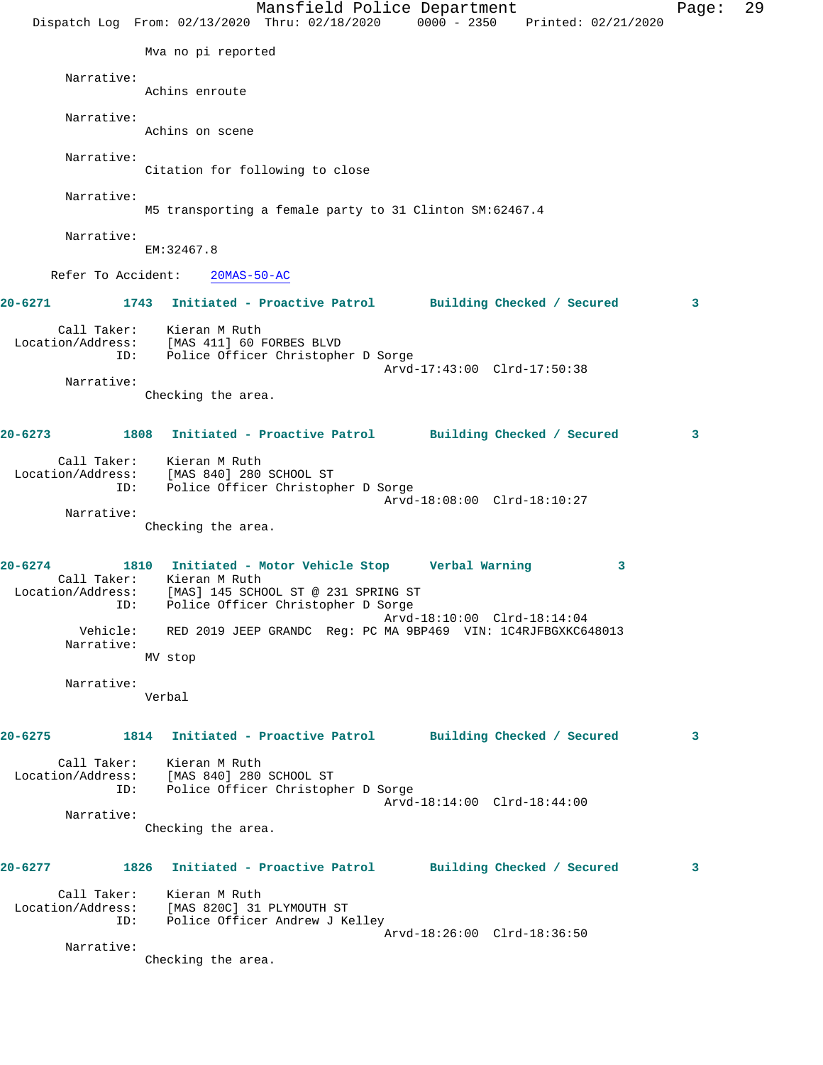Mansfield Police Department Page: 29 Dispatch Log From: 02/13/2020 Thru: 02/18/2020 0000 - 2350 Printed: 02/21/2020 Mva no pi reported Narrative: Achins enroute Narrative: Achins on scene Narrative: Citation for following to close Narrative: M5 transporting a female party to 31 Clinton SM:62467.4 Narrative: EM:32467.8 Refer To Accident: 20MAS-50-AC **20-6271 1743 Initiated - Proactive Patrol Building Checked / Secured 3** Call Taker: Kieran M Ruth Location/Address: [MAS 411] 60 FORBES BLVD ID: Police Officer Christopher D Sorge Arvd-17:43:00 Clrd-17:50:38 Narrative: Checking the area. **20-6273 1808 Initiated - Proactive Patrol Building Checked / Secured 3** Call Taker: Kieran M Ruth Location/Address: [MAS 840] 280 SCHOOL ST ID: Police Officer Christopher D Sorge Arvd-18:08:00 Clrd-18:10:27 Narrative: Checking the area. **20-6274 1810 Initiated - Motor Vehicle Stop Verbal Warning 3**  Call Taker: Kieran M Ruth Location/Address: [MAS] 145 SCHOOL ST @ 231 SPRING ST ID: Police Officer Christopher D Sorge Arvd-18:10:00 Clrd-18:14:04 Vehicle: RED 2019 JEEP GRANDC Reg: PC MA 9BP469 VIN: 1C4RJFBGXKC648013 Narrative: MV stop Narrative: Verbal **20-6275 1814 Initiated - Proactive Patrol Building Checked / Secured 3** Call Taker: Kieran M Ruth Location/Address: [MAS 840] 280 SCHOOL ST ID: Police Officer Christopher D Sorge Arvd-18:14:00 Clrd-18:44:00 Narrative: Checking the area. **20-6277 1826 Initiated - Proactive Patrol Building Checked / Secured 3** Call Taker: Kieran M Ruth Location/Address: [MAS 820C] 31 PLYMOUTH ST ID: Police Officer Andrew J Kelley Arvd-18:26:00 Clrd-18:36:50 Narrative: Checking the area.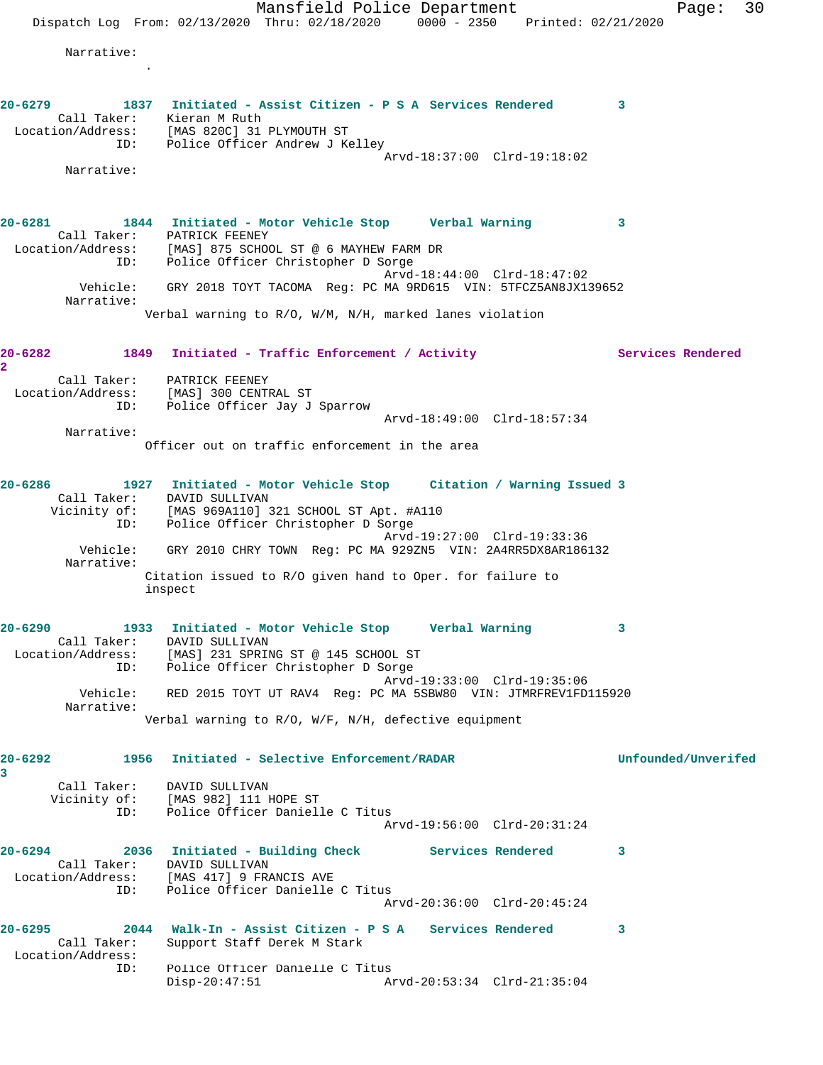Mansfield Police Department Fage: 30 Dispatch Log From:  $02/13/2020$  Thru:  $02/18/2020$  0000 - 2350 Printed:  $02/21/2020$  Narrative: . **20-6279 1837 Initiated - Assist Citizen - P S A Services Rendered 3**  Call Taker: Kieran M Ruth Location/Address: [MAS 820C] 31 PLYMOUTH ST ID: Police Officer Andrew J Kelley Arvd-18:37:00 Clrd-19:18:02 Narrative: **20-6281 1844 Initiated - Motor Vehicle Stop Verbal Warning 3**  Call Taker: PATRICK FEENEY Location/Address: [MAS] 875 SCHOOL ST @ 6 MAYHEW FARM DR ID: Police Officer Christopher D Sorge Arvd-18:44:00 Clrd-18:47:02 Vehicle: GRY 2018 TOYT TACOMA Reg: PC MA 9RD615 VIN: 5TFCZ5AN8JX139652 Narrative: Verbal warning to R/O, W/M, N/H, marked lanes violation 20-6282 1849 Initiated - Traffic Enforcement / Activity **Services Rendered 2**  Call Taker: PATRICK FEENEY Location/Address: [MAS] 300 CENTRAL ST ID: Police Officer Jay J Sparrow Arvd-18:49:00 Clrd-18:57:34 Narrative: Officer out on traffic enforcement in the area **20-6286 1927 Initiated - Motor Vehicle Stop Citation / Warning Issued 3**  Call Taker: DAVID SULLIVAN Vicinity of: [MAS 969A110] 321 SCHOOL ST Apt. #A110 ID: Police Officer Christopher D Sorge Arvd-19:27:00 Clrd-19:33:36 Vehicle: GRY 2010 CHRY TOWN Reg: PC MA 929ZN5 VIN: 2A4RR5DX8AR186132 Narrative: Citation issued to R/O given hand to Oper. for failure to inspect **20-6290 1933 Initiated - Motor Vehicle Stop Verbal Warning 3**  Call Taker: DAVID SULLIVAN Location/Address: [MAS] 231 SPRING ST @ 145 SCHOOL ST ID: Police Officer Christopher D Sorge Arvd-19:33:00 Clrd-19:35:06 Vehicle: RED 2015 TOYT UT RAV4 Reg: PC MA 5SBW80 VIN: JTMRFREV1FD115920 Narrative: Verbal warning to R/O, W/F, N/H, defective equipment **20-6292 1956 Initiated - Selective Enforcement/RADAR Unfounded/Unverifed 3**  Call Taker: DAVID SULLIVAN Vicinity of: [MAS 982] 111 HOPE ST ID: Police Officer Danielle C Titus Arvd-19:56:00 Clrd-20:31:24 **20-6294 2036 Initiated - Building Check Services Rendered 3**  Call Taker: DAVID SULLIVAN Location/Address: [MAS 417] 9 FRANCIS AVE ID: Police Officer Danielle C Titus Arvd-20:36:00 Clrd-20:45:24 **20-6295 2044 Walk-In - Assist Citizen - P S A Services Rendered 3**  Call Taker: Support Staff Derek M Stark Location/Address: ID: Police Officer Danielle C Titus Arvd-20:53:34 Clrd-21:35:04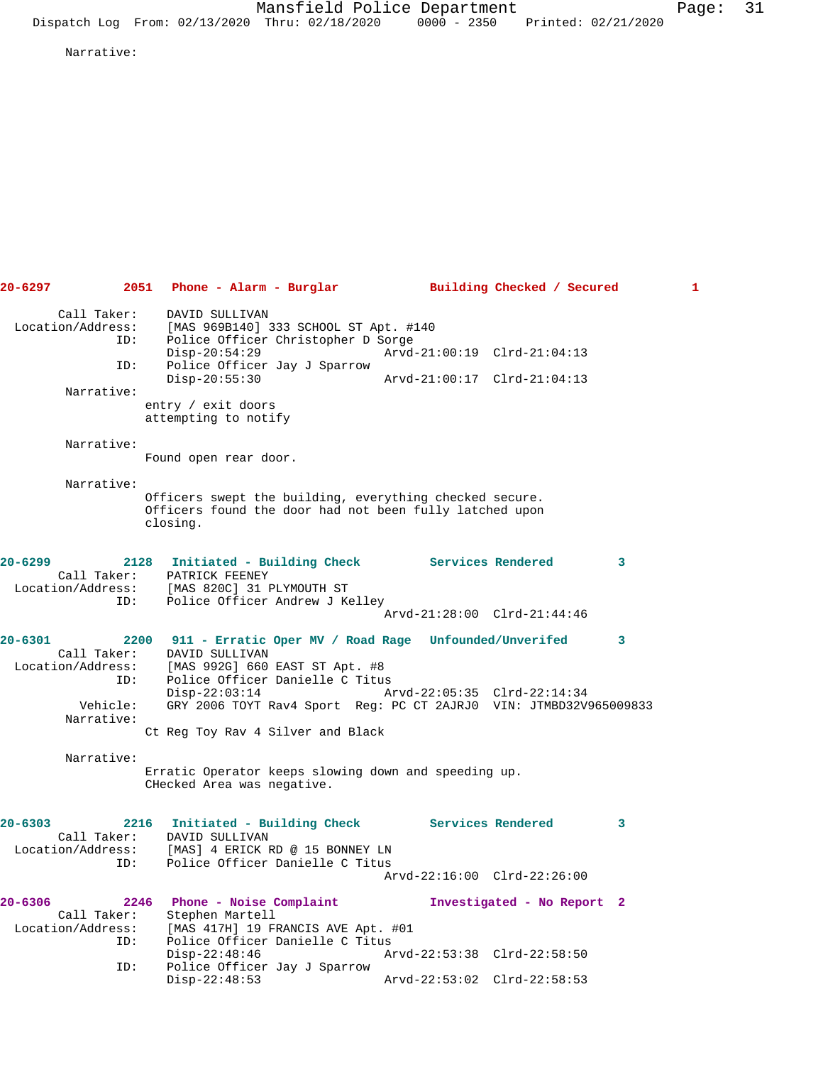Narrative:

**20-6297 2051 Phone - Alarm - Burglar Building Checked / Secured 1** Call Taker: DAVID SULLIVAN<br>: Location/Address: [MAS 969B140] Location/Address: [MAS 969B140] 333 SCHOOL ST Apt. #140 ID: Police Officer Christopher D Sorge Disp-20:54:29 Arvd-21:00:19 Clrd-21:04:13 ID: Police Officer Jay J Sparrow Disp-20:55:30 Arvd-21:00:17 Clrd-21:04:13 Narrative: entry / exit doors attempting to notify Narrative: Found open rear door. Narrative: Officers swept the building, everything checked secure. Officers found the door had not been fully latched upon closing. **20-6299 2128 Initiated - Building Check Services Rendered 3**  Call Taker: PATRICK FEENEY Location/Address: [MAS 820C] 31 PLYMOUTH ST ID: Police Officer Andrew J Kelley Arvd-21:28:00 Clrd-21:44:46 **20-6301 2200 911 - Erratic Oper MV / Road Rage Unfounded/Unverifed 3**  Call Taker: DAVID SULLIVAN<br>Location/Address: [MAS 992G] 660 [MAS 992G] 660 EAST ST Apt. #8 ESS. THAS 2241 000 BADI DI APU. TO<br>ID: Police Officer Danielle C Titus<br>Disp-22:03:14 A Disp-22:03:14 Arvd-22:05:35 Clrd-22:14:34 Vehicle: GRY 2006 TOYT Rav4 Sport Reg: PC CT 2AJRJ0 VIN: JTMBD32V965009833 Narrative: Ct Reg Toy Rav 4 Silver and Black Narrative: Erratic Operator keeps slowing down and speeding up. CHecked Area was negative. **20-6303 2216 Initiated - Building Check Services Rendered 3**  Call Taker: DAVID SULLIVAN Location/Address: [MAS] 4 ERICK RD @ 15 BONNEY LN ID: Police Officer Danielle C Titus Arvd-22:16:00 Clrd-22:26:00 **20-6306 2246 Phone - Noise Complaint Investigated - No Report 2**  Call Taker: Stephen Martell Location/Address: [MAS 417H] 19 FRANCIS AVE Apt. #01 ID: Police Officer Danielle C Titus Disp-22:48:46 Arvd-22:53:38 Clrd-22:58:50<br>ID: Police Officer Jay J Sparrow Police Officer Jay J Sparrow<br>Disp-22:48:53 Arvd-22:53:02 Clrd-22:58:53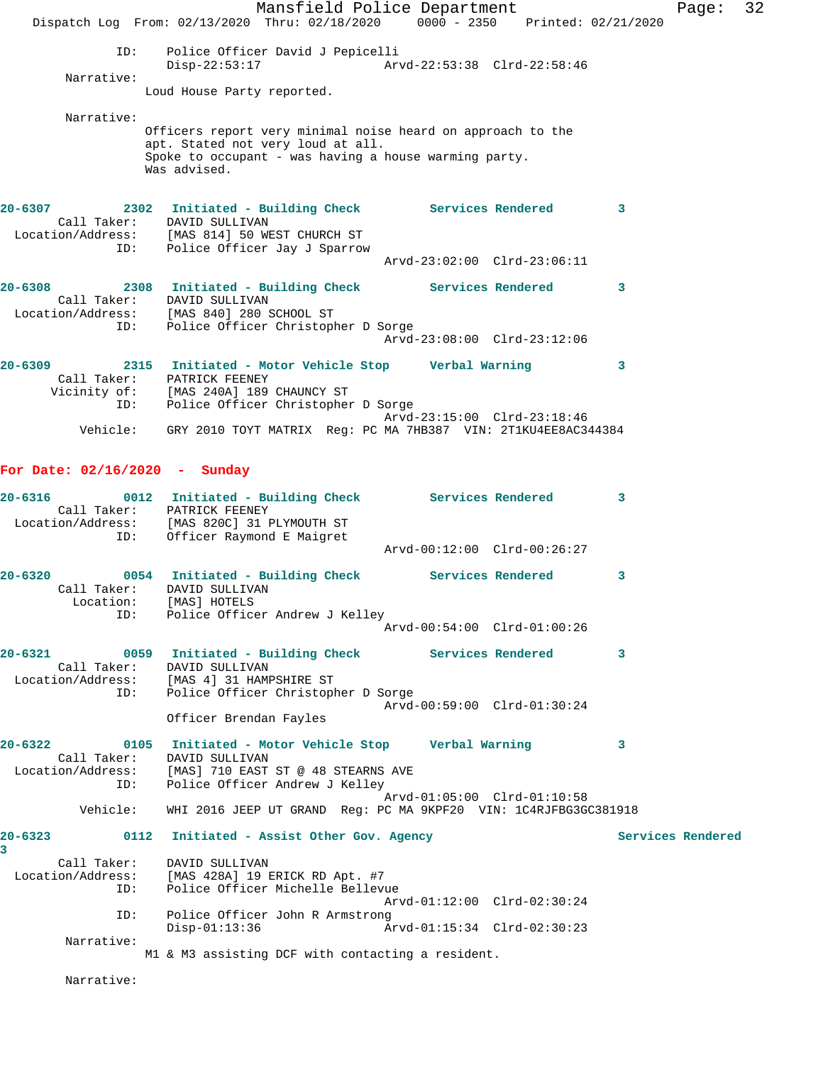Mansfield Police Department Fage: 32 Dispatch Log From: 02/13/2020 Thru: 02/18/2020 0000 - 2350 Printed: 02/21/2020 ID: Police Officer David J Pepicelli Disp-22:53:17 Arvd-22:53:38 Clrd-22:58:46 Narrative: Loud House Party reported. Narrative: Officers report very minimal noise heard on approach to the apt. Stated not very loud at all. Spoke to occupant - was having a house warming party. Was advised. **20-6307 2302 Initiated - Building Check Services Rendered 3**  Call Taker: DAVID SULLIVAN Location/Address: [MAS 814] 50 WEST CHURCH ST ID: Police Officer Jay J Sparrow Arvd-23:02:00 Clrd-23:06:11 **20-6308 2308 Initiated - Building Check Services Rendered 3**  Call Taker: DAVID SULLIVAN Location/Address: [MAS 840] 280 SCHOOL ST ID: Police Officer Christopher D Sorge Arvd-23:08:00 Clrd-23:12:06 **20-6309 2315 Initiated - Motor Vehicle Stop Verbal Warning 3**  Call Taker: PATRICK FEENEY Vicinity of: [MAS 240A] 189 CHAUNCY ST ID: Police Officer Christopher D Sorge Arvd-23:15:00 Clrd-23:18:46 Vehicle: GRY 2010 TOYT MATRIX Reg: PC MA 7HB387 VIN: 2T1KU4EE8AC344384 **For Date: 02/16/2020 - Sunday 20-6316 0012 Initiated - Building Check Services Rendered 3**  Call Taker: PATRICK FEENEY Location/Address: [MAS 820C] 31 PLYMOUTH ST ID: Officer Raymond E Maigret Arvd-00:12:00 Clrd-00:26:27 **20-6320 0054 Initiated - Building Check Services Rendered 3**  Call Taker: DAVID SULLIVAN Location: [MAS] HOTELS ID: Police Officer Andrew J Kelley Arvd-00:54:00 Clrd-01:00:26 **20-6321 0059 Initiated - Building Check Services Rendered 3**  Call Taker: DAVID SULLIVAN Location/Address: [MAS 4] 31 HAMPSHIRE ST ID: Police Officer Christopher D Sorge Arvd-00:59:00 Clrd-01:30:24 Officer Brendan Fayles **20-6322 0105 Initiated - Motor Vehicle Stop Verbal Warning 3**  Call Taker: DAVID SULLIVAN Location/Address: [MAS] 710 EAST ST @ 48 STEARNS AVE ID: Police Officer Andrew J Kelley Arvd-01:05:00 Clrd-01:10:58 Vehicle: WHI 2016 JEEP UT GRAND Reg: PC MA 9KPF20 VIN: 1C4RJFBG3GC381918 20-6323 0112 Initiated - Assist Other Gov. Agency **Services Rendered 3**  Call Taker: DAVID SULLIVAN Location/Address: [MAS 428A] 19 ERICK RD Apt. #7 ID: Police Officer Michelle Bellevue Arvd-01:12:00 Clrd-02:30:24 ID: Police Officer John R Armstrong Disp-01:13:36 Arvd-01:15:34 Clrd-02:30:23 Narrative: M1 & M3 assisting DCF with contacting a resident.

Narrative: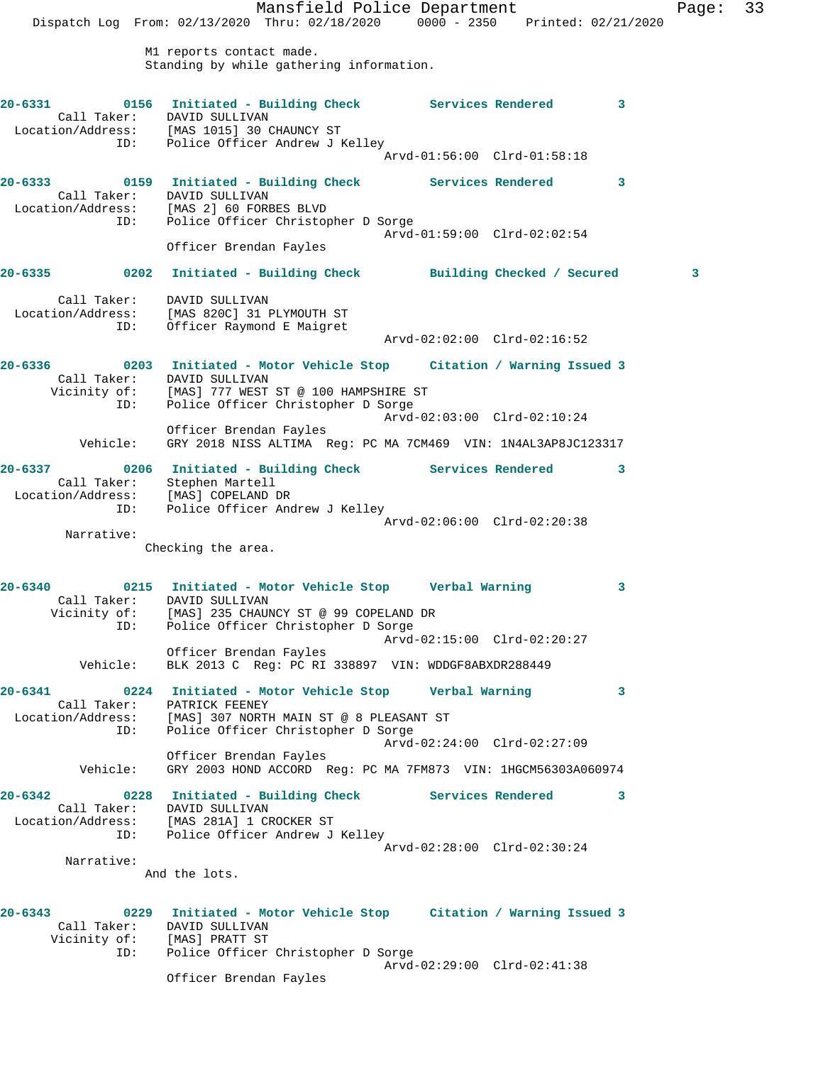Mansfield Police Department Page: 33 Dispatch Log From: 02/13/2020 Thru: 02/18/2020 0000 - 2350 Printed: 02/21/2020 M1 reports contact made. Standing by while gathering information. **20-6331 0156 Initiated - Building Check Services Rendered 3**  Call Taker: DAVID SULLIVAN Location/Address: [MAS 1015] 30 CHAUNCY ST ID: Police Officer Andrew J Kelley Arvd-01:56:00 Clrd-01:58:18 **20-6333 0159 Initiated - Building Check Services Rendered 3**  Call Taker: DAVID SULLIVAN Location/Address: [MAS 2] 60 FORBES BLVD ID: Police Officer Christopher D Sorge Arvd-01:59:00 Clrd-02:02:54 Officer Brendan Fayles **20-6335 0202 Initiated - Building Check Building Checked / Secured 3** Call Taker: DAVID SULLIVAN Location/Address: [MAS 820C] 31 PLYMOUTH ST ID: Officer Raymond E Maigret Arvd-02:02:00 Clrd-02:16:52 **20-6336 0203 Initiated - Motor Vehicle Stop Citation / Warning Issued 3**  Call Taker: DAVID SULLIVAN Vicinity of: [MAS] 777 WEST ST @ 100 HAMPSHIRE ST ID: Police Officer Christopher D Sorge Arvd-02:03:00 Clrd-02:10:24 Officer Brendan Fayles Vehicle: GRY 2018 NISS ALTIMA Reg: PC MA 7CM469 VIN: 1N4AL3AP8JC123317 **20-6337 0206 Initiated - Building Check Services Rendered 3**  Call Taker: Stephen Martell Location/Address: [MAS] COPELAND DR ID: Police Officer Andrew J Kelley Arvd-02:06:00 Clrd-02:20:38 Narrative: Checking the area. **20-6340 0215 Initiated - Motor Vehicle Stop Verbal Warning 3**  Call Taker: DAVID SULLIVAN Vicinity of: [MAS] 235 CHAUNCY ST @ 99 COPELAND DR ID: Police Officer Christopher D Sorge Arvd-02:15:00 Clrd-02:20:27 Officer Brendan Fayles Vehicle: BLK 2013 C Reg: PC RI 338897 VIN: WDDGF8ABXDR288449 **20-6341 0224 Initiated - Motor Vehicle Stop Verbal Warning 3**  Call Taker: PATRICK FEENEY Location/Address: [MAS] 307 NORTH MAIN ST @ 8 PLEASANT ST ID: Police Officer Christopher D Sorge Arvd-02:24:00 Clrd-02:27:09 Officer Brendan Fayles Vehicle: GRY 2003 HOND ACCORD Reg: PC MA 7FM873 VIN: 1HGCM56303A060974 **20-6342 0228 Initiated - Building Check Services Rendered 3**  Call Taker: DAVID SULLIVAN Location/Address: [MAS 281A] 1 CROCKER ST ID: Police Officer Andrew J Kelley Arvd-02:28:00 Clrd-02:30:24 Narrative: And the lots. **20-6343 0229 Initiated - Motor Vehicle Stop Citation / Warning Issued 3**  Call Taker: DAVID SULLIVAN Vicinity of: [MAS] PRATT ST<br>ID: Police Officer Police Officer Christopher D Sorge

Officer Brendan Fayles

Arvd-02:29:00 Clrd-02:41:38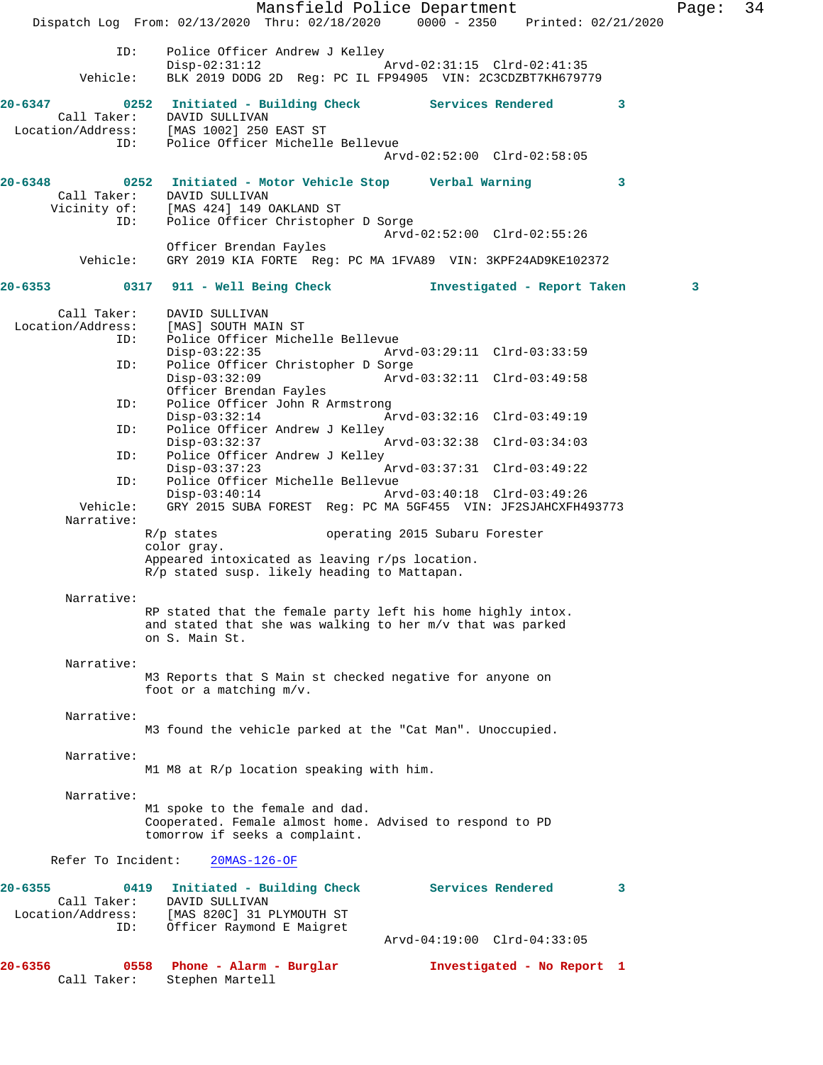Mansfield Police Department Page: 34 Dispatch Log From: 02/13/2020 Thru: 02/18/2020 0000 - 2350 Printed: 02/21/2020 ID: Police Officer Andrew J Kelley<br>Disp-02:31:12 Disp-02:31:12 Arvd-02:31:15 Clrd-02:41:35 Vehicle: BLK 2019 DODG 2D Reg: PC IL FP94905 VIN: 2C3CDZBT7KH679779 **20-6347 0252 Initiated - Building Check Services Rendered 3**  Call Taker: DAVID SULLIVAN Location/Address: [MAS 1002] 250 EAST ST ID: Police Officer Michelle Bellevue Arvd-02:52:00 Clrd-02:58:05 **20-6348 0252 Initiated - Motor Vehicle Stop Verbal Warning 3**  Call Taker: DAVID SULLIVAN Vicinity of: [MAS 424] 149 OAKLAND ST ID: Police Officer Christopher D Sorge Arvd-02:52:00 Clrd-02:55:26 Officer Brendan Fayles Vehicle: GRY 2019 KIA FORTE Reg: PC MA 1FVA89 VIN: 3KPF24AD9KE102372 **20-6353 0317 911 - Well Being Check Investigated - Report Taken 3** Call Taker: DAVID SULLIVAN Location/Address: [MAS] SOUTH MAIN ST<br>Location/Address: [MAS] SOUTH MAIN ST<br>ID: Police Officer Miche Police Officer Michelle Bellevue<br>Disp-03:22:35 Arv Disp-03:22:35 Arvd-03:29:11 Clrd-03:33:59<br>ID: Police Officer Christopher D Sorge Police Officer Christopher D Sorge<br>Disp-03:32:09 Arvd- Disp-03:32:09 Arvd-03:32:11 Clrd-03:49:58 Officer Brendan Fayles ID: Police Officer John R Armstrong<br>Disp-03:32:14 Ar Disp-03:32:14 Arvd-03:32:16 Clrd-03:49:19<br>ID: Police Officer Andrew J Kelley Police Officer Andrew J Kelley<br>Disp-03:32:37 Disp-03:32:37 Arvd-03:32:38 Clrd-03:34:03 ID: Police Officer Andrew J Kelley<br>Disp-03:37:23 Disp-03:37:23 Arvd-03:37:31 Clrd-03:49:22<br>ID: Police Officer Michelle Bellevue Police Officer Michelle Bellevue<br>Disp-03:40:14 Ar Disp-03:40:14 Arvd-03:40:18 Clrd-03:49:26 Vehicle: GRY 2015 SUBA FOREST Reg: PC MA 5GF455 VIN: JF2SJAHCXFH493773 Narrative: R/p states operating 2015 Subaru Forester color gray. Appeared intoxicated as leaving r/ps location. R/p stated susp. likely heading to Mattapan. Narrative: RP stated that the female party left his home highly intox. and stated that she was walking to her m/v that was parked on S. Main St. Narrative: M3 Reports that S Main st checked negative for anyone on foot or a matching m/v. Narrative: M3 found the vehicle parked at the "Cat Man". Unoccupied. Narrative: M1 M8 at R/p location speaking with him. Narrative: M1 spoke to the female and dad. Cooperated. Female almost home. Advised to respond to PD tomorrow if seeks a complaint. Refer To Incident: 20MAS-126-OF **20-6355 0419 Initiated - Building Check Services Rendered 3**  Call Taker: DAVID SULLIVAN Location/Address: [MAS 820C] 31 PLYMOUTH ST ID: Officer Raymond E Maigret Arvd-04:19:00 Clrd-04:33:05 **20-6356 0558 Phone - Alarm - Burglar Investigated - No Report 1**  Call Taker: Stephen Martell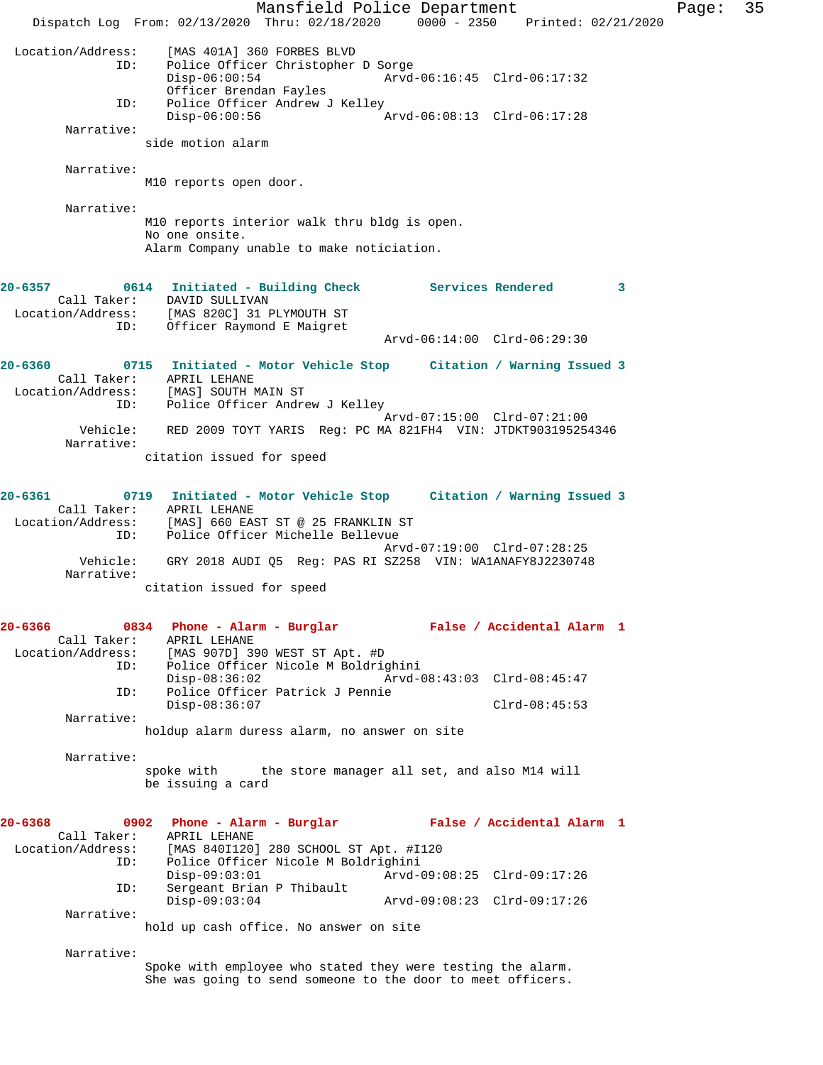Mansfield Police Department Fage: 35 Dispatch Log From: 02/13/2020 Thru: 02/18/2020 0000 - 2350 Printed: 02/21/2020 Location/Address: [MAS 401A] 360 FORBES BLVD Police Officer Christopher D Sorge<br>Disp-06:00:54 Arvd-Arvd-06:16:45 Clrd-06:17:32 Officer Brendan Fayles<br>ID: Police Officer Andrew J Police Officer Andrew J Kelley<br>Disp-06:00:56 A Disp-06:00:56 Arvd-06:08:13 Clrd-06:17:28 Narrative: side motion alarm Narrative: M10 reports open door. Narrative: M10 reports interior walk thru bldg is open. No one onsite. Alarm Company unable to make noticiation. **20-6357 0614 Initiated - Building Check Services Rendered 3**  Call Taker: DAVID SULLIVAN Location/Address: [MAS 820C] 31 PLYMOUTH ST ID: Officer Raymond E Maigret Arvd-06:14:00 Clrd-06:29:30 **20-6360 0715 Initiated - Motor Vehicle Stop Citation / Warning Issued 3**  Call Taker: APRIL LEHANE Location/Address: [MAS] SOUTH MAIN ST ID: Police Officer Andrew J Kelley Arvd-07:15:00 Clrd-07:21:00 Vehicle: RED 2009 TOYT YARIS Reg: PC MA 821FH4 VIN: JTDKT903195254346 Narrative: citation issued for speed **20-6361 0719 Initiated - Motor Vehicle Stop Citation / Warning Issued 3**  Call Taker: APRIL LEHANE Location/Address: [MAS] 660 EAST ST @ 25 FRANKLIN ST ID: Police Officer Michelle Bellevue Arvd-07:19:00 Clrd-07:28:25 Vehicle: GRY 2018 AUDI Q5 Reg: PAS RI SZ258 VIN: WA1ANAFY8J2230748 Narrative: citation issued for speed **20-6366 0834 Phone - Alarm - Burglar False / Accidental Alarm 1**  Call Taker: APRIL LEHANE<br>Location/Address: [MAS 907D] 39 Location/Address: [MAS 907D] 390 WEST ST Apt. #D ID: Police Officer Nicole M Boldrighini Disp-08:36:02 Arvd-08:43:03 Clrd-08:45:47 ID: Police Officer Patrick J Pennie Disp-08:36:07 Clrd-08:45:53 Narrative: holdup alarm duress alarm, no answer on site Narrative: spoke with the store manager all set, and also M14 will be issuing a card **20-6368 0902 Phone - Alarm - Burglar False / Accidental Alarm 1**  Call Taker: APRIL LEHANE<br>Location/Address: [MAS 840I120] [MAS 840I120] 280 SCHOOL ST Apt. #I120 ID: Police Officer Nicole M Boldrighini Disp-09:03:01 Arvd-09:08:25 Clrd-09:17:26<br>TD: Sergeant Brian P Thibault Sergeant Brian P Thibault<br>Disp-09:03:04 Disp-09:03:04 Arvd-09:08:23 Clrd-09:17:26 Narrative: hold up cash office. No answer on site Narrative: Spoke with employee who stated they were testing the alarm. She was going to send someone to the door to meet officers.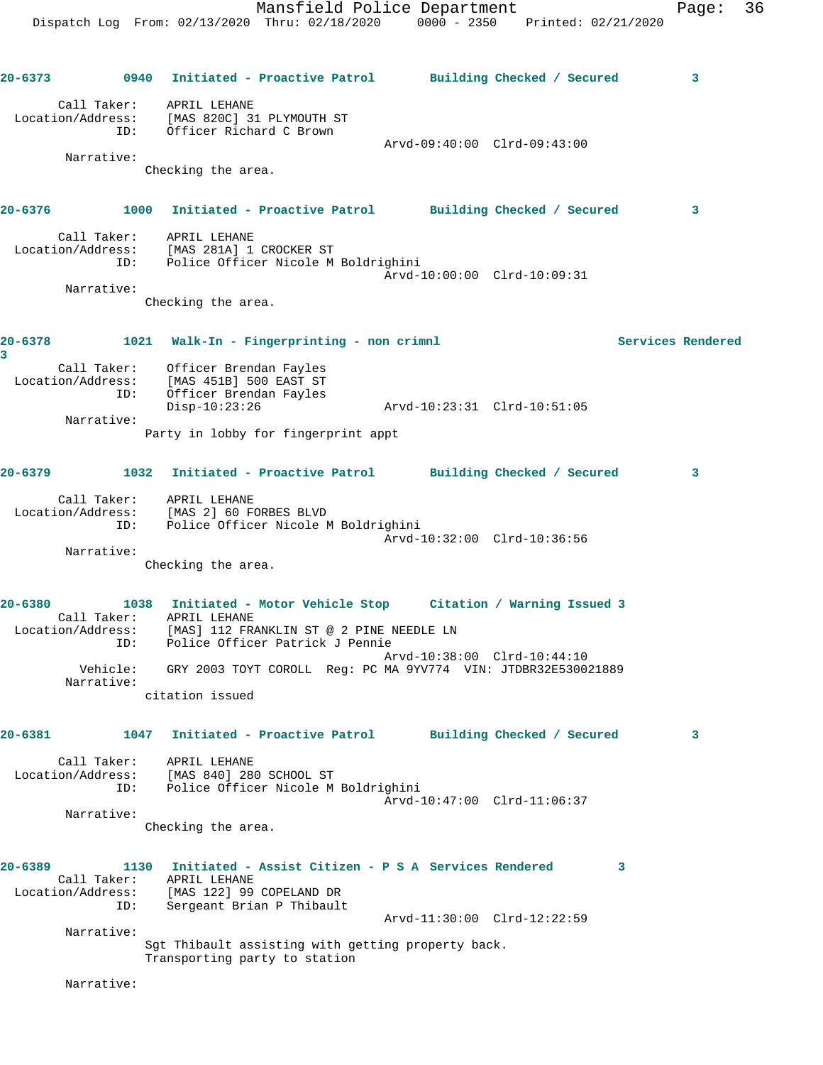Dispatch Log From: 02/13/2020 Thru: 02/18/2020 0000 - 2350 Printed: 02/21/2020 **20-6373 0940 Initiated - Proactive Patrol Building Checked / Secured 3** Call Taker: APRIL LEHANE Location/Address: [MAS 820C] 31 PLYMOUTH ST ID: Officer Richard C Brown Arvd-09:40:00 Clrd-09:43:00 Narrative: Checking the area. **20-6376 1000 Initiated - Proactive Patrol Building Checked / Secured 3** Call Taker: APRIL LEHANE Location/Address: [MAS 281A] 1 CROCKER ST ID: Police Officer Nicole M Boldrighini Arvd-10:00:00 Clrd-10:09:31 Narrative: Checking the area. **20-6378 1021 Walk-In - Fingerprinting - non crimnl Services Rendered 3**  Call Taker: Officer Brendan Fayles Location/Address: [MAS 451B] 500 EAST ST ID: Officer Brendan Fayles Disp-10:23:26 Arvd-10:23:31 Clrd-10:51:05 Narrative: Party in lobby for fingerprint appt **20-6379 1032 Initiated - Proactive Patrol Building Checked / Secured 3** Call Taker: APRIL LEHANE Location/Address: [MAS 2] 60 FORBES BLVD ID: Police Officer Nicole M Boldrighini Arvd-10:32:00 Clrd-10:36:56 Narrative: Checking the area. **20-6380 1038 Initiated - Motor Vehicle Stop Citation / Warning Issued 3**  Call Taker: APRIL LEHANE Location/Address: [MAS] 112 FRANKLIN ST @ 2 PINE NEEDLE LN ID: Police Officer Patrick J Pennie Arvd-10:38:00 Clrd-10:44:10 Vehicle: GRY 2003 TOYT COROLL Reg: PC MA 9YV774 VIN: JTDBR32E530021889 Narrative: citation issued **20-6381 1047 Initiated - Proactive Patrol Building Checked / Secured 3** Call Taker: APRIL LEHANE Location/Address: [MAS 840] 280 SCHOOL ST ID: Police Officer Nicole M Boldrighini Arvd-10:47:00 Clrd-11:06:37 Narrative: Checking the area. **20-6389 1130 Initiated - Assist Citizen - P S A Services Rendered 3**  Call Taker: APRIL LEHANE Location/Address: [MAS 122] 99 COPELAND DR ID: Sergeant Brian P Thibault Arvd-11:30:00 Clrd-12:22:59 Narrative: Sgt Thibault assisting with getting property back. Transporting party to station

Narrative:

Mansfield Police Department Fage: 36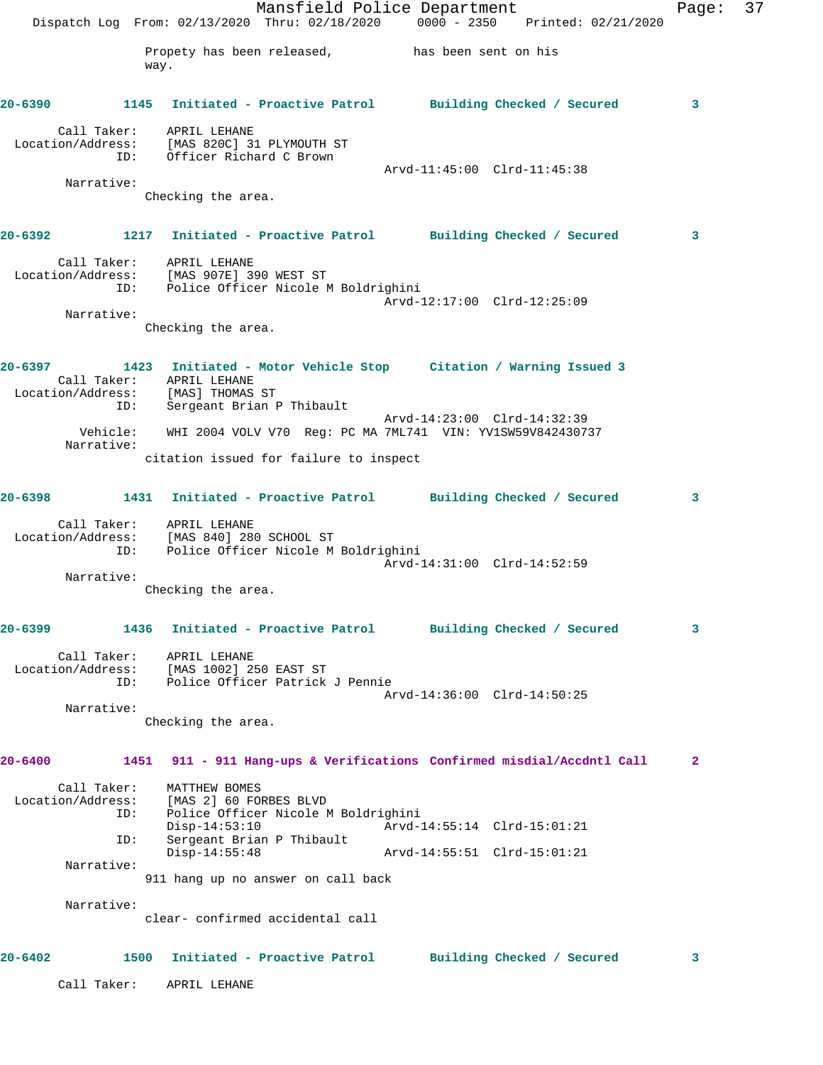|         |                                         |                                                                                                                 | Mansfield Police Department                     |                             | Dispatch Log From: 02/13/2020 Thru: 02/18/2020 0000 - 2350 Printed: 02/21/2020            | Page: | 37 |
|---------|-----------------------------------------|-----------------------------------------------------------------------------------------------------------------|-------------------------------------------------|-----------------------------|-------------------------------------------------------------------------------------------|-------|----|
|         |                                         | way.                                                                                                            | Propety has been released, has been sent on his |                             |                                                                                           |       |    |
|         |                                         |                                                                                                                 |                                                 |                             | 20-6390 1145 Initiated - Proactive Patrol Building Checked / Secured                      | 3     |    |
|         | ID:                                     | Call Taker: APRIL LEHANE<br>Location/Address: [MAS 820C] 31 PLYMOUTH ST<br>Officer Richard C Brown              |                                                 |                             |                                                                                           |       |    |
|         | Narrative:                              |                                                                                                                 |                                                 | Arvd-11:45:00 Clrd-11:45:38 |                                                                                           |       |    |
|         |                                         | Checking the area.                                                                                              |                                                 |                             |                                                                                           |       |    |
|         |                                         |                                                                                                                 |                                                 |                             | 20-6392 1217 Initiated - Proactive Patrol Building Checked / Secured                      | 3     |    |
|         |                                         | Call Taker: APRIL LEHANE<br>Location/Address: [MAS 907E] 390 WEST ST<br>ID: Police Officer Nicole M Boldrighini |                                                 |                             | Arvd-12:17:00 Clrd-12:25:09                                                               |       |    |
|         | Narrative:                              | Checking the area.                                                                                              |                                                 |                             |                                                                                           |       |    |
|         |                                         |                                                                                                                 |                                                 |                             |                                                                                           |       |    |
| 20-6397 | ID:                                     | Call Taker: APRIL LEHANE<br>Location/Address: [MAS] THOMAS ST<br>Sergeant Brian P Thibault                      |                                                 |                             | 1423 Initiated - Motor Vehicle Stop Citation / Warning Issued 3                           |       |    |
|         | Vehicle:<br>Narrative:                  |                                                                                                                 |                                                 |                             | Arvd-14:23:00 Clrd-14:32:39<br>WHI 2004 VOLV V70 Reg: PC MA 7ML741 VIN: YV1SW59V842430737 |       |    |
|         |                                         | citation issued for failure to inspect                                                                          |                                                 |                             |                                                                                           |       |    |
|         |                                         |                                                                                                                 |                                                 |                             | 20-6398 1431 Initiated - Proactive Patrol Building Checked / Secured                      | 3     |    |
|         | ID:                                     | Call Taker: APRIL LEHANE<br>Location/Address: [MAS 840] 280 SCHOOL ST                                           | Police Officer Nicole M Boldrighini             |                             |                                                                                           |       |    |
|         | Narrative:                              |                                                                                                                 |                                                 |                             | Arvd-14:31:00 Clrd-14:52:59                                                               |       |    |
|         |                                         | Checking the area.                                                                                              |                                                 |                             |                                                                                           |       |    |
| 20-6399 |                                         |                                                                                                                 |                                                 |                             | 1436 Initiated - Proactive Patrol Building Checked / Secured                              | 3     |    |
|         | ID:                                     | Call Taker: APRIL LEHANE<br>Location/Address: [MAS 1002] 250 EAST ST                                            | Police Officer Patrick J Pennie                 |                             | Arvd-14:36:00 Clrd-14:50:25                                                               |       |    |
|         | Narrative:                              | Checking the area.                                                                                              |                                                 |                             |                                                                                           |       |    |
|         |                                         |                                                                                                                 |                                                 |                             |                                                                                           |       |    |
| 20-6400 |                                         |                                                                                                                 |                                                 |                             | 1451 911 - 911 Hang-ups & Verifications Confirmed misdial/Accdntl Call                    | 2     |    |
|         | Call Taker:<br>Location/Address:<br>ID: | MATTHEW BOMES<br>[MAS 2] 60 FORBES BLVD<br>$Disp-14:53:10$                                                      | Police Officer Nicole M Boldrighini             |                             | Arvd-14:55:14 Clrd-15:01:21                                                               |       |    |
|         | ID:                                     | $Disp-14:55:48$                                                                                                 | Sergeant Brian P Thibault                       |                             |                                                                                           |       |    |
|         | Narrative:                              |                                                                                                                 | 911 hang up no answer on call back              |                             |                                                                                           |       |    |
|         | Narrative:                              |                                                                                                                 | clear- confirmed accidental call                |                             |                                                                                           |       |    |
| 20-6402 |                                         | 1500 Initiated - Proactive Patrol                                                                               |                                                 |                             | Building Checked / Secured                                                                | 3     |    |
|         | Call Taker:                             | APRIL LEHANE                                                                                                    |                                                 |                             |                                                                                           |       |    |
|         |                                         |                                                                                                                 |                                                 |                             |                                                                                           |       |    |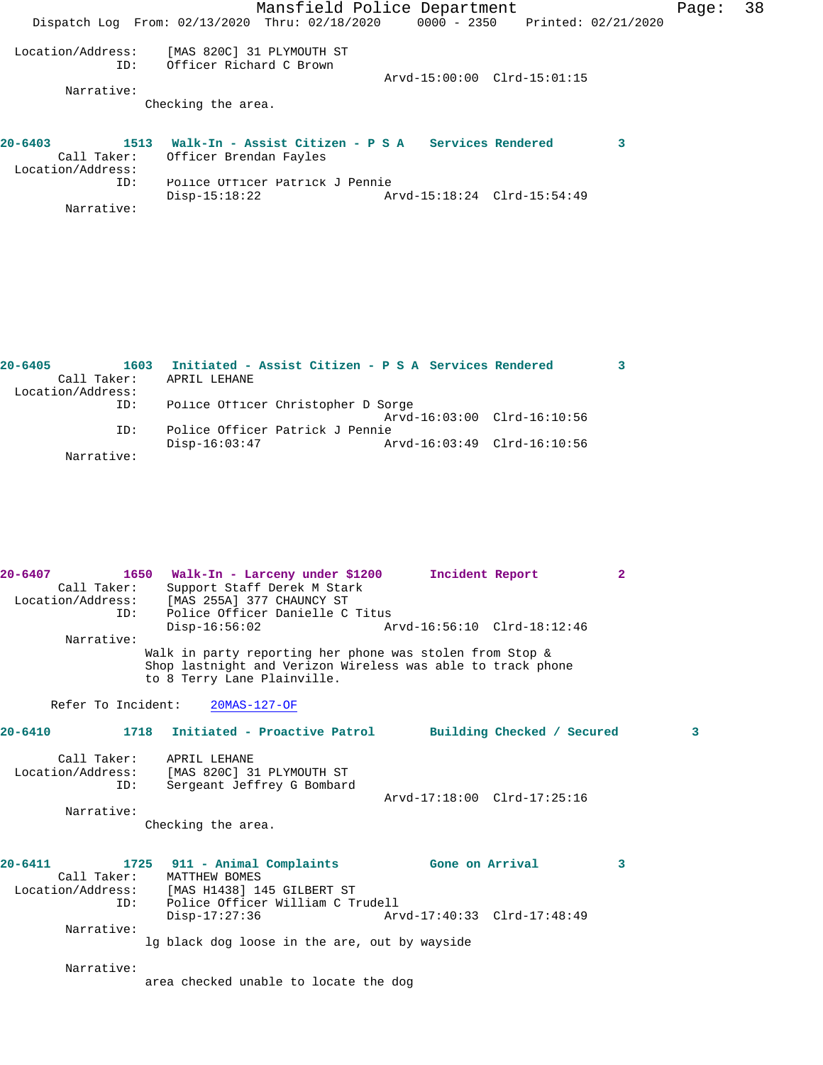|                                    | Mansfield Police Department<br>Dispatch Log From: 02/13/2020 Thru: 02/18/2020 |                             | 0000 - 2350 Printed: 02/21/2020 | 38<br>Page: |
|------------------------------------|-------------------------------------------------------------------------------|-----------------------------|---------------------------------|-------------|
| Location/Address:<br>ID:           | [MAS 820C] 31 PLYMOUTH ST<br>Officer Richard C Brown                          | Arvd-15:00:00 Clrd-15:01:15 |                                 |             |
| Narrative:                         |                                                                               |                             |                                 |             |
|                                    | Checking the area.                                                            |                             |                                 |             |
| $20 - 6403$<br>1513<br>Call Taker: | Walk-In - Assist Citizen - P S A Services Rendered                            |                             |                                 | 3           |
| Location/Address:                  | Officer Brendan Fayles                                                        |                             |                                 |             |
| ID:                                | Police Officer Patrick J Pennie                                               |                             |                                 |             |
|                                    | $Disp-15:18:22$                                                               | Arvd-15:18:24 Clrd-15:54:49 |                                 |             |
| Narrative:                         |                                                                               |                             |                                 |             |

| $20 - 6405$ | 1603              | Initiated - Assist Citizen - P S A Services Rendered |  |
|-------------|-------------------|------------------------------------------------------|--|
|             | Call Taker:       | APRIL LEHANE                                         |  |
|             | Location/Address: |                                                      |  |
|             | ID:               | Police Officer Christopher D Sorge                   |  |
|             |                   | Arvd-16:03:00 Clrd-16:10:56                          |  |
|             | ID:               | Police Officer Patrick J Pennie                      |  |
|             |                   | Arvd-16:03:49 Clrd-16:10:56<br>$Disp-16:03:47$       |  |
|             | Narrative:        |                                                      |  |

| $20 - 6407$<br>Call Taker:<br>TD: | 1650 Walk-In - Larceny under \$1200<br>Support Staff Derek M Stark<br>Location/Address: [MAS 255A] 377 CHAUNCY ST<br>Police Officer Danielle C Titus             | Incident Report                                | $\overline{2}$ |  |
|-----------------------------------|------------------------------------------------------------------------------------------------------------------------------------------------------------------|------------------------------------------------|----------------|--|
|                                   | $Disp-16:56:02$                                                                                                                                                  | Arvd-16:56:10 Clrd-18:12:46                    |                |  |
| Narrative:                        | Walk in party reporting her phone was stolen from Stop &<br>Shop lastnight and Verizon Wireless was able to track phone<br>to 8 Terry Lane Plainville.           |                                                |                |  |
| Refer To Incident:                | $20MAS-127-OF$                                                                                                                                                   |                                                |                |  |
| 20-6410                           | 1718 Initiated - Proactive Patrol         Building Checked / Secured                                                                                             |                                                | 3              |  |
| ID:<br>Narrative:                 | Call Taker: APRIL LEHANE<br>Location/Address: [MAS 820C] 31 PLYMOUTH ST<br>Sergeant Jeffrey G Bombard<br>Checking the area.                                      | Arvd-17:18:00 Clrd-17:25:16                    |                |  |
| $20 - 6411$<br>ID:<br>Narrative:  | 1725 911 - Animal Complaints<br>Call Taker: MATTHEW BOMES<br>Location/Address: [MAS H1438] 145 GILBERT ST<br>Police Officer William C Trudell<br>$Disp-17:27:36$ | Gone on Arrival<br>Arvd-17:40:33 Clrd-17:48:49 | 3              |  |
|                                   | lg black dog loose in the are, out by wayside                                                                                                                    |                                                |                |  |
| Narrative:                        | area checked unable to locate the dog                                                                                                                            |                                                |                |  |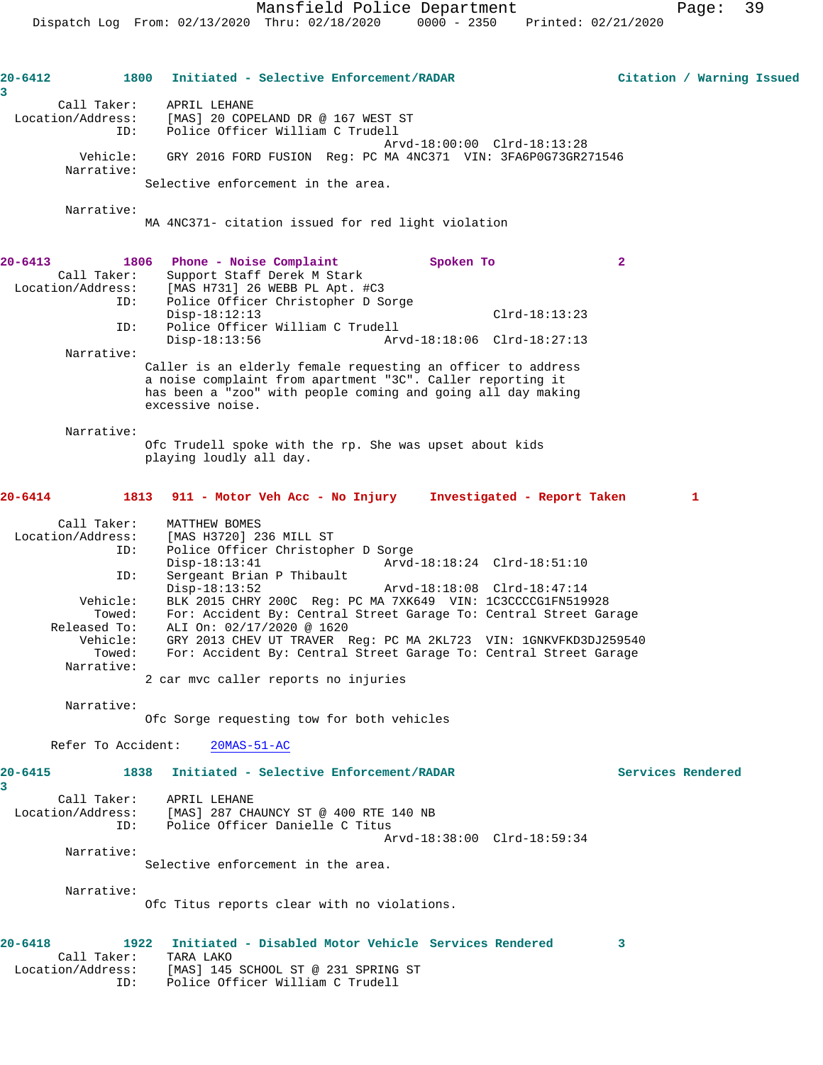**20-6412 1800 Initiated - Selective Enforcement/RADAR Citation / Warning Issued 3**  Call Taker: APRIL LEHANE Location/Address: [MAS] 20 COPELAND DR @ 167 WEST ST ID: Police Officer William C Trudell Arvd-18:00:00 Clrd-18:13:28 Vehicle: GRY 2016 FORD FUSION Reg: PC MA 4NC371 VIN: 3FA6P0G73GR271546 Narrative: Selective enforcement in the area. Narrative: MA 4NC371- citation issued for red light violation **20-6413 1806 Phone - Noise Complaint Spoken To 2**  Call Taker: Support Staff Derek M Stark Location/Address: [MAS H731] 26 WEBB PL Apt. #C3 ID: Police Officer Christopher D Sorge Disp-18:12:13<br>ID: Police Officer William C Trudell<br>D: Police Officer William C Trudell Police Officer William C Trudell<br>Disp-18:13:56 Arv Arvd-18:18:06 Clrd-18:27:13 Narrative: Caller is an elderly female requesting an officer to address a noise complaint from apartment "3C". Caller reporting it has been a "zoo" with people coming and going all day making excessive noise. Narrative: Ofc Trudell spoke with the rp. She was upset about kids playing loudly all day. **20-6414 1813 911 - Motor Veh Acc - No Injury Investigated - Report Taken 1** Call Taker: MATTHEW BOMES Location/Address: [MAS H3720] 236 MILL ST ID: Police Officer Christopher D Sorge Disp-18:13:41 Arvd-18:18:24 Clrd-18:51:10 ID: Sergeant Brian P Thibault Disp-18:13:52 Arvd-18:18:08 Clrd-18:47:14 Vehicle: BLK 2015 CHRY 200C Reg: PC MA 7XK649 VIN: 1C3CCCCG1FN519928 Towed: For: Accident By: Central Street Garage To: Central Street Garage Released To: ALI On: 02/17/2020 @ 1620 Vehicle: GRY 2013 CHEV UT TRAVER Reg: PC MA 2KL723 VIN: 1GNKVFKD3DJ259540 Towed: For: Accident By: Central Street Garage To: Central Street Garage Narrative: 2 car mvc caller reports no injuries Narrative: Ofc Sorge requesting tow for both vehicles Refer To Accident: 20MAS-51-AC **20-6415 1838 Initiated - Selective Enforcement/RADAR Services Rendered 3**  Call Taker: APRIL LEHANE Location/Address: [MAS] 287 CHAUNCY ST @ 400 RTE 140 NB ID: Police Officer Danielle C Titus Arvd-18:38:00 Clrd-18:59:34 Narrative: Selective enforcement in the area. Narrative: Ofc Titus reports clear with no violations. **20-6418 1922 Initiated - Disabled Motor Vehicle Services Rendered 3**  Call Taker: TARA LAKO Location/Address: [MAS] 145 SCHOOL ST @ 231 SPRING ST ID: Police Officer William C Trudell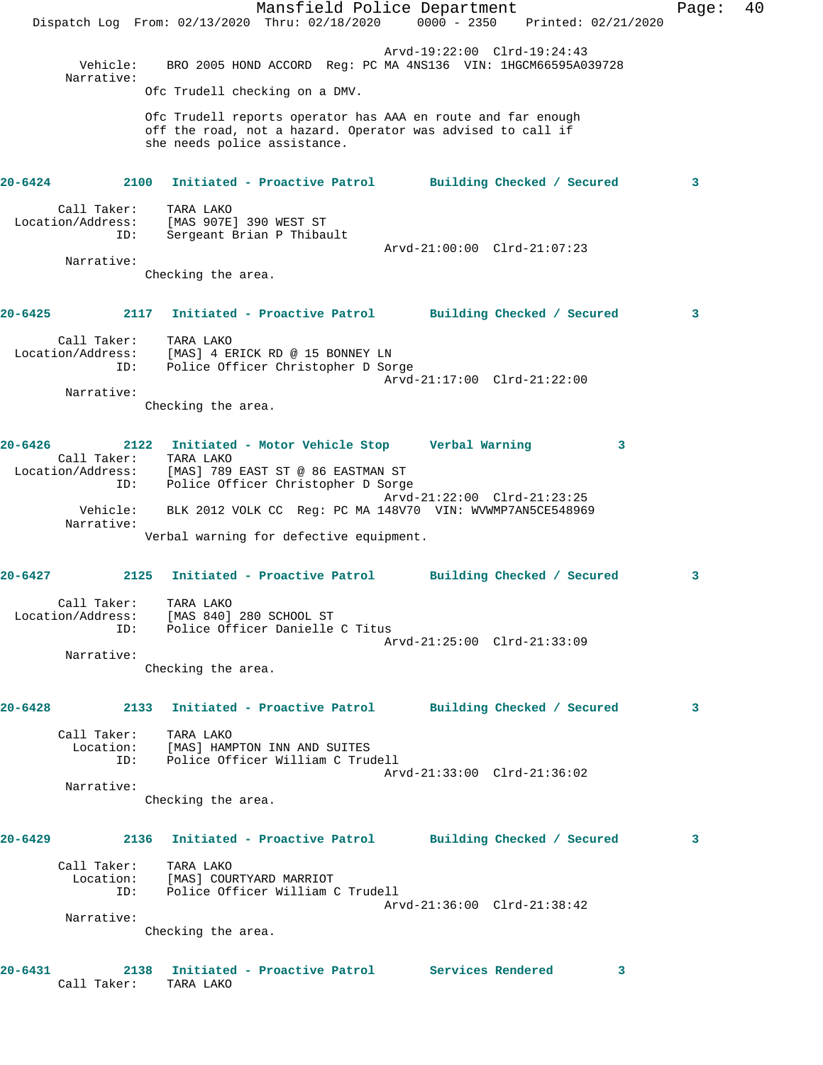Mansfield Police Department Fage: 40 Dispatch Log From: 02/13/2020 Thru: 02/18/2020 0000 - 2350 Printed: 02/21/2020 Arvd-19:22:00 Clrd-19:24:43 Vehicle: BRO 2005 HOND ACCORD Reg: PC MA 4NS136 VIN: 1HGCM66595A039728 Narrative: Ofc Trudell checking on a DMV. Ofc Trudell reports operator has AAA en route and far enough off the road, not a hazard. Operator was advised to call if she needs police assistance. **20-6424 2100 Initiated - Proactive Patrol Building Checked / Secured 3** Call Taker: TARA LAKO Location/Address: [MAS 907E] 390 WEST ST ID: Sergeant Brian P Thibault Arvd-21:00:00 Clrd-21:07:23 Narrative: Checking the area. **20-6425 2117 Initiated - Proactive Patrol Building Checked / Secured 3** Call Taker: TARA LAKO Location/Address: [MAS] 4 ERICK RD @ 15 BONNEY LN ID: Police Officer Christopher D Sorge Arvd-21:17:00 Clrd-21:22:00 Narrative: Checking the area. **20-6426 2122 Initiated - Motor Vehicle Stop Verbal Warning 3**  Call Taker: TARA LAKO Location/Address: [MAS] 789 EAST ST @ 86 EASTMAN ST ID: Police Officer Christopher D Sorge Arvd-21:22:00 Clrd-21:23:25 Vehicle: BLK 2012 VOLK CC Reg: PC MA 148V70 VIN: WVWMP7AN5CE548969 Narrative: Verbal warning for defective equipment. **20-6427 2125 Initiated - Proactive Patrol Building Checked / Secured 3** Call Taker: TARA LAKO Location/Address: [MAS 840] 280 SCHOOL ST ID: Police Officer Danielle C Titus Arvd-21:25:00 Clrd-21:33:09 Narrative: Checking the area. **20-6428 2133 Initiated - Proactive Patrol Building Checked / Secured 3** Call Taker: TARA LAKO Location: [MAS] HAMPTON INN AND SUITES ID: Police Officer William C Trudell Arvd-21:33:00 Clrd-21:36:02 Narrative: Checking the area. **20-6429 2136 Initiated - Proactive Patrol Building Checked / Secured 3** Call Taker: TARA LAKO Location: [MAS] COURTYARD MARRIOT ID: Police Officer William C Trudell Arvd-21:36:00 Clrd-21:38:42 Narrative: Checking the area. **20-6431 2138 Initiated - Proactive Patrol Services Rendered 3**  Call Taker: TARA LAKO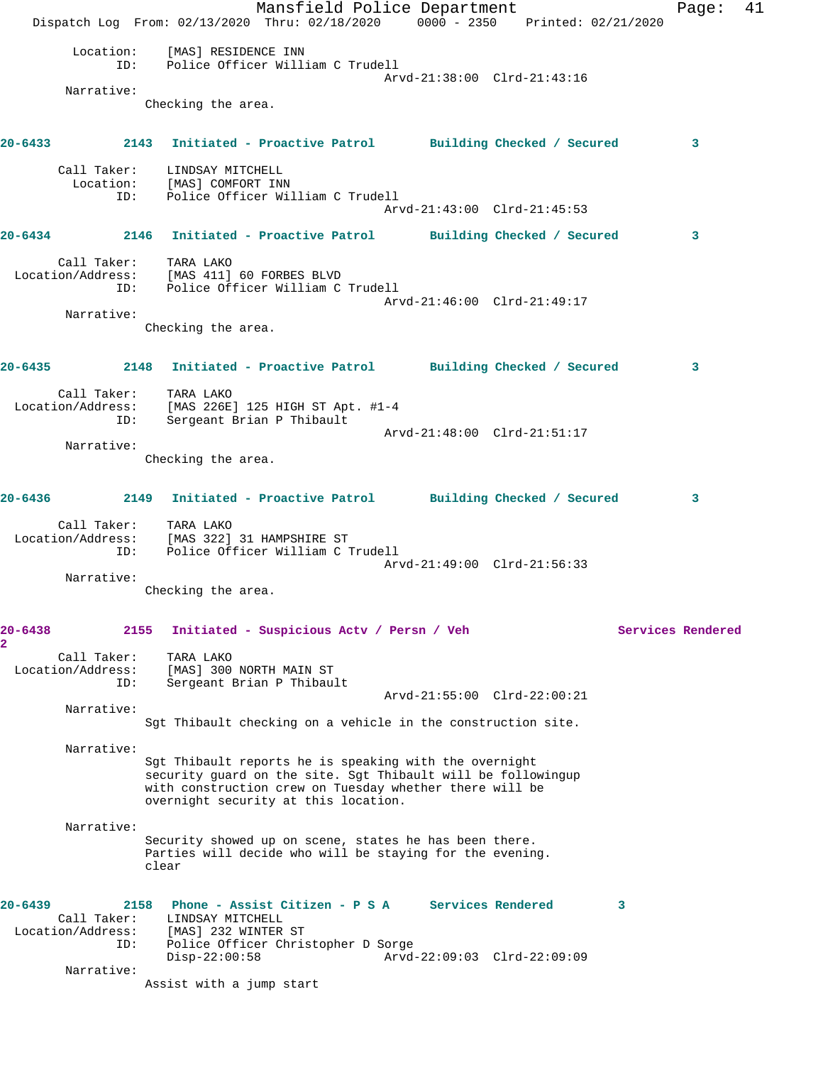Mansfield Police Department Fage: 41 Dispatch Log From: 02/13/2020 Thru: 02/18/2020 0000 - 2350 Printed: 02/21/2020 Location: [MAS] RESIDENCE INN ID: Police Officer William C Trudell Arvd-21:38:00 Clrd-21:43:16 Narrative: Checking the area. **20-6433 2143 Initiated - Proactive Patrol Building Checked / Secured 3** Call Taker: LINDSAY MITCHELL Location: [MAS] COMFORT INN ID: Police Officer William C Trudell Arvd-21:43:00 Clrd-21:45:53 **20-6434 2146 Initiated - Proactive Patrol Building Checked / Secured 3** Call Taker: TARA LAKO Location/Address: [MAS 411] 60 FORBES BLVD ID: Police Officer William C Trudell Arvd-21:46:00 Clrd-21:49:17 Narrative: Checking the area. **20-6435 2148 Initiated - Proactive Patrol Building Checked / Secured 3** Call Taker: TARA LAKO Location/Address: [MAS 226E] 125 HIGH ST Apt. #1-4 ID: Sergeant Brian P Thibault Arvd-21:48:00 Clrd-21:51:17 Narrative: Checking the area. **20-6436 2149 Initiated - Proactive Patrol Building Checked / Secured 3** Call Taker: TARA LAKO Location/Address: [MAS 322] 31 HAMPSHIRE ST Police Officer William C Trudell Arvd-21:49:00 Clrd-21:56:33 Narrative: Checking the area. 20-6438 2155 Initiated - Suspicious Actv / Persn / Veh Services Rendered **2**  Call Taker: TARA LAKO Location/Address: [MAS] 300 NORTH MAIN ST ID: Sergeant Brian P Thibault Arvd-21:55:00 Clrd-22:00:21 Narrative: Sgt Thibault checking on a vehicle in the construction site. Narrative: Sgt Thibault reports he is speaking with the overnight security guard on the site. Sgt Thibault will be followingup with construction crew on Tuesday whether there will be overnight security at this location. Narrative: Security showed up on scene, states he has been there. Parties will decide who will be staying for the evening. clear **20-6439 2158 Phone - Assist Citizen - P S A Services Rendered 3**  Call Taker: LINDSAY MITCHELL Location/Address: [MAS] 232 WINTER ST ID: Police Officer Christopher D Sorge Disp-22:00:58 Arvd-22:09:03 Clrd-22:09:09 Narrative: Assist with a jump start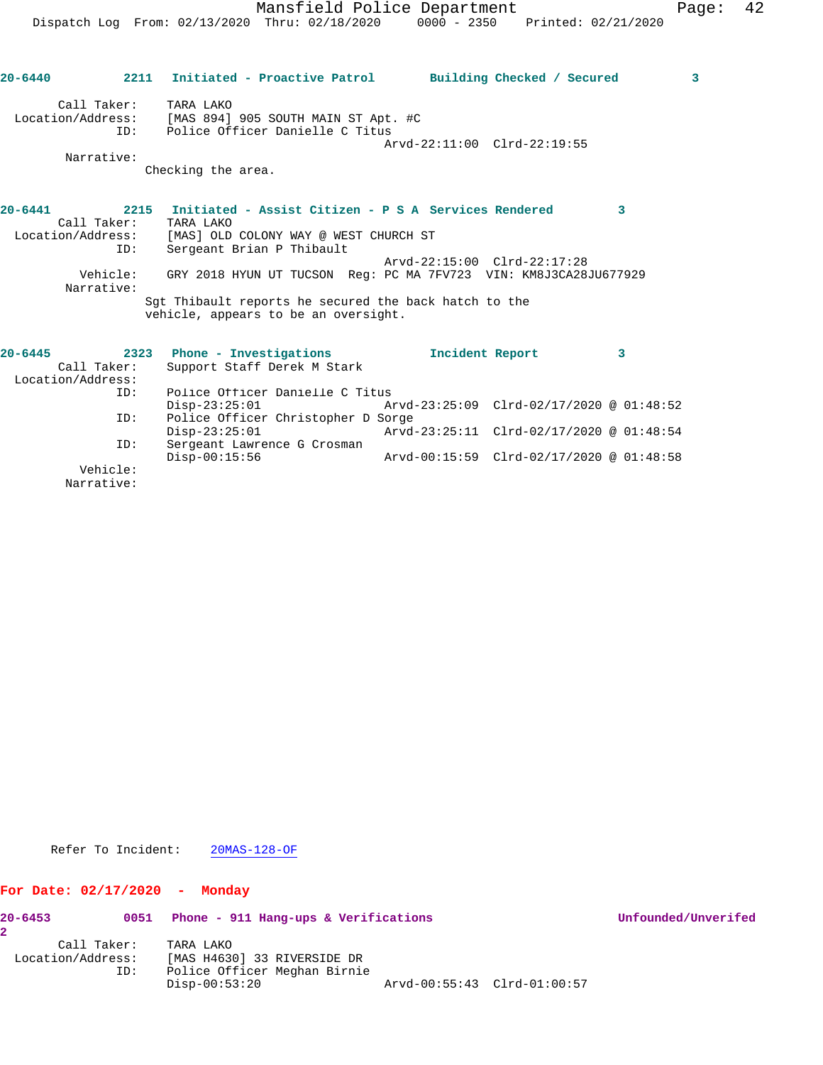| $20 - 6440$       |                        | 2211 Initiated - Proactive Patrol                                                             |                             | Building Checked / Secured               | 3 |
|-------------------|------------------------|-----------------------------------------------------------------------------------------------|-----------------------------|------------------------------------------|---|
| Location/Address: | Call Taker:<br>TD:     | TARA LAKO<br>[MAS 894] 905 SOUTH MAIN ST Apt. #C<br>Police Officer Danielle C Titus           | Arvd-22:11:00 Clrd-22:19:55 |                                          |   |
|                   | Narrative:             |                                                                                               |                             |                                          |   |
|                   |                        | Checking the area.                                                                            |                             |                                          |   |
| $20 - 6441$       | Call Taker:            | 2215 Initiated - Assist Citizen - P S A Services Rendered<br>TARA LAKO                        |                             |                                          | 3 |
| Location/Address: |                        | [MAS] OLD COLONY WAY @ WEST CHURCH ST                                                         |                             |                                          |   |
|                   | ID:                    | Sergeant Brian P Thibault                                                                     |                             |                                          |   |
|                   | Vehicle:<br>Narrative: | GRY 2018 HYUN UT TUCSON Req: PC MA 7FV723 VIN: KM8J3CA28JU677929                              | Arvd-22:15:00 Clrd-22:17:28 |                                          |   |
|                   |                        | Sqt Thibault reports he secured the back hatch to the<br>vehicle, appears to be an oversight. |                             |                                          |   |
| $20 - 6445$       |                        |                                                                                               |                             |                                          |   |
|                   | Call Taker:            | 2323 Phone - Investigations<br>Support Staff Derek M Stark                                    | Incident Report             |                                          | 3 |
| Location/Address: |                        |                                                                                               |                             |                                          |   |
|                   | ID:                    | Police Officer Danielle C Titus                                                               |                             |                                          |   |
|                   |                        | $Disp-23:25:01$                                                                               |                             | Arvd-23:25:09 Clrd-02/17/2020 @ 01:48:52 |   |
|                   | ID:                    | Police Officer Christopher D Sorge                                                            |                             |                                          |   |
|                   |                        | $Disp-23:25:01$                                                                               |                             | Arvd-23:25:11 Clrd-02/17/2020 @ 01:48:54 |   |
|                   | ID:                    | Sergeant Lawrence G Crosman                                                                   |                             |                                          |   |
|                   |                        | $Disp-00:15:56$                                                                               |                             | Arvd-00:15:59 Clrd-02/17/2020 @ 01:48:58 |   |
|                   | Vehicle:               |                                                                                               |                             |                                          |   |
|                   | Narrative:             |                                                                                               |                             |                                          |   |

Refer To Incident: 20MAS-128-OF

## **For Date: 02/17/2020 - Monday**

| $20 - 6453$ | 0051                                    | Phone - 911 Hang-ups & Verifications                                                        |                             | Unfounded/Unverifed |
|-------------|-----------------------------------------|---------------------------------------------------------------------------------------------|-----------------------------|---------------------|
|             | Call Taker:<br>Location/Address:<br>ID: | TARA LAKO<br>[MAS H4630] 33 RIVERSIDE DR<br>Police Officer Meghan Birnie<br>$Disp-00:53:20$ | Arvd-00:55:43 Clrd-01:00:57 |                     |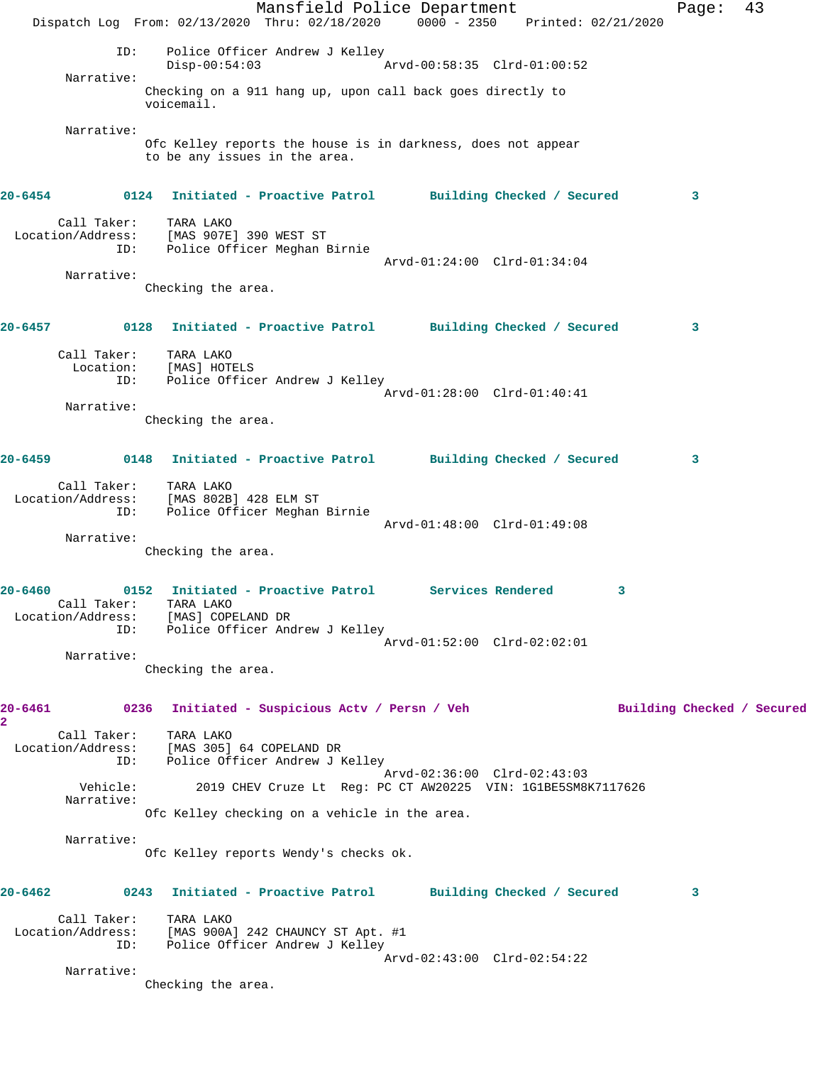Mansfield Police Department Fage: 43 Dispatch Log From: 02/13/2020 Thru: 02/18/2020 0000 - 2350 Printed: 02/21/2020 ID: Police Officer Andrew J Kelley  $Disp-00:54:03$  Narrative: Checking on a 911 hang up, upon call back goes directly to voicemail. Narrative: Ofc Kelley reports the house is in darkness, does not appear to be any issues in the area. **20-6454 0124 Initiated - Proactive Patrol Building Checked / Secured 3** Call Taker: TARA LAKO Location/Address: [MAS 907E] 390 WEST ST ID: Police Officer Meghan Birnie Arvd-01:24:00 Clrd-01:34:04 Narrative: Checking the area. **20-6457 0128 Initiated - Proactive Patrol Building Checked / Secured 3** Call Taker: TARA LAKO Location: [MAS] HOTELS ID: Police Officer Andrew J Kelley Arvd-01:28:00 Clrd-01:40:41 Narrative: Checking the area. **20-6459 0148 Initiated - Proactive Patrol Building Checked / Secured 3** Call Taker: TARA LAKO Location/Address: [MAS 802B] 428 ELM ST ID: Police Officer Meghan Birnie Arvd-01:48:00 Clrd-01:49:08 Narrative: Checking the area. **20-6460 0152 Initiated - Proactive Patrol Services Rendered 3**  Call Taker: TARA LAKO Location/Address: [MAS] COPELAND DR ID: Police Officer Andrew J Kelley Arvd-01:52:00 Clrd-02:02:01 Narrative: Checking the area. 20-6461 0236 Initiated - Suspicious Actv / Persn / Veh Building Checked / Secured **2**  Call Taker: TARA LAKO Location/Address: [MAS 305] 64 COPELAND DR ID: Police Officer Andrew J Kelley Arvd-02:36:00 Clrd-02:43:03 Vehicle: 2019 CHEV Cruze Lt Reg: PC CT AW20225 VIN: 1G1BE5SM8K7117626 Narrative: Ofc Kelley checking on a vehicle in the area. Narrative: Ofc Kelley reports Wendy's checks ok. **20-6462 0243 Initiated - Proactive Patrol Building Checked / Secured 3** Call Taker: TARA LAKO Location/Address: [MAS 900A] 242 CHAUNCY ST Apt. #1 ID: Police Officer Andrew J Kelley Arvd-02:43:00 Clrd-02:54:22 Narrative: Checking the area.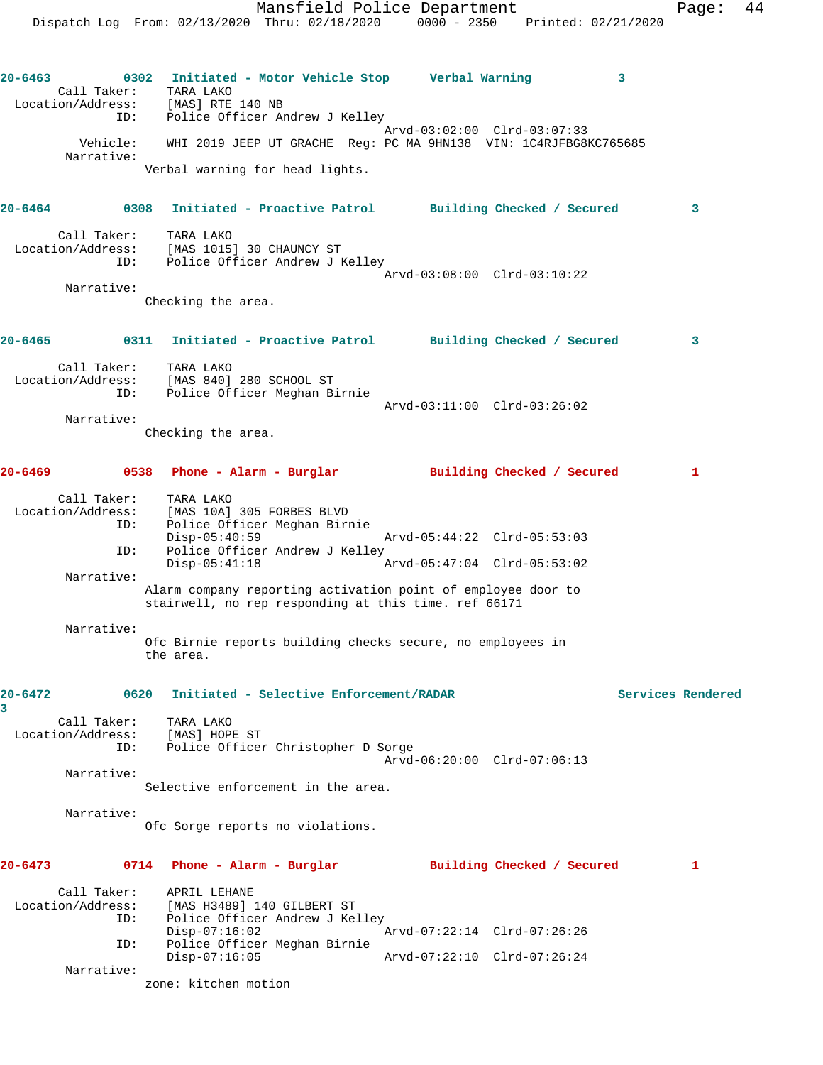**20-6463 0302 Initiated - Motor Vehicle Stop Verbal Warning 3**  Call Taker: TARA LAKO Location/Address: [MAS] RTE 140 NB ID: Police Officer Andrew J Kelley Arvd-03:02:00 Clrd-03:07:33 Vehicle: WHI 2019 JEEP UT GRACHE Reg: PC MA 9HN138 VIN: 1C4RJFBG8KC765685 Narrative: Verbal warning for head lights.

**20-6464 0308 Initiated - Proactive Patrol Building Checked / Secured 3** Call Taker: TARA LAKO Location/Address: [MAS 1015] 30 CHAUNCY ST ID: Police Officer Andrew J Kelley Arvd-03:08:00 Clrd-03:10:22

 Narrative: Checking the area.

**20-6465 0311 Initiated - Proactive Patrol Building Checked / Secured 3** Call Taker: TARA LAKO Location/Address: [MAS 840] 280 SCHOOL ST ID: Police Officer Meghan Birnie Arvd-03:11:00 Clrd-03:26:02 Narrative:

Checking the area.

**20-6469 0538 Phone - Alarm - Burglar Building Checked / Secured 1** Call Taker: TARA LAKO Location/Address: [MAS 10A] 305 FORBES BLVD<br>ID: Police Officer Meghan Birr Police Officer Meghan Birnie Disp-05:40:59 Arvd-05:44:22 Clrd-05:53:03

ID: Police Officer Andrew J Kelley<br>Disp-05:41:18 Disp-05:41:18 Arvd-05:47:04 Clrd-05:53:02 Narrative: Alarm company reporting activation point of employee door to stairwell, no rep responding at this time. ref 66171

 Narrative: Ofc Birnie reports building checks secure, no employees in the area.

**20-6472 0620 Initiated - Selective Enforcement/RADAR Services Rendered 3** 

 Call Taker: TARA LAKO Location/Address: [MAS] HOPE ST ID: Police Officer Christopher D Sorge Arvd-06:20:00 Clrd-07:06:13 Narrative:

Selective enforcement in the area.

Narrative:

Ofc Sorge reports no violations.

**20-6473 0714 Phone - Alarm - Burglar Building Checked / Secured 1** Call Taker: APRIL LEHANE Location/Address: [MAS H3489] 140 GILBERT ST ID: Police Officer Andrew J Kelley Disp-07:16:02 Arvd-07:22:14 Clrd-07:26:26 ID: Police Officer Meghan Birnie Disp-07:16:05 Arvd-07:22:10 Clrd-07:26:24 Narrative:

zone: kitchen motion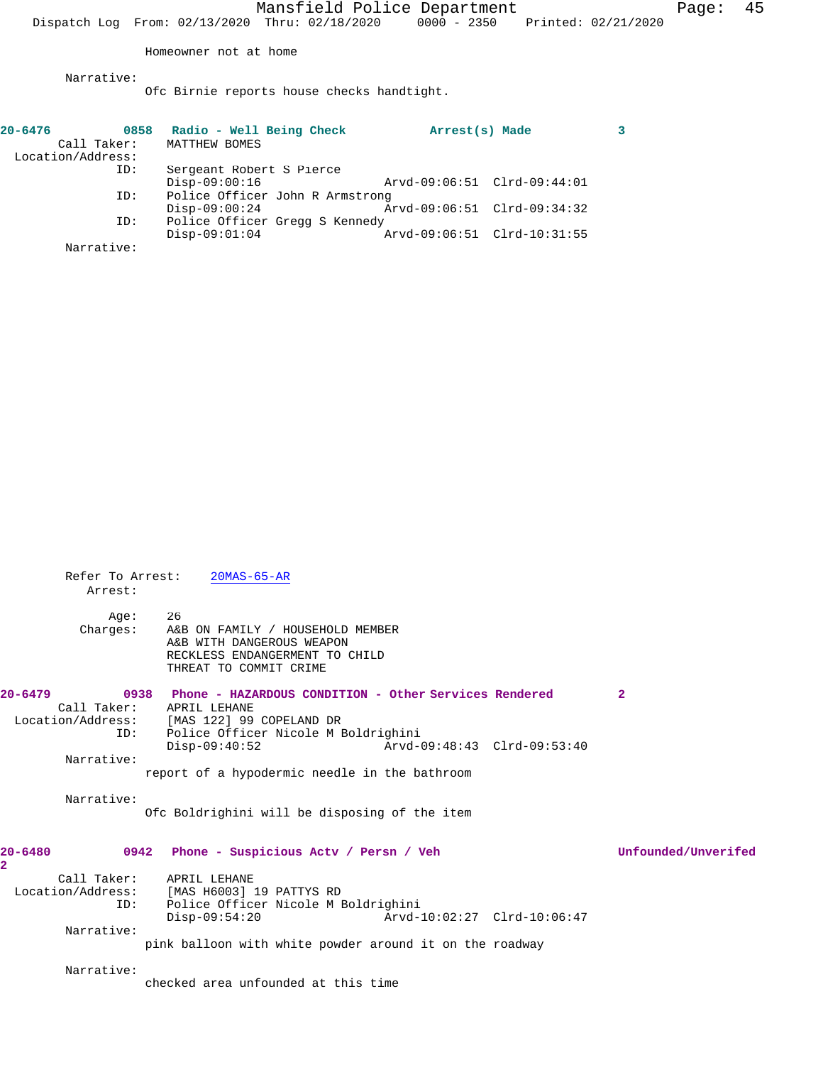Homeowner not at home

Ofc Birnie reports house checks handtight.

| $20 - 6476$       | 0858        | Radio - Well Being Check        | Arrest(s) Made              |  |
|-------------------|-------------|---------------------------------|-----------------------------|--|
|                   | Call Taker: | MATTHEW BOMES                   |                             |  |
| Location/Address: |             |                                 |                             |  |
|                   | ID:         | Sergeant Robert S Pierce        |                             |  |
|                   |             | $Disp-09:00:16$                 | Arvd-09:06:51 Clrd-09:44:01 |  |
|                   | ID:         | Police Officer John R Armstrong |                             |  |
|                   |             | $Disp-09:00:24$                 | Arvd-09:06:51 Clrd-09:34:32 |  |
|                   | ID:         | Police Officer Gregg S Kennedy  |                             |  |
|                   |             | $Disp-09:01:04$                 | Arvd-09:06:51 Clrd-10:31:55 |  |
|                   | Narrative:  |                                 |                             |  |

| Refer To Arrest:<br>Arrest: | $20MAS-65-AR$                                                                         |                     |
|-----------------------------|---------------------------------------------------------------------------------------|---------------------|
| Aqe:                        | 26                                                                                    |                     |
| Charges:                    | A&B ON FAMILY / HOUSEHOLD MEMBER                                                      |                     |
|                             | A&B WITH DANGEROUS WEAPON                                                             |                     |
|                             | RECKLESS ENDANGERMENT TO CHILD                                                        |                     |
|                             | THREAT TO COMMIT CRIME                                                                |                     |
| $20 - 6479$                 | 0938 Phone - HAZARDOUS CONDITION - Other Services Rendered                            | $\mathbf{2}$        |
| Call Taker:                 | APRIL LEHANE                                                                          |                     |
|                             | Location/Address: [MAS 122] 99 COPELAND DR                                            |                     |
| ID:                         | Police Officer Nicole M Boldrighini                                                   |                     |
|                             | $Disp-09:40:52$<br>Arvd-09:48:43 Clrd-09:53:40                                        |                     |
| Narrative:                  |                                                                                       |                     |
|                             | report of a hypodermic needle in the bathroom                                         |                     |
| Narrative:                  |                                                                                       |                     |
|                             | Ofc Boldrighini will be disposing of the item                                         |                     |
| 20-6480                     | 0942 Phone - Suspicious Acty / Persn / Veh                                            | Unfounded/Unverifed |
| $\overline{\mathbf{2}}$     |                                                                                       |                     |
|                             | Call Taker: APRIL LEHANE                                                              |                     |
|                             | Location/Address: [MAS H6003] 19 PATTYS RD                                            |                     |
| ID:                         | Police Officer Nicole M Boldrighini<br>$Disp-09:54:20$<br>Arvd-10:02:27 Clrd-10:06:47 |                     |
| Narrative:                  |                                                                                       |                     |
|                             | pink balloon with white powder around it on the roadway                               |                     |
|                             |                                                                                       |                     |
| Narrative:                  |                                                                                       |                     |
|                             | checked area unfounded at this time                                                   |                     |
|                             |                                                                                       |                     |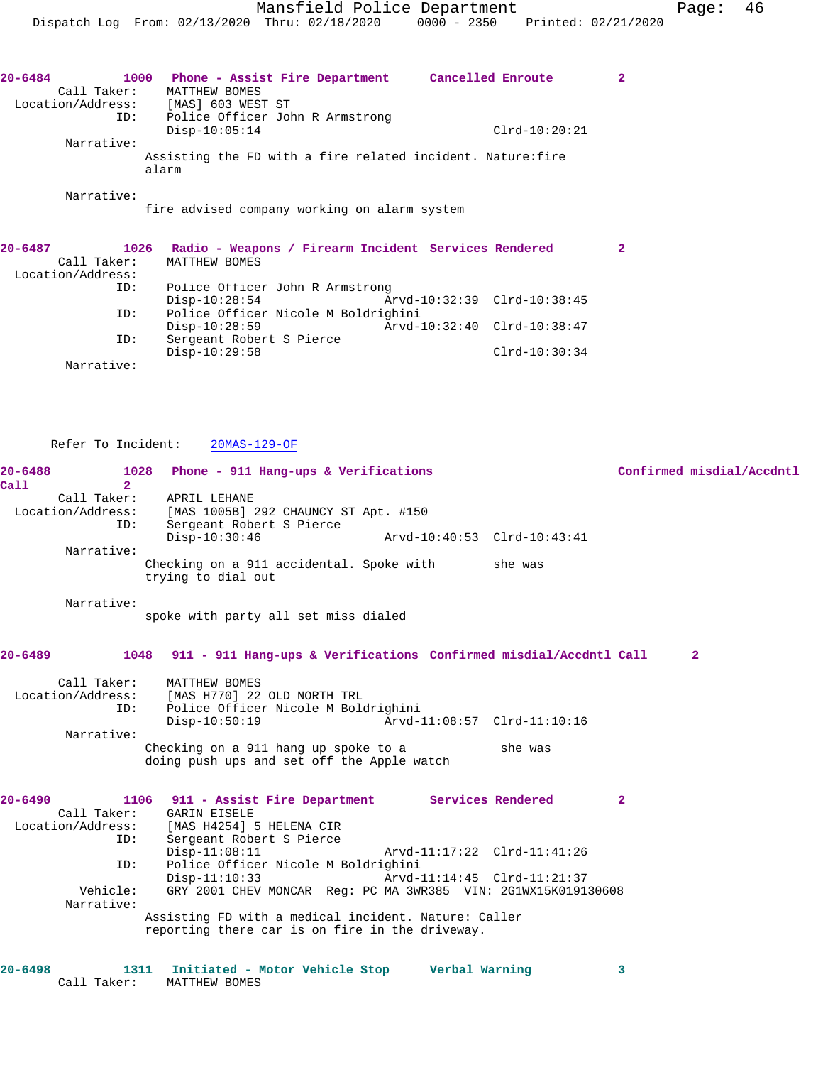| 20-6484           | Phone - Assist Fire Department<br>1000                               | Cancelled Enroute |  |
|-------------------|----------------------------------------------------------------------|-------------------|--|
| Call Taker:       | MATTHEW BOMES                                                        |                   |  |
| Location/Address: | [MAS] 603 WEST ST                                                    |                   |  |
|                   | Police Officer John R Armstrong<br>ID:                               |                   |  |
|                   | $Disp-10:05:14$                                                      | $Clrd-10:20:21$   |  |
| Narrative:        |                                                                      |                   |  |
|                   | Assisting the FD with a fire related incident. Nature: fire<br>alarm |                   |  |
| Narrative:        |                                                                      |                   |  |

fire advised company working on alarm system

| $20 - 6487$       | 1026        |                                     | Radio - Weapons / Firearm Incident Services Rendered |                             |  |
|-------------------|-------------|-------------------------------------|------------------------------------------------------|-----------------------------|--|
|                   | Call Taker: | MATTHEW BOMES                       |                                                      |                             |  |
| Location/Address: |             |                                     |                                                      |                             |  |
|                   | ID:         | Police Officer John R Armstrong     |                                                      |                             |  |
|                   |             | $Disp-10:28:54$                     |                                                      | Arvd-10:32:39 Clrd-10:38:45 |  |
|                   | ID:         | Police Officer Nicole M Boldrighini |                                                      |                             |  |
|                   |             | $Disp-10:28:59$                     |                                                      | Arvd-10:32:40 Clrd-10:38:47 |  |
|                   | ID:         | Sergeant Robert S Pierce            |                                                      |                             |  |
|                   |             | $Disp-10:29:58$                     |                                                      | $Clrd-10:30:34$             |  |
|                   | Narrative:  |                                     |                                                      |                             |  |

Refer To Incident: 20MAS-129-OF

| Ca11        | $20 - 6488$<br>2 <sup>1</sup> | Phone - 911 Hang-ups & Verifications<br>1028                           |              | Confirmed misdial/Accdntl |
|-------------|-------------------------------|------------------------------------------------------------------------|--------------|---------------------------|
|             | Call Taker:                   | APRIL LEHANE                                                           |              |                           |
|             |                               | Location/Address: [MAS 1005B] 292 CHAUNCY ST Apt. #150                 |              |                           |
|             | TD:                           | Sergeant Robert S Pierce                                               |              |                           |
|             |                               | $Disp-10:30:46$<br>Arvd-10:40:53 Clrd-10:43:41                         |              |                           |
|             | Narrative:                    |                                                                        |              |                           |
|             |                               | Checking on a 911 accidental. Spoke with she was                       |              |                           |
|             |                               | trying to dial out                                                     |              |                           |
|             | Narrative:                    |                                                                        |              |                           |
|             |                               | spoke with party all set miss dialed                                   |              |                           |
|             |                               |                                                                        |              |                           |
|             |                               |                                                                        |              |                           |
| $20 - 6489$ |                               | 1048 911 - 911 Hang-ups & Verifications Confirmed misdial/Accdntl Call |              | $\mathbf{2}$              |
|             | Call Taker:                   | MATTHEW BOMES                                                          |              |                           |
|             |                               | Location/Address: [MAS H770] 22 OLD NORTH TRL                          |              |                           |
|             | ID:                           | Police Officer Nicole M Boldrighini                                    |              |                           |
|             |                               | $Disp-10:50:19$<br>Arvd-11:08:57 Clrd-11:10:16                         |              |                           |
|             | Narrative:                    |                                                                        |              |                           |
|             |                               | Checking on a 911 hang up spoke to a<br>she was                        |              |                           |
|             |                               | doing push ups and set off the Apple watch                             |              |                           |
| $20 - 6490$ |                               | 1106 911 - Assist Fire Department Services Rendered                    | $\mathbf{2}$ |                           |
|             | Call Taker:                   | <b>GARIN EISELE</b>                                                    |              |                           |
|             |                               | Location/Address: [MAS H4254] 5 HELENA CIR                             |              |                           |
|             | ID:                           | Sergeant Robert S Pierce                                               |              |                           |
|             |                               | $Disp-11:08:11$<br>Arvd-11:17:22 Clrd-11:41:26                         |              |                           |
|             | ID:                           | Police Officer Nicole M Boldrighini                                    |              |                           |
|             |                               | $Disp-11:10:33$<br>Arvd-11:14:45 Clrd-11:21:37                         |              |                           |
|             | Vehicle:                      | GRY 2001 CHEV MONCAR Reg: PC MA 3WR385 VIN: 2G1WX15K019130608          |              |                           |
|             | Narrative:                    |                                                                        |              |                           |
|             |                               | Assisting FD with a medical incident. Nature: Caller                   |              |                           |
|             |                               | reporting there car is on fire in the driveway.                        |              |                           |
|             |                               |                                                                        |              |                           |
| $20 - 6498$ |                               | 1311 Initiated - Motor Vehicle Stop       Verbal Warning               | 3            |                           |
|             | Call Taker:                   | MATTHEW BOMES                                                          |              |                           |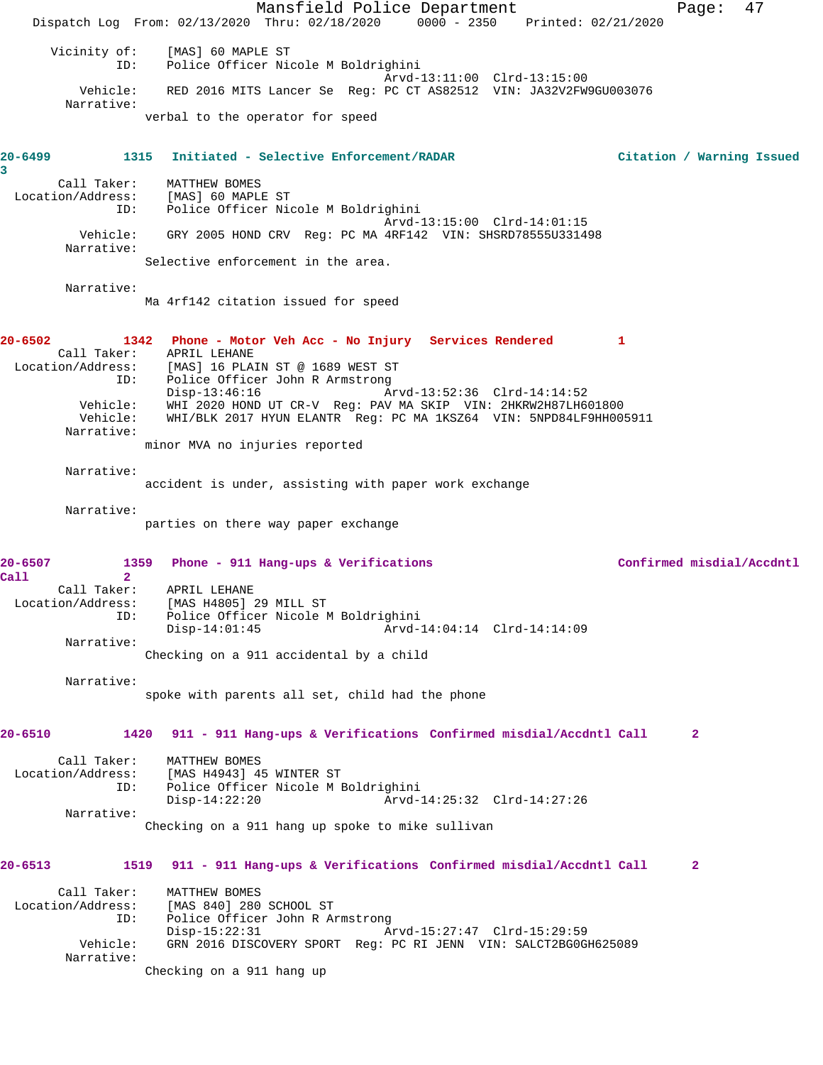Mansfield Police Department Page: 47 Dispatch Log From: 02/13/2020 Thru: 02/18/2020 0000 - 2350 Printed: 02/21/2020 Vicinity of: [MAS] 60 MAPLE ST ID: Police Officer Nicole M Boldrighini Arvd-13:11:00 Clrd-13:15:00 Vehicle: RED 2016 MITS Lancer Se Reg: PC CT AS82512 VIN: JA32V2FW9GU003076 Narrative: verbal to the operator for speed **20-6499 1315 Initiated - Selective Enforcement/RADAR Citation / Warning Issued 3**  Call Taker: MATTHEW BOMES Location/Address: [MAS] 60 MAPLE ST ID: Police Officer Nicole M Boldrighini Arvd-13:15:00 Clrd-14:01:15 Vehicle: GRY 2005 HOND CRV Reg: PC MA 4RF142 VIN: SHSRD78555U331498 Narrative: Selective enforcement in the area. Narrative: Ma 4rf142 citation issued for speed **20-6502 1342 Phone - Motor Veh Acc - No Injury Services Rendered 1**  Call Taker: APRIL LEHANE<br>Location/Address: [MAS] 16 PLA [MAS] 16 PLAIN ST @ 1689 WEST ST ID: Police Officer John R Armstrong Disp-13:46:16 Arvd-13:52:36 Clrd-14:14:52 Vehicle: WHI 2020 HOND UT CR-V Reg: PAV MA SKIP VIN: 2HKRW2H87LH601800 Vehicle: WHI/BLK 2017 HYUN ELANTR Reg: PC MA 1KSZ64 VIN: 5NPD84LF9HH005911 Narrative: minor MVA no injuries reported Narrative: accident is under, assisting with paper work exchange Narrative: parties on there way paper exchange **20-6507 1359 Phone - 911 Hang-ups & Verifications Confirmed misdial/Accdntl Call 2**  Call Taker: APRIL LEHANE Location/Address: [MAS H4805] 29 MILL ST ID: Police Officer Nicole M Boldrighini Disp-14:01:45 Arvd-14:04:14 Clrd-14:14:09 Narrative: Checking on a 911 accidental by a child Narrative: spoke with parents all set, child had the phone **20-6510 1420 911 - 911 Hang-ups & Verifications Confirmed misdial/Accdntl Call 2** Call Taker: MATTHEW BOMES<br>Location/Address: [MAS H4943] 4! [MAS H4943] 45 WINTER ST ID: Police Officer Nicole M Boldrighini Disp-14:22:20 Arvd-14:25:32 Clrd-14:27:26 Narrative: Checking on a 911 hang up spoke to mike sullivan **20-6513 1519 911 - 911 Hang-ups & Verifications Confirmed misdial/Accdntl Call 2** Call Taker: MATTHEW BOMES Location/Address: [MAS 840] 280 SCHOOL ST ID: Police Officer John R Armstrong Disp-15:22:31 Arvd-15:27:47 Clrd-15:29:59<br>Vehicle: GRN 2016 DISCOVERY SPORT Req: PC RI JENN VIN: SALCT2BGOG GRN 2016 DISCOVERY SPORT Reg: PC RI JENN VIN: SALCT2BG0GH625089 Narrative: Checking on a 911 hang up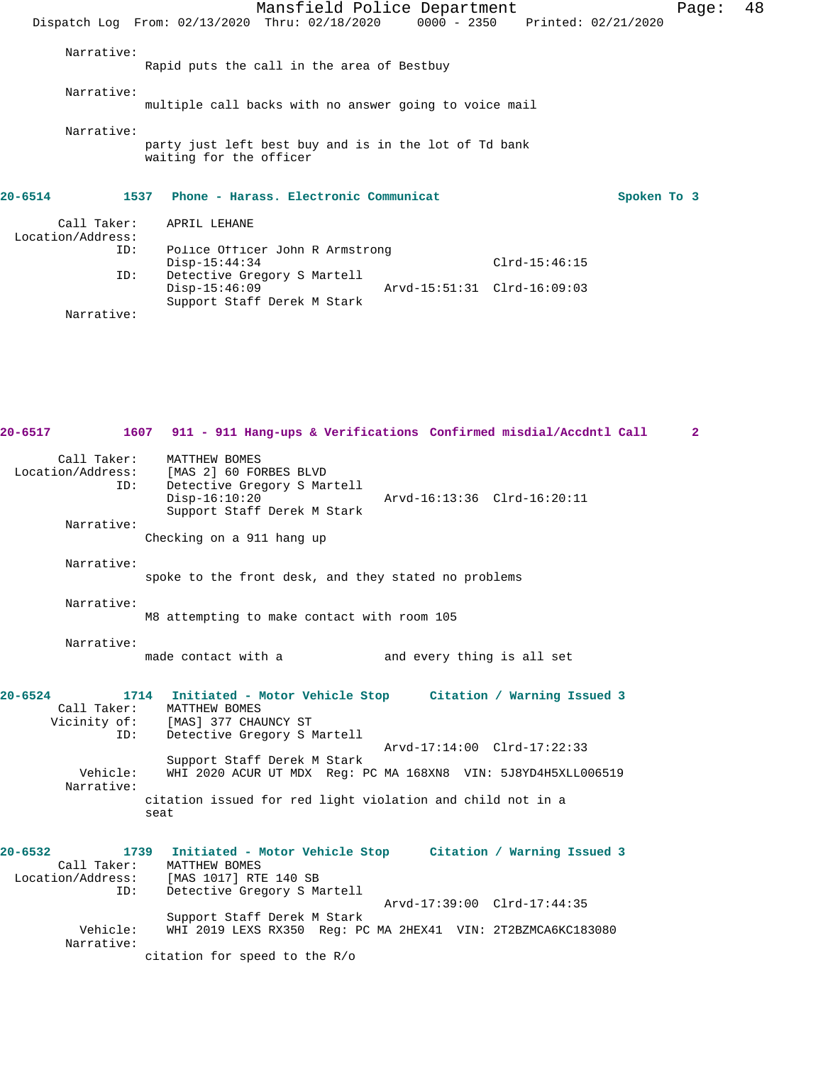|                                  | Mansfield Police Department                                                      |                             |                 | Page:       | 48 |
|----------------------------------|----------------------------------------------------------------------------------|-----------------------------|-----------------|-------------|----|
|                                  | Dispatch Log From: 02/13/2020 Thru: 02/18/2020 0000 - 2350 Printed: 02/21/2020   |                             |                 |             |    |
| Narrative:                       | Rapid puts the call in the area of Bestbuy                                       |                             |                 |             |    |
|                                  |                                                                                  |                             |                 |             |    |
| Narrative:                       | multiple call backs with no answer going to voice mail                           |                             |                 |             |    |
| Narrative:                       | party just left best buy and is in the lot of Td bank<br>waiting for the officer |                             |                 |             |    |
| $20 - 6514$                      | 1537 Phone - Harass. Electronic Communicat                                       |                             |                 | Spoken To 3 |    |
| Call Taker:<br>Location/Address: | APRIL LEHANE                                                                     |                             |                 |             |    |
| ID:                              | Police Officer John R Armstrong<br>$Disp-15:44:34$                               |                             | $Clrd-15:46:15$ |             |    |
| ID:                              | Detective Gregory S Martell<br>$Disp-15:46:09$<br>Support Staff Derek M Stark    | Arvd-15:51:31 Clrd-16:09:03 |                 |             |    |

**20-6517 1607 911 - 911 Hang-ups & Verifications Confirmed misdial/Accdntl Call 2** Call Taker: MATTHEW BOMES<br>Location/Address: [MAS 2] 60 FOI ess: [MAS 2] 60 FORBES BLVD<br>ID: Detective Gregory S Mai Detective Gregory S Martell<br>Disp-16:10:20 Disp-16:10:20 Arvd-16:13:36 Clrd-16:20:11 Support Staff Derek M Stark Narrative: Checking on a 911 hang up Narrative: spoke to the front desk, and they stated no problems Narrative: M8 attempting to make contact with room 105 Narrative:<br>made contact with a and every thing is all set **20-6524 1714 Initiated - Motor Vehicle Stop Citation / Warning Issued 3**  Call Taker: MATTHEW BOMES Vicinity of: [MAS] 377 CHAUNCY ST ID: Detective Gregory S Martell Arvd-17:14:00 Clrd-17:22:33 Support Staff Derek M Stark<br>Vehicle: WHI 2020 ACUR UT MDX Req: I WHI 2020 ACUR UT MDX Reg: PC MA 168XN8 VIN: 5J8YD4H5XLL006519 Narrative: citation issued for red light violation and child not in a seat **20-6532 1739 Initiated - Motor Vehicle Stop Citation / Warning Issued 3**  Call Taker: MATTHEW BOMES<br>Location/Address: [MAS 1017] RTI [MAS 1017] RTE 140 SB ID: Detective Gregory S Martell Arvd-17:39:00 Clrd-17:44:35 Support Staff Derek M Stark<br>Vehicle: WHI 2019 LEXS RX350 Req: PO WHI 2019 LEXS RX350 Reg: PC MA 2HEX41 VIN: 2T2BZMCA6KC183080 Narrative: citation for speed to the R/o

Narrative: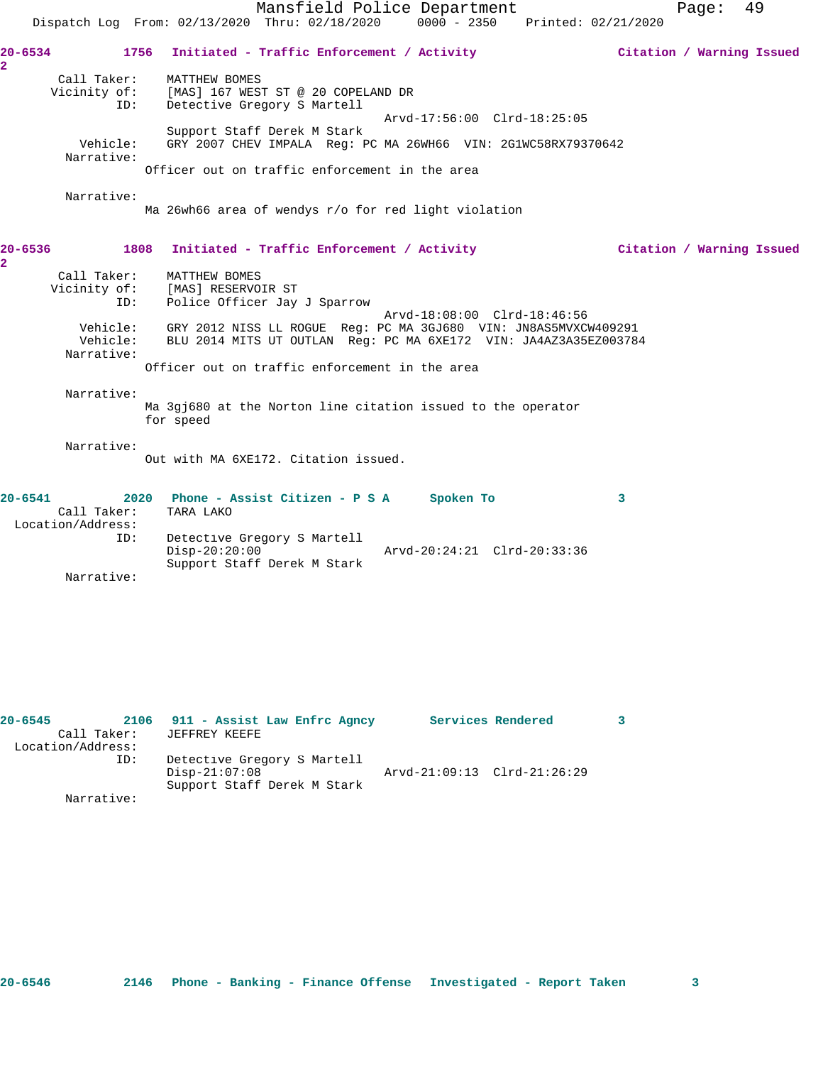|                                    |                                                       | Mansfield Police Department<br>49<br>Page:<br>Dispatch Log From: 02/13/2020 Thru: 02/18/2020<br>0000 - 2350 Printed: 02/21/2020                                                                         |
|------------------------------------|-------------------------------------------------------|---------------------------------------------------------------------------------------------------------------------------------------------------------------------------------------------------------|
| 20-6534<br>$\overline{\mathbf{2}}$ | Call Taker:<br>Vicinity of:<br>ID:                    | 1756<br>Initiated - Traffic Enforcement / Activity<br>Citation / Warning Issued<br>MATTHEW BOMES<br>[MAS] 167 WEST ST @ 20 COPELAND DR<br>Detective Gregory S Martell                                   |
|                                    | Vehicle:<br>Narrative:                                | Arvd-17:56:00 Clrd-18:25:05<br>Support Staff Derek M Stark<br>GRY 2007 CHEV IMPALA Req: PC MA 26WH66 VIN: 2G1WC58RX79370642<br>Officer out on traffic enforcement in the area                           |
|                                    | Narrative:                                            | Ma 26wh66 area of wendys r/o for red light violation                                                                                                                                                    |
| 20-6536<br>$\overline{a}$          |                                                       | 1808<br>Initiated - Traffic Enforcement / Activity<br>Citation / Warning Issued                                                                                                                         |
|                                    | Call Taker:<br>Vicinity of:<br>ID:                    | MATTHEW BOMES<br>[MAS] RESERVOIR ST<br>Police Officer Jay J Sparrow<br>Arvd-18:08:00 Clrd-18:46:56                                                                                                      |
|                                    | Narrative:                                            | Vehicle: GRY 2012 NISS LL ROGUE Reg: PC MA 3GJ680 VIN: JN8AS5MVXCW409291<br>Vehicle: BLU 2014 MITS UT OUTLAN Reg: PC MA 6XE172 VIN: JA4AZ3A35EZ003784<br>Officer out on traffic enforcement in the area |
|                                    | Narrative:                                            | Ma 3gj680 at the Norton line citation issued to the operator<br>for speed                                                                                                                               |
|                                    | Narrative:                                            | Out with MA 6XE172. Citation issued.                                                                                                                                                                    |
| $20 - 6541$                        | Call Taker:<br>Location/Address:<br>ID:<br>Narrative: | 2020 Phone - Assist Citizen - P S A<br>Spoken To<br>3<br>TARA LAKO<br>Detective Gregory S Martell<br>$Disp-20:20:00$<br>Arvd-20:24:21 Clrd-20:33:36<br>Support Staff Derek M Stark                      |
|                                    |                                                       |                                                                                                                                                                                                         |

| $20 - 6545$ |                   | 2106 911 - Assist Law Enfrc Agncy |                             | Services Rendered |  |
|-------------|-------------------|-----------------------------------|-----------------------------|-------------------|--|
|             | Call Taker:       | JEFFREY KEEFE                     |                             |                   |  |
|             | Location/Address: |                                   |                             |                   |  |
|             | ID:               | Detective Gregory S Martell       |                             |                   |  |
|             |                   | $Disp-21:07:08$                   | Arvd-21:09:13 Clrd-21:26:29 |                   |  |
|             |                   | Support Staff Derek M Stark       |                             |                   |  |
|             | Narrative:        |                                   |                             |                   |  |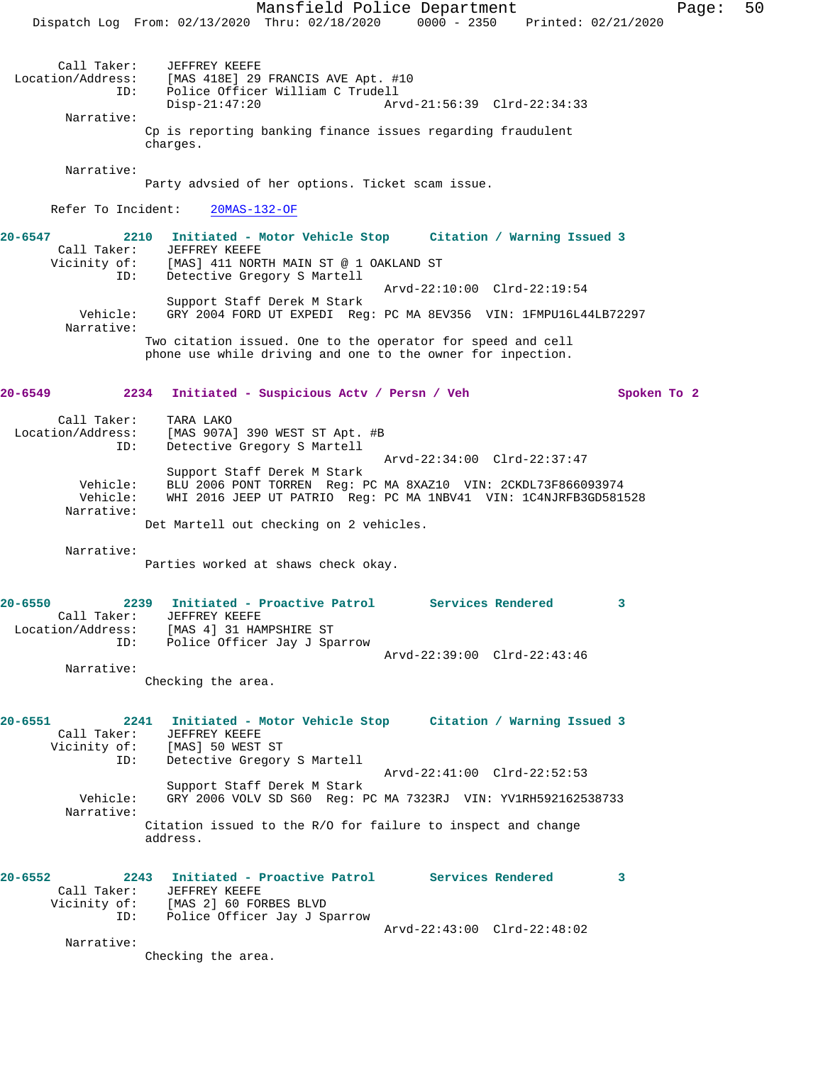Mansfield Police Department Fage: 50 Dispatch Log From: 02/13/2020 Thru: 02/18/2020 0000 - 2350 Printed: 02/21/2020 Call Taker: JEFFREY KEEFE Location/Address: [MAS 418E] 29 FRANCIS AVE Apt. #10 ID: Police Officer William C Trudell Disp-21:47:20 Arvd-21:56:39 Clrd-22:34:33 Narrative: Cp is reporting banking finance issues regarding fraudulent charges. Narrative: Party advsied of her options. Ticket scam issue. Refer To Incident: 20MAS-132-OF **20-6547 2210 Initiated - Motor Vehicle Stop Citation / Warning Issued 3**  Call Taker: JEFFREY KEEFE [MAS] 411 NORTH MAIN ST @ 1 OAKLAND ST ID: Detective Gregory S Martell Arvd-22:10:00 Clrd-22:19:54 Support Staff Derek M Stark Vehicle: GRY 2004 FORD UT EXPEDI Reg: PC MA 8EV356 VIN: 1FMPU16L44LB72297 Narrative: Two citation issued. One to the operator for speed and cell phone use while driving and one to the owner for inpection. **20-6549 2234 Initiated - Suspicious Actv / Persn / Veh Spoken To 2** Call Taker: TARA LAKO<br>Location/Address: [MAS 907A<br>ID: Detective [MAS 907A] 390 WEST ST Apt. #B Detective Gregory S Martell Arvd-22:34:00 Clrd-22:37:47 Support Staff Derek M Stark Vehicle: BLU 2006 PONT TORREN Reg: PC MA 8XAZ10 VIN: 2CKDL73F866093974 Vehicle: WHI 2016 JEEP UT PATRIO Reg: PC MA 1NBV41 VIN: 1C4NJRFB3GD581528 Narrative: Det Martell out checking on 2 vehicles. Narrative: Parties worked at shaws check okay. **20-6550 2239 Initiated - Proactive Patrol Services Rendered 3**  Call Taker: JEFFREY KEEFE Location/Address: [MAS 4] 31 HAMPSHIRE ST ID: Police Officer Jay J Sparrow Arvd-22:39:00 Clrd-22:43:46 Narrative: Checking the area. **20-6551 2241 Initiated - Motor Vehicle Stop Citation / Warning Issued 3**  Call Taker: JEFFREY KEEFE Vicinity of: [MAS] 50 WEST ST ID: Detective Gregory S Martell Arvd-22:41:00 Clrd-22:52:53 Support Staff Derek M Stark Vehicle: GRY 2006 VOLV SD S60 Reg: PC MA 7323RJ VIN: YV1RH592162538733 Narrative: Citation issued to the R/O for failure to inspect and change address. **20-6552 2243 Initiated - Proactive Patrol Services Rendered 3**  Call Taker: JEFFREY KEEFE Vicinity of: [MAS 2] 60 FORBES BLVD ID: Police Officer Jay J Sparrow Arvd-22:43:00 Clrd-22:48:02 Narrative: Checking the area.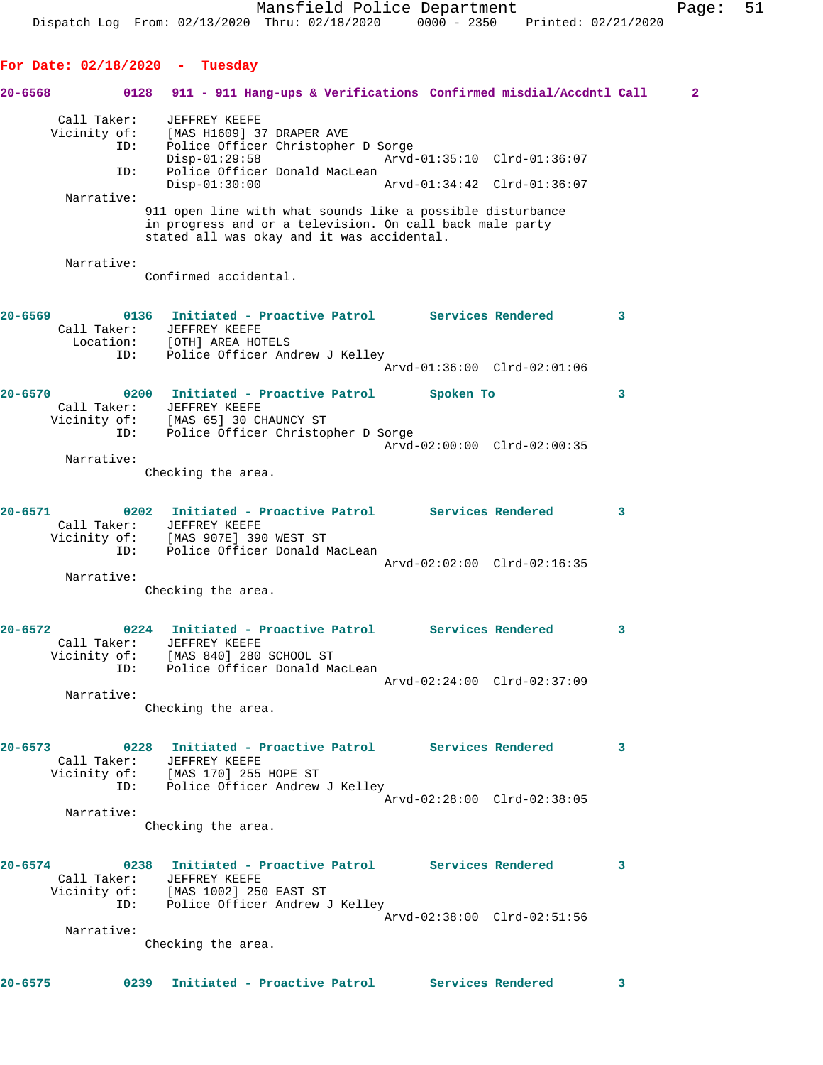**For Date: 02/18/2020 - Tuesday**

**20-6568 0128 911 - 911 Hang-ups & Verifications Confirmed misdial/Accdntl Call 2** Call Taker: JEFFREY KEEFE Vicinity of: [MAS H1609] 37 DRAPER AVE ID: Police Officer Christopher D Sorge Disp-01:29:58 Arvd-01:35:10 Clrd-01:36:07 ID: Police Officer Donald MacLean<br>Disp-01:30:00 Disp-01:30:00 Arvd-01:34:42 Clrd-01:36:07 Narrative: 911 open line with what sounds like a possible disturbance in progress and or a television. On call back male party stated all was okay and it was accidental. Narrative: Confirmed accidental. **20-6569 0136 Initiated - Proactive Patrol Services Rendered 3**  Call Taker: JEFFREY KEEFE Location: [OTH] AREA HOTELS ID: Police Officer Andrew J Kelley Arvd-01:36:00 Clrd-02:01:06 **20-6570 0200 Initiated - Proactive Patrol Spoken To 3**  Call Taker: JEFFREY KEEFE Vicinity of: [MAS 65] 30 CHAUNCY ST ID: Police Officer Christopher D Sorge Arvd-02:00:00 Clrd-02:00:35 Narrative: Checking the area. **20-6571 0202 Initiated - Proactive Patrol Services Rendered 3**  Call Taker: JEFFREY KEEFE Vicinity of: [MAS 907E] 390 WEST ST ID: Police Officer Donald MacLean Arvd-02:02:00 Clrd-02:16:35 Narrative: Checking the area. **20-6572 0224 Initiated - Proactive Patrol Services Rendered 3**  Call Taker: JEFFREY KEEFE Vicinity of: [MAS 840] 280 SCHOOL ST ID: Police Officer Donald MacLean Arvd-02:24:00 Clrd-02:37:09 Narrative: Checking the area. **20-6573 0228 Initiated - Proactive Patrol Services Rendered 3**  Call Taker: JEFFREY KEEFE Vicinity of: [MAS 170] 255 HOPE ST ID: Police Officer Andrew J Kelley Arvd-02:28:00 Clrd-02:38:05 Narrative: Checking the area. **20-6574 0238 Initiated - Proactive Patrol Services Rendered 3**  Call Taker: JEFFREY KEEFE Vicinity of: [MAS 1002] 250 EAST ST ID: Police Officer Andrew J Kelley Arvd-02:38:00 Clrd-02:51:56 Narrative: Checking the area.

**20-6575 0239 Initiated - Proactive Patrol Services Rendered 3**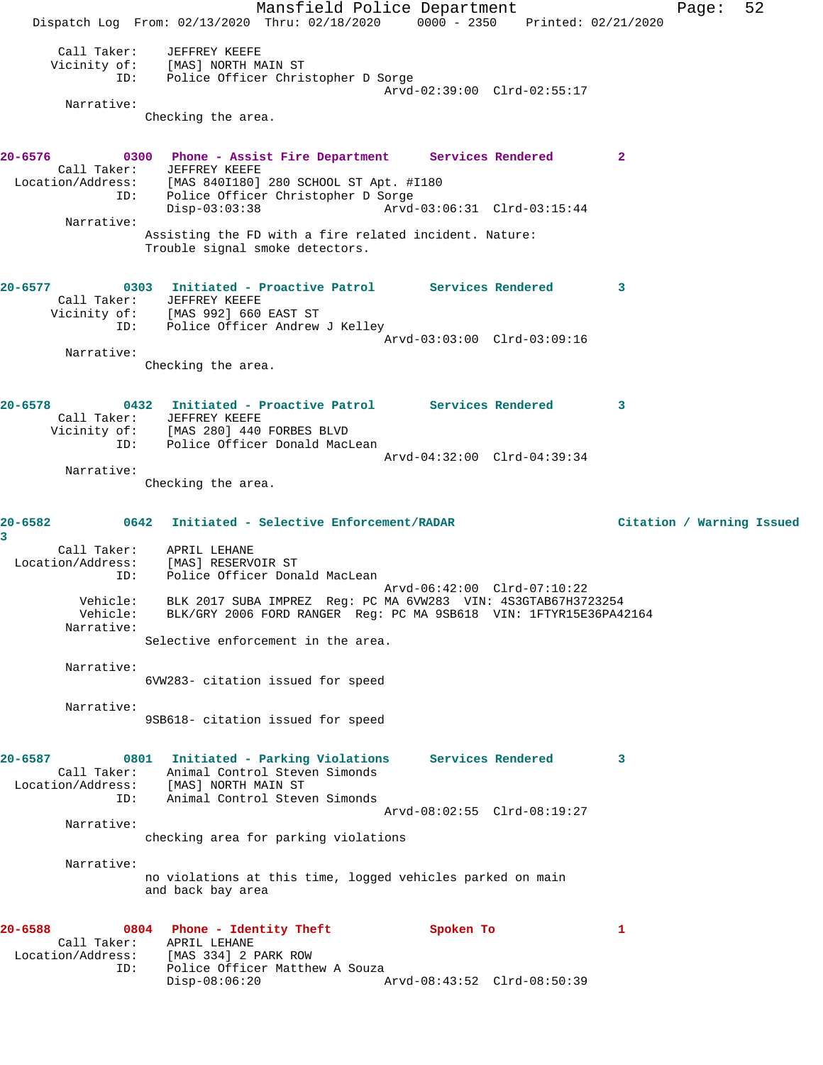Mansfield Police Department Fage: 52 Dispatch Log From: 02/13/2020 Thru: 02/18/2020 0000 - 2350 Printed: 02/21/2020 Call Taker: JEFFREY KEEFE Vicinity of: [MAS] NORTH MAIN ST ID: Police Officer Christopher D Sorge Arvd-02:39:00 Clrd-02:55:17 Narrative: Checking the area. **20-6576 0300 Phone - Assist Fire Department Services Rendered 2**  Call Taker: JEFFREY KEEFE Location/Address: [MAS 840I180] 280 SCHOOL ST Apt. #I180 ID: Police Officer Christopher D Sorge<br>Disp-03:03:38 Arvd- Disp-03:03:38 Arvd-03:06:31 Clrd-03:15:44 Narrative: Assisting the FD with a fire related incident. Nature: Trouble signal smoke detectors. **20-6577 0303 Initiated - Proactive Patrol Services Rendered 3**  Call Taker: JEFFREY KEEFE Vicinity of: [MAS 992] 660 EAST ST ID: Police Officer Andrew J Kelley Arvd-03:03:00 Clrd-03:09:16 Narrative: Checking the area. **20-6578 0432 Initiated - Proactive Patrol Services Rendered 3**  Call Taker: JEFFREY KEEFE Vicinity of: [MAS 280] 440 FORBES BLVD ID: Police Officer Donald MacLean Arvd-04:32:00 Clrd-04:39:34 Narrative: Checking the area. **20-6582 0642 Initiated - Selective Enforcement/RADAR Citation / Warning Issued 3**  Call Taker: APRIL LEHANE Location/Address: [MAS] RESERVOIR ST ID: Police Officer Donald MacLean Arvd-06:42:00 Clrd-07:10:22 Vehicle: BLK 2017 SUBA IMPREZ Reg: PC MA 6VW283 VIN: 4S3GTAB67H3723254 Vehicle: BLK/GRY 2006 FORD RANGER Reg: PC MA 9SB618 VIN: 1FTYR15E36PA42164 Narrative: Selective enforcement in the area. Narrative: 6VW283- citation issued for speed Narrative: 9SB618- citation issued for speed **20-6587 0801 Initiated - Parking Violations Services Rendered 3**  Call Taker: Animal Control Steven Simonds Location/Address: [MAS] NORTH MAIN ST ID: Animal Control Steven Simonds Arvd-08:02:55 Clrd-08:19:27 Narrative: checking area for parking violations Narrative: no violations at this time, logged vehicles parked on main and back bay area **20-6588 0804 Phone - Identity Theft Spoken To 1**  Call Taker: APRIL LEHANE<br>ocation/Address: [MAS 334] 2 PARK ROW Location/Address: ID: Police Officer Matthew A Souza<br>Disp-08:06:20 Arvd-08:43:52 Clrd-08:50:39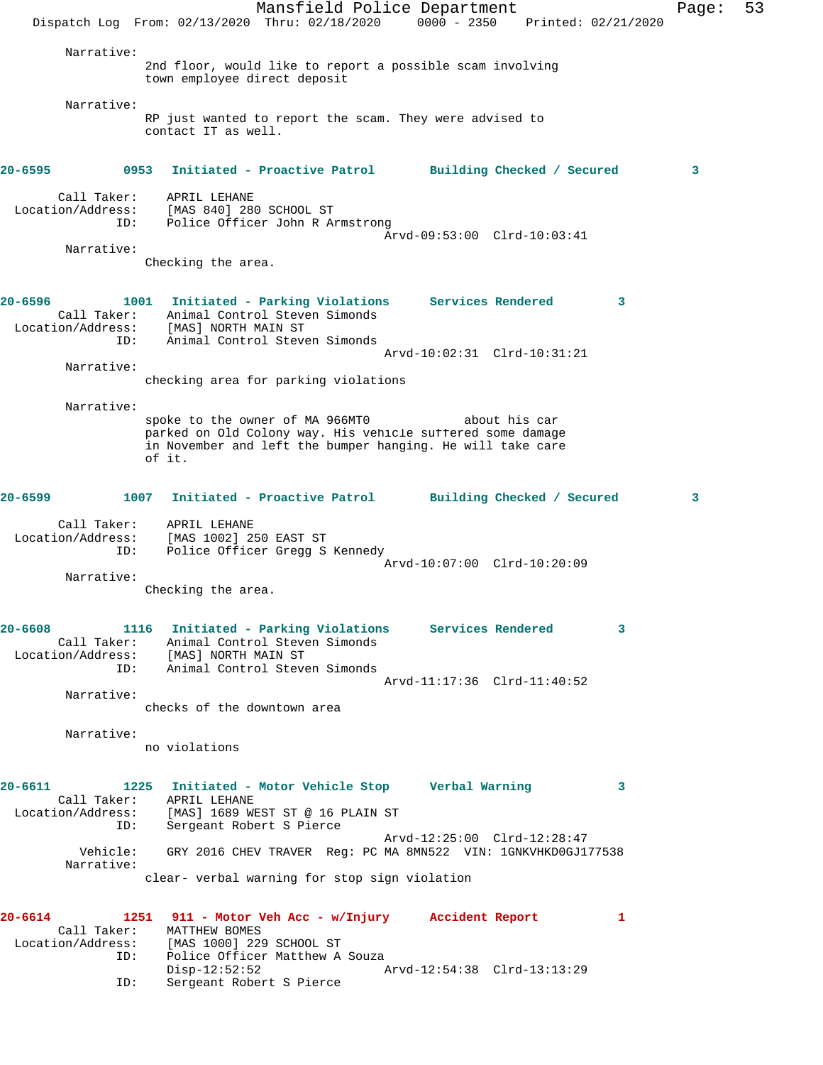|             |                                         | Dispatch Log From: 02/13/2020 Thru: 02/18/2020                                                                                                                               | Mansfield Police Department | $0000 - 2350$                                           | Printed: 02/21/2020        | Page: | 53 |
|-------------|-----------------------------------------|------------------------------------------------------------------------------------------------------------------------------------------------------------------------------|-----------------------------|---------------------------------------------------------|----------------------------|-------|----|
|             | Narrative:                              | 2nd floor, would like to report a possible scam involving<br>town employee direct deposit                                                                                    |                             |                                                         |                            |       |    |
|             | Narrative:                              | RP just wanted to report the scam. They were advised to<br>contact IT as well.                                                                                               |                             |                                                         |                            |       |    |
| 20-6595     | 0953                                    | Initiated - Proactive Patrol                                                                                                                                                 |                             |                                                         | Building Checked / Secured | 3     |    |
|             | Call Taker:<br>Location/Address:<br>ID: | APRIL LEHANE<br>[MAS 840] 280 SCHOOL ST<br>Police Officer John R Armstrong                                                                                                   |                             |                                                         |                            |       |    |
|             | Narrative:                              |                                                                                                                                                                              |                             | Arvd-09:53:00 Clrd-10:03:41                             |                            |       |    |
|             |                                         | Checking the area.                                                                                                                                                           |                             |                                                         |                            |       |    |
| 20-6596     | Call Taker:<br>ID:                      | 1001 Initiated - Parking Violations<br>Animal Control Steven Simonds<br>Location/Address: [MAS] NORTH MAIN ST<br>Animal Control Steven Simonds                               |                             | <b>Services Rendered</b><br>Arvd-10:02:31 Clrd-10:31:21 |                            | 3     |    |
|             | Narrative:                              |                                                                                                                                                                              |                             |                                                         |                            |       |    |
|             |                                         | checking area for parking violations                                                                                                                                         |                             |                                                         |                            |       |    |
|             | Narrative:                              |                                                                                                                                                                              |                             |                                                         |                            |       |    |
|             |                                         | spoke to the owner of MA 966MT0<br>parked on Old Colony way. His vehicle suffered some damage<br>in November and left the bumper hanging. He will take care<br>of it.        |                             | about his car                                           |                            |       |    |
| $20 - 6599$ |                                         | 1007 Initiated - Proactive Patrol Building Checked / Secured                                                                                                                 |                             |                                                         |                            | 3     |    |
|             | Call Taker:<br>Location/Address:<br>ID: | APRIL LEHANE<br>[MAS 1002] 250 EAST ST<br>Police Officer Gregg S Kennedy                                                                                                     |                             | Arvd-10:07:00 Clrd-10:20:09                             |                            |       |    |
|             | Narrative:                              |                                                                                                                                                                              |                             |                                                         |                            |       |    |
|             |                                         | Checking the area.                                                                                                                                                           |                             |                                                         |                            |       |    |
| $20 - 6608$ | ID:                                     | 1116 Initiated - Parking Violations Services Rendered<br>Call Taker: Animal Control Steven Simonds<br>Location/Address: [MAS] NORTH MAIN ST<br>Animal Control Steven Simonds |                             |                                                         |                            | 3     |    |
|             | Narrative:                              |                                                                                                                                                                              |                             | Arvd-11:17:36 Clrd-11:40:52                             |                            |       |    |
|             |                                         | checks of the downtown area                                                                                                                                                  |                             |                                                         |                            |       |    |
|             | Narrative:                              | no violations                                                                                                                                                                |                             |                                                         |                            |       |    |
| $20 - 6611$ | ID:                                     | 1225 Initiated - Motor Vehicle Stop Green Warning<br>Call Taker: APRIL LEHANE<br>Location/Address: [MAS] 1689 WEST ST @ 16 PLAIN ST<br>Sergeant Robert S Pierce              |                             |                                                         |                            | 3     |    |
|             | Vehicle:                                | GRY 2016 CHEV TRAVER Reg: PC MA 8MN522 VIN: 1GNKVHKD0GJ177538                                                                                                                |                             | Arvd-12:25:00 Clrd-12:28:47                             |                            |       |    |
|             | Narrative:                              | clear- verbal warning for stop sign violation                                                                                                                                |                             |                                                         |                            |       |    |
| 20-6614     | Call Taker:                             | 1251 911 - Motor Veh Acc - w/Injury Accident Report<br>MATTHEW BOMES                                                                                                         |                             |                                                         |                            | 1     |    |
|             | Location/Address:<br>ID:                | [MAS 1000] 229 SCHOOL ST<br>Police Officer Matthew A Souza                                                                                                                   |                             |                                                         |                            |       |    |
|             | ID:                                     | $Disp-12:52:52$<br>Sergeant Robert S Pierce                                                                                                                                  |                             | Arvd-12:54:38 Clrd-13:13:29                             |                            |       |    |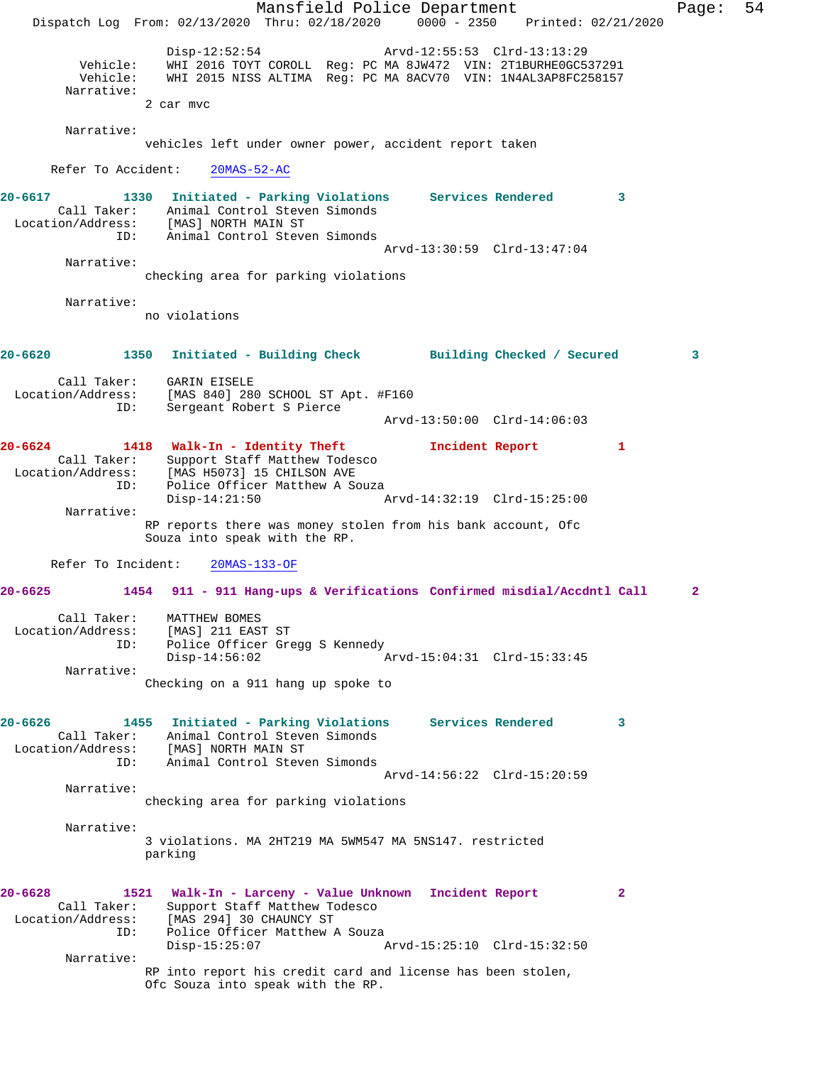Mansfield Police Department Page: 54 Dispatch Log From: 02/13/2020 Thru: 02/18/2020 0000 - 2350 Printed: 02/21/2020 Disp-12:52:54 Arvd-12:55:53 Clrd-13:13:29 Vehicle: WHI 2016 TOYT COROLL Reg: PC MA 8JW472 VIN: 2T1BURHE0GC537291 Vehicle: WHI 2015 NISS ALTIMA Reg: PC MA 8ACV70 VIN: 1N4AL3AP8FC258157 Narrative: 2 car mvc Narrative: vehicles left under owner power, accident report taken Refer To Accident: 20MAS-52-AC **20-6617 1330 Initiated - Parking Violations Services Rendered 3**  Call Taker: Animal Control Steven Simonds Location/Address: [MAS] NORTH MAIN ST ID: Animal Control Steven Simonds Arvd-13:30:59 Clrd-13:47:04 Narrative: checking area for parking violations Narrative: no violations **20-6620 1350 Initiated - Building Check Building Checked / Secured 3** Call Taker: GARIN EISELE Location/Address: [MAS 840] 280 SCHOOL ST Apt. #F160 ID: Sergeant Robert S Pierce Arvd-13:50:00 Clrd-14:06:03 **20-6624 1418 Walk-In - Identity Theft Incident Report 1**  Call Taker: Support Staff Matthew Todesco Location/Address: [MAS H5073] 15 CHILSON AVE ID: Police Officer Matthew A Souza<br>Disp-14:21:50 Disp-14:21:50 Arvd-14:32:19 Clrd-15:25:00 Narrative: RP reports there was money stolen from his bank account, Ofc Souza into speak with the RP. Refer To Incident: 20MAS-133-OF **20-6625 1454 911 - 911 Hang-ups & Verifications Confirmed misdial/Accdntl Call 2** Call Taker: MATTHEW BOMES Location/Address: [MAS] 211 EAST ST ID: Police Officer Gregg S Kennedy Disp-14:56:02 Arvd-15:04:31 Clrd-15:33:45 Narrative: Checking on a 911 hang up spoke to **20-6626 1455 Initiated - Parking Violations Services Rendered 3**  Call Taker: Animal Control Steven Simonds Location/Address: [MAS] NORTH MAIN ST ID: Animal Control Steven Simonds Arvd-14:56:22 Clrd-15:20:59 Narrative: checking area for parking violations Narrative: 3 violations. MA 2HT219 MA 5WM547 MA 5NS147. restricted parking **20-6628 1521 Walk-In - Larceny - Value Unknown Incident Report 2**  Call Taker: Support Staff Matthew Todesco Location/Address: [MAS 294] 30 CHAUNCY ST ID: Police Officer Matthew A Souza<br>Disp-15:25:07 A Disp-15:25:07 Arvd-15:25:10 Clrd-15:32:50 Narrative: RP into report his credit card and license has been stolen, Ofc Souza into speak with the RP.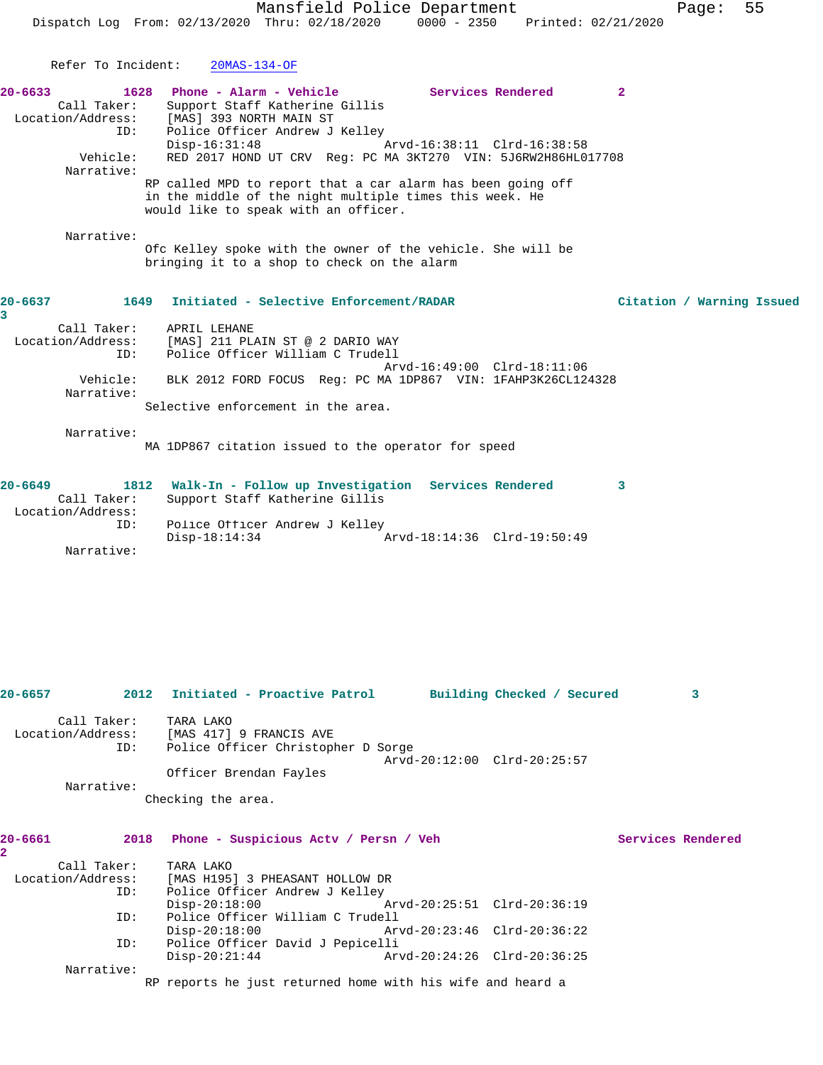|                                    |                                                             |                                                                       | Mansfield Police Department<br>Dispatch Log From: 02/13/2020 Thru: 02/18/2020                                                                                  | $0000 - 2350$ |                                                  | Printed: 02/21/2020 | Page:                     | 55 |
|------------------------------------|-------------------------------------------------------------|-----------------------------------------------------------------------|----------------------------------------------------------------------------------------------------------------------------------------------------------------|---------------|--------------------------------------------------|---------------------|---------------------------|----|
|                                    | Refer To Incident:                                          | $20MAS-134-OF$                                                        |                                                                                                                                                                |               |                                                  |                     |                           |    |
| $20 - 6633$                        | 1628<br>Call Taker:<br>Location/Address:<br>ID:<br>Vehicle: | Phone - Alarm - Vehicle<br>[MAS] 393 NORTH MAIN ST<br>$Disp-16:31:48$ | Support Staff Katherine Gillis<br>Police Officer Andrew J Kelley<br>RED 2017 HOND UT CRV Req: PC MA 3KT270 VIN: 5J6RW2H86HL017708                              |               | Services Rendered<br>Arvd-16:38:11 Clrd-16:38:58 | $\mathbf{2}$        |                           |    |
|                                    | Narrative:                                                  |                                                                       | RP called MPD to report that a car alarm has been going off<br>in the middle of the night multiple times this week. He<br>would like to speak with an officer. |               |                                                  |                     |                           |    |
|                                    | Narrative:                                                  |                                                                       | Ofc Kelley spoke with the owner of the vehicle. She will be<br>bringing it to a shop to check on the alarm                                                     |               |                                                  |                     |                           |    |
| 20-6637<br>3.                      | 1649                                                        |                                                                       | Initiated - Selective Enforcement/RADAR                                                                                                                        |               |                                                  |                     | Citation / Warning Issued |    |
|                                    | Call Taker:<br>Location/Address:<br>ID:                     | APRIL LEHANE                                                          | [MAS] 211 PLAIN ST @ 2 DARIO WAY<br>Police Officer William C Trudell                                                                                           |               | Arvd-16:49:00 Clrd-18:11:06                      |                     |                           |    |
|                                    | Vehicle:<br>Narrative:                                      |                                                                       | BLK 2012 FORD FOCUS Req: PC MA 1DP867 VIN: 1FAHP3K26CL124328                                                                                                   |               |                                                  |                     |                           |    |
|                                    |                                                             |                                                                       | Selective enforcement in the area.                                                                                                                             |               |                                                  |                     |                           |    |
|                                    | Narrative:                                                  |                                                                       | MA 1DP867 citation issued to the operator for speed                                                                                                            |               |                                                  |                     |                           |    |
| 20-6649                            | 1812<br>Call Taker:<br>Location/Address:                    |                                                                       | Walk-In - Follow up Investigation Services Rendered<br>Support Staff Katherine Gillis                                                                          |               |                                                  | 3                   |                           |    |
|                                    | ID:<br>Narrative:                                           | $Disp-18:14:34$                                                       | Police Officer Andrew J Kelley                                                                                                                                 |               | Arvd-18:14:36 Clrd-19:50:49                      |                     |                           |    |
|                                    |                                                             |                                                                       |                                                                                                                                                                |               |                                                  |                     |                           |    |
|                                    |                                                             |                                                                       |                                                                                                                                                                |               |                                                  |                     |                           |    |
| 20-6657                            | 2012                                                        |                                                                       | Initiated - Proactive Patrol Building Checked / Secured                                                                                                        |               |                                                  |                     | 3                         |    |
|                                    | Call Taker:<br>Location/Address:<br>ID:                     | TARA LAKO<br>[MAS 417] 9 FRANCIS AVE                                  | Police Officer Christopher D Sorge                                                                                                                             |               | Arvd-20:12:00 Clrd-20:25:57                      |                     |                           |    |
|                                    | Narrative:                                                  | Officer Brendan Fayles                                                |                                                                                                                                                                |               |                                                  |                     |                           |    |
|                                    |                                                             | Checking the area.                                                    |                                                                                                                                                                |               |                                                  |                     |                           |    |
| 20-6661<br>$\overline{\mathbf{2}}$ | 2018                                                        |                                                                       | Phone - Suspicious Actv / Persn / Veh                                                                                                                          |               |                                                  |                     | Services Rendered         |    |
|                                    | Call Taker:<br>Location/Address:                            | TARA LAKO                                                             | [MAS H195] 3 PHEASANT HOLLOW DR                                                                                                                                |               |                                                  |                     |                           |    |
|                                    | ID:                                                         | $Disp-20:18:00$                                                       | Police Officer Andrew J Kelley                                                                                                                                 |               | Arvd-20:25:51 Clrd-20:36:19                      |                     |                           |    |
|                                    | ID:<br>ID:                                                  | $Disp-20:18:00$                                                       | Police Officer William C Trudell<br>Police Officer David J Pepicelli                                                                                           |               | Arvd-20:23:46 Clrd-20:36:22                      |                     |                           |    |

 Disp-20:21:44 Arvd-20:24:26 Clrd-20:36:25 Narrative:

RP reports he just returned home with his wife and heard a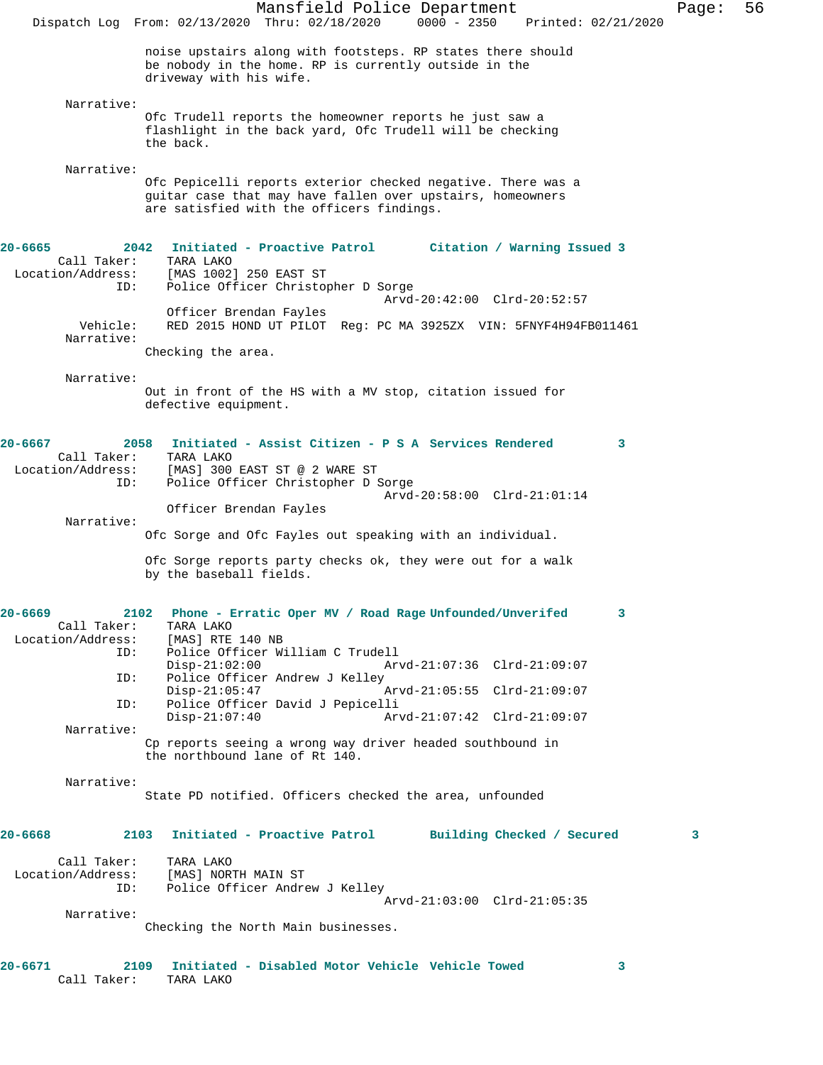|                                         | Mansfield Police Department<br>56<br>Page:<br>$0000 - 2350$<br>Dispatch Log From: 02/13/2020 Thru: 02/18/2020<br>Printed: 02/21/2020                                    |
|-----------------------------------------|-------------------------------------------------------------------------------------------------------------------------------------------------------------------------|
|                                         | noise upstairs along with footsteps. RP states there should<br>be nobody in the home. RP is currently outside in the<br>driveway with his wife.                         |
| Narrative:                              |                                                                                                                                                                         |
|                                         | Ofc Trudell reports the homeowner reports he just saw a<br>flashlight in the back yard, Ofc Trudell will be checking<br>the back.                                       |
| Narrative:                              |                                                                                                                                                                         |
|                                         | Ofc Pepicelli reports exterior checked negative. There was a<br>guitar case that may have fallen over upstairs, homeowners<br>are satisfied with the officers findings. |
| $20 - 6665$<br>2042                     | Initiated - Proactive Patrol<br>Citation / Warning Issued 3                                                                                                             |
| Call Taker:<br>Location/Address:        | TARA LAKO<br>[MAS 1002] 250 EAST ST                                                                                                                                     |
| ID:                                     | Police Officer Christopher D Sorge                                                                                                                                      |
|                                         | Arvd-20:42:00 Clrd-20:52:57<br>Officer Brendan Fayles                                                                                                                   |
| Vehicle:                                | RED 2015 HOND UT PILOT Reg: PC MA 3925ZX VIN: 5FNYF4H94FB011461                                                                                                         |
| Narrative:                              | Checking the area.                                                                                                                                                      |
| Narrative:                              |                                                                                                                                                                         |
|                                         | Out in front of the HS with a MV stop, citation issued for<br>defective equipment.                                                                                      |
| $20 - 6667$<br>2058                     | Initiated - Assist Citizen - P S A Services Rendered<br>3                                                                                                               |
| Call Taker:                             | TARA LAKO                                                                                                                                                               |
| Location/Address:<br>ID:                | [MAS] 300 EAST ST @ 2 WARE ST<br>Police Officer Christopher D Sorge                                                                                                     |
|                                         | Arvd-20:58:00 Clrd-21:01:14                                                                                                                                             |
| Narrative:                              | Officer Brendan Fayles                                                                                                                                                  |
|                                         | Ofc Sorge and Ofc Fayles out speaking with an individual.                                                                                                               |
|                                         | Ofc Sorge reports party checks ok, they were out for a walk<br>by the baseball fields.                                                                                  |
| $20 - 6669$                             | 2102 Phone - Erratic Oper MV / Road Rage Unfounded/Unverifed<br>3                                                                                                       |
| Call Taker:                             | TARA LAKO                                                                                                                                                               |
| Location/Address:<br>ID:                | [MAS] RTE 140 NB<br>Police Officer William C Trudell                                                                                                                    |
|                                         | $Disp-21:02:00$<br>Arvd-21:07:36 Clrd-21:09:07                                                                                                                          |
| ID:                                     | Police Officer Andrew J Kelley<br>$Disp-21:05:47$<br>Arvd-21:05:55 Clrd-21:09:07                                                                                        |
| ID:                                     | Police Officer David J Pepicelli<br>$Disp-21:07:40$<br>Arvd-21:07:42 Clrd-21:09:07                                                                                      |
| Narrative:                              |                                                                                                                                                                         |
|                                         | Cp reports seeing a wrong way driver headed southbound in<br>the northbound lane of Rt 140.                                                                             |
| Narrative:                              | State PD notified. Officers checked the area, unfounded                                                                                                                 |
|                                         |                                                                                                                                                                         |
| 20-6668                                 | 2103 Initiated - Proactive Patrol<br>Building Checked / Secured<br>3                                                                                                    |
| Call Taker:<br>Location/Address:<br>ID: | TARA LAKO<br>[MAS] NORTH MAIN ST<br>Police Officer Andrew J Kelley                                                                                                      |
| Narrative:                              | Arvd-21:03:00 Clrd-21:05:35                                                                                                                                             |
|                                         | Checking the North Main businesses.                                                                                                                                     |
| 20-6671<br>Call Taker:                  | 2109 Initiated - Disabled Motor Vehicle Vehicle Towed<br>3<br>TARA LAKO                                                                                                 |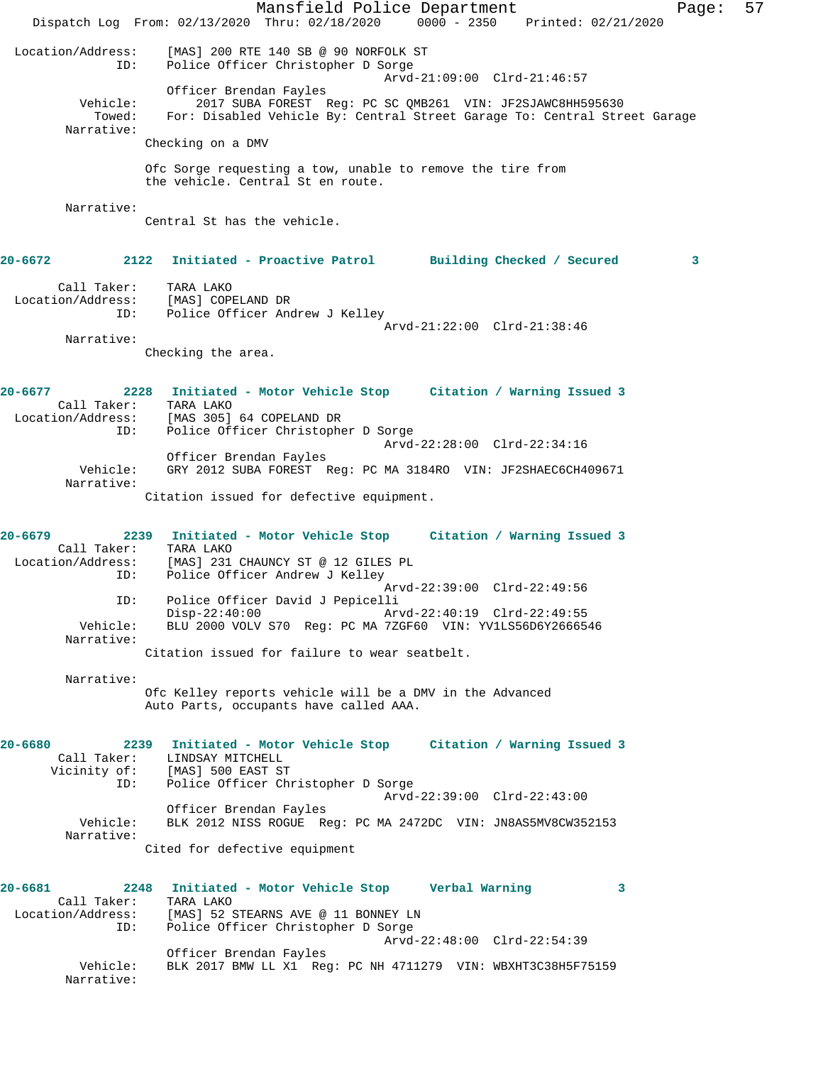Mansfield Police Department Page: 57 Dispatch Log From: 02/13/2020 Thru: 02/18/2020 0000 - 2350 Printed: 02/21/2020 Location/Address: [MAS] 200 RTE 140 SB @ 90 NORFOLK ST ID: Police Officer Christopher D Sorge<br>Arvd-21:09:00 Clrd-21:46:57 Arvd-21:09:00 Clrd-21:46:57 Officer Brendan Fayles 2017 SUBA FOREST Reg: PC SC QMB261 VIN: JF2SJAWC8HH595630 Towed: For: Disabled Vehicle By: Central Street Garage To: Central Street Garage Narrative: Checking on a DMV Ofc Sorge requesting a tow, unable to remove the tire from the vehicle. Central St en route. Narrative: Central St has the vehicle. **20-6672 2122 Initiated - Proactive Patrol Building Checked / Secured 3** Call Taker: TARA LAKO Location/Address: [MAS] COPELAND DR ID: Police Officer Andrew J Kelley Arvd-21:22:00 Clrd-21:38:46 Narrative: Checking the area. **20-6677 2228 Initiated - Motor Vehicle Stop Citation / Warning Issued 3**  Call Taker: TARA LAKO Location/Address: [MAS 305] 64 COPELAND DR ID: Police Officer Christopher D Sorge Arvd-22:28:00 Clrd-22:34:16 Officer Brendan Fayles Vehicle: GRY 2012 SUBA FOREST Reg: PC MA 3184RO VIN: JF2SHAEC6CH409671 Narrative: Citation issued for defective equipment. **20-6679 2239 Initiated - Motor Vehicle Stop Citation / Warning Issued 3**  Call Taker: TARA LAKO Location/Address: [MAS] 231 CHAUNCY ST @ 12 GILES PL ID: Police Officer Andrew J Kelley Arvd-22:39:00 Clrd-22:49:56 ID: Police Officer David J Pepicelli Disp-22:40:00 Arvd-22:40:19 Clrd-22:49:55<br>Vehicle: BLU 2000 VOLV S70 Reg: PC MA 7ZGF60 VIN: YV1LS56D6Y26665 BLU 2000 VOLV S70 Reg: PC MA 7ZGF60 VIN: YV1LS56D6Y2666546 Narrative: Citation issued for failure to wear seatbelt. Narrative: Ofc Kelley reports vehicle will be a DMV in the Advanced Auto Parts, occupants have called AAA. **20-6680 2239 Initiated - Motor Vehicle Stop Citation / Warning Issued 3**  Call Taker: LINDSAY MITCHELL Vicinity of: [MAS] 500 EAST ST ID: Police Officer Christopher D Sorge Arvd-22:39:00 Clrd-22:43:00 Officer Brendan Fayles Vehicle: BLK 2012 NISS ROGUE Reg: PC MA 2472DC VIN: JN8AS5MV8CW352153 Narrative: Cited for defective equipment **20-6681 2248 Initiated - Motor Vehicle Stop Verbal Warning 3**  Call Taker: TARA LAKO<br>Location/Address: [MAS] 52 9 [MAS] 52 STEARNS AVE @ 11 BONNEY LN ID: Police Officer Christopher D Sorge Arvd-22:48:00 Clrd-22:54:39 Officer Brendan Fayles Vehicle: BLK 2017 BMW LL X1 Reg: PC NH 4711279 VIN: WBXHT3C38H5F75159 Narrative: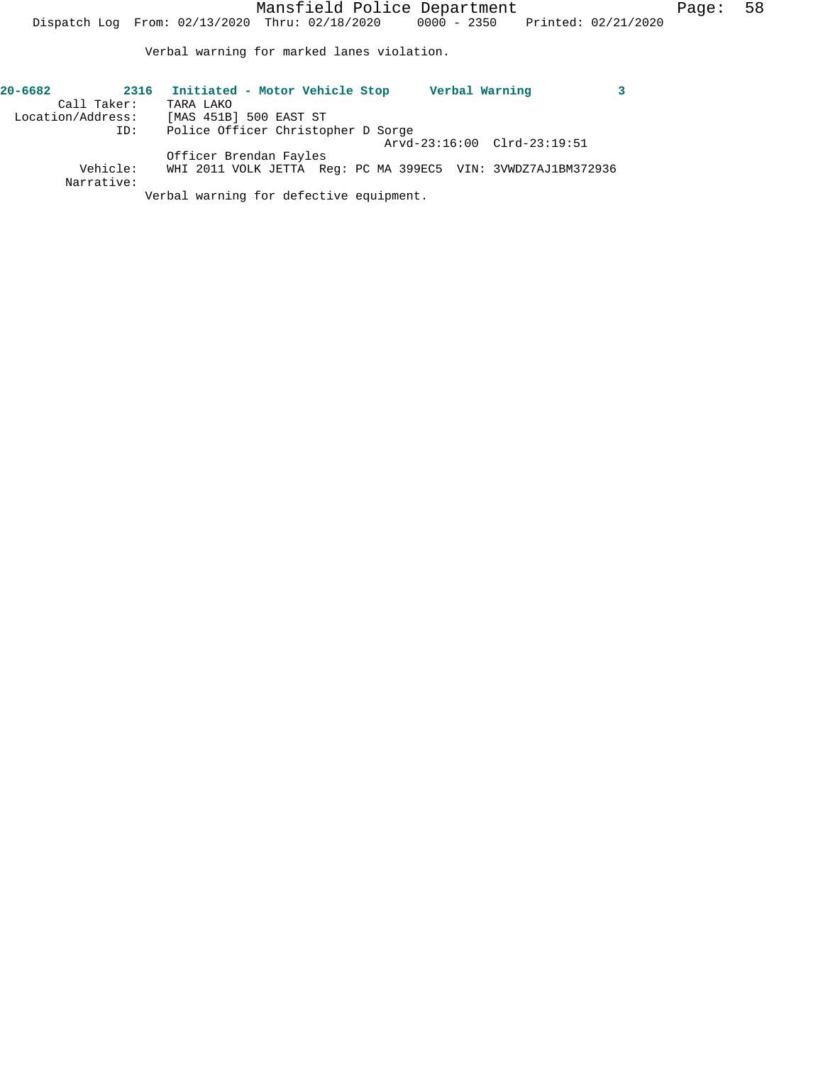Verbal warning for marked lanes violation.

| $20 - 6682$<br>Call Taker: | 2316     | Initiated - Motor Vehicle Stop<br>TARA LAKO |  |  | Verbal Warning                                               |  |
|----------------------------|----------|---------------------------------------------|--|--|--------------------------------------------------------------|--|
| Location/Address:          |          | [MAS 451B] 500 EAST ST                      |  |  |                                                              |  |
|                            | ID:      | Police Officer Christopher D Sorge          |  |  |                                                              |  |
|                            |          |                                             |  |  | Arvd-23:16:00 Clrd-23:19:51                                  |  |
|                            |          | Officer Brendan Fayles                      |  |  |                                                              |  |
| Narrative:                 | Vehicle: |                                             |  |  | WHI 2011 VOLK JETTA Req: PC MA 399EC5 VIN: 3VWDZ7AJ1BM372936 |  |
|                            |          | Verbal warning for defective equipment.     |  |  |                                                              |  |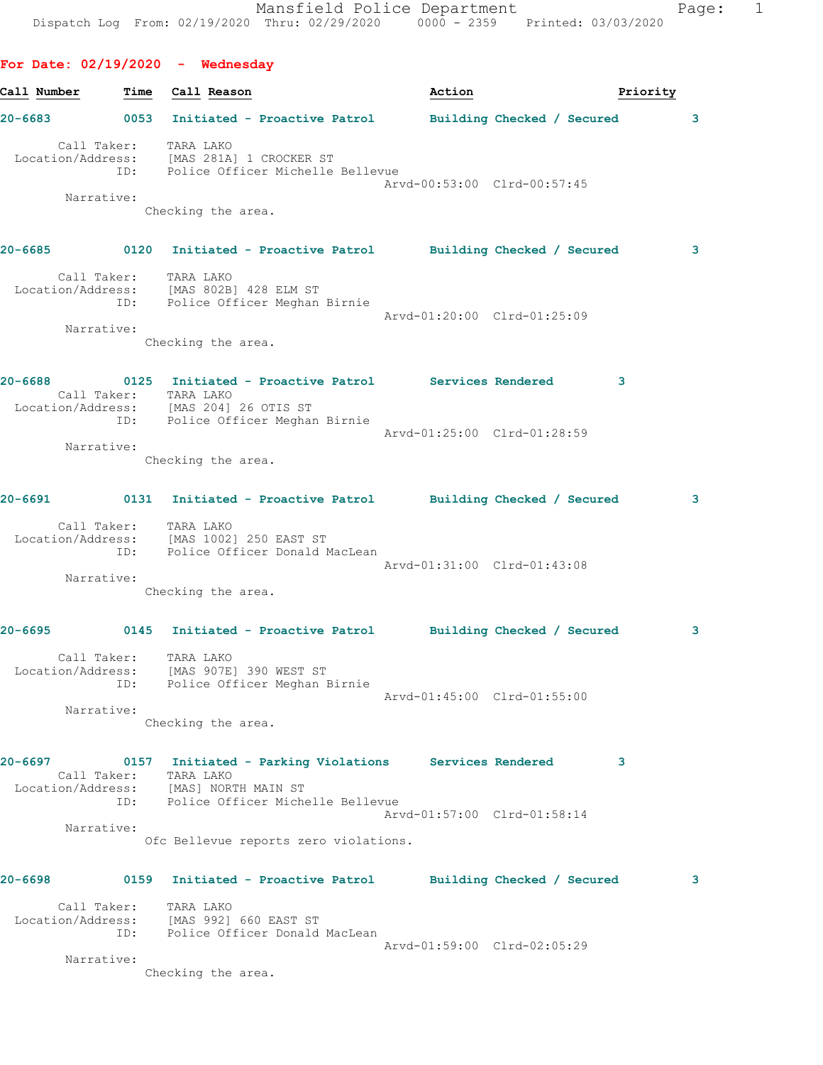Call Number Time Call Reason **Action** Action **Priority 20-6683 0053 Initiated - Proactive Patrol Building Checked / Secured 3** Call Taker: TARA LAKO Location/Address: [MAS 281A] 1 CROCKER ST ID: Police Officer Michelle Bellevue Arvd-00:53:00 Clrd-00:57:45 Narrative: Checking the area. **20-6685 0120 Initiated - Proactive Patrol Building Checked / Secured 3** Call Taker: TARA LAKO Location/Address: [MAS 802B] 428 ELM ST ID: Police Officer Meghan Birnie Arvd-01:20:00 Clrd-01:25:09 Narrative: Checking the area. **20-6688 0125 Initiated - Proactive Patrol Services Rendered 3**  Call Taker: TARA LAKO Location/Address: [MAS 204] 26 OTIS ST ID: Police Officer Meghan Birnie Arvd-01:25:00 Clrd-01:28:59 Narrative: Checking the area. **20-6691 0131 Initiated - Proactive Patrol Building Checked / Secured 3** Call Taker: TARA LAKO Location/Address: [MAS 1002] 250 EAST ST ID: Police Officer Donald MacLean Arvd-01:31:00 Clrd-01:43:08 Narrative: Checking the area. **20-6695 0145 Initiated - Proactive Patrol Building Checked / Secured 3** Call Taker: TARA LAKO Location/Address: [MAS 907E] 390 WEST ST ID: Police Officer Meghan Birnie Arvd-01:45:00 Clrd-01:55:00 Narrative: Checking the area. **20-6697 0157 Initiated - Parking Violations Services Rendered 3**  Call Taker: TARA LAKO Location/Address: [MAS] NORTH MAIN ST ID: Police Officer Michelle Bellevue Arvd-01:57:00 Clrd-01:58:14 Narrative: Ofc Bellevue reports zero violations. **20-6698 0159 Initiated - Proactive Patrol Building Checked / Secured 3** Call Taker: TARA LAKO Location/Address: [MAS 992] 660 EAST ST ID: Police Officer Donald MacLean Arvd-01:59:00 Clrd-02:05:29 Narrative:

Checking the area.

**For Date: 02/19/2020 - Wednesday**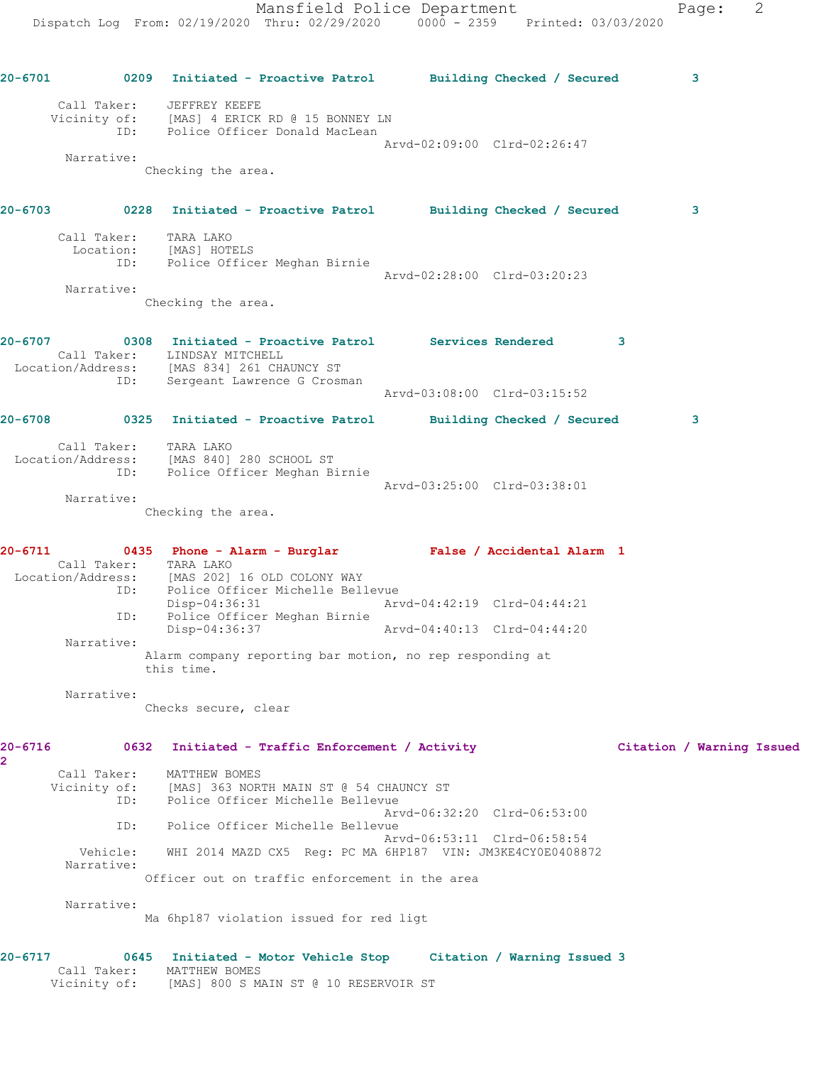**20-6701 0209 Initiated - Proactive Patrol Building Checked / Secured 3** Call Taker: JEFFREY KEEFE Vicinity of: [MAS] 4 ERICK RD @ 15 BONNEY LN ID: Police Officer Donald MacLean Arvd-02:09:00 Clrd-02:26:47 Narrative: Checking the area. **20-6703 0228 Initiated - Proactive Patrol Building Checked / Secured 3** Call Taker: TARA LAKO Location: [MAS] HOTELS ID: Police Officer Meghan Birnie Arvd-02:28:00 Clrd-03:20:23 Narrative: Checking the area. **20-6707 0308 Initiated - Proactive Patrol Services Rendered 3**  Call Taker: LINDSAY MITCHELL Location/Address: [MAS 834] 261 CHAUNCY ST ID: Sergeant Lawrence G Crosman Arvd-03:08:00 Clrd-03:15:52 **20-6708 0325 Initiated - Proactive Patrol Building Checked / Secured 3** Call Taker: TARA LAKO Location/Address: [MAS 840] 280 SCHOOL ST ID: Police Officer Meghan Birnie Arvd-03:25:00 Clrd-03:38:01 Narrative: Checking the area. **20-6711 0435 Phone - Alarm - Burglar False / Accidental Alarm 1**  Call Taker: TARA LAKO Location/Address: [MAS 202] 16 OLD COLONY WAY ID: Police Officer Michelle Bellevue<br>Disp-04:36:31 Arv Disp-04:36:31 Arvd-04:42:19 Clrd-04:44:21 ID: Police Officer Meghan Birnie Disp-04:36:37 Arvd-04:40:13 Clrd-04:44:20 Narrative: Alarm company reporting bar motion, no rep responding at this time. Narrative: Checks secure, clear **20-6716 0632 Initiated - Traffic Enforcement / Activity Citation / Warning Issued 2**  Call Taker: MATTHEW BOMES Vicinity of: [MAS] 363 NORTH MAIN ST @ 54 CHAUNCY ST ID: Police Officer Michelle Bellevue Arvd-06:32:20 Clrd-06:53:00 ID: Police Officer Michelle Bellevue Arvd-06:53:11 Clrd-06:58:54 Vehicle: WHI 2014 MAZD CX5 Reg: PC MA 6HP187 VIN: JM3KE4CY0E0408872 Narrative: Officer out on traffic enforcement in the area Narrative: Ma 6hp187 violation issued for red ligt **20-6717 0645 Initiated - Motor Vehicle Stop Citation / Warning Issued 3**  Call Taker: MATTHEW BOMES Vicinity of: [MAS] 800 S MAIN ST @ 10 RESERVOIR ST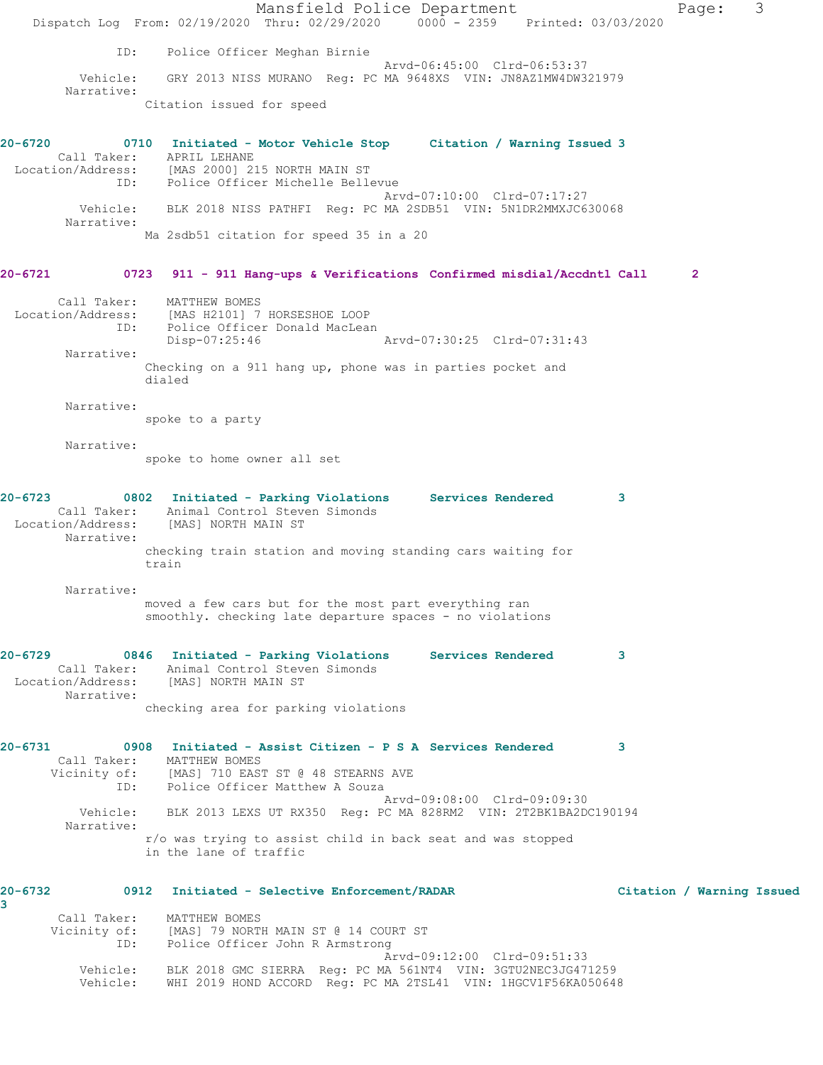|                        | Mansfield Police Department<br>Dispatch Log From: 02/19/2020 Thru: 02/29/2020 0000 - 2359 Printed: 03/03/2020                 | 3<br>Page:                |
|------------------------|-------------------------------------------------------------------------------------------------------------------------------|---------------------------|
|                        |                                                                                                                               |                           |
| ID:                    | Police Officer Meghan Birnie<br>Arvd-06:45:00 Clrd-06:53:37                                                                   |                           |
| Vehicle:<br>Narrative: | GRY 2013 NISS MURANO Req: PC MA 9648XS VIN: JN8AZ1MW4DW321979                                                                 |                           |
|                        | Citation issued for speed                                                                                                     |                           |
| 20-6720                | 0710 Initiated - Motor Vehicle Stop Citation / Warning Issued 3                                                               |                           |
|                        | Call Taker: APRIL LEHANE                                                                                                      |                           |
|                        | Location/Address: [MAS 2000] 215 NORTH MAIN ST<br>ID: Police Officer Michelle Bellevue                                        |                           |
| Narrative:             | Arvd-07:10:00 Clrd-07:17:27<br>Vehicle: BLK 2018 NISS PATHFI Req: PC MA 2SDB51 VIN: 5N1DR2MMXJC630068                         |                           |
|                        | Ma 2sdb51 citation for speed 35 in a 20                                                                                       |                           |
| 20-6721                | 0723 911 - 911 Hang-ups & Verifications Confirmed misdial/Accdntl Call                                                        | $\mathbf{2}$              |
|                        |                                                                                                                               |                           |
| Call Taker:            | MATTHEW BOMES<br>Location/Address: [MAS H2101] 7 HORSESHOE LOOP                                                               |                           |
| ID:                    | Police Officer Donald MacLean<br>Arvd-07:30:25 Clrd-07:31:43<br>Disp-07:25:46                                                 |                           |
| Narrative:             |                                                                                                                               |                           |
|                        | Checking on a 911 hang up, phone was in parties pocket and<br>dialed                                                          |                           |
| Narrative:             |                                                                                                                               |                           |
|                        | spoke to a party                                                                                                              |                           |
| Narrative:             | spoke to home owner all set                                                                                                   |                           |
|                        |                                                                                                                               |                           |
| 20-6723                | 0802 Initiated - Parking Violations Services Rendered<br>Call Taker: Animal Control Steven Simonds                            | 3                         |
| Narrative:             | Location/Address: [MAS] NORTH MAIN ST                                                                                         |                           |
|                        | checking train station and moving standing cars waiting for<br>train                                                          |                           |
|                        |                                                                                                                               |                           |
| Narrative:             | moved a few cars but for the most part everything ran                                                                         |                           |
|                        | smoothly. checking late departure spaces - no violations                                                                      |                           |
| 20-6729                | 0846 Initiated - Parking Violations<br>Services Rendered                                                                      | 3                         |
|                        | Call Taker: Animal Control Steven Simonds<br>Location/Address: [MAS] NORTH MAIN ST                                            |                           |
| Narrative:             | checking area for parking violations                                                                                          |                           |
|                        |                                                                                                                               |                           |
| 20-6731                | 0908 Initiated - Assist Citizen - P S A Services Rendered                                                                     | 3                         |
|                        | Call Taker: MATTHEW BOMES<br>Vicinity of: [MAS] 710 EAST ST @ 48 STEARNS AVE                                                  |                           |
|                        | ID: Police Officer Matthew A Souza<br>Arvd-09:08:00 Clrd-09:09:30                                                             |                           |
|                        | Vehicle: BLK 2013 LEXS UT RX350 Req: PC MA 828RM2 VIN: 2T2BK1BA2DC190194                                                      |                           |
| Narrative:             | r/o was trying to assist child in back seat and was stopped<br>in the lane of traffic                                         |                           |
|                        |                                                                                                                               |                           |
| 20-6732                | 0912<br>Initiated - Selective Enforcement/RADAR                                                                               | Citation / Warning Issued |
| 3                      | Call Taker: MATTHEW BOMES                                                                                                     |                           |
| ID:                    | Vicinity of: [MAS] 79 NORTH MAIN ST @ 14 COURT ST<br>Police Officer John R Armstrong                                          |                           |
|                        | Arvd-09:12:00 Clrd-09:51:33                                                                                                   |                           |
| Vehicle:<br>Vehicle:   | BLK 2018 GMC SIERRA Reg: PC MA 561NT4 VIN: 3GTU2NEC3JG471259<br>WHI 2019 HOND ACCORD Reg: PC MA 2TSL41 VIN: 1HGCV1F56KA050648 |                           |
|                        |                                                                                                                               |                           |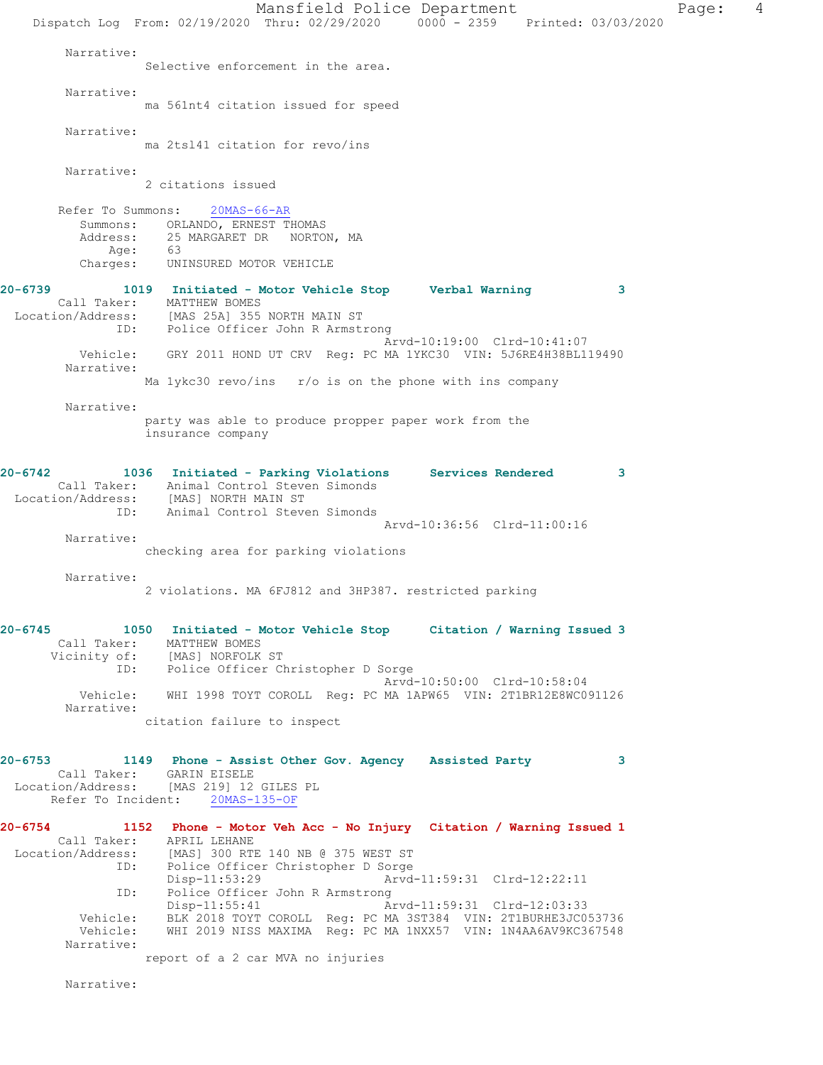Mansfield Police Department Fage: 4 Dispatch Log From: 02/19/2020 Thru: 02/29/2020 0000 - 2359 Printed: 03/03/2020 Narrative: Selective enforcement in the area. Narrative: ma 561nt4 citation issued for speed Narrative: ma 2tsl41 citation for revo/ins Narrative: 2 citations issued Refer To Summons: 20MAS-66-AR Summons: ORLANDO, ERNEST THOMAS<br>Address: 25 MARGARET DR NORTOI 25 MARGARET DR NORTON, MA Age: 63 Charges: UNINSURED MOTOR VEHICLE **20-6739 1019 Initiated - Motor Vehicle Stop Verbal Warning 3**  Call Taker: MATTHEW BOMES Location/Address: [MAS 25A] 355 NORTH MAIN ST ID: Police Officer John R Armstrong Arvd-10:19:00 Clrd-10:41:07 Vehicle: GRY 2011 HOND UT CRV Reg: PC MA 1YKC30 VIN: 5J6RE4H38BL119490 Narrative: Ma 1ykc30 revo/ins r/o is on the phone with ins company Narrative: party was able to produce propper paper work from the insurance company **20-6742 1036 Initiated - Parking Violations Services Rendered 3**  Call Taker: Animal Control Steven Simonds Location/Address: [MAS] NORTH MAIN ST ID: Animal Control Steven Simonds Arvd-10:36:56 Clrd-11:00:16 Narrative: checking area for parking violations Narrative: 2 violations. MA 6FJ812 and 3HP387. restricted parking **20-6745 1050 Initiated - Motor Vehicle Stop Citation / Warning Issued 3**  Call Taker: MATTHEW BOMES Vicinity of: [MAS] NORFOLK ST ID: Police Officer Christopher D Sorge Arvd-10:50:00 Clrd-10:58:04 Vehicle: WHI 1998 TOYT COROLL Reg: PC MA 1APW65 VIN: 2T1BR12E8WC091126 Narrative: citation failure to inspect **20-6753 1149 Phone - Assist Other Gov. Agency Assisted Party 3**  Call Taker: GARIN EISELE Location/Address: [MAS 219] 12 GILES PL Refer To Incident: 20MAS-135-OF **20-6754 1152 Phone - Motor Veh Acc - No Injury Citation / Warning Issued 1**  Call Taker: APRIL LEHANE Location/Address: [MAS] 300 RTE 140 NB @ 375 WEST ST<br>ID: Police Officer Christopher D Sorge Police Officer Christopher D Sorge<br>Disp-11:53:29 Arvd Arvd-11:59:31 Clrd-12:22:11 ID: Police Officer John R Armstrong<br>Disp-11:55:41 Ar Disp-11:55:41 Arvd-11:59:31 Clrd-12:03:33 Vehicle: BLK 2018 TOYT COROLL Reg: PC MA 3ST384 VIN: 2T1BURHE3JC053736 Vehicle: WHI 2019 NISS MAXIMA Reg: PC MA 1NXX57 VIN: 1N4AA6AV9KC367548 Narrative: report of a 2 car MVA no injuries

Narrative: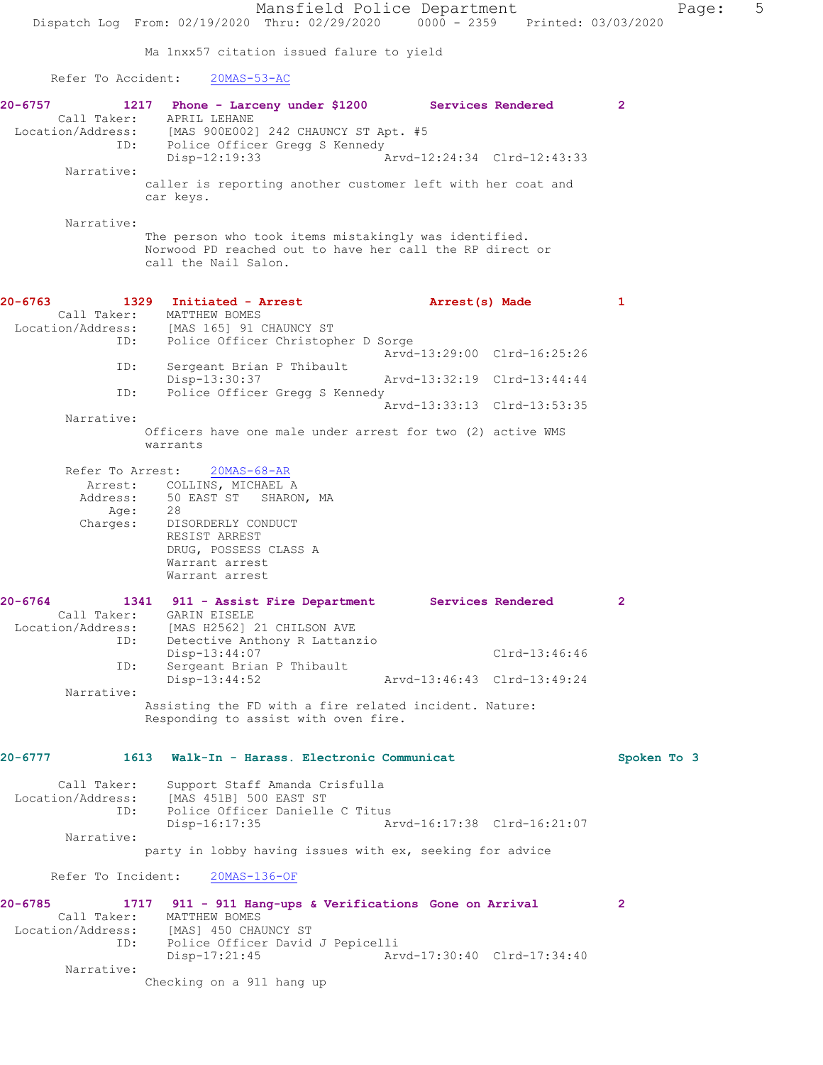Mansfield Police Department Fage: 5 Dispatch Log From: 02/19/2020 Thru: 02/29/2020 0000 - 2359 Printed: 03/03/2020 Ma 1nxx57 citation issued falure to yield Refer To Accident: 20MAS-53-AC **20-6757 1217 Phone - Larceny under \$1200 Services Rendered 2**  Call Taker: APRIL LEHANE Location/Address: [MAS 900E002] 242 CHAUNCY ST Apt. #5 ID: Police Officer Gregg S Kennedy<br>Disp-12:19:33 A Arvd-12:24:34 Clrd-12:43:33 Narrative: caller is reporting another customer left with her coat and car keys. Narrative: The person who took items mistakingly was identified. Norwood PD reached out to have her call the RP direct or call the Nail Salon. **20-6763 1329 Initiated - Arrest Arrest(s) Made 1**  Call Taker: MATTHEW BOMES Location/Address: [MAS 165] 91 CHAUNCY ST<br>ID: Police Officer Christoph Police Officer Christopher D Sorge Arvd-13:29:00 Clrd-16:25:26 ID: Sergeant Brian P Thibault<br>Disp-13:30:37 Disp-13:30:37 Arvd-13:32:19 Clrd-13:44:44 ID: Police Officer Gregg S Kennedy Arvd-13:33:13 Clrd-13:53:35 Narrative: Officers have one male under arrest for two (2) active WMS warrants Refer To Arrest: 20MAS-68-AR Arrest: COLLINS, MICHAEL A<br>Address: 50 EAST ST SHAROI 50 EAST ST SHARON, MA<br>28 Age:<br>Charges: - .<br>DISORDERLY CONDUCT RESIST ARREST DRUG, POSSESS CLASS A Warrant arrest Warrant arrest **20-6764 1341 911 - Assist Fire Department Services Rendered 2**  Call Taker: GARIN EISELE Location/Address: [MAS H2562] 21 CHILSON AVE ID: Detective Anthony R Lattanzio<br>Disp-13:44:07 Disp-13:44:07 Clrd-13:46:46 ID: Sergeant Brian P Thibault Disp-13:44:52 Arvd-13:46:43 Clrd-13:49:24 Narrative: Assisting the FD with a fire related incident. Nature: Responding to assist with oven fire. **20-6777 1613 Walk-In - Harass. Electronic Communicat Spoken To 3** Call Taker: Support Staff Amanda Crisfulla Location/Address: [MAS 451B] 500 EAST ST ID: Police Officer Danielle C Titus Disp-16:17:35 Arvd-16:17:38 Clrd-16:21:07 Narrative: party in lobby having issues with ex, seeking for advice

Refer To Incident: 20MAS-136-OF

**20-6785 1717 911 - 911 Hang-ups & Verifications Gone on Arrival 2**  Call Taker: MATTHEW BOMES Location/Address: [MAS] 450 CHAUNCY ST ID: Police Officer David J Pepicelli Disp-17:21:45 Arvd-17:30:40 Clrd-17:34:40 Narrative: Checking on a 911 hang up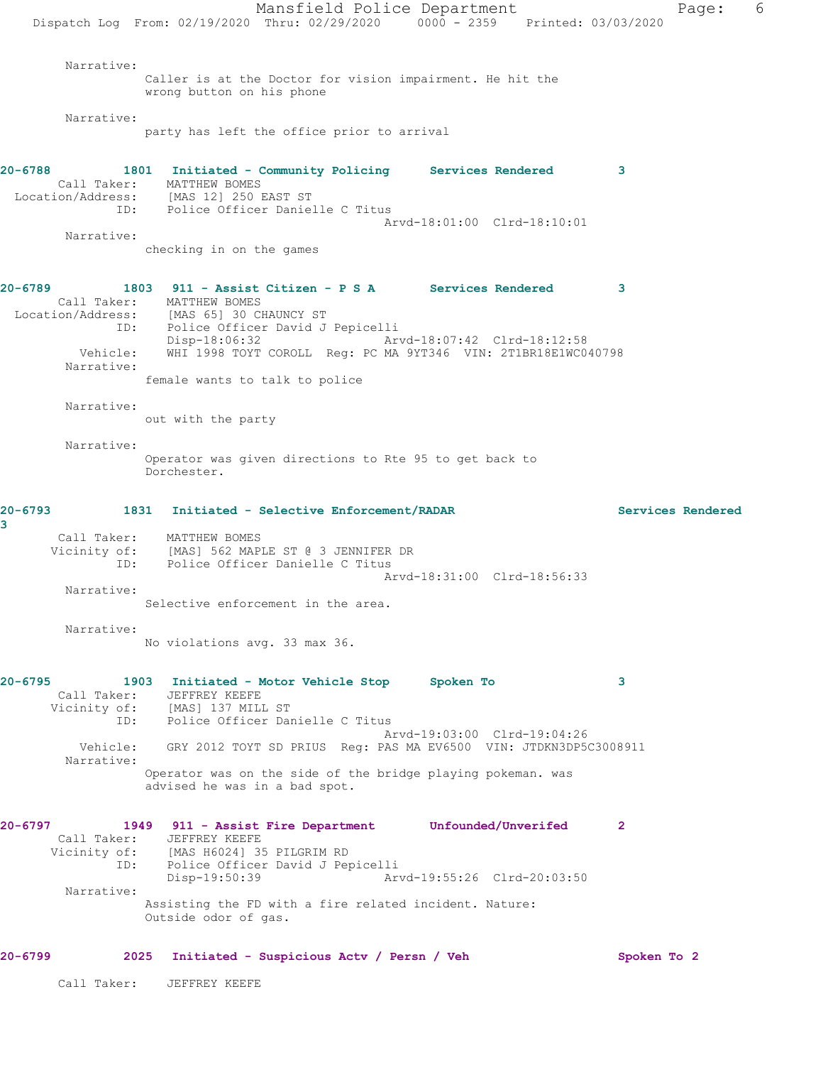Mansfield Police Department Fage: 6 Dispatch Log From: 02/19/2020 Thru: 02/29/2020 0000 - 2359 Printed: 03/03/2020 Narrative: Caller is at the Doctor for vision impairment. He hit the wrong button on his phone Narrative: party has left the office prior to arrival **20-6788 1801 Initiated - Community Policing Services Rendered 3**  Call Taker: MATTHEW BOMES Location/Address: [MAS 12] 250 EAST ST ID: Police Officer Danielle C Titus Arvd-18:01:00 Clrd-18:10:01 Narrative: checking in on the games **20-6789 1803 911 - Assist Citizen - P S A Services Rendered 3**  Call Taker: MATTHEW BOMES Location/Address: [MAS 65] 30 CHAUNCY ST ID: Police Officer David J Pepicelli Disp-18:06:32 Arvd-18:07:42 Clrd-18:12:58 Vehicle: WHI 1998 TOYT COROLL Reg: PC MA 9YT346 VIN: 2T1BR18E1WC040798 Narrative: female wants to talk to police Narrative: out with the party Narrative: Operator was given directions to Rte 95 to get back to Dorchester. **20-6793 1831 Initiated - Selective Enforcement/RADAR Services Rendered 3**  Call Taker: MATTHEW BOMES Vicinity of: [MAS] 562 MAPLE ST @ 3 JENNIFER DR ID: Police Officer Danielle C Titus Arvd-18:31:00 Clrd-18:56:33 Narrative: Selective enforcement in the area. Narrative: No violations avg. 33 max 36. **20-6795 1903 Initiated - Motor Vehicle Stop Spoken To 3**  Call Taker: JEFFREY KEEFE Vicinity of: [MAS] 137 MILL ST ID: Police Officer Danielle C Titus Arvd-19:03:00 Clrd-19:04:26 Vehicle: GRY 2012 TOYT SD PRIUS Reg: PAS MA EV6500 VIN: JTDKN3DP5C3008911 Narrative: Operator was on the side of the bridge playing pokeman. was advised he was in a bad spot. **20-6797 1949 911 - Assist Fire Department Unfounded/Unverifed 2**  Call Taker: JEFFREY KEEFE Vicinity of: [MAS H6024] 35 PILGRIM RD ID: Police Officer David J Pepicelli Disp-19:50:39 Arvd-19:55:26 Clrd-20:03:50 Narrative: Assisting the FD with a fire related incident. Nature: Outside odor of gas. **20-6799 2025 Initiated - Suspicious Actv / Persn / Veh Spoken To 2** Call Taker: JEFFREY KEEFE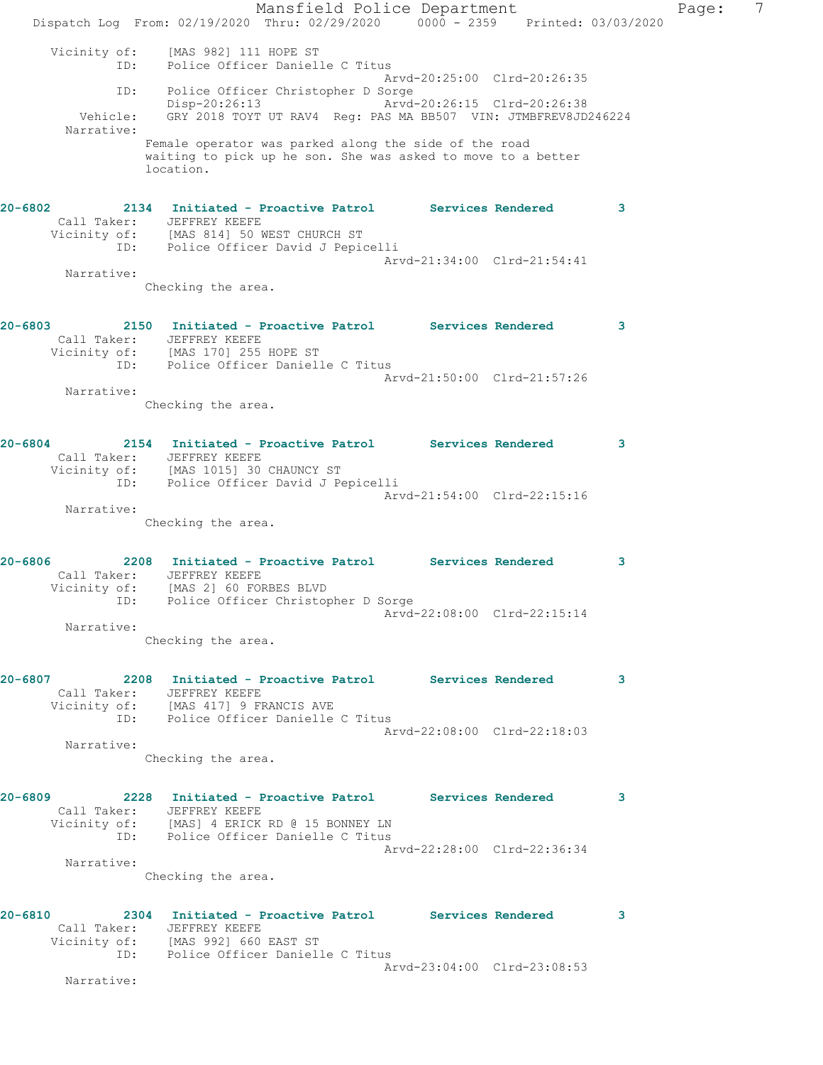Mansfield Police Department Fage: 7 Dispatch Log From: 02/19/2020 Thru: 02/29/2020 0000 - 2359 Printed: 03/03/2020 Vicinity of: [MAS 982] 111 HOPE ST ID: Police Officer Danielle C Titus Arvd-20:25:00 Clrd-20:26:35 ID: Police Officer Christopher D Sorge Disp-20:26:13 Arvd-20:26:15 Clrd-20:26:38 Vehicle: GRY 2018 TOYT UT RAV4 Reg: PAS MA BB507 VIN: JTMBFREV8JD246224 Narrative: Female operator was parked along the side of the road waiting to pick up he son. She was asked to move to a better location. **20-6802 2134 Initiated - Proactive Patrol Services Rendered 3**  Call Taker: JEFFREY KEEFE Vicinity of: [MAS 814] 50 WEST CHURCH ST ID: Police Officer David J Pepicelli Arvd-21:34:00 Clrd-21:54:41 Narrative: Checking the area. **20-6803 2150 Initiated - Proactive Patrol Services Rendered 3**  Call Taker: JEFFREY KEEFE Vicinity of: [MAS 170] 255 HOPE ST ID: Police Officer Danielle C Titus Arvd-21:50:00 Clrd-21:57:26 Narrative: Checking the area. **20-6804 2154 Initiated - Proactive Patrol Services Rendered 3**  Call Taker: JEFFREY KEEFE Vicinity of: [MAS 1015] 30 CHAUNCY ST ID: Police Officer David J Pepicelli Arvd-21:54:00 Clrd-22:15:16 Narrative: Checking the area. **20-6806 2208 Initiated - Proactive Patrol Services Rendered 3**  Call Taker: JEFFREY KEEFE Vicinity of: [MAS 2] 60 FORBES BLVD ID: Police Officer Christopher D Sorge Arvd-22:08:00 Clrd-22:15:14 Narrative: Checking the area. **20-6807 2208 Initiated - Proactive Patrol Services Rendered 3**  Call Taker: JEFFREY KEEFE Vicinity of: [MAS 417] 9 FRANCIS AVE ID: Police Officer Danielle C Titus Arvd-22:08:00 Clrd-22:18:03 Narrative: Checking the area. **20-6809 2228 Initiated - Proactive Patrol Services Rendered 3**  Call Taker: JEFFREY KEEFE Vicinity of: [MAS] 4 ERICK RD @ 15 BONNEY LN ID: Police Officer Danielle C Titus Arvd-22:28:00 Clrd-22:36:34 Narrative: Checking the area. **20-6810 2304 Initiated - Proactive Patrol Services Rendered 3**  Call Taker: JEFFREY KEEFE Vicinity of: [MAS 992] 660 EAST ST ID: Police Officer Danielle C Titus Arvd-23:04:00 Clrd-23:08:53 Narrative: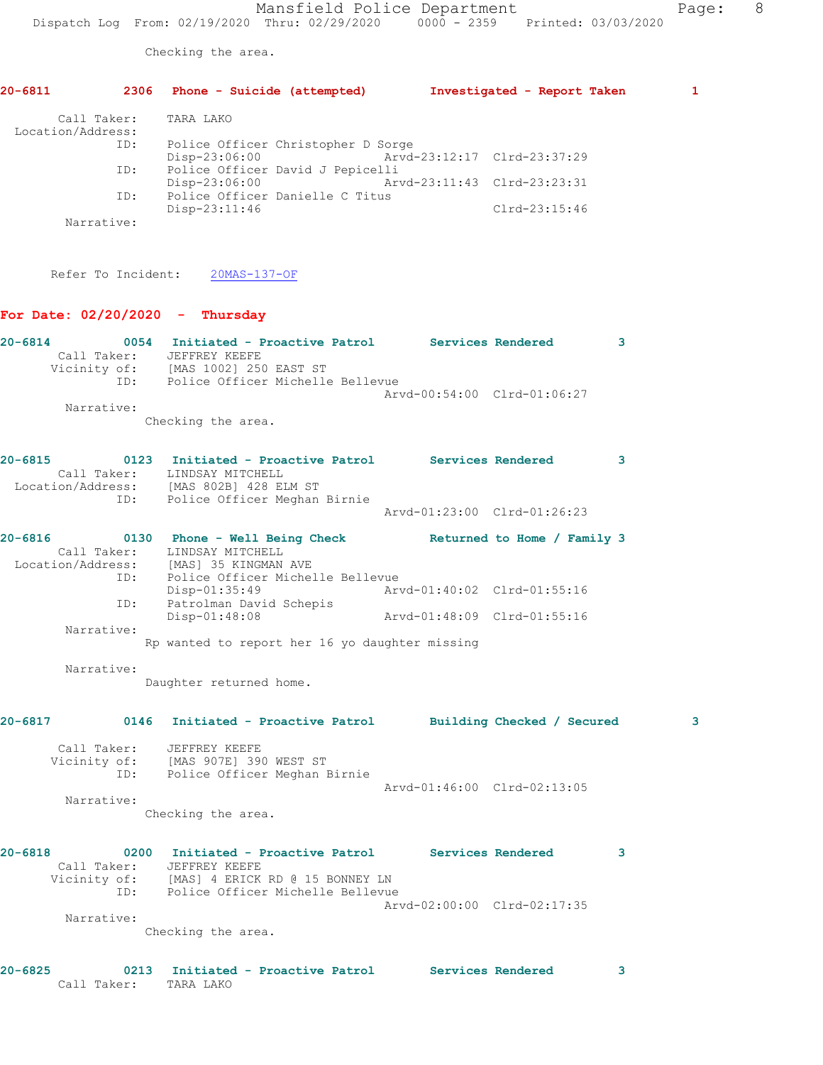Checking the area.

|             |                                                                     | 20-6811 2306 Phone - Suicide (attempted) Investigated - Report Taken                                                                                                                   |                                                            |               | 1 |
|-------------|---------------------------------------------------------------------|----------------------------------------------------------------------------------------------------------------------------------------------------------------------------------------|------------------------------------------------------------|---------------|---|
|             | Call Taker:<br>Location/Address:<br>ID:<br>ID:<br>ID:<br>Narrative: | TARA LAKO<br>Police Officer Christopher D Sorge<br>Disp-23:06:00<br>Police Officer David J Pepicelli<br>Disp-23:06:00<br>Police Officer Danielle C Titus<br>Disp-23:11:46              | Arvd-23:12:17 Clrd-23:37:29<br>Arvd-23:11:43 Clrd-23:23:31 | Clrd-23:15:46 |   |
|             |                                                                     | Refer To Incident: 20MAS-137-OF                                                                                                                                                        |                                                            |               |   |
|             |                                                                     | For Date: $02/20/2020 -$ Thursday                                                                                                                                                      |                                                            |               |   |
|             |                                                                     | 20-6814 		 0054 Initiated - Proactive Patrol Services Rendered<br>Call Taker: JEFFREY KEEFE<br>Vicinity of: [MAS 1002] 250 EAST ST<br>ID: Police Officer Michelle Bellevue             |                                                            |               | 3 |
|             | Narrative:                                                          |                                                                                                                                                                                        | Arvd-00:54:00 Clrd-01:06:27                                |               |   |
|             |                                                                     | Checking the area.                                                                                                                                                                     |                                                            |               |   |
| $20 - 6815$ |                                                                     | 0123 Initiated - Proactive Patrol Services Rendered<br>Call Taker: LINDSAY MITCHELL<br>Location/Address: [MAS 802B] 428 ELM ST<br>ID: Police Officer Meghan Birnie                     |                                                            |               | 3 |
|             |                                                                     |                                                                                                                                                                                        | Arvd-01:23:00 Clrd-01:26:23                                |               |   |
|             |                                                                     | 20-6816 		 0130 Phone - Well Being Check Returned to Home / Family 3<br>Call Taker: LINDSAY MITCHELL<br>Location/Address: [MAS] 35 KINGMAN AVE<br>ID: Police Officer Michelle Bellevue |                                                            |               |   |
|             | ID:                                                                 | Disp-01:35:49<br>Patrolman David Schepis                                                                                                                                               | Arvd-01:40:02 Clrd-01:55:16                                |               |   |
|             | Narrative:                                                          | Disp-01:48:08<br>Rp wanted to report her 16 yo daughter missing                                                                                                                        |                                                            |               |   |
|             | Narrative:                                                          |                                                                                                                                                                                        |                                                            |               |   |
|             |                                                                     | Daughter returned home.                                                                                                                                                                |                                                            |               |   |
|             |                                                                     | 20-6817 0146 Initiated - Proactive Patrol Building Checked / Secured                                                                                                                   |                                                            |               | 3 |
|             |                                                                     | Call Taker: JEFFREY KEEFE<br>Vicinity of: [MAS 907E] 390 WEST ST<br>ID: Police Officer Meghan Birnie                                                                                   | Arvd-01:46:00 Clrd-02:13:05                                |               |   |
|             | Narrative:                                                          | Checking the area.                                                                                                                                                                     |                                                            |               |   |
| $20 - 6818$ |                                                                     | 0200 Initiated - Proactive Patrol Services Rendered<br>Call Taker: JEFFREY KEEFE<br>Vicinity of: [MAS] 4 ERICK RD @ 15 BONNEY LN<br>ID: Police Officer Michelle Bellevue               | Arvd-02:00:00 Clrd-02:17:35                                |               | 3 |
|             | Narrative:                                                          | Checking the area.                                                                                                                                                                     |                                                            |               |   |
| $20 - 6825$ | Call Taker: TARA LAKO                                               | 0213 Initiated - Proactive Patrol Services Rendered                                                                                                                                    |                                                            |               | 3 |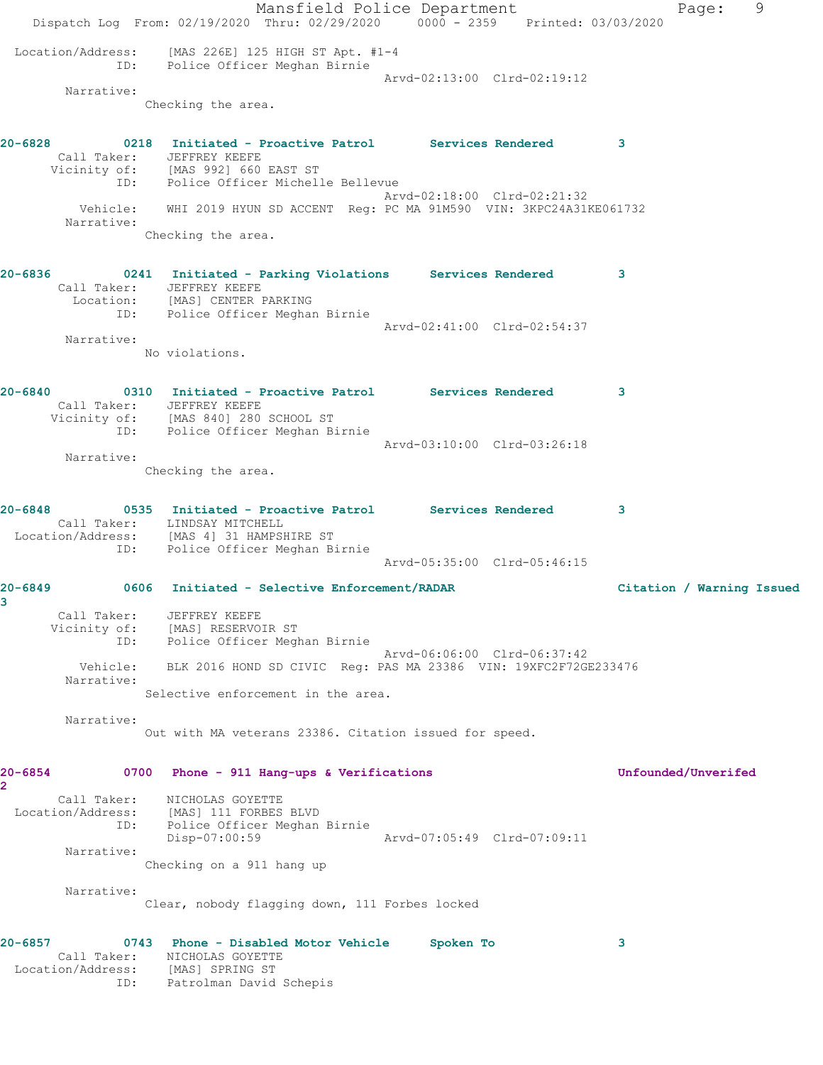Mansfield Police Department Fage: 9 Dispatch Log From: 02/19/2020 Thru: 02/29/2020 0000 - 2359 Printed: 03/03/2020 Location/Address: [MAS 226E] 125 HIGH ST Apt. #1-4 ID: Police Officer Meghan Birnie Arvd-02:13:00 Clrd-02:19:12 Narrative: Checking the area. **20-6828 0218 Initiated - Proactive Patrol Services Rendered 3**  Call Taker: JEFFREY KEEFE Vicinity of: [MAS 992] 660 EAST ST ID: Police Officer Michelle Bellevue Arvd-02:18:00 Clrd-02:21:32 Vehicle: WHI 2019 HYUN SD ACCENT Reg: PC MA 91M590 VIN: 3KPC24A31KE061732 Narrative: Checking the area. **20-6836 0241 Initiated - Parking Violations Services Rendered 3**  Call Taker: JEFFREY KEEFE Location: [MAS] CENTER PARKING ID: Police Officer Meghan Birnie Arvd-02:41:00 Clrd-02:54:37 Narrative: No violations. **20-6840 0310 Initiated - Proactive Patrol Services Rendered 3**  Call Taker: JEFFREY KEEFE Vicinity of: [MAS 840] 280 SCHOOL ST ID: Police Officer Meghan Birnie Arvd-03:10:00 Clrd-03:26:18 Narrative: Checking the area. **20-6848 0535 Initiated - Proactive Patrol Services Rendered 3**  Call Taker: LINDSAY MITCHELL Location/Address: [MAS 4] 31 HAMPSHIRE ST ID: Police Officer Meghan Birnie Arvd-05:35:00 Clrd-05:46:15 **20-6849 0606 Initiated - Selective Enforcement/RADAR Citation / Warning Issued 3**  Call Taker: JEFFREY KEEFE Vicinity of: [MAS] RESERVOIR ST ID: Police Officer Meghan Birnie Arvd-06:06:00 Clrd-06:37:42 Vehicle: BLK 2016 HOND SD CIVIC Reg: PAS MA 23386 VIN: 19XFC2F72GE233476 Narrative: Selective enforcement in the area. Narrative: Out with MA veterans 23386. Citation issued for speed. **20-6854 0700 Phone - 911 Hang-ups & Verifications Unfounded/Unverifed 2**  Call Taker: NICHOLAS GOYETTE Location/Address: [MAS] 111 FORBES BLVD ID: Police Officer Meghan Birnie Disp-07:00:59 Arvd-07:05:49 Clrd-07:09:11 Narrative: Checking on a 911 hang up Narrative: Clear, nobody flagging down, 111 Forbes locked **20-6857 0743 Phone - Disabled Motor Vehicle Spoken To 3**  Call Taker: NICHOLAS GOYETTE Location/Address: [MAS] SPRING ST ID: Patrolman David Schepis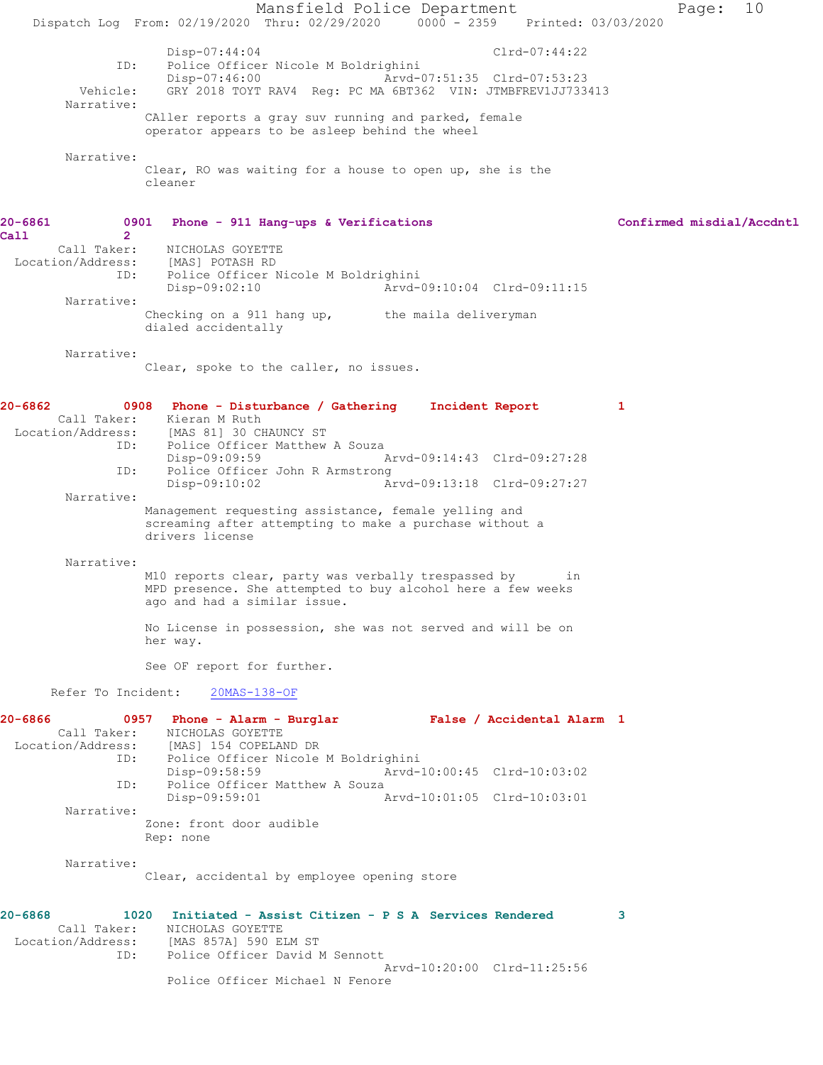Mansfield Police Department Page: 10 Dispatch Log From: 02/19/2020 Thru: 02/29/2020 0000 - 2359 Printed: 03/03/2020 Disp-07:44:04 Clrd-07:44:22<br>The Police Officer Nicole M Boldrighini Police Officer Nicole M Boldrighini<br>Disp-07:46:00 Arvd-0 Arvd-07:51:35 Clrd-07:53:23 Vehicle: GRY 2018 TOYT RAV4 Reg: PC MA 6BT362 VIN: JTMBFREV1JJ733413 Narrative: CAller reports a gray suv running and parked, female operator appears to be asleep behind the wheel Narrative: Clear, RO was waiting for a house to open up, she is the cleaner **20-6861 0901 Phone - 911 Hang-ups & Verifications Confirmed misdial/Accdntl Call 2**  NICHOLAS GOYETTE Location/Address: [MAS] POTASH RD ID: Police Officer Nicole M Boldrighini Disp-09:02:10 Arvd-09:10:04 Clrd-09:11:15 Narrative: Checking on a 911 hang up, the maila deliveryman dialed accidentally Narrative: Clear, spoke to the caller, no issues. **20-6862 0908 Phone - Disturbance / Gathering Incident Report 1**  Call Taker: Kieran M Ruth Location/Address: [MAS 81] 30 CHAUNCY ST Police Officer Matthew A Souza<br>Disp-09:09:59 Disp-09:09:59 Arvd-09:14:43 Clrd-09:27:28 ID: Police Officer John R Armstrong Disp-09:10:02 Arvd-09:13:18 Clrd-09:27:27 Narrative: Management requesting assistance, female yelling and screaming after attempting to make a purchase without a drivers license Narrative: M10 reports clear, party was verbally trespassed by in MPD presence. She attempted to buy alcohol here a few weeks ago and had a similar issue. No License in possession, she was not served and will be on her way. See OF report for further. Refer To Incident: 20MAS-138-OF **20-6866 0957 Phone - Alarm - Burglar False / Accidental Alarm 1**  Call Taker: NICHOLAS GOYETTE<br>Location/Address: [MAS] 154 COPELAN [MAS] 154 COPELAND DR ID: Police Officer Nicole M Boldrighini Disp-09:58:59 Arvd-10:00:45 Clrd-10:03:02 ID: Police Officer Matthew A Souza<br>Disp-09:59:01 Disp-09:59:01 Arvd-10:01:05 Clrd-10:03:01 Narrative: Zone: front door audible Rep: none Narrative: Clear, accidental by employee opening store **20-6868 1020 Initiated - Assist Citizen - P S A Services Rendered 3**  Call Taker: NICHOLAS GOYETTE Location/Address: [MAS 857A] 590 ELM ST ID: Police Officer David M Sennott Arvd-10:20:00 Clrd-11:25:56 Police Officer Michael N Fenore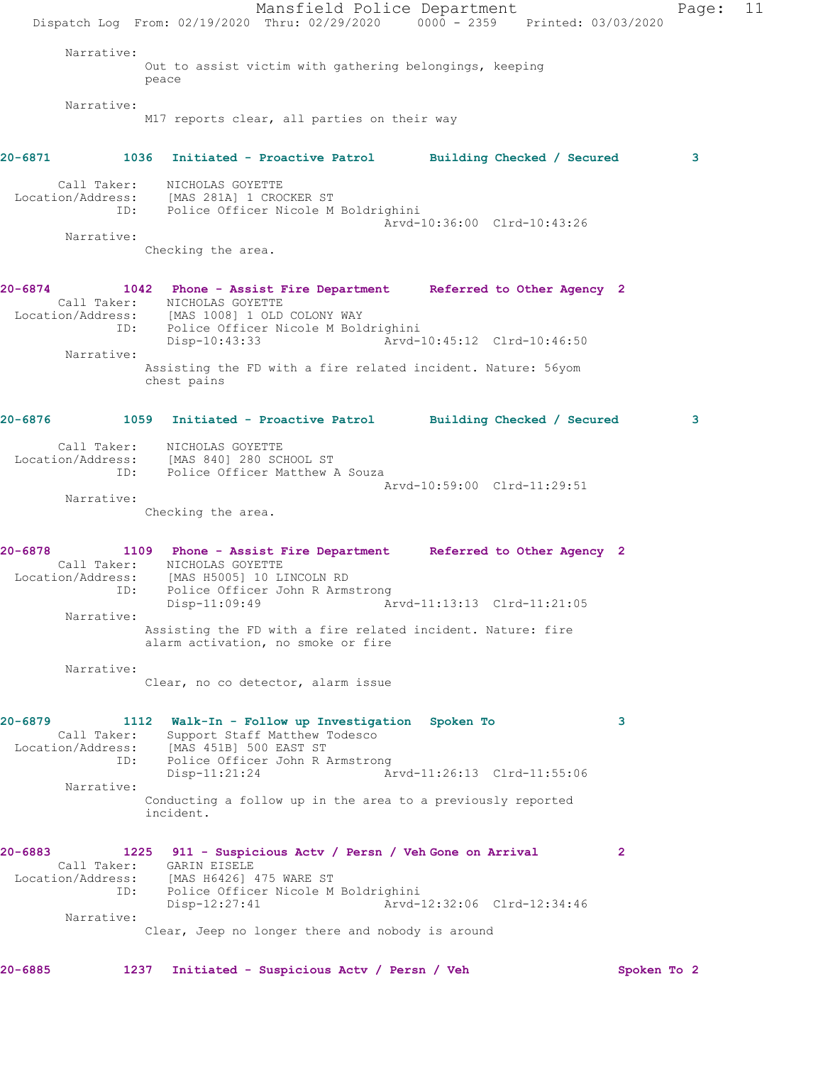Mansfield Police Department Page: 11 Dispatch Log From: 02/19/2020 Thru: 02/29/2020 0000 - 2359 Printed: 03/03/2020 Narrative: Out to assist victim with gathering belongings, keeping peace Narrative: M17 reports clear, all parties on their way **20-6871 1036 Initiated - Proactive Patrol Building Checked / Secured 3** Call Taker: NICHOLAS GOYETTE Location/Address: [MAS 281A] 1 CROCKER ST ID: Police Officer Nicole M Boldrighini Arvd-10:36:00 Clrd-10:43:26 Narrative: Checking the area. **20-6874 1042 Phone - Assist Fire Department Referred to Other Agency 2**  Call Taker: NICHOLAS GOYETTE Location/Address: [MAS 1008] 1 OLD COLONY WAY ID: Police Officer Nicole M Boldrighini Disp-10:43:33 Arvd-10:45:12 Clrd-10:46:50 Narrative: Assisting the FD with a fire related incident. Nature: 56yom chest pains **20-6876 1059 Initiated - Proactive Patrol Building Checked / Secured 3** Call Taker: NICHOLAS GOYETTE Location/Address: [MAS 840] 280 SCHOOL ST ID: Police Officer Matthew A Souza Arvd-10:59:00 Clrd-11:29:51 Narrative: Checking the area. **20-6878 1109 Phone - Assist Fire Department Referred to Other Agency 2**  Call Taker: NICHOLAS GOYETTE Location/Address: [MAS H5005] 10 LINCOLN RD ID: Police Officer John R Armstrong Disp-11:09:49 Arvd-11:13:13 Clrd-11:21:05 Narrative: Assisting the FD with a fire related incident. Nature: fire alarm activation, no smoke or fire Narrative: Clear, no co detector, alarm issue **20-6879 1112 Walk-In - Follow up Investigation Spoken To 3**  Call Taker: Support Staff Matthew Todesco Location/Address: [MAS 451B] 500 EAST ST ID: Police Officer John R Armstrong Disp-11:21:24 Arvd-11:26:13 Clrd-11:55:06 Narrative: Conducting a follow up in the area to a previously reported incident. **20-6883 1225 911 - Suspicious Actv / Persn / Veh Gone on Arrival 2**  Call Taker: GARIN EISELE Location/Address: [MAS H6426] 475 WARE ST ID: Police Officer Nicole M Boldrighini Disp-12:27:41 Arvd-12:32:06 Clrd-12:34:46 Narrative: Clear, Jeep no longer there and nobody is around **20-6885 1237 Initiated - Suspicious Actv / Persn / Veh Spoken To 2**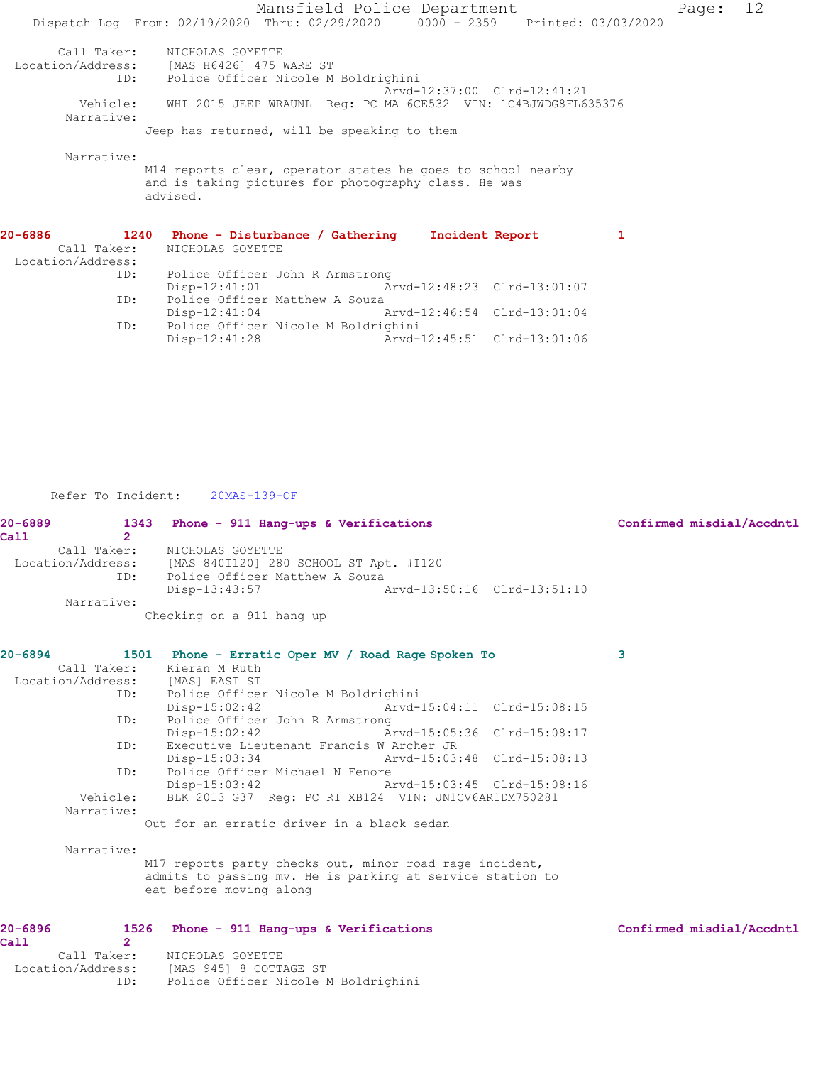Mansfield Police Department Fage: 12 Dispatch Log From: 02/19/2020 Thru: 02/29/2020 0000 - 2359 Printed: 03/03/2020 Call Taker: NICHOLAS GOYETTE Location/Address: [MAS H6426] 475 WARE ST ID: Police Officer Nicole M Boldrighini Arvd-12:37:00 Clrd-12:41:21 Vehicle: WHI 2015 JEEP WRAUNL Reg: PC MA 6CE532 VIN: 1C4BJWDG8FL635376 Narrative: Jeep has returned, will be speaking to them Narrative: M14 reports clear, operator states he goes to school nearby and is taking pictures for photography class. He was advised. **20-6886 1240 Phone - Disturbance / Gathering Incident Report 1**  Call Taker: NICHOLAS GOYETTE Location/Address: ID: Police Officer John R Armstrong<br>Disp-12:41:01 Am

ID: Police Officer Matthew A Souza<br>Disp-12:41:04 Arvd-12:46:54 Clrd-13:01:04

Refer To Incident: 20MAS-139-OF

Disp-12:41:04<br>ID: Police Officer Nicole M Bol

Police Officer Nicole M Boldrighini<br>Disp-12:41:28 Arvd-

| $20 - 6889$ |                | 1343 Phone - 911 Hang-ups & Verifications                                                | Confirmed misdial/Accdntl |
|-------------|----------------|------------------------------------------------------------------------------------------|---------------------------|
| Ca11        | $\overline{2}$ |                                                                                          |                           |
|             |                | Call Taker: NICHOLAS GOYETTE                                                             |                           |
|             |                | Location/Address: [MAS 840I120] 280 SCHOOL ST Apt. #I120                                 |                           |
|             |                | ID: Police Officer Matthew A Souza                                                       |                           |
|             | Narrative:     | Disp-13:43:57<br>Arvd-13:50:16 Clrd-13:51:10                                             |                           |
|             |                | Checking on a 911 hang up                                                                |                           |
|             |                |                                                                                          |                           |
| $20 - 6894$ |                | 1501 Phone - Erratic Oper MV / Road Rage Spoken To                                       | 3                         |
|             | Call Taker:    | Kieran M Ruth                                                                            |                           |
|             |                | Location/Address: [MAS] EAST ST                                                          |                           |
|             | ID:            | Police Officer Nicole M Boldrighini                                                      |                           |
|             |                | $Disp-15:02:42$<br>Arvd-15:04:11 Clrd-15:08:15                                           |                           |
|             | ID:            | Police Officer John R Armstrong                                                          |                           |
|             |                | Arvd-15:05:36 Clrd-15:08:17<br>$Disp-15:02:42$                                           |                           |
|             | ID:            | Executive Lieutenant Francis W Archer JR<br>Arvd-15:03:48 Clrd-15:08:13<br>Disp-15:03:34 |                           |
|             | ID:            | Police Officer Michael N Fenore                                                          |                           |
|             |                | Disp-15:03:42<br>Arvd-15:03:45 Clrd-15:08:16                                             |                           |
|             | Vehicle:       | BLK 2013 G37 Req: PC RI XB124 VIN: JN1CV6AR1DM750281                                     |                           |
|             | Narrative:     |                                                                                          |                           |
|             |                | Out for an erratic driver in a black sedan                                               |                           |
|             | Narrative:     |                                                                                          |                           |
|             |                | M17 reports party checks out, minor road rage incident,                                  |                           |
|             |                | admits to passing mv. He is parking at service station to                                |                           |
|             |                | eat before moving along                                                                  |                           |
|             |                |                                                                                          |                           |
| $20 - 6896$ |                | 1526 Phone - 911 Hang-ups & Verifications                                                | Confirmed misdial/Accdntl |
| Ca11        | $\overline{2}$ |                                                                                          |                           |
|             |                | Call Taker: NICHOLAS GOYETTE<br>Location/Address: [MAS 945] 8 COTTAGE ST                 |                           |
|             |                | ID: Police Officer Nicole M Boldrighini                                                  |                           |
|             |                |                                                                                          |                           |
|             |                |                                                                                          |                           |

Disp-12:41:01 Arvd-12:48:23 Clrd-13:01:07

Arvd-12:45:51 Clrd-13:01:06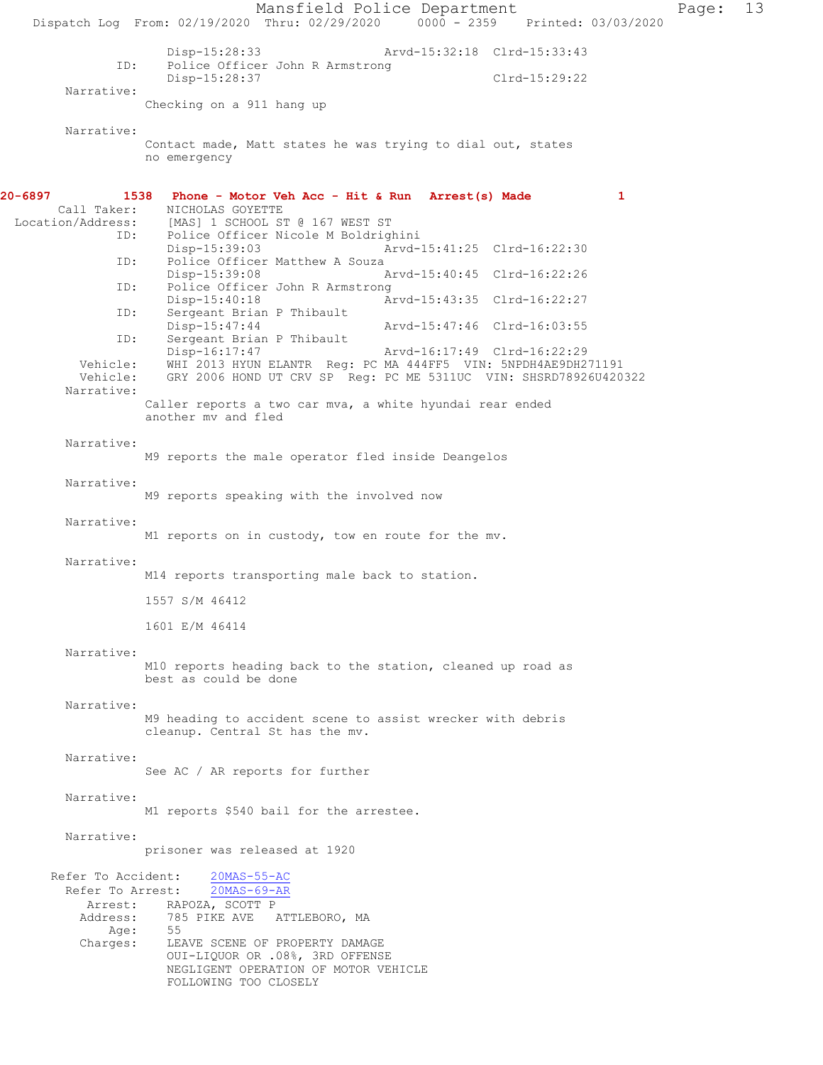Mansfield Police Department Page: 13 Dispatch Log From: 02/19/2020 Thru: 02/29/2020 0000 - 2359 Printed: 03/03/2020 Disp-15:28:33 Arvd-15:32:18 Clrd-15:33:43<br>ID: Police Officer John R Armstrong Police Officer John R Armstrong Disp-15:28:37 Clrd-15:29:22 Narrative: Checking on a 911 hang up Narrative: Contact made, Matt states he was trying to dial out, states no emergency **20-6897 1538 Phone - Motor Veh Acc - Hit & Run Arrest(s) Made 1**  Call Taker: NICHOLAS GOYETTE Location/Address: [MAS] 1 SCHOOL ST @ 167 WEST ST<br>TD: Police Officer Nicole M Boldrigh Police Officer Nicole M Boldrighini<br>Disp-15:39:03 Arvd-Arvd-15:41:25 Clrd-16:22:30 ID: Police Officer Matthew A Souza<br>Disp-15:39:08 P Disp-15:39:08 Arvd-15:40:45 Clrd-16:22:26<br>ID: Police Officer John R Armstrong Police Officer John R Armstrong<br>Disp-15:40:18 Am Disp-15:40:18 <br>ID: Sergeant Brian P Thibault <br>Displays Arvd-15:43:35 Clrd-16:22:27 Sergeant Brian P Thibault<br>Disp-15:47:44 Disp-15:47:44 Arvd-15:47:46 Clrd-16:03:55 ID: Sergeant Brian P Thibault<br>Disp-16:17:47 Disp-16:17:47 Arvd-16:17:49 Clrd-16:22:29 Vehicle: WHI 2013 HYUN ELANTR Reg: PC MA 444FF5 VIN: 5NPDH4AE9DH271191 GRY 2006 HOND UT CRV SP Reg: PC ME 5311UC VIN: SHSRD78926U420322 Narrative: Caller reports a two car mva, a white hyundai rear ended another mv and fled Narrative: M9 reports the male operator fled inside Deangelos Narrative: M9 reports speaking with the involved now Narrative: M1 reports on in custody, tow en route for the mv. Narrative: M14 reports transporting male back to station. 1557 S/M 46412 1601 E/M 46414 Narrative: M10 reports heading back to the station, cleaned up road as best as could be done Narrative: M9 heading to accident scene to assist wrecker with debris cleanup. Central St has the mv. Narrative: See AC / AR reports for further Narrative: M1 reports \$540 bail for the arrestee. Narrative: prisoner was released at 1920 Refer To Accident: 20MAS-55-AC Refer To Arrest: 20MAS-69-AR Arrest: RAPOZA, SCOTT P<br>Address: 785 PIKE AVE 785 PIKE AVE ATTLEBORO, MA Age:<br>Charges: LEAVE SCENE OF PROPERTY DAMAGE OUI-LIQUOR OR .08%, 3RD OFFENSE NEGLIGENT OPERATION OF MOTOR VEHICLE FOLLOWING TOO CLOSELY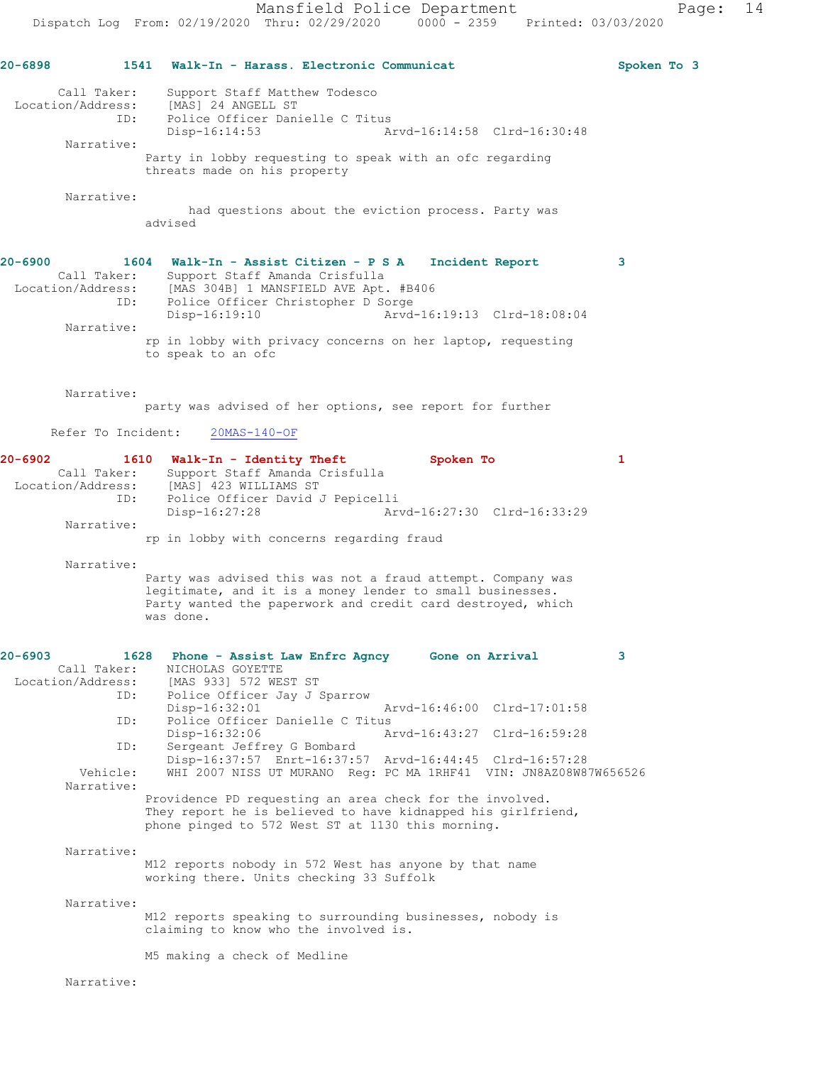**20-6898 1541 Walk-In - Harass. Electronic Communicat Spoken To 3** Call Taker: Support Staff Matthew Todesco Location/Address: [MAS] 24 ANGELL ST USIC CONTROLLER CONSIDER TIP: Police Officer Danielle C Titus<br>Disp-16:14:53 Arvd-16:14:58 Clrd-16:30:48 Narrative: Party in lobby requesting to speak with an ofc regarding threats made on his property Narrative: had questions about the eviction process. Party was advised **20-6900 1604 Walk-In - Assist Citizen - P S A Incident Report 3**  Call Taker: Support Staff Amanda Crisfulla Location/Address: [MAS 304B] 1 MANSFIELD AVE Apt. #B406 ID: Police Officer Christopher D Sorge Disp-16:19:10 Arvd-16:19:13 Clrd-18:08:04 Narrative: rp in lobby with privacy concerns on her laptop, requesting to speak to an ofc Narrative: party was advised of her options, see report for further Refer To Incident: 20MAS-140-OF **20-6902 1610 Walk-In - Identity Theft Spoken To 1**  Call Taker: Support Staff Amanda Crisfulla Location/Address: [MAS] 423 WILLIAMS ST ID: Police Officer David J Pepicelli Disp-16:27:28 Arvd-16:27:30 Clrd-16:33:29 Narrative: rp in lobby with concerns regarding fraud Narrative: Party was advised this was not a fraud attempt. Company was legitimate, and it is a money lender to small businesses. Party wanted the paperwork and credit card destroyed, which was done. **20-6903 1628 Phone - Assist Law Enfrc Agncy Gone on Arrival 3**  Call Taker: NICHOLAS GOYETTE Location/Address: [MAS 933] 572 WEST ST<br>ID: Police Officer Jay J S Police Officer Jay J Sparrow<br>Disp-16:32:01 Disp-16:32:01 Arvd-16:46:00 Clrd-17:01:58<br>ID: Police Officer Danielle C Titus Police Officer Danielle C Titus Disp-16:32:06 Arvd-16:43:27 Clrd-16:59:28 ID: Sergeant Jeffrey G Bombard Disp-16:37:57 Enrt-16:37:57 Arvd-16:44:45 Clrd-16:57:28 Vehicle: WHI 2007 NISS UT MURANO Reg: PC MA 1RHF41 VIN: JN8AZ08W87W656526 Narrative: Providence PD requesting an area check for the involved. They report he is believed to have kidnapped his girlfriend, phone pinged to 572 West ST at 1130 this morning. Narrative: M12 reports nobody in 572 West has anyone by that name working there. Units checking 33 Suffolk Narrative: M12 reports speaking to surrounding businesses, nobody is claiming to know who the involved is. M5 making a check of Medline

Narrative: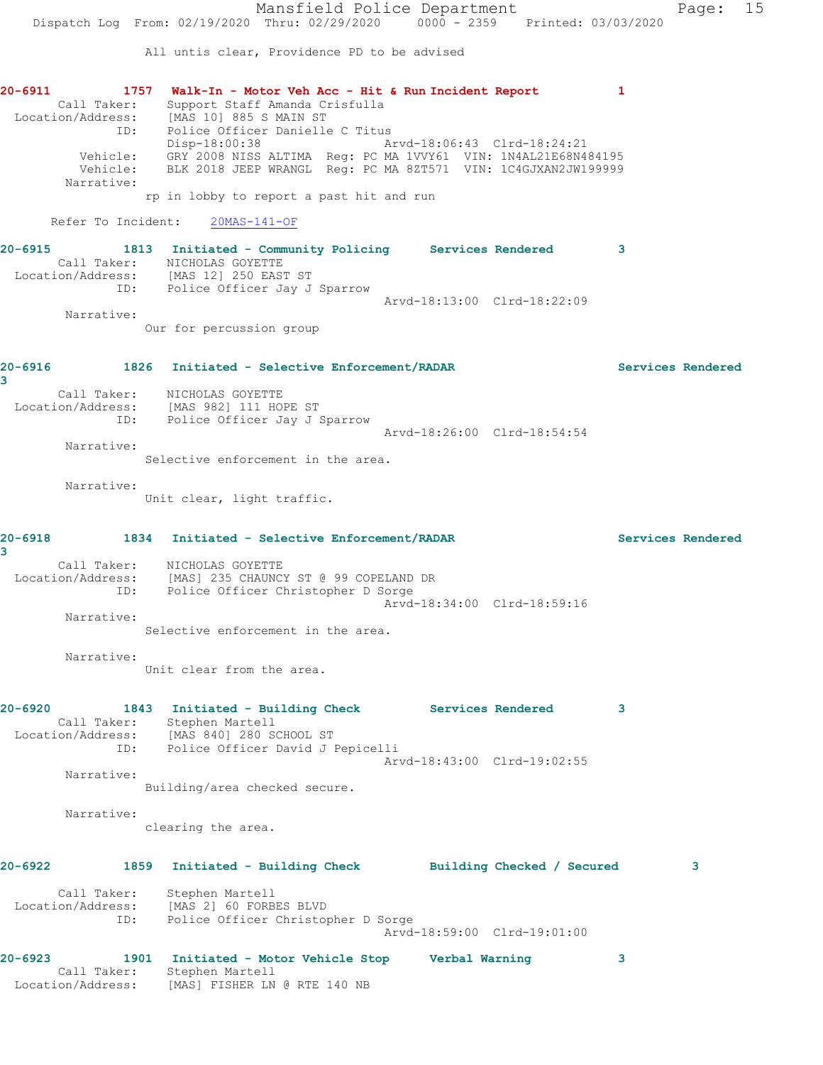Mansfield Police Department Page: 15 Dispatch Log From: 02/19/2020 Thru: 02/29/2020 0000 - 2359 Printed: 03/03/2020 All untis clear, Providence PD to be advised **20-6911 1757 Walk-In - Motor Veh Acc - Hit & Run Incident Report 1**  Call Taker: Support Staff Amanda Crisfulla Location/Address: [MAS 10] 885 S MAIN ST ID: Police Officer Danielle C Titus Disp-18:00:38 Arvd-18:06:43 Clrd-18:24:21 Vehicle: GRY 2008 NISS ALTIMA Reg: PC MA 1VVY61 VIN: 1N4AL21E68N484195 Vehicle: BLK 2018 JEEP WRANGL Reg: PC MA 8ZT571 VIN: 1C4GJXAN2JW199999 Narrative: rp in lobby to report a past hit and run Refer To Incident: 20MAS-141-OF **20-6915 1813 Initiated - Community Policing Services Rendered 3**  Call Taker: NICHOLAS GOYETTE Location/Address: [MAS 12] 250 EAST ST ID: Police Officer Jay J Sparrow Arvd-18:13:00 Clrd-18:22:09 Narrative: Our for percussion group **20-6916 1826 Initiated - Selective Enforcement/RADAR Services Rendered 3**  Call Taker: NICHOLAS GOYETTE Location/Address: [MAS 982] 111 HOPE ST ID: Police Officer Jay J Sparrow Arvd-18:26:00 Clrd-18:54:54 Narrative: Selective enforcement in the area. Narrative: Unit clear, light traffic. **20-6918 1834 Initiated - Selective Enforcement/RADAR Services Rendered 3**  Call Taker: NICHOLAS GOYETTE Location/Address: [MAS] 235 CHAUNCY ST @ 99 COPELAND DR ID: Police Officer Christopher D Sorge Arvd-18:34:00 Clrd-18:59:16 Narrative: Selective enforcement in the area. Narrative: Unit clear from the area. **20-6920 1843 Initiated - Building Check Services Rendered 3**  Call Taker: Stephen Martell Location/Address: [MAS 840] 280 SCHOOL ST ID: Police Officer David J Pepicelli Arvd-18:43:00 Clrd-19:02:55 Narrative: Building/area checked secure. Narrative: clearing the area. **20-6922 1859 Initiated - Building Check Building Checked / Secured 3** Call Taker: Stephen Martell Location/Address: [MAS 2] 60 FORBES BLVD ID: Police Officer Christopher D Sorge Arvd-18:59:00 Clrd-19:01:00 **20-6923 1901 Initiated - Motor Vehicle Stop Verbal Warning 3**  Call Taker: Stephen Martell Location/Address: [MAS] FISHER LN @ RTE 140 NB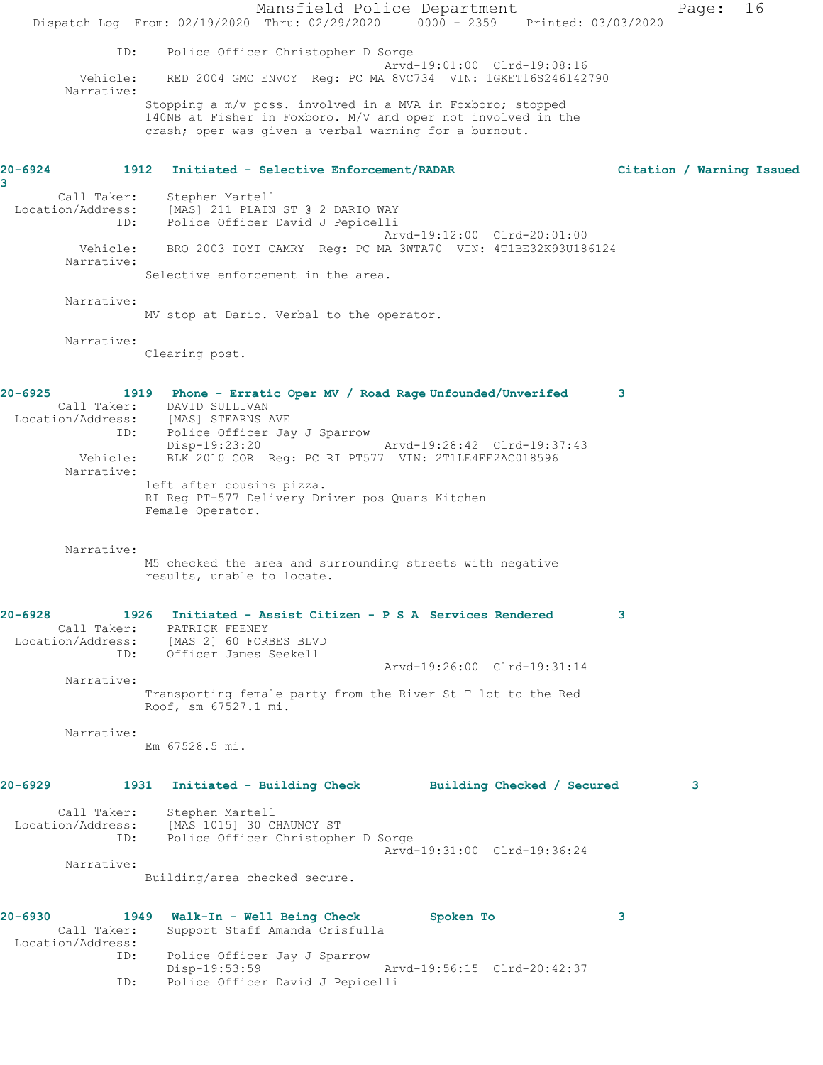Mansfield Police Department Page: 16 Dispatch Log From: 02/19/2020 Thru: 02/29/2020 0000 - 2359 Printed: 03/03/2020 ID: Police Officer Christopher D Sorge Arvd-19:01:00 Clrd-19:08:16 Vehicle: RED 2004 GMC ENVOY Reg: PC MA 8VC734 VIN: 1GKET16S246142790 Narrative: Stopping a m/v poss. involved in a MVA in Foxboro; stopped 140NB at Fisher in Foxboro. M/V and oper not involved in the crash; oper was given a verbal warning for a burnout. **20-6924 1912 Initiated - Selective Enforcement/RADAR Citation / Warning Issued 3**  Call Taker: Stephen Martell Location/Address: [MAS] 211 PLAIN ST @ 2 DARIO WAY ID: Police Officer David J Pepicelli Arvd-19:12:00 Clrd-20:01:00 Vehicle: BRO 2003 TOYT CAMRY Reg: PC MA 3WTA70 VIN: 4T1BE32K93U186124 Narrative: Selective enforcement in the area. Narrative: MV stop at Dario. Verbal to the operator. Narrative: Clearing post. **20-6925 1919 Phone - Erratic Oper MV / Road Rage Unfounded/Unverifed 3**  Call Taker: DAVID SULLIVAN Location/Address: [MAS] STEARNS AVE ID: Police Officer Jay J Sparrow Disp-19:23:20 Arvd-19:28:42 Clrd-19:37:43 Vehicle: BLK 2010 COR Reg: PC RI PT577 VIN: 2T1LE4EE2AC018596 Narrative: left after cousins pizza. RI Reg PT-577 Delivery Driver pos Quans Kitchen Female Operator. Narrative: M5 checked the area and surrounding streets with negative results, unable to locate. **20-6928 1926 Initiated - Assist Citizen - P S A Services Rendered 3**  Call Taker: PATRICK FEENEY Location/Address: [MAS 2] 60 FORBES BLVD ID: Officer James Seekell Arvd-19:26:00 Clrd-19:31:14 Narrative: Transporting female party from the River St T lot to the Red Roof, sm 67527.1 mi. Narrative: Em 67528.5 mi. **20-6929 1931 Initiated - Building Check Building Checked / Secured 3** Call Taker: Stephen Martell Location/Address: [MAS 1015] 30 CHAUNCY ST<br>ID: Police Officer Christophe Police Officer Christopher D Sorge Arvd-19:31:00 Clrd-19:36:24 Narrative: Building/area checked secure. **20-6930 1949 Walk-In - Well Being Check Spoken To 3**  Call Taker: Support Staff Amanda Crisfulla Location/Address: ID: Police Officer Jay J Sparrow Disp-19:53:59 Arvd-19:56:15 Clrd-20:42:37 ID: Police Officer David J Pepicelli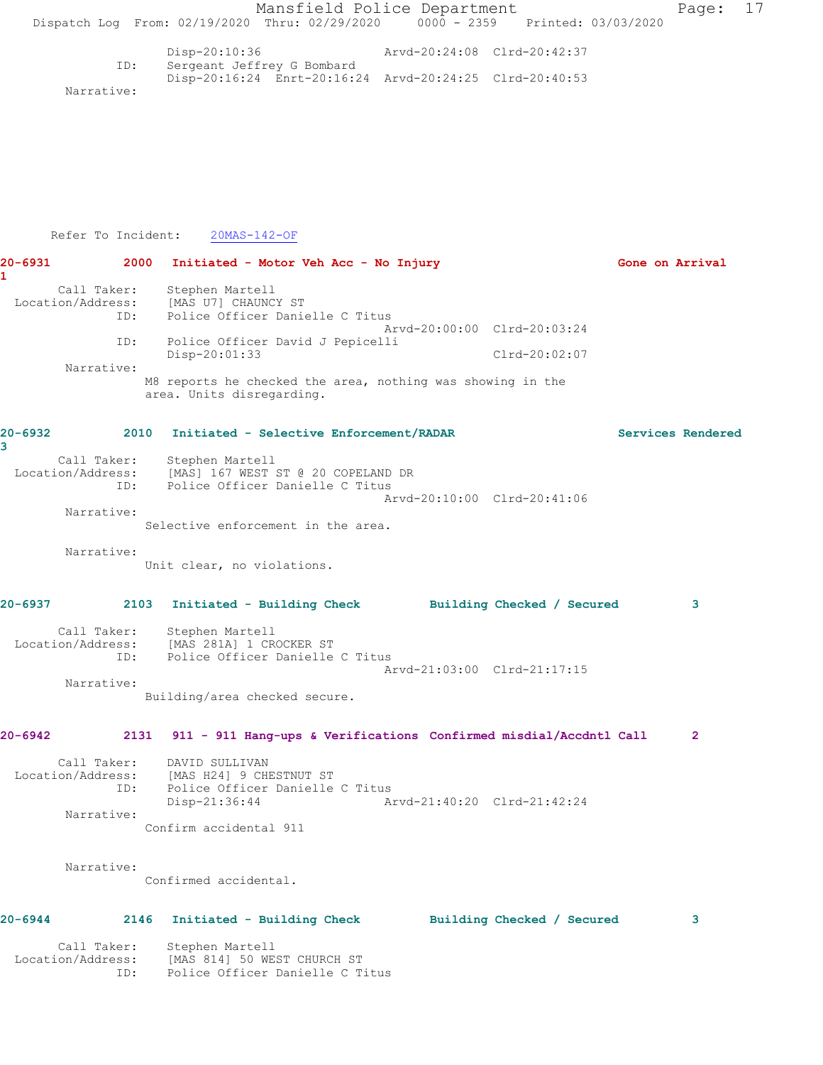|             |                          |                                                          | Mansfield Police Department                                                           |                             |                             |                   | Page:          | 17 |
|-------------|--------------------------|----------------------------------------------------------|---------------------------------------------------------------------------------------|-----------------------------|-----------------------------|-------------------|----------------|----|
|             |                          |                                                          | Dispatch Log From: 02/19/2020 Thru: 02/29/2020 0000 - 2359 Printed: 03/03/2020        |                             |                             |                   |                |    |
|             |                          | Disp-20:10:36                                            |                                                                                       | Arvd-20:24:08 Clrd-20:42:37 |                             |                   |                |    |
|             | ID:                      |                                                          | Sergeant Jeffrey G Bombard<br>Disp-20:16:24 Enrt-20:16:24 Arvd-20:24:25 Clrd-20:40:53 |                             |                             |                   |                |    |
|             | Narrative:               |                                                          |                                                                                       |                             |                             |                   |                |    |
|             |                          |                                                          |                                                                                       |                             |                             |                   |                |    |
|             |                          |                                                          |                                                                                       |                             |                             |                   |                |    |
|             |                          |                                                          |                                                                                       |                             |                             |                   |                |    |
|             |                          |                                                          |                                                                                       |                             |                             |                   |                |    |
|             |                          |                                                          |                                                                                       |                             |                             |                   |                |    |
|             | Refer To Incident:       | 20MAS-142-OF                                             |                                                                                       |                             |                             |                   |                |    |
| 20-6931     | 2000                     |                                                          | Initiated - Motor Veh Acc - No Injury                                                 |                             |                             | Gone on Arrival   |                |    |
| 1           |                          |                                                          |                                                                                       |                             |                             |                   |                |    |
|             | Call Taker:              | Stephen Martell<br>Location/Address: [MAS U7] CHAUNCY ST |                                                                                       |                             |                             |                   |                |    |
|             | ID:                      |                                                          | Police Officer Danielle C Titus                                                       |                             |                             |                   |                |    |
|             | ID:                      |                                                          | Police Officer David J Pepicelli                                                      |                             | Arvd-20:00:00 Clrd-20:03:24 |                   |                |    |
|             | Narrative:               | Disp-20:01:33                                            |                                                                                       |                             | $Clrd-20:02:07$             |                   |                |    |
|             |                          |                                                          | M8 reports he checked the area, nothing was showing in the                            |                             |                             |                   |                |    |
|             |                          | area. Units disregarding.                                |                                                                                       |                             |                             |                   |                |    |
| $20 - 6932$ |                          |                                                          | 2010 Initiated - Selective Enforcement/RADAR                                          |                             |                             | Services Rendered |                |    |
| 3           |                          |                                                          |                                                                                       |                             |                             |                   |                |    |
|             |                          | Call Taker: Stephen Martell                              | Location/Address: [MAS] 167 WEST ST @ 20 COPELAND DR                                  |                             |                             |                   |                |    |
|             | ID:                      |                                                          | Police Officer Danielle C Titus                                                       |                             | Arvd-20:10:00 Clrd-20:41:06 |                   |                |    |
|             | Narrative:               |                                                          |                                                                                       |                             |                             |                   |                |    |
|             |                          |                                                          | Selective enforcement in the area.                                                    |                             |                             |                   |                |    |
|             | Narrative:               | Unit clear, no violations.                               |                                                                                       |                             |                             |                   |                |    |
|             |                          |                                                          |                                                                                       |                             |                             |                   |                |    |
| 20-6937     |                          | 2103 Initiated - Building Check                          |                                                                                       |                             | Building Checked / Secured  |                   |                |    |
|             |                          | Call Taker: Stephen Martell                              |                                                                                       |                             |                             |                   |                |    |
|             |                          | Location/Address: [MAS 281A] 1 CROCKER ST                | ID: Police Officer Danielle C Titus                                                   |                             |                             |                   |                |    |
|             |                          |                                                          |                                                                                       |                             | Arvd-21:03:00 Clrd-21:17:15 |                   |                |    |
|             | Narrative:               | Building/area checked secure.                            |                                                                                       |                             |                             |                   |                |    |
|             |                          |                                                          |                                                                                       |                             |                             |                   |                |    |
| 20-6942     |                          |                                                          | 2131 911 - 911 Hang-ups & Verifications Confirmed misdial/Accdntl Call                |                             |                             |                   | $\overline{2}$ |    |
|             | Call Taker:              | DAVID SULLIVAN                                           |                                                                                       |                             |                             |                   |                |    |
|             | Location/Address:<br>ID: | [MAS H24] 9 CHESTNUT ST                                  | Police Officer Danielle C Titus                                                       |                             |                             |                   |                |    |
|             |                          | $Disp-21:36:44$                                          |                                                                                       | Arvd-21:40:20 Clrd-21:42:24 |                             |                   |                |    |
|             | Narrative:               | Confirm accidental 911                                   |                                                                                       |                             |                             |                   |                |    |
|             |                          |                                                          |                                                                                       |                             |                             |                   |                |    |
|             | Narrative:               |                                                          |                                                                                       |                             |                             |                   |                |    |
|             |                          | Confirmed accidental.                                    |                                                                                       |                             |                             |                   |                |    |
| $20 - 6944$ |                          | 2146 Initiated - Building Check                          |                                                                                       |                             | Building Checked / Secured  |                   | 3              |    |
|             |                          |                                                          |                                                                                       |                             |                             |                   |                |    |
|             | Location/Address:        | Call Taker: Stephen Martell                              | [MAS 814] 50 WEST CHURCH ST                                                           |                             |                             |                   |                |    |
|             | ID:                      |                                                          | Police Officer Danielle C Titus                                                       |                             |                             |                   |                |    |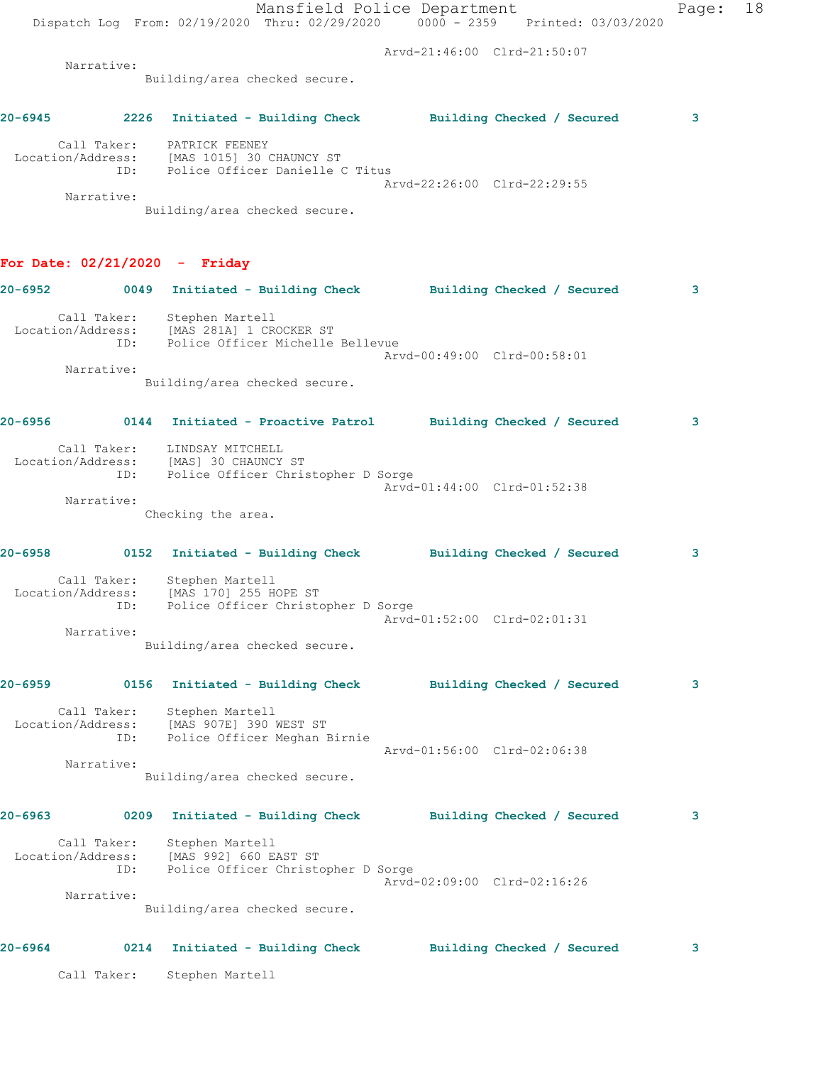|         |                                                                          |                    | Mansfield Police Department                                                       | Dispatch Log From: 02/19/2020 Thru: 02/29/2020 0000 - 2359 Printed: 03/03/2020 | Page: 18 |  |
|---------|--------------------------------------------------------------------------|--------------------|-----------------------------------------------------------------------------------|--------------------------------------------------------------------------------|----------|--|
|         |                                                                          |                    |                                                                                   | Arvd-21:46:00 Clrd-21:50:07                                                    |          |  |
|         | Narrative:                                                               |                    | Building/area checked secure.                                                     |                                                                                |          |  |
|         |                                                                          |                    |                                                                                   |                                                                                |          |  |
|         |                                                                          |                    |                                                                                   |                                                                                | 3        |  |
|         | Call Taker: PATRICK FEENEY                                               |                    | Location/Address: [MAS 1015] 30 CHAUNCY ST<br>ID: Police Officer Danielle C Titus |                                                                                |          |  |
|         | Narrative:                                                               |                    | Building/area checked secure.                                                     | Arvd-22:26:00 Clrd-22:29:55                                                    |          |  |
|         | For Date: $02/21/2020 -$ Friday                                          |                    |                                                                                   |                                                                                |          |  |
|         |                                                                          |                    |                                                                                   | 20-6952 0049 Initiated - Building Check Building Checked / Secured             | 3        |  |
|         | Call Taker: Stephen Martell<br>Location/Address: [MAS 281A] 1 CROCKER ST |                    | ID: Police Officer Michelle Bellevue                                              |                                                                                |          |  |
|         | Narrative:                                                               |                    |                                                                                   | Arvd-00:49:00 Clrd-00:58:01                                                    |          |  |
|         |                                                                          |                    | Building/area checked secure.                                                     |                                                                                |          |  |
|         |                                                                          |                    |                                                                                   | 20-6956   0144   Initiated - Proactive Patrol   Building Checked / Secured     | 3        |  |
|         | Call Taker: LINDSAY MITCHELL                                             |                    | Location/Address: [MAS] 30 CHAUNCY ST<br>ID: Police Officer Christopher D Sorge   |                                                                                |          |  |
|         | Narrative:                                                               |                    |                                                                                   | Arvd-01:44:00 Clrd-01:52:38                                                    |          |  |
|         |                                                                          | Checking the area. |                                                                                   |                                                                                |          |  |
|         |                                                                          |                    |                                                                                   | 20-6958 		 0152 Initiated - Building Check 		 Building Checked / Secured       | 3        |  |
|         | Call Taker: Stephen Martell<br>Location/Address: [MAS 170] 255 HOPE ST   |                    | ID: Police Officer Christopher D Sorge                                            |                                                                                |          |  |
|         | Narrative:                                                               |                    |                                                                                   | Arvd-01:52:00 Clrd-02:01:31                                                    |          |  |
|         |                                                                          |                    | Building/area checked secure.                                                     |                                                                                |          |  |
| 20-6959 |                                                                          |                    |                                                                                   | 0156 Initiated - Building Check             Building Checked / Secured         | 3        |  |
|         | Call Taker: Stephen Martell<br>Location/Address: [MAS 907E] 390 WEST ST  |                    | ID: Police Officer Meghan Birnie                                                  |                                                                                |          |  |
|         |                                                                          |                    |                                                                                   | Arvd-01:56:00 Clrd-02:06:38                                                    |          |  |
|         | Narrative:                                                               |                    | Building/area checked secure.                                                     |                                                                                |          |  |
| 20-6963 |                                                                          |                    |                                                                                   | 0209 Initiated - Building Check Building Checked / Secured                     | 3        |  |
|         | Call Taker: Stephen Martell                                              |                    | Location/Address: [MAS 992] 660 EAST ST<br>ID: Police Officer Christopher D Sorge |                                                                                |          |  |
|         | Narrative:                                                               |                    |                                                                                   | Arvd-02:09:00 Clrd-02:16:26                                                    |          |  |
|         |                                                                          |                    | Building/area checked secure.                                                     |                                                                                |          |  |
| 20-6964 |                                                                          |                    | 0214 Initiated - Building Check Building Checked / Secured                        |                                                                                | 3        |  |
|         | Call Taker:                                                              | Stephen Martell    |                                                                                   |                                                                                |          |  |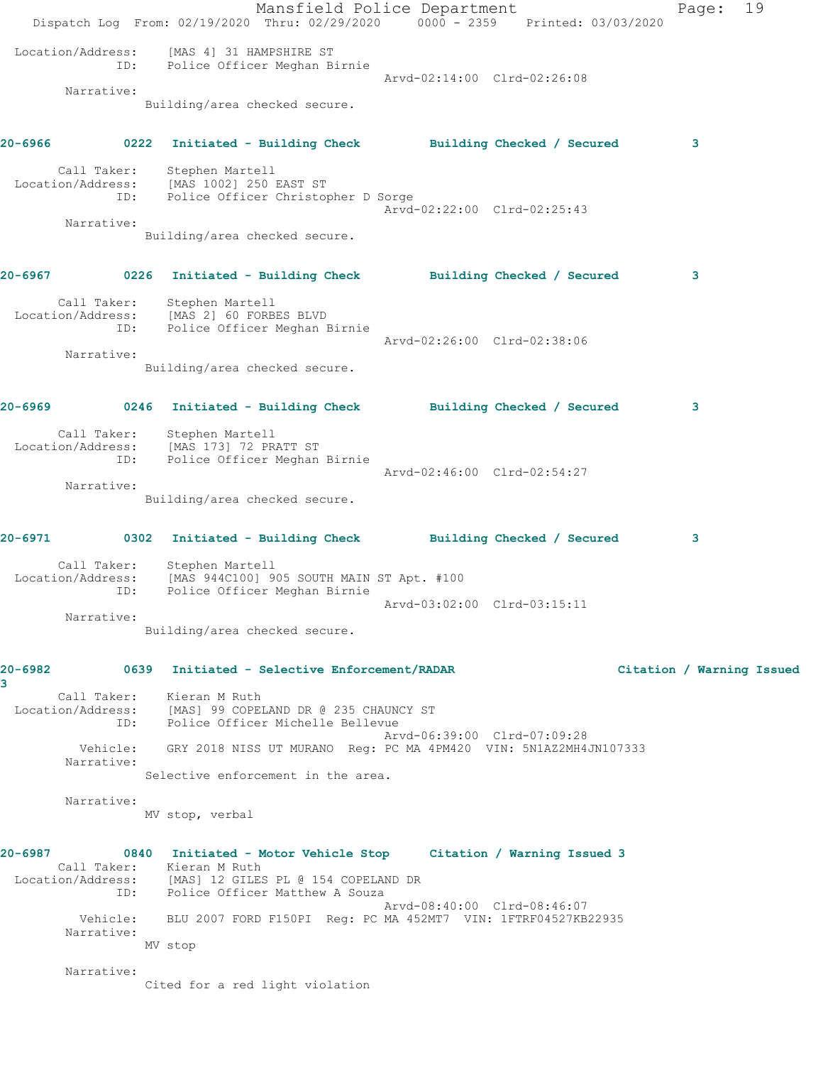Mansfield Police Department Fage: 19 Dispatch Log From: 02/19/2020 Thru: 02/29/2020 0000 - 2359 Printed: 03/03/2020 Location/Address: [MAS 4] 31 HAMPSHIRE ST ID: Police Officer Meghan Birnie Arvd-02:14:00 Clrd-02:26:08 Narrative: Building/area checked secure. **20-6966 0222 Initiated - Building Check Building Checked / Secured 3** Call Taker: Stephen Martell Location/Address: [MAS 1002] 250 EAST ST ID: Police Officer Christopher D Sorge Arvd-02:22:00 Clrd-02:25:43 Narrative: Building/area checked secure. **20-6967 0226 Initiated - Building Check Building Checked / Secured 3** Call Taker: Stephen Martell Location/Address: [MAS 2] 60 FORBES BLVD ID: Police Officer Meghan Birnie Arvd-02:26:00 Clrd-02:38:06 Narrative: Building/area checked secure. **20-6969 0246 Initiated - Building Check Building Checked / Secured 3** Call Taker: Stephen Martell Location/Address: [MAS 173] 72 PRATT ST ID: Police Officer Meghan Birnie Arvd-02:46:00 Clrd-02:54:27 Narrative: Building/area checked secure. **20-6971 0302 Initiated - Building Check Building Checked / Secured 3** Call Taker: Stephen Martell Location/Address: [MAS 944C100] 905 SOUTH MAIN ST Apt. #100 ID: Police Officer Meghan Birnie Arvd-03:02:00 Clrd-03:15:11 Narrative: Building/area checked secure. **20-6982 0639 Initiated - Selective Enforcement/RADAR Citation / Warning Issued 3**  Call Taker: Kieran M Ruth Location/Address: [MAS] 99 COPELAND DR @ 235 CHAUNCY ST ID: Police Officer Michelle Bellevue Arvd-06:39:00 Clrd-07:09:28 Vehicle: GRY 2018 NISS UT MURANO Reg: PC MA 4PM420 VIN: 5N1AZ2MH4JN107333 Narrative: Selective enforcement in the area. Narrative: MV stop, verbal **20-6987 0840 Initiated - Motor Vehicle Stop Citation / Warning Issued 3**  Call Taker: Kieran M Ruth Location/Address: [MAS] 12 GILES PL @ 154 COPELAND DR ID: Police Officer Matthew A Souza Arvd-08:40:00 Clrd-08:46:07 Vehicle: BLU 2007 FORD F150PI Reg: PC MA 452MT7 VIN: 1FTRF04527KB22935 Narrative: MV stop Narrative: Cited for a red light violation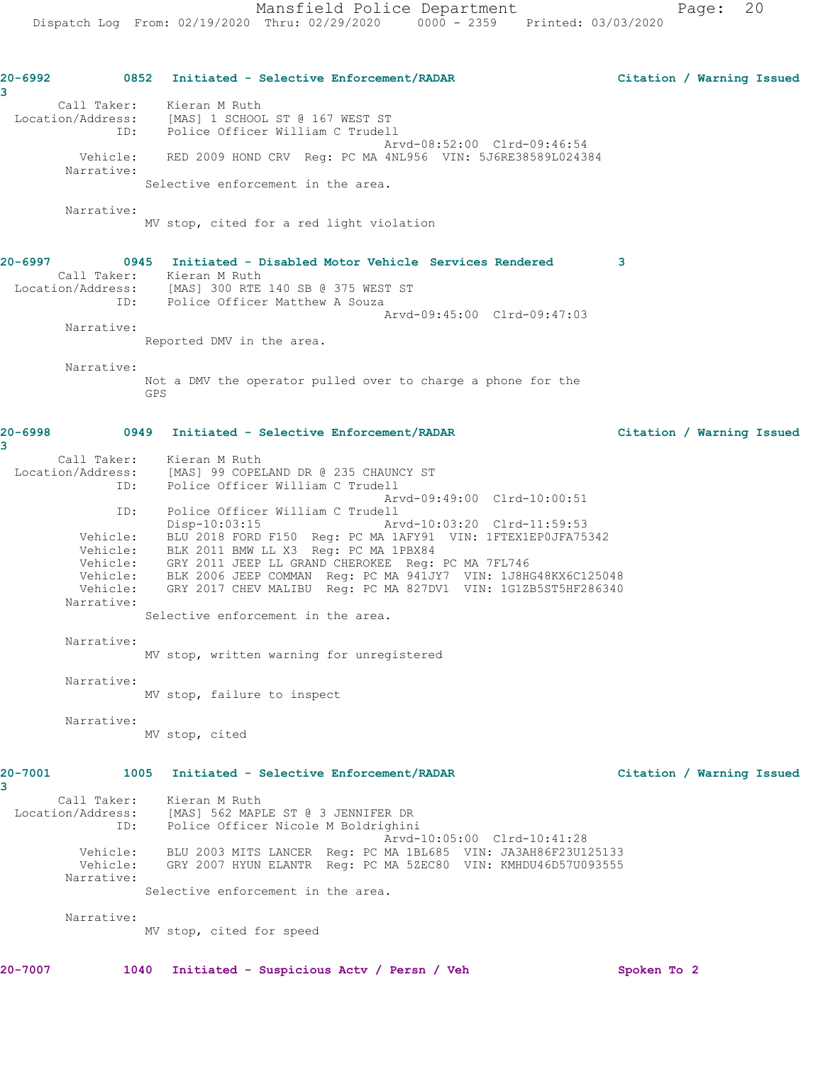```
20-6992 0852 Initiated - Selective Enforcement/RADAR Citation / Warning Issued
3 
 Call Taker: Kieran M Ruth
 Location/Address: [MAS] 1 SCHOOL ST @ 167 WEST ST
 ID: Police Officer William C Trudell
                                            Arvd-08:52:00 Clrd-09:46:54
         Vehicle: RED 2009 HOND CRV Reg: PC MA 4NL956 VIN: 5J6RE38589L024384
        Narrative: 
                Selective enforcement in the area.
        Narrative: 
                MV stop, cited for a red light violation
20-6997 0945 Initiated - Disabled Motor Vehicle Services Rendered 3 
 Call Taker: Kieran M Ruth
 Location/Address: [MAS] 300 RTE 140 SB @ 375 WEST ST
             ID: Police Officer Matthew A Souza
                                            Arvd-09:45:00 Clrd-09:47:03
        Narrative: 
               Reported DMV in the area.
        Narrative: 
                Not a DMV the operator pulled over to charge a phone for the 
                GPS
20-6998 0949 Initiated - Selective Enforcement/RADAR Citation / Warning Issued
3 
 Call Taker: Kieran M Ruth
 Location/Address: [MAS] 99 COPELAND DR @ 235 CHAUNCY ST
             ID: Police Officer William C Trudell
                                            Arvd-09:49:00 Clrd-10:00:51
             ID: Police Officer William C Trudell
 Disp-10:03:15 Arvd-10:03:20 Clrd-11:59:53
 Vehicle: BLU 2018 FORD F150 Reg: PC MA 1AFY91 VIN: 1FTEX1EP0JFA75342
         Vehicle: BLK 2011 BMW LL X3 Reg: PC MA 1PBX84
 Vehicle: GRY 2011 JEEP LL GRAND CHEROKEE Reg: PC MA 7FL746
 Vehicle: BLK 2006 JEEP COMMAN Reg: PC MA 941JY7 VIN: 1J8HG48KX6C125048
 Vehicle: GRY 2017 CHEV MALIBU Reg: PC MA 827DV1 VIN: 1G1ZB5ST5HF286340
        Narrative: 
               Selective enforcement in the area.
        Narrative: 
               MV stop, written warning for unregistered
        Narrative: 
                MV stop, failure to inspect
        Narrative: 
               MV stop, cited
20-7001 1005 Initiated - Selective Enforcement/RADAR Citation / Warning Issued
3 
 Call Taker: Kieran M Ruth
 Location/Address: [MAS] 562 MAPLE ST @ 3 JENNIFER DR
             ID: Police Officer Nicole M Boldrighini
 Arvd-10:05:00 Clrd-10:41:28
 Vehicle: BLU 2003 MITS LANCER Reg: PC MA 1BL685 VIN: JA3AH86F23U125133
 Vehicle: GRY 2007 HYUN ELANTR Reg: PC MA 5ZEC80 VIN: KMHDU46D57U093555
        Narrative: 
                Selective enforcement in the area.
        Narrative: 
                MV stop, cited for speed
20-7007 1040 Initiated - Suspicious Actv / Persn / Veh Spoken To 2
```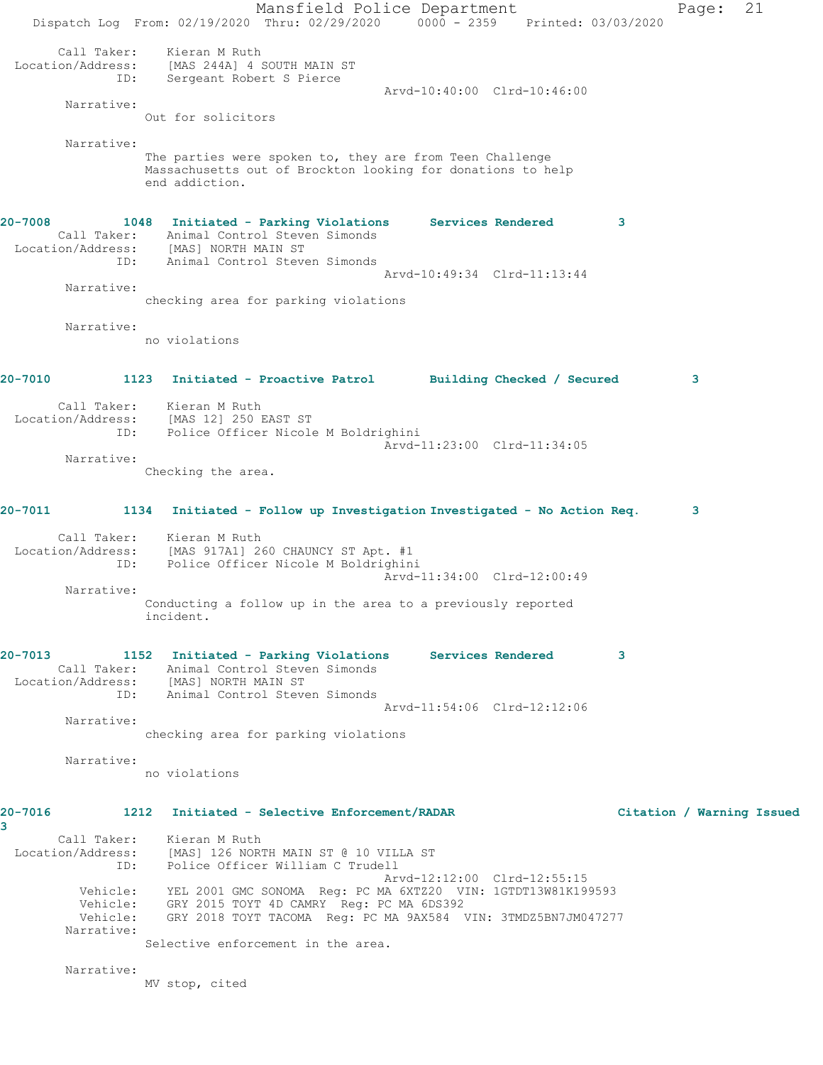Mansfield Police Department Page: 21 Dispatch Log From: 02/19/2020 Thru: 02/29/2020 0000 - 2359 Printed: 03/03/2020 Call Taker: Kieran M Ruth Location/Address: [MAS 244A] 4 SOUTH MAIN ST ID: Sergeant Robert S Pierce Arvd-10:40:00 Clrd-10:46:00 Narrative: Out for solicitors Narrative: The parties were spoken to, they are from Teen Challenge Massachusetts out of Brockton looking for donations to help end addiction. **20-7008 1048 Initiated - Parking Violations Services Rendered 3**  Call Taker: Animal Control Steven Simonds Location/Address: [MAS] NORTH MAIN ST ID: Animal Control Steven Simonds Arvd-10:49:34 Clrd-11:13:44 Narrative: checking area for parking violations Narrative: no violations **20-7010 1123 Initiated - Proactive Patrol Building Checked / Secured 3** Call Taker: Kieran M Ruth Location/Address: [MAS 12] 250 EAST ST ID: Police Officer Nicole M Boldrighini Arvd-11:23:00 Clrd-11:34:05 Narrative: Checking the area. **20-7011 1134 Initiated - Follow up Investigation Investigated - No Action Req. 3** Call Taker: Kieran M Ruth Location/Address: [MAS 917A1] 260 CHAUNCY ST Apt. #1 ID: Police Officer Nicole M Boldrighini Arvd-11:34:00 Clrd-12:00:49 Narrative: Conducting a follow up in the area to a previously reported incident. **20-7013 1152 Initiated - Parking Violations Services Rendered 3**  Call Taker: Animal Control Steven Simonds Location/Address: [MAS] NORTH MAIN ST ID: Animal Control Steven Simonds Arvd-11:54:06 Clrd-12:12:06 Narrative: checking area for parking violations Narrative: no violations **20-7016 1212 Initiated - Selective Enforcement/RADAR Citation / Warning Issued 3**  Call Taker: Kieran M Ruth Location/Address: [MAS] 126 NORTH MAIN ST @ 10 VILLA ST ID: Police Officer William C Trudell Arvd-12:12:00 Clrd-12:55:15 Vehicle: YEL 2001 GMC SONOMA Reg: PC MA 6XTZ20 VIN: 1GTDT13W81K199593 Vehicle: GRY 2015 TOYT 4D CAMRY Reg: PC MA 6DS392 Vehicle: GRY 2018 TOYT TACOMA Reg: PC MA 9AX584 VIN: 3TMDZ5BN7JM047277 Narrative: Selective enforcement in the area. Narrative: MV stop, cited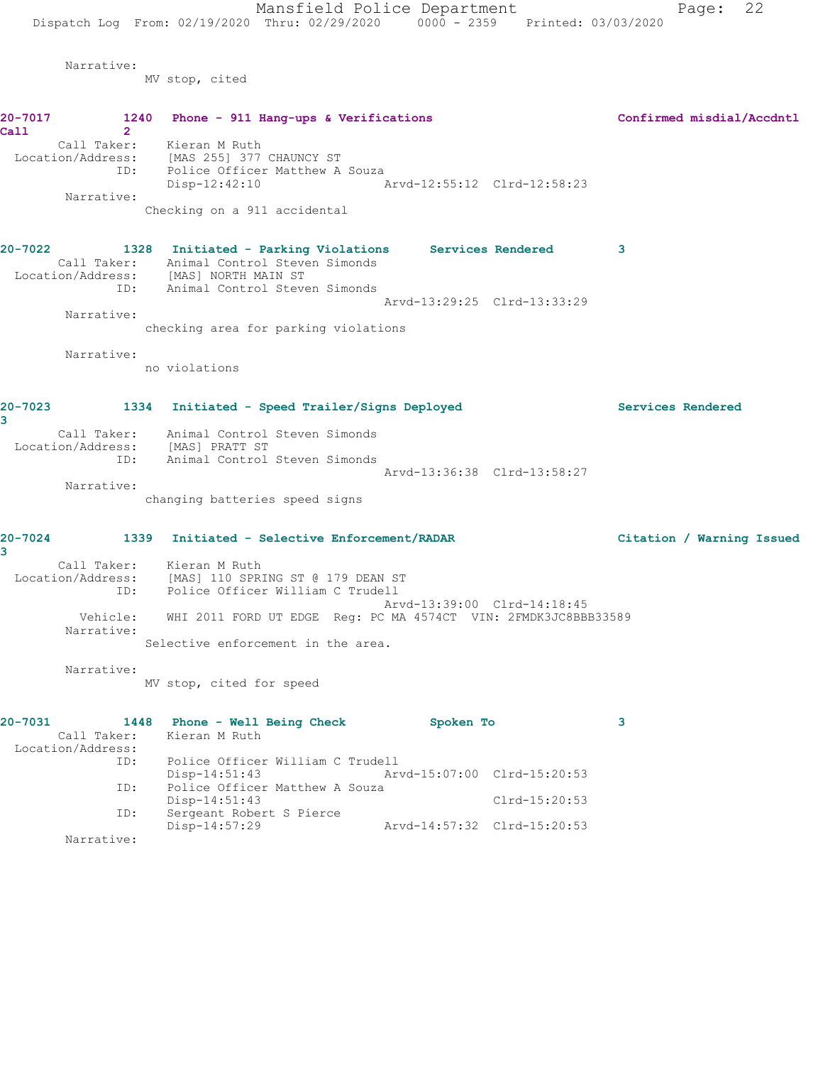Narrative:

MV stop, cited

|         | $20 - 7017$       | 1240 Phone - 911 Hang-ups & Verifications                                          | Confirmed misdial/Accdntl |
|---------|-------------------|------------------------------------------------------------------------------------|---------------------------|
| Call    | $\overline{2}$    |                                                                                    |                           |
|         |                   | Call Taker: Kieran M Ruth                                                          |                           |
|         |                   | Location/Address: [MAS 255] 377 CHAUNCY ST<br>ID: Police Officer Matthew A Souza   |                           |
|         |                   | $Disp-12:42:10$<br>Arvd-12:55:12 Clrd-12:58:23                                     |                           |
|         | Narrative:        |                                                                                    |                           |
|         |                   | Checking on a 911 accidental                                                       |                           |
| 20-7022 |                   | 1328 Initiated - Parking Violations Services Rendered                              | 3                         |
|         |                   | Call Taker: Animal Control Steven Simonds                                          |                           |
|         |                   | Location/Address: [MAS] NORTH MAIN ST<br>ID: Animal Control Steven Simonds         |                           |
|         |                   | Arvd-13:29:25 Clrd-13:33:29                                                        |                           |
|         | Narrative:        |                                                                                    |                           |
|         |                   | checking area for parking violations                                               |                           |
|         | Narrative:        |                                                                                    |                           |
|         |                   | no violations                                                                      |                           |
|         |                   | 20-7023 1334 Initiated - Speed Trailer/Signs Deployed                              | Services Rendered         |
| 3       |                   |                                                                                    |                           |
|         |                   | Call Taker: Animal Control Steven Simonds                                          |                           |
|         |                   | Location/Address: [MAS] PRATT ST<br>ID: Animal Control Steven Simonds              |                           |
|         |                   |                                                                                    |                           |
|         | Narrative:        | Arvd-13:36:38 Clrd-13:58:27                                                        |                           |
|         |                   | changing batteries speed signs                                                     |                           |
|         |                   | 20-7024 1339 Initiated - Selective Enforcement/RADAR                               | Citation / Warning Issued |
| 3       |                   |                                                                                    |                           |
|         |                   | Call Taker: Kieran M Ruth<br>Location/Address: [MAS] 110 SPRING ST @ 179 DEAN ST   |                           |
|         |                   | ID: Police Officer William C Trudell                                               |                           |
|         |                   | Arvd-13:39:00 Clrd-14:18:45                                                        |                           |
|         | Narrative:        | Vehicle: WHI 2011 FORD UT EDGE Reg: PC MA 4574CT VIN: 2FMDK3JC8BBB33589            |                           |
|         |                   | Selective enforcement in the area.                                                 |                           |
|         | Narrative:        | MV stop, cited for speed                                                           |                           |
|         |                   |                                                                                    |                           |
| 20-7031 |                   | 1448 Phone - Well Being Check<br>Spoken To                                         | 3                         |
|         | Call Taker:       | Kieran M Ruth                                                                      |                           |
|         | Location/Address: |                                                                                    |                           |
|         | ID:               | Police Officer William C Trudell<br>$Disp-14:51:43$<br>Arvd-15:07:00 Clrd-15:20:53 |                           |
|         | ID:               | Police Officer Matthew A Souza                                                     |                           |
|         |                   | Disp-14:51:43<br>$Clrd-15:20:53$                                                   |                           |
|         | ID:               | Sergeant Robert S Pierce                                                           |                           |
|         | Narrative:        | Disp-14:57:29<br>Arvd-14:57:32 Clrd-15:20:53                                       |                           |
|         |                   |                                                                                    |                           |
|         |                   |                                                                                    |                           |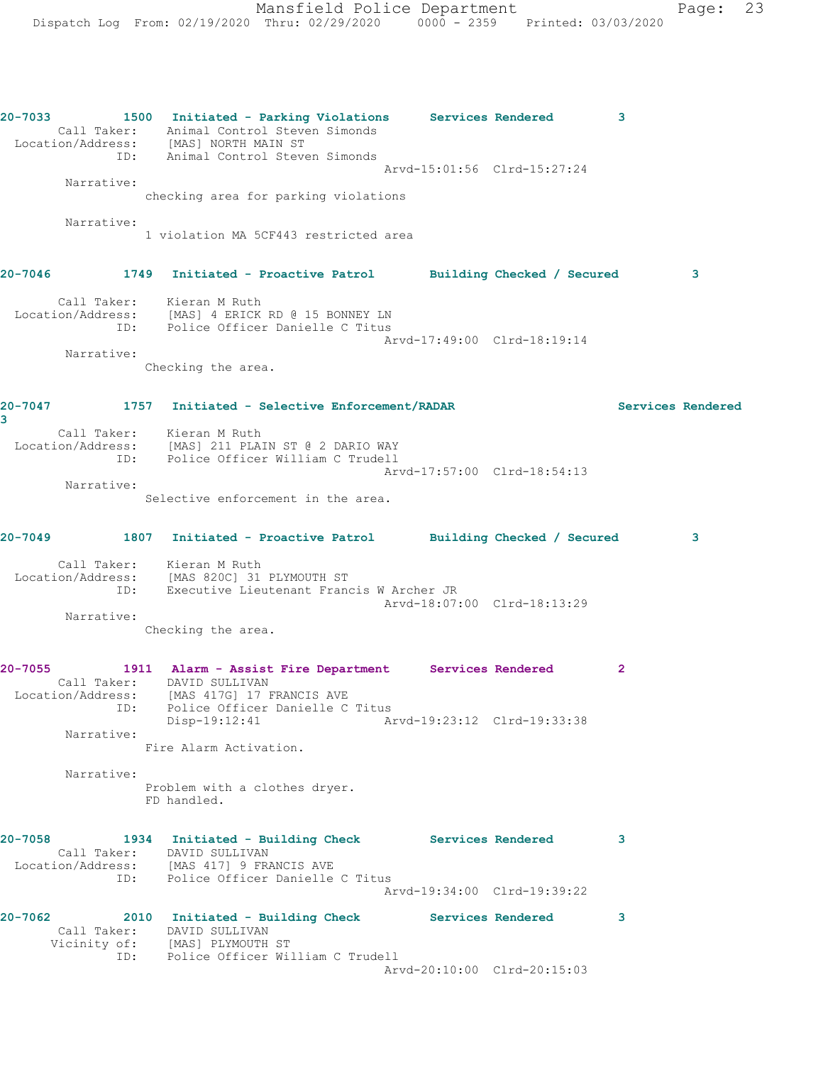**20-7033 1500 Initiated - Parking Violations Services Rendered 3**  Call Taker: Animal Control Steven Simonds Location/Address: [MAS] NORTH MAIN ST ID: Animal Control Steven Simonds Arvd-15:01:56 Clrd-15:27:24 Narrative: checking area for parking violations Narrative: 1 violation MA 5CF443 restricted area **20-7046 1749 Initiated - Proactive Patrol Building Checked / Secured 3** Call Taker: Kieran M Ruth Location/Address: [MAS] 4 ERICK RD @ 15 BONNEY LN ID: Police Officer Danielle C Titus Arvd-17:49:00 Clrd-18:19:14 Narrative: Checking the area. **20-7047 1757 Initiated - Selective Enforcement/RADAR Services Rendered 3**  Call Taker: Kieran M Ruth Location/Address: [MAS] 211 PLAIN ST @ 2 DARIO WAY ID: Police Officer William C Trudell Arvd-17:57:00 Clrd-18:54:13 Narrative: Selective enforcement in the area. **20-7049 1807 Initiated - Proactive Patrol Building Checked / Secured 3** Call Taker: Kieran M Ruth Location/Address: [MAS 820C] 31 PLYMOUTH ST ID: Executive Lieutenant Francis W Archer JR Arvd-18:07:00 Clrd-18:13:29 Narrative: Checking the area. **20-7055 1911 Alarm - Assist Fire Department Services Rendered 2**  Call Taker: DAVID SULLIVAN Location/Address: [MAS 417G] 17 FRANCIS AVE ID: Police Officer Danielle C Titus Disp-19:12:41 Arvd-19:23:12 Clrd-19:33:38 Narrative: Fire Alarm Activation. Narrative: Problem with a clothes dryer. FD handled. **20-7058 1934 Initiated - Building Check Services Rendered 3**  Call Taker: DAVID SULLIVAN Location/Address: [MAS 417] 9 FRANCIS AVE ID: Police Officer Danielle C Titus Arvd-19:34:00 Clrd-19:39:22 **20-7062 2010 Initiated - Building Check Services Rendered 3**  Call Taker: DAVID SULLIVAN Vicinity of: [MAS] PLYMOUTH ST ID: Police Officer William C Trudell Arvd-20:10:00 Clrd-20:15:03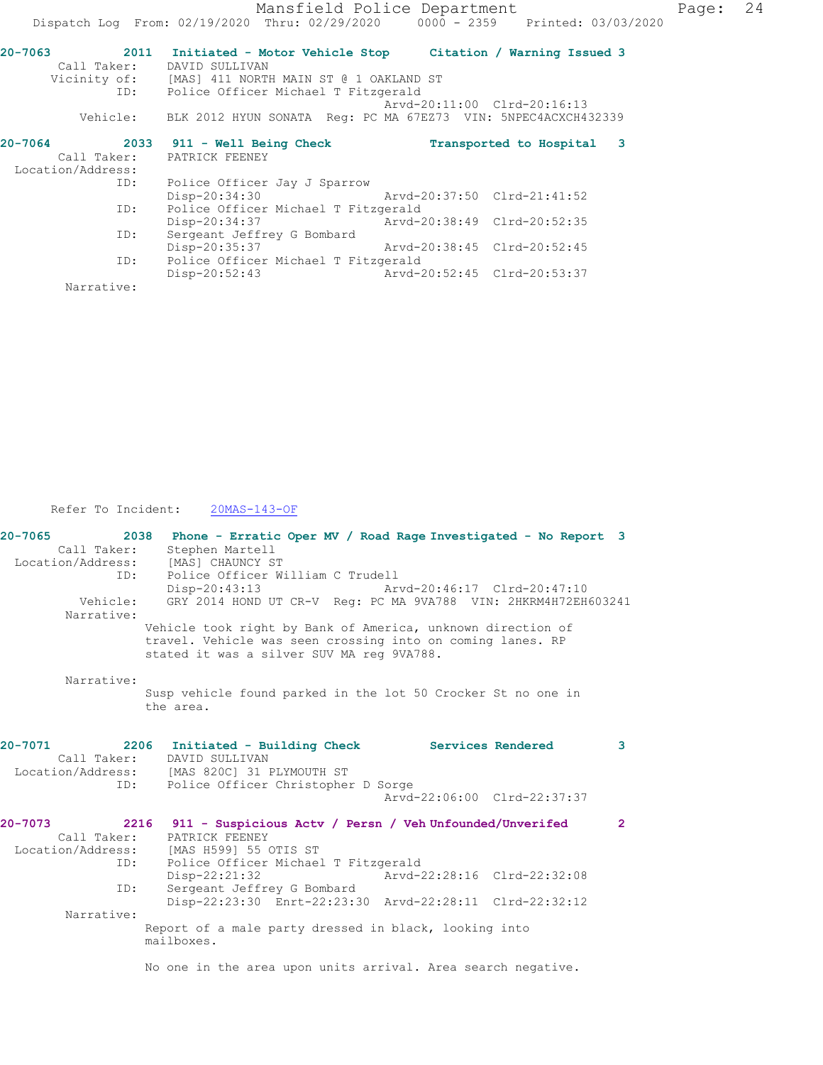|                             |                                                                                                                                                                                                              | Page:                                                                                                                                                                                                                                                                                                                                                         | 24                                                                             |
|-----------------------------|--------------------------------------------------------------------------------------------------------------------------------------------------------------------------------------------------------------|---------------------------------------------------------------------------------------------------------------------------------------------------------------------------------------------------------------------------------------------------------------------------------------------------------------------------------------------------------------|--------------------------------------------------------------------------------|
|                             |                                                                                                                                                                                                              |                                                                                                                                                                                                                                                                                                                                                               |                                                                                |
|                             |                                                                                                                                                                                                              |                                                                                                                                                                                                                                                                                                                                                               |                                                                                |
| Call Taker: DAVID SULLIVAN  |                                                                                                                                                                                                              |                                                                                                                                                                                                                                                                                                                                                               |                                                                                |
|                             |                                                                                                                                                                                                              |                                                                                                                                                                                                                                                                                                                                                               |                                                                                |
|                             |                                                                                                                                                                                                              |                                                                                                                                                                                                                                                                                                                                                               |                                                                                |
|                             |                                                                                                                                                                                                              |                                                                                                                                                                                                                                                                                                                                                               |                                                                                |
|                             |                                                                                                                                                                                                              |                                                                                                                                                                                                                                                                                                                                                               |                                                                                |
| 2033 911 - Well Being Check |                                                                                                                                                                                                              |                                                                                                                                                                                                                                                                                                                                                               |                                                                                |
| Call Taker: PATRICK FEENEY  |                                                                                                                                                                                                              |                                                                                                                                                                                                                                                                                                                                                               |                                                                                |
|                             |                                                                                                                                                                                                              |                                                                                                                                                                                                                                                                                                                                                               |                                                                                |
|                             |                                                                                                                                                                                                              |                                                                                                                                                                                                                                                                                                                                                               |                                                                                |
|                             |                                                                                                                                                                                                              |                                                                                                                                                                                                                                                                                                                                                               |                                                                                |
|                             |                                                                                                                                                                                                              |                                                                                                                                                                                                                                                                                                                                                               |                                                                                |
| Disp-20:34:37               |                                                                                                                                                                                                              |                                                                                                                                                                                                                                                                                                                                                               |                                                                                |
| Sergeant Jeffrey G Bombard  |                                                                                                                                                                                                              |                                                                                                                                                                                                                                                                                                                                                               |                                                                                |
|                             |                                                                                                                                                                                                              |                                                                                                                                                                                                                                                                                                                                                               |                                                                                |
|                             |                                                                                                                                                                                                              |                                                                                                                                                                                                                                                                                                                                                               |                                                                                |
| $Disp-20:52:43$             |                                                                                                                                                                                                              |                                                                                                                                                                                                                                                                                                                                                               |                                                                                |
|                             |                                                                                                                                                                                                              |                                                                                                                                                                                                                                                                                                                                                               |                                                                                |
|                             | Vicinity of: [MAS] 411 NORTH MAIN ST @ 1 OAKLAND ST<br>ID: Police Officer Michael T Fitzgerald<br>Police Officer Jay J Sparrow<br>Police Officer Michael T Fitzgerald<br>Police Officer Michael T Fitzgerald | Mansfield Police Department<br>2011 Initiated - Motor Vehicle Stop Citation / Warning Issued 3<br>Arvd-20:11:00 Clrd-20:16:13<br>Vehicle: BLK 2012 HYUN SONATA Req: PC MA 67EZ73 VIN: 5NPEC4ACXCH432339<br>Transported to Hospital 3<br>Disp-20:34:30 Arvd-20:37:50 Clrd-21:41:52<br>Disp-20:35:37 Arvd-20:38:45 Clrd-20:52:45<br>Arvd-20:52:45 Clrd-20:53:37 | Dispatch Log From: 02/19/2020 Thru: 02/29/2020 0000 - 2359 Printed: 03/03/2020 |

Refer To Incident:  $\frac{20MAS-143-OF}{20MAS-143}$ 

| $20 - 7065$            | 2038<br>Phone - Erratic Oper MV / Road Rage Investigated - No Report 3                                                                                                 |                             |
|------------------------|------------------------------------------------------------------------------------------------------------------------------------------------------------------------|-----------------------------|
| Call Taker:            | Stephen Martell                                                                                                                                                        |                             |
| Location/Address:      | [MAS] CHAUNCY ST                                                                                                                                                       |                             |
| ID:                    | Police Officer William C Trudell                                                                                                                                       |                             |
|                        | Disp-20:43:13                                                                                                                                                          | Arvd-20:46:17 Clrd-20:47:10 |
| Vehicle:<br>Narrative: | GRY 2014 HOND UT CR-V Req: PC MA 9VA788 VIN: 2HKRM4H72EH603241                                                                                                         |                             |
|                        |                                                                                                                                                                        |                             |
|                        | Vehicle took right by Bank of America, unknown direction of<br>travel. Vehicle was seen crossing into on coming lanes. RP<br>stated it was a silver SUV MA req 9VA788. |                             |
| Narrative:             |                                                                                                                                                                        |                             |
|                        | Susp vehicle found parked in the lot 50 Crocker St no one in                                                                                                           |                             |
|                        | the area.                                                                                                                                                              |                             |
|                        |                                                                                                                                                                        |                             |
| 20-7071                | 2206<br>Initiated - Building Check Services Rendered                                                                                                                   | 3                           |
| Call Taker:            | DAVID SULLIVAN                                                                                                                                                         |                             |
| Location/Address:      | [MAS 820C] 31 PLYMOUTH ST                                                                                                                                              |                             |
| ID:                    | Police Officer Christopher D Sorge                                                                                                                                     |                             |
|                        |                                                                                                                                                                        | Arvd-22:06:00 Clrd-22:37:37 |
| 20-7073                | 2216<br>911 - Suspicious Actv / Persn / Veh Unfounded/Unverifed                                                                                                        | $\overline{2}$              |
| Call Taker:            | PATRICK FEENEY                                                                                                                                                         |                             |
|                        | Location/Address: [MAS H599] 55 OTIS ST                                                                                                                                |                             |
| ID:                    | Police Officer Michael T Fitzgerald                                                                                                                                    |                             |
|                        | Disp-22:21:32                                                                                                                                                          | Arvd-22:28:16 Clrd-22:32:08 |
| ID:                    | Sergeant Jeffrey G Bombard                                                                                                                                             |                             |
|                        | Disp-22:23:30 Enrt-22:23:30 Arvd-22:28:11 Clrd-22:32:12                                                                                                                |                             |
| Narrative:             |                                                                                                                                                                        |                             |
|                        | Report of a male party dressed in black, looking into<br>mailboxes.                                                                                                    |                             |
|                        | No one in the area upon units arrival. Area search negative.                                                                                                           |                             |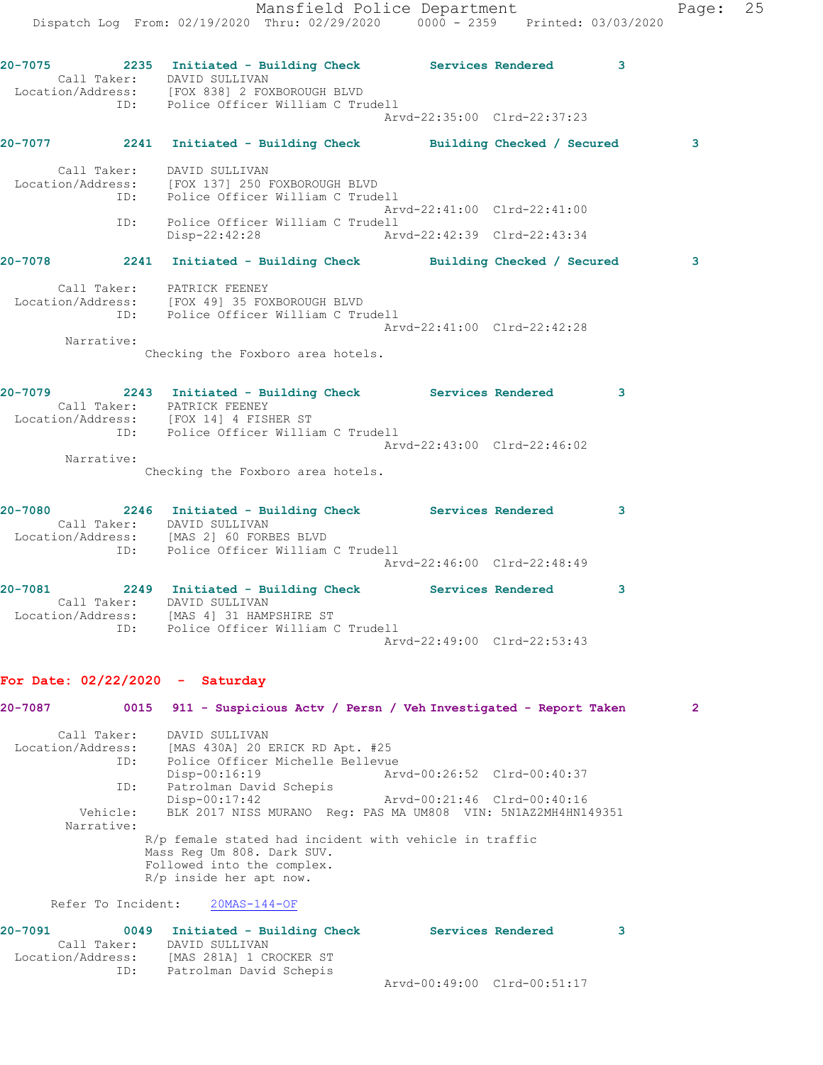Mansfield Police Department Fage: 25 Dispatch Log From: 02/19/2020 Thru: 02/29/2020 0000 - 2359 Printed: 03/03/2020 **20-7075 2235 Initiated - Building Check Services Rendered 3**  Call Taker: DAVID SULLIVAN Location/Address: [FOX 838] 2 FOXBOROUGH BLVD ID: Police Officer William C Trudell Arvd-22:35:00 Clrd-22:37:23 **20-7077 2241 Initiated - Building Check Building Checked / Secured 3** Call Taker: DAVID SULLIVAN Location/Address: [FOX 137] 250 FOXBOROUGH BLVD ID: Police Officer William C Trudell Arvd-22:41:00 Clrd-22:41:00 ID: Police Officer William C Trudell Disp-22:42:28 Arvd-22:42:39 Clrd-22:43:34 **20-7078 2241 Initiated - Building Check Building Checked / Secured 3** Call Taker: PATRICK FEENEY Location/Address: [FOX 49] 35 FOXBOROUGH BLVD ID: Police Officer William C Trudell Arvd-22:41:00 Clrd-22:42:28 Narrative: Checking the Foxboro area hotels. **20-7079 2243 Initiated - Building Check Services Rendered 3**  Call Taker: PATRICK FEENEY Location/Address: [FOX 14] 4 FISHER ST ID: Police Officer William C Trudell Arvd-22:43:00 Clrd-22:46:02 Narrative: Checking the Foxboro area hotels. **20-7080 2246 Initiated - Building Check Services Rendered 3**  Call Taker: DAVID SULLIVAN Location/Address: [MAS 2] 60 FORBES BLVD ID: Police Officer William C Trudell Arvd-22:46:00 Clrd-22:48:49 **20-7081 2249 Initiated - Building Check Services Rendered 3**  Call Taker: DAVID SULLIVAN Location/Address: [MAS 4] 31 HAMPSHIRE ST ID: Police Officer William C Trudell Arvd-22:49:00 Clrd-22:53:43 **For Date: 02/22/2020 - Saturday 20-7087 0015 911 - Suspicious Actv / Persn / Veh Investigated - Report Taken 2** Call Taker: DAVID SULLIVAN Location/Address: [MAS 430A] 20 ERICK RD Apt. #25 ID: Police Officer Michelle Bellevue Disp-00:16:19 Arvd-00:26:52 Clrd-00:40:37 ID: Patrolman David Schepis Disp-00:17:42 Arvd-00:21:46 Clrd-00:40:16 Vehicle: BLK 2017 NISS MURANO Reg: PAS MA UM808 VIN: 5N1AZ2MH4HN149351 Narrative: R/p female stated had incident with vehicle in traffic Mass Reg Um 808. Dark SUV. Followed into the complex. R/p inside her apt now. Refer To Incident: 20MAS-144-OF **20-7091 0049 Initiated - Building Check Services Rendered 3**  Call Taker: DAVID SULLIVAN Location/Address: [MAS 281A] 1 CROCKER ST ID: Patrolman David Schepis Arvd-00:49:00 Clrd-00:51:17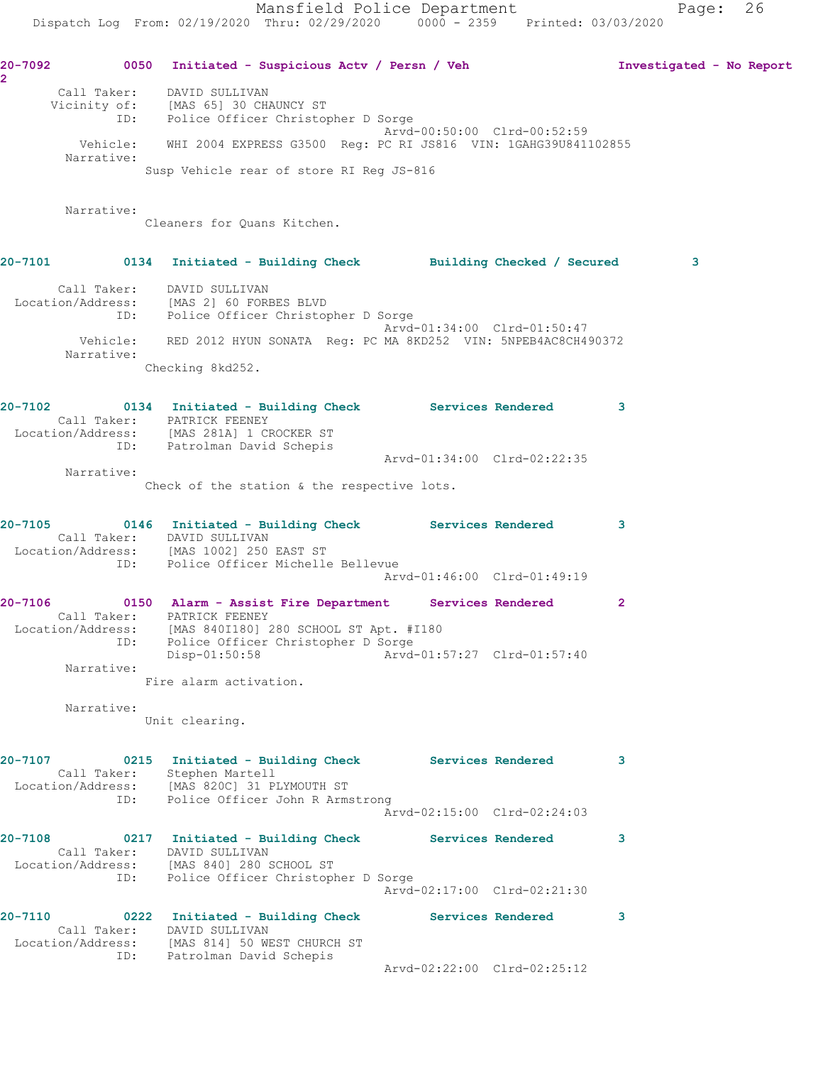**20-7092 0050 Initiated - Suspicious Actv / Persn / Veh Investigated - No Report 2**  Call Taker: DAVID SULLIVAN Vicinity of: [MAS 65] 30 CHAUNCY ST ID: Police Officer Christopher D Sorge Arvd-00:50:00 Clrd-00:52:59 Vehicle: WHI 2004 EXPRESS G3500 Reg: PC RI JS816 VIN: 1GAHG39U841102855 Narrative: Susp Vehicle rear of store RI Reg JS-816 Narrative: Cleaners for Quans Kitchen. **20-7101 0134 Initiated - Building Check Building Checked / Secured 3** Call Taker: DAVID SULLIVAN Location/Address: [MAS 2] 60 FORBES BLVD ID: Police Officer Christopher D Sorge Arvd-01:34:00 Clrd-01:50:47 Vehicle: RED 2012 HYUN SONATA Reg: PC MA 8KD252 VIN: 5NPEB4AC8CH490372 Narrative: Checking 8kd252. **20-7102 0134 Initiated - Building Check Services Rendered 3**  Call Taker: PATRICK FEENEY Location/Address: [MAS 281A] 1 CROCKER ST ID: Patrolman David Schepis Arvd-01:34:00 Clrd-02:22:35 Narrative: Check of the station & the respective lots. **20-7105 0146 Initiated - Building Check Services Rendered 3**  Call Taker: DAVID SULLIVAN Location/Address: [MAS 1002] 250 EAST ST ID: Police Officer Michelle Bellevue Arvd-01:46:00 Clrd-01:49:19 **20-7106 0150 Alarm - Assist Fire Department Services Rendered 2**  Call Taker: PATRICK FEENEY Location/Address: [MAS 840I180] 280 SCHOOL ST Apt. #I180 ID: Police Officer Christopher D Sorge Disp-01:50:58 Arvd-01:57:27 Clrd-01:57:40 Narrative: Fire alarm activation. Narrative: Unit clearing. **20-7107 0215 Initiated - Building Check Services Rendered 3**  Call Taker: Stephen Martell Location/Address: [MAS 820C] 31 PLYMOUTH ST ID: Police Officer John R Armstrong Arvd-02:15:00 Clrd-02:24:03 **20-7108 0217 Initiated - Building Check Services Rendered 3**  Call Taker: DAVID SULLIVAN Location/Address: [MAS 840] 280 SCHOOL ST ID: Police Officer Christopher D Sorge Arvd-02:17:00 Clrd-02:21:30 **20-7110 0222 Initiated - Building Check Services Rendered 3**  Call Taker: DAVID SULLIVAN Location/Address: [MAS 814] 50 WEST CHURCH ST ID: Patrolman David Schepis Arvd-02:22:00 Clrd-02:25:12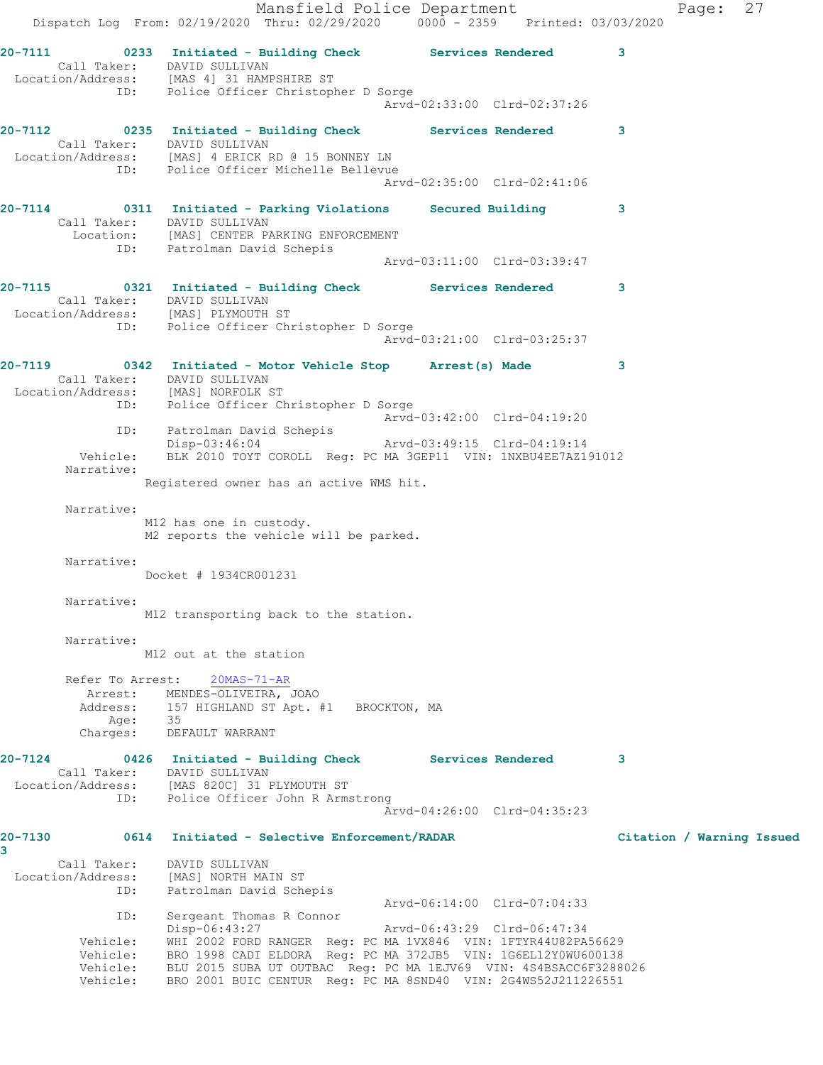Mansfield Police Department Fage: 27 Dispatch Log From: 02/19/2020 Thru: 02/29/2020 0000 - 2359 Printed: 03/03/2020 **20-7111 0233 Initiated - Building Check Services Rendered 3**  Call Taker: DAVID SULLIVAN Location/Address: [MAS 4] 31 HAMPSHIRE ST ID: Police Officer Christopher D Sorge Arvd-02:33:00 Clrd-02:37:26 **20-7112 0235 Initiated - Building Check Services Rendered 3**  Call Taker: DAVID SULLIVAN Location/Address: [MAS] 4 ERICK RD @ 15 BONNEY LN ID: Police Officer Michelle Bellevue Arvd-02:35:00 Clrd-02:41:06 **20-7114 0311 Initiated - Parking Violations Secured Building 3**  Call Taker: DAVID SULLIVAN Location: [MAS] CENTER PARKING ENFORCEMENT ID: Patrolman David Schepis Arvd-03:11:00 Clrd-03:39:47 **20-7115 0321 Initiated - Building Check Services Rendered 3**  Call Taker: DAVID SULLIVAN Location/Address: [MAS] PLYMOUTH ST ID: Police Officer Christopher D Sorge Arvd-03:21:00 Clrd-03:25:37 **20-7119 0342 Initiated - Motor Vehicle Stop Arrest(s) Made 3**  Call Taker: DAVID SULLIVAN Location/Address: [MAS] NORFOLK ST ID: Police Officer Christopher D Sorge Arvd-03:42:00 Clrd-04:19:20 ID: Patrolman David Schepis Disp-03:46:04 Arvd-03:49:15 Clrd-04:19:14 Vehicle: BLK 2010 TOYT COROLL Reg: PC MA 3GEP11 VIN: 1NXBU4EE7AZ191012 Narrative: Registered owner has an active WMS hit. Narrative: M12 has one in custody. M2 reports the vehicle will be parked. Narrative: Docket # 1934CR001231 Narrative: M12 transporting back to the station. Narrative: M12 out at the station Refer To Arrest: 20MAS-71-AR Arrest: MENDES-OLIVEIRA, JOAO Address: 157 HIGHLAND ST Apt. #1 BROCKTON, MA Age: 35 Charges: DEFAULT WARRANT **20-7124 0426 Initiated - Building Check Services Rendered 3**  Call Taker: DAVID SULLIVAN Location/Address: [MAS 820C] 31 PLYMOUTH ST ID: Police Officer John R Armstrong Arvd-04:26:00 Clrd-04:35:23 **20-7130 0614 Initiated - Selective Enforcement/RADAR Citation / Warning Issued 3**  Call Taker: DAVID SULLIVAN Location/Address: [MAS] NORTH MAIN ST ID: Patrolman David Schepis Arvd-06:14:00 Clrd-07:04:33 ID: Sergeant Thomas R Connor Disp-06:43:27 Arvd-06:43:29 Clrd-06:47:34 Vehicle: WHI 2002 FORD RANGER Reg: PC MA 1VX846 VIN: 1FTYR44U82PA56629 Vehicle: BRO 1998 CADI ELDORA Reg: PC MA 372JB5 VIN: 1G6EL12Y0WU600138 Vehicle: BLU 2015 SUBA UT OUTBAC Reg: PC MA 1EJV69 VIN: 4S4BSACC6F3288026 Vehicle: BRO 2001 BUIC CENTUR Reg: PC MA 8SND40 VIN: 2G4WS52J211226551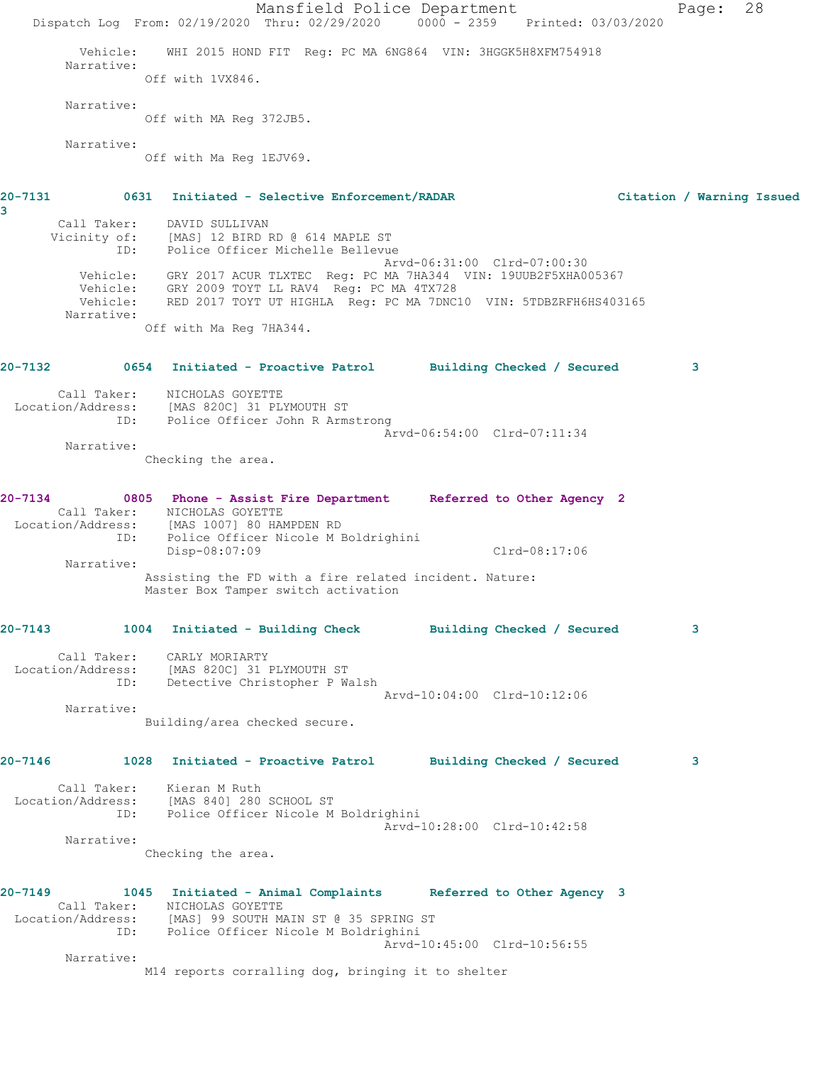Mansfield Police Department Page: 28 Dispatch Log From: 02/19/2020 Thru: 02/29/2020 0000 - 2359 Printed: 03/03/2020 Vehicle: WHI 2015 HOND FIT Reg: PC MA 6NG864 VIN: 3HGGK5H8XFM754918 Narrative: Off with 1VX846. Narrative: Off with MA Reg 372JB5. Narrative: Off with Ma Reg 1EJV69. **20-7131 0631 Initiated - Selective Enforcement/RADAR Citation / Warning Issued** Call Taker: DAVID SULLIVAN Vicinity of: [MAS] 12 BIRD RD @ 614 MAPLE ST ID: Police Officer Michelle Bellevue Arvd-06:31:00 Clrd-07:00:30 Vehicle: GRY 2017 ACUR TLXTEC Reg: PC MA 7HA344 VIN: 19UUB2F5XHA005367 Vehicle: GRY 2009 TOYT LL RAV4 Reg: PC MA 4TX728 Vehicle: RED 2017 TOYT UT HIGHLA Reg: PC MA 7DNC10 VIN: 5TDBZRFH6HS403165 Narrative: Off with Ma Reg 7HA344. **20-7132 0654 Initiated - Proactive Patrol Building Checked / Secured 3** Call Taker: NICHOLAS GOYETTE Location/Address: [MAS 820C] 31 PLYMOUTH ST ID: Police Officer John R Armstrong Arvd-06:54:00 Clrd-07:11:34 Narrative: Checking the area. **20-7134 0805 Phone - Assist Fire Department Referred to Other Agency 2**  Call Taker: NICHOLAS GOYETTE Location/Address: [MAS 1007] 80 HAMPDEN RD ID: Police Officer Nicole M Boldrighini Disp-08:07:09 Clrd-08:17:06 Narrative: Assisting the FD with a fire related incident. Nature: Master Box Tamper switch activation **20-7143 1004 Initiated - Building Check Building Checked / Secured 3** Call Taker: CARLY MORIARTY Location/Address: [MAS 820C] 31 PLYMOUTH ST ID: Detective Christopher P Walsh Arvd-10:04:00 Clrd-10:12:06 Narrative: Building/area checked secure. **20-7146 1028 Initiated - Proactive Patrol Building Checked / Secured 3** Call Taker: Kieran M Ruth Location/Address: [MAS 840] 280 SCHOOL ST ID: Police Officer Nicole M Boldrighini Arvd-10:28:00 Clrd-10:42:58 Narrative: Checking the area. **20-7149 1045 Initiated - Animal Complaints Referred to Other Agency 3**  Call Taker: NICHOLAS GOYETTE Location/Address: [MAS] 99 SOUTH MAIN ST @ 35 SPRING ST ID: Police Officer Nicole M Boldrighini Arvd-10:45:00 Clrd-10:56:55 Narrative: M14 reports corralling dog, bringing it to shelter

**3**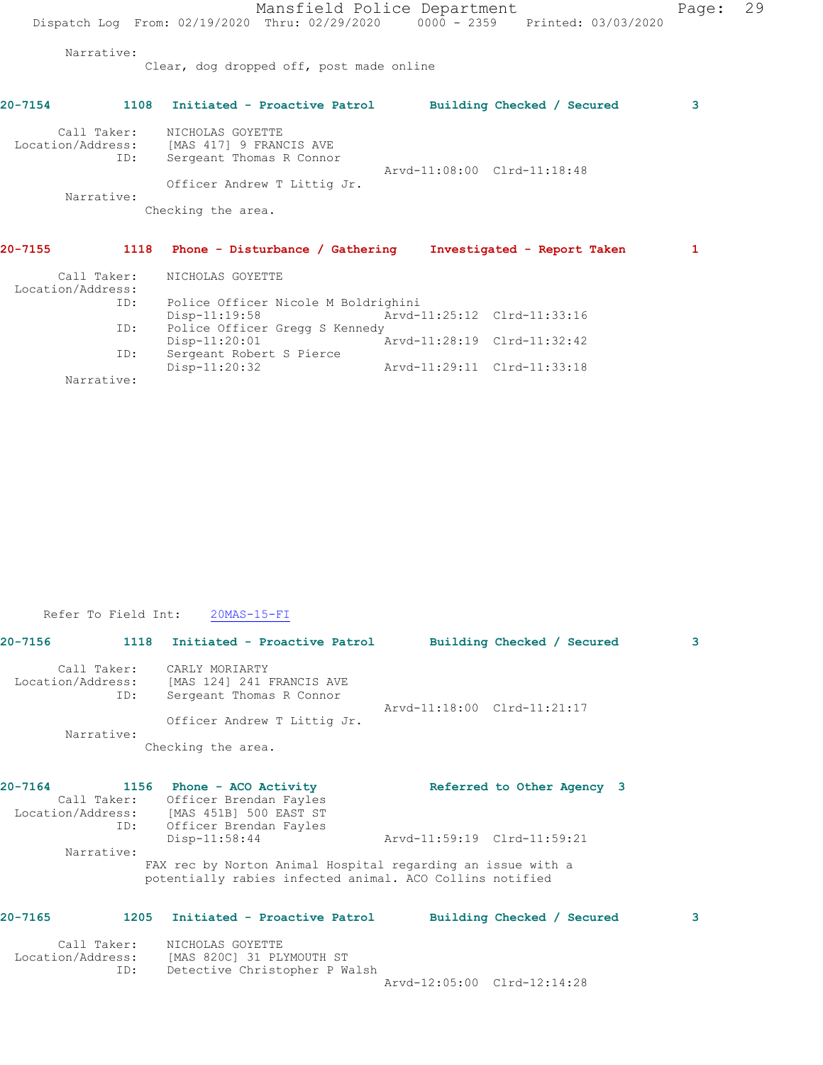Mansfield Police Department Page: 29 Dispatch Log From: 02/19/2020 Thru: 02/29/2020 0000 - 2359 Printed: 03/03/2020 Narrative: Clear, dog dropped off, post made online **20-7154 1108 Initiated - Proactive Patrol Building Checked / Secured 3** Call Taker: NICHOLAS GOYETTE Location/Address: [MAS 417] 9 FRANCIS AVE ID: Sergeant Thomas R Connor Arvd-11:08:00 Clrd-11:18:48 Officer Andrew T Littig Jr. Narrative: Checking the area. **20-7155 1118 Phone - Disturbance / Gathering Investigated - Report Taken 1**

| Call Taker:<br>Location/Address: | NICHOLAS GOYETTE                    |                             |  |
|----------------------------------|-------------------------------------|-----------------------------|--|
| ID:                              | Police Officer Nicole M Boldrighini |                             |  |
|                                  | $Disp-11:19:58$                     | Arvd-11:25:12 Clrd-11:33:16 |  |
| ID:                              | Police Officer Gregg S Kennedy      |                             |  |
|                                  | $Disp-11:20:01$                     | Arvd-11:28:19 Clrd-11:32:42 |  |
| ID:                              | Sergeant Robert S Pierce            |                             |  |
|                                  | $Disp-11:20:32$                     | Arvd-11:29:11 Clrd-11:33:18 |  |
| Narrative:                       |                                     |                             |  |

|  | Refer To Field Int: | $20MAS-15-FI$ |
|--|---------------------|---------------|
|  |                     |               |

| 20-7156           |                    | 1118 Initiated - Proactive Patrol                                                                                       |                             | Building Checked / Secured | 3 |
|-------------------|--------------------|-------------------------------------------------------------------------------------------------------------------------|-----------------------------|----------------------------|---|
| Location/Address: | Call Taker:<br>ID: | CARLY MORIARTY<br>[MAS 124] 241 FRANCIS AVE<br>Sergeant Thomas R Connor                                                 | Arvd-11:18:00 Clrd-11:21:17 |                            |   |
|                   | Narrative:         | Officer Andrew T Littig Jr.                                                                                             |                             |                            |   |
|                   |                    | Checking the area.                                                                                                      |                             |                            |   |
| 20-7164           |                    | 1156 Phone - ACO Activity                                                                                               |                             | Referred to Other Agency 3 |   |
|                   | Call Taker:<br>ID: | Officer Brendan Fayles<br>Location/Address: [MAS 451B] 500 EAST ST<br>Officer Brendan Fayles                            |                             |                            |   |
|                   | Narrative:         | Disp-11:58:44                                                                                                           | Arvd-11:59:19 Clrd-11:59:21 |                            |   |
|                   |                    | FAX rec by Norton Animal Hospital regarding an issue with a<br>potentially rabies infected animal. ACO Collins notified |                             |                            |   |
| 20-7165           |                    | 1205 Initiated - Proactive Patrol                                                                                       |                             | Building Checked / Secured | 3 |

| Call Taker:       | NICHOLAS GOYETTE              |                             |  |
|-------------------|-------------------------------|-----------------------------|--|
| Location/Address: | IMAS 820C1 31 PLYMOUTH ST     |                             |  |
| ID:               | Detective Christopher P Walsh |                             |  |
|                   |                               | Arvd-12:05:00 Clrd-12:14:28 |  |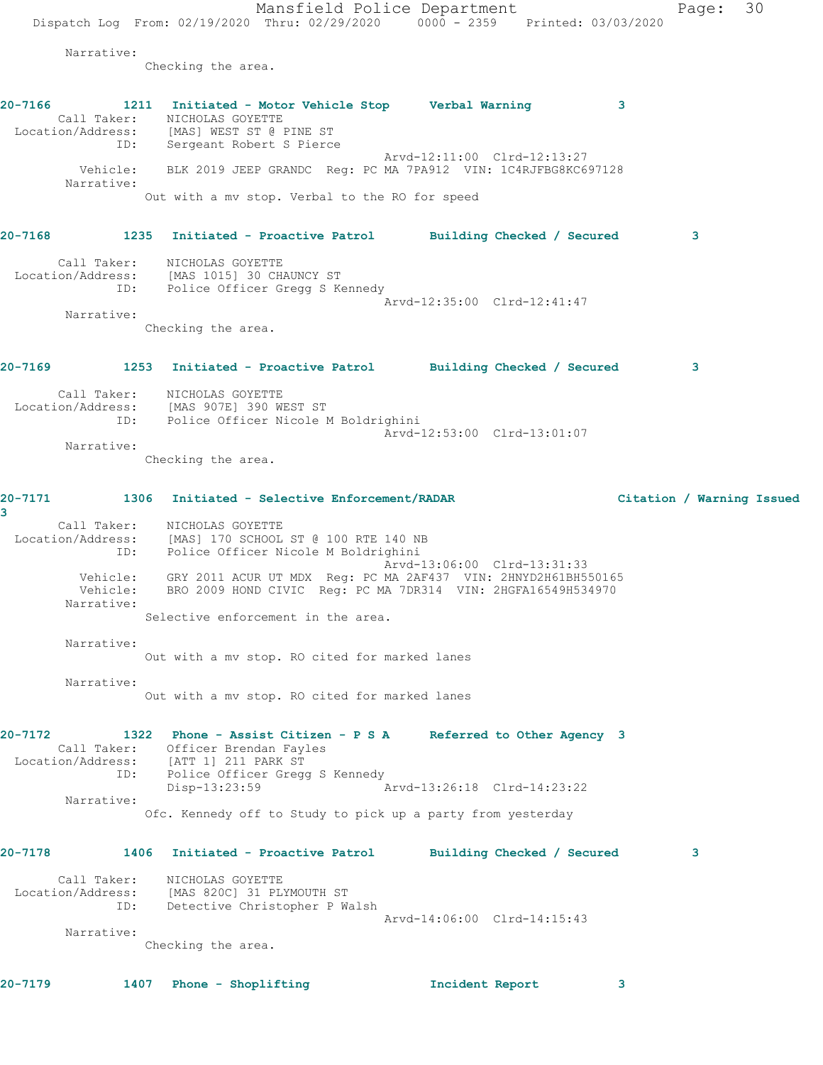Mansfield Police Department Page: 30 Dispatch Log From: 02/19/2020 Thru: 02/29/2020 0000 - 2359 Printed: 03/03/2020 Narrative: Checking the area. **20-7166 1211 Initiated - Motor Vehicle Stop Verbal Warning 3**  Call Taker: NICHOLAS GOYETTE Location/Address: [MAS] WEST ST @ PINE ST ESS. THERE IS TO BE THE SERVICE SOME SPIERCE Arvd-12:11:00 Clrd-12:13:27 Vehicle: BLK 2019 JEEP GRANDC Reg: PC MA 7PA912 VIN: 1C4RJFBG8KC697128 Narrative: Out with a mv stop. Verbal to the RO for speed **20-7168 1235 Initiated - Proactive Patrol Building Checked / Secured 3** Call Taker: NICHOLAS GOYETTE Location/Address: [MAS 1015] 30 CHAUNCY ST ID: Police Officer Gregg S Kennedy Arvd-12:35:00 Clrd-12:41:47 Narrative: Checking the area. **20-7169 1253 Initiated - Proactive Patrol Building Checked / Secured 3** Call Taker: NICHOLAS GOYETTE Location/Address: [MAS 907E] 390 WEST ST ID: Police Officer Nicole M Boldrighini Arvd-12:53:00 Clrd-13:01:07 Narrative: Checking the area. **20-7171 1306 Initiated - Selective Enforcement/RADAR Citation / Warning Issued 3**  Call Taker: NICHOLAS GOYETTE Location/Address: [MAS] 170 SCHOOL ST @ 100 RTE 140 NB ID: Police Officer Nicole M Boldrighini Arvd-13:06:00 Clrd-13:31:33 Vehicle: GRY 2011 ACUR UT MDX Reg: PC MA 2AF437 VIN: 2HNYD2H61BH550165 Vehicle: BRO 2009 HOND CIVIC Reg: PC MA 7DR314 VIN: 2HGFA16549H534970 Narrative: Selective enforcement in the area. Narrative: Out with a mv stop. RO cited for marked lanes Narrative: Out with a mv stop. RO cited for marked lanes **20-7172 1322 Phone - Assist Citizen - P S A Referred to Other Agency 3**  Call Taker: Officer Brendan Fayles Location/Address: [ATT 1] 211 PARK ST ID: Police Officer Gregg S Kennedy Disp-13:23:59 Arvd-13:26:18 Clrd-14:23:22 Narrative: Ofc. Kennedy off to Study to pick up a party from yesterday **20-7178 1406 Initiated - Proactive Patrol Building Checked / Secured 3** Call Taker: NICHOLAS GOYETTE Location/Address: [MAS 820C] 31 PLYMOUTH ST ID: Detective Christopher P Walsh Arvd-14:06:00 Clrd-14:15:43 Narrative: Checking the area. **20-7179 1407 Phone - Shoplifting Incident Report 3**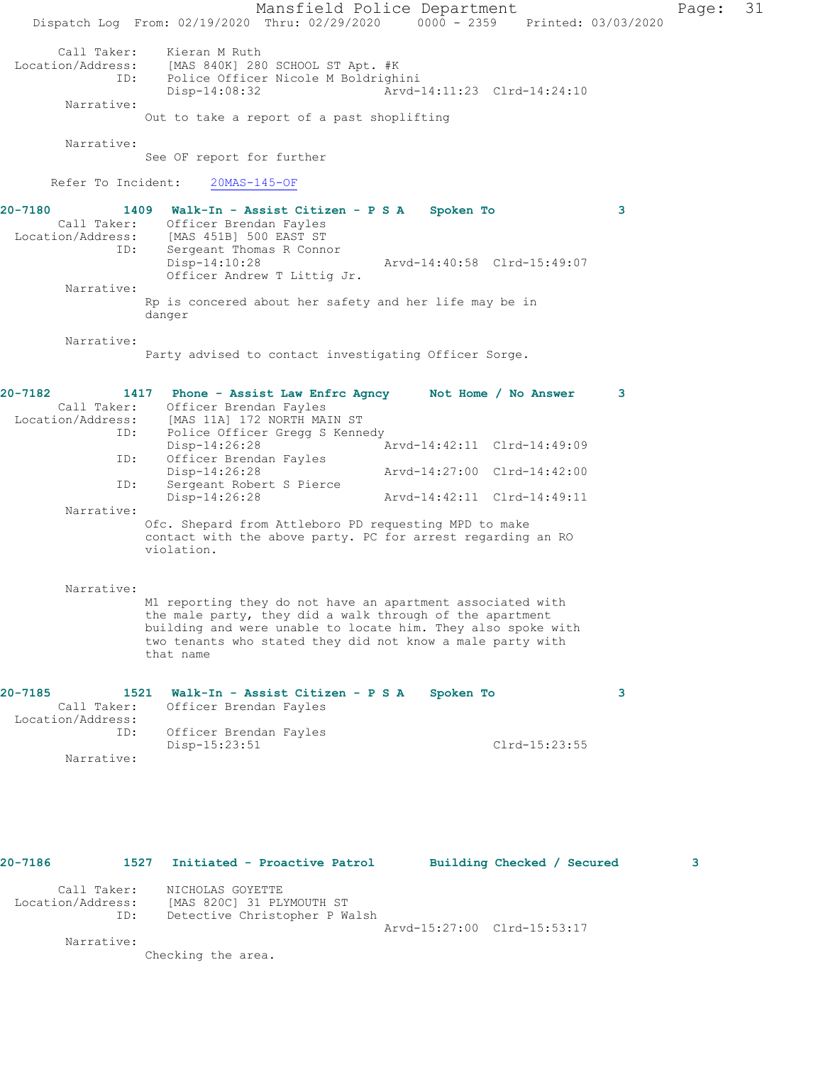Mansfield Police Department Page: 31 Dispatch Log From: 02/19/2020 Thru: 02/29/2020 0000 - 2359 Printed: 03/03/2020 Call Taker: Kieran M Ruth Location/Address: [MAS 840K] 280 SCHOOL ST Apt. #K ID: Police Officer Nicole M Boldrighini Disp-14:08:32 Arvd-14:11:23 Clrd-14:24:10 Narrative: Out to take a report of a past shoplifting Narrative: See OF report for further Refer To Incident: 20MAS-145-OF **20-7180 1409 Walk-In - Assist Citizen - P S A Spoken To 3**  Call Taker: Officer Brendan Fayles Location/Address: [MAS 451B] 500 EAST ST ID: Sergeant Thomas R Connor<br>Disp-14:10:28 Disp-14:10:28 Arvd-14:40:58 Clrd-15:49:07 Officer Andrew T Littig Jr. Narrative: Rp is concered about her safety and her life may be in danger Narrative: Party advised to contact investigating Officer Sorge. **20-7182 1417 Phone - Assist Law Enfrc Agncy Not Home / No Answer 3**  Call Taker: Officer Brendan Fayles Location/Address: [MAS 11A] 172 NORTH MAIN ST ID: Police Officer Gregg S Kennedy Disp-14:26:28 Arvd-14:42:11 Clrd-14:49:09 ID: Officer Brendan Fayles<br>Disp-14:26:28 Disp-14:26:28 Arvd-14:27:00 Clrd-14:42:00 ID: Sergeant Robert S Pierce Disp-14:26:28 Arvd-14:42:11 Clrd-14:49:11 Narrative: Ofc. Shepard from Attleboro PD requesting MPD to make contact with the above party. PC for arrest regarding an RO violation. Narrative: M1 reporting they do not have an apartment associated with the male party, they did a walk through of the apartment building and were unable to locate him. They also spoke with two tenants who stated they did not know a male party with that name **20-7185 1521 Walk-In - Assist Citizen - P S A Spoken To 3**  Call Taker: Officer Brendan Fayles Location/Address: ID: Officer Brendan Fayles Disp-15:23:51 Clrd-15:23:55 Narrative:

**20-7186 1527 Initiated - Proactive Patrol Building Checked / Secured 3** Call Taker: NICHOLAS GOYETTE Location/Address: [MAS 820C] 31 PLYMOUTH ST ID: Detective Christopher P Walsh Arvd-15:27:00 Clrd-15:53:17 Narrative:

Checking the area.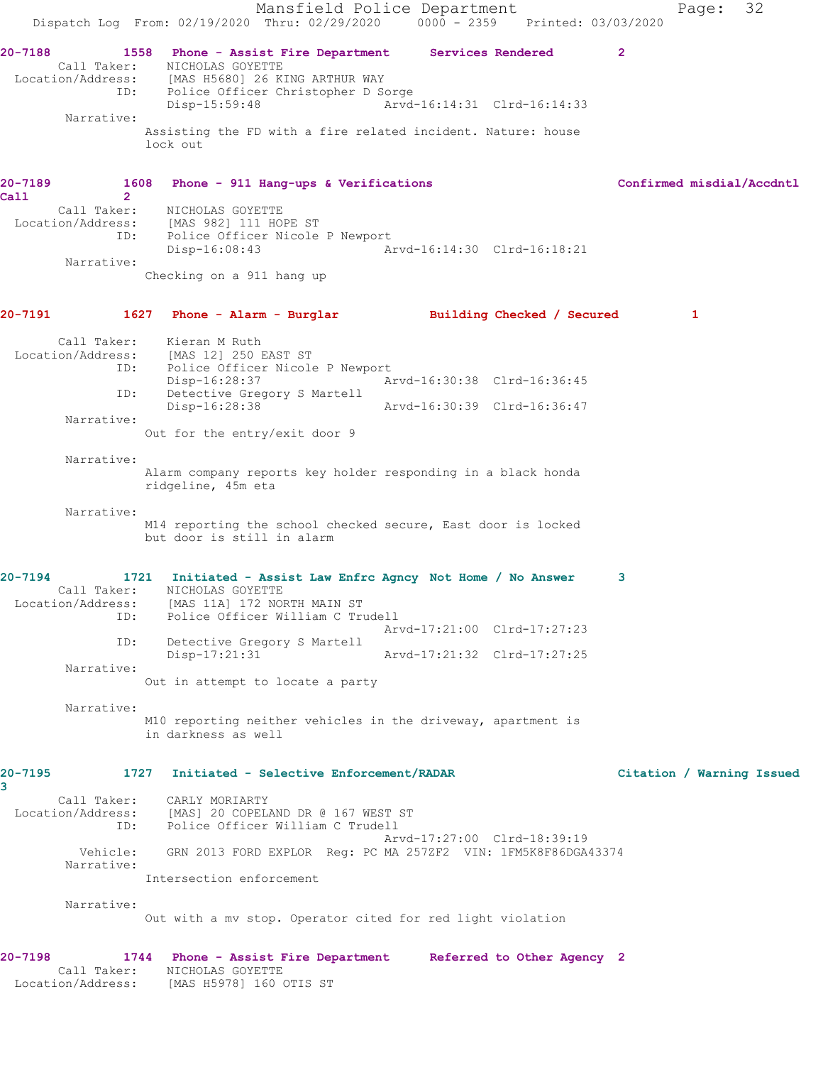Mansfield Police Department Fage: 32 Dispatch Log From: 02/19/2020 Thru: 02/29/2020 0000 - 2359 Printed: 03/03/2020 **20-7188 1558 Phone - Assist Fire Department Services Rendered 2**  Call Taker: NICHOLAS GOYETTE Location/Address: [MAS H5680] 26 KING ARTHUR WAY ID: Police Officer Christopher D Sorge Disp-15:59:48 Arvd-16:14:31 Clrd-16:14:33 Narrative: Assisting the FD with a fire related incident. Nature: house lock out **20-7189 1608 Phone - 911 Hang-ups & Verifications Confirmed misdial/Accdntl Call 2**  Call Taker: NICHOLAS GOYETTE Location/Address: [MAS 982] 111 HOPE ST ID: Police Officer Nicole P Newport<br>Disp-16:08:43 Am Disp-16:08:43 Arvd-16:14:30 Clrd-16:18:21 Narrative: Checking on a 911 hang up **20-7191 1627 Phone - Alarm - Burglar Building Checked / Secured 1** Call Taker: Kieran M Ruth Location/Address: [MAS 12] 250 EAST ST ID: Police Officer Nicole P Newport Disp-16:28:37 Arvd-16:30:38 Clrd-16:36:45 ID: Detective Gregory S Martell Disp-16:28:38 Arvd-16:30:39 Clrd-16:36:47 Narrative: Out for the entry/exit door 9 Narrative: Alarm company reports key holder responding in a black honda ridgeline, 45m eta Narrative: M14 reporting the school checked secure, East door is locked but door is still in alarm **20-7194 1721 Initiated - Assist Law Enfrc Agncy Not Home / No Answer 3**  Call Taker: NICHOLAS GOYETTE Location/Address: [MAS 11A] 172 NORTH MAIN ST ID: Police Officer William C Trudell Arvd-17:21:00 Clrd-17:27:23 ID: Detective Gregory S Martell<br>Disp-17:21:31 Disp-17:21:31 Arvd-17:21:32 Clrd-17:27:25 Narrative: Out in attempt to locate a party Narrative: M10 reporting neither vehicles in the driveway, apartment is in darkness as well **20-7195 1727 Initiated - Selective Enforcement/RADAR Citation / Warning Issued 3**  Call Taker: CARLY MORIARTY Location/Address: [MAS] 20 COPELAND DR @ 167 WEST ST ID: Police Officer William C Trudell Arvd-17:27:00 Clrd-18:39:19 Vehicle: GRN 2013 FORD EXPLOR Reg: PC MA 257ZF2 VIN: 1FM5K8F86DGA43374 Narrative: Intersection enforcement Narrative: Out with a mv stop. Operator cited for red light violation **20-7198 1744 Phone - Assist Fire Department Referred to Other Agency 2**  Call Taker: NICHOLAS GOYETTE Location/Address: [MAS H5978] 160 OTIS ST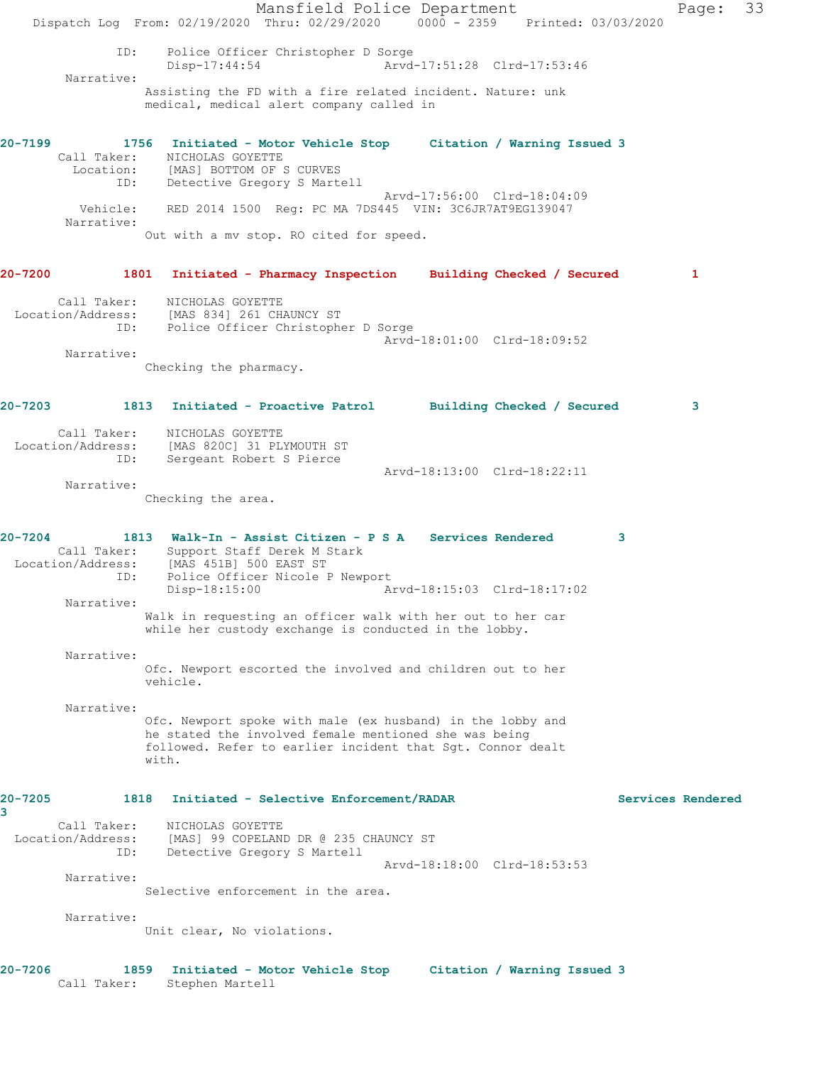Mansfield Police Department Fage: 33 Dispatch Log From: 02/19/2020 Thru: 02/29/2020 0000 - 2359 Printed: 03/03/2020 ID: Police Officer Christopher D Sorge<br>Disp-17:44:54 Arvd- Disp-17:44:54 Arvd-17:51:28 Clrd-17:53:46 Narrative: Assisting the FD with a fire related incident. Nature: unk medical, medical alert company called in **20-7199 1756 Initiated - Motor Vehicle Stop Citation / Warning Issued 3**  Call Taker: NICHOLAS GOYETTE Location: [MAS] BOTTOM OF S CURVES ID: Detective Gregory S Martell Arvd-17:56:00 Clrd-18:04:09 Vehicle: RED 2014 1500 Reg: PC MA 7DS445 VIN: 3C6JR7AT9EG139047 Narrative: Out with a mv stop. RO cited for speed. **20-7200 1801 Initiated - Pharmacy Inspection Building Checked / Secured 1** Call Taker: NICHOLAS GOYETTE Location/Address: [MAS 834] 261 CHAUNCY ST ID: Police Officer Christopher D Sorge Arvd-18:01:00 Clrd-18:09:52 Narrative: Checking the pharmacy. **20-7203 1813 Initiated - Proactive Patrol Building Checked / Secured 3** Call Taker: NICHOLAS GOYETTE Location/Address: [MAS 820C] 31 PLYMOUTH ST ID: Sergeant Robert S Pierce Arvd-18:13:00 Clrd-18:22:11 Narrative: Checking the area. **20-7204 1813 Walk-In - Assist Citizen - P S A Services Rendered 3**  Call Taker: Support Staff Derek M Stark Location/Address: [MAS 451B] 500 EAST ST ID: Police Officer Nicole P Newport<br>Disp-18:15:00 Ar Disp-18:15:00 Arvd-18:15:03 Clrd-18:17:02 Narrative: Walk in requesting an officer walk with her out to her car while her custody exchange is conducted in the lobby. Narrative: Ofc. Newport escorted the involved and children out to her vehicle. Narrative: Ofc. Newport spoke with male (ex husband) in the lobby and he stated the involved female mentioned she was being followed. Refer to earlier incident that Sgt. Connor dealt with. **20-7205 1818 Initiated - Selective Enforcement/RADAR Services Rendered 3**  Call Taker: NICHOLAS GOYETTE Location/Address: [MAS] 99 COPELAND DR @ 235 CHAUNCY ST ID: Detective Gregory S Martell Arvd-18:18:00 Clrd-18:53:53 Narrative: Selective enforcement in the area. Narrative: Unit clear, No violations. **20-7206 1859 Initiated - Motor Vehicle Stop Citation / Warning Issued 3**  Call Taker: Stephen Martell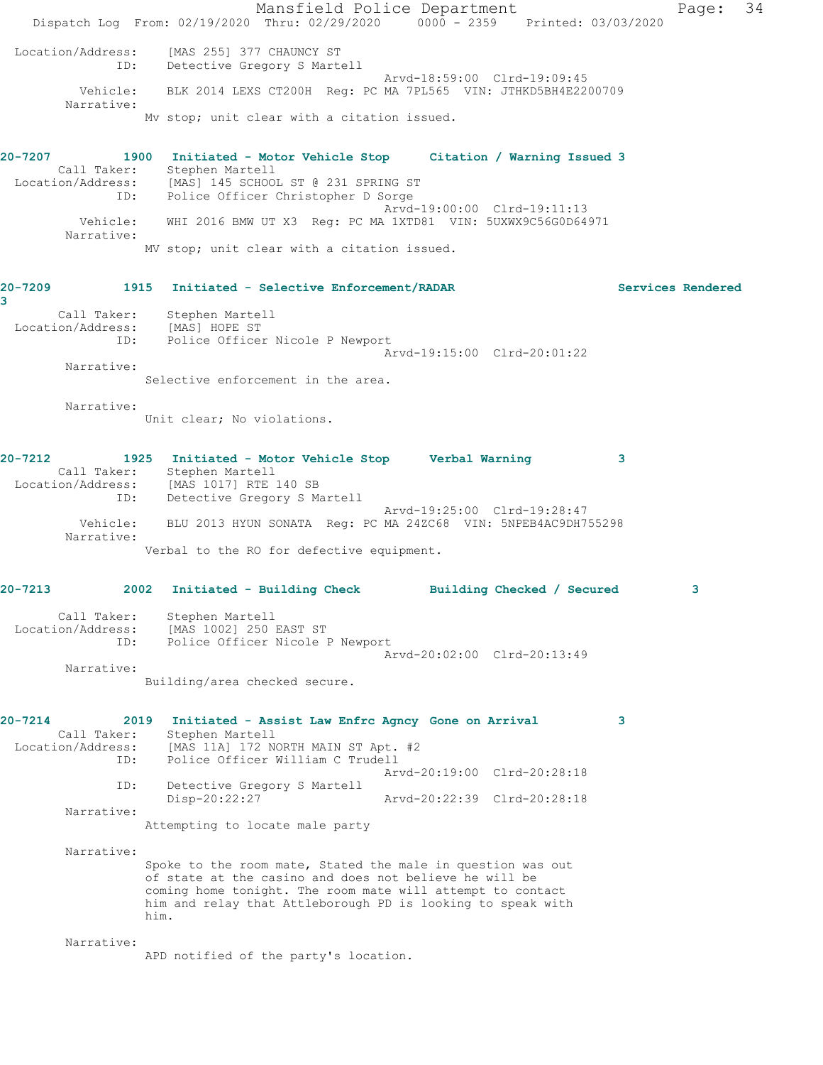Mansfield Police Department Page: 34 Dispatch Log From: 02/19/2020 Thru: 02/29/2020 0000 - 2359 Printed: 03/03/2020 Location/Address: [MAS 255] 377 CHAUNCY ST ID: Detective Gregory S Martell Arvd-18:59:00 Clrd-19:09:45 Vehicle: BLK 2014 LEXS CT200H Reg: PC MA 7PL565 VIN: JTHKD5BH4E2200709 Narrative: Mv stop; unit clear with a citation issued. **20-7207 1900 Initiated - Motor Vehicle Stop Citation / Warning Issued 3**  Call Taker: Stephen Martell Location/Address: [MAS] 145 SCHOOL ST @ 231 SPRING ST ESS. INNOTITY CONCORT OF THE POLICE OF POLICE OF THE POST OF THE POLICE OF THE POLICE OF THE POLICE OF THE POLICE OF THE POLICE OF THE POLICE OF THE POLICE OF THE POLICE OF THE POLICE OF THE POLICE OF THE POLICE OF THE POL Arvd-19:00:00 Clrd-19:11:13 Vehicle: WHI 2016 BMW UT X3 Reg: PC MA 1XTD81 VIN: 5UXWX9C56G0D64971 Narrative: MV stop; unit clear with a citation issued. **20-7209 1915 Initiated - Selective Enforcement/RADAR Services Rendered 3**  Call Taker: Stephen Martell<br>ion/Address: [MAS] HOPE ST URLE PALL PALL<br>Location/Address:<br>ID: Police Officer Nicole P Newport Arvd-19:15:00 Clrd-20:01:22 Narrative: Selective enforcement in the area. Narrative: Unit clear; No violations. **20-7212 1925 Initiated - Motor Vehicle Stop Verbal Warning 3**  Call Taker: Stephen Martell Location/Address: [MAS 1017] RTE 140 SB ID: Detective Gregory S Martell Arvd-19:25:00 Clrd-19:28:47 Vehicle: BLU 2013 HYUN SONATA Reg: PC MA 24ZC68 VIN: 5NPEB4AC9DH755298 Narrative: Verbal to the RO for defective equipment. **20-7213 2002 Initiated - Building Check Building Checked / Secured 3** Call Taker: Stephen Martell Location/Address: [MAS 1002] 250 EAST ST ID: Police Officer Nicole P Newport Arvd-20:02:00 Clrd-20:13:49 Narrative: Building/area checked secure. **20-7214 2019 Initiated - Assist Law Enfrc Agncy Gone on Arrival 3**  Call Taker: Stephen Martell Location/Address: [MAS 11A] 172 NORTH MAIN ST Apt. #2 ID: Police Officer William C Trudell Arvd-20:19:00 Clrd-20:28:18 ID: Detective Gregory S Martell<br>Disp-20:22:27 Disp-20:22:27 Arvd-20:22:39 Clrd-20:28:18 Narrative: Attempting to locate male party Narrative: Spoke to the room mate, Stated the male in question was out of state at the casino and does not believe he will be coming home tonight. The room mate will attempt to contact him and relay that Attleborough PD is looking to speak with him. Narrative: APD notified of the party's location.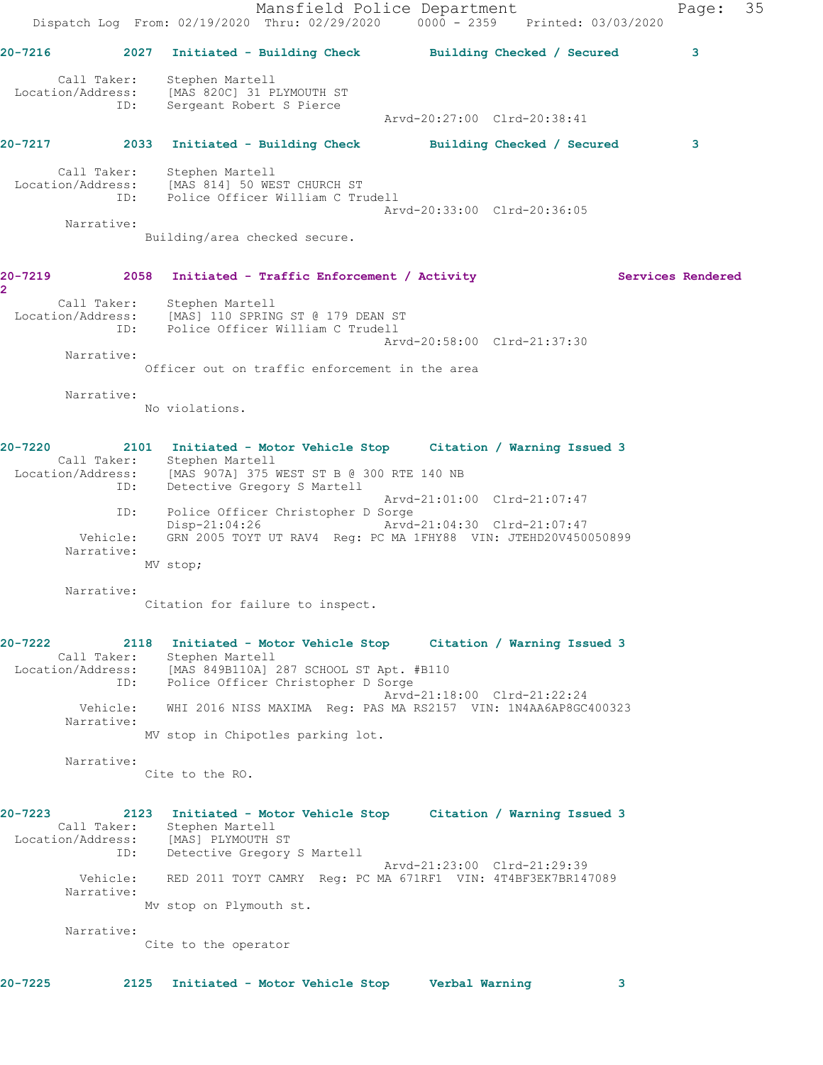Mansfield Police Department Page: 35 Dispatch Log From: 02/19/2020 Thru: 02/29/2020 0000 - 2359 Printed: 03/03/2020 **20-7216 2027 Initiated - Building Check Building Checked / Secured 3** Call Taker: Stephen Martell Location/Address: [MAS 820C] 31 PLYMOUTH ST ID: Sergeant Robert S Pierce Arvd-20:27:00 Clrd-20:38:41 **20-7217 2033 Initiated - Building Check Building Checked / Secured 3** Call Taker: Stephen Martell Location/Address: [MAS 814] 50 WEST CHURCH ST ID: Police Officer William C Trudell Arvd-20:33:00 Clrd-20:36:05 Narrative: Building/area checked secure. 20-7219 2058 Initiated - Traffic Enforcement / Activity **Services Rendered 2**  Call Taker: Stephen Martell Location/Address: [MAS] 110 SPRING ST @ 179 DEAN ST ID: Police Officer William C Trudell Arvd-20:58:00 Clrd-21:37:30 Narrative: Officer out on traffic enforcement in the area Narrative: No violations. **20-7220 2101 Initiated - Motor Vehicle Stop Citation / Warning Issued 3**  Call Taker: Stephen Martell Location/Address: [MAS 907A] 375 WEST ST B @ 300 RTE 140 NB ID: Detective Gregory S Martell Arvd-21:01:00 Clrd-21:07:47 ID: Police Officer Christopher D Sorge<br>Disp-21:04:26 Arvd Disp-21:04:26 Arvd-21:04:30 Clrd-21:07:47 Vehicle: GRN 2005 TOYT UT RAV4 Reg: PC MA 1FHY88 VIN: JTEHD20V450050899 Narrative: MV stop; Narrative: Citation for failure to inspect. **20-7222 2118 Initiated - Motor Vehicle Stop Citation / Warning Issued 3**  Call Taker: Stephen Martell Location/Address: [MAS 849B110A] 287 SCHOOL ST Apt. #B110 ID: Police Officer Christopher D Sorge Arvd-21:18:00 Clrd-21:22:24 Vehicle: WHI 2016 NISS MAXIMA Reg: PAS MA RS2157 VIN: 1N4AA6AP8GC400323 Narrative: MV stop in Chipotles parking lot. Narrative: Cite to the RO. **20-7223 2123 Initiated - Motor Vehicle Stop Citation / Warning Issued 3**  Call Taker: Stephen Martell Location/Address: [MAS] PLYMOUTH ST ID: Detective Gregory S Martell Arvd-21:23:00 Clrd-21:29:39 Vehicle: RED 2011 TOYT CAMRY Reg: PC MA 671RF1 VIN: 4T4BF3EK7BR147089 Narrative: Mv stop on Plymouth st. Narrative: Cite to the operator **20-7225 2125 Initiated - Motor Vehicle Stop Verbal Warning 3**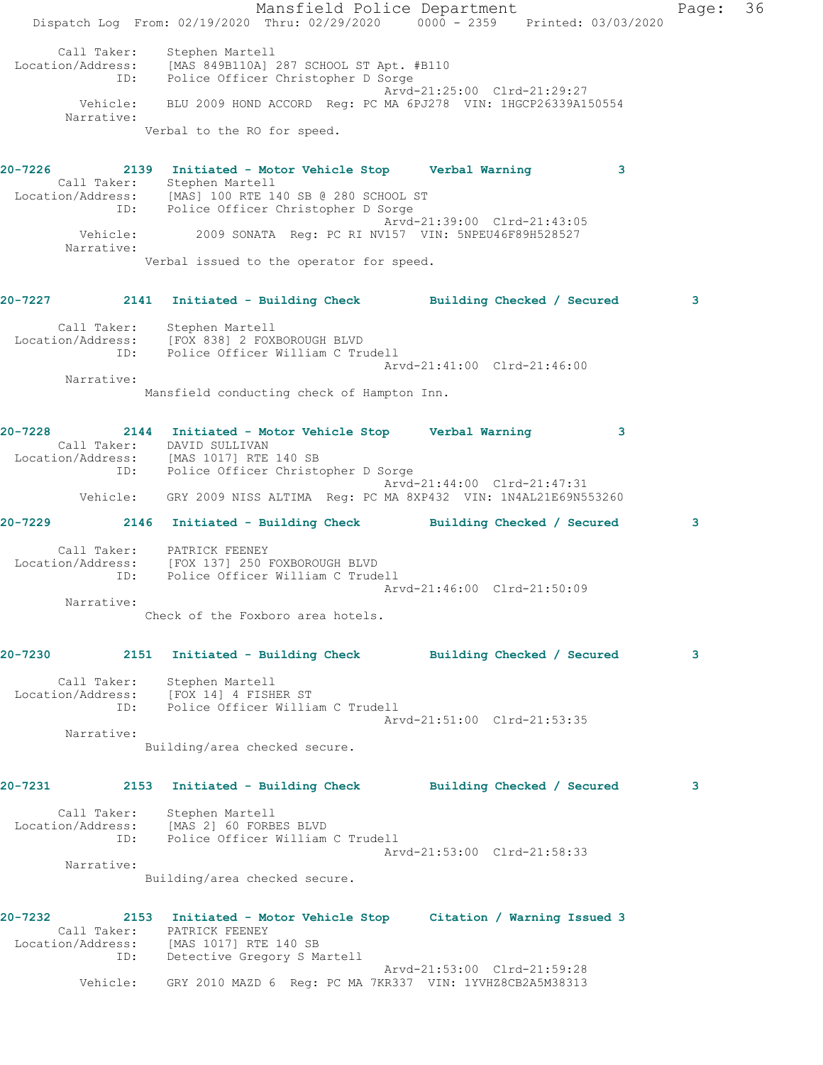Mansfield Police Department Fage: 36 Dispatch Log From: 02/19/2020 Thru: 02/29/2020 0000 - 2359 Printed: 03/03/2020 Call Taker: Stephen Martell Location/Address: [MAS 849B110A] 287 SCHOOL ST Apt. #B110 ID: Police Officer Christopher D Sorge Arvd-21:25:00 Clrd-21:29:27 Vehicle: BLU 2009 HOND ACCORD Reg: PC MA 6PJ278 VIN: 1HGCP26339A150554 Narrative: Verbal to the RO for speed. **20-7226 2139 Initiated - Motor Vehicle Stop Verbal Warning 3**  Call Taker: Stephen Martell Location/Address: [MAS] 100 RTE 140 SB @ 280 SCHOOL ST ID: Police Officer Christopher D Sorge Arvd-21:39:00 Clrd-21:43:05 Vehicle: 2009 SONATA Reg: PC RI NV157 VIN: 5NPEU46F89H528527 Narrative: Verbal issued to the operator for speed. **20-7227 2141 Initiated - Building Check Building Checked / Secured 3** Call Taker: Stephen Martell Location/Address: [FOX 838] 2 FOXBOROUGH BLVD ID: Police Officer William C Trudell Arvd-21:41:00 Clrd-21:46:00 Narrative: Mansfield conducting check of Hampton Inn. **20-7228 2144 Initiated - Motor Vehicle Stop Verbal Warning 3**  Call Taker: DAVID SULLIVAN Location/Address: [MAS 1017] RTE 140 SB ID: Police Officer Christopher D Sorge Arvd-21:44:00 Clrd-21:47:31 Vehicle: GRY 2009 NISS ALTIMA Reg: PC MA 8XP432 VIN: 1N4AL21E69N553260 **20-7229 2146 Initiated - Building Check Building Checked / Secured 3** Call Taker: PATRICK FEENEY Location/Address: [FOX 137] 250 FOXBOROUGH BLVD ID: Police Officer William C Trudell Arvd-21:46:00 Clrd-21:50:09 Narrative: Check of the Foxboro area hotels. **20-7230 2151 Initiated - Building Check Building Checked / Secured 3** Call Taker: Stephen Martell Location/Address: [FOX 14] 4 FISHER ST ID: Police Officer William C Trudell Arvd-21:51:00 Clrd-21:53:35 Narrative: Building/area checked secure. **20-7231 2153 Initiated - Building Check Building Checked / Secured 3** Call Taker: Stephen Martell Location/Address: [MAS 2] 60 FORBES BLVD ID: Police Officer William C Trudell Arvd-21:53:00 Clrd-21:58:33 Narrative: Building/area checked secure. **20-7232 2153 Initiated - Motor Vehicle Stop Citation / Warning Issued 3**  Call Taker: PATRICK FEENEY Location/Address: [MAS 1017] RTE 140 SB ID: Detective Gregory S Martell Arvd-21:53:00 Clrd-21:59:28

Vehicle: GRY 2010 MAZD 6 Reg: PC MA 7KR337 VIN: 1YVHZ8CB2A5M38313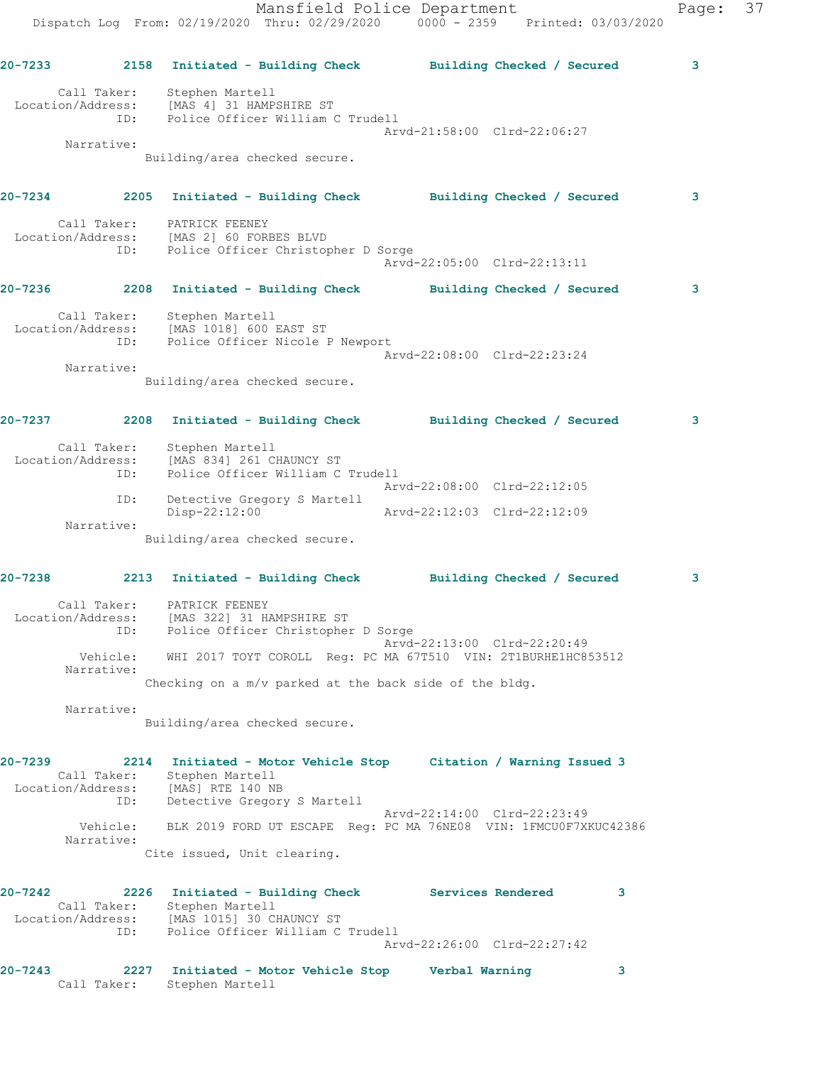|         |                          |                                                                                                                                                        | Mansfield Police Department<br>Dispatch Log From: 02/19/2020 Thru: 02/29/2020 0000 - 2359 Printed: 03/03/2020 | Page: 37 |  |
|---------|--------------------------|--------------------------------------------------------------------------------------------------------------------------------------------------------|---------------------------------------------------------------------------------------------------------------|----------|--|
|         |                          |                                                                                                                                                        | 20-7233      2158  Initiated - Building Check      Building Checked / Secured                                 | 3        |  |
|         |                          | Call Taker: Stephen Martell<br>Location/Address: [MAS 4] 31 HAMPSHIRE ST<br>ID: Police Officer William C Trudell                                       | Arvd-21:58:00 Clrd-22:06:27                                                                                   |          |  |
|         | Narrative:               | Building/area checked secure.                                                                                                                          |                                                                                                               |          |  |
|         |                          |                                                                                                                                                        | 20-7234 2205 Initiated - Building Check Building Checked / Secured                                            | 3        |  |
|         |                          | Call Taker: PATRICK FEENEY<br>Location/Address: [MAS 2] 60 FORBES BLVD<br>ID: Police Officer Christopher D Sorge                                       | Arvd-22:05:00 Clrd-22:13:11                                                                                   |          |  |
|         |                          |                                                                                                                                                        | 20-7236 2208 Initiated - Building Check Building Checked / Secured                                            | 3        |  |
|         |                          | Call Taker: Stephen Martell<br>Location/Address: [MAS 1018] 600 EAST ST<br>ID: Police Officer Nicole P Newport                                         | Arvd-22:08:00 Clrd-22:23:24                                                                                   |          |  |
|         | Narrative:               | Building/area checked secure.                                                                                                                          |                                                                                                               |          |  |
|         |                          |                                                                                                                                                        |                                                                                                               |          |  |
|         |                          |                                                                                                                                                        |                                                                                                               | 3        |  |
|         |                          | Call Taker: Stephen Martell<br>Location/Address: [MAS 834] 261 CHAUNCY ST<br>ID: Police Officer William C Trudell                                      | Arvd-22:08:00 Clrd-22:12:05                                                                                   |          |  |
|         | ID:                      | Detective Gregory S Martell<br>Disp-22:12:00 Arvd-22:12:03 Clrd-22:12:09                                                                               |                                                                                                               |          |  |
|         | Narrative:               | Building/area checked secure.                                                                                                                          |                                                                                                               |          |  |
|         |                          |                                                                                                                                                        | 20-7238 2213 Initiated - Building Check Building Checked / Secured                                            | 3        |  |
|         | Location/Address:<br>ID: | Call Taker: PATRICK FEENEY<br>[MAS 322] 31 HAMPSHIRE ST<br>Police Officer Christopher D Sorge                                                          | Arvd-22:13:00 Clrd-22:20:49                                                                                   |          |  |
|         | Vehicle:<br>Narrative:   |                                                                                                                                                        | WHI 2017 TOYT COROLL Req: PC MA 67T510 VIN: 2T1BURHE1HC853512                                                 |          |  |
|         |                          | Checking on a $m/v$ parked at the back side of the bldg.                                                                                               |                                                                                                               |          |  |
|         | Narrative:               | Building/area checked secure.                                                                                                                          |                                                                                                               |          |  |
| 20-7239 | Call Taker:<br>ID:       | Stephen Martell<br>Location/Address: [MAS] RTE 140 NB<br>Detective Gregory S Martell                                                                   | 2214 Initiated - Motor Vehicle Stop Citation / Warning Issued 3                                               |          |  |
|         | Vehicle:<br>Narrative:   |                                                                                                                                                        | Arvd-22:14:00 Clrd-22:23:49<br>BLK 2019 FORD UT ESCAPE Req: PC MA 76NE08 VIN: 1FMCU0F7XKUC42386               |          |  |
|         |                          | Cite issued, Unit clearing.                                                                                                                            |                                                                                                               |          |  |
| 20-7242 | Call Taker:<br>ID:       | 2226 Initiated - Building Check Services Rendered<br>Stephen Martell<br>Location/Address: [MAS 1015] 30 CHAUNCY ST<br>Police Officer William C Trudell | 3<br>Arvd-22:26:00 Clrd-22:27:42                                                                              |          |  |
| 20-7243 | 2227                     | Initiated - Motor Vehicle Stop       Verbal Warning                                                                                                    | 3                                                                                                             |          |  |

Call Taker: Stephen Martell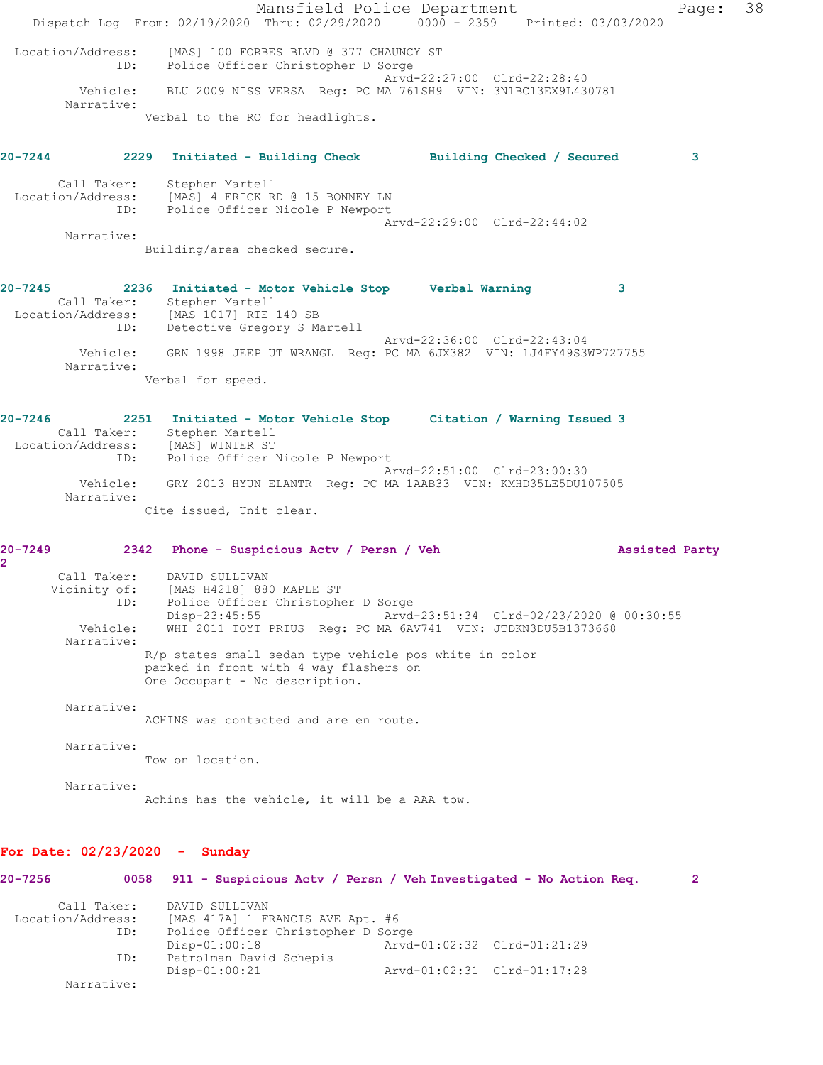Mansfield Police Department The Page: 38 Dispatch Log From: 02/19/2020 Thru: 02/29/2020 0000 - 2359 Printed: 03/03/2020 Location/Address: [MAS] 100 FORBES BLVD @ 377 CHAUNCY ST ID: Police Officer Christopher D Sorge Arvd-22:27:00 Clrd-22:28:40 Vehicle: BLU 2009 NISS VERSA Reg: PC MA 761SH9 VIN: 3N1BC13EX9L430781 Narrative: Verbal to the RO for headlights. **20-7244 2229 Initiated - Building Check Building Checked / Secured 3** Call Taker: Stephen Martell Location/Address: [MAS] 4 ERICK RD @ 15 BONNEY LN ID: Police Officer Nicole P Newport Arvd-22:29:00 Clrd-22:44:02 Narrative: Building/area checked secure. **20-7245 2236 Initiated - Motor Vehicle Stop Verbal Warning 3**  Call Taker: Stephen Martell Location/Address: [MAS 1017] RTE 140 SB ID: Detective Gregory S Martell Arvd-22:36:00 Clrd-22:43:04 Vehicle: GRN 1998 JEEP UT WRANGL Reg: PC MA 6JX382 VIN: 1J4FY49S3WP727755 Narrative: Verbal for speed. **20-7246 2251 Initiated - Motor Vehicle Stop Citation / Warning Issued 3**  Call Taker: Stephen Martell Location/Address: [MAS] WINTER ST ID: Police Officer Nicole P Newport Arvd-22:51:00 Clrd-23:00:30 Vehicle: GRY 2013 HYUN ELANTR Reg: PC MA 1AAB33 VIN: KMHD35LE5DU107505 Narrative: Cite issued, Unit clear. **20-7249 2342 Phone - Suspicious Actv / Persn / Veh Assisted Party 2**  Call Taker: DAVID SULLIVAN Vicinity of: [MAS H4218] 880 MAPLE ST ID: Police Officer Christopher D Sorge Disp-23:45:55 Arvd-23:51:34 Clrd-02/23/2020 @ 00:30:55 Vehicle: WHI 2011 TOYT PRIUS Reg: PC MA 6AV741 VIN: JTDKN3DU5B1373668 Narrative: R/p states small sedan type vehicle pos white in color parked in front with 4 way flashers on One Occupant - No description. Narrative: ACHINS was contacted and are en route. Narrative: Tow on location. Narrative: Achins has the vehicle, it will be a AAA tow. **For Date: 02/23/2020 - Sunday**

**20-7256 0058 911 - Suspicious Actv / Persn / Veh Investigated - No Action Req. 2** Call Taker: DAVID SULLIVAN Location/Address: [MAS 417A] 1 FRANCIS AVE Apt. #6 ID: Police Officer Christopher D Sorge Disp-01:00:18 Arvd-01:02:32 Clrd-01:21:29 ID: Patrolman David Schepis Disp-01:00:21 Arvd-01:02:31 Clrd-01:17:28 Narrative: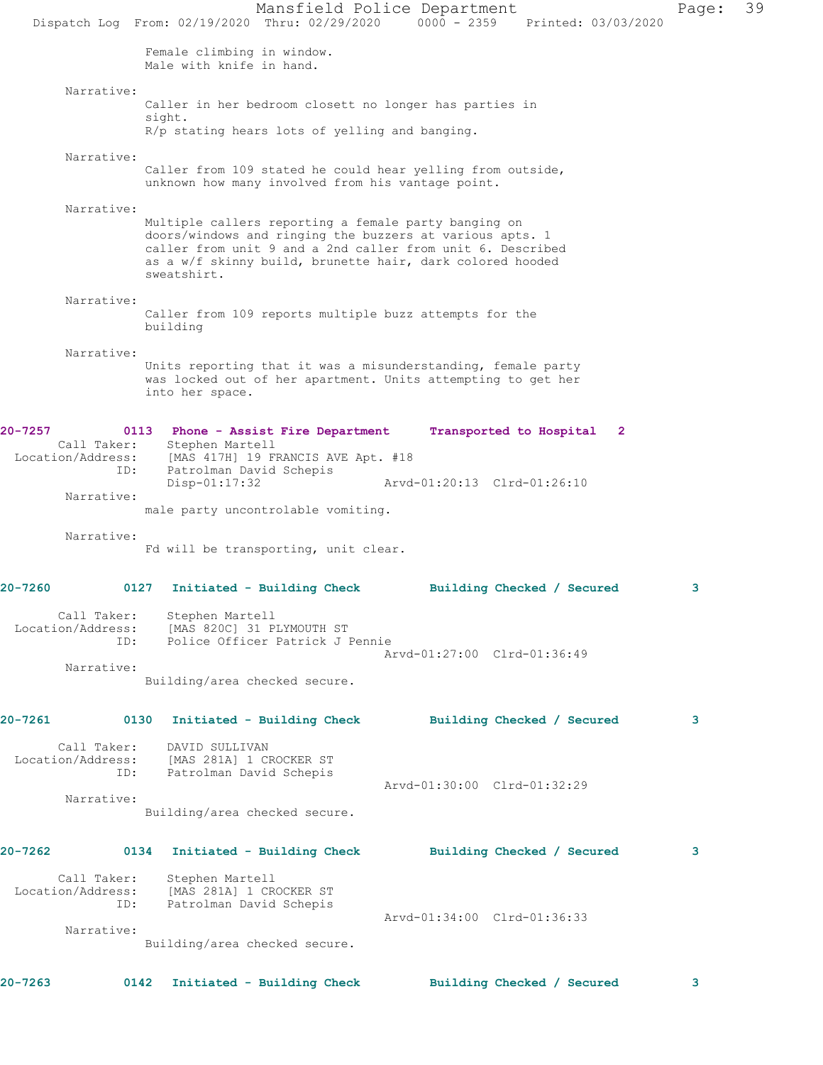Mansfield Police Department Page: 39 Dispatch Log From: 02/19/2020 Thru: 02/29/2020 0000 - 2359 Printed: 03/03/2020 Female climbing in window. Male with knife in hand. Narrative: Caller in her bedroom closett no longer has parties in sight. R/p stating hears lots of yelling and banging. Narrative: Caller from 109 stated he could hear yelling from outside, unknown how many involved from his vantage point. Narrative: Multiple callers reporting a female party banging on doors/windows and ringing the buzzers at various apts. 1 caller from unit 9 and a 2nd caller from unit 6. Described as a w/f skinny build, brunette hair, dark colored hooded sweatshirt. Narrative: Caller from 109 reports multiple buzz attempts for the building Narrative: Units reporting that it was a misunderstanding, female party was locked out of her apartment. Units attempting to get her into her space. **20-7257 0113 Phone - Assist Fire Department Transported to Hospital 2**  Call Taker: Stephen Martell Location/Address: [MAS 417H] 19 FRANCIS AVE Apt. #18 ID: Patrolman David Schepis Arvd-01:20:13 Clrd-01:26:10 Narrative: male party uncontrolable vomiting. Narrative: Fd will be transporting, unit clear. **20-7260 0127 Initiated - Building Check Building Checked / Secured 3** Call Taker: Stephen Martell Location/Address: [MAS 820C] 31 PLYMOUTH ST ID: Police Officer Patrick J Pennie Arvd-01:27:00 Clrd-01:36:49 Narrative: Building/area checked secure. **20-7261 0130 Initiated - Building Check Building Checked / Secured 3** Call Taker: DAVID SULLIVAN Location/Address: [MAS 281A] 1 CROCKER ST ID: Patrolman David Schepis Arvd-01:30:00 Clrd-01:32:29 Narrative: Building/area checked secure. **20-7262 0134 Initiated - Building Check Building Checked / Secured 3** Call Taker: Stephen Martell Location/Address: [MAS 281A] 1 CROCKER ST ID: Patrolman David Schepis Arvd-01:34:00 Clrd-01:36:33 Narrative: Building/area checked secure. **20-7263 0142 Initiated - Building Check Building Checked / Secured 3**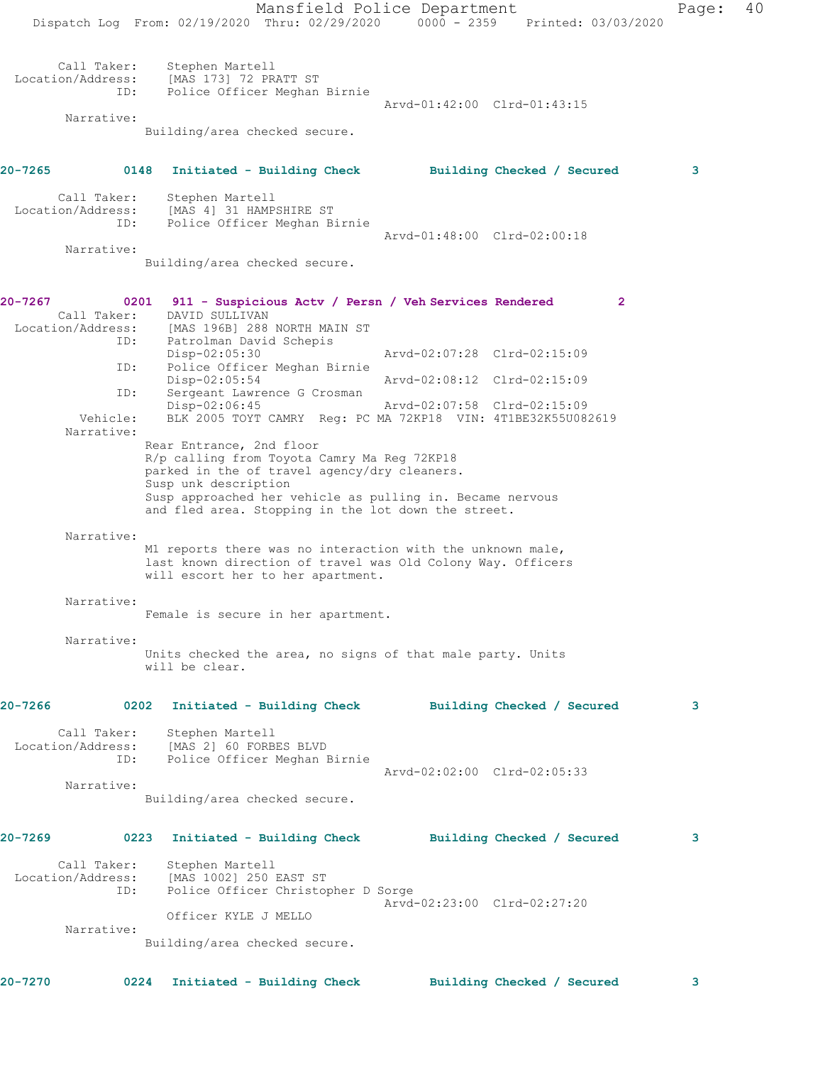Mansfield Police Department Page: 40 Dispatch Log From: 02/19/2020 Thru: 02/29/2020 0000 - 2359 Printed: 03/03/2020 Call Taker: Stephen Martell Location/Address: [MAS 173] 72 PRATT ST ID: Police Officer Meghan Birnie Arvd-01:42:00 Clrd-01:43:15 Narrative: Building/area checked secure. **20-7265 0148 Initiated - Building Check Building Checked / Secured 3** Call Taker: Stephen Martell Location/Address: [MAS 4] 31 HAMPSHIRE ST ID: Police Officer Meghan Birnie Arvd-01:48:00 Clrd-02:00:18 Narrative: Building/area checked secure. **20-7267 0201 911 - Suspicious Actv / Persn / Veh Services Rendered 2**  Call Taker: DAVID SULLIVAN Location/Address: [MAS 196B] 288 NORTH MAIN ST<br>ID: Patrolman David Schepis Patrolman David Schepis<br>Disp-02:05:30 Disp-02:05:30 Arvd-02:07:28 Clrd-02:15:09 ID: Police Officer Meghan Birnie Disp-02:05:54 Arvd-02:08:12 Clrd-02:15:09 ID: Sergeant Lawrence G Crosman<br>Disp-02:06:45 Disp-02:06:45 Arvd-02:07:58 Clrd-02:15:09<br>Vehicle: BLK 2005 TOYT CAMRY Reg: PC MA 72KP18 VIN: 4T1BE32K55U082 BLK 2005 TOYT CAMRY Reg: PC MA 72KP18 VIN: 4T1BE32K55U082619 Narrative: Rear Entrance, 2nd floor R/p calling from Toyota Camry Ma Reg 72KP18 parked in the of travel agency/dry cleaners. Susp unk description Susp approached her vehicle as pulling in. Became nervous and fled area. Stopping in the lot down the street. Narrative: M1 reports there was no interaction with the unknown male, last known direction of travel was Old Colony Way. Officers will escort her to her apartment. Narrative: Female is secure in her apartment. Narrative: Units checked the area, no signs of that male party. Units will be clear. **20-7266 0202 Initiated - Building Check Building Checked / Secured 3** Call Taker: Stephen Martell Location/Address: [MAS 2] 60 FORBES BLVD ID: Police Officer Meghan Birnie Arvd-02:02:00 Clrd-02:05:33 Narrative: Building/area checked secure. **20-7269 0223 Initiated - Building Check Building Checked / Secured 3** Call Taker: Stephen Martell Location/Address: [MAS 1002] 250 EAST ST ID: Police Officer Christopher D Sorge Arvd-02:23:00 Clrd-02:27:20 Officer KYLE J MELLO Narrative: Building/area checked secure. **20-7270 0224 Initiated - Building Check Building Checked / Secured 3**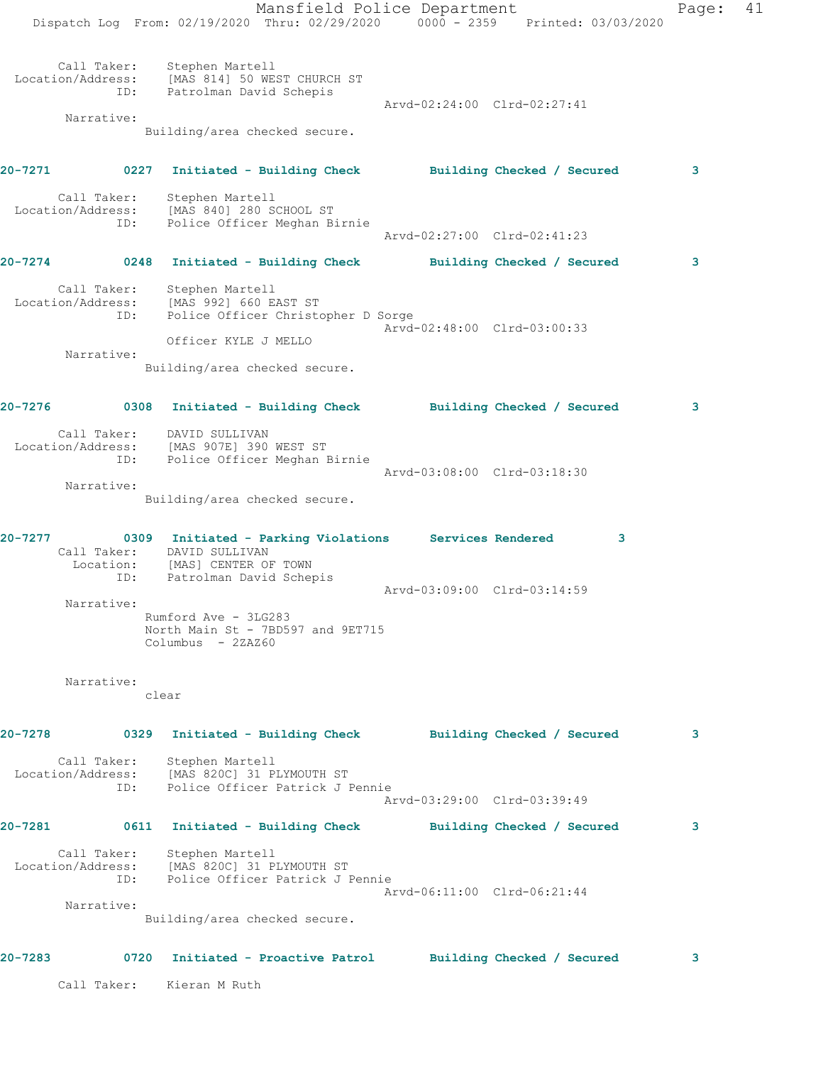Mansfield Police Department Page: 41 Dispatch Log From: 02/19/2020 Thru: 02/29/2020 0000 - 2359 Printed: 03/03/2020 Call Taker: Stephen Martell Location/Address: [MAS 814] 50 WEST CHURCH ST ID: Patrolman David Schepis Arvd-02:24:00 Clrd-02:27:41 Narrative: Building/area checked secure. **20-7271 0227 Initiated - Building Check Building Checked / Secured 3** Call Taker: Stephen Martell Location/Address: [MAS 840] 280 SCHOOL ST ID: Police Officer Meghan Birnie Arvd-02:27:00 Clrd-02:41:23 **20-7274 0248 Initiated - Building Check Building Checked / Secured 3** Call Taker: Stephen Martell Location/Address: [MAS 992] 660 EAST ST ID: Police Officer Christopher D Sorge Arvd-02:48:00 Clrd-03:00:33 Officer KYLE J MELLO Narrative: Building/area checked secure. **20-7276 0308 Initiated - Building Check Building Checked / Secured 3** Call Taker: DAVID SULLIVAN Location/Address: [MAS 907E] 390 WEST ST ID: Police Officer Meghan Birnie Arvd-03:08:00 Clrd-03:18:30 Narrative: Building/area checked secure. **20-7277 0309 Initiated - Parking Violations Services Rendered 3**  Call Taker: DAVID SULLIVAN Location: [MAS] CENTER OF TOWN ID: Patrolman David Schepis Arvd-03:09:00 Clrd-03:14:59 Narrative: Rumford Ave - 3LG283 North Main St - 7BD597 and 9ET715 Columbus - 2ZAZ60 Narrative: clear **20-7278 0329 Initiated - Building Check Building Checked / Secured 3** Call Taker: Stephen Martell Location/Address: [MAS 820C] 31 PLYMOUTH ST ID: Police Officer Patrick J Pennie Arvd-03:29:00 Clrd-03:39:49 **20-7281 0611 Initiated - Building Check Building Checked / Secured 3** Call Taker: Stephen Martell Location/Address: [MAS 820C] 31 PLYMOUTH ST ID: Police Officer Patrick J Pennie Arvd-06:11:00 Clrd-06:21:44 Narrative: Building/area checked secure. **20-7283 0720 Initiated - Proactive Patrol Building Checked / Secured 3** Call Taker: Kieran M Ruth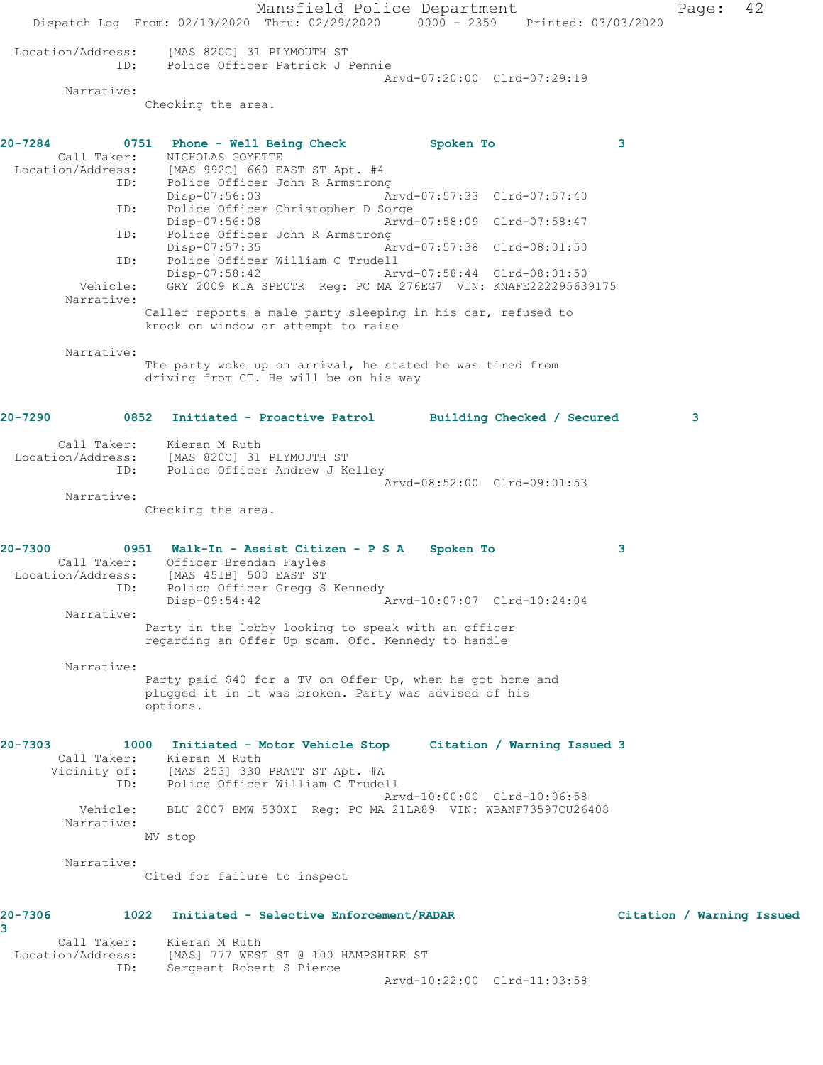Mansfield Police Department Page: 42 Dispatch Log From: 02/19/2020 Thru: 02/29/2020 0000 - 2359 Printed: 03/03/2020 Location/Address: [MAS 820C] 31 PLYMOUTH ST ID: Police Officer Patrick J Pennie Arvd-07:20:00 Clrd-07:29:19 Narrative: Checking the area. **20-7284 0751 Phone - Well Being Check Spoken To 3**  Call Taker: NICHOLAS GOYETTE Location/Address: [MAS 992C] 660 EAST ST Apt. #4 ID: Police Officer John R Armstrong Disp-07:56:03 Arvd-07:57:33 Clrd-07:57:40 ID: Police Officer Christopher D Sorge Disp-07:56:08 Arvd-07:58:09 Clrd-07:58:47<br>TD: Police Officer John R Armstrong Police Officer John R Armstrong Disp-07:57:35 Arvd-07:57:38 Clrd-08:01:50 ID: Police Officer William C Trudell<br>Disp-07:58:42 Art Disp-07:58:42 Arvd-07:58:44 Clrd-08:01:50 Vehicle: GRY 2009 KIA SPECTR Reg: PC MA 276EG7 VIN: KNAFE222295639175 Narrative: Caller reports a male party sleeping in his car, refused to knock on window or attempt to raise Narrative: The party woke up on arrival, he stated he was tired from driving from CT. He will be on his way **20-7290 0852 Initiated - Proactive Patrol Building Checked / Secured 3** Call Taker: Kieran M Ruth Location/Address: [MAS 820C] 31 PLYMOUTH ST ID: Police Officer Andrew J Kelley Arvd-08:52:00 Clrd-09:01:53 Narrative: Checking the area. **20-7300 0951 Walk-In - Assist Citizen - P S A Spoken To 3**  Call Taker: Officer Brendan Fayles Location/Address: [MAS 451B] 500 EAST ST ID: Police Officer Gregg S Kennedy Disp-09:54:42 Arvd-10:07:07 Clrd-10:24:04 Narrative: Party in the lobby looking to speak with an officer regarding an Offer Up scam. Ofc. Kennedy to handle Narrative: Party paid \$40 for a TV on Offer Up, when he got home and plugged it in it was broken. Party was advised of his options. **20-7303 1000 Initiated - Motor Vehicle Stop Citation / Warning Issued 3**  Call Taker: Kieran M Ruth Vicinity of: [MAS 253] 330 PRATT ST Apt. #A ID: Police Officer William C Trudell Arvd-10:00:00 Clrd-10:06:58 Vehicle: BLU 2007 BMW 530XI Reg: PC MA 21LA89 VIN: WBANF73597CU26408 Narrative: MV stop Narrative: Cited for failure to inspect **20-7306 1022 Initiated - Selective Enforcement/RADAR Citation / Warning Issued 3**  Call Taker: Kieran M Ruth Location/Address: [MAS] 777 WEST ST @ 100 HAMPSHIRE ST ID: Sergeant Robert S Pierce Arvd-10:22:00 Clrd-11:03:58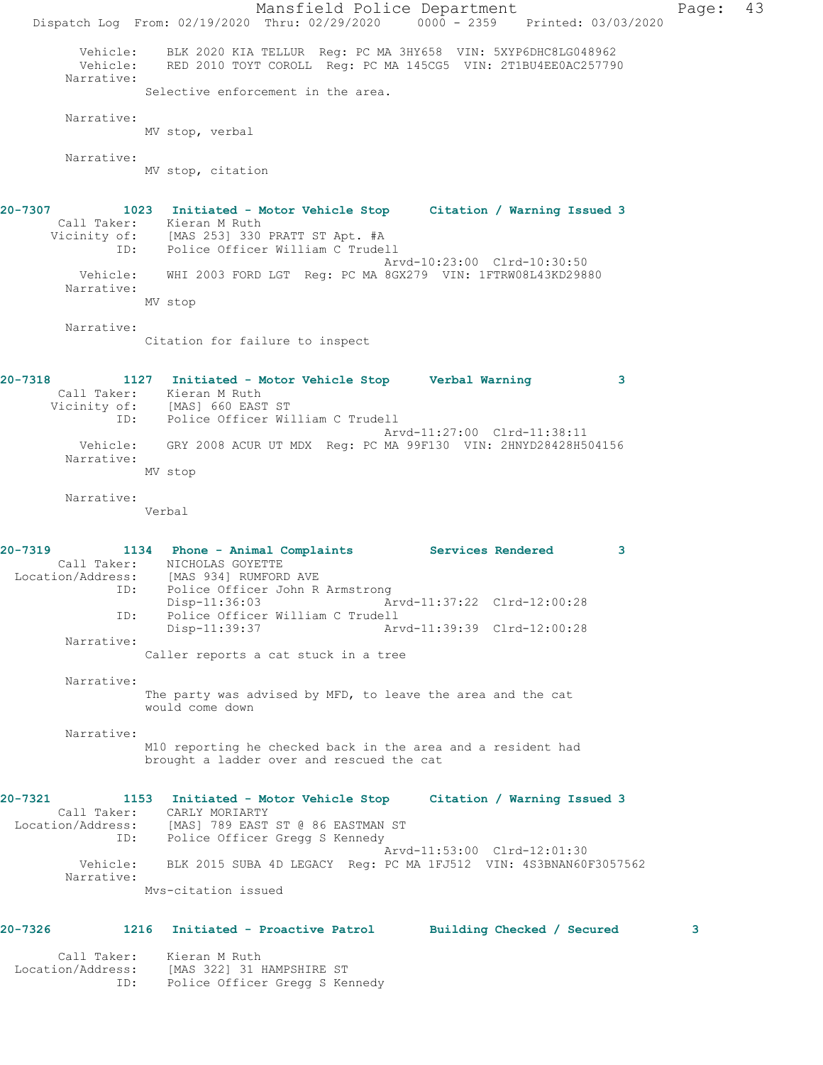Mansfield Police Department Page: 43 Dispatch Log From: 02/19/2020 Thru: 02/29/2020 0000 - 2359 Printed: 03/03/2020 Vehicle: BLK 2020 KIA TELLUR Reg: PC MA 3HY658 VIN: 5XYP6DHC8LG048962 Vehicle: RED 2010 TOYT COROLL Reg: PC MA 145CG5 VIN: 2T1BU4EE0AC257790 Narrative: Selective enforcement in the area. Narrative: MV stop, verbal Narrative: MV stop, citation **20-7307 1023 Initiated - Motor Vehicle Stop Citation / Warning Issued 3**  Call Taker: Kieran M Ruth Vicinity of: [MAS 253] 330 PRATT ST Apt. #A ID: Police Officer William C Trudell Arvd-10:23:00 Clrd-10:30:50 Vehicle: WHI 2003 FORD LGT Reg: PC MA 8GX279 VIN: 1FTRW08L43KD29880 Narrative: MV stop Narrative: Citation for failure to inspect **20-7318 1127 Initiated - Motor Vehicle Stop Verbal Warning 3**  Call Taker: Kieran M Ruth Vicinity of: [MAS] 660 EAST ST ID: Police Officer William C Trudell Arvd-11:27:00 Clrd-11:38:11 Vehicle: GRY 2008 ACUR UT MDX Reg: PC MA 99F130 VIN: 2HNYD28428H504156 Narrative: MV stop Narrative: Verbal **20-7319 1134 Phone - Animal Complaints Services Rendered 3**  Call Taker: NICHOLAS GOYETTE Location/Address: [MAS 934] RUMFORD AVE<br>ID: Police Officer John R Police Officer John R Armstrong Disp-11:36:03 Arvd-11:37:22 Clrd-12:00:28 ID: Police Officer William C Trudell Arvd-11:39:39 Clrd-12:00:28 Narrative: Caller reports a cat stuck in a tree Narrative: The party was advised by MFD, to leave the area and the cat would come down Narrative: M10 reporting he checked back in the area and a resident had brought a ladder over and rescued the cat **20-7321 1153 Initiated - Motor Vehicle Stop Citation / Warning Issued 3**  Call Taker: CARLY MORIARTY Location/Address: [MAS] 789 EAST ST @ 86 EASTMAN ST ID: Police Officer Gregg S Kennedy Arvd-11:53:00 Clrd-12:01:30 Vehicle: BLK 2015 SUBA 4D LEGACY Reg: PC MA 1FJ512 VIN: 4S3BNAN60F3057562 Narrative: Mvs-citation issued **20-7326 1216 Initiated - Proactive Patrol Building Checked / Secured 3**

 Call Taker: Kieran M Ruth Location/Address: [MAS 322] 31 HAMPSHIRE ST ID: Police Officer Gregg S Kennedy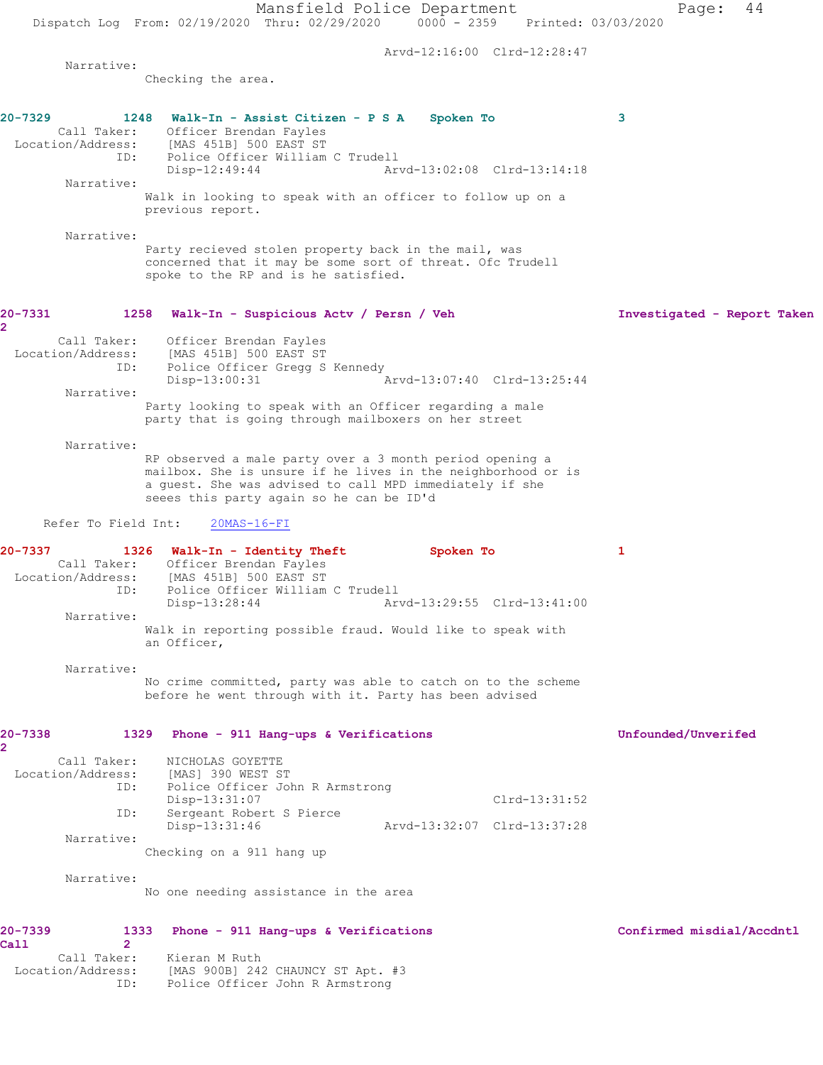Mansfield Police Department Page: 44 Dispatch Log From: 02/19/2020 Thru: 02/29/2020 0000 - 2359 Printed: 03/03/2020 Arvd-12:16:00 Clrd-12:28:47 Narrative: Checking the area. **20-7329 1248 Walk-In - Assist Citizen - P S A Spoken To 3**  Call Taker: Officer Brendan Fayles Location/Address: [MAS 451B] 500 EAST ST ID: Police Officer William C Trudell Disp-12:49:44 Arvd-13:02:08 Clrd-13:14:18 Narrative: Walk in looking to speak with an officer to follow up on a previous report. Narrative: Party recieved stolen property back in the mail, was concerned that it may be some sort of threat. Ofc Trudell spoke to the RP and is he satisfied. **20-7331 1258 Walk-In - Suspicious Actv / Persn / Veh Investigated - Report Taken 2**  Call Taker: Officer Brendan Fayles Location/Address: [MAS 451B] 500 EAST ST ID: Police Officer Gregg S Kennedy Disp-13:00:31 Arvd-13:07:40 Clrd-13:25:44 Narrative: Party looking to speak with an Officer regarding a male party that is going through mailboxers on her street Narrative: RP observed a male party over a 3 month period opening a mailbox. She is unsure if he lives in the neighborhood or is a guest. She was advised to call MPD immediately if she seees this party again so he can be ID'd Refer To Field Int: 20MAS-16-FI **20-7337 1326 Walk-In - Identity Theft Spoken To 1**  Call Taker: Officer Brendan Fayles Location/Address: [MAS 451B] 500 EAST ST ID: Police Officer William C Trudell Disp-13:28:44 Arvd-13:29:55 Clrd-13:41:00 Narrative: Walk in reporting possible fraud. Would like to speak with an Officer, Narrative: No crime committed, party was able to catch on to the scheme before he went through with it. Party has been advised **20-7338 1329 Phone - 911 Hang-ups & Verifications Unfounded/Unverifed** Call Taker: NICHOLAS GOYETTE<br>Location/Address: [MAS] 390 WEST ST Location/Address: [MAS] 390 WEST ST ID: Police Officer John R Armstrong<br>Disp-13:31:07 Disp-13:31:07 Clrd-13:31:52 ID: Sergeant Robert S Pierce Disp-13:31:46 Arvd-13:32:07 Clrd-13:37:28 Narrative: Checking on a 911 hang up Narrative: No one needing assistance in the area **20-7339 1333 Phone - 911 Hang-ups & Verifications Confirmed misdial/Accdntl Call 2**  Call Taker: Kieran M Ruth Location/Address: [MAS 900B] 242 CHAUNCY ST Apt. #3 ID: Police Officer John R Armstrong

**2**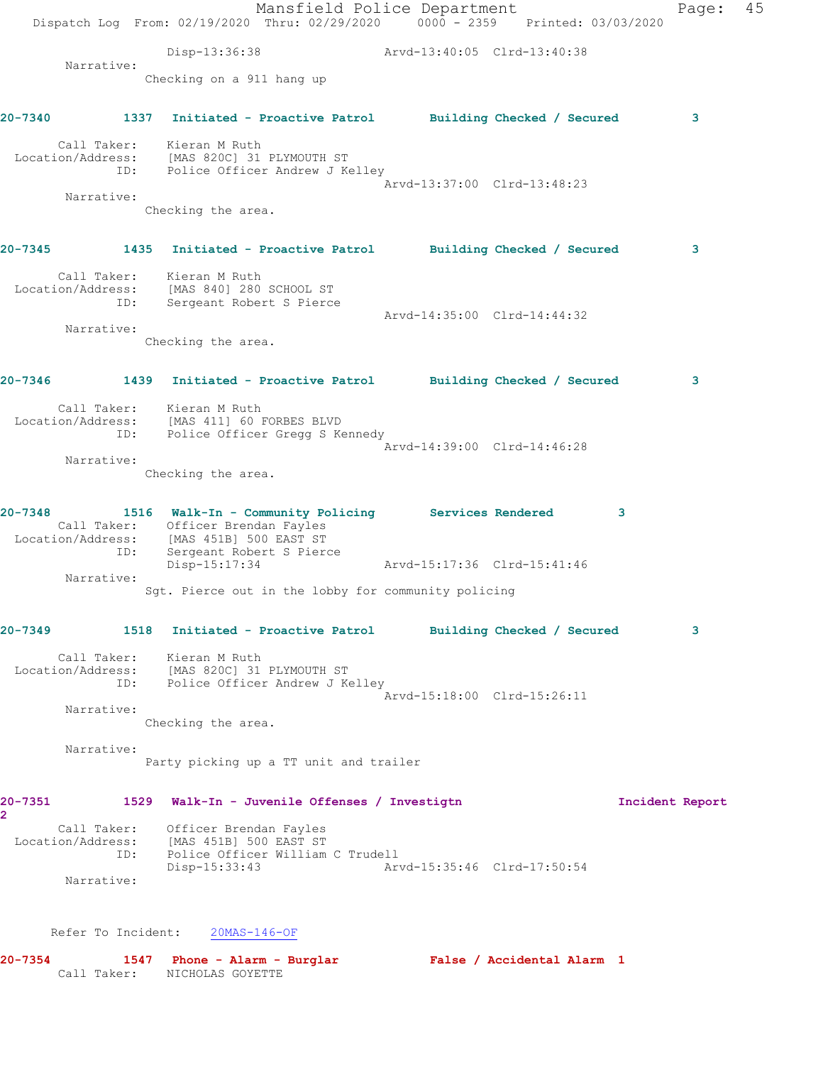Mansfield Police Department Page: 45 Dispatch Log From: 02/19/2020 Thru: 02/29/2020 0000 - 2359 Printed: 03/03/2020 Disp-13:36:38 Arvd-13:40:05 Clrd-13:40:38 Narrative: Checking on a 911 hang up **20-7340 1337 Initiated - Proactive Patrol Building Checked / Secured 3** Call Taker: Kieran M Ruth Location/Address: [MAS 820C] 31 PLYMOUTH ST ID: Police Officer Andrew J Kelley Arvd-13:37:00 Clrd-13:48:23 Narrative: Checking the area. **20-7345 1435 Initiated - Proactive Patrol Building Checked / Secured 3** Call Taker: Kieran M Ruth Location/Address: [MAS 840] 280 SCHOOL ST ID: Sergeant Robert S Pierce Arvd-14:35:00 Clrd-14:44:32 Narrative: Checking the area. **20-7346 1439 Initiated - Proactive Patrol Building Checked / Secured 3** Call Taker: Kieran M Ruth Location/Address: [MAS 411] 60 FORBES BLVD ID: Police Officer Gregg S Kennedy Arvd-14:39:00 Clrd-14:46:28 Narrative: Checking the area. **20-7348 1516 Walk-In - Community Policing Services Rendered 3**  Call Taker: Officer Brendan Fayles Location/Address: [MAS 451B] 500 EAST ST ID: Sergeant Robert S Pierce Disp-15:17:34 Arvd-15:17:36 Clrd-15:41:46 Narrative: Sgt. Pierce out in the lobby for community policing **20-7349 1518 Initiated - Proactive Patrol Building Checked / Secured 3** Call Taker: Kieran M Ruth Location/Address: [MAS 820C] 31 PLYMOUTH ST ID: Police Officer Andrew J Kelley Arvd-15:18:00 Clrd-15:26:11 Narrative: Checking the area. Narrative: Party picking up a TT unit and trailer **20-7351 1529 Walk-In - Juvenile Offenses / Investigtn Incident Report 2**  Call Taker: Officer Brendan Fayles Location/Address: [MAS 451B] 500 EAST ST ID: Police Officer William C Trudell Disp-15:33:43 Arvd-15:35:46 Clrd-17:50:54 Narrative: Refer To Incident: 20MAS-146-OF **20-7354 1547 Phone - Alarm - Burglar False / Accidental Alarm 1** 

Call Taker: NICHOLAS GOYETTE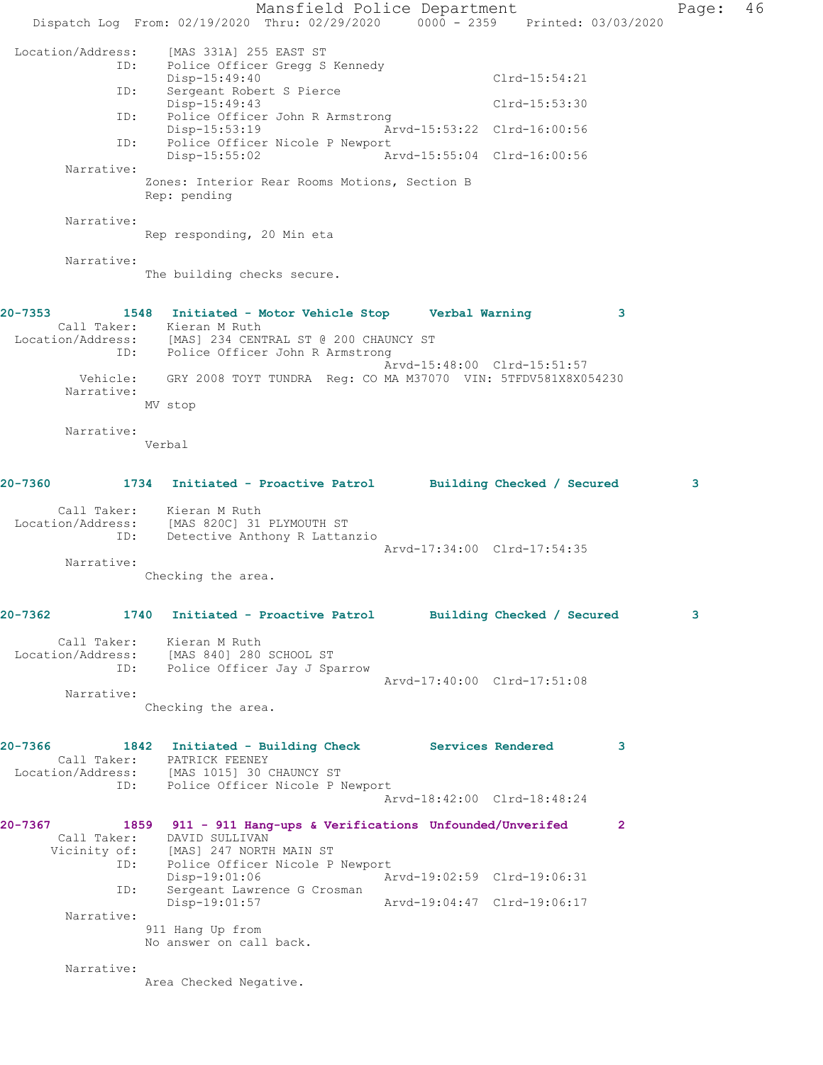Mansfield Police Department Page: 46 Dispatch Log From: 02/19/2020 Thru: 02/29/2020 0000 - 2359 Printed: 03/03/2020 Location/Address: [MAS 331A] 255 EAST ST<br>TD: Police Officer Gregg S Police Officer Gregg S Kennedy Disp-15:49:40 Clrd-15:54:21 ID: Sergeant Robert S Pierce Disp-15:49:43 Clrd-15:53:30 ID: Police Officer John R Armstrong Disp-15:53:19 Arvd-15:53:22 Clrd-16:00:56<br>ID: Police Officer Nicole P Newport Police Officer Nicole P Newport<br>Disp-15:55:02 Ar Disp-15:55:02 Arvd-15:55:04 Clrd-16:00:56 Narrative: Zones: Interior Rear Rooms Motions, Section B Rep: pending Narrative: Rep responding, 20 Min eta Narrative: The building checks secure. **20-7353 1548 Initiated - Motor Vehicle Stop Verbal Warning 3**  Call Taker: Kieran M Ruth Location/Address: [MAS] 234 CENTRAL ST @ 200 CHAUNCY ST ID: Police Officer John R Armstrong Arvd-15:48:00 Clrd-15:51:57 Vehicle: GRY 2008 TOYT TUNDRA Reg: CO MA M37070 VIN: 5TFDV581X8X054230 Narrative: MV stop Narrative: Verbal **20-7360 1734 Initiated - Proactive Patrol Building Checked / Secured 3** Call Taker: Kieran M Ruth Location/Address: [MAS 820C] 31 PLYMOUTH ST ID: Detective Anthony R Lattanzio Arvd-17:34:00 Clrd-17:54:35 Narrative: Checking the area. **20-7362 1740 Initiated - Proactive Patrol Building Checked / Secured 3** Call Taker: Kieran M Ruth Location/Address: [MAS 840] 280 SCHOOL ST<br>ID: Police Officer Jay J Spa Police Officer Jay J Sparrow Arvd-17:40:00 Clrd-17:51:08 Narrative: Checking the area. **20-7366 1842 Initiated - Building Check Services Rendered 3**  Call Taker: PATRICK FEENEY Location/Address: [MAS 1015] 30 CHAUNCY ST ess: Indian Total Comments<br>ID: Police Officer Nicole P Newport Arvd-18:42:00 Clrd-18:48:24 **20-7367 1859 911 - 911 Hang-ups & Verifications Unfounded/Unverifed 2**  Call Taker: DAVID SULLIVAN Vicinity of: [MAS] 247 NORTH MAIN ST ID: Police Officer Nicole P Newport<br>Disp-19:01:06 Ar Disp-19:01:06 Arvd-19:02:59 Clrd-19:06:31 ID: Sergeant Lawrence G Crosman Disp-19:01:57 Arvd-19:04:47 Clrd-19:06:17 Narrative: 911 Hang Up from No answer on call back. Narrative: Area Checked Negative.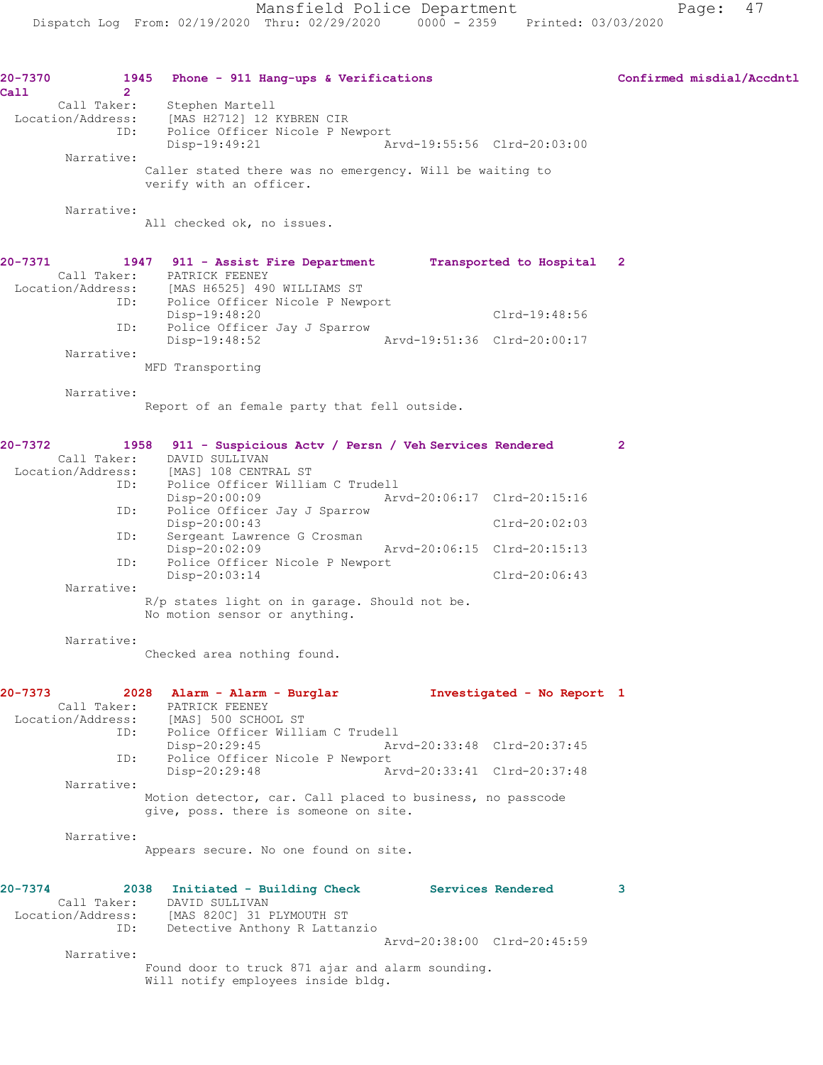| 20-7370<br>Call | $\mathbf{2}^{\circ}$ | Phone - 911 Hang-ups & Verifications<br>1945                                                                                    |                             |               | Confirmed misdial/Accdntl |
|-----------------|----------------------|---------------------------------------------------------------------------------------------------------------------------------|-----------------------------|---------------|---------------------------|
|                 | Call Taker:          | Stephen Martell<br>Location/Address: [MAS H2712] 12 KYBREN CIR<br>ID: Police Officer Nicole P Newport<br>Disp-19:49:21          | Arvd-19:55:56 Clrd-20:03:00 |               |                           |
|                 | Narrative:           | Caller stated there was no emergency. Will be waiting to<br>verify with an officer.                                             |                             |               |                           |
|                 | Narrative:           | All checked ok, no issues.                                                                                                      |                             |               |                           |
| $20 - 7371$     |                      | 1947 911 - Assist Fire Department Transported to Hospital 2<br>Call Taker: PATRICK FEENEY                                       |                             |               |                           |
|                 |                      | Location/Address: [MAS H6525] 490 WILLIAMS ST<br>ID: Police Officer Nicole P Newport<br>Disp-19:48:20                           |                             | Clrd-19:48:56 |                           |
|                 | ID:                  | Police Officer Jay J Sparrow                                                                                                    |                             |               |                           |
|                 | Narrative:           | Disp-19:48:52<br>MFD Transporting                                                                                               | Arvd-19:51:36 Clrd-20:00:17 |               |                           |
|                 | Narrative:           | Report of an female party that fell outside.                                                                                    |                             |               |                           |
| 20-7372         | Call Taker:          | 1958 911 - Suspicious Actv / Persn / Veh Services Rendered<br>DAVID SULLIVAN<br>Location/Address: [MAS] 108 CENTRAL ST          |                             |               | $\mathbf{2}$              |
|                 | ID:                  | Police Officer William C Trudell<br>$Disp-20:00:09$                                                                             | Arvd-20:06:17 Clrd-20:15:16 |               |                           |
|                 | ID:                  | Police Officer Jay J Sparrow<br>Disp-20:00:43                                                                                   |                             | Clrd-20:02:03 |                           |
|                 | ID:                  | Sergeant Lawrence G Crosman                                                                                                     |                             |               |                           |
|                 | ID:                  | $Disp-20:02:09$<br>Police Officer Nicole P Newport                                                                              | Arvd-20:06:15 Clrd-20:15:13 |               |                           |
|                 | Narrative:           | Disp-20:03:14                                                                                                                   |                             | Clrd-20:06:43 |                           |
|                 |                      | R/p states light on in garage. Should not be.<br>No motion sensor or anything.                                                  |                             |               |                           |
|                 | Narrative:           | Checked area nothing found.                                                                                                     |                             |               |                           |
| 20-7373         |                      | 2028 Alarm - Alarm - Burglar Montestigated - No Report 1<br>Call Taker: PATRICK FEENEY<br>Location/Address: [MAS] 500 SCHOOL ST |                             |               |                           |
|                 |                      | ID: Police Officer William C Trudell<br>Disp-20:29:45                                                                           | Arvd-20:33:48 Clrd-20:37:45 |               |                           |
|                 | ID:                  | Police Officer Nicole P Newport<br>Disp-20:29:48                                                                                | Arvd-20:33:41 Clrd-20:37:48 |               |                           |
|                 | Narrative:           | Motion detector, car. Call placed to business, no passcode<br>give, poss. there is someone on site.                             |                             |               |                           |
|                 | Narrative:           | Appears secure. No one found on site.                                                                                           |                             |               |                           |
|                 |                      |                                                                                                                                 |                             |               |                           |
| 20-7374         |                      | 2038 Initiated - Building Check Services Rendered<br>Call Taker: DAVID SULLIVAN<br>Location/Address: [MAS 820C] 31 PLYMOUTH ST  |                             |               | 3                         |
|                 | ID:                  | Detective Anthony R Lattanzio                                                                                                   | Arvd-20:38:00 Clrd-20:45:59 |               |                           |
|                 | Narrative:           | Found door to truck 871 ajar and alarm sounding.<br>Will notify employees inside bldg.                                          |                             |               |                           |
|                 |                      |                                                                                                                                 |                             |               |                           |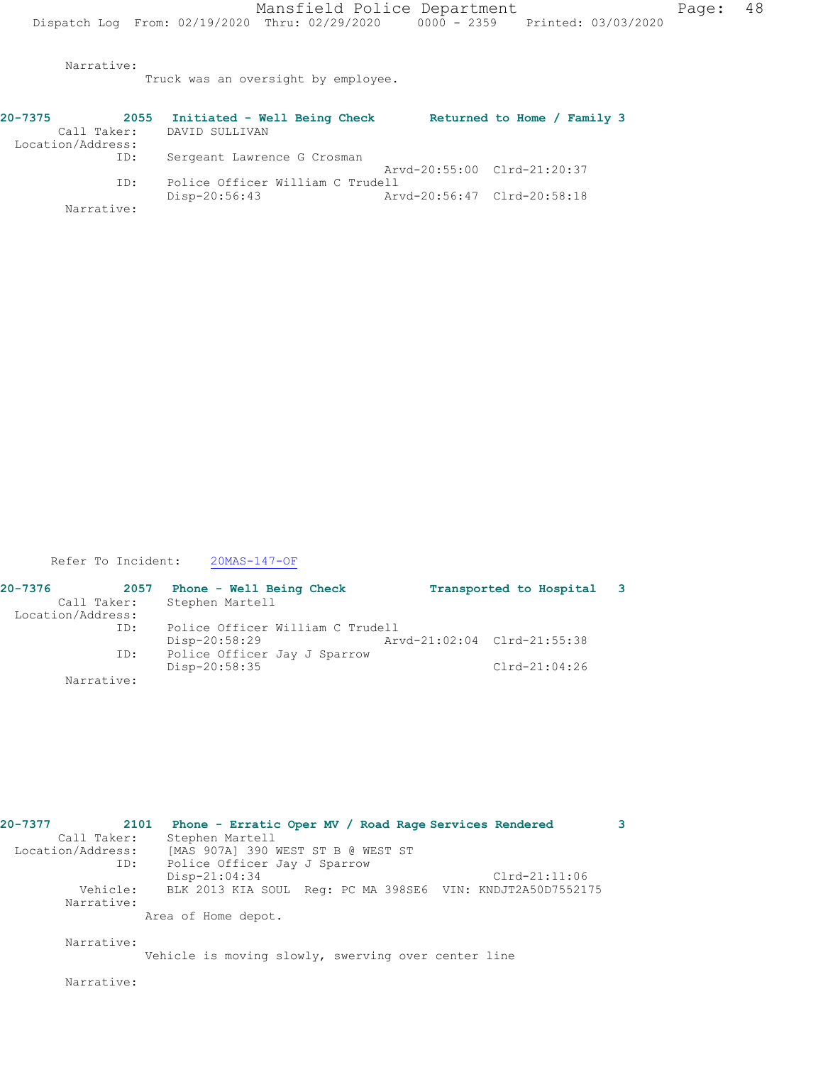Narrative:

Truck was an oversight by employee.

| $20 - 7375$       | 2055 | Initiated - Well Being Check     |                             | Returned to Home / Family 3 |  |
|-------------------|------|----------------------------------|-----------------------------|-----------------------------|--|
| Call Taker:       |      | DAVID SULLIVAN                   |                             |                             |  |
| Location/Address: |      |                                  |                             |                             |  |
|                   | ID:  | Sergeant Lawrence G Crosman      |                             |                             |  |
|                   |      |                                  | Arvd-20:55:00 Clrd-21:20:37 |                             |  |
|                   | ID:  | Police Officer William C Trudell |                             |                             |  |
|                   |      | Disp-20:56:43                    | Arvd-20:56:47 Clrd-20:58:18 |                             |  |
| Narrative:        |      |                                  |                             |                             |  |

Refer To Incident: 20MAS-147-OF

| 20-7376           | 2057 | Phone - Well Being Check         |  | Transported to Hospital 3   |  |
|-------------------|------|----------------------------------|--|-----------------------------|--|
| Call Taker:       |      | Stephen Martell                  |  |                             |  |
| Location/Address: |      |                                  |  |                             |  |
|                   | ID:  | Police Officer William C Trudell |  |                             |  |
|                   |      | Disp-20:58:29                    |  | Arvd-21:02:04 Clrd-21:55:38 |  |
|                   | ID:  | Police Officer Jay J Sparrow     |  |                             |  |
|                   |      | Disp-20:58:35                    |  | $Clrd-21:04:26$             |  |
| Narrative:        |      |                                  |  |                             |  |

| 20-7377 | 2101              | Phone - Erratic Oper MV / Road Rage Services Rendered      | 3 |
|---------|-------------------|------------------------------------------------------------|---|
|         | Call Taker:       | Stephen Martell                                            |   |
|         | Location/Address: | [MAS 907A] 390 WEST ST B @ WEST ST                         |   |
|         | ID:               | Police Officer Jay J Sparrow                               |   |
|         |                   | Disp-21:04:34<br>$Clrd-21:11:06$                           |   |
|         | Vehicle:          | BLK 2013 KIA SOUL Req: PC MA 398SE6 VIN: KNDJT2A50D7552175 |   |
|         | Narrative:        |                                                            |   |
|         |                   | Area of Home depot.                                        |   |
|         | Narrative:        |                                                            |   |
|         |                   | Vehicle is moving slowly, swerving over center line        |   |
|         | Narrative:        |                                                            |   |
|         |                   |                                                            |   |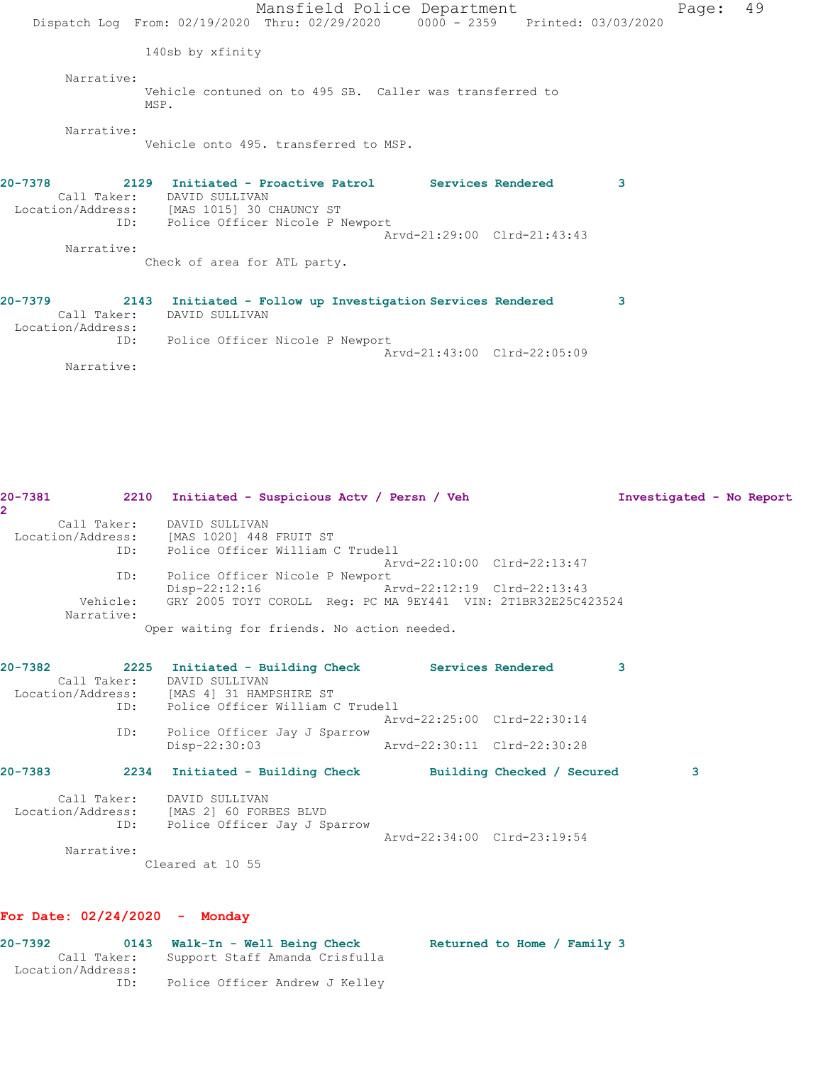Mansfield Police Department Fage: 49 Dispatch Log From: 02/19/2020 Thru: 02/29/2020 0000 - 2359 Printed: 03/03/2020 140sb by xfinity Narrative: Vehicle contuned on to 495 SB. Caller was transferred to MSP. Narrative: Vehicle onto 495. transferred to MSP. **20-7378 2129 Initiated - Proactive Patrol Services Rendered 3**  Call Taker: DAVID SULLIVAN Location/Address: [MAS 1015] 30 CHAUNCY ST ID: Police Officer Nicole P Newport Arvd-21:29:00 Clrd-21:43:43 Narrative: Check of area for ATL party. **20-7379 2143 Initiated - Follow up Investigation Services Rendered 3**  Call Taker: DAVID SULLIVAN Location/Address: ID: Police Officer Nicole P Newport Arvd-21:43:00 Clrd-22:05:09

Narrative:

| $\overline{2}$ |                                                                        |                             |          |   |
|----------------|------------------------------------------------------------------------|-----------------------------|----------|---|
|                | Call Taker: DAVID SULLIVAN                                             |                             |          |   |
|                | Location/Address: [MAS 1020] 448 FRUIT ST                              |                             |          |   |
|                | ID: Police Officer William C Trudell                                   |                             |          |   |
|                |                                                                        | Arvd-22:10:00 Clrd-22:13:47 |          |   |
| ID:            | Police Officer Nicole P Newport                                        |                             |          |   |
|                | Disp-22:12:16 Arvd-22:12:19 Clrd-22:13:43                              |                             |          |   |
| Narrative:     | Vehicle: GRY 2005 TOYT COROLL Req: PC MA 9EY441 VIN: 2T1BR32E25C423524 |                             |          |   |
|                | Oper waiting for friends. No action needed.                            |                             |          |   |
|                |                                                                        |                             |          |   |
|                |                                                                        |                             |          |   |
| 20-7382        | 2225 Initiated - Building Check Services Rendered                      |                             | $\sim$ 3 |   |
|                | Call Taker: DAVID SULLIVAN                                             |                             |          |   |
|                | Location/Address: [MAS 4] 31 HAMPSHIRE ST                              |                             |          |   |
|                | ID: Police Officer William C Trudell                                   |                             |          |   |
|                |                                                                        | Arvd-22:25:00 Clrd-22:30:14 |          |   |
| ID:            | Police Officer Jay J Sparrow                                           |                             |          |   |
|                | Disp-22:30:03                                                          | Arvd-22:30:11 Clrd-22:30:28 |          |   |
| $20 - 7383$    | 2234 Initiated - Building Check Building Checked / Secured             |                             |          | 3 |
|                |                                                                        |                             |          |   |
|                | Call Taker: DAVID SULLIVAN                                             |                             |          |   |
|                | Location/Address: [MAS 2] 60 FORBES BLVD                               |                             |          |   |
| ID:            | Police Officer Jay J Sparrow                                           |                             |          |   |
|                |                                                                        | Arvd-22:34:00 Clrd-23:19:54 |          |   |
| Narrative:     |                                                                        |                             |          |   |
|                |                                                                        |                             |          |   |
|                | Cleared at 10 55                                                       |                             |          |   |

**20-7381 2210 Initiated - Suspicious Actv / Persn / Veh Investigated - No Report**

#### **For Date: 02/24/2020 - Monday**

| 20-7392 |                   | 0143 Walk-In - Well Being Check | Returned to Home / Family 3 |  |  |  |
|---------|-------------------|---------------------------------|-----------------------------|--|--|--|
|         | Call Taker:       | Support Staff Amanda Crisfulla  |                             |  |  |  |
|         | Location/Address: |                                 |                             |  |  |  |
|         | ID:               | Police Officer Andrew J Kelley  |                             |  |  |  |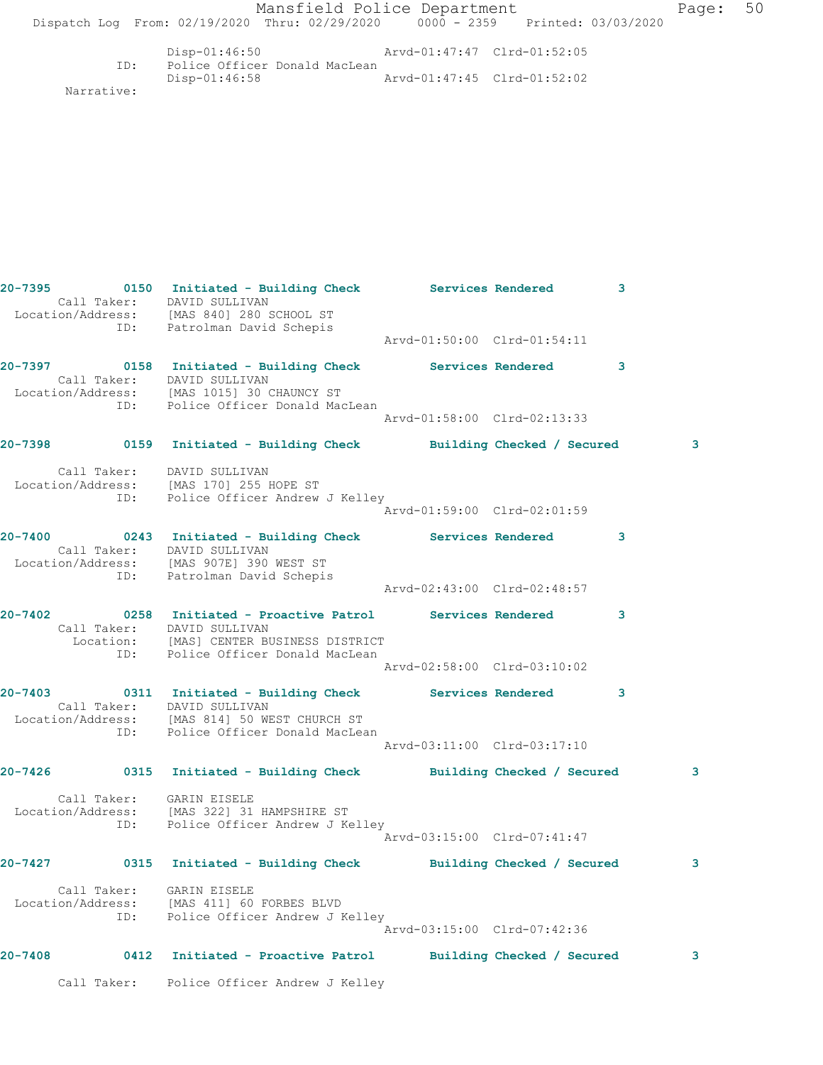|         |                          | Mansfield Police Department<br>Dispatch Log From: 02/19/2020 Thru: 02/29/2020 0000 - 2359 Printed: 03/03/2020                                                                 |                             |              | Page: | 50 |
|---------|--------------------------|-------------------------------------------------------------------------------------------------------------------------------------------------------------------------------|-----------------------------|--------------|-------|----|
|         |                          | Disp-01:46:50 Arvd-01:47:47 Clrd-01:52:05                                                                                                                                     |                             |              |       |    |
|         | ID:<br>Narrative:        | Police Officer Donald MacLean<br>Disp-01:46:58                                                                                                                                | Arvd-01:47:45 Clrd-01:52:02 |              |       |    |
|         |                          |                                                                                                                                                                               |                             |              |       |    |
|         |                          | 20-7395 0150 Initiated - Building Check Services Rendered<br>Call Taker: DAVID SULLIVAN                                                                                       |                             | $\mathbf{3}$ |       |    |
|         |                          | Location/Address: [MAS 840] 280 SCHOOL ST<br>ID: Patrolman David Schepis                                                                                                      | Arvd-01:50:00 Clrd-01:54:11 |              |       |    |
|         |                          | Call Taker: DAVID SULLIVAN<br>Location/Address: [MAS 1015] 30 CHAUNCY ST                                                                                                      |                             | 3            |       |    |
|         | ID:                      | Police Officer Donald MacLean                                                                                                                                                 | Arvd-01:58:00 Clrd-02:13:33 |              |       |    |
|         |                          | 20-7398       0159   Initiated - Building Check       Building Checked / Secured                                                                                              |                             |              | 3     |    |
|         |                          | Call Taker: DAVID SULLIVAN<br>Location/Address: [MAS 170] 255 HOPE ST<br>ID: Police Officer Andrew J Kelley                                                                   |                             |              |       |    |
|         |                          |                                                                                                                                                                               | Arvd-01:59:00 Clrd-02:01:59 |              |       |    |
|         |                          | 20-7400 0243 Initiated - Building Check Services Rendered<br>Call Taker: DAVID SULLIVAN<br>Location/Address: [MAS 907E] 390 WEST ST<br>ID: Patrolman David Schepis            |                             | 3            |       |    |
|         |                          |                                                                                                                                                                               | Arvd-02:43:00 Clrd-02:48:57 |              |       |    |
| 20-7402 |                          | 0258 Initiated - Proactive Patrol Services Rendered<br>Call Taker: DAVID SULLIVAN<br>Location: [MAS] CENTER BUSINESS DISTRICT<br>ID: Police Officer Donald MacLean            |                             | 3            |       |    |
|         |                          |                                                                                                                                                                               | Arvd-02:58:00 Clrd-03:10:02 |              |       |    |
|         |                          | 20-7403 0311 Initiated - Building Check Services Rendered<br>Call Taker: DAVID SULLIVAN<br>Location/Address: [MAS 814] 50 WEST CHURCH ST<br>ID: Police Officer Donald MacLean |                             | 3            |       |    |
|         |                          |                                                                                                                                                                               | Arvd-03:11:00 Clrd-03:17:10 |              |       |    |
|         |                          | 20-7426      0315 Initiated - Building Check      Building Checked / Secured                                                                                                  |                             |              | 3     |    |
|         | Call Taker: GARIN EISELE | Location/Address: [MAS 322] 31 HAMPSHIRE ST<br>ID: Police Officer Andrew J Kelley                                                                                             | Arvd-03:15:00 Clrd-07:41:47 |              |       |    |
|         |                          | 20-7427 0315 Initiated - Building Check Building Checked / Secured                                                                                                            |                             |              | 3     |    |
|         | Call Taker: GARIN EISELE | Location/Address: [MAS 411] 60 FORBES BLVD<br>ID: Police Officer Andrew J Kelley                                                                                              |                             |              |       |    |
|         |                          |                                                                                                                                                                               | Arvd-03:15:00 Clrd-07:42:36 |              |       |    |
|         |                          | 20-7408 0412 Initiated - Proactive Patrol Building Checked / Secured                                                                                                          |                             |              | 3     |    |
|         |                          | Call Taker: Police Officer Andrew J Kelley                                                                                                                                    |                             |              |       |    |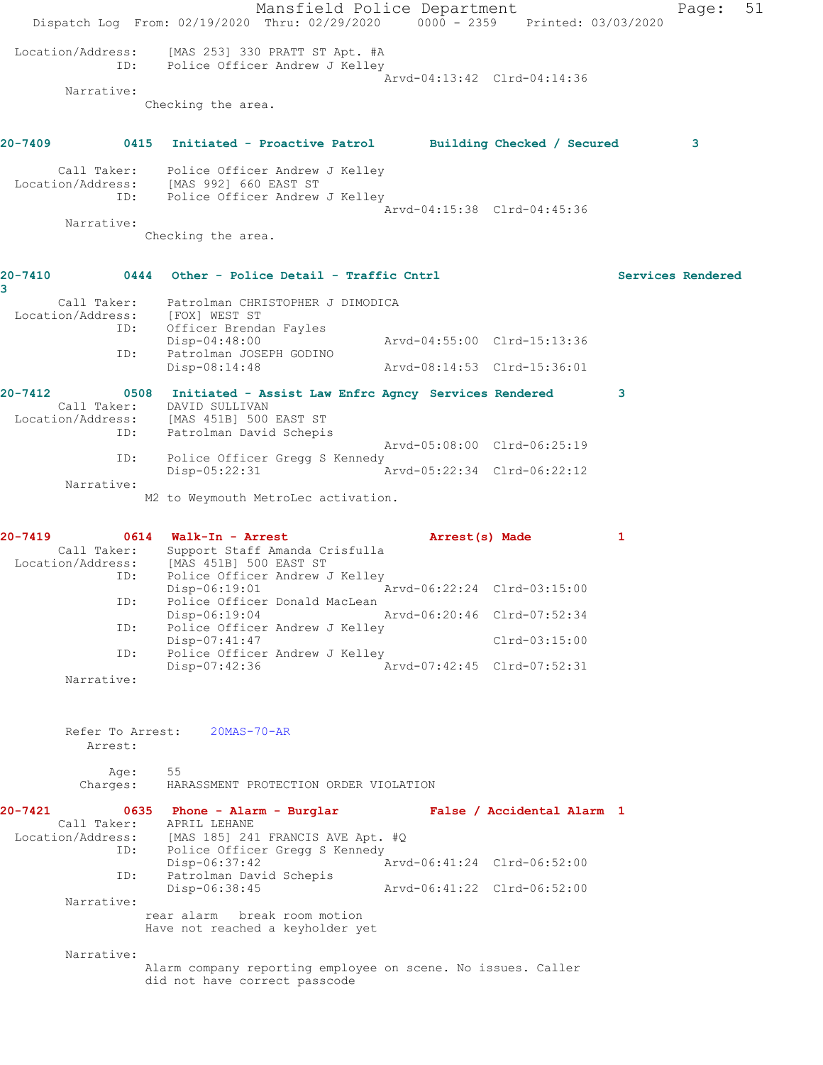|                                                                                        | Dispatch Log From: 02/19/2020 Thru: 02/29/2020 0000 - 2359 Printed: 03/03/2020          | Mansfield Police Department                                      |                             |                             |   | Page:             | 51 |
|----------------------------------------------------------------------------------------|-----------------------------------------------------------------------------------------|------------------------------------------------------------------|-----------------------------|-----------------------------|---|-------------------|----|
|                                                                                        | Location/Address: [MAS 253] 330 PRATT ST Apt. #A<br>ID: Police Officer Andrew J Kelley  |                                                                  |                             |                             |   |                   |    |
| Narrative:                                                                             |                                                                                         |                                                                  |                             | Arvd-04:13:42 Clrd-04:14:36 |   |                   |    |
|                                                                                        | Checking the area.                                                                      |                                                                  |                             |                             |   |                   |    |
| 20-7409 0415 Initiated - Proactive Patrol Building Checked / Secured                   |                                                                                         |                                                                  |                             |                             |   | 3                 |    |
| Call Taker: Police Officer Andrew J Kelley<br>Location/Address: [MAS 992] 660 EAST ST  | ID: Police Officer Andrew J Kelley                                                      |                                                                  |                             |                             |   |                   |    |
|                                                                                        |                                                                                         |                                                                  |                             | Arvd-04:15:38 Clrd-04:45:36 |   |                   |    |
| Narrative:                                                                             | Checking the area.                                                                      |                                                                  |                             |                             |   |                   |    |
| <b>20-7410</b>                                                                         | 0444 Other - Police Detail - Traffic Cntrl                                              |                                                                  |                             |                             |   | Services Rendered |    |
| 3                                                                                      | Call Taker: Patrolman CHRISTOPHER J DIMODICA                                            |                                                                  |                             |                             |   |                   |    |
| Location/Address: [FOX] WEST ST<br>ID: Officer Brendan Fayles                          |                                                                                         |                                                                  |                             |                             |   |                   |    |
|                                                                                        | Disp-04:48:00<br>Patrolman JOSEPH GODINO<br>ID:                                         |                                                                  | Arvd-04:55:00 Clrd-15:13:36 |                             |   |                   |    |
|                                                                                        | Disp-08:14:48                                                                           |                                                                  |                             | Arvd-08:14:53 Clrd-15:36:01 |   |                   |    |
| 20-7412                                                                                | 0508 Initiated - Assist Law Enfrc Agncy Services Rendered<br>Call Taker: DAVID SULLIVAN |                                                                  |                             |                             | 3 |                   |    |
| Location/Address: [MAS 451B] 500 EAST ST                                               | ID: Patrolman David Schepis                                                             |                                                                  |                             |                             |   |                   |    |
| ID:                                                                                    |                                                                                         | Police Officer Gregg S Kennedy                                   |                             | Arvd-05:08:00 Clrd-06:25:19 |   |                   |    |
|                                                                                        | Disp-05:22:31                                                                           |                                                                  | Arvd-05:22:34 Clrd-06:22:12 |                             |   |                   |    |
| Narrative:                                                                             |                                                                                         | M2 to Weymouth MetroLec activation.                              |                             |                             |   |                   |    |
| 20-7419                                                                                | 0614 Walk-In - Arrest                                                                   |                                                                  |                             | Arrest(s) Made              | 1 |                   |    |
| Call Taker: Support Staff Amanda Crisfulla<br>Location/Address: [MAS 451B] 500 EAST ST |                                                                                         |                                                                  |                             |                             |   |                   |    |
|                                                                                        | ID:<br>Disp-06:19:01                                                                    | Police Officer Andrew J Kelley                                   | Arvd-06:22:24 Clrd-03:15:00 |                             |   |                   |    |
|                                                                                        | ID: Police Officer Donald MacLean<br>Disp-06:19:04                                      |                                                                  |                             | Arvd-06:20:46 Clrd-07:52:34 |   |                   |    |
| ID:                                                                                    |                                                                                         | Police Officer Andrew J Kelley                                   |                             |                             |   |                   |    |
| ID:                                                                                    | Disp-07:41:47                                                                           | Police Officer Andrew J Kelley                                   |                             | Clrd-03:15:00               |   |                   |    |
| Narrative:                                                                             | Disp-07:42:36                                                                           |                                                                  |                             | Arvd-07:42:45 Clrd-07:52:31 |   |                   |    |
|                                                                                        |                                                                                         |                                                                  |                             |                             |   |                   |    |
|                                                                                        | Refer To Arrest: 20MAS-70-AR                                                            |                                                                  |                             |                             |   |                   |    |
| Arrest:                                                                                |                                                                                         |                                                                  |                             |                             |   |                   |    |
| Age:<br>Charges:                                                                       | 55                                                                                      | HARASSMENT PROTECTION ORDER VIOLATION                            |                             |                             |   |                   |    |
| 20-7421                                                                                | 0635 Phone - Alarm - Burglar Mars False / Accidental Alarm 1                            |                                                                  |                             |                             |   |                   |    |
|                                                                                        | Call Taker: APRIL LEHANE<br>Location/Address: [MAS 185] 241 FRANCIS AVE Apt. #Q         |                                                                  |                             |                             |   |                   |    |
|                                                                                        | ID:<br>Disp-06:37:42                                                                    | Police Officer Gregg S Kennedy                                   | Arvd-06:41:24 Clrd-06:52:00 |                             |   |                   |    |
| ID:                                                                                    | Patrolman David Schepis                                                                 |                                                                  |                             |                             |   |                   |    |
| Narrative:                                                                             | Disp-06:38:45                                                                           |                                                                  | Arvd-06:41:22 Clrd-06:52:00 |                             |   |                   |    |
|                                                                                        |                                                                                         | rear alarm break room motion<br>Have not reached a keyholder yet |                             |                             |   |                   |    |
| Narrative:                                                                             |                                                                                         |                                                                  |                             |                             |   |                   |    |
|                                                                                        | did not have correct passcode                                                           | Alarm company reporting employee on scene. No issues. Caller     |                             |                             |   |                   |    |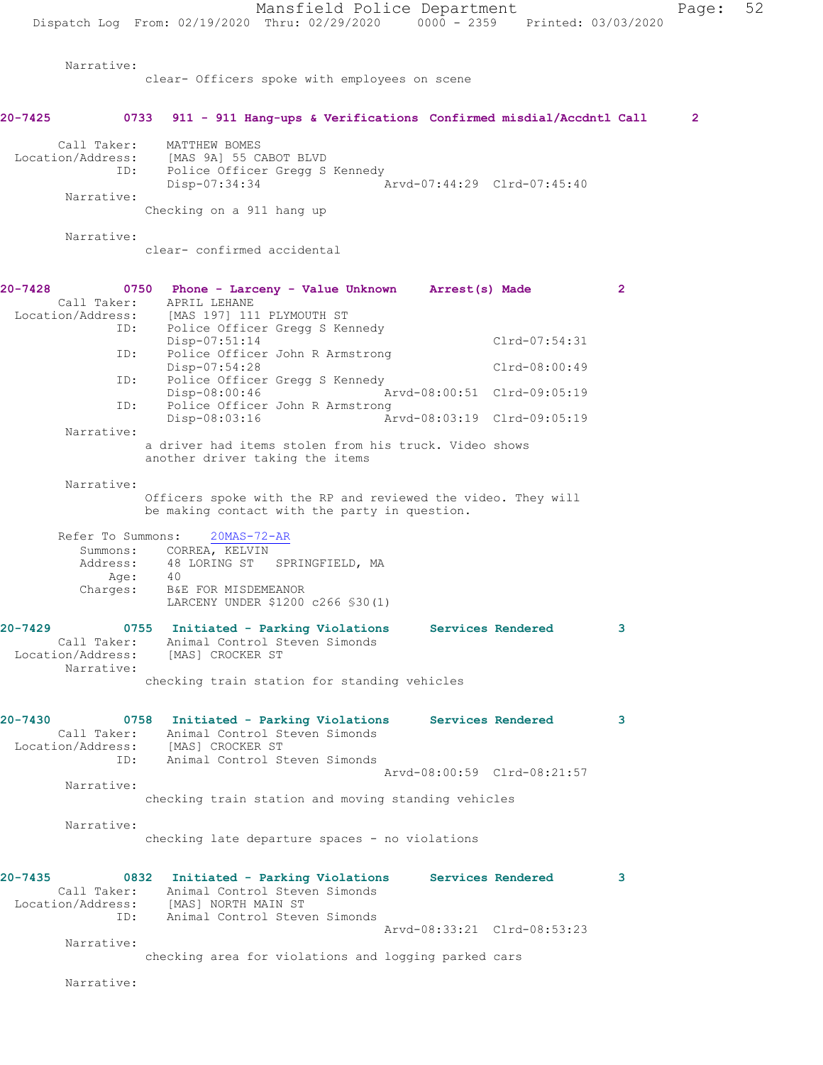Mansfield Police Department Page: 52 Dispatch Log From: 02/19/2020 Thru: 02/29/2020 0000 - 2359 Printed: 03/03/2020 Narrative: clear- Officers spoke with employees on scene **20-7425 0733 911 - 911 Hang-ups & Verifications Confirmed misdial/Accdntl Call 2** Call Taker: MATTHEW BOMES Location/Address: [MAS 9A] 55 CABOT BLVD Police Officer Gregg S Kennedy<br>Disp-07:34:34 Disp-07:34:34 Arvd-07:44:29 Clrd-07:45:40 Narrative: Checking on a 911 hang up Narrative: clear- confirmed accidental **20-7428 0750 Phone - Larceny - Value Unknown Arrest(s) Made 2**  Call Taker: APRIL LEHANE Location/Address: [MAS 197] 111 PLYMOUTH ST ID: Police Officer Gregg S Kennedy Disp-07:51:14 Clrd-07:54:31<br>ID: Police Officer John R Armstrong Clrd-07:54:31 Police Officer John R Armstrong Disp-07:54:28 Clrd-08:00:49<br>ID: Police Officer Greag S Kennedy ID: Police Officer Gregg S Kennedy Disp-08:00:46 <br>Th: Police Officer John R Armstrong Police Officer John R Armstrong<br>Disp-08:03:16 Ar Disp-08:03:16 Arvd-08:03:19 Clrd-09:05:19 Narrative: a driver had items stolen from his truck. Video shows another driver taking the items Narrative: Officers spoke with the RP and reviewed the video. They will be making contact with the party in question. Refer To Summons: 20MAS-72-AR Summons: CORREA, KELVIN Address: 48 LORING ST SPRINGFIELD, MA Age: 40 Charges: B&E FOR MISDEMEANOR LARCENY UNDER \$1200 c266 §30(1) **20-7429 0755 Initiated - Parking Violations Services Rendered 3**  Call Taker: Animal Control Steven Simonds Location/Address: [MAS] CROCKER ST Narrative: checking train station for standing vehicles **20-7430 0758 Initiated - Parking Violations Services Rendered 3**  Call Taker: Animal Control Steven Simonds Location/Address: [MAS] CROCKER ST ID: Animal Control Steven Simonds Arvd-08:00:59 Clrd-08:21:57 Narrative: checking train station and moving standing vehicles Narrative: checking late departure spaces - no violations **20-7435 0832 Initiated - Parking Violations Services Rendered 3**  Call Taker: Animal Control Steven Simonds Location/Address: [MAS] NORTH MAIN ST ID: Animal Control Steven Simonds Arvd-08:33:21 Clrd-08:53:23 Narrative: checking area for violations and logging parked cars

Narrative: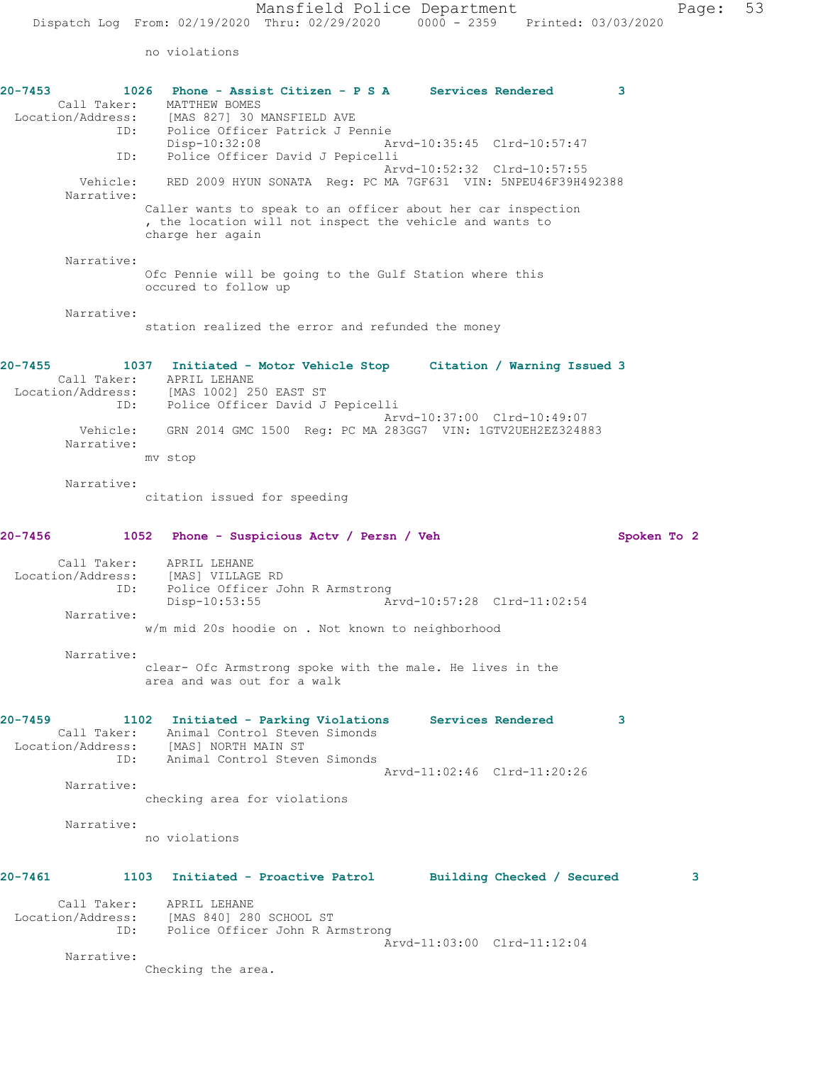| $20 - 7453$<br>Call Taker: | 1026 Phone - Assist Citizen - P S A Services Rendered<br>MATTHEW BOMES<br>Location/Address: [MAS 827] 30 MANSFIELD AVE<br>Police Officer Patrick J Pennie<br>ID:            | 3           |
|----------------------------|-----------------------------------------------------------------------------------------------------------------------------------------------------------------------------|-------------|
| ID:                        | Disp-10:32:08<br>Arvd-10:35:45 Clrd-10:57:47<br>Police Officer David J Pepicelli                                                                                            |             |
| Vehicle:<br>Narrative:     | Arvd-10:52:32 Clrd-10:57:55<br>RED 2009 HYUN SONATA Req: PC MA 7GF631 VIN: 5NPEU46F39H492388                                                                                |             |
|                            | Caller wants to speak to an officer about her car inspection<br>, the location will not inspect the vehicle and wants to<br>charge her again                                |             |
| Narrative:                 | Ofc Pennie will be going to the Gulf Station where this<br>occured to follow up                                                                                             |             |
| Narrative:                 | station realized the error and refunded the money                                                                                                                           |             |
| $20 - 7455$<br>ID:         | 1037 Initiated - Motor Vehicle Stop Citation / Warning Issued 3<br>Call Taker: APRIL LEHANE<br>Location/Address: [MAS 1002] 250 EAST ST<br>Police Officer David J Pepicelli |             |
| Vehicle:<br>Narrative:     | Arvd-10:37:00 Clrd-10:49:07<br>GRN 2014 GMC 1500 Reg: PC MA 283GG7 VIN: 1GTV2UEH2EZ324883<br>mv stop                                                                        |             |
| Narrative:                 | citation issued for speeding                                                                                                                                                |             |
| $20 - 7456$                | 1052<br>Phone - Suspicious Actv / Persn / Veh                                                                                                                               | Spoken To 2 |
| Call Taker:<br>ID:         | APRIL LEHANE<br>Location/Address: [MAS] VILLAGE RD<br>Police Officer John R Armstrong<br>$Disp-10:53:55$<br>Arvd-10:57:28 Clrd-11:02:54                                     |             |
| Narrative:                 | w/m mid 20s hoodie on . Not known to neighborhood                                                                                                                           |             |
| Narrative:                 | clear- Ofc Armstrong spoke with the male. He lives in the<br>area and was out for a walk                                                                                    |             |
| 20-7459                    | 1102 Initiated - Parking Violations Services Rendered<br>Call Taker: Animal Control Steven Simonds<br>Location/Address: [MAS] NORTH MAIN ST                                 | 3           |
|                            | ID: Animal Control Steven Simonds<br>Aryd-11:02:46 Clrd-11:20:26                                                                                                            |             |
| Narrative:                 | checking area for violations                                                                                                                                                |             |
| Narrative:                 | no violations                                                                                                                                                               |             |
| 20-7461                    | 1103 Initiated - Proactive Patrol Building Checked / Secured                                                                                                                | 3           |
|                            | Call Taker: APRIL LEHANE<br>Location/Address: [MAS 840] 280 SCHOOL ST<br>ID: Police Officer John R Armstrong                                                                |             |
| Narrative:                 | Arvd-11:03:00 Clrd-11:12:04<br>Checking the area.                                                                                                                           |             |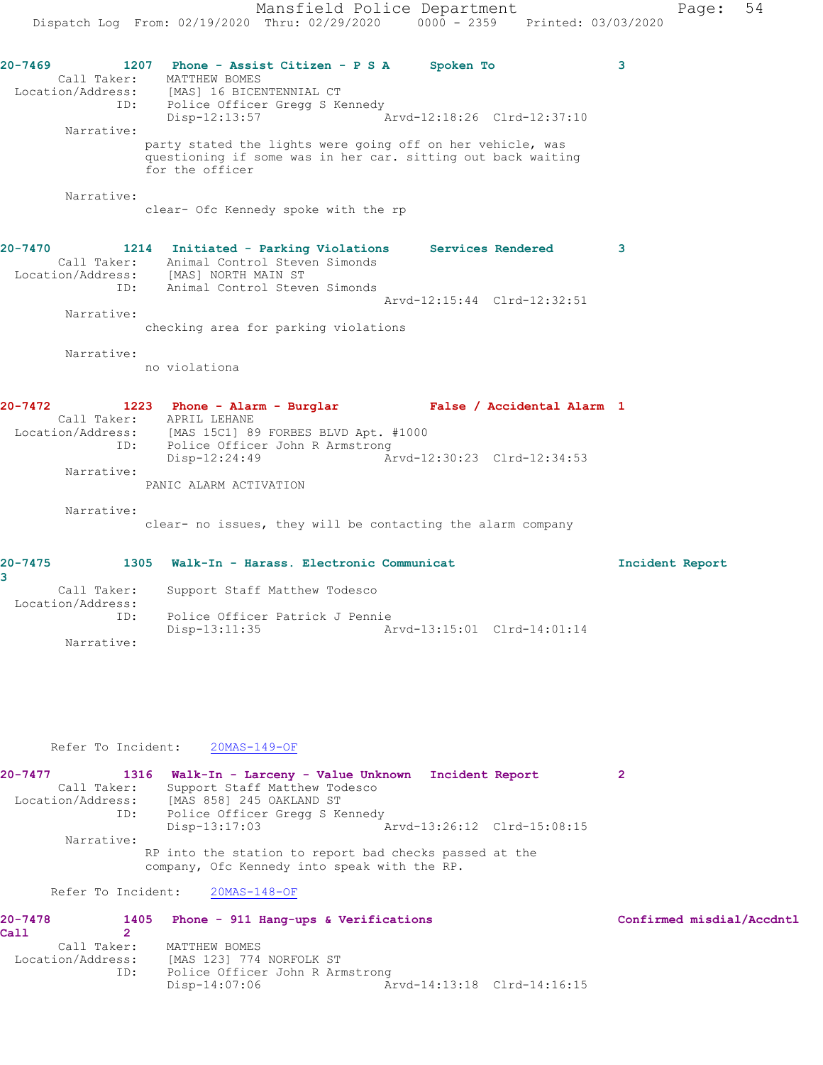Mansfield Police Department Page: 54 Dispatch Log From: 02/19/2020 Thru: 02/29/2020 0000 - 2359 Printed: 03/03/2020 **20-7469 1207 Phone - Assist Citizen - P S A Spoken To 3**  Call Taker: MATTHEW BOMES<br>Location/Address: [MAS] 16 BICEI<br>ID: Police Office: [MAS] 16 BICENTENNIAL CT IP: انهیں<br>Police Officer Gregg S Kennedy<br>Disp-12:13:57  $arvd-12:18:26$  Clrd-12:37:10 Narrative: party stated the lights were going off on her vehicle, was questioning if some was in her car. sitting out back waiting for the officer Narrative: clear- Ofc Kennedy spoke with the rp **20-7470 1214 Initiated - Parking Violations Services Rendered 3**  Call Taker: Animal Control Steven Simonds Location/Address: [MAS] NORTH MAIN ST ID: Animal Control Steven Simonds Arvd-12:15:44 Clrd-12:32:51 Narrative: checking area for parking violations Narrative: no violationa **20-7472 1223 Phone - Alarm - Burglar False / Accidental Alarm 1**  Call Taker: APRIL LEHANE Location/Address: [MAS 15C1] 89 FORBES BLVD Apt. #1000 ID: Police Officer John R Armstrong<br>Disp-12:24:49 Ar Disp-12:24:49 Arvd-12:30:23 Clrd-12:34:53 Narrative: PANIC ALARM ACTIVATION Narrative: clear- no issues, they will be contacting the alarm company **20-7475 1305 Walk-In - Harass. Electronic Communicat Incident Report 3**  Call Taker: Support Staff Matthew Todesco Location/Address: ID: Police Officer Patrick J Pennie Arvd-13:15:01 Clrd-14:01:14 Narrative:

#### Refer To Incident: 20MAS-149-OF

**20-7477 1316 Walk-In - Larceny - Value Unknown Incident Report 2**  Call Taker: Support Staff Matthew Todesco Location/Address: [MAS 858] 245 OAKLAND ST<br>ID: Police Officer Greag S Ke Police Officer Gregg S Kennedy<br>Disp-13:17:03 Arvd-13:26:12 Clrd-15:08:15 Narrative: RP into the station to report bad checks passed at the company, Ofc Kennedy into speak with the RP.

#### Refer To Incident: 20MAS-148-OF

| $20 - 7478$       | 1405        | Phone - 911 Hang-ups & Verifications |                             | Confirmed misdial/Accdntl |
|-------------------|-------------|--------------------------------------|-----------------------------|---------------------------|
| Call              |             |                                      |                             |                           |
|                   | Call Taker: | MATTHEW BOMES                        |                             |                           |
| Location/Address: |             | IMAS 1231 774 NORFOLK ST             |                             |                           |
|                   | ID:         | Police Officer John R Armstrong      |                             |                           |
|                   |             | Disp-14:07:06                        | Arvd-14:13:18 Clrd-14:16:15 |                           |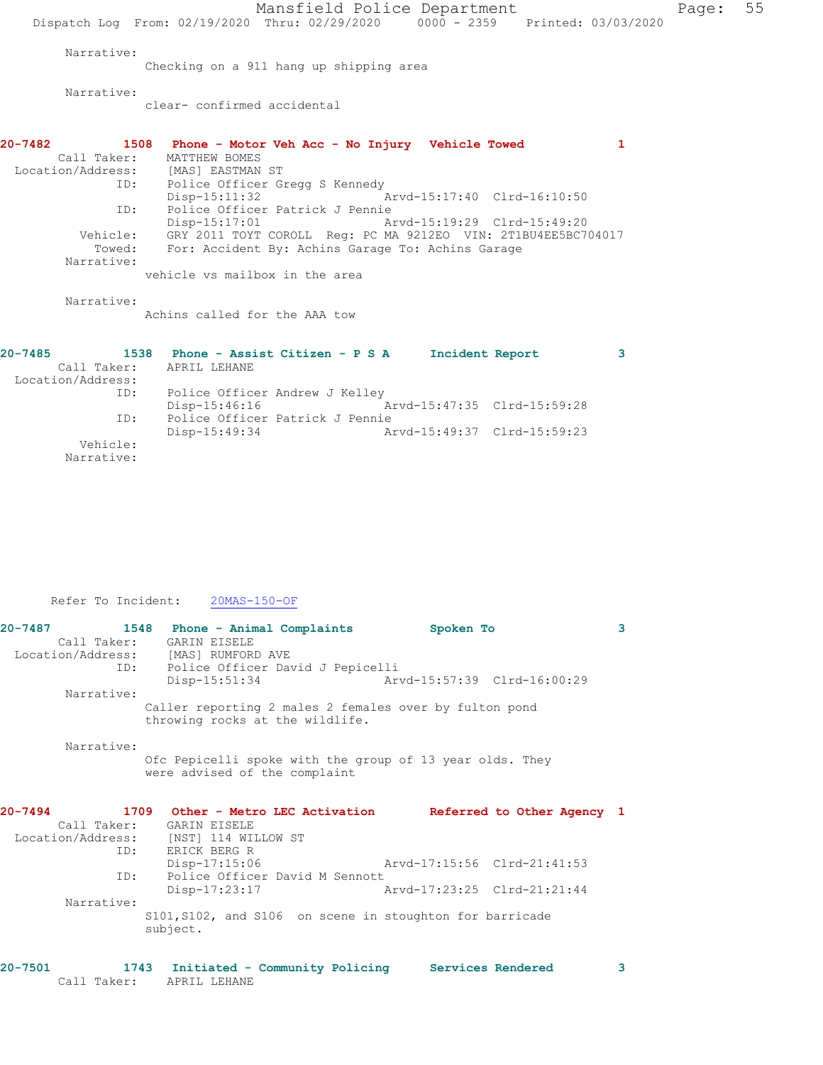Mansfield Police Department Page: 55 Dispatch Log From: 02/19/2020 Thru: 02/29/2020 0000 - 2359 Printed: 03/03/2020 Narrative: Checking on a 911 hang up shipping area Narrative: clear- confirmed accidental **20-7482 1508 Phone - Motor Veh Acc - No Injury Vehicle Towed 1**  Call Taker: MATTHEW BOMES Location/Address: [MAS] EASTMAN ST ID: Police Officer Gregg S Kennedy Disp-15:11:32 Arvd-15:17:40 Clrd-16:10:50 ID: Police Officer Patrick J Pennie Disp-15:17:01 Arvd-15:19:29 Clrd-15:49:20 Vehicle: GRY 2011 TOYT COROLL Reg: PC MA 9212EO VIN: 2T1BU4EE5BC704017 Towed: For: Accident By: Achins Garage To: Achins Garage Narrative: vehicle vs mailbox in the area Narrative: Achins called for the AAA tow **20-7485 1538 Phone - Assist Citizen - P S A Incident Report 3**  Call Taker: APRIL LEHANE Location/Address: ID: Police Officer Andrew J Kelley Disp-15:46:16 Arvd-15:47:35 Clrd-15:59:28 ID: Police Officer Patrick J Pennie Disp-15:49:34 Arvd-15:49:37 Clrd-15:59:23 Vehicle:

Refer To Incident: 20MAS-150-OF

Narrative:

| $20 - 7487$ | 1548 Phone - Animal Complaints                               | Spoken To                   | 3 |
|-------------|--------------------------------------------------------------|-----------------------------|---|
|             | Call Taker: GARIN EISELE                                     |                             |   |
|             | Location/Address: [MAS] RUMFORD AVE                          |                             |   |
|             | ID: Police Officer David J Pepicelli                         |                             |   |
|             | $Disp-15:51:34$                                              | Arvd-15:57:39 Clrd-16:00:29 |   |
| Narrative:  |                                                              |                             |   |
|             | Caller reporting 2 males 2 females over by fulton pond       |                             |   |
|             | throwing rocks at the wildlife.                              |                             |   |
|             |                                                              |                             |   |
| Narrative:  |                                                              |                             |   |
|             | Ofc Pepicelli spoke with the group of 13 year olds. They     |                             |   |
|             | were advised of the complaint                                |                             |   |
|             |                                                              |                             |   |
|             |                                                              |                             |   |
| $20 - 7494$ | 1709 Other - Metro LEC Activation Referred to Other Agency 1 |                             |   |
|             | Call Taker: GARIN EISELE                                     |                             |   |
|             | Location/Address: [NST] 114 WILLOW ST                        |                             |   |
| ID:         | ERICK BERG R                                                 |                             |   |
|             | $Disp-17:15:06$                                              | Arvd-17:15:56 Clrd-21:41:53 |   |
| ID:         | Police Officer David M Sennott                               |                             |   |
|             | Disp-17:23:17                                                | Arvd-17:23:25 Clrd-21:21:44 |   |
| Narrative:  |                                                              |                             |   |
|             | S101, S102, and S106 on scene in stoughton for barricade     |                             |   |
|             | subject.                                                     |                             |   |
|             |                                                              |                             |   |
|             |                                                              |                             |   |

| $20 - 7501$ |             | 1743 Initiated - Community Policing |  | Services Rendered |  |
|-------------|-------------|-------------------------------------|--|-------------------|--|
|             | Call Taker: | APRIL LEHANE                        |  |                   |  |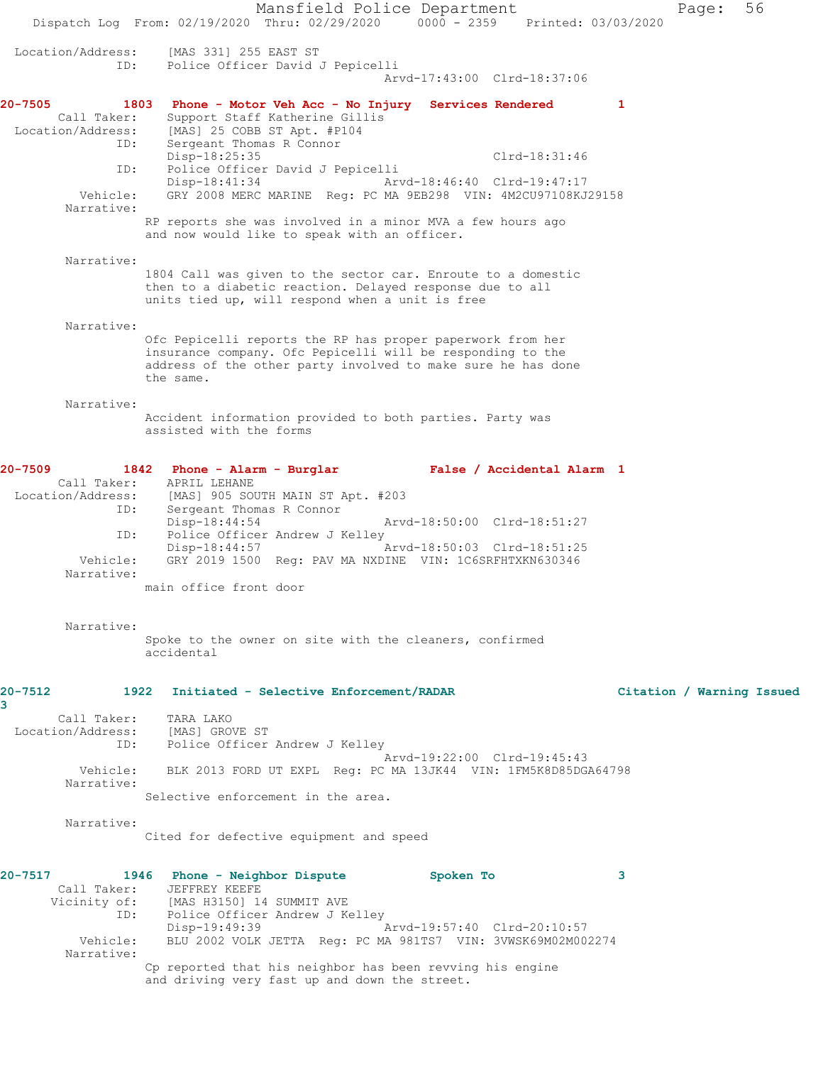Mansfield Police Department Page: 56 Dispatch Log From: 02/19/2020 Thru: 02/29/2020 0000 - 2359 Printed: 03/03/2020 Location/Address: [MAS 331] 255 EAST ST ID: Police Officer David J Pepicelli Arvd-17:43:00 Clrd-18:37:06 **20-7505 1803 Phone - Motor Veh Acc - No Injury Services Rendered 1**  Call Taker: Support Staff Katherine Gillis Location/Address: [MAS] 25 COBB ST Apt. #P104 ID: Sergeant Thomas R Connor<br>Disp-18:25:35 Disp-18:25:35 Clrd-18:31:46 ID: Police Officer David J Pepicelli Disp-18:41:34 Arvd-18:46:40 Clrd-19:47:17 Vehicle: GRY 2008 MERC MARINE Reg: PC MA 9EB298 VIN: 4M2CU97108KJ29158 Narrative: RP reports she was involved in a minor MVA a few hours ago and now would like to speak with an officer. Narrative: 1804 Call was given to the sector car. Enroute to a domestic then to a diabetic reaction. Delayed response due to all units tied up, will respond when a unit is free Narrative: Ofc Pepicelli reports the RP has proper paperwork from her insurance company. Ofc Pepicelli will be responding to the address of the other party involved to make sure he has done the same. Narrative: Accident information provided to both parties. Party was assisted with the forms **20-7509 1842 Phone - Alarm - Burglar False / Accidental Alarm 1**  Call Taker: APRIL LEHANE Location/Address: [MAS] 905 SOUTH MAIN ST Apt. #203 ID: Sergeant Thomas R Connor<br>Disp-18:44:54 Disp-18:44:54 Arvd-18:50:00 Clrd-18:51:27 ID: Police Officer Andrew J Kelley<br>Disp-18:44:57 Arvd-18:50:03 Clrd-18:51:25 Disp-18:44:57 Vehicle: GRY 2019 1500 Reg: PAV MA NXDINE VIN: 1C6SRFHTXKN630346 Narrative: main office front door Narrative: Spoke to the owner on site with the cleaners, confirmed accidental **20-7512 1922 Initiated - Selective Enforcement/RADAR Citation / Warning Issued 3**  Call Taker: TARA LAKO Location/Address: [MAS] GROVE ST ID: Police Officer Andrew J Kelley Arvd-19:22:00 Clrd-19:45:43 Vehicle: BLK 2013 FORD UT EXPL Reg: PC MA 13JK44 VIN: 1FM5K8D85DGA64798 Narrative: Selective enforcement in the area. Narrative: Cited for defective equipment and speed **20-7517 1946 Phone - Neighbor Dispute Spoken To 3**  Call Taker: JEFFREY KEEFE Vicinity of: [MAS H3150] 14 SUMMIT AVE ID: Police Officer Andrew J Kelley Disp-19:49:39 Arvd-19:57:40 Clrd-20:10:57 Vehicle: BLU 2002 VOLK JETTA Reg: PC MA 981TS7 VIN: 3VWSK69M02M002274 Narrative: Cp reported that his neighbor has been revving his engine

and driving very fast up and down the street.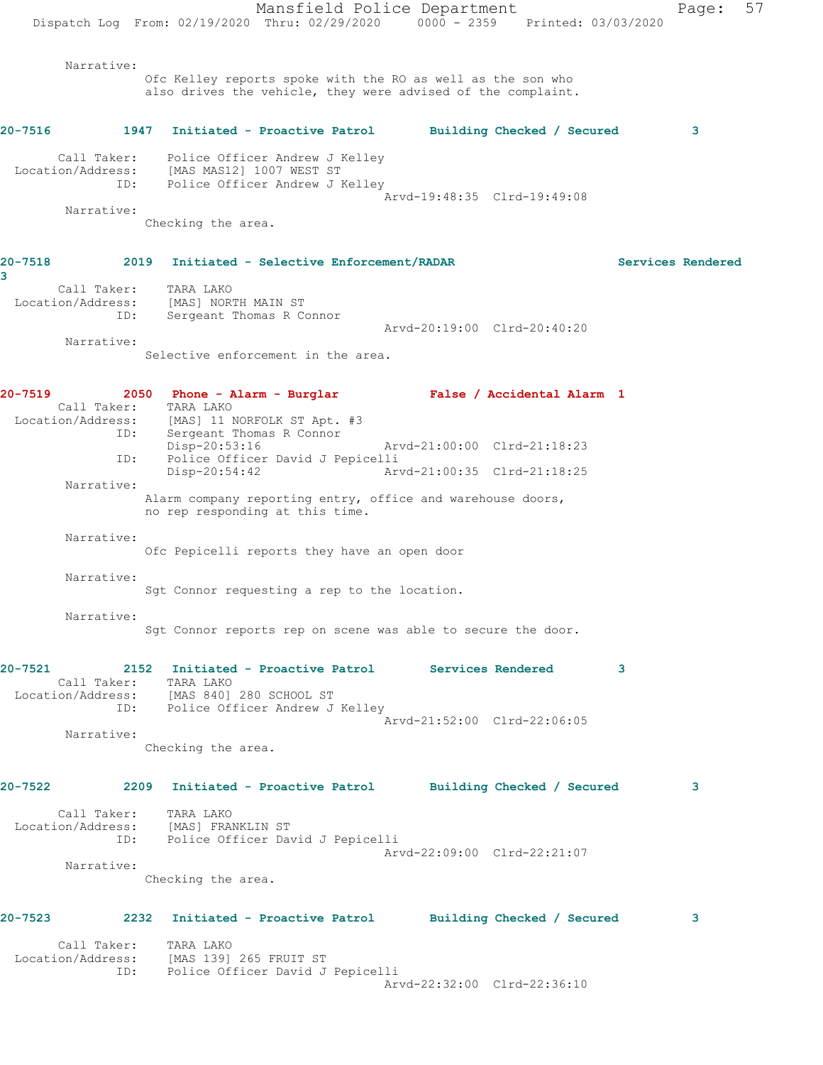Mansfield Police Department Fage: 57 Dispatch Log From: 02/19/2020 Thru: 02/29/2020 0000 - 2359 Printed: 03/03/2020 Narrative: Ofc Kelley reports spoke with the RO as well as the son who also drives the vehicle, they were advised of the complaint. **20-7516 1947 Initiated - Proactive Patrol Building Checked / Secured 3** Call Taker: Police Officer Andrew J Kelley Location/Address: [MAS MAS12] 1007 WEST ST ID: Police Officer Andrew J Kelley Arvd-19:48:35 Clrd-19:49:08 Narrative: Checking the area. **20-7518 2019 Initiated - Selective Enforcement/RADAR Services Rendered 3**  Call Taker: TARA LAKO Location/Address: [MAS] NORTH MAIN ST ID: Sergeant Thomas R Connor Arvd-20:19:00 Clrd-20:40:20 Narrative: Selective enforcement in the area. **20-7519 2050 Phone - Alarm - Burglar False / Accidental Alarm 1**  Call Taker: TARA LAKO Location/Address: [MAS] 11 NORFOLK ST Apt. #3 ID: Sergeant Thomas R Connor Disp-20:53:16 Arvd-21:00:00 Clrd-21:18:23 ID: Police Officer David J Pepicelli Arvd-21:00:35 Clrd-21:18:25 Narrative: Alarm company reporting entry, office and warehouse doors, no rep responding at this time. Narrative: Ofc Pepicelli reports they have an open door Narrative: Sgt Connor requesting a rep to the location. Narrative: Sgt Connor reports rep on scene was able to secure the door. **20-7521 2152 Initiated - Proactive Patrol Services Rendered 3**  Call Taker: TARA LAKO Location/Address: [MAS 840] 280 SCHOOL ST ID: Police Officer Andrew J Kelley Arvd-21:52:00 Clrd-22:06:05 Narrative: Checking the area. **20-7522 2209 Initiated - Proactive Patrol Building Checked / Secured 3** Call Taker: TARA LAKO Location/Address: [MAS] FRANKLIN ST ID: Police Officer David J Pepicelli Arvd-22:09:00 Clrd-22:21:07 Narrative: Checking the area. **20-7523 2232 Initiated - Proactive Patrol Building Checked / Secured 3** Call Taker: TARA LAKO Location/Address: [MAS 139] 265 FRUIT ST ID: Police Officer David J Pepicelli Arvd-22:32:00 Clrd-22:36:10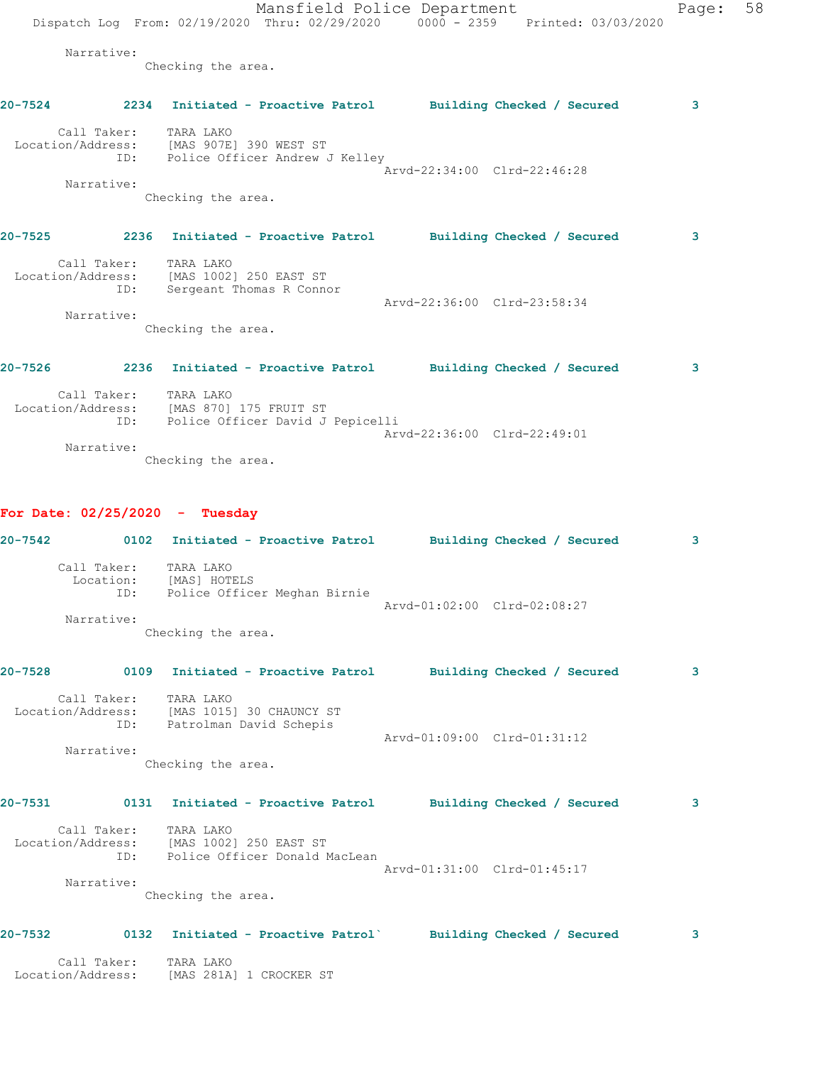Mansfield Police Department Page: 58 Dispatch Log From: 02/19/2020 Thru: 02/29/2020 0000 - 2359 Printed: 03/03/2020 Narrative: Checking the area. **20-7524 2234 Initiated - Proactive Patrol Building Checked / Secured 3** Call Taker: TARA LAKO Location/Address: [MAS 907E] 390 WEST ST ID: Police Officer Andrew J Kelley Arvd-22:34:00 Clrd-22:46:28 Narrative: Checking the area. **20-7525 2236 Initiated - Proactive Patrol Building Checked / Secured 3** Call Taker: TARA LAKO Location/Address: [MAS 1002] 250 EAST ST ID: Sergeant Thomas R Connor Arvd-22:36:00 Clrd-23:58:34 Narrative: Checking the area. **20-7526 2236 Initiated - Proactive Patrol Building Checked / Secured 3** Call Taker: TARA LAKO Location/Address: [MAS 870] 175 FRUIT ST

**20-7542 0102 Initiated - Proactive Patrol Building Checked / Secured 3**

**20-7528 0109 Initiated - Proactive Patrol Building Checked / Secured 3**

 Call Taker: TARA LAKO Location/Address: [MAS 281A] 1 CROCKER ST

**20-7531 0131 Initiated - Proactive Patrol Building Checked / Secured 3**

Arvd-01:09:00 Clrd-01:31:12

Arvd-22:36:00 Clrd-22:49:01

Arvd-01:02:00 Clrd-02:08:27

 Location/Address: [MAS 1002] 250 EAST ST ID: Police Officer Donald MacLean Arvd-01:31:00 Clrd-01:45:17

 Narrative: Checking the area.

Checking the area.

ID: Police Officer David J Pepicelli

Checking the area.

ID: Police Officer Meghan Birnie

Checking the area.

 Location/Address: [MAS 1015] 30 CHAUNCY ST ID: Patrolman David Schepis

Narrative:

**For Date: 02/25/2020 - Tuesday**

 Call Taker: TARA LAKO Location: [MAS] HOTELS

Call Taker: TARA LAKO

Call Taker: TARA LAKO

Narrative:

Narrative:

## **20-7532 0132 Initiated - Proactive Patrol` Building Checked / Secured 3**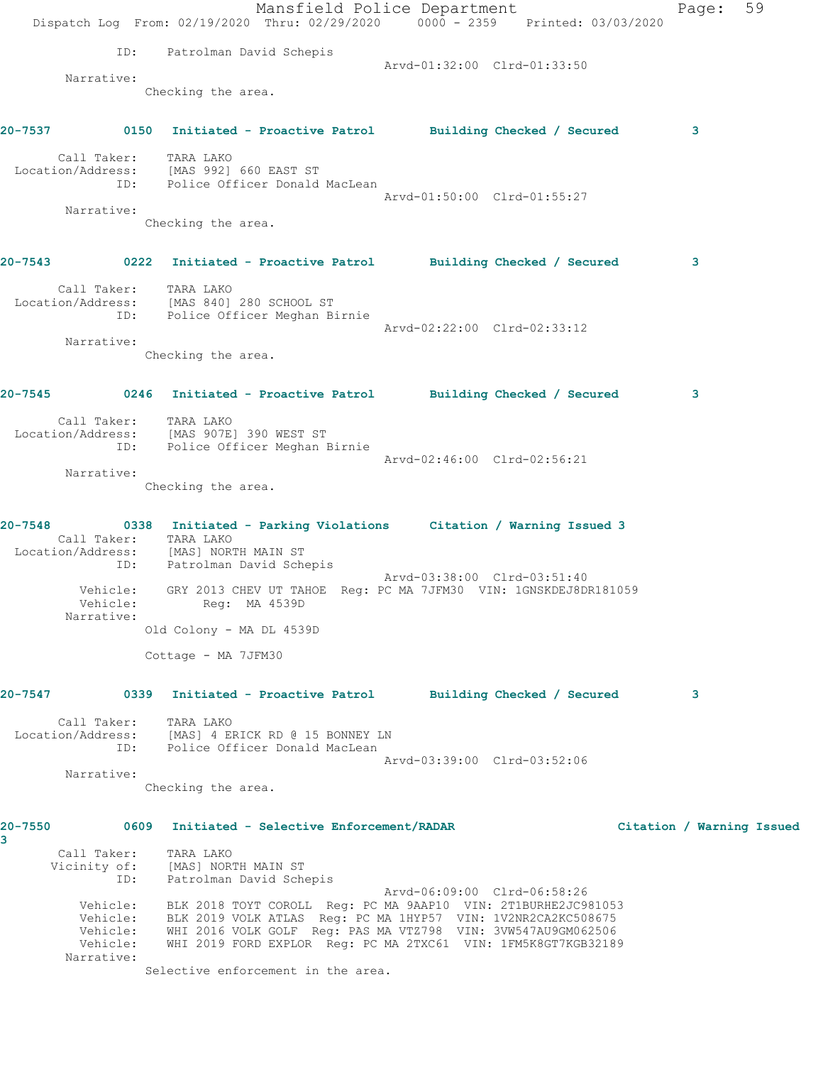|              |                       |                                                                      | Mansfield Police Department<br>Dispatch Log From: 02/19/2020 Thru: 02/29/2020 0000 - 2359 Printed: 03/03/2020                                   |                             |                           | Page: | 59 |
|--------------|-----------------------|----------------------------------------------------------------------|-------------------------------------------------------------------------------------------------------------------------------------------------|-----------------------------|---------------------------|-------|----|
|              | ID:                   | Patrolman David Schepis                                              |                                                                                                                                                 |                             |                           |       |    |
|              | Narrative:            |                                                                      |                                                                                                                                                 | Arvd-01:32:00 Clrd-01:33:50 |                           |       |    |
|              |                       | Checking the area.                                                   |                                                                                                                                                 |                             |                           |       |    |
|              |                       |                                                                      | 20-7537 0150 Initiated - Proactive Patrol Building Checked / Secured                                                                            |                             |                           | 3     |    |
|              | Call Taker: TARA LAKO |                                                                      |                                                                                                                                                 |                             |                           |       |    |
|              |                       |                                                                      | Location/Address: [MAS 992] 660 EAST ST<br>ID: Police Officer Donald MacLean                                                                    |                             |                           |       |    |
|              |                       |                                                                      |                                                                                                                                                 | Arvd-01:50:00 Clrd-01:55:27 |                           |       |    |
|              | Narrative:            | Checking the area.                                                   |                                                                                                                                                 |                             |                           |       |    |
|              |                       |                                                                      | 20-7543 0222 Initiated - Proactive Patrol Building Checked / Secured                                                                            |                             |                           | 3     |    |
|              | Call Taker: TARA LAKO |                                                                      |                                                                                                                                                 |                             |                           |       |    |
|              |                       | Location/Address: [MAS 840] 280 SCHOOL ST                            | ID: Police Officer Meghan Birnie                                                                                                                |                             |                           |       |    |
|              |                       |                                                                      |                                                                                                                                                 | Arvd-02:22:00 Clrd-02:33:12 |                           |       |    |
|              | Narrative:            | Checking the area.                                                   |                                                                                                                                                 |                             |                           |       |    |
|              |                       |                                                                      |                                                                                                                                                 |                             |                           |       |    |
|              |                       |                                                                      | 20-7545 		 0246 Initiated - Proactive Patrol 		 Building Checked / Secured                                                                      |                             |                           | 3     |    |
|              |                       | Call Taker: TARA LAKO<br>Location/Address: [MAS 907E] 390 WEST ST    |                                                                                                                                                 |                             |                           |       |    |
|              |                       |                                                                      | ID: Police Officer Meghan Birnie                                                                                                                |                             |                           |       |    |
|              | Narrative:            |                                                                      |                                                                                                                                                 | Arvd-02:46:00 Clrd-02:56:21 |                           |       |    |
|              |                       | Checking the area.                                                   |                                                                                                                                                 |                             |                           |       |    |
|              |                       |                                                                      |                                                                                                                                                 |                             |                           |       |    |
|              |                       |                                                                      | 20-7548 		 0338 Initiated - Parking Violations Citation / Warning Issued 3                                                                      |                             |                           |       |    |
|              | Call Taker: TARA LAKO |                                                                      |                                                                                                                                                 |                             |                           |       |    |
|              |                       | Location/Address: [MAS] NORTH MAIN ST<br>ID: Patrolman David Schepis |                                                                                                                                                 |                             |                           |       |    |
|              | Vehicle:              |                                                                      | GRY 2013 CHEV UT TAHOE Reg: PC MA 7JFM30 VIN: 1GNSKDEJ8DR181059                                                                                 | Arvd-03:38:00 Clrd-03:51:40 |                           |       |    |
|              | Narrative:            | Vehicle: Req: MA 4539D                                               |                                                                                                                                                 |                             |                           |       |    |
|              |                       | Old Colony - MA DL 4539D                                             |                                                                                                                                                 |                             |                           |       |    |
|              |                       | Cottage - MA 7JFM30                                                  |                                                                                                                                                 |                             |                           |       |    |
| 20-7547      |                       |                                                                      | 0339 Initiated - Proactive Patrol       Building Checked / Secured                                                                              |                             |                           | 3     |    |
|              | Call Taker: TARA LAKO |                                                                      |                                                                                                                                                 |                             |                           |       |    |
|              |                       |                                                                      | Location/Address: [MAS] 4 ERICK RD @ 15 BONNEY LN<br>ID: Police Officer Donald MacLean                                                          |                             |                           |       |    |
|              | Narrative:            |                                                                      |                                                                                                                                                 | Arvd-03:39:00 Clrd-03:52:06 |                           |       |    |
|              |                       | Checking the area.                                                   |                                                                                                                                                 |                             |                           |       |    |
| 20-7550<br>3 |                       |                                                                      | 0609 Initiated - Selective Enforcement/RADAR                                                                                                    |                             | Citation / Warning Issued |       |    |
|              | Call Taker: TARA LAKO |                                                                      |                                                                                                                                                 |                             |                           |       |    |
|              |                       | Vicinity of: [MAS] NORTH MAIN ST<br>ID: Patrolman David Schepis      |                                                                                                                                                 |                             |                           |       |    |
|              |                       |                                                                      |                                                                                                                                                 | Arvd-06:09:00 Clrd-06:58:26 |                           |       |    |
|              |                       |                                                                      | Vehicle: BLK 2018 TOYT COROLL Reg: PC MA 9AAP10 VIN: 2T1BURHE2JC981053<br>Vehicle: BLK 2019 VOLK ATLAS Reg: PC MA 1HYP57 VIN: 1V2NR2CA2KC508675 |                             |                           |       |    |
|              |                       |                                                                      | Vehicle: WHI 2016 VOLK GOLF Reg: PAS MA VTZ798 VIN: 3VW547AU9GM062506                                                                           |                             |                           |       |    |
|              | Narrative:            |                                                                      | Vehicle: WHI 2019 FORD EXPLOR Reg: PC MA 2TXC61 VIN: 1FM5K8GT7KGB32189                                                                          |                             |                           |       |    |
|              |                       |                                                                      | Selective enforcement in the area.                                                                                                              |                             |                           |       |    |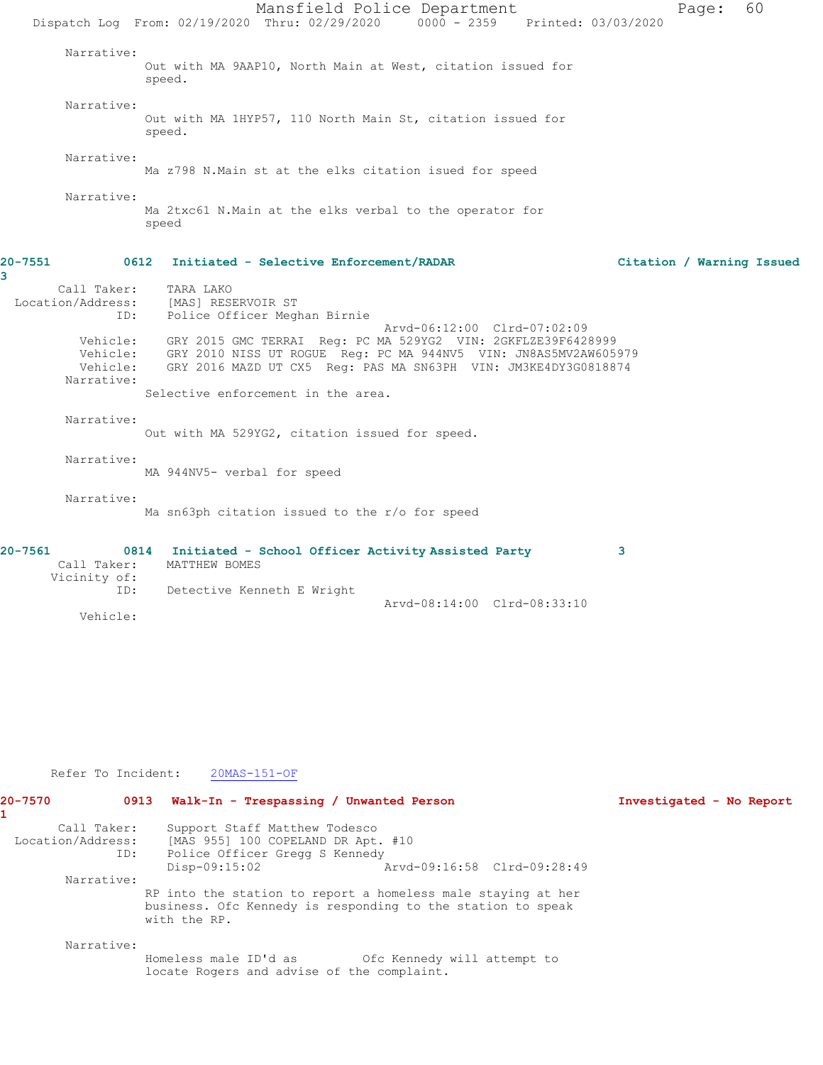Mansfield Police Department Page: 60 Dispatch Log From: 02/19/2020 Thru: 02/29/2020 0000 - 2359 Printed: 03/03/2020 Narrative: Out with MA 9AAP10, North Main at West, citation issued for speed. Narrative: Out with MA 1HYP57, 110 North Main St, citation issued for speed. Narrative: Ma z798 N.Main st at the elks citation isued for speed Narrative: Ma 2txc61 N.Main at the elks verbal to the operator for speed **20-7551 0612 Initiated - Selective Enforcement/RADAR Citation / Warning Issued** Call Taker: TARA LAKO Location/Address: [MAS] RESERVOIR ST ID: Police Officer Meghan Birnie Arvd-06:12:00 Clrd-07:02:09 Vehicle: GRY 2015 GMC TERRAI Reg: PC MA 529YG2 VIN: 2GKFLZE39F6428999 Vehicle: GRY 2010 NISS UT ROGUE Reg: PC MA 944NV5 VIN: JN8AS5MV2AW605979 Vehicle: GRY 2016 MAZD UT CX5 Reg: PAS MA SN63PH VIN: JM3KE4DY3G0818874 Narrative: Selective enforcement in the area. Narrative: Out with MA 529YG2, citation issued for speed. Narrative: MA 944NV5- verbal for speed Narrative: Ma sn63ph citation issued to the r/o for speed **20-7561 0814 Initiated - School Officer Activity Assisted Party 3**  MATTHEW BOMES Vicinity of: ID: Detective Kenneth E Wright Arvd-08:14:00 Clrd-08:33:10

Refer To Incident: 20MAS-151-OF

Vehicle:

**3** 

| $20 - 7570$       |     | 0913 Walk-In - Trespassing / Unwanted Person                                                                                                |                             | Investigated - No Report |
|-------------------|-----|---------------------------------------------------------------------------------------------------------------------------------------------|-----------------------------|--------------------------|
| Call Taker:       |     | Support Staff Matthew Todesco                                                                                                               |                             |                          |
| Location/Address: |     | [MAS 955] 100 COPELAND DR Apt. #10                                                                                                          |                             |                          |
|                   | ID: | Police Officer Gregg S Kennedy                                                                                                              |                             |                          |
|                   |     | $Disp-09:15:02$                                                                                                                             | Arvd-09:16:58 Clrd-09:28:49 |                          |
| Narrative:        |     |                                                                                                                                             |                             |                          |
|                   |     | RP into the station to report a homeless male staying at her<br>business. Ofc Kennedy is responding to the station to speak<br>with the RP. |                             |                          |
| Narrative:        |     |                                                                                                                                             |                             |                          |
|                   |     | Homeless male ID'd as<br>locate Rogers and advise of the complaint.                                                                         | Ofc Kennedy will attempt to |                          |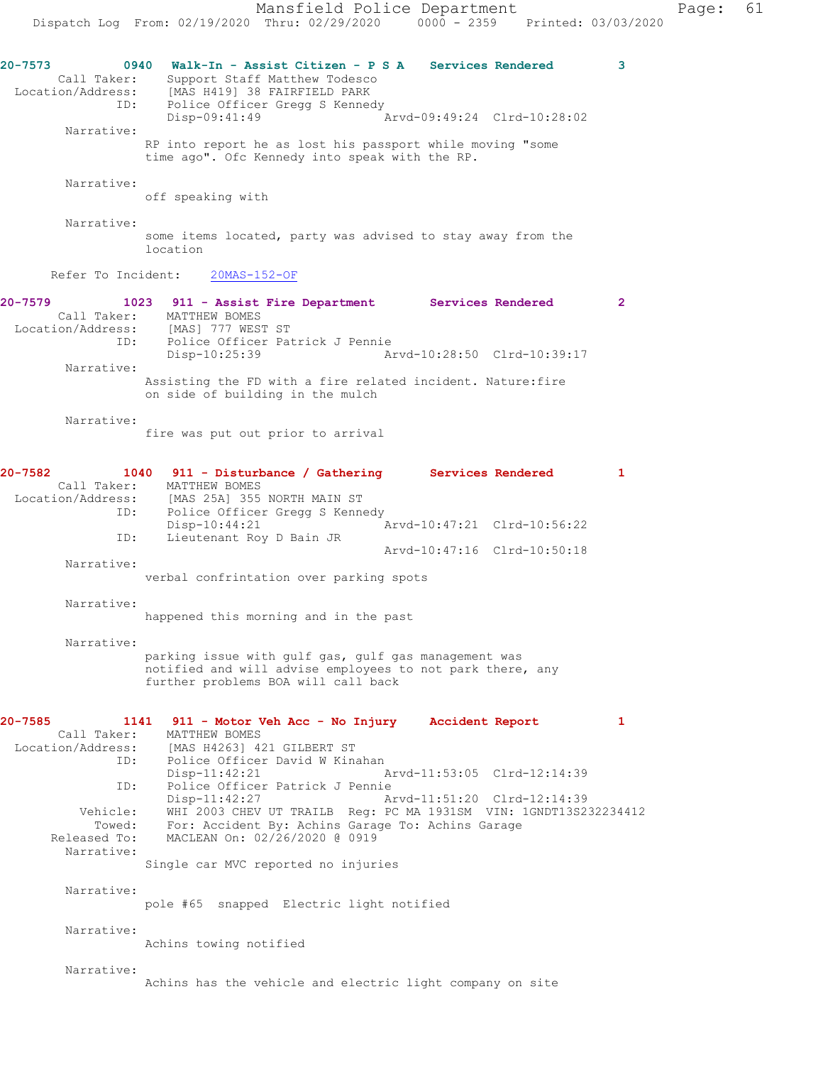**20-7573 0940 Walk-In - Assist Citizen - P S A Services Rendered 3**  Call Taker: Support Staff Matthew Todesco<br>Location/Address: [MAS H419] 38 FAIRFIELD PARK<br>ID: Police Officer Gregg S Kennedy [MAS H419] 38 FAIRFIELD PARK Police Officer Gregg S Kennedy<br>Disp-09:41:49 Disp-09:41:49 Arvd-09:49:24 Clrd-10:28:02 Narrative: RP into report he as lost his passport while moving "some time ago". Ofc Kennedy into speak with the RP. Narrative: off speaking with Narrative: some items located, party was advised to stay away from the location Refer To Incident: 20MAS-152-OF **20-7579 1023 911 - Assist Fire Department Services Rendered 2**  Call Taker: MATTHEW BOMES Location/Address: [MAS] 777 WEST ST<br>ID: Police Officer Pat<br>Disp-10:25:39 Police Officer Patrick J Pennie Disp-10:25:39 Arvd-10:28:50 Clrd-10:39:17 Narrative: Assisting the FD with a fire related incident. Nature:fire on side of building in the mulch Narrative: fire was put out prior to arrival **20-7582 1040 911 - Disturbance / Gathering Services Rendered 1**  Call Taker: MATTHEW BOMES Location/Address: [MAS 25A] 355 NORTH MAIN ST<br>ID: Police Officer Gregg S Kenne Police Officer Gregg S Kennedy<br>Disp-10:44:21 1 Disp-10:44:21 Arvd-10:47:21 Clrd-10:56:22 ID: Lieutenant Roy D Bain JR Arvd-10:47:16 Clrd-10:50:18 Narrative: verbal confrintation over parking spots Narrative: happened this morning and in the past Narrative: parking issue with gulf gas, gulf gas management was notified and will advise employees to not park there, any further problems BOA will call back **20-7585 1141 911 - Motor Veh Acc - No Injury Accident Report 1**  Call Taker: MATTHEW BOMES Location/Address: [MAS H4263] 421 GILBERT ST<br>ID: Police Officer David W Kin. Police Officer David W Kinahan Disp-11:42:21 Arvd-11:53:05 Clrd-12:14:39 ID: Police Officer Patrick J Pennie Arvd-11:51:20 Clrd-12:14:39 Vehicle: WHI 2003 CHEV UT TRAILB Reg: PC MA 1931SM VIN: 1GNDT13S232234412 Towed: For: Accident By: Achins Garage To: Achins Garage Released To: MACLEAN On: 02/26/2020 @ 0919 Narrative: Single car MVC reported no injuries Narrative: pole #65 snapped Electric light notified

Achins towing notified

Narrative:

Narrative:

Achins has the vehicle and electric light company on site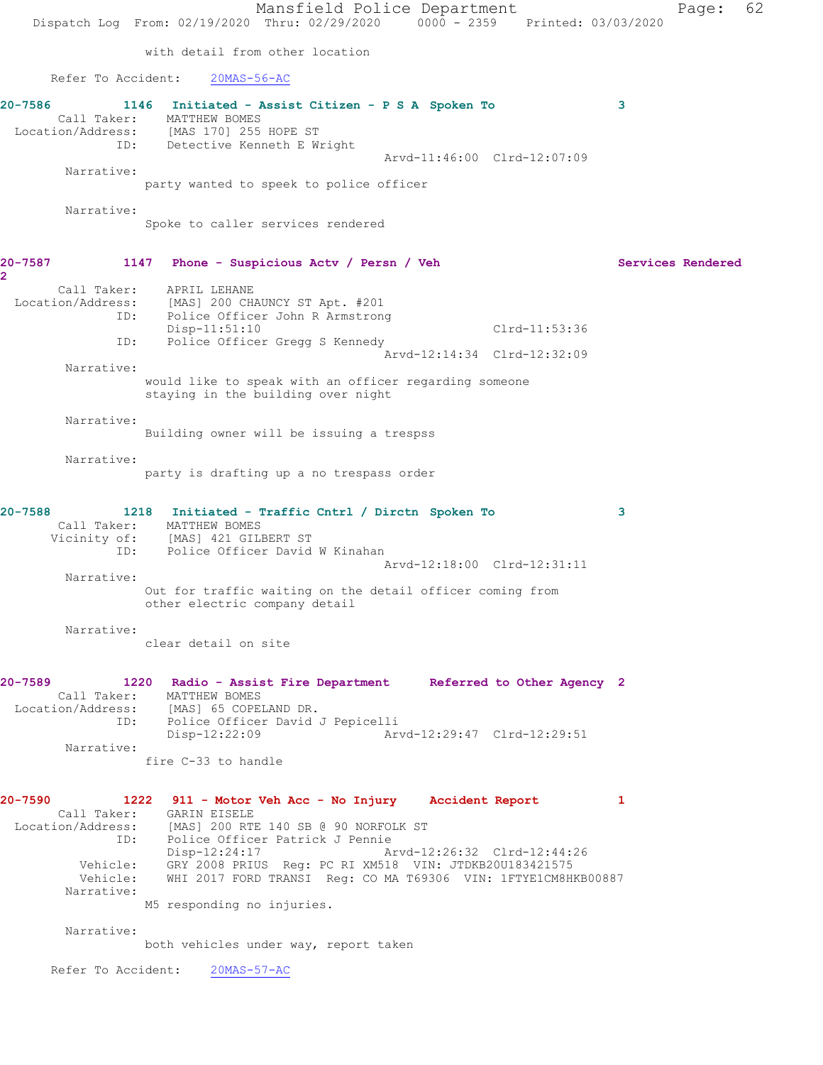Mansfield Police Department Page: 62 Dispatch Log From: 02/19/2020 Thru: 02/29/2020 0000 - 2359 Printed: 03/03/2020 with detail from other location Refer To Accident: 20MAS-56-AC **20-7586 1146 Initiated - Assist Citizen - P S A Spoken To 3**  Call Taker: MATTHEW BOMES Location/Address: [MAS 170] 255 HOPE ST ID: Detective Kenneth E Wright Arvd-11:46:00 Clrd-12:07:09 Narrative: party wanted to speek to police officer Narrative: Spoke to caller services rendered **20-7587 1147 Phone - Suspicious Actv / Persn / Veh Services Rendered 2**  Call Taker: APRIL LEHANE Location/Address: [MAS] 200 CHAUNCY ST Apt. #201 ID: Police Officer John R Armstrong Disp-11:51:10 Clrd-11:53:36 ID: Police Officer Gregg S Kennedy Arvd-12:14:34 Clrd-12:32:09 Narrative: would like to speak with an officer regarding someone staying in the building over night Narrative: Building owner will be issuing a trespss Narrative: party is drafting up a no trespass order **20-7588 1218 Initiated - Traffic Cntrl / Dirctn Spoken To 3**  Call Taker: MATTHEW BOMES Vicinity of: [MAS] 421 GILBERT ST ID: Police Officer David W Kinahan Arvd-12:18:00 Clrd-12:31:11 Narrative: Out for traffic waiting on the detail officer coming from other electric company detail Narrative: clear detail on site **20-7589 1220 Radio - Assist Fire Department Referred to Other Agency 2**  Call Taker: MATTHEW BOMES Location/Address: [MAS] 65 COPELAND DR. ID: Police Officer David J Pepicelli Disp-12:22:09 Arvd-12:29:47 Clrd-12:29:51 Narrative: fire C-33 to handle **20-7590 1222 911 - Motor Veh Acc - No Injury Accident Report 1**  Call Taker: GARIN EISELE Location/Address: [MAS] 200 RTE 140 SB @ 90 NORFOLK ST ID: Police Officer Patrick J Pennie Disp-12:24:17 Arvd-12:26:32 Clrd-12:44:26 Vehicle: GRY 2008 PRIUS Reg: PC RI XM518 VIN: JTDKB20U183421575 Vehicle: WHI 2017 FORD TRANSI Reg: CO MA T69306 VIN: 1FTYE1CM8HKB00887 Narrative: M5 responding no injuries. Narrative: both vehicles under way, report taken Refer To Accident: 20MAS-57-AC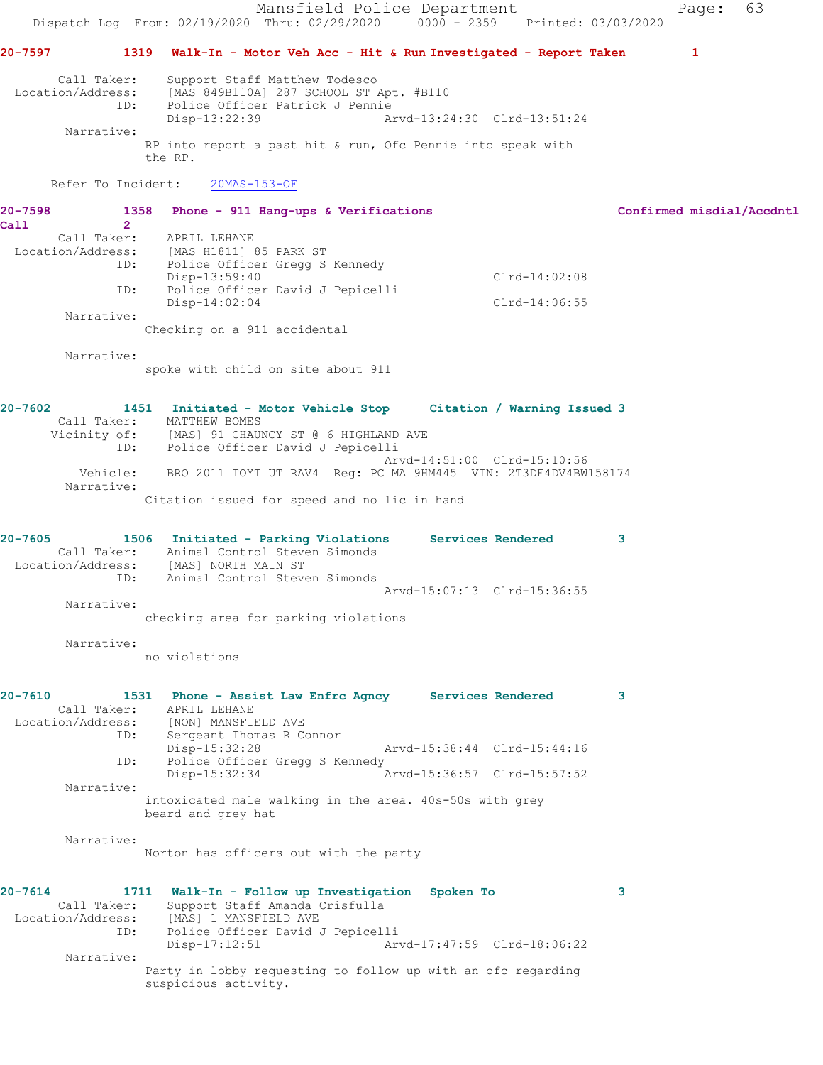Mansfield Police Department Fage: 63 Dispatch Log From: 02/19/2020 Thru: 02/29/2020 0000 - 2359 Printed: 03/03/2020 **20-7597 1319 Walk-In - Motor Veh Acc - Hit & Run Investigated - Report Taken 1** Call Taker: Support Staff Matthew Todesco Location/Address: [MAS 849B110A] 287 SCHOOL ST Apt. #B110 ID: Police Officer Patrick J Pennie Disp-13:22:39 Arvd-13:24:30 Clrd-13:51:24 Narrative: RP into report a past hit & run, Ofc Pennie into speak with the RP. Refer To Incident: 20MAS-153-OF **20-7598 1358 Phone - 911 Hang-ups & Verifications Confirmed misdial/Accdntl Call 2**  Call Taker: APRIL LEHANE<br>Location/Address: [MAS H1811] [MAS H1811] 85 PARK ST ID: Police Officer Gregg S Kennedy Disp-13:59:40 Clrd-14:02:08 ID: Police Officer David J Pepicelli Disp-14:02:04 Clrd-14:06:55 Narrative: Checking on a 911 accidental Narrative: spoke with child on site about 911 **20-7602 1451 Initiated - Motor Vehicle Stop Citation / Warning Issued 3**  Call Taker: MATTHEW BOMES Vicinity of: [MAS] 91 CHAUNCY ST @ 6 HIGHLAND AVE ID: Police Officer David J Pepicelli Arvd-14:51:00 Clrd-15:10:56 Vehicle: BRO 2011 TOYT UT RAV4 Reg: PC MA 9HM445 VIN: 2T3DF4DV4BW158174 Narrative: Citation issued for speed and no lic in hand **20-7605 1506 Initiated - Parking Violations Services Rendered 3**  Call Taker: Animal Control Steven Simonds Location/Address: [MAS] NORTH MAIN ST ID: Animal Control Steven Simonds Arvd-15:07:13 Clrd-15:36:55 Narrative: checking area for parking violations Narrative: no violations **20-7610 1531 Phone - Assist Law Enfrc Agncy Services Rendered 3**  Call Taker: APRIL LEHANE Location/Address: [NON] MANSFIELD AVE ID: Sergeant Thomas R Connor Disp-15:32:28 Arvd-15:38:44 Clrd-15:44:16 ID: Police Officer Gregg S Kennedy<br>Disp-15:32:34 Arvd-15:36:57 Clrd-15:57:52 Narrative: intoxicated male walking in the area. 40s-50s with grey beard and grey hat Narrative: Norton has officers out with the party **20-7614 1711 Walk-In - Follow up Investigation Spoken To 3**  Call Taker: Support Staff Amanda Crisfulla Location/Address: [MAS] 1 MANSFIELD AVE ID: Police Officer David J Pepicelli Disp-17:12:51 Arvd-17:47:59 Clrd-18:06:22 Narrative: Party in lobby requesting to follow up with an ofc regarding suspicious activity.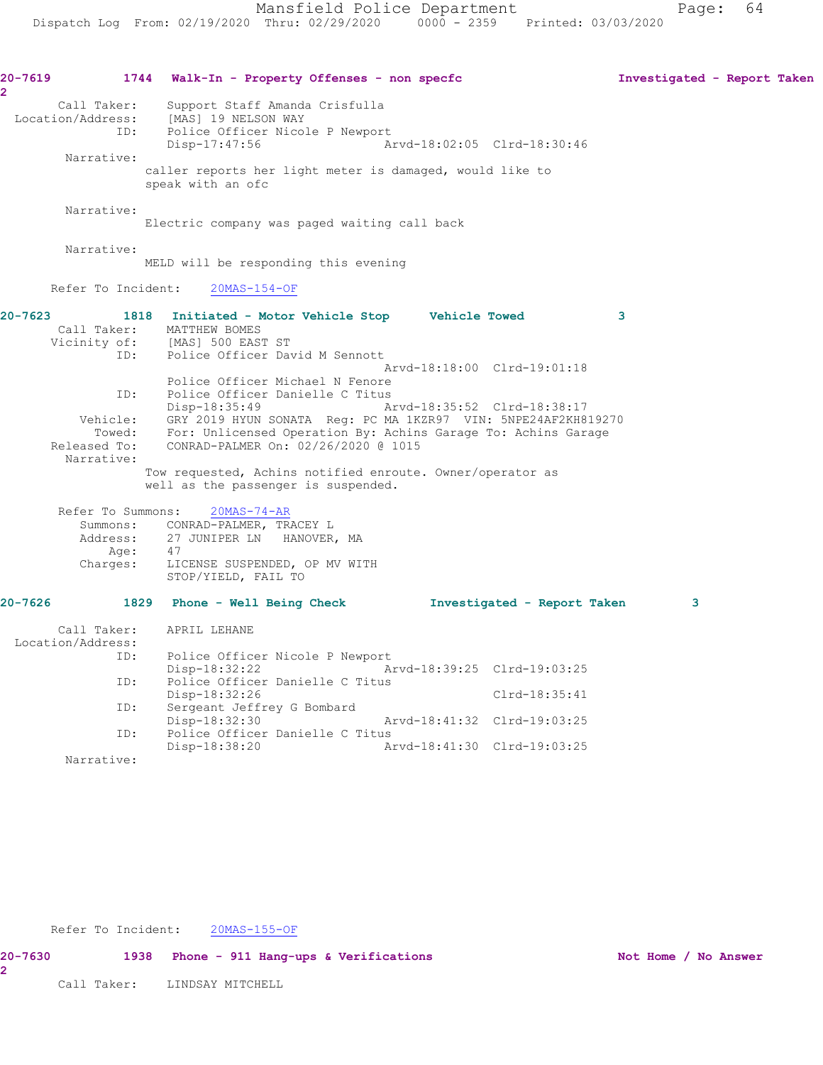| 20-7619<br>$\overline{\mathbf{2}}$ |                    | 1744 Walk-In - Property Offenses - non specfc                                                    |                             |                             | Investigated - Report Taken |  |
|------------------------------------|--------------------|--------------------------------------------------------------------------------------------------|-----------------------------|-----------------------------|-----------------------------|--|
|                                    | Call Taker:        | Support Staff Amanda Crisfulla<br>Location/Address: [MAS] 19 NELSON WAY                          |                             |                             |                             |  |
|                                    |                    | ID: Police Officer Nicole P Newport<br>Disp-17:47:56                                             |                             | Arvd-18:02:05 Clrd-18:30:46 |                             |  |
|                                    | Narrative:         | caller reports her light meter is damaged, would like to<br>speak with an ofc                    |                             |                             |                             |  |
|                                    | Narrative:         | Electric company was paged waiting call back                                                     |                             |                             |                             |  |
|                                    | Narrative:         | MELD will be responding this evening                                                             |                             |                             |                             |  |
|                                    | Refer To Incident: | $20MAS-154-OF$                                                                                   |                             |                             |                             |  |
| $20 - 7623$                        |                    | 1818 Initiated - Motor Vehicle Stop Vehicle Towed                                                |                             | $\sim$ 3                    |                             |  |
|                                    |                    | Call Taker: MATTHEW BOMES<br>Vicinity of: [MAS] 500 EAST ST                                      |                             |                             |                             |  |
|                                    |                    | ID: Police Officer David M Sennott                                                               |                             |                             |                             |  |
|                                    |                    |                                                                                                  |                             | Arvd-18:18:00 Clrd-19:01:18 |                             |  |
|                                    |                    | Police Officer Michael N Fenore                                                                  |                             |                             |                             |  |
|                                    |                    | ID: Police Officer Danielle C Titus                                                              |                             |                             |                             |  |
|                                    |                    | Disp-18:35:49                                                                                    |                             | Arvd-18:35:52 Clrd-18:38:17 |                             |  |
|                                    |                    | Vehicle: GRY 2019 HYUN SONATA Reg: PC MA 1KZR97 VIN: 5NPE24AF2KH819270                           |                             |                             |                             |  |
|                                    |                    | Towed: For: Unlicensed Operation By: Achins Garage To: Achins Garage                             |                             |                             |                             |  |
|                                    |                    | Released To: CONRAD-PALMER On: 02/26/2020 @ 1015                                                 |                             |                             |                             |  |
|                                    | Narrative:         |                                                                                                  |                             |                             |                             |  |
|                                    |                    | Tow requested, Achins notified enroute. Owner/operator as<br>well as the passenger is suspended. |                             |                             |                             |  |
|                                    | Refer To Summons:  | $20MAS - 74 - AR$                                                                                |                             |                             |                             |  |
|                                    |                    | Summons: CONRAD-PALMER, TRACEY L                                                                 |                             |                             |                             |  |
|                                    |                    | Address: 27 JUNIPER LN HANOVER, MA                                                               |                             |                             |                             |  |
|                                    |                    | Age: 47                                                                                          |                             |                             |                             |  |
|                                    | Charges:           | LICENSE SUSPENDED, OP MV WITH<br>STOP/YIELD, FAIL TO                                             |                             |                             |                             |  |
| $20 - 7626$                        |                    | 1829 Phone - Well Being Check Movestigated - Report Taken                                        |                             |                             | 3                           |  |
|                                    | Call Taker:        | APRIL LEHANE                                                                                     |                             |                             |                             |  |
|                                    | Location/Address:  |                                                                                                  |                             |                             |                             |  |
|                                    | ID:                | Police Officer Nicole P Newport                                                                  |                             |                             |                             |  |
|                                    |                    | Disp-18:32:22                                                                                    |                             | Arvd-18:39:25 Clrd-19:03:25 |                             |  |
|                                    | ID:                | Police Officer Danielle C Titus                                                                  |                             |                             |                             |  |
|                                    |                    | Disp-18:32:26                                                                                    |                             | Clrd-18:35:41               |                             |  |
|                                    | ID:                | Sergeant Jeffrey G Bombard                                                                       |                             |                             |                             |  |
|                                    |                    | Disp-18:32:30                                                                                    |                             | Arvd-18:41:32 Clrd-19:03:25 |                             |  |
|                                    | ID:                | Police Officer Danielle C Titus                                                                  |                             |                             |                             |  |
|                                    |                    | Disp-18:38:20                                                                                    | Arvd-18:41:30 Clrd-19:03:25 |                             |                             |  |
|                                    | Narrative:         |                                                                                                  |                             |                             |                             |  |

Refer To Incident: 20MAS-155-OF

**20-7630 1938 Phone - 911 Hang-ups & Verifications Not Home / No Answer 2** 

Call Taker: LINDSAY MITCHELL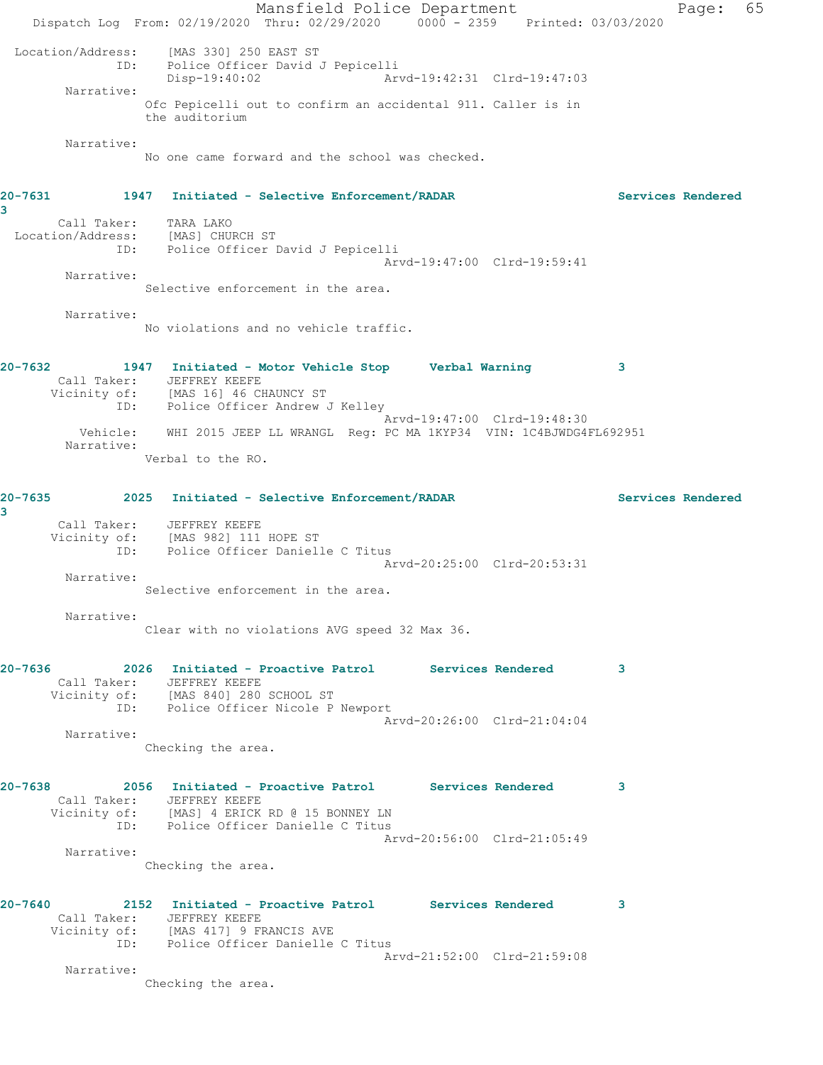Mansfield Police Department Fage: 65 Dispatch Log From: 02/19/2020 Thru: 02/29/2020 0000 - 2359 Printed: 03/03/2020 Location/Address: [MAS 330] 250 EAST ST ID: Police Officer David J Pepicelli Disp-19:40:02 Arvd-19:42:31 Clrd-19:47:03 Narrative: Ofc Pepicelli out to confirm an accidental 911. Caller is in the auditorium Narrative: No one came forward and the school was checked. **20-7631 1947 Initiated - Selective Enforcement/RADAR Services Rendered 3**  Call Taker: TARA LAKO Location/Address: [MAS] CHURCH ST ID: Police Officer David J Pepicelli Arvd-19:47:00 Clrd-19:59:41 Narrative: Selective enforcement in the area. Narrative: No violations and no vehicle traffic. **20-7632 1947 Initiated - Motor Vehicle Stop Verbal Warning 3**  Call Taker: JEFFREY KEEFE Vicinity of: [MAS 16] 46 CHAUNCY ST ID: Police Officer Andrew J Kelley Arvd-19:47:00 Clrd-19:48:30 Vehicle: WHI 2015 JEEP LL WRANGL Reg: PC MA 1KYP34 VIN: 1C4BJWDG4FL692951 Narrative: Verbal to the RO. **20-7635 2025 Initiated - Selective Enforcement/RADAR Services Rendered 3**  Call Taker: JEFFREY KEEFE Vicinity of: [MAS 982] 111 HOPE ST ID: Police Officer Danielle C Titus Arvd-20:25:00 Clrd-20:53:31 Narrative: Selective enforcement in the area. Narrative: Clear with no violations AVG speed 32 Max 36. **20-7636 2026 Initiated - Proactive Patrol Services Rendered 3**  Call Taker: JEFFREY KEEFE Vicinity of: [MAS 840] 280 SCHOOL ST ID: Police Officer Nicole P Newport Arvd-20:26:00 Clrd-21:04:04 Narrative: Checking the area. **20-7638 2056 Initiated - Proactive Patrol Services Rendered 3**  Call Taker: JEFFREY KEEFE Vicinity of: [MAS] 4 ERICK RD @ 15 BONNEY LN ID: Police Officer Danielle C Titus Arvd-20:56:00 Clrd-21:05:49 Narrative: Checking the area. **20-7640 2152 Initiated - Proactive Patrol Services Rendered 3**  Call Taker: JEFFREY KEEFE Vicinity of: [MAS 417] 9 FRANCIS AVE ID: Police Officer Danielle C Titus Arvd-21:52:00 Clrd-21:59:08 Narrative: Checking the area.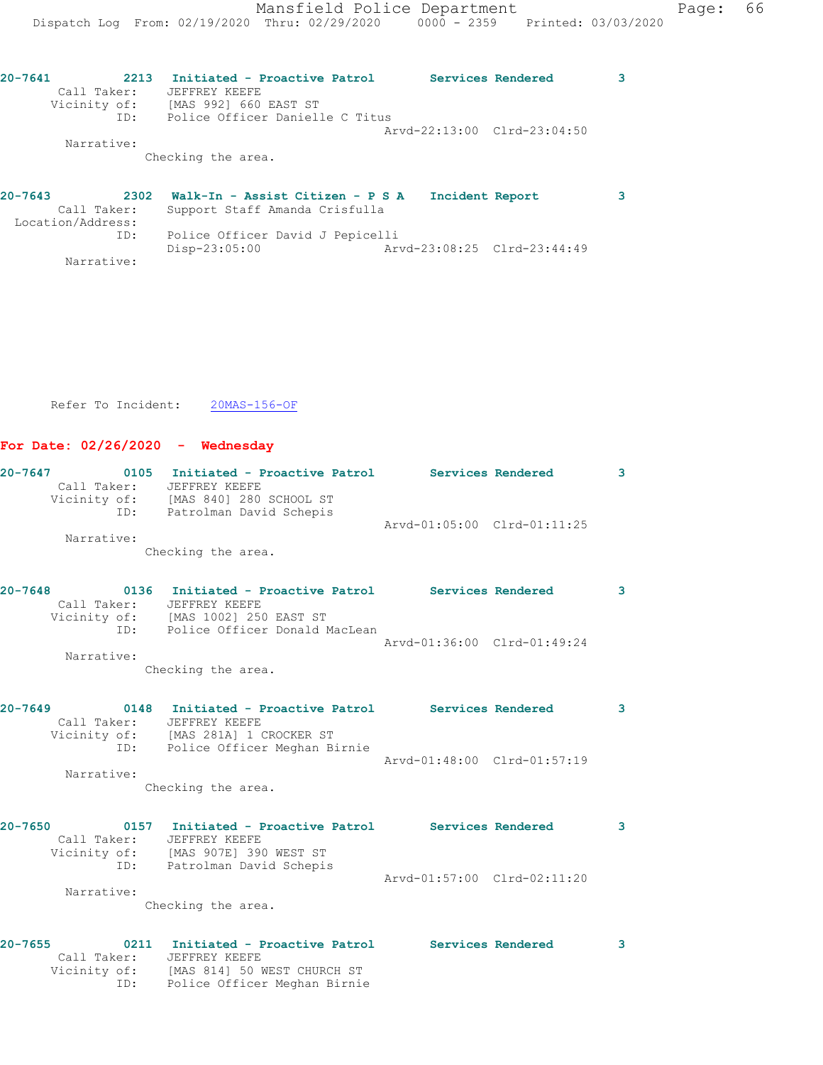| 20-7641      | 2213 | Initiated - Proactive Patrol    |  | Services Rendered           |  |
|--------------|------|---------------------------------|--|-----------------------------|--|
| Call Taker:  |      | JEFFREY KEEFE                   |  |                             |  |
| Vicinity of: |      | [MAS 992] 660 EAST ST           |  |                             |  |
| ID:          |      | Police Officer Danielle C Titus |  |                             |  |
|              |      |                                 |  | Arvd-22:13:00 Clrd-23:04:50 |  |
| Narrative:   |      |                                 |  |                             |  |
|              |      | Checking the area.              |  |                             |  |

| $20 - 7643$ | 2302              | Walk-In - Assist Citizen - P S A | Incident Report |                             |  |
|-------------|-------------------|----------------------------------|-----------------|-----------------------------|--|
|             | Call Taker:       | Support Staff Amanda Crisfulla   |                 |                             |  |
|             | Location/Address: |                                  |                 |                             |  |
|             | ID:               | Police Officer David J Pepicelli |                 |                             |  |
|             |                   | Disp-23:05:00                    |                 | Arvd-23:08:25 Clrd-23:44:49 |  |
|             | Narrative:        |                                  |                 |                             |  |

Refer To Incident: 20MAS-156-OF

ID: Police Officer Meghan Birnie

## **For Date: 02/26/2020 - Wednesday**

| $20 - 7647$ |                             | 0105 Initiated - Proactive Patrol Services Rendered<br>Call Taker: JEFFREY KEEFE<br>Vicinity of: [MAS 840] 280 SCHOOL ST<br>ID: Patrolman David Schepis | Arvd-01:05:00 Clrd-01:11:25 | $\mathbf{3}$ |
|-------------|-----------------------------|---------------------------------------------------------------------------------------------------------------------------------------------------------|-----------------------------|--------------|
|             | Narrative:                  | Checking the area.                                                                                                                                      |                             |              |
| $20 - 7648$ | Call Taker:                 | 0136 Initiated - Proactive Patrol Services Rendered<br>JEFFREY KEEFE                                                                                    |                             | 3            |
|             |                             | Vicinity of: [MAS 1002] 250 EAST ST<br>ID: Police Officer Donald MacLean                                                                                | Arvd-01:36:00 Clrd-01:49:24 |              |
|             | Narrative:                  | Checking the area.                                                                                                                                      |                             |              |
| $20 - 7649$ | Call Taker:                 | 0148 Initiated - Proactive Patrol Services Rendered<br>JEFFREY KEEFE<br>Vicinity of: [MAS 281A] 1 CROCKER ST                                            |                             | 3            |
|             | ID:<br>Narrative:           | Police Officer Meghan Birnie<br>Checking the area.                                                                                                      | Arvd-01:48:00 Clrd-01:57:19 |              |
|             |                             |                                                                                                                                                         |                             |              |
| $20 - 7650$ | Call Taker:                 | 0157 Initiated - Proactive Patrol Services Rendered<br>JEFFREY KEEFE<br>Vicinity of: [MAS 907E] 390 WEST ST<br>ID: Patrolman David Schepis              | Arvd-01:57:00 Clrd-02:11:20 | $\mathbf{3}$ |
|             | Narrative:                  | Checking the area.                                                                                                                                      |                             |              |
| $20 - 7655$ | Call Taker:<br>Vicinity of: | 0211 Initiated - Proactive Patrol Services Rendered<br>JEFFREY KEEFE<br>[MAS 814] 50 WEST CHURCH ST                                                     |                             | 3            |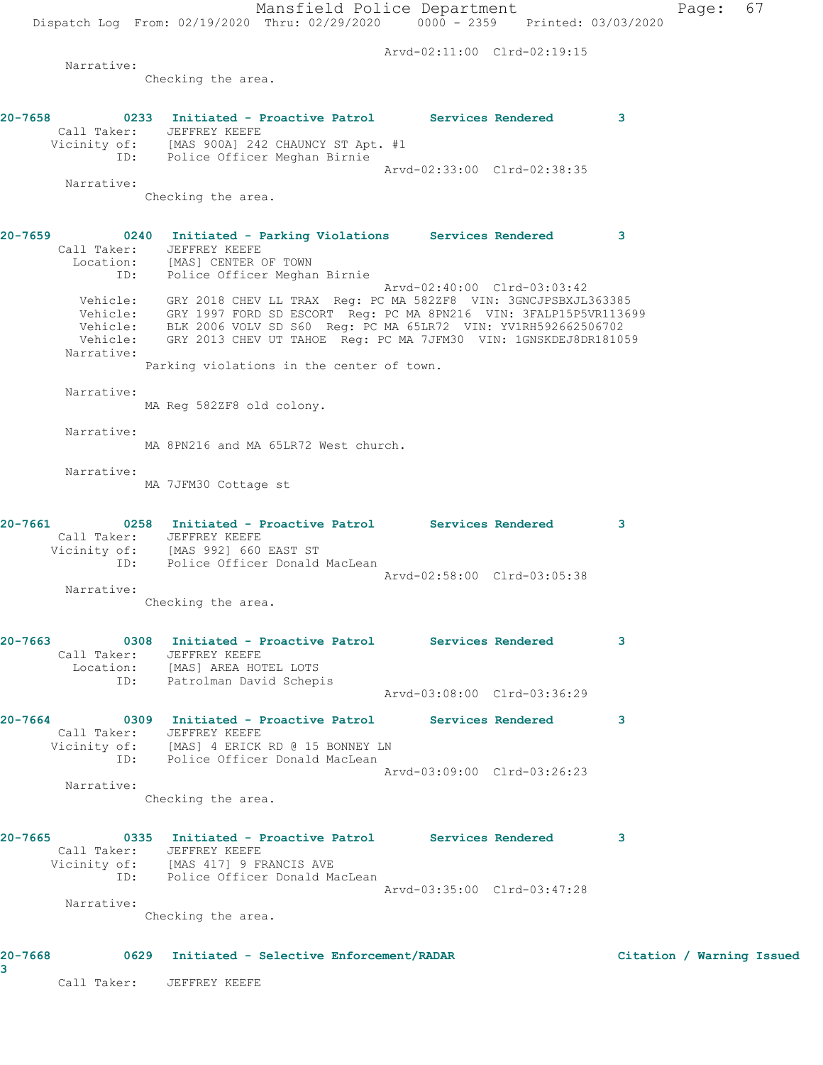Mansfield Police Department Page: 67 Dispatch Log From: 02/19/2020 Thru: 02/29/2020 0000 - 2359 Printed: 03/03/2020 Arvd-02:11:00 Clrd-02:19:15 Narrative: Checking the area. **20-7658 0233 Initiated - Proactive Patrol Services Rendered 3**  Call Taker: JEFFREY KEEFE Vicinity of: [MAS 900A] 242 CHAUNCY ST Apt. #1 ID: Police Officer Meghan Birnie Arvd-02:33:00 Clrd-02:38:35 Narrative: Checking the area. **20-7659 0240 Initiated - Parking Violations Services Rendered 3**  Call Taker: JEFFREY KEEFE Location: [MAS] CENTER OF TOWN ID: Police Officer Meghan Birnie Arvd-02:40:00 Clrd-03:03:42 Vehicle: GRY 2018 CHEV LL TRAX Reg: PC MA 582ZF8 VIN: 3GNCJPSBXJL363385 Vehicle: GRY 1997 FORD SD ESCORT Reg: PC MA 8PN216 VIN: 3FALP15P5VR113699 Vehicle: BLK 2006 VOLV SD S60 Reg: PC MA 65LR72 VIN: YV1RH592662506702 Vehicle: GRY 2013 CHEV UT TAHOE Reg: PC MA 7JFM30 VIN: 1GNSKDEJ8DR181059 Narrative: Parking violations in the center of town. Narrative: MA Reg 582ZF8 old colony. Narrative: MA 8PN216 and MA 65LR72 West church. Narrative: MA 7JFM30 Cottage st **20-7661 0258 Initiated - Proactive Patrol Services Rendered 3**  Call Taker: JEFFREY KEEFE Vicinity of: [MAS 992] 660 EAST ST ID: Police Officer Donald MacLean Arvd-02:58:00 Clrd-03:05:38 Narrative: Checking the area. **20-7663 0308 Initiated - Proactive Patrol Services Rendered 3**  Call Taker: JEFFREY KEEFE<br>Location: [MAS] AREA HOT<br>ID: Patrolman Davi [MAS] AREA HOTEL LOTS IMASI ANDA ASSASSED DATAS Arvd-03:08:00 Clrd-03:36:29 **20-7664 0309 Initiated - Proactive Patrol Services Rendered 3**  Call Taker: JEFFREY KEEFE Vicinity of: [MAS] 4 ERICK RD @ 15 BONNEY LN ID: Police Officer Donald MacLean Arvd-03:09:00 Clrd-03:26:23 Narrative: Checking the area. **20-7665 0335 Initiated - Proactive Patrol Services Rendered 3**  Call Taker: JEFFREY KEEFE Vicinity of: [MAS 417] 9 FRANCIS AVE ID: Police Officer Donald MacLean Arvd-03:35:00 Clrd-03:47:28 Narrative: Checking the area.

**20-7668 0629 Initiated - Selective Enforcement/RADAR Citation / Warning Issued**

**3** 

Call Taker: JEFFREY KEEFE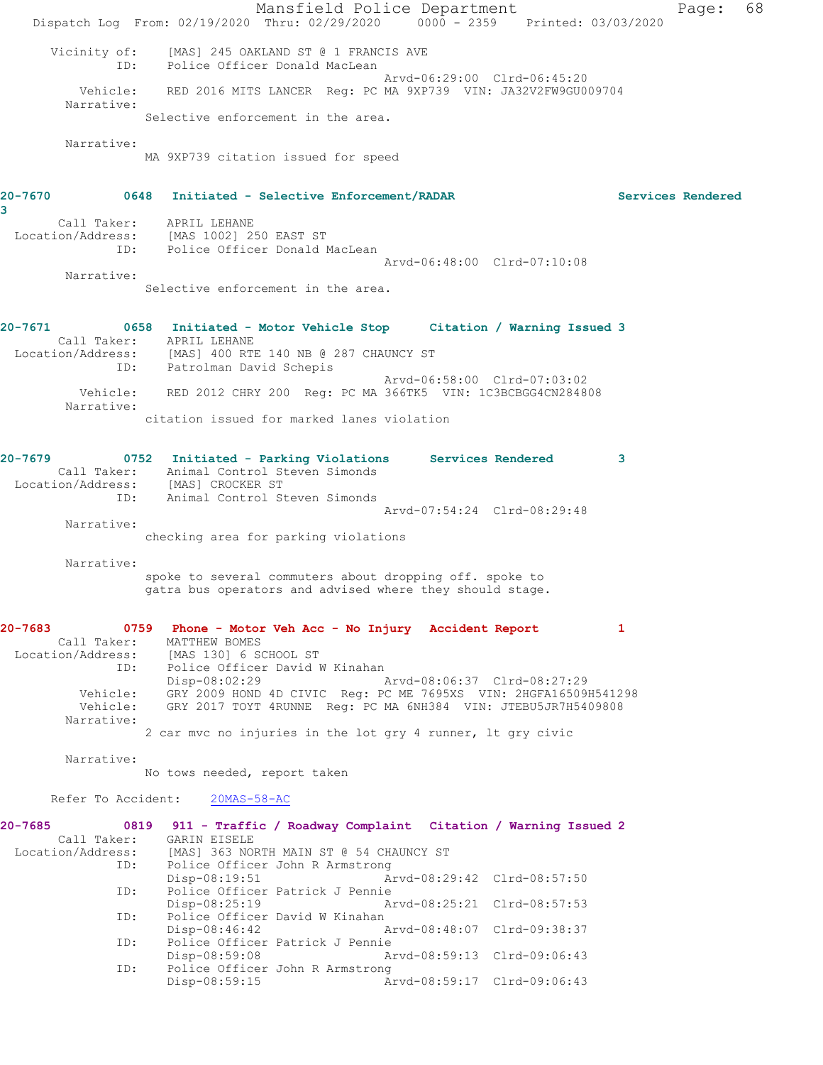Mansfield Police Department Page: 68 Dispatch Log From: 02/19/2020 Thru: 02/29/2020 0000 - 2359 Printed: 03/03/2020 Vicinity of: [MAS] 245 OAKLAND ST @ 1 FRANCIS AVE ID: Police Officer Donald MacLean Arvd-06:29:00 Clrd-06:45:20 Vehicle: RED 2016 MITS LANCER Reg: PC MA 9XP739 VIN: JA32V2FW9GU009704 Narrative: Selective enforcement in the area. Narrative: MA 9XP739 citation issued for speed **20-7670 0648 Initiated - Selective Enforcement/RADAR Services Rendered 3**  Call Taker: APRIL LEHANE Location/Address: [MAS 1002] 250 EAST ST ID: Police Officer Donald MacLean Arvd-06:48:00 Clrd-07:10:08 Narrative: Selective enforcement in the area. **20-7671 0658 Initiated - Motor Vehicle Stop Citation / Warning Issued 3**  Call Taker: APRIL LEHANE<br>ion/Address: [MAS] 400 RTE 140 NB @ 287 CHAUNCY ST Location/Address: [MAS] 400 RTE 140 NB @ 287 CHAUNCY ST ID: Patrolman David Schepis Arvd-06:58:00 Clrd-07:03:02 Vehicle: RED 2012 CHRY 200 Reg: PC MA 366TK5 VIN: 1C3BCBGG4CN284808 Narrative: citation issued for marked lanes violation **20-7679 0752 Initiated - Parking Violations Services Rendered 3**  Call Taker: Animal Control Steven Simonds Location/Address: [MAS] CROCKER ST ID: Animal Control Steven Simonds Arvd-07:54:24 Clrd-08:29:48 Narrative: checking area for parking violations Narrative: spoke to several commuters about dropping off. spoke to gatra bus operators and advised where they should stage. **20-7683 0759 Phone - Motor Veh Acc - No Injury Accident Report 1**  Call Taker: MATTHEW BOMES Location/Address: [MAS 130] 6 SCHOOL ST<br>ID: Police Officer David N Police Officer David W Kinahan<br>Disp-08:02:29 / Disp-08:02:29 Arvd-08:06:37 Clrd-08:27:29 Vehicle: GRY 2009 HOND 4D CIVIC Reg: PC ME 7695XS VIN: 2HGFA16509H541298 Vehicle: GRY 2017 TOYT 4RUNNE Reg: PC MA 6NH384 VIN: JTEBU5JR7H5409808 Narrative: 2 car mvc no injuries in the lot gry 4 runner, lt gry civic Narrative: No tows needed, report taken Refer To Accident: 20MAS-58-AC **20-7685 0819 911 - Traffic / Roadway Complaint Citation / Warning Issued 2**  Call Taker: GARIN EISELE<br>Location/Address: [MAS] 363 NO [MAS] 363 NORTH MAIN ST @ 54 CHAUNCY ST ID: Police Officer John R Armstrong<br>Disp-08:19:51 A: Disp-08:19:51 Arvd-08:29:42 Clrd-08:57:50 ID: Police Officer Patrick J Pennie Arvd-08:25:21 Clrd-08:57:53 ID: Police Officer David W Kinahan Disp-08:46:42 Arvd-08:48:07 Clrd-09:38:37 ID: Police Officer Patrick J Pennie Disp-08:59:08 Arvd-08:59:13 Clrd-09:06:43<br>ID: Police Officer John R Armstrong Police Officer John R Armstrong<br>Disp-08:59:15 Ar

Disp-08:59:15 Arvd-08:59:17 Clrd-09:06:43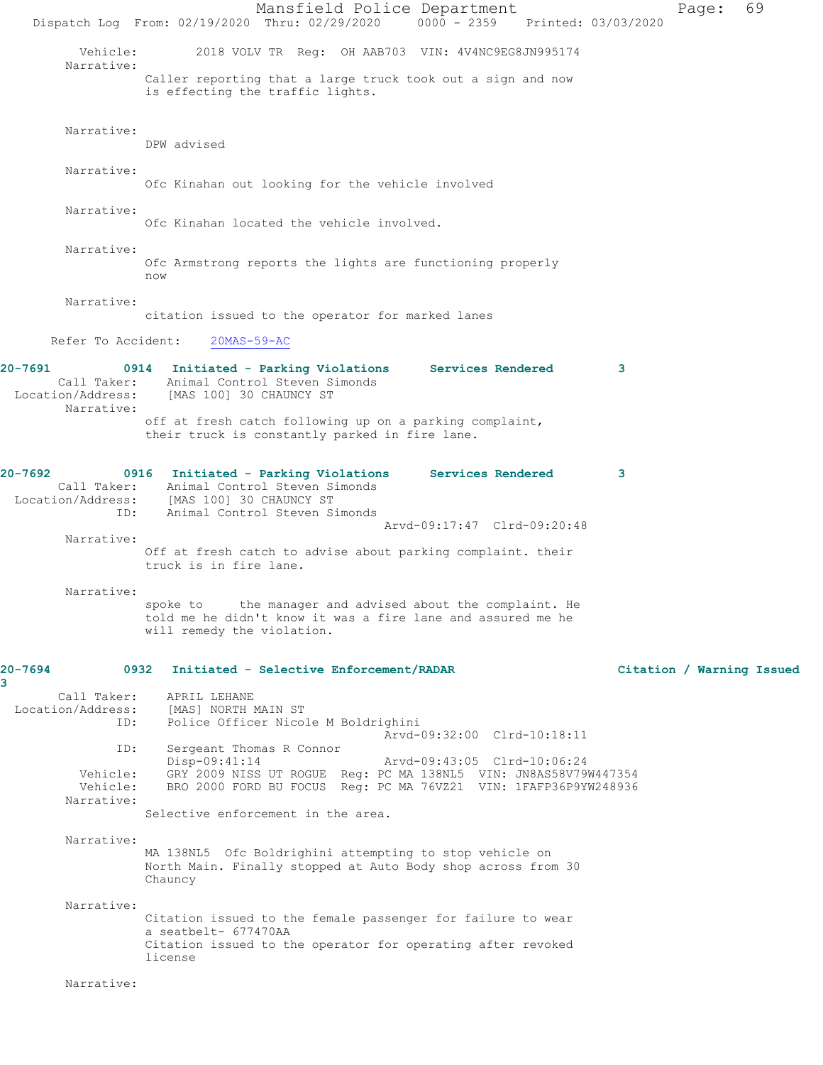Mansfield Police Department Page: 69 Dispatch Log From: 02/19/2020 Thru: 02/29/2020 0000 - 2359 Printed: 03/03/2020 Vehicle: 2018 VOLV TR Reg: OH AAB703 VIN: 4V4NC9EG8JN995174 Narrative: Caller reporting that a large truck took out a sign and now is effecting the traffic lights. Narrative: DPW advised Narrative: Ofc Kinahan out looking for the vehicle involved Narrative: Ofc Kinahan located the vehicle involved. Narrative: Ofc Armstrong reports the lights are functioning properly now Narrative: citation issued to the operator for marked lanes Refer To Accident: 20MAS-59-AC **20-7691 0914 Initiated - Parking Violations Services Rendered 3**  Call Taker: Animal Control Steven Simonds Location/Address: [MAS 100] 30 CHAUNCY ST Narrative: off at fresh catch following up on a parking complaint, their truck is constantly parked in fire lane. **20-7692 0916 Initiated - Parking Violations Services Rendered 3**  Call Taker: Animal Control Steven Simonds Location/Address: [MAS 100] 30 CHAUNCY ST ID: Animal Control Steven Simonds Arvd-09:17:47 Clrd-09:20:48 Narrative: Off at fresh catch to advise about parking complaint. their truck is in fire lane. Narrative: spoke to the manager and advised about the complaint. He told me he didn't know it was a fire lane and assured me he will remedy the violation. **20-7694 0932 Initiated - Selective Enforcement/RADAR Citation / Warning Issued 3**  Call Taker: APRIL LEHANE Location/Address: [MAS] NORTH MAIN ST Police Officer Nicole M Boldrighini Arvd-09:32:00 Clrd-10:18:11 ID: Sergeant Thomas R Connor<br>Disp-09:41:14 Disp-09:41:14 Arvd-09:43:05 Clrd-10:06:24<br>Vehicle: GRY 2009 NISS UT ROGUE Req: PC MA 138NL5 VIN: JN8AS58V79 Vehicle: GRY 2009 NISS UT ROGUE Reg: PC MA 138NL5 VIN: JN8AS58V79W447354 Vehicle: BRO 2000 FORD BU FOCUS Reg: PC MA 76VZ21 VIN: 1FAFP36P9YW248936 Narrative: Selective enforcement in the area. Narrative: MA 138NL5 Ofc Boldrighini attempting to stop vehicle on North Main. Finally stopped at Auto Body shop across from 30 Chauncy Narrative: Citation issued to the female passenger for failure to wear a seatbelt- 677470AA Citation issued to the operator for operating after revoked license Narrative: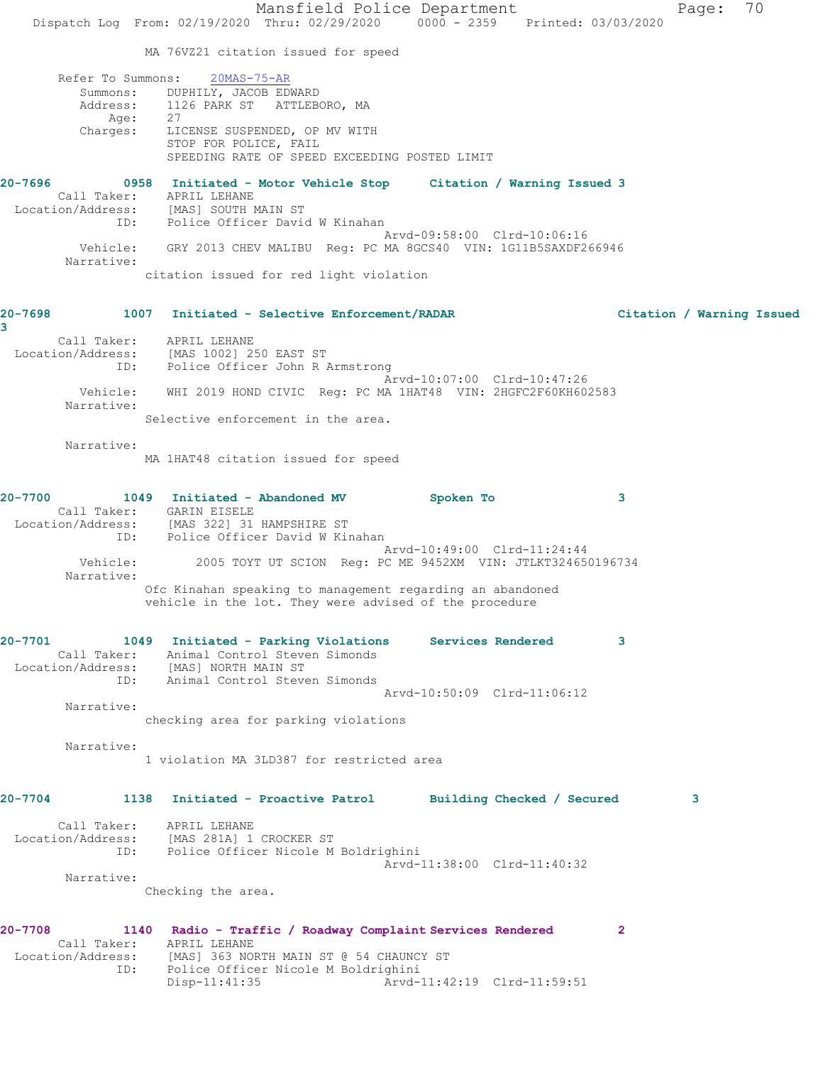Mansfield Police Department Page: 70 Dispatch Log From: 02/19/2020 Thru: 02/29/2020 0000 - 2359 Printed: 03/03/2020 MA 76VZ21 citation issued for speed Refer To Summons: 20MAS-75-AR Summons: DUPHILY, JACOB EDWARD Address: 1126 PARK ST ATTLEBORO, MA Age: 27 Charges: LICENSE SUSPENDED, OP MV WITH STOP FOR POLICE, FAIL SPEEDING RATE OF SPEED EXCEEDING POSTED LIMIT **20-7696 0958 Initiated - Motor Vehicle Stop Citation / Warning Issued 3**  Call Taker: APRIL LEHANE Location/Address: [MAS] SOUTH MAIN ST ID: Police Officer David W Kinahan Arvd-09:58:00 Clrd-10:06:16 Vehicle: GRY 2013 CHEV MALIBU Reg: PC MA 8GCS40 VIN: 1G11B5SAXDF266946 Narrative: citation issued for red light violation **20-7698 1007 Initiated - Selective Enforcement/RADAR Citation / Warning Issued 3**  Call Taker: APRIL LEHANE Location/Address: [MAS 1002] 250 EAST ST ID: Police Officer John R Armstrong Arvd-10:07:00 Clrd-10:47:26 Vehicle: WHI 2019 HOND CIVIC Reg: PC MA 1HAT48 VIN: 2HGFC2F60KH602583 Narrative: Selective enforcement in the area. Narrative: MA 1HAT48 citation issued for speed **20-7700 1049 Initiated - Abandoned MV Spoken To 3**  Call Taker: GARIN EISELE Location/Address: [MAS 322] 31 HAMPSHIRE ST ID: Police Officer David W Kinahan Arvd-10:49:00 Clrd-11:24:44 Vehicle: 2005 TOYT UT SCION Reg: PC ME 9452XM VIN: JTLKT324650196734 Narrative: Ofc Kinahan speaking to management regarding an abandoned vehicle in the lot. They were advised of the procedure **20-7701 1049 Initiated - Parking Violations Services Rendered 3**  Call Taker: Animal Control Steven Simonds Location/Address: [MAS] NORTH MAIN ST ID: Animal Control Steven Simonds Arvd-10:50:09 Clrd-11:06:12 Narrative: checking area for parking violations Narrative: 1 violation MA 3LD387 for restricted area **20-7704 1138 Initiated - Proactive Patrol Building Checked / Secured 3** Call Taker: APRIL LEHANE Location/Address: [MAS 281A] 1 CROCKER ST ID: Police Officer Nicole M Boldrighini Arvd-11:38:00 Clrd-11:40:32 Narrative: Checking the area. **20-7708 1140 Radio - Traffic / Roadway Complaint Services Rendered 2**  Call Taker: APRIL LEHANE Location/Address: [MAS] 363 NORTH MAIN ST @ 54 CHAUNCY ST ID: Police Officer Nicole M Boldrighini Disp-11:41:35 Arvd-11:42:19 Clrd-11:59:51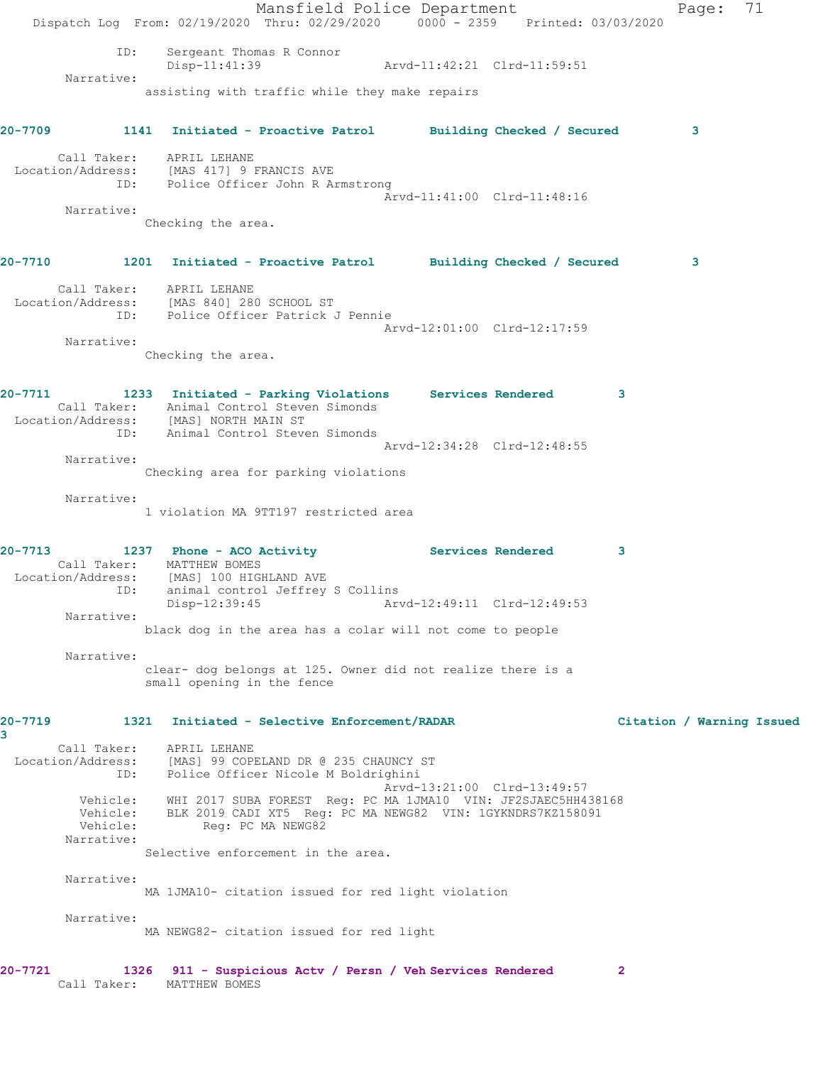Mansfield Police Department Fage: 71 Dispatch Log From: 02/19/2020 Thru: 02/29/2020 0000 - 2359 Printed: 03/03/2020 ID: Sergeant Thomas R Connor Disp-11:41:39 Arvd-11:42:21 Clrd-11:59:51 Narrative: assisting with traffic while they make repairs **20-7709 1141 Initiated - Proactive Patrol Building Checked / Secured 3** Call Taker: APRIL LEHANE Location/Address: [MAS 417] 9 FRANCIS AVE ID: Police Officer John R Armstrong Arvd-11:41:00 Clrd-11:48:16 Narrative: Checking the area. **20-7710 1201 Initiated - Proactive Patrol Building Checked / Secured 3** Call Taker: APRIL LEHANE Location/Address: [MAS 840] 280 SCHOOL ST ID: Police Officer Patrick J Pennie Arvd-12:01:00 Clrd-12:17:59 Narrative: Checking the area. **20-7711 1233 Initiated - Parking Violations Services Rendered 3**  Call Taker: Animal Control Steven Simonds Location/Address: [MAS] NORTH MAIN ST ID: Animal Control Steven Simonds Arvd-12:34:28 Clrd-12:48:55 Narrative: Checking area for parking violations Narrative: 1 violation MA 9TT197 restricted area **20-7713 1237 Phone - ACO Activity Services Rendered 3**  Call Taker: MATTHEW BOMES Location/Address: [MAS] 100 HIGHLAND AVE ID: animal control Jeffrey S Collins<br>Disp-12:39:45 Ary Disp-12:39:45 Arvd-12:49:11 Clrd-12:49:53 Narrative: black dog in the area has a colar will not come to people Narrative: clear- dog belongs at 125. Owner did not realize there is a small opening in the fence **20-7719 1321 Initiated - Selective Enforcement/RADAR Citation / Warning Issued 3**  Call Taker: APRIL LEHANE Location/Address: [MAS] 99 COPELAND DR @ 235 CHAUNCY ST ID: Police Officer Nicole M Boldrighini<br>Arvd-13:21:00 Clrd-13:49:57 Arvd-13:21:00 Clrd-13:49:57 Vehicle: WHI 2017 SUBA FOREST Reg: PC MA 1JMA10 VIN: JF2SJAEC5HH438168 Vehicle: BLK 2019 CADI XT5 Reg: PC MA NEWG82 VIN: 1GYKNDRS7KZ158091 Vehicle: Reg: PC MA NEWG82 Narrative: Selective enforcement in the area. Narrative: MA 1JMA10- citation issued for red light violation Narrative: MA NEWG82- citation issued for red light **20-7721 1326 911 - Suspicious Actv / Persn / Veh Services Rendered 2**  Call Taker: MATTHEW BOMES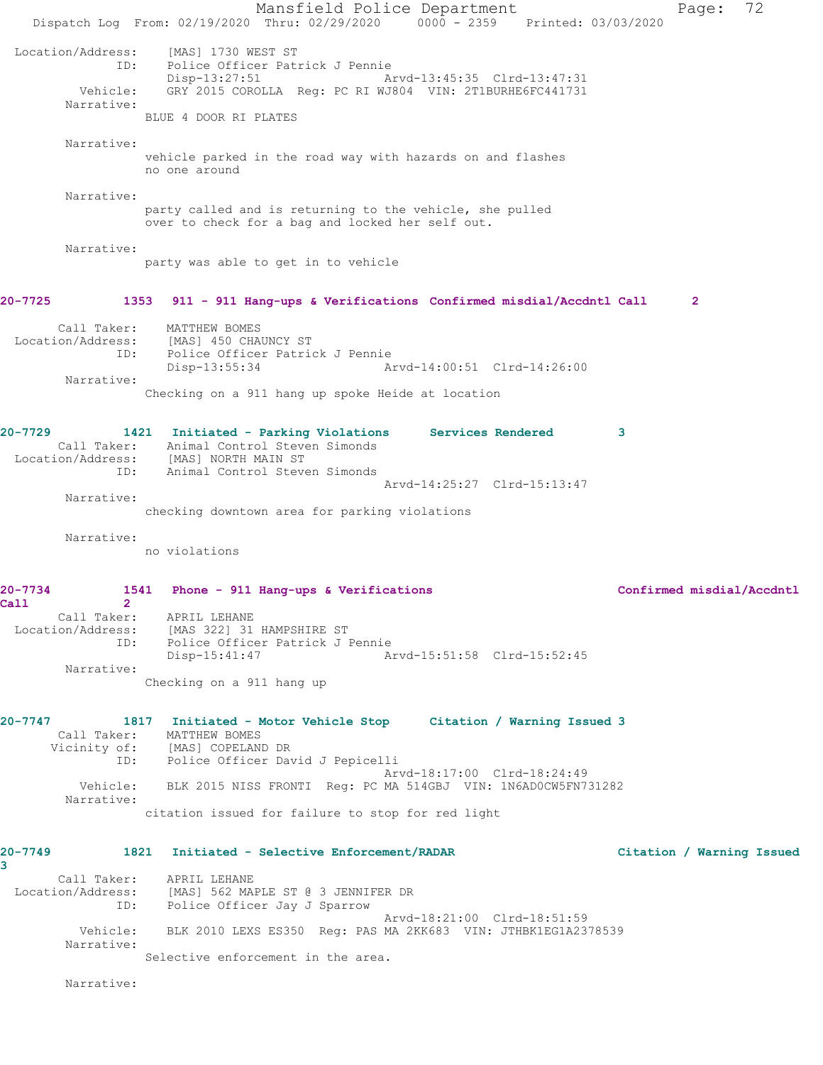Mansfield Police Department Fage: 72 Dispatch Log From: 02/19/2020 Thru: 02/29/2020 0000 - 2359 Printed: 03/03/2020 Location/Address: [MAS] 1730 WEST ST<br>ID: Police Officer Patr Police Officer Patrick J Pennie<br>Disp-13:27:51 Ar Arvd-13:45:35 Clrd-13:47:31 Vehicle: GRY 2015 COROLLA Reg: PC RI WJ804 VIN: 2T1BURHE6FC441731 Narrative: BLUE 4 DOOR RI PLATES Narrative: vehicle parked in the road way with hazards on and flashes no one around Narrative: party called and is returning to the vehicle, she pulled over to check for a bag and locked her self out. Narrative: party was able to get in to vehicle **20-7725 1353 911 - 911 Hang-ups & Verifications Confirmed misdial/Accdntl Call 2** Call Taker: MATTHEW BOMES Location/Address: [MAS] 450 CHAUNCY ST ID: Police Officer Patrick J Pennie Disp-13:55:34 Arvd-14:00:51 Clrd-14:26:00 Narrative: Checking on a 911 hang up spoke Heide at location **20-7729 1421 Initiated - Parking Violations Services Rendered 3**  Call Taker: Animal Control Steven Simonds Location/Address: [MAS] NORTH MAIN ST ID: Animal Control Steven Simonds Arvd-14:25:27 Clrd-15:13:47 Narrative: checking downtown area for parking violations Narrative: no violations **20-7734 1541 Phone - 911 Hang-ups & Verifications Confirmed misdial/Accdntl Call 2**  Call Taker: APRIL LEHANE Location/Address: [MAS 322] 31 HAMPSHIRE ST ID: Police Officer Patrick J Pennie Disp-15:41:47 Arvd-15:51:58 Clrd-15:52:45 Narrative: Checking on a 911 hang up **20-7747 1817 Initiated - Motor Vehicle Stop Citation / Warning Issued 3**  Call Taker: MATTHEW BOMES Vicinity of: [MAS] COPELAND DR ID: Police Officer David J Pepicelli Arvd-18:17:00 Clrd-18:24:49 Vehicle: BLK 2015 NISS FRONTI Reg: PC MA 514GBJ VIN: 1N6AD0CW5FN731282 Narrative: citation issued for failure to stop for red light **20-7749 1821 Initiated - Selective Enforcement/RADAR Citation / Warning Issued 3**  Call Taker: APRIL LEHANE Location/Address: [MAS] 562 MAPLE ST @ 3 JENNIFER DR ID: Police Officer Jay J Sparrow Arvd-18:21:00 Clrd-18:51:59 Vehicle: BLK 2010 LEXS ES350 Reg: PAS MA 2KK683 VIN: JTHBK1EG1A2378539 Narrative: Selective enforcement in the area. Narrative: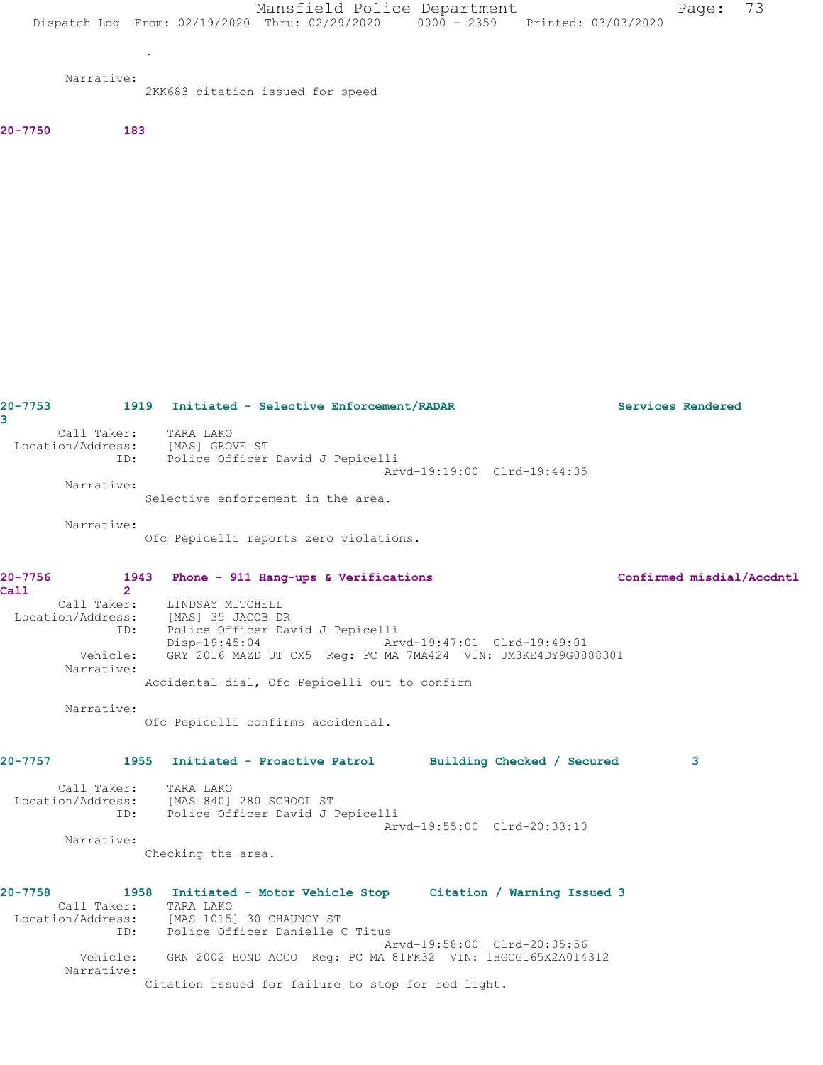Mansfield Police Department Fage: 73 Dispatch Log From: 02/19/2020 Thru: 02/29/2020 0000 - 2359 Printed: 03/03/2020

Narrative:

.

2KK683 citation issued for speed

**20-7750 183** 

**20-7753 1919 Initiated - Selective Enforcement/RADAR Services Rendered 3**  Call Taker: TARA LAKO Location/Address: [MAS] GROVE ST ID: Police Officer David J Pepicelli Arvd-19:19:00 Clrd-19:44:35 Narrative: Selective enforcement in the area. Narrative: Ofc Pepicelli reports zero violations. **20-7756 1943 Phone - 911 Hang-ups & Verifications Confirmed misdial/Accdntl Call 2**  LINDSAY MITCHELL Location/Address: [MAS] 35 JACOB DR ID: Police Officer David J Pepicelli Disp-19:45:04 Arvd-19:47:01 Clrd-19:49:01 Vehicle: GRY 2016 MAZD UT CX5 Reg: PC MA 7MA424 VIN: JM3KE4DY9G0888301 Narrative: Accidental dial, Ofc Pepicelli out to confirm Narrative: Ofc Pepicelli confirms accidental. **20-7757 1955 Initiated - Proactive Patrol Building Checked / Secured 3** Call Taker: TARA LAKO Location/Address: [MAS 840] 280 SCHOOL ST ID: Police Officer David J Pepicelli Arvd-19:55:00 Clrd-20:33:10 Narrative: Checking the area. **20-7758 1958 Initiated - Motor Vehicle Stop Citation / Warning Issued 3**  Call Taker: TARA LAKO Location/Address: [MAS 1015] 30 CHAUNCY ST ID: Police Officer Danielle C Titus Arvd-19:58:00 Clrd-20:05:56 Vehicle: GRN 2002 HOND ACCO Reg: PC MA 81FK32 VIN: 1HGCG165X2A014312 Narrative: Citation issued for failure to stop for red light.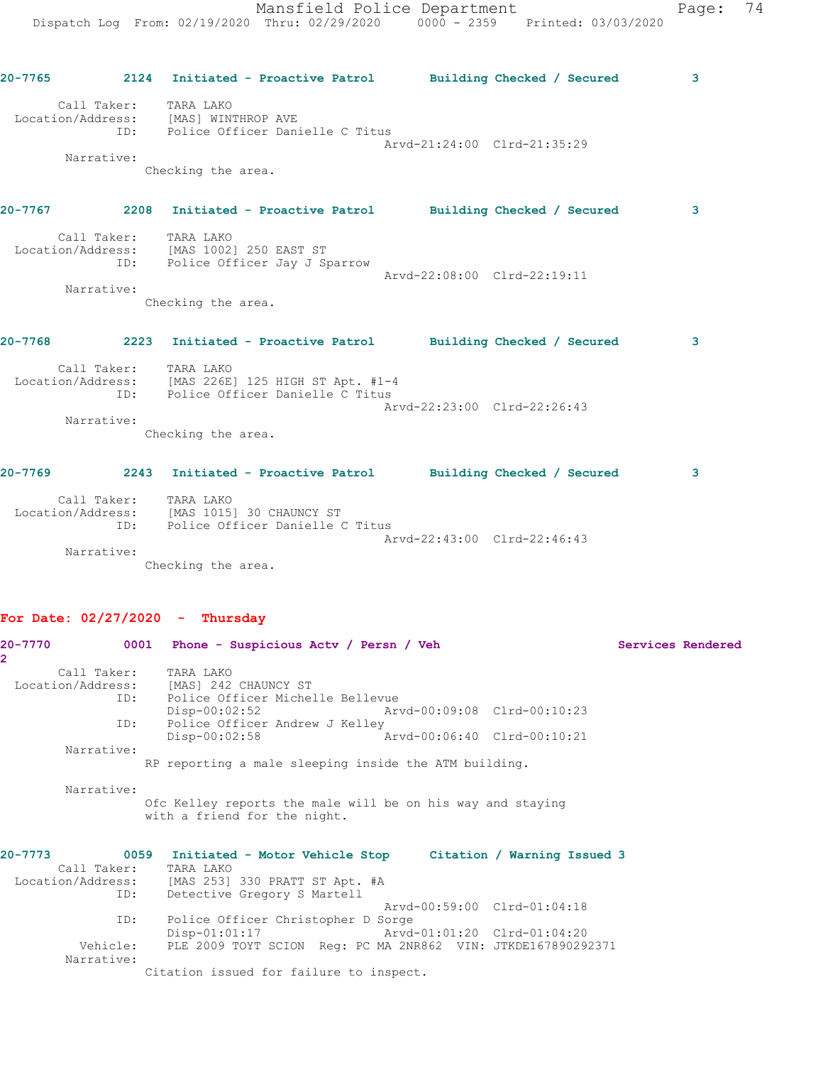| $20 - 7765$                      | 2124       | Initiated - Proactive Patrol    | Building Checked / Secured    | 3 |
|----------------------------------|------------|---------------------------------|-------------------------------|---|
| Call Taker:<br>Location/Address: |            | TARA LAKO<br>[MAS] WINTHROP AVE |                               |   |
|                                  | ID:        | Police Officer Danielle C Titus |                               |   |
|                                  |            |                                 | Arvd-21:24:00 Clrd-21:35:29   |   |
|                                  | Narrative: |                                 |                               |   |
|                                  |            | Checking the area.              |                               |   |
| $20 - 7767$                      | 2208       | Initiated - Proactive Patrol    | Building Checked /<br>Secured | з |

| Call Taker:       | TARA LAKO                    |                             |  |
|-------------------|------------------------------|-----------------------------|--|
| Location/Address: | MAS 10021 250 EAST ST        |                             |  |
| ID:               | Police Officer Jay J Sparrow |                             |  |
|                   |                              | Arvd-22:08:00 Clrd-22:19:11 |  |
| Narrative:        |                              |                             |  |

Checking the area.

**20-7768 2223 Initiated - Proactive Patrol Building Checked / Secured 3** Call Taker: TARA LAKO Location/Address: [MAS 226E] 125 HIGH ST Apt. #1-4 ID: Police Officer Danielle C Titus Arvd-22:23:00 Clrd-22:26:43 Narrative: Checking the area.

**20-7769 2243 Initiated - Proactive Patrol Building Checked / Secured 3** Call Taker: TARA LAKO

 Location/Address: [MAS 1015] 30 CHAUNCY ST ID: Police Officer Danielle C Titus Arvd-22:43:00 Clrd-22:46:43 Narrative:

Checking the area.

#### **For Date: 02/27/2020 - Thursday**

| 20-7770<br>$\mathbf{2}^-$ |     | 0001 Phone - Suspicious Actv / Persn / Veh                                                 |                             | Services Rendered |
|---------------------------|-----|--------------------------------------------------------------------------------------------|-----------------------------|-------------------|
| Call Taker: TARA LAKO     |     |                                                                                            |                             |                   |
| Location/Address:         |     | [MAS] 242 CHAUNCY ST                                                                       |                             |                   |
|                           | ID: | Police Officer Michelle Bellevue                                                           |                             |                   |
|                           |     | $Disp-00:02:52$<br>Arvd-00:09:08 Clrd-00:10:23                                             |                             |                   |
|                           | ID: | Police Officer Andrew J Kelley                                                             |                             |                   |
|                           |     | Arvd-00:06:40 Clrd-00:10:21<br>$Disp-00:02:58$                                             |                             |                   |
| Narrative:                |     |                                                                                            |                             |                   |
|                           |     | RP reporting a male sleeping inside the ATM building.                                      |                             |                   |
| Narrative:                |     |                                                                                            |                             |                   |
|                           |     | Ofc Kelley reports the male will be on his way and staying<br>with a friend for the night. |                             |                   |
| $20 - 7773$               |     | 0059 Initiated - Motor Vehicle Stop     Citation / Warning Issued 3                        |                             |                   |
| Call Taker:               |     | TARA LAKO                                                                                  |                             |                   |
|                           |     | Location/Address: [MAS 253] 330 PRATT ST Apt. #A                                           |                             |                   |
|                           | ID: | Detective Gregory S Martell                                                                |                             |                   |
|                           |     |                                                                                            | Arvd-00:59:00 Clrd-01:04:18 |                   |
| ID:                       |     | Police Officer Christopher D Sorge                                                         |                             |                   |
|                           |     | $Disp-01:01:17$                                                                            | Arvd-01:01:20 Clrd-01:04:20 |                   |
| Vehicle:                  |     | PLE 2009 TOYT SCION Reg: PC MA 2NR862 VIN: JTKDE167890292371                               |                             |                   |
| Narrative:                |     |                                                                                            |                             |                   |
|                           |     | Citation issued for failure to inspect.                                                    |                             |                   |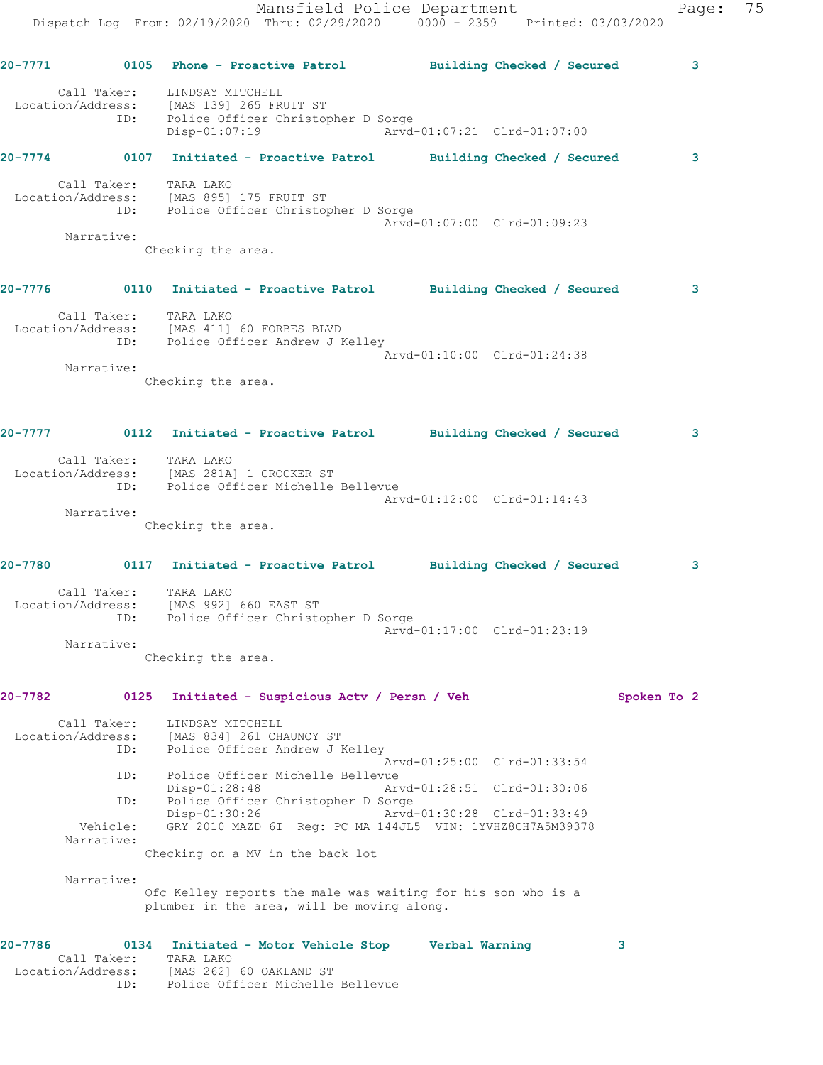| $20 - 7774$                      | 0107 | Initiated - Proactive Patrol                                                                      |                             | Building Checked / Secured | 3 |
|----------------------------------|------|---------------------------------------------------------------------------------------------------|-----------------------------|----------------------------|---|
| Call Taker:<br>Location/Address: | ID:  | LINDSAY MITCHELL<br>[MAS 139] 265 FRUIT ST<br>Police Officer Christopher D Sorge<br>Disp-01:07:19 | Arvd-01:07:21 Clrd-01:07:00 |                            |   |

| Call Taker:       | TARA LAKO                             |  |
|-------------------|---------------------------------------|--|
| Location/Address: | IMAS 8951 175 FRUIT ST                |  |
|                   |                                       |  |
| ID:               | Police Officer Christopher D Sorge    |  |
|                   | $Arvd-01:07:00 \text{ Clrd}-01:09:23$ |  |
| Narrative:        |                                       |  |

Checking the area.

### **20-7776 0110 Initiated - Proactive Patrol Building Checked / Secured 3** Call Taker: TARA LAKO Location/Address: [MAS 411] 60 FORBES BLVD ID: Police Officer Andrew J Kelley Arvd-01:10:00 Clrd-01:24:38 Narrative:

Checking the area.

**20-7777 0112 Initiated - Proactive Patrol Building Checked / Secured 3** Call Taker: TARA LAKO Location/Address: [MAS 281A] 1 CROCKER ST ID: Police Officer Michelle Bellevue Arvd-01:12:00 Clrd-01:14:43 Narrative:

Checking the area.

## **20-7780 0117 Initiated - Proactive Patrol Building Checked / Secured 3** Call Taker: TARA LAKO Location/Address: [MAS 992] 660 EAST ST ID: Police Officer Christopher D Sorge

 Arvd-01:17:00 Clrd-01:23:19 Narrative:

Checking the area.

# **20-7782 0125 Initiated - Suspicious Actv / Persn / Veh Spoken To 2**

 Call Taker: LINDSAY MITCHELL Location/Address: [MAS 834] 261 CHAUNCY ST ID: Police Officer Andrew J Kelley Arvd-01:25:00 Clrd-01:33:54 ID: Police Officer Michelle Bellevue<br>Disp-01:28:48 Art Disp-01:28:48 Arvd-01:28:51 Clrd-01:30:06 ID: Police Officer Christopher D Sorge<br>Disp-01:30:26 Arvd-01:30:28 Clrd-01:33:49 Disp-01:30:26 Vehicle: GRY 2010 MAZD 6I Reg: PC MA 144JL5 VIN: 1YVHZ8CH7A5M39378 Narrative:

Checking on a MV in the back lot

 Narrative: Ofc Kelley reports the male was waiting for his son who is a plumber in the area, will be moving along.

| 20-7786           |     | 0134 Initiated - Motor Vehicle Stop<br>Verbal Warning |  |
|-------------------|-----|-------------------------------------------------------|--|
| Call Taker:       |     | TARA LAKO                                             |  |
| Location/Address: |     | [MAS 262] 60 OAKLAND ST                               |  |
|                   | TD: | Police Officer Michelle Bellevue                      |  |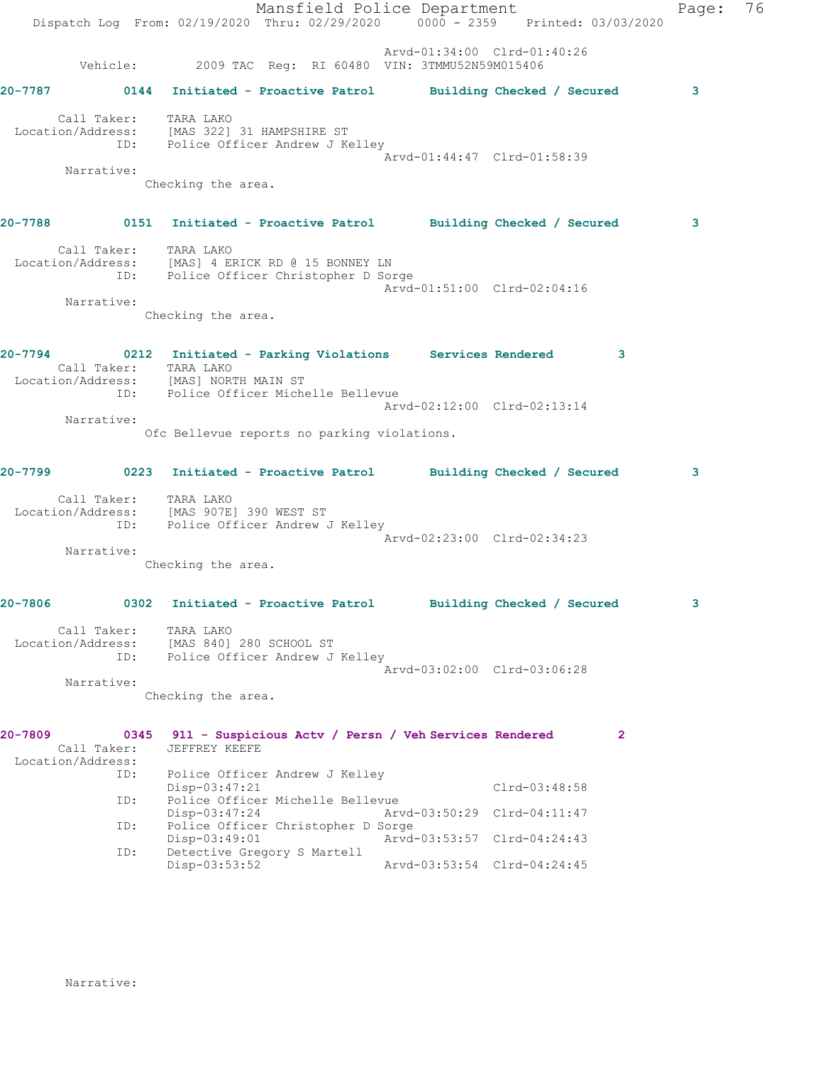|             |                                         |                                      |                                                                                             | Mansfield Police Department                                                           | Dispatch Log From: 02/19/2020 Thru: 02/29/2020 0000 - 2359 Printed: 03/03/2020   | Page: 76 |  |
|-------------|-----------------------------------------|--------------------------------------|---------------------------------------------------------------------------------------------|---------------------------------------------------------------------------------------|----------------------------------------------------------------------------------|----------|--|
|             |                                         |                                      |                                                                                             | Arvd-01:34:00 Clrd-01:40:26<br>Vehicle: 2009 TAC Req: RI 60480 VIN: 3TMMU52N59M015406 |                                                                                  |          |  |
|             |                                         |                                      |                                                                                             |                                                                                       |                                                                                  | 3        |  |
|             | Call Taker: TARA LAKO                   |                                      | Location/Address: [MAS 322] 31 HAMPSHIRE ST<br>ID: Police Officer Andrew J Kelley           |                                                                                       |                                                                                  |          |  |
|             | Narrative:                              | Checking the area.                   |                                                                                             | Arvd-01:44:47 Clrd-01:58:39                                                           |                                                                                  |          |  |
|             |                                         |                                      |                                                                                             |                                                                                       | 20-7788      0151  Initiated - Proactive Patrol     Building Checked / Secured   | 3        |  |
|             | Call Taker: TARA LAKO                   |                                      | Location/Address: [MAS] 4 ERICK RD @ 15 BONNEY LN<br>ID: Police Officer Christopher D Sorge |                                                                                       |                                                                                  |          |  |
|             | Narrative:                              | Checking the area.                   |                                                                                             | Arvd-01:51:00 Clrd-02:04:16                                                           |                                                                                  |          |  |
|             | Call Taker: TARA LAKO                   |                                      | Location/Address: [MAS] NORTH MAIN ST<br>ID: Police Officer Michelle Bellevue               |                                                                                       | 20-7794 0212 Initiated - Parking Violations Services Rendered 3                  |          |  |
|             | Narrative:                              |                                      | Ofc Bellevue reports no parking violations.                                                 | Arvd-02:12:00 Clrd-02:13:14                                                           |                                                                                  |          |  |
|             |                                         |                                      |                                                                                             |                                                                                       | 20-7799       0223   Initiated - Proactive Patrol     Building Checked / Secured | 3        |  |
|             | Call Taker: TARA LAKO                   |                                      | Location/Address: [MAS 907E] 390 WEST ST<br>ID: Police Officer Andrew J Kelley              |                                                                                       |                                                                                  |          |  |
|             | Narrative:                              | Checking the area.                   |                                                                                             | Arvd-02:23:00 Clrd-02:34:23                                                           |                                                                                  |          |  |
| $20 - 7806$ | 0302                                    |                                      | Initiated - Proactive Patrol                                                                |                                                                                       | Building Checked / Secured                                                       | 3        |  |
|             | Call Taker:<br>Location/Address:<br>ID: | TARA LAKO<br>[MAS 840] 280 SCHOOL ST | Police Officer Andrew J Kelley                                                              |                                                                                       |                                                                                  |          |  |
|             | Narrative:                              | Checking the area.                   |                                                                                             | Arvd-03:02:00 Clrd-03:06:28                                                           |                                                                                  |          |  |
| 20-7809     | Call Taker:<br>Location/Address:        | JEFFREY KEEFE                        |                                                                                             | 0345 911 - Suspicious Actv / Persn / Veh Services Rendered                            | $\mathbf{2}$                                                                     |          |  |
|             | ID:                                     | Disp-03:47:21                        | Police Officer Andrew J Kelley                                                              |                                                                                       | Clrd-03:48:58                                                                    |          |  |
|             | ID:<br>ID:                              | Disp-03:47:24                        | Police Officer Michelle Bellevue<br>Police Officer Christopher D Sorge                      | Arvd-03:50:29 Clrd-04:11:47                                                           |                                                                                  |          |  |
|             | ID:                                     | Disp-03:49:01                        | Detective Gregory S Martell                                                                 | Arvd-03:53:57 Clrd-04:24:43                                                           |                                                                                  |          |  |
|             |                                         | Disp-03:53:52                        |                                                                                             | Arvd-03:53:54 Clrd-04:24:45                                                           |                                                                                  |          |  |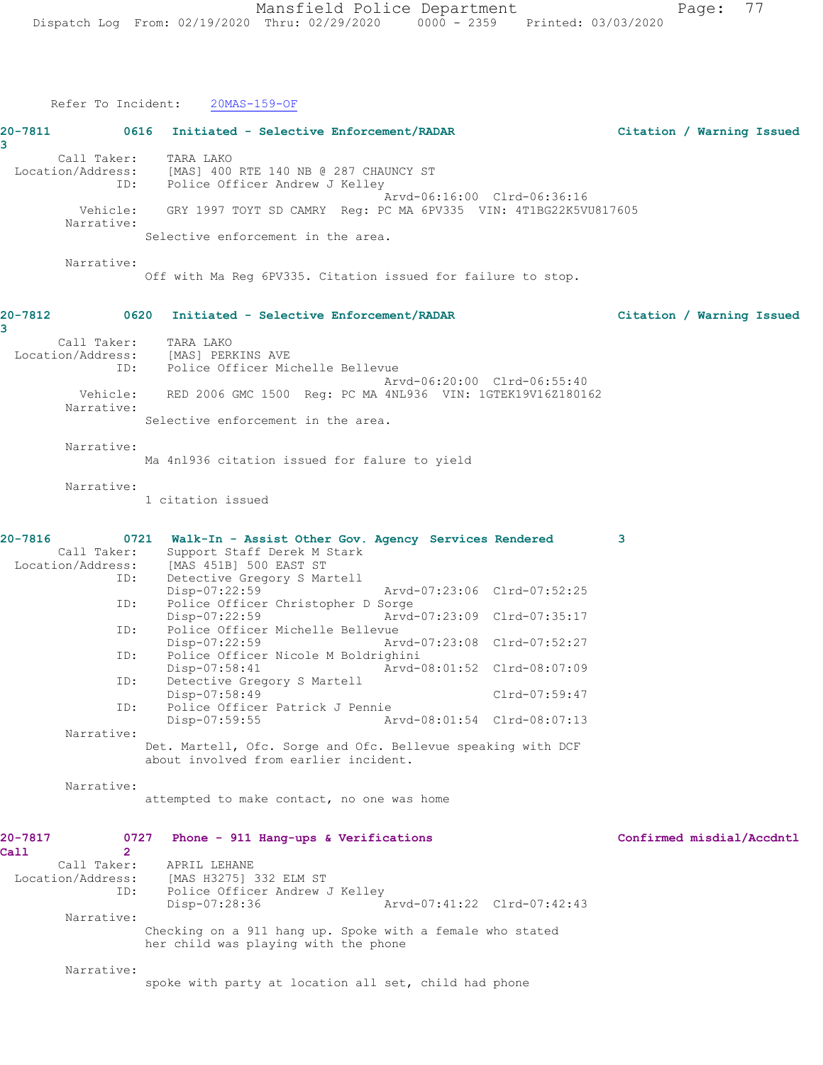|                 | Refer To Incident:                                                 | $20MAS-159-OF$                                                                                                                                                                                                                                                                                                                                                                                                                                                                                                                                                                                                                                                                                                                                                                                                                               |                           |
|-----------------|--------------------------------------------------------------------|----------------------------------------------------------------------------------------------------------------------------------------------------------------------------------------------------------------------------------------------------------------------------------------------------------------------------------------------------------------------------------------------------------------------------------------------------------------------------------------------------------------------------------------------------------------------------------------------------------------------------------------------------------------------------------------------------------------------------------------------------------------------------------------------------------------------------------------------|---------------------------|
| 20-7811<br>3    |                                                                    | 0616 Initiated - Selective Enforcement/RADAR                                                                                                                                                                                                                                                                                                                                                                                                                                                                                                                                                                                                                                                                                                                                                                                                 | Citation / Warning Issued |
|                 | Call Taker:<br>ID:                                                 | TARA LAKO<br>Location/Address: [MAS] 400 RTE 140 NB @ 287 CHAUNCY ST<br>Police Officer Andrew J Kelley                                                                                                                                                                                                                                                                                                                                                                                                                                                                                                                                                                                                                                                                                                                                       |                           |
|                 | Narrative:                                                         | Arvd-06:16:00 Clrd-06:36:16<br>Vehicle: GRY 1997 TOYT SD CAMRY Req: PC MA 6PV335 VIN: 4T1BG22K5VU817605                                                                                                                                                                                                                                                                                                                                                                                                                                                                                                                                                                                                                                                                                                                                      |                           |
|                 |                                                                    | Selective enforcement in the area.                                                                                                                                                                                                                                                                                                                                                                                                                                                                                                                                                                                                                                                                                                                                                                                                           |                           |
|                 | Narrative:                                                         | Off with Ma Reg 6PV335. Citation issued for failure to stop.                                                                                                                                                                                                                                                                                                                                                                                                                                                                                                                                                                                                                                                                                                                                                                                 |                           |
| 20-7812<br>3    |                                                                    | 0620 Initiated - Selective Enforcement/RADAR                                                                                                                                                                                                                                                                                                                                                                                                                                                                                                                                                                                                                                                                                                                                                                                                 | Citation / Warning Issued |
|                 | Call Taker:<br>ID:                                                 | TARA LAKO<br>Location/Address: [MAS] PERKINS AVE<br>Police Officer Michelle Bellevue<br>Arvd-06:20:00 Clrd-06:55:40                                                                                                                                                                                                                                                                                                                                                                                                                                                                                                                                                                                                                                                                                                                          |                           |
|                 | Narrative:                                                         | Vehicle: RED 2006 GMC 1500 Req: PC MA 4NL936 VIN: 1GTEK19V16Z180162                                                                                                                                                                                                                                                                                                                                                                                                                                                                                                                                                                                                                                                                                                                                                                          |                           |
|                 | Narrative:                                                         | Selective enforcement in the area.                                                                                                                                                                                                                                                                                                                                                                                                                                                                                                                                                                                                                                                                                                                                                                                                           |                           |
|                 |                                                                    | Ma 4n1936 citation issued for falure to yield                                                                                                                                                                                                                                                                                                                                                                                                                                                                                                                                                                                                                                                                                                                                                                                                |                           |
|                 | Narrative:                                                         | 1 citation issued                                                                                                                                                                                                                                                                                                                                                                                                                                                                                                                                                                                                                                                                                                                                                                                                                            |                           |
| 20-7816         | ID:<br>ID:<br>ID:<br>ID:<br>ID:<br>ID:<br>Narrative:<br>Narrative: | 0721 Walk-In - Assist Other Gov. Agency Services Rendered<br>Call Taker: Support Staff Derek M :<br>Location/Address: [MAS 451B] 500 EAST ST<br>Support Staff Derek M Stark<br>Detective Gregory S Martell<br>Disp-07:22:59<br>Arvd-07:23:06 Clrd-07:52:25<br>Police Officer Christopher D Sorge<br>Arvd-07:23:09 Clrd-07:35:17<br>Disp-07:22:59<br>Police Officer Michelle Bellevue<br>$Disp-07:22:59$<br>Arvd-07:23:08 Clrd-07:52:27<br>Police Officer Nicole M Boldrighini<br>Arvd-08:01:52 Clrd-08:07:09<br>$Disp-07:58:41$<br>Detective Gregory S Martell<br>Disp-07:58:49<br>Clrd-07:59:47<br>Police Officer Patrick J Pennie<br>Arvd-08:01:54 Clrd-08:07:13<br>$Disp-07:59:55$<br>Det. Martell, Ofc. Sorge and Ofc. Bellevue speaking with DCF<br>about involved from earlier incident.<br>attempted to make contact, no one was home | 3                         |
| 20-7817<br>Call | 0727<br>$\mathbf{2}$<br>Call Taker:<br>ID:<br>Narrative:           | Phone - 911 Hang-ups & Verifications<br>APRIL LEHANE<br>Location/Address: [MAS H3275] 332 ELM ST<br>Police Officer Andrew J Kelley<br>Arvd-07:41:22 Clrd-07:42:43<br>Disp-07:28:36<br>Checking on a 911 hang up. Spoke with a female who stated<br>her child was playing with the phone                                                                                                                                                                                                                                                                                                                                                                                                                                                                                                                                                      | Confirmed misdial/Accdntl |
|                 | Narrative:                                                         | spoke with party at location all set, child had phone                                                                                                                                                                                                                                                                                                                                                                                                                                                                                                                                                                                                                                                                                                                                                                                        |                           |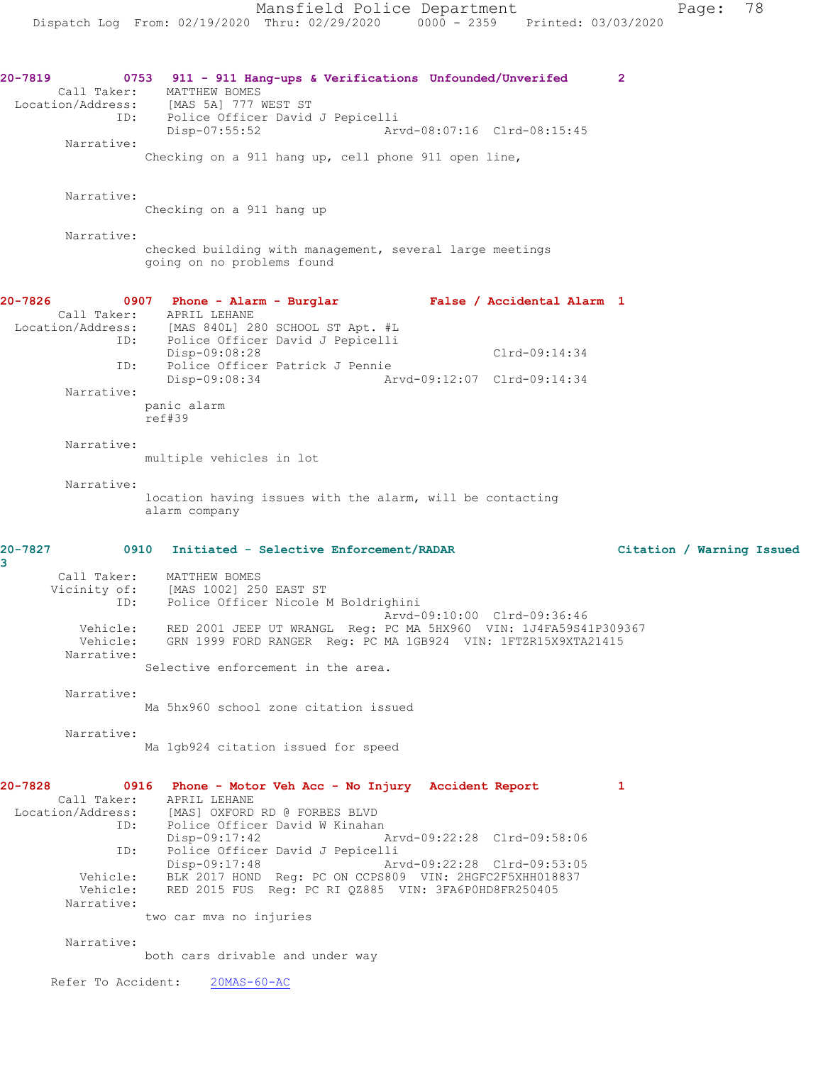**20-7819 0753 911 - 911 Hang-ups & Verifications Unfounded/Unverifed 2**  Call Taker: MATTHEW BOMES Location/Address: [MAS 5A] 777 WEST ST ID: Police Officer David J Pepicelli<br>Disp-07:55:52 Art Disp-07:55:52 Arvd-08:07:16 Clrd-08:15:45 Narrative: Checking on a 911 hang up, cell phone 911 open line, Narrative: Checking on a 911 hang up Narrative: checked building with management, several large meetings going on no problems found **20-7826 0907 Phone - Alarm - Burglar False / Accidental Alarm 1**  Call Taker: APRIL LEHANE Location/Address: [MAS 840L] 280 SCHOOL ST Apt. #L ID: Police Officer David J Pepicelli Disp-09:08:28 Clrd-09:14:34 ID: Police Officer Patrick J Pennie Disp-09:08:34 Arvd-09:12:07 Clrd-09:14:34 Narrative: panic alarm ref#39 Narrative: multiple vehicles in lot Narrative: location having issues with the alarm, will be contacting alarm company **20-7827 0910 Initiated - Selective Enforcement/RADAR Citation / Warning Issued 3**  Call Taker: MATTHEW BOMES Vicinity of: [MAS 1002] 250 EAST ST ID: Police Officer Nicole M Boldrighini Arvd-09:10:00 Clrd-09:36:46 Vehicle: RED 2001 JEEP UT WRANGL Reg: PC MA 5HX960 VIN: 1J4FA59S41P309367 Vehicle: GRN 1999 FORD RANGER Reg: PC MA 1GB924 VIN: 1FTZR15X9XTA21415 Narrative: Selective enforcement in the area. Narrative: Ma 5hx960 school zone citation issued Narrative: Ma 1gb924 citation issued for speed **20-7828 0916 Phone - Motor Veh Acc - No Injury Accident Report 1**  Call Taker: APRIL LEHANE<br>Location/Address: [MAS] OXFORD [MAS] OXFORD RD @ FORBES BLVD ID: Police Officer David W Kinahan<br>Disp-09:17:42 Disp-09:17:42 Arvd-09:22:28 Clrd-09:58:06<br>Disp-09:17:42 David J Pepicelli<br>Disp-09:17:48 Arvd-09:22:28 Clrd-09:53:05<br>Clrd-09:53:05<br>Clrd-09:53:05 Police Officer David J Pepicelli Disp-09:17:48 Arvd-09:22:28 Clrd-09:53:05 Vehicle: BLK 2017 HOND Reg: PC ON CCPS809 VIN: 2HGFC2F5XHH018837 Vehicle: RED 2015 FUS Reg: PC RI QZ885 VIN: 3FA6P0HD8FR250405 Narrative: two car mva no injuries Narrative: both cars drivable and under way

Refer To Accident: 20MAS-60-AC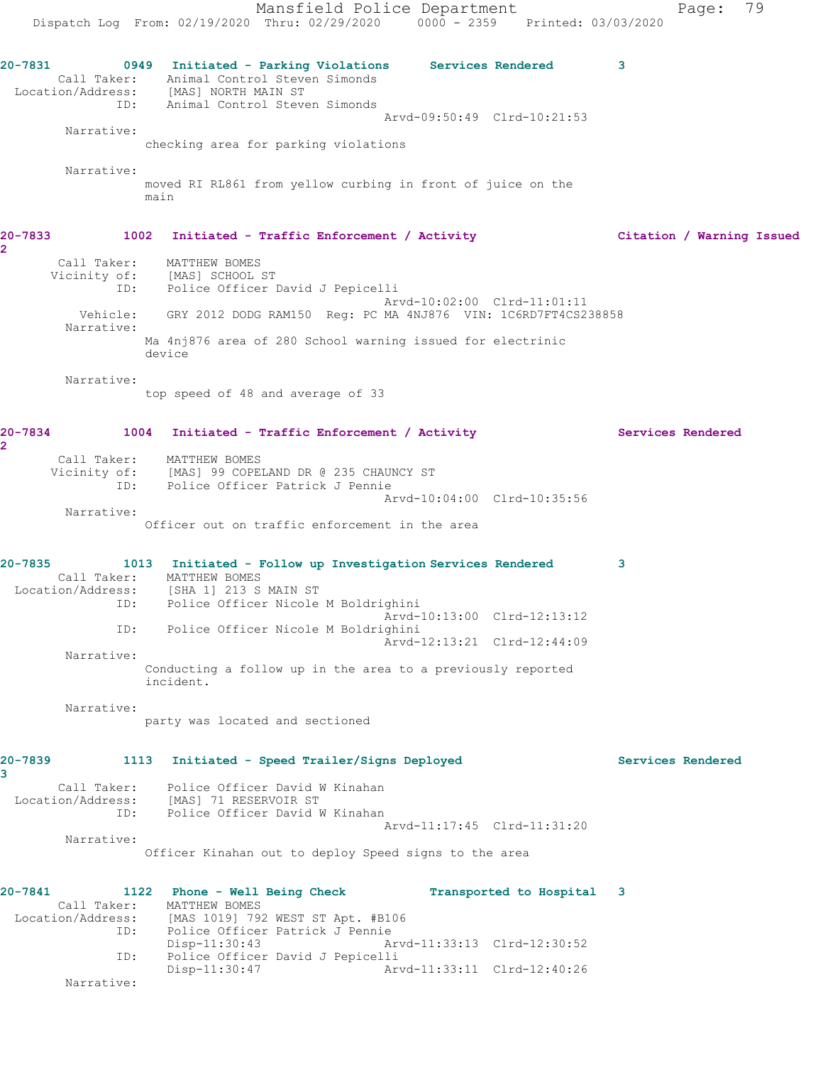Mansfield Police Department Page: 79 Dispatch Log From: 02/19/2020 Thru: 02/29/2020 0000 - 2359 Printed: 03/03/2020 **20-7831 0949 Initiated - Parking Violations Services Rendered 3**  Call Taker: Animal Control Steven Simonds Location/Address: [MAS] NORTH MAIN ST ID: Animal Control Steven Simonds Arvd-09:50:49 Clrd-10:21:53 Narrative: checking area for parking violations Narrative: moved RI RL861 from yellow curbing in front of juice on the main **20-7833 1002 Initiated - Traffic Enforcement / Activity Citation / Warning Issued 2**  Call Taker: MATTHEW BOMES Vicinity of: [MAS] SCHOOL ST ID: Police Officer David J Pepicelli Arvd-10:02:00 Clrd-11:01:11 Vehicle: GRY 2012 DODG RAM150 Reg: PC MA 4NJ876 VIN: 1C6RD7FT4CS238858 Narrative: Ma 4nj876 area of 280 School warning issued for electrinic device Narrative: top speed of 48 and average of 33 20-7834 1004 Initiated - Traffic Enforcement / Activity **Services Rendered 2**  Call Taker: MATTHEW BOMES Vicinity of: [MAS] 99 COPELAND DR @ 235 CHAUNCY ST ID: Police Officer Patrick J Pennie Arvd-10:04:00 Clrd-10:35:56 Narrative: Officer out on traffic enforcement in the area **20-7835 1013 Initiated - Follow up Investigation Services Rendered 3**  Call Taker: MATTHEW BOMES Location/Address: [SHA 1] 213 S MAIN ST ID: Police Officer Nicole M Boldrighini Arvd-10:13:00 Clrd-12:13:12 ID: Police Officer Nicole M Boldrighini Arvd-12:13:21 Clrd-12:44:09 Narrative: Conducting a follow up in the area to a previously reported incident. Narrative: party was located and sectioned **20-7839 1113 Initiated - Speed Trailer/Signs Deployed Services Rendered 3**  Call Taker: Police Officer David W Kinahan Location/Address: [MAS] 71 RESERVOIR ST ID: Police Officer David W Kinahan Arvd-11:17:45 Clrd-11:31:20 Narrative: Officer Kinahan out to deploy Speed signs to the area **20-7841 1122 Phone - Well Being Check Transported to Hospital 3**  Call Taker: MATTHEW BOMES Location/Address: [MAS 1019] 792 WEST ST Apt. #B106 Police Officer Patrick J Pennie Disp-11:30:43 Arvd-11:33:13 Clrd-12:30:52 ID: Police Officer David J Pepicelli<br>Disp-11:30:47 Arv Disp-11:30:47 Arvd-11:33:11 Clrd-12:40:26 Narrative: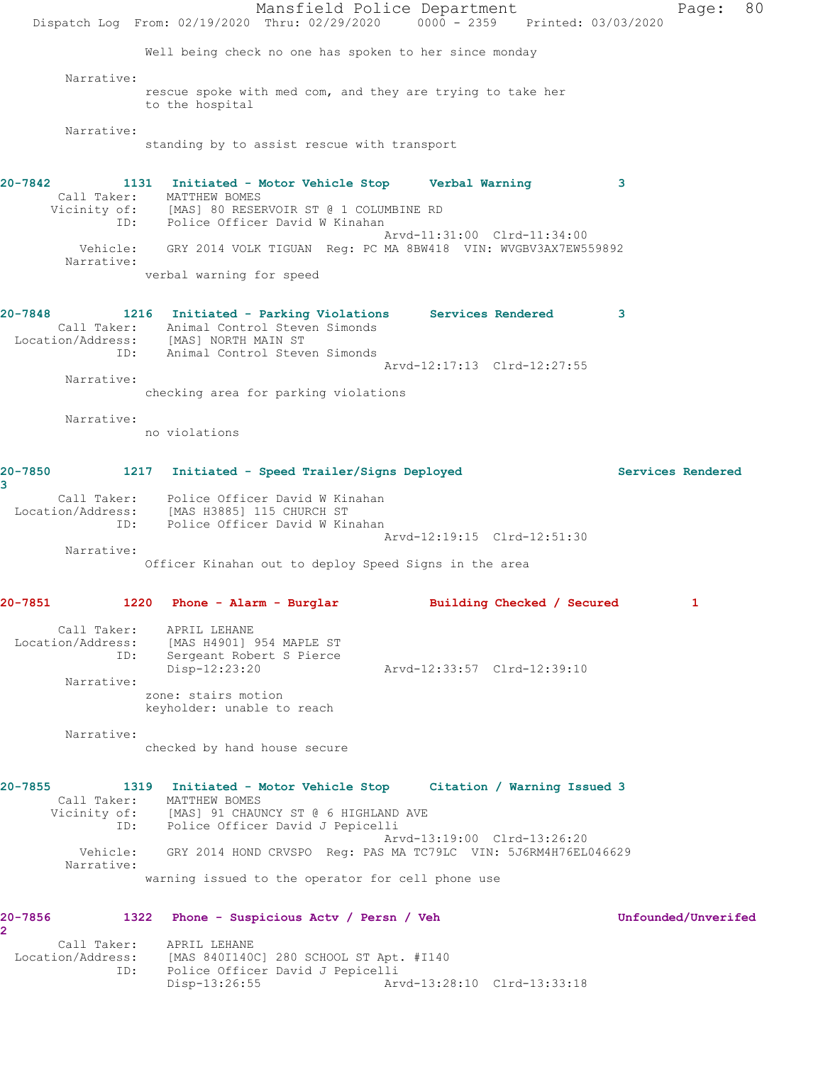Mansfield Police Department Page: 80 Dispatch Log From: 02/19/2020 Thru: 02/29/2020 0000 - 2359 Printed: 03/03/2020 Well being check no one has spoken to her since monday Narrative: rescue spoke with med com, and they are trying to take her to the hospital Narrative: standing by to assist rescue with transport **20-7842 1131 Initiated - Motor Vehicle Stop Verbal Warning 3**  Call Taker: MATTHEW BOMES Vicinity of: [MAS] 80 RESERVOIR ST @ 1 COLUMBINE RD ID: Police Officer David W Kinahan Arvd-11:31:00 Clrd-11:34:00 Vehicle: GRY 2014 VOLK TIGUAN Reg: PC MA 8BW418 VIN: WVGBV3AX7EW559892 Narrative: verbal warning for speed **20-7848 1216 Initiated - Parking Violations Services Rendered 3**  Call Taker: Animal Control Steven Simonds Location/Address: [MAS] NORTH MAIN ST ID: Animal Control Steven Simonds Arvd-12:17:13 Clrd-12:27:55 Narrative: checking area for parking violations Narrative: no violations **20-7850 1217 Initiated - Speed Trailer/Signs Deployed Services Rendered 3**  Call Taker: Police Officer David W Kinahan Location/Address: [MAS H3885] 115 CHURCH ST ID: Police Officer David W Kinahan Arvd-12:19:15 Clrd-12:51:30 Narrative: Officer Kinahan out to deploy Speed Signs in the area **20-7851 1220 Phone - Alarm - Burglar Building Checked / Secured 1** Call Taker: APRIL LEHANE Location/Address: [MAS H4901] 954 MAPLE ST ID: Sergeant Robert S Pierce<br>Disp-12:23:20 Disp-12:23:20 Arvd-12:33:57 Clrd-12:39:10 Narrative: zone: stairs motion keyholder: unable to reach Narrative: checked by hand house secure **20-7855 1319 Initiated - Motor Vehicle Stop Citation / Warning Issued 3**  Call Taker: MATTHEW BOMES Vicinity of: [MAS] 91 CHAUNCY ST @ 6 HIGHLAND AVE ID: Police Officer David J Pepicelli Arvd-13:19:00 Clrd-13:26:20 Vehicle: GRY 2014 HOND CRVSPO Reg: PAS MA TC79LC VIN: 5J6RM4H76EL046629 Narrative: warning issued to the operator for cell phone use **20-7856 1322 Phone - Suspicious Actv / Persn / Veh Unfounded/Unverifed 2**  Call Taker: APRIL LEHANE Location/Address: [MAS 840I140C] 280 SCHOOL ST Apt. #I140 ID: Police Officer David J Pepicelli Disp-13:26:55 Arvd-13:28:10 Clrd-13:33:18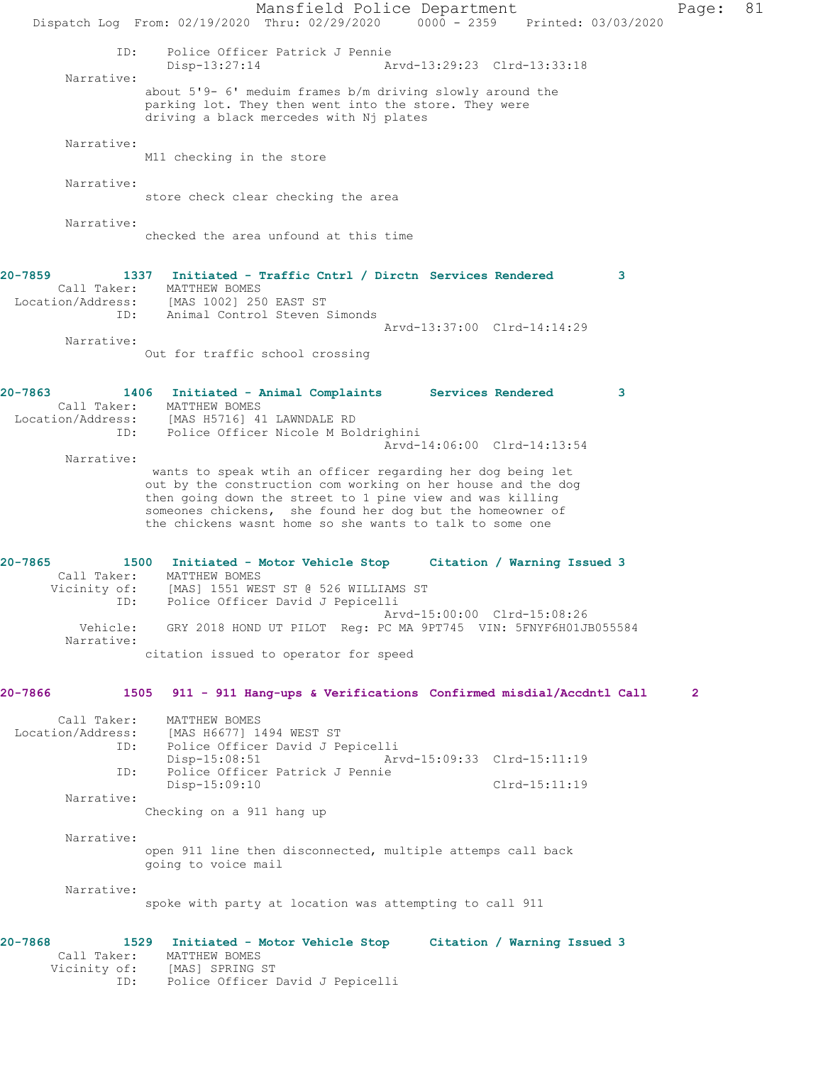Mansfield Police Department Page: 81 Dispatch Log From: 02/19/2020 Thru: 02/29/2020 0000 - 2359 Printed: 03/03/2020 ID: Police Officer Patrick J Pennie Disp-13:27:14 Arvd-13:29:23 Clrd-13:33:18 Narrative: about 5'9- 6' meduim frames b/m driving slowly around the parking lot. They then went into the store. They were driving a black mercedes with Nj plates Narrative: M11 checking in the store Narrative: store check clear checking the area Narrative: checked the area unfound at this time **20-7859 1337 Initiated - Traffic Cntrl / Dirctn Services Rendered 3**  Call Taker: MATTHEW BOMES Location/Address: [MAS 1002] 250 EAST ST ID: Animal Control Steven Simonds Arvd-13:37:00 Clrd-14:14:29 Narrative: Out for traffic school crossing **20-7863 1406 Initiated - Animal Complaints Services Rendered 3**  Call Taker: MATTHEW BOMES Location/Address: [MAS H5716] 41 LAWNDALE RD ID: Police Officer Nicole M Boldrighini Arvd-14:06:00 Clrd-14:13:54 Narrative: wants to speak wtih an officer regarding her dog being let out by the construction com working on her house and the dog then going down the street to 1 pine view and was killing someones chickens, she found her dog but the homeowner of the chickens wasnt home so she wants to talk to some one **20-7865 1500 Initiated - Motor Vehicle Stop Citation / Warning Issued 3**  Call Taker: MATTHEW BOMES Vicinity of: [MAS] 1551 WEST ST @ 526 WILLIAMS ST ID: Police Officer David J Pepicelli Arvd-15:00:00 Clrd-15:08:26 Vehicle: GRY 2018 HOND UT PILOT Reg: PC MA 9PT745 VIN: 5FNYF6H01JB055584 Narrative: citation issued to operator for speed **20-7866 1505 911 - 911 Hang-ups & Verifications Confirmed misdial/Accdntl Call 2** Call Taker: MATTHEW BOMES Location/Address: [MAS H6677] 1494 WEST ST ID: Police Officer David J Pepicelli Disp-15:08:51 Arvd-15:09:33 Clrd-15:11:19 ID: Police Officer Patrick J Pennie Disp-15:09:10 Clrd-15:11:19 Narrative: Checking on a 911 hang up Narrative: open 911 line then disconnected, multiple attemps call back going to voice mail Narrative: spoke with party at location was attempting to call 911 **20-7868 1529 Initiated - Motor Vehicle Stop Citation / Warning Issued 3**  Call Taker: MATTHEW BOMES Vicinity of: [MAS] SPRING ST ID: Police Officer David J Pepicelli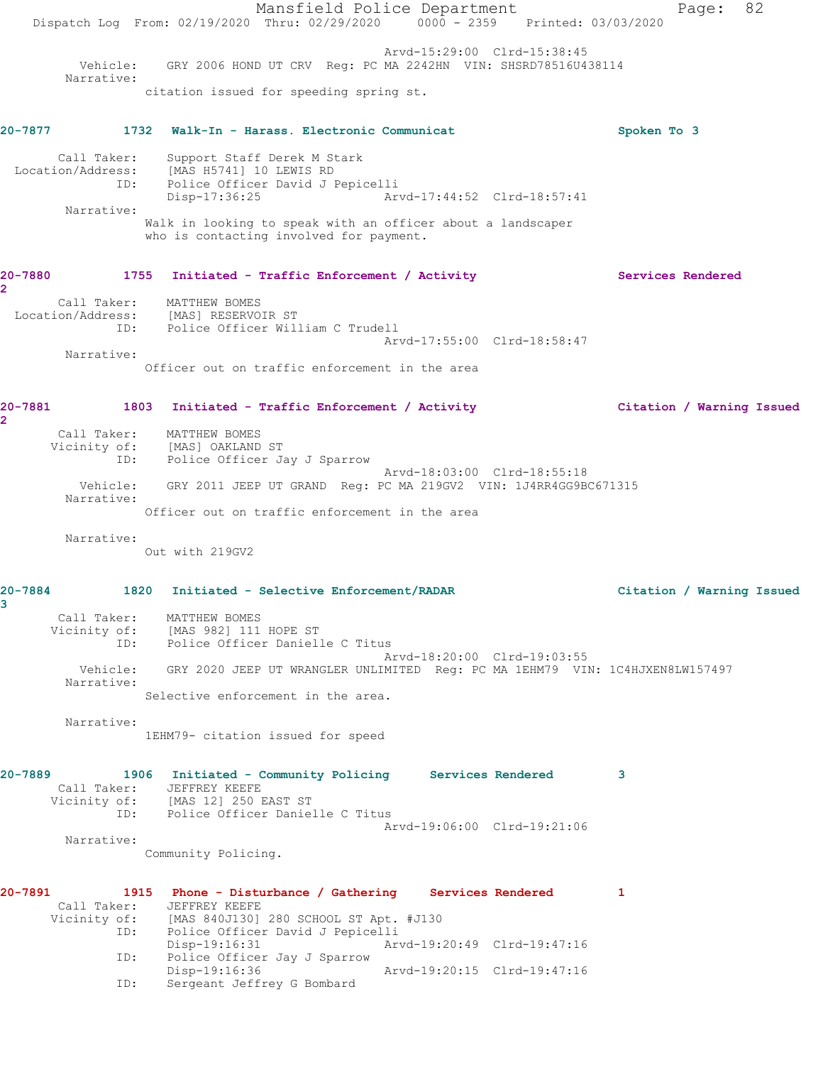Mansfield Police Department Page: 82 Dispatch Log From: 02/19/2020 Thru: 02/29/2020 0000 - 2359 Printed: 03/03/2020 Arvd-15:29:00 Clrd-15:38:45 Vehicle: GRY 2006 HOND UT CRV Reg: PC MA 2242HN VIN: SHSRD78516U438114 Narrative: citation issued for speeding spring st. **20-7877 1732 Walk-In - Harass. Electronic Communicat Spoken To 3** Call Taker: Support Staff Derek M Stark Location/Address: [MAS H5741] 10 LEWIS RD ID: Police Officer David J Pepicelli Disp-17:36:25 Arvd-17:44:52 Clrd-18:57:41 Narrative: Walk in looking to speak with an officer about a landscaper who is contacting involved for payment. 20-7880 1755 Initiated - Traffic Enforcement / Activity Services Rendered **2**  Call Taker: MATTHEW BOMES Location/Address: [MAS] RESERVOIR ST ID: Police Officer William C Trudell Arvd-17:55:00 Clrd-18:58:47 Narrative: Officer out on traffic enforcement in the area **20-7881 1803 Initiated - Traffic Enforcement / Activity Citation / Warning Issued 2**  Call Taker: MATTHEW BOMES Vicinity of: [MAS] OAKLAND ST ID: Police Officer Jay J Sparrow Arvd-18:03:00 Clrd-18:55:18 Vehicle: GRY 2011 JEEP UT GRAND Reg: PC MA 219GV2 VIN: 1J4RR4GG9BC671315 Narrative: Officer out on traffic enforcement in the area Narrative: Out with 219GV2 **20-7884 1820 Initiated - Selective Enforcement/RADAR Citation / Warning Issued 3**  Call Taker: MATTHEW BOMES Vicinity of: [MAS 982] 111 HOPE ST ID: Police Officer Danielle C Titus Arvd-18:20:00 Clrd-19:03:55 Vehicle: GRY 2020 JEEP UT WRANGLER UNLIMITED Reg: PC MA 1EHM79 VIN: 1C4HJXEN8LW157497 Narrative: Selective enforcement in the area. Narrative: 1EHM79- citation issued for speed **20-7889 1906 Initiated - Community Policing Services Rendered 3**  Call Taker: JEFFREY KEEFE Vicinity of: [MAS 12] 250 EAST ST ID: Police Officer Danielle C Titus Arvd-19:06:00 Clrd-19:21:06 Narrative: Community Policing. **20-7891 1915 Phone - Disturbance / Gathering Services Rendered 1**  Call Taker: JEFFREY KEEFE<br>Vicinity of: [MAS 840J130] [MAS 840J130] 280 SCHOOL ST Apt. #J130 ID: Police Officer David J Pepicelli Arvd-19:20:49 Clrd-19:47:16 ID: Police Officer Jay J Sparrow Arvd-19:20:15 Clrd-19:47:16 ID: Sergeant Jeffrey G Bombard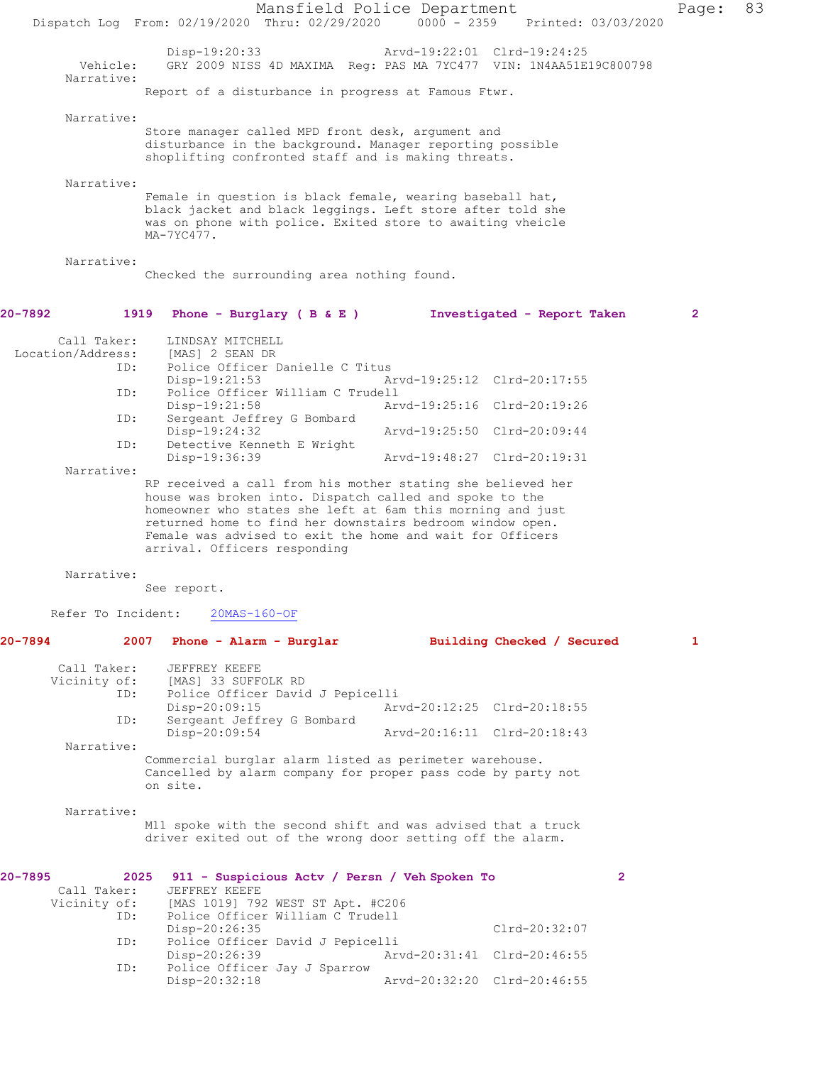|         |                                           | Dispatch Log From: 02/19/2020 Thru: 02/29/2020 0000 - 2359                                                                                                                                                                                                                                                                                     | Mansfield Police Department                                           |  |  |                                                            | Printed: 03/03/2020 | Page:          | 83 |
|---------|-------------------------------------------|------------------------------------------------------------------------------------------------------------------------------------------------------------------------------------------------------------------------------------------------------------------------------------------------------------------------------------------------|-----------------------------------------------------------------------|--|--|------------------------------------------------------------|---------------------|----------------|----|
|         | Vehicle:<br>Narrative:                    | Disp-19:20:33                                                                                                                                                                                                                                                                                                                                  | GRY 2009 NISS 4D MAXIMA Reg: PAS MA 7YC477 VIN: 1N4AA51E19C800798     |  |  | Arvd-19:22:01 Clrd-19:24:25                                |                     |                |    |
|         |                                           | Report of a disturbance in progress at Famous Ftwr.                                                                                                                                                                                                                                                                                            |                                                                       |  |  |                                                            |                     |                |    |
|         | Narrative:                                | Store manager called MPD front desk, argument and<br>disturbance in the background. Manager reporting possible<br>shoplifting confronted staff and is making threats.                                                                                                                                                                          |                                                                       |  |  |                                                            |                     |                |    |
|         | Narrative:                                | Female in question is black female, wearing baseball hat,<br>black jacket and black leggings. Left store after told she<br>was on phone with police. Exited store to awaiting vheicle<br>MA-7YC477.                                                                                                                                            |                                                                       |  |  |                                                            |                     |                |    |
|         | Narrative:                                | Checked the surrounding area nothing found.                                                                                                                                                                                                                                                                                                    |                                                                       |  |  |                                                            |                     |                |    |
| 20-7892 |                                           | 1919 Phone - Burglary (B&E)                                                                                                                                                                                                                                                                                                                    |                                                                       |  |  | Investigated - Report Taken                                |                     | $\overline{2}$ |    |
|         | Call Taker:<br>Location/Address:<br>ID:   | LINDSAY MITCHELL<br>[MAS] 2 SEAN DR<br>Disp-19:21:53                                                                                                                                                                                                                                                                                           | Police Officer Danielle C Titus                                       |  |  | Arvd-19:25:12 Clrd-20:17:55                                |                     |                |    |
|         | ID:<br>ID:                                | Disp-19:21:58                                                                                                                                                                                                                                                                                                                                  | Police Officer William C Trudell<br>Sergeant Jeffrey G Bombard        |  |  | Arvd-19:25:16 Clrd-20:19:26                                |                     |                |    |
|         |                                           | Disp-19:24:32                                                                                                                                                                                                                                                                                                                                  |                                                                       |  |  | Arvd-19:25:50 Clrd-20:09:44                                |                     |                |    |
|         | ID:<br>Narrative:                         | Disp-19:36:39                                                                                                                                                                                                                                                                                                                                  | Detective Kenneth E Wright                                            |  |  | Arvd-19:48:27 Clrd-20:19:31                                |                     |                |    |
|         |                                           | RP received a call from his mother stating she believed her<br>house was broken into. Dispatch called and spoke to the<br>homeowner who states she left at 6am this morning and just<br>returned home to find her downstairs bedroom window open.<br>Female was advised to exit the home and wait for Officers<br>arrival. Officers responding |                                                                       |  |  |                                                            |                     |                |    |
|         | Narrative:                                | See report.                                                                                                                                                                                                                                                                                                                                    |                                                                       |  |  |                                                            |                     |                |    |
|         | Refer To Incident:                        | $20MS-160-OF$                                                                                                                                                                                                                                                                                                                                  |                                                                       |  |  |                                                            |                     |                |    |
| 20-7894 |                                           | 2007 Phone - Alarm - Burglar                                                                                                                                                                                                                                                                                                                   |                                                                       |  |  | Building Checked / Secured                                 |                     | 1              |    |
|         | Call Taker:<br>Vicinity of:<br>ID:<br>ID: | JEFFREY KEEFE<br>[MAS] 33 SUFFOLK RD<br>Disp-20:09:15<br>Disp-20:09:54                                                                                                                                                                                                                                                                         | Police Officer David J Pepicelli<br>Sergeant Jeffrey G Bombard        |  |  | Arvd-20:12:25 Clrd-20:18:55<br>Arvd-20:16:11 Clrd-20:18:43 |                     |                |    |
|         | Narrative:                                | Commercial burglar alarm listed as perimeter warehouse.<br>Cancelled by alarm company for proper pass code by party not<br>on site.                                                                                                                                                                                                            |                                                                       |  |  |                                                            |                     |                |    |
|         | Narrative:                                | M11 spoke with the second shift and was advised that a truck<br>driver exited out of the wrong door setting off the alarm.                                                                                                                                                                                                                     |                                                                       |  |  |                                                            |                     |                |    |
| 20-7895 | Call Taker:<br>Vicinity of:<br>ID:        | 2025 911 - Suspicious Actv / Persn / Veh Spoken To<br>JEFFREY KEEFE<br>Disp-20:26:35                                                                                                                                                                                                                                                           | [MAS 1019] 792 WEST ST Apt. #C206<br>Police Officer William C Trudell |  |  | $Clrd-20:32:07$                                            | $\mathbf{2}$        |                |    |
|         | ID:                                       | $Disp-20:26:39$                                                                                                                                                                                                                                                                                                                                | Police Officer David J Pepicelli                                      |  |  | Arvd-20:31:41 Clrd-20:46:55                                |                     |                |    |
|         | ID:                                       | Disp-20:32:18                                                                                                                                                                                                                                                                                                                                  | Police Officer Jay J Sparrow                                          |  |  | Arvd-20:32:20 Clrd-20:46:55                                |                     |                |    |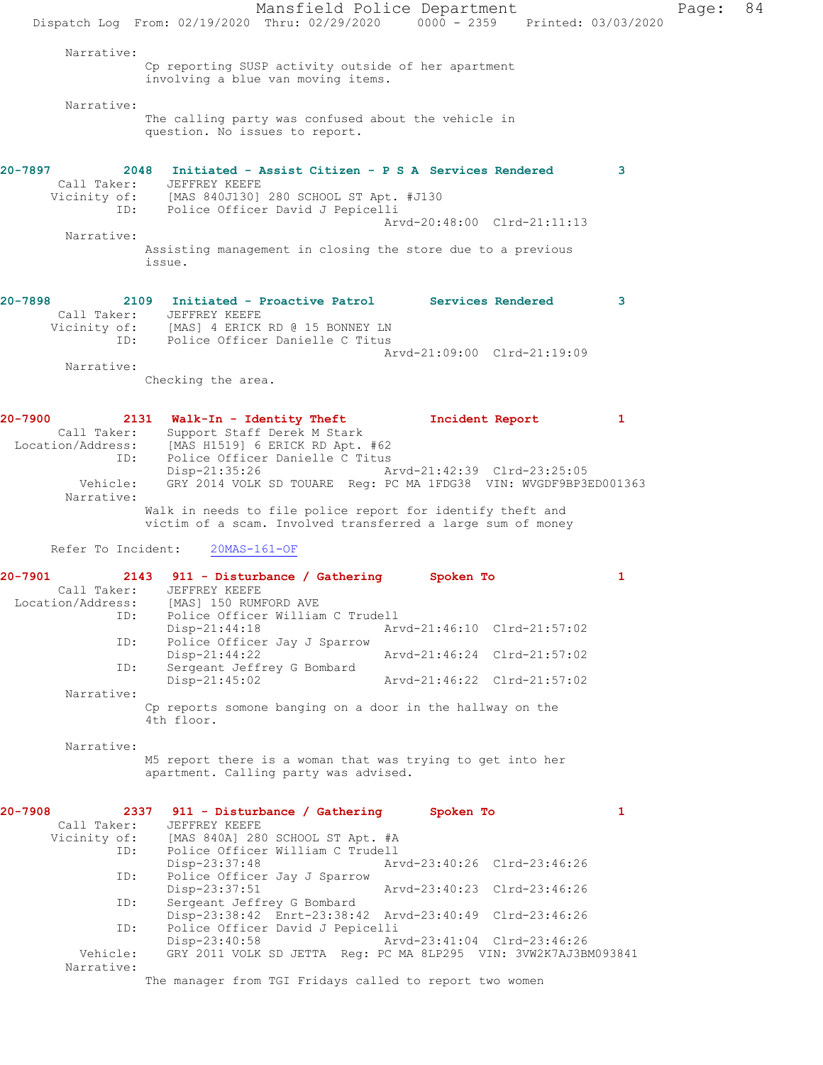Mansfield Police Department Page: 84 Dispatch Log From: 02/19/2020 Thru: 02/29/2020 0000 - 2359 Printed: 03/03/2020 Narrative: Cp reporting SUSP activity outside of her apartment involving a blue van moving items. Narrative: The calling party was confused about the vehicle in question. No issues to report. **20-7897 2048 Initiated - Assist Citizen - P S A Services Rendered 3**  Call Taker: JEFFREY KEEFE Vicinity of: [MAS 840J130] 280 SCHOOL ST Apt. #J130 ID: Police Officer David J Pepicelli Arvd-20:48:00 Clrd-21:11:13 Narrative: Assisting management in closing the store due to a previous issue. **20-7898 2109 Initiated - Proactive Patrol Services Rendered 3**  Call Taker: JEFFREY KEEFE<br>Vicinity of: [MAS] 4 ERICK of: [MAS] 4 ERICK RD @ 15 BONNEY LN<br>ID: Police Officer Danielle C Titus Police Officer Danielle C Titus Arvd-21:09:00 Clrd-21:19:09 Narrative: Checking the area. **20-7900 2131 Walk-In - Identity Theft Incident Report 1**  Call Taker: Support Staff Derek M Stark Location/Address: [MAS H1519] 6 ERICK RD Apt. #62 ID: Police Officer Danielle C Titus Disp-21:35:26 Arvd-21:42:39 Clrd-23:25:05 Vehicle: GRY 2014 VOLK SD TOUARE Reg: PC MA 1FDG38 VIN: WVGDF9BP3ED001363 Narrative: Walk in needs to file police report for identify theft and victim of a scam. Involved transferred a large sum of money Refer To Incident: 20MAS-161-OF **20-7901 2143 911 - Disturbance / Gathering Spoken To 1**  Call Taker: JEFFREY KEEFE Location/Address: [MAS] 150 RUMFORD AVE ID: Police Officer William C Trudell Disp-21:44:18 Arvd-21:46:10 Clrd-21:57:02<br>ID: Police Officer Jay J Sparrow Police Officer Jay J Sparrow<br>Disp-21:44:22 Disp-21:44:22 Arvd-21:46:24 Clrd-21:57:02 ID: Sergeant Jeffrey G Bombard<br>Disp-21:45:02 Disp-21:45:02 Arvd-21:46:22 Clrd-21:57:02 Narrative: Cp reports somone banging on a door in the hallway on the 4th floor. Narrative: M5 report there is a woman that was trying to get into her apartment. Calling party was advised. **20-7908 2337 911 - Disturbance / Gathering Spoken To 1**  Call Taker: JEFFREY KEEFE Vicinity of: [MAS 840A] 280 SCHOOL ST Apt. #A ID: Police Officer William C Trudell Disp-23:37:48 Arvd-23:40:26 Clrd-23:46:26 ID: Police Officer Jay J Sparrow Disp-23:37:51 Arvd-23:40:23 Clrd-23:46:26<br>ID: Sergeant Jeffrey G Bombard Sergeant Jeffrey G Bombard Disp-23:38:42 Enrt-23:38:42 Arvd-23:40:49 Clrd-23:46:26 ID: Police Officer David J Pepicelli Disp-23:40:58 Arvd-23:41:04 Clrd-23:46:26 Vehicle: GRY 2011 VOLK SD JETTA Reg: PC MA 8LP295 VIN: 3VW2K7AJ3BM093841 Narrative: The manager from TGI Fridays called to report two women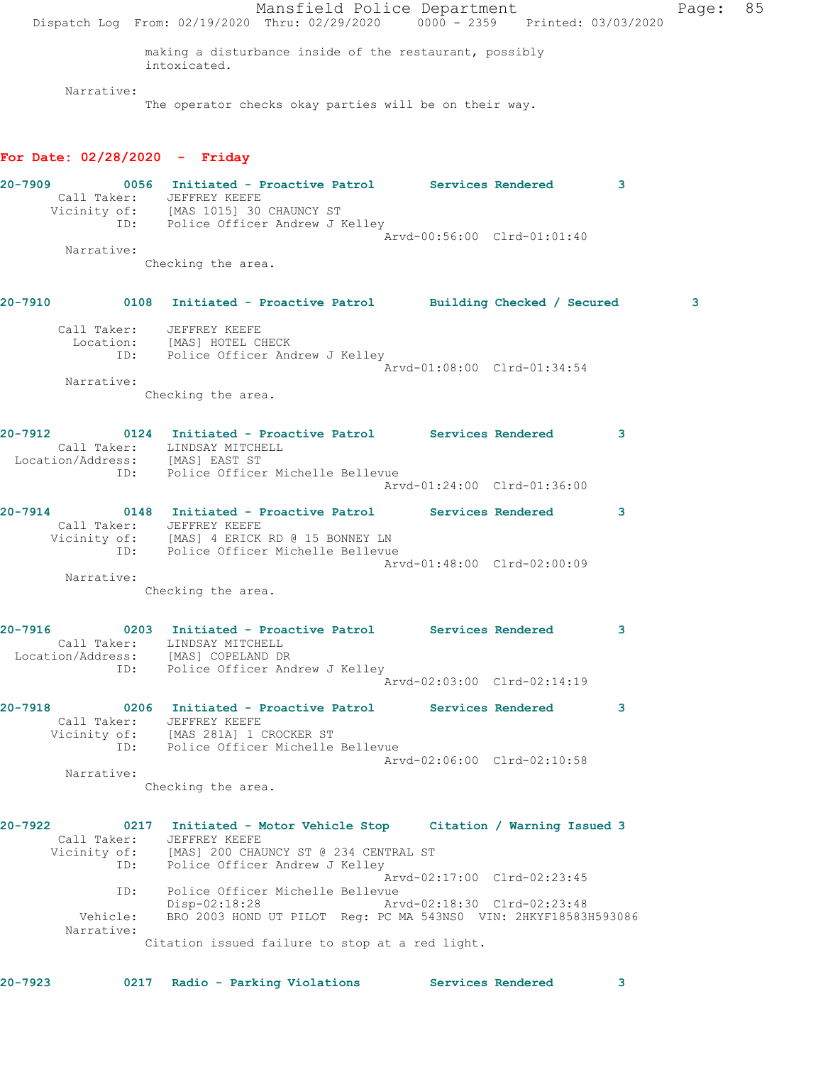Mansfield Police Department Fage: 85 Dispatch Log From: 02/19/2020 Thru: 02/29/2020 0000 - 2359 Printed: 03/03/2020 making a disturbance inside of the restaurant, possibly intoxicated. Narrative: The operator checks okay parties will be on their way. **For Date: 02/28/2020 - Friday 20-7909 0056 Initiated - Proactive Patrol Services Rendered 3**  Call Taker: JEFFREY KEEFE Vicinity of: [MAS 1015] 30 CHAUNCY ST ID: Police Officer Andrew J Kelley Arvd-00:56:00 Clrd-01:01:40 Narrative: Checking the area. **20-7910 0108 Initiated - Proactive Patrol Building Checked / Secured 3** Call Taker: JEFFREY KEEFE Location: [MAS] HOTEL CHECK ID: Police Officer Andrew J Kelley Arvd-01:08:00 Clrd-01:34:54 Narrative: Checking the area. **20-7912 0124 Initiated - Proactive Patrol Services Rendered 3**  Call Taker: LINDSAY MITCHELL Location/Address: [MAS] EAST ST ID: Police Officer Michelle Bellevue Arvd-01:24:00 Clrd-01:36:00 **20-7914 0148 Initiated - Proactive Patrol Services Rendered 3**  Call Taker: JEFFREY KEEFE Vicinity of: [MAS] 4 ERICK RD @ 15 BONNEY LN ID: Police Officer Michelle Bellevue Arvd-01:48:00 Clrd-02:00:09 Narrative: Checking the area. **20-7916 0203 Initiated - Proactive Patrol Services Rendered 3**  Call Taker: LINDSAY MITCHELL Location/Address: [MAS] COPELAND DR ID: Police Officer Andrew J Kelley Arvd-02:03:00 Clrd-02:14:19 **20-7918 0206 Initiated - Proactive Patrol Services Rendered 3**  Call Taker: JEFFREY KEEFE Vicinity of: [MAS 281A] 1 CROCKER ST ID: Police Officer Michelle Bellevue Arvd-02:06:00 Clrd-02:10:58 Narrative: Checking the area. **20-7922 0217 Initiated - Motor Vehicle Stop Citation / Warning Issued 3**  Call Taker: JEFFREY KEEFE Vicinity of: [MAS] 200 CHAUNCY ST @ 234 CENTRAL ST ID: Police Officer Andrew J Kelley Arvd-02:17:00 Clrd-02:23:45 ID: Police Officer Michelle Bellevue<br>Disp-02:18:28 Ar Disp-02:18:28 Arvd-02:18:30 Clrd-02:23:48<br>Vehicle: BRO 2003 HOND UT PILOT Reg: PC MA 543NS0 VIN: 2HKYF18583B BRO 2003 HOND UT PILOT Reg: PC MA 543NS0 VIN: 2HKYF18583H593086 Narrative: Citation issued failure to stop at a red light. **20-7923 0217 Radio - Parking Violations Services Rendered 3**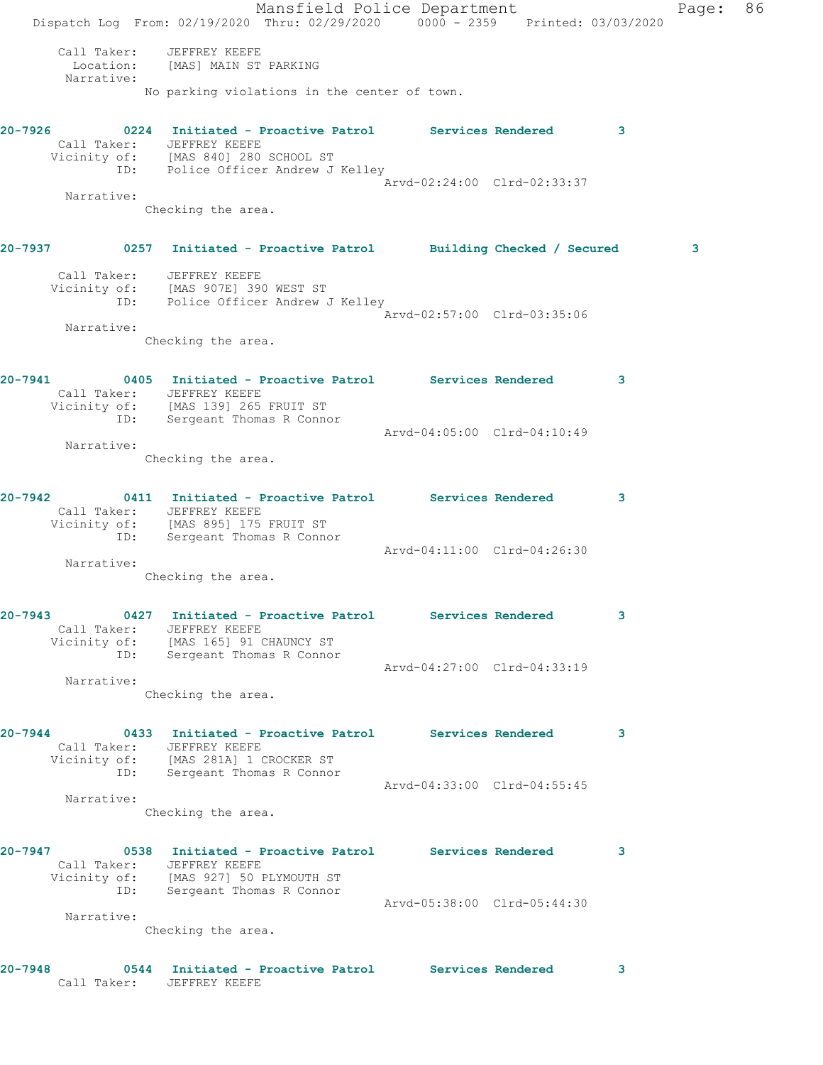Mansfield Police Department Fage: 86 Dispatch Log From: 02/19/2020 Thru: 02/29/2020 0000 - 2359 Printed: 03/03/2020 Call Taker: JEFFREY KEEFE Location: [MAS] MAIN ST PARKING Narrative: No parking violations in the center of town. **20-7926 0224 Initiated - Proactive Patrol Services Rendered 3**  Call Taker: JEFFREY KEEFE Vicinity of: [MAS 840] 280 SCHOOL ST ID: Police Officer Andrew J Kelley Arvd-02:24:00 Clrd-02:33:37 Narrative: Checking the area. **20-7937 0257 Initiated - Proactive Patrol Building Checked / Secured 3** Call Taker: JEFFREY KEEFE Vicinity of: [MAS 907E] 390 WEST ST ID: Police Officer Andrew J Kelley Arvd-02:57:00 Clrd-03:35:06 Narrative: Checking the area. **20-7941 0405 Initiated - Proactive Patrol Services Rendered 3**  Call Taker: JEFFREY KEEFE Vicinity of: [MAS 139] 265 FRUIT ST ID: Sergeant Thomas R Connor Arvd-04:05:00 Clrd-04:10:49 Narrative: Checking the area. **20-7942 0411 Initiated - Proactive Patrol Services Rendered 3**  Call Taker: JEFFREY KEEFE Vicinity of: [MAS 895] 175 FRUIT ST ID: Sergeant Thomas R Connor Arvd-04:11:00 Clrd-04:26:30 Narrative: Checking the area. **20-7943 0427 Initiated - Proactive Patrol Services Rendered 3**  Call Taker: JEFFREY KEEFE Vicinity of: [MAS 165] 91 CHAUNCY ST ID: Sergeant Thomas R Connor Arvd-04:27:00 Clrd-04:33:19 Narrative: Checking the area. **20-7944 0433 Initiated - Proactive Patrol Services Rendered 3**  Call Taker: JEFFREY KEEFE Vicinity of: [MAS 281A] 1 CROCKER ST ID: Sergeant Thomas R Connor Arvd-04:33:00 Clrd-04:55:45 Narrative: Checking the area. **20-7947 0538 Initiated - Proactive Patrol Services Rendered 3**  Call Taker: JEFFREY KEEFE Vicinity of: [MAS 927] 50 PLYMOUTH ST ID: Sergeant Thomas R Connor Arvd-05:38:00 Clrd-05:44:30 Narrative: Checking the area. **20-7948 0544 Initiated - Proactive Patrol Services Rendered 3**  Call Taker: JEFFREY KEEFE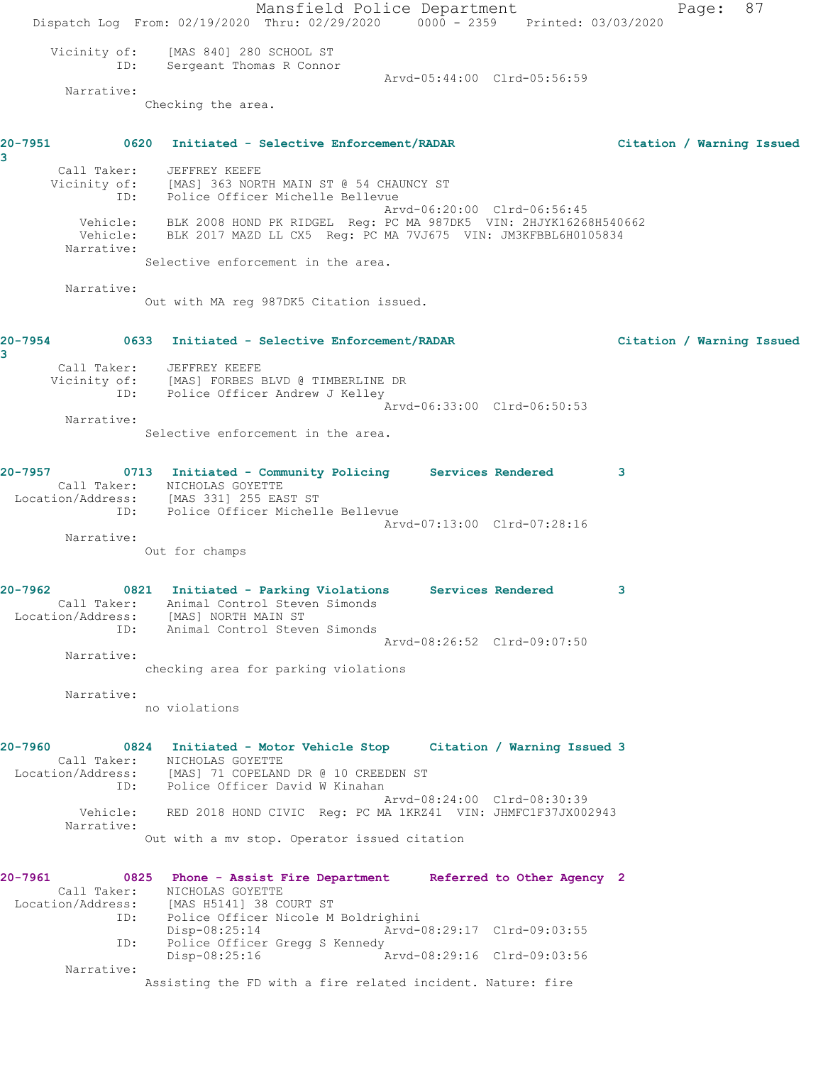Mansfield Police Department Fage: 87 Dispatch Log From: 02/19/2020 Thru: 02/29/2020 0000 - 2359 Printed: 03/03/2020 Vicinity of: [MAS 840] 280 SCHOOL ST ID: Sergeant Thomas R Connor Arvd-05:44:00 Clrd-05:56:59 Narrative: Checking the area. **20-7951 0620 Initiated - Selective Enforcement/RADAR Citation / Warning Issued 3**  Call Taker: JEFFREY KEEFE Vicinity of: [MAS] 363 NORTH MAIN ST @ 54 CHAUNCY ST ID: Police Officer Michelle Bellevue Arvd-06:20:00 Clrd-06:56:45 Vehicle: BLK 2008 HOND PK RIDGEL Reg: PC MA 987DK5 VIN: 2HJYK16268H540662 Vehicle: BLK 2017 MAZD LL CX5 Reg: PC MA 7VJ675 VIN: JM3KFBBL6H0105834 Narrative: Selective enforcement in the area. Narrative: Out with MA reg 987DK5 Citation issued. **20-7954 0633 Initiated - Selective Enforcement/RADAR Citation / Warning Issued 3**  Call Taker: JEFFREY KEEFE Vicinity of: [MAS] FORBES BLVD @ TIMBERLINE DR ID: Police Officer Andrew J Kelley Arvd-06:33:00 Clrd-06:50:53 Narrative: Selective enforcement in the area. **20-7957 0713 Initiated - Community Policing Services Rendered 3**  Call Taker: NICHOLAS GOYETTE Location/Address: [MAS 331] 255 EAST ST ID: Police Officer Michelle Bellevue Arvd-07:13:00 Clrd-07:28:16 Narrative: Out for champs **20-7962 0821 Initiated - Parking Violations Services Rendered 3**  Call Taker: Animal Control Steven Simonds Location/Address: [MAS] NORTH MAIN ST ID: Animal Control Steven Simonds Arvd-08:26:52 Clrd-09:07:50 Narrative: checking area for parking violations Narrative: no violations **20-7960 0824 Initiated - Motor Vehicle Stop Citation / Warning Issued 3**  Call Taker: NICHOLAS GOYETTE Location/Address: [MAS] 71 COPELAND DR @ 10 CREEDEN ST ID: Police Officer David W Kinahan Arvd-08:24:00 Clrd-08:30:39 Vehicle: RED 2018 HOND CIVIC Reg: PC MA 1KRZ41 VIN: JHMFC1F37JX002943 Narrative: Out with a mv stop. Operator issued citation **20-7961 0825 Phone - Assist Fire Department Referred to Other Agency 2**  Call Taker: NICHOLAS GOYETTE Location/Address: [MAS H5141] 38 COURT ST ID: Police Officer Nicole M Boldrighini Disp-08:25:14 Arvd-08:29:17 Clrd-09:03:55 ID: Police Officer Gregg S Kennedy<br>Disp-08:25:16 Ar Disp-08:25:16 Arvd-08:29:16 Clrd-09:03:56 Narrative: Assisting the FD with a fire related incident. Nature: fire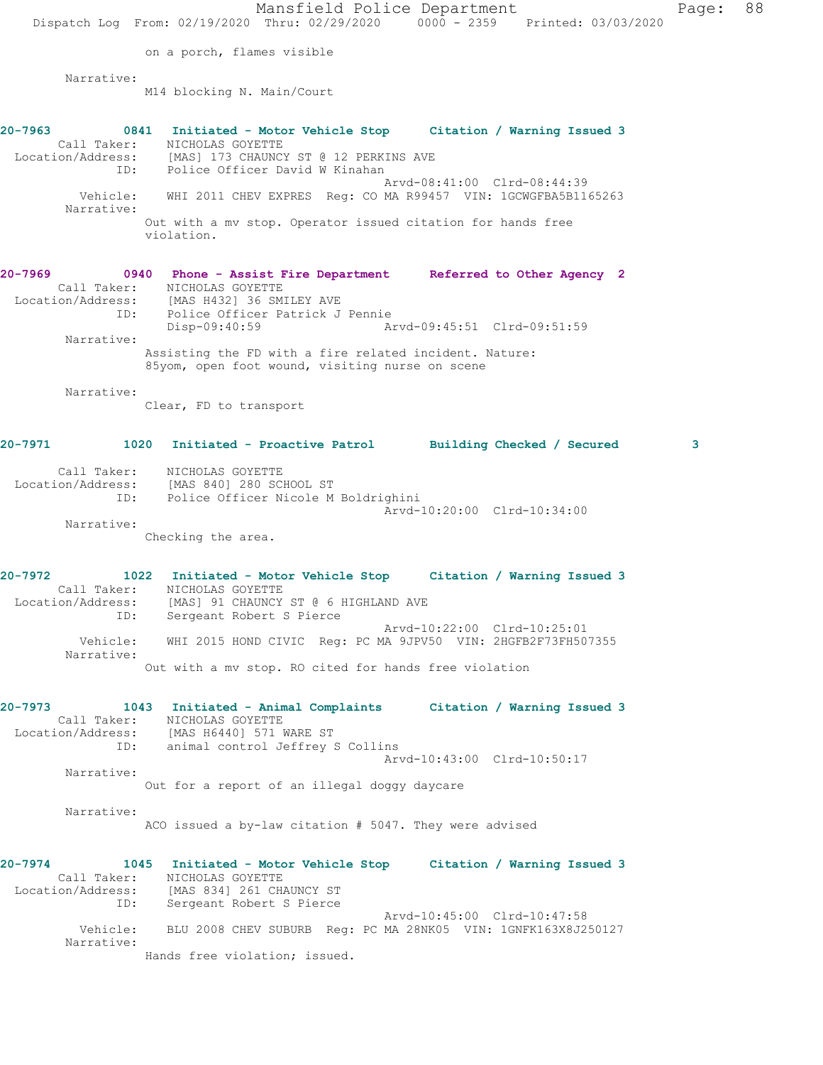Mansfield Police Department Fage: 88 Dispatch Log From: 02/19/2020 Thru: 02/29/2020 0000 - 2359 Printed: 03/03/2020 on a porch, flames visible Narrative: M14 blocking N. Main/Court **20-7963 0841 Initiated - Motor Vehicle Stop Citation / Warning Issued 3**  Call Taker: NICHOLAS GOYETTE Location/Address: [MAS] 173 CHAUNCY ST @ 12 PERKINS AVE ID: Police Officer David W Kinahan Arvd-08:41:00 Clrd-08:44:39 Vehicle: WHI 2011 CHEV EXPRES Reg: CO MA R99457 VIN: 1GCWGFBA5B1165263 Narrative: Out with a mv stop. Operator issued citation for hands free violation. **20-7969 0940 Phone - Assist Fire Department Referred to Other Agency 2**  Call Taker: NICHOLAS GOYETTE Location/Address: [MAS H432] 36 SMILEY AVE ID: Police Officer Patrick J Pennie Disp-09:40:59 Arvd-09:45:51 Clrd-09:51:59 Narrative: Assisting the FD with a fire related incident. Nature: 85yom, open foot wound, visiting nurse on scene Narrative: Clear, FD to transport **20-7971 1020 Initiated - Proactive Patrol Building Checked / Secured 3** Call Taker: NICHOLAS GOYETTE Location/Address: [MAS 840] 280 SCHOOL ST ID: Police Officer Nicole M Boldrighini Arvd-10:20:00 Clrd-10:34:00 Narrative: Checking the area. **20-7972 1022 Initiated - Motor Vehicle Stop Citation / Warning Issued 3**  Call Taker: NICHOLAS GOYETTE Location/Address: [MAS] 91 CHAUNCY ST @ 6 HIGHLAND AVE ID: Sergeant Robert S Pierce Arvd-10:22:00 Clrd-10:25:01 Vehicle: WHI 2015 HOND CIVIC Reg: PC MA 9JPV50 VIN: 2HGFB2F73FH507355 Narrative: Out with a mv stop. RO cited for hands free violation **20-7973 1043 Initiated - Animal Complaints Citation / Warning Issued 3**  Call Taker: NICHOLAS GOYETTE Location/Address: [MAS H6440] 571 WARE ST ID: animal control Jeffrey S Collins Arvd-10:43:00 Clrd-10:50:17 Narrative: Out for a report of an illegal doggy daycare Narrative: ACO issued a by-law citation # 5047. They were advised **20-7974 1045 Initiated - Motor Vehicle Stop Citation / Warning Issued 3**  Call Taker: NICHOLAS GOYETTE Location/Address: [MAS 834] 261 CHAUNCY ST ID: Sergeant Robert S Pierce Arvd-10:45:00 Clrd-10:47:58 Vehicle: BLU 2008 CHEV SUBURB Reg: PC MA 28NK05 VIN: 1GNFK163X8J250127 Narrative: Hands free violation; issued.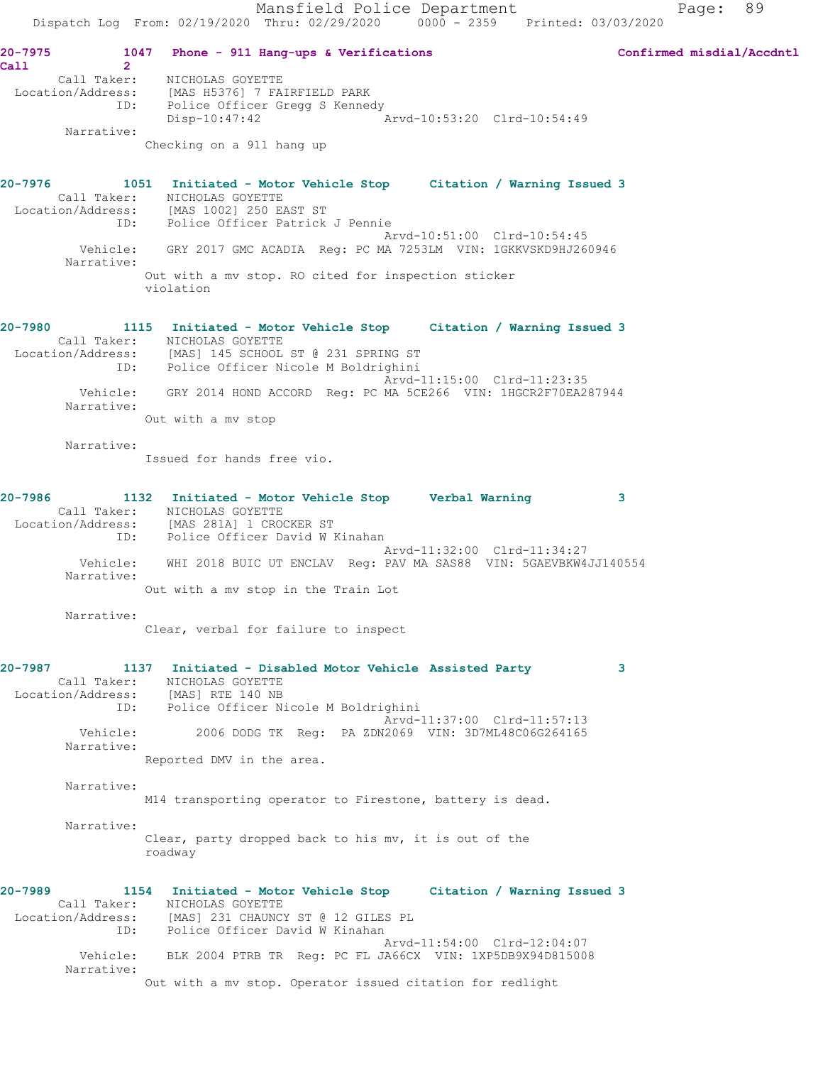**20-7975 1047 Phone - 911 Hang-ups & Verifications Confirmed misdial/Accdntl Call 2**  Call Taker: NICHOLAS GOYETTE Location/Address: [MAS H5376] 7 FAIRFIELD PARK ID: Police Officer Gregg S Kennedy Disp-10:47:42 Arvd-10:53:20 Clrd-10:54:49 Narrative: Checking on a 911 hang up **20-7976 1051 Initiated - Motor Vehicle Stop Citation / Warning Issued 3**  Call Taker: NICHOLAS GOYETTE Location/Address: [MAS 1002] 250 EAST ST ID: Police Officer Patrick J Pennie Arvd-10:51:00 Clrd-10:54:45 Vehicle: GRY 2017 GMC ACADIA Reg: PC MA 7253LM VIN: 1GKKVSKD9HJ260946 Narrative: Out with a mv stop. RO cited for inspection sticker violation **20-7980 1115 Initiated - Motor Vehicle Stop Citation / Warning Issued 3**  Call Taker: NICHOLAS GOYETTE Location/Address: [MAS] 145 SCHOOL ST @ 231 SPRING ST ID: Police Officer Nicole M Boldrighini Arvd-11:15:00 Clrd-11:23:35 Vehicle: GRY 2014 HOND ACCORD Reg: PC MA 5CE266 VIN: 1HGCR2F70EA287944 Narrative: Out with a mv stop Narrative: Issued for hands free vio. **20-7986 1132 Initiated - Motor Vehicle Stop Verbal Warning 3**  Call Taker: NICHOLAS GOYETTE Location/Address: [MAS 281A] 1 CROCKER ST ID: Police Officer David W Kinahan Arvd-11:32:00 Clrd-11:34:27 Vehicle: WHI 2018 BUIC UT ENCLAV Reg: PAV MA SAS88 VIN: 5GAEVBKW4JJ140554 Narrative: Out with a mv stop in the Train Lot Narrative: Clear, verbal for failure to inspect **20-7987 1137 Initiated - Disabled Motor Vehicle Assisted Party 3**  Call Taker: NICHOLAS GOYETTE Location/Address: [MAS] RTE 140 NB ID: Police Officer Nicole M Boldrighini Arvd-11:37:00 Clrd-11:57:13<br>Vehicle: 2006 DODG TK Reg: PA ZDN2069 VIN: 3D7ML48C06G264165 2006 DODG TK Reg: PA ZDN2069 VIN: 3D7ML48C06G264165 Narrative: Reported DMV in the area. Narrative: M14 transporting operator to Firestone, battery is dead. Narrative: Clear, party dropped back to his mv, it is out of the roadway **20-7989 1154 Initiated - Motor Vehicle Stop Citation / Warning Issued 3**  Call Taker: NICHOLAS GOYETTE Location/Address: [MAS] 231 CHAUNCY ST @ 12 GILES PL ID: Police Officer David W Kinahan Arvd-11:54:00 Clrd-12:04:07 Vehicle: BLK 2004 PTRB TR Reg: PC FL JA66CX VIN: 1XP5DB9X94D815008 Narrative: Out with a mv stop. Operator issued citation for redlight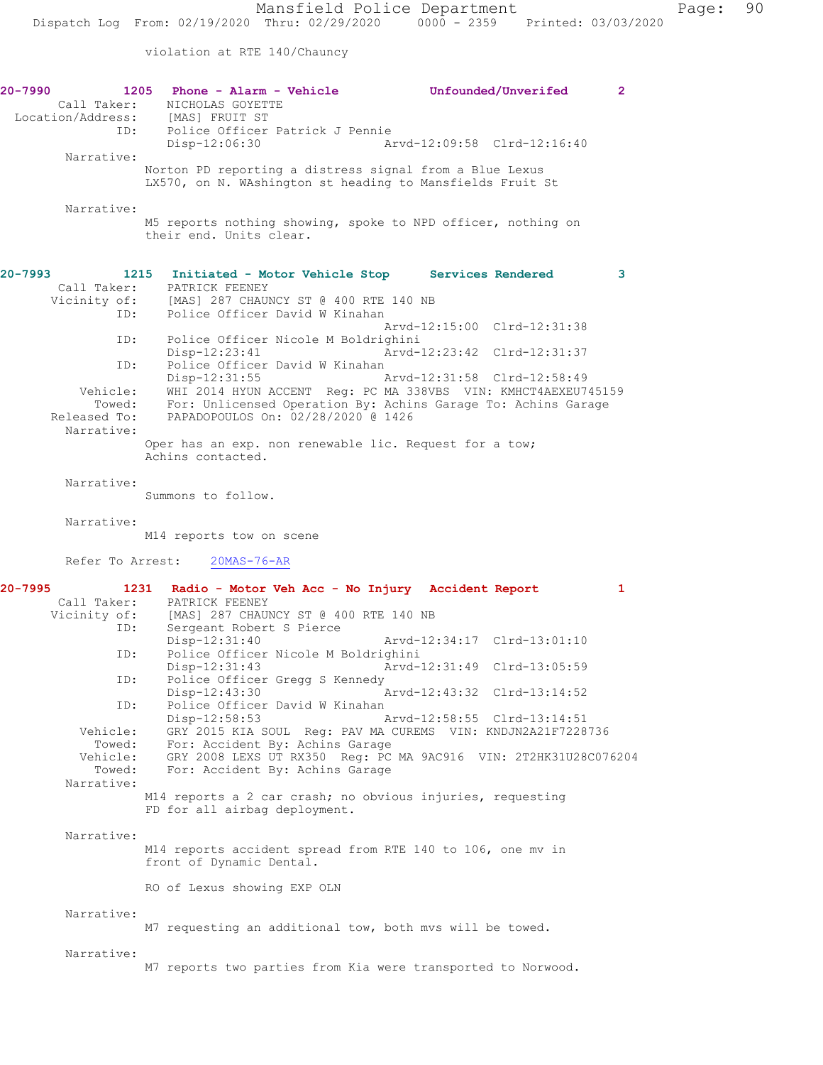violation at RTE 140/Chauncy

| 20-7990<br>Call Taker:<br>Location/Address:<br>ID:                                                                           | 1205<br>Phone - Alarm - Vehicle<br>Unfounded/Unverifed<br>NICHOLAS GOYETTE<br>[MAS] FRUIT ST<br>Police Officer Patrick J Pennie<br>Disp-12:06:30<br>Arvd-12:09:58 Clrd-12:16:40                                                                                                                                                                                                                                                                                                                                                                                                                                                                                                                                                                                      | $\mathbf{2}$ |
|------------------------------------------------------------------------------------------------------------------------------|----------------------------------------------------------------------------------------------------------------------------------------------------------------------------------------------------------------------------------------------------------------------------------------------------------------------------------------------------------------------------------------------------------------------------------------------------------------------------------------------------------------------------------------------------------------------------------------------------------------------------------------------------------------------------------------------------------------------------------------------------------------------|--------------|
| Narrative:                                                                                                                   | Norton PD reporting a distress signal from a Blue Lexus<br>LX570, on N. WAshington st heading to Mansfields Fruit St                                                                                                                                                                                                                                                                                                                                                                                                                                                                                                                                                                                                                                                 |              |
| Narrative:                                                                                                                   | M5 reports nothing showing, spoke to NPD officer, nothing on<br>their end. Units clear.                                                                                                                                                                                                                                                                                                                                                                                                                                                                                                                                                                                                                                                                              |              |
| 20-7993<br>Call Taker:<br>Vicinity of:<br>ID:                                                                                | 1215<br>Initiated - Motor Vehicle Stop Services Rendered<br>PATRICK FEENEY<br>[MAS] 287 CHAUNCY ST @ 400 RTE 140 NB<br>Police Officer David W Kinahan                                                                                                                                                                                                                                                                                                                                                                                                                                                                                                                                                                                                                | 3            |
| ID:<br>ID:<br>Vehicle:<br>Towed:<br>Released To:<br>Narrative:                                                               | Arvd-12:15:00 Clrd-12:31:38<br>Police Officer Nicole M Boldrighini<br>Disp-12:23:41<br>Arvd-12:23:42 Clrd-12:31:37<br>Police Officer David W Kinahan<br>$Disp-12:31:55$<br>Arvd-12:31:58 Clrd-12:58:49<br>WHI 2014 HYUN ACCENT Reg: PC MA 338VBS VIN: KMHCT4AEXEU745159<br>For: Unlicensed Operation By: Achins Garage To: Achins Garage<br>PAPADOPOULOS On: 02/28/2020 @ 1426                                                                                                                                                                                                                                                                                                                                                                                       |              |
| Narrative:                                                                                                                   | Oper has an exp. non renewable lic. Request for a tow;<br>Achins contacted.                                                                                                                                                                                                                                                                                                                                                                                                                                                                                                                                                                                                                                                                                          |              |
| Narrative:                                                                                                                   | Summons to follow.<br>M14 reports tow on scene                                                                                                                                                                                                                                                                                                                                                                                                                                                                                                                                                                                                                                                                                                                       |              |
| Refer To Arrest:                                                                                                             | $20MAS - 76 - AR$                                                                                                                                                                                                                                                                                                                                                                                                                                                                                                                                                                                                                                                                                                                                                    |              |
| 20-7995<br>Call Taker:<br>Vicinity of:<br>ID:<br>ID:<br>ID:<br>ID:<br>Vehicle:<br>Towed:<br>Vehicle:<br>Towed:<br>Narrative: | 1231<br>Radio - Motor Veh Acc - No Injury Accident Report<br>PATRICK FEENEY<br>[MAS] 287 CHAUNCY ST @ 400 RTE 140 NB<br>Sergeant Robert S Pierce<br>$Disp-12:31:40$<br>Arvd-12:34:17 Clrd-13:01:10<br>Police Officer Nicole M Boldrighini<br>Disp-12:31:43<br>Arvd-12:31:49 Clrd-13:05:59<br>Police Officer Gregg S Kennedy<br>Disp-12:43:30<br>Arvd-12:43:32 Clrd-13:14:52<br>Police Officer David W Kinahan<br>Disp-12:58:53<br>Arvd-12:58:55 Clrd-13:14:51<br>GRY 2015 KIA SOUL Req: PAV MA CUREMS VIN: KNDJN2A21F7228736<br>For: Accident By: Achins Garage<br>GRY 2008 LEXS UT RX350 Reg: PC MA 9AC916 VIN: 2T2HK31U28C076204<br>For: Accident By: Achins Garage<br>M14 reports a 2 car crash; no obvious injuries, requesting<br>FD for all airbag deployment. | 1            |
| Narrative:                                                                                                                   | M14 reports accident spread from RTE 140 to 106, one mv in<br>front of Dynamic Dental.                                                                                                                                                                                                                                                                                                                                                                                                                                                                                                                                                                                                                                                                               |              |
| Narrative:                                                                                                                   | RO of Lexus showing EXP OLN<br>M7 requesting an additional tow, both mvs will be towed.                                                                                                                                                                                                                                                                                                                                                                                                                                                                                                                                                                                                                                                                              |              |
| Narrative:                                                                                                                   | M7 reports two parties from Kia were transported to Norwood.                                                                                                                                                                                                                                                                                                                                                                                                                                                                                                                                                                                                                                                                                                         |              |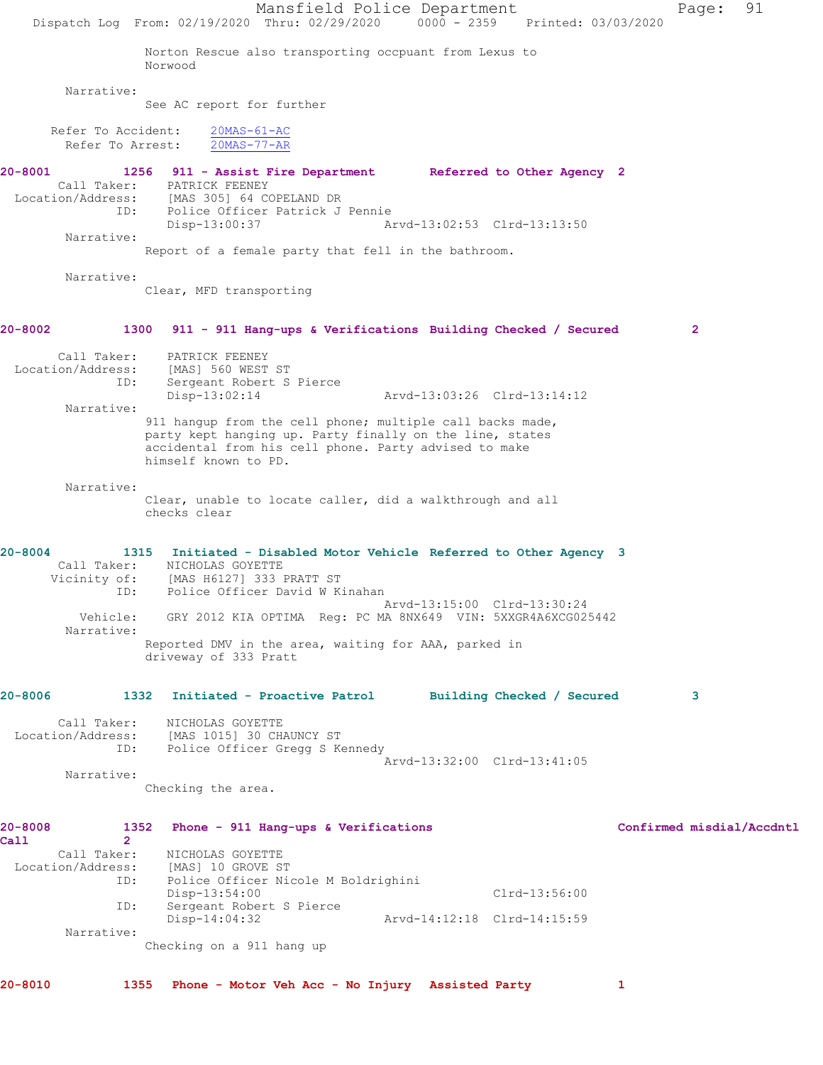Mansfield Police Department Page: 91 Dispatch Log From: 02/19/2020 Thru: 02/29/2020 0000 - 2359 Printed: 03/03/2020 Norton Rescue also transporting occpuant from Lexus to Norwood Narrative: See AC report for further Refer To Accident: 20MAS-61-AC Refer To Arrest: 20MAS-77-AR **20-8001 1256 911 - Assist Fire Department Referred to Other Agency 2**  Call Taker: PATRICK FEENEY<br>ion/Address: [MAS 305] 64 COPELAND DR Location/Address: [MAS 305] 64 COPELAND DR ID: Police Officer Patrick J Pennie Disp-13:00:37 Arvd-13:02:53 Clrd-13:13:50 Narrative: Report of a female party that fell in the bathroom. Narrative: Clear, MFD transporting **20-8002 1300 911 - 911 Hang-ups & Verifications Building Checked / Secured 2** Call Taker: PATRICK FEENEY Location/Address: [MAS] 560 WEST ST ID: Sergeant Robert S Pierce Disp-13:02:14 Arvd-13:03:26 Clrd-13:14:12 Narrative: 911 hangup from the cell phone; multiple call backs made, party kept hanging up. Party finally on the line, states accidental from his cell phone. Party advised to make himself known to PD. Narrative: Clear, unable to locate caller, did a walkthrough and all checks clear **20-8004 1315 Initiated - Disabled Motor Vehicle Referred to Other Agency 3**  Call Taker: NICHOLAS GOYETTE Vicinity of: [MAS H6127] 333 PRATT ST ID: Police Officer David W Kinahan Arvd-13:15:00 Clrd-13:30:24 Vehicle: GRY 2012 KIA OPTIMA Reg: PC MA 8NX649 VIN: 5XXGR4A6XCG025442 Narrative: Reported DMV in the area, waiting for AAA, parked in driveway of 333 Pratt **20-8006 1332 Initiated - Proactive Patrol Building Checked / Secured 3** Call Taker: NICHOLAS GOYETTE Location/Address: [MAS 1015] 30 CHAUNCY ST ID: Police Officer Gregg S Kennedy Arvd-13:32:00 Clrd-13:41:05 Narrative: Checking the area. **20-8008 1352 Phone - 911 Hang-ups & Verifications Confirmed misdial/Accdntl Call 2**  Call Taker: NICHOLAS GOYETTE<br>Location/Address: [MAS] 10 GROVE S' Location/Address: [MAS] 10 GROVE ST ID: Police Officer Nicole M Boldrighini Disp-13:54:00 Clrd-13:56:00 ID: Sergeant Robert S Pierce Disp-14:04:32 Arvd-14:12:18 Clrd-14:15:59 Narrative: Checking on a 911 hang up **20-8010 1355 Phone - Motor Veh Acc - No Injury Assisted Party 1**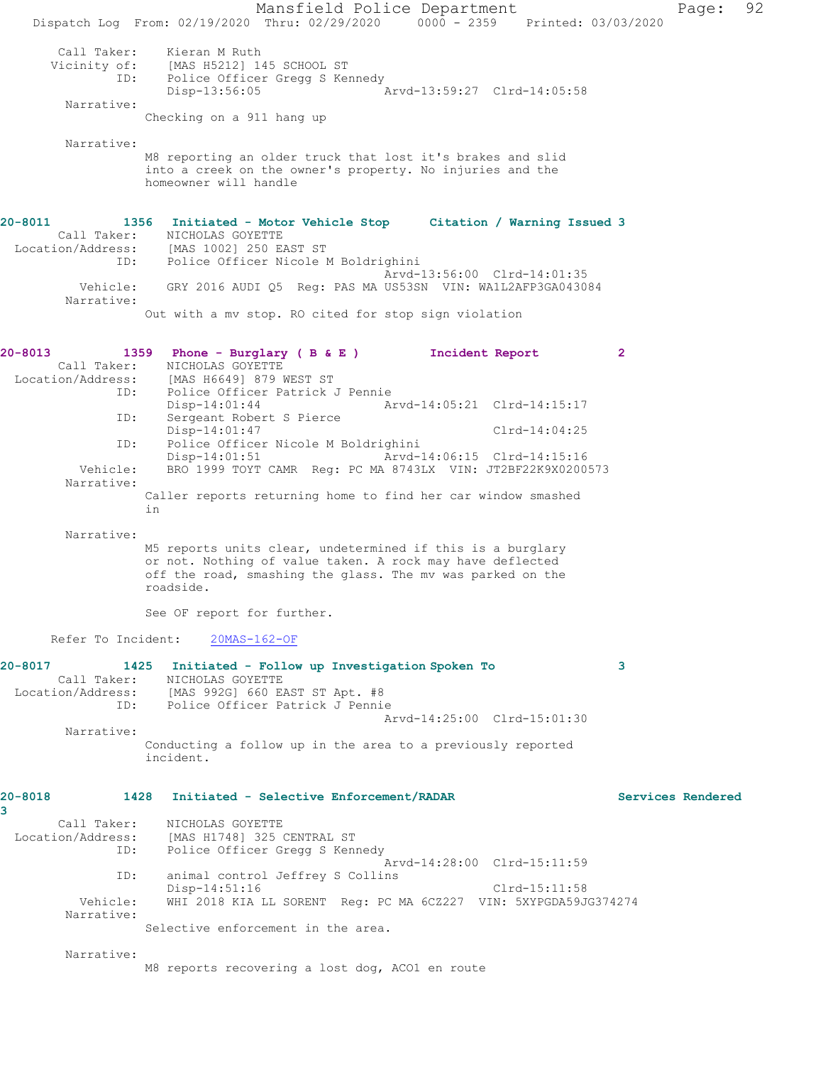Mansfield Police Department Page: 92 Dispatch Log From: 02/19/2020 Thru: 02/29/2020 0000 - 2359 Printed: 03/03/2020 Call Taker: Kieran M Ruth Vicinity of: [MAS H5212] 145 SCHOOL ST ID: Police Officer Gregg S Kennedy Disp-13:56:05 Arvd-13:59:27 Clrd-14:05:58 Narrative: Checking on a 911 hang up Narrative: M8 reporting an older truck that lost it's brakes and slid into a creek on the owner's property. No injuries and the homeowner will handle **20-8011 1356 Initiated - Motor Vehicle Stop Citation / Warning Issued 3**  Call Taker: NICHOLAS GOYETTE Location/Address: [MAS 1002] 250 EAST ST ID: Police Officer Nicole M Boldrighini Arvd-13:56:00 Clrd-14:01:35 Vehicle: GRY 2016 AUDI Q5 Reg: PAS MA US53SN VIN: WA1L2AFP3GA043084 Narrative: Out with a mv stop. RO cited for stop sign violation **20-8013 1359 Phone - Burglary ( B & E ) Incident Report 2**  Call Taker: NICHOLAS GOYETTE Location/Address: [MAS H6649] 879 WEST ST ID: Police Officer Patrick J Pennie Arvd-14:05:21 Clrd-14:15:17 ID: Sergeant Robert S Pierce Disp-14:01:47 Clrd-14:04:25 ID: Police Officer Nicole M Boldrighini Disp-14:01:51 Arvd-14:06:15 Clrd-14:15:16<br>Vehicle: BRO 1999 TOYT CAMR Req: PC MA 8743LX VIN: JT2BF22K9X02009 BRO 1999 TOYT CAMR Reg: PC MA 8743LX VIN: JT2BF22K9X0200573 Narrative: Caller reports returning home to find her car window smashed in Narrative: M5 reports units clear, undetermined if this is a burglary or not. Nothing of value taken. A rock may have deflected off the road, smashing the glass. The mv was parked on the roadside. See OF report for further. Refer To Incident: 20MAS-162-OF **20-8017 1425 Initiated - Follow up Investigation Spoken To 3**  Call Taker: NICHOLAS GOYETTE Location/Address: [MAS 992G] 660 EAST ST Apt. #8 ID: Police Officer Patrick J Pennie Arvd-14:25:00 Clrd-15:01:30 Narrative: Conducting a follow up in the area to a previously reported incident. **20-8018 1428 Initiated - Selective Enforcement/RADAR Services Rendered 3**  Call Taker: NICHOLAS GOYETTE Location/Address: [MAS H1748] 325 CENTRAL ST ID: Police Officer Gregg S Kennedy Arvd-14:28:00 Clrd-15:11:59 ID: animal control Jeffrey S Collins Disp-14:51:16 Clrd-15:11:58 Vehicle: WHI 2018 KIA LL SORENT Reg: PC MA 6CZ227 VIN: 5XYPGDA59JG374274 Narrative: Selective enforcement in the area. Narrative: M8 reports recovering a lost dog, ACO1 en route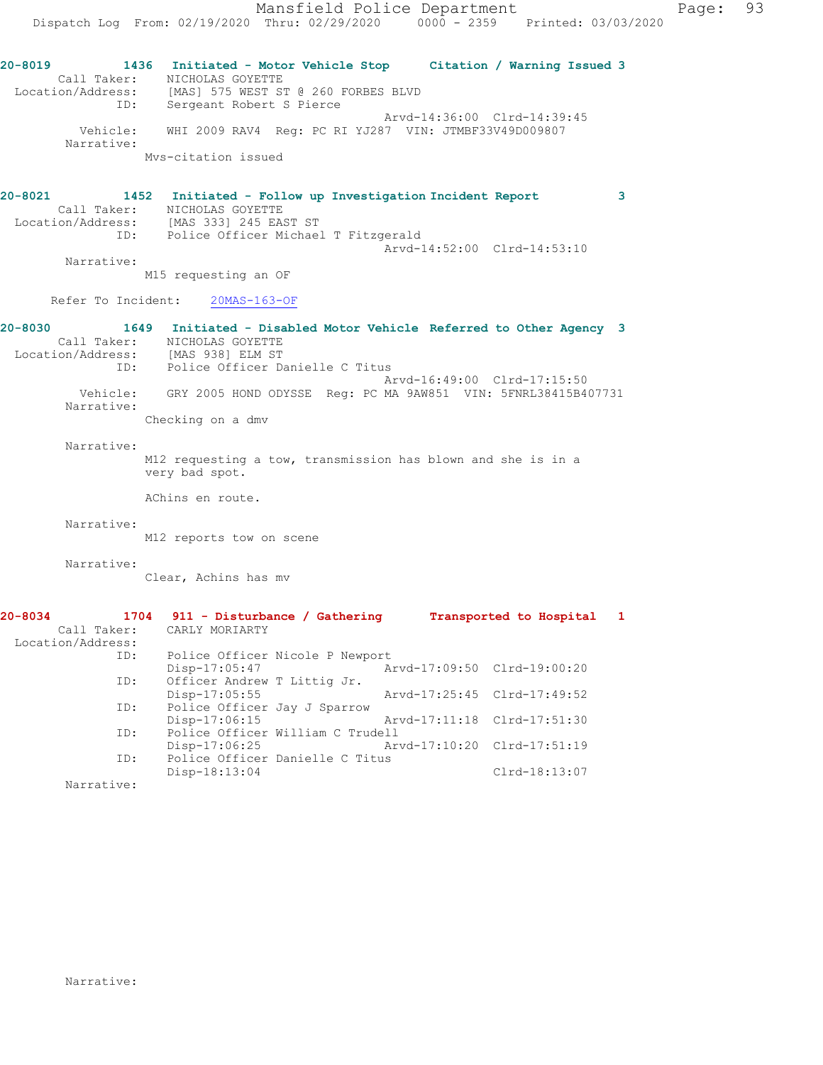**20-8019 1436 Initiated - Motor Vehicle Stop Citation / Warning Issued 3**  Call Taker: NICHOLAS GOYETTE Location/Address: [MAS] 575 WEST ST @ 260 FORBES BLVD ID: Sergeant Robert S Pierce Arvd-14:36:00 Clrd-14:39:45 Vehicle: WHI 2009 RAV4 Reg: PC RI YJ287 VIN: JTMBF33V49D009807 Narrative: Mvs-citation issued

## **20-8021 1452 Initiated - Follow up Investigation Incident Report 3**  Call Taker: NICHOLAS GOYETTE Location/Address: [MAS 333] 245 EAST ST ID: Police Officer Michael T Fitzgerald Arvd-14:52:00 Clrd-14:53:10

 Narrative: M15 requesting an OF

Refer To Incident: 20MAS-163-OF

## **20-8030 1649 Initiated - Disabled Motor Vehicle Referred to Other Agency 3**  Call Taker: NICHOLAS GOYETTE Location/Address: [MAS 938] ELM ST ID: Police Officer Danielle C Titus Arvd-16:49:00 Clrd-17:15:50 Vehicle: GRY 2005 HOND ODYSSE Reg: PC MA 9AW851 VIN: 5FNRL38415B407731 Narrative:

Checking on a dmv

Narrative:

M12 requesting a tow, transmission has blown and she is in a very bad spot.

AChins en route.

Narrative:

M12 reports tow on scene

Narrative:

Clear, Achins has mv

| 20-8034           | 1704 911 - Disturbance / Gathering |                             | Transported to Hospital     |  |
|-------------------|------------------------------------|-----------------------------|-----------------------------|--|
|                   | Call Taker: CARLY MORIARTY         |                             |                             |  |
| Location/Address: |                                    |                             |                             |  |
| ID:               | Police Officer Nicole P Newport    |                             |                             |  |
|                   | Disp-17:05:47                      | Arvd-17:09:50 Clrd-19:00:20 |                             |  |
| ID:               | Officer Andrew T Littig Jr.        |                             |                             |  |
|                   | $Disp-17:05:55$                    |                             | Arvd-17:25:45 Clrd-17:49:52 |  |
| ID:               | Police Officer Jay J Sparrow       |                             |                             |  |
|                   | $Disp-17:06:15$                    | Arvd-17:11:18 Clrd-17:51:30 |                             |  |
| ID:               | Police Officer William C Trudell   |                             |                             |  |
|                   | $Disp-17:06:25$                    | Arvd-17:10:20 Clrd-17:51:19 |                             |  |
| ID:               | Police Officer Danielle C Titus    |                             |                             |  |
|                   | Disp-18:13:04                      |                             | $Clrd-18:13:07$             |  |
| Narrative:        |                                    |                             |                             |  |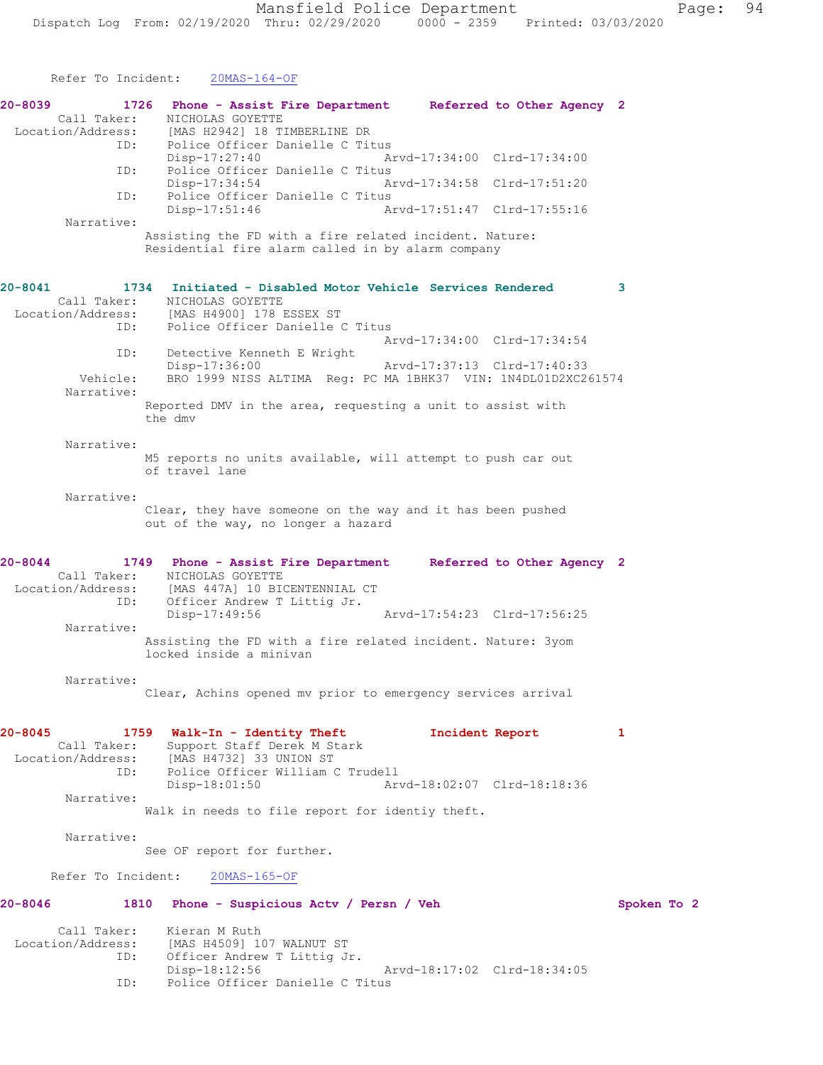Refer To Incident: 20MAS-164-OF **20-8039 1726 Phone - Assist Fire Department Referred to Other Agency 2**  Call Taker: NICHOLAS GOYETTE<br>Location/Address: [MAS H2942] 18 T] [MAS H2942] 18 TIMBERLINE DR ID: Police Officer Danielle C Titus<br>Disp-17:27:40 Am Disp-17:27:40 Arvd-17:34:00 Clrd-17:34:00<br>ID: Police Officer Danielle C Titus Police Officer Danielle C Titus Disp-17:34:54 Arvd-17:34:58 Clrd-17:51:20 ID: Police Officer Danielle C Titus<br>Disp-17:51:46 Am Arvd-17:51:47 Clrd-17:55:16 Narrative: Assisting the FD with a fire related incident. Nature: Residential fire alarm called in by alarm company **20-8041 1734 Initiated - Disabled Motor Vehicle Services Rendered 3**  Call Taker: NICHOLAS GOYETTE Location/Address: [MAS H4900] 178 ESSEX ST<br>ID: Police Officer Danielle ( Police Officer Danielle C Titus Arvd-17:34:00 Clrd-17:34:54 ID: Detective Kenneth E Wright<br>Disp-17:36:00 Disp-17:36:00 Arvd-17:37:13 Clrd-17:40:33 Vehicle: BRO 1999 NISS ALTIMA Reg: PC MA 1BHK37 VIN: 1N4DL01D2XC261574 Narrative: Reported DMV in the area, requesting a unit to assist with the dmv Narrative: M5 reports no units available, will attempt to push car out of travel lane Narrative: Clear, they have someone on the way and it has been pushed out of the way, no longer a hazard **20-8044 1749 Phone - Assist Fire Department Referred to Other Agency 2**  Call Taker: NICHOLAS GOYETTE Location/Address: [MAS 447A] 10 BICENTENNIAL CT ID: Officer Andrew T Littig Jr. Disp-17:49:56 Arvd-17:54:23 Clrd-17:56:25 Narrative: Assisting the FD with a fire related incident. Nature: 3yom locked inside a minivan Narrative: Clear, Achins opened mv prior to emergency services arrival **20-8045 1759 Walk-In - Identity Theft Incident Report 1**  Call Taker: Support Staff Derek M Stark Location/Address: [MAS H4732] 33 UNION ST ID: Police Officer William C Trudell<br>Disp-18:01:50 Art Arvd-18:02:07 Clrd-18:18:36 Narrative: Walk in needs to file report for identiy theft. Narrative: See OF report for further. Refer To Incident: 20MAS-165-OF **20-8046 1810 Phone - Suspicious Actv / Persn / Veh Spoken To 2** Call Taker: Kieran M Ruth<br>Location/Address: [MAS H4509] 10<br>ID: Officer Andrew [MAS H4509] 107 WALNUT ST Officer Andrew T Littig Jr.

Disp-18:12:56 Arvd-18:17:02 Clrd-18:34:05

ID: Police Officer Danielle C Titus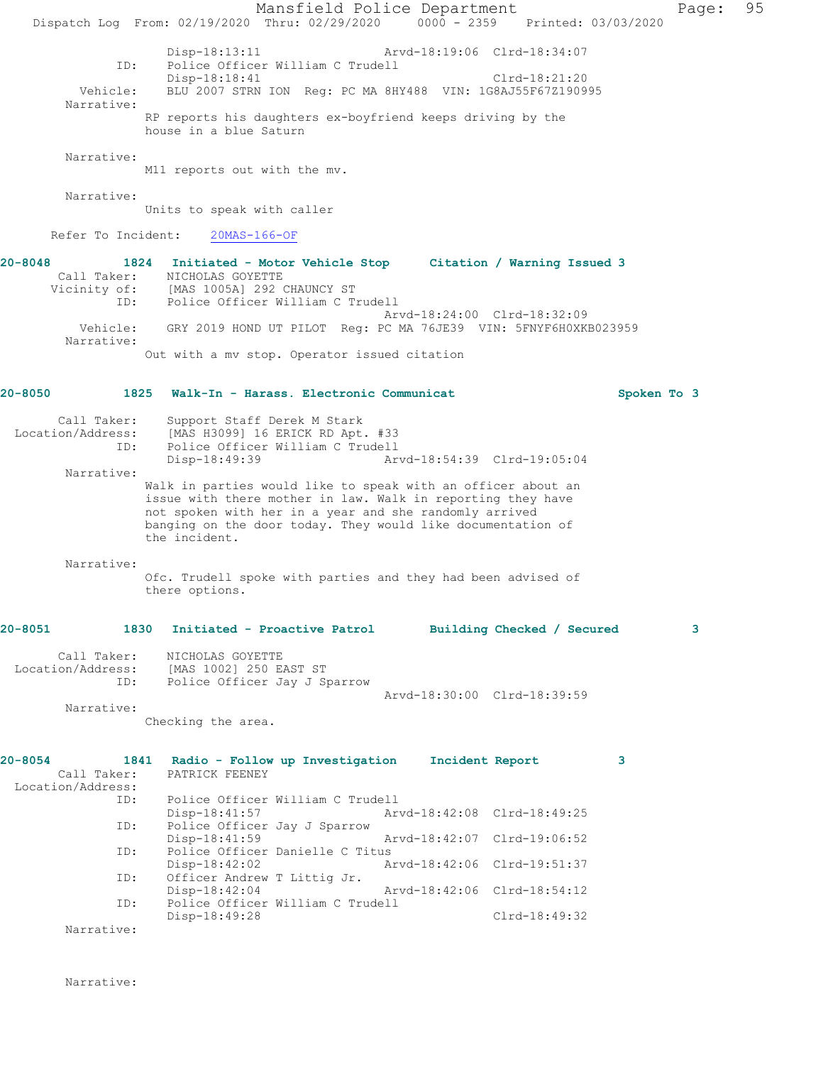Mansfield Police Department Page: 95 Dispatch Log From: 02/19/2020 Thru: 02/29/2020 0000 - 2359 Printed: 03/03/2020 Disp-18:13:11 Arvd-18:19:06 Clrd-18:34:07 ID: Police Officer William C Trudell Disp-18:18:41 Clrd-18:21:20 Vehicle: BLU 2007 STRN ION Reg: PC MA 8HY488 VIN: 1G8AJ55F67Z190995 Narrative: RP reports his daughters ex-boyfriend keeps driving by the house in a blue Saturn Narrative: M11 reports out with the mv. Narrative: Units to speak with caller Refer To Incident: 20MAS-166-OF **20-8048 1824 Initiated - Motor Vehicle Stop Citation / Warning Issued 3**  Call Taker: NICHOLAS GOYETTE Vicinity of: [MAS 1005A] 292 CHAUNCY ST ID: Police Officer William C Trudell Arvd-18:24:00 Clrd-18:32:09 Vehicle: GRY 2019 HOND UT PILOT Reg: PC MA 76JE39 VIN: 5FNYF6H0XKB023959 Narrative: Out with a mv stop. Operator issued citation **20-8050 1825 Walk-In - Harass. Electronic Communicat Spoken To 3** Call Taker: Support Staff Derek M Stark Location/Address: [MAS H3099] 16 ERICK RD Apt. #33 ID: Police Officer William C Trudell Disp-18:49:39 Arvd-18:54:39 Clrd-19:05:04 Narrative: Walk in parties would like to speak with an officer about an issue with there mother in law. Walk in reporting they have not spoken with her in a year and she randomly arrived banging on the door today. They would like documentation of the incident. Narrative: Ofc. Trudell spoke with parties and they had been advised of there options. **20-8051 1830 Initiated - Proactive Patrol Building Checked / Secured 3** Call Taker: NICHOLAS GOYETTE Location/Address: [MAS 1002] 250 EAST ST<br>ID: Police Officer Jay J Sp Police Officer Jay J Sparrow Arvd-18:30:00 Clrd-18:39:59 Narrative: Checking the area. **20-8054 1841 Radio - Follow up Investigation Incident Report 3**  Call Taker: PATRICK FEENEY Location/Address: ID: Police Officer William C Trudell Arvd-18:42:08 Clrd-18:49:25 ID: Police Officer Jay J Sparrow Disp-18:41:59 Arvd-18:42:07 Clrd-19:06:52<br>ID: Police Officer Danielle C Titus Police Officer Danielle C Titus<br>Disp-18:42:02 Am Disp-18:42:02 Arvd-18:42:06 Clrd-19:51:37<br>ID: Officer Andrew T Littig Jr. Officer Andrew T Littig Jr. Disp-18:42:04 Arvd-18:42:06 Clrd-18:54:12<br>ID: Police Officer William C Trudell Police Officer William C Trudell<br>Disp-18:49:28 Clrd-18:49:32

Narrative:

Narrative: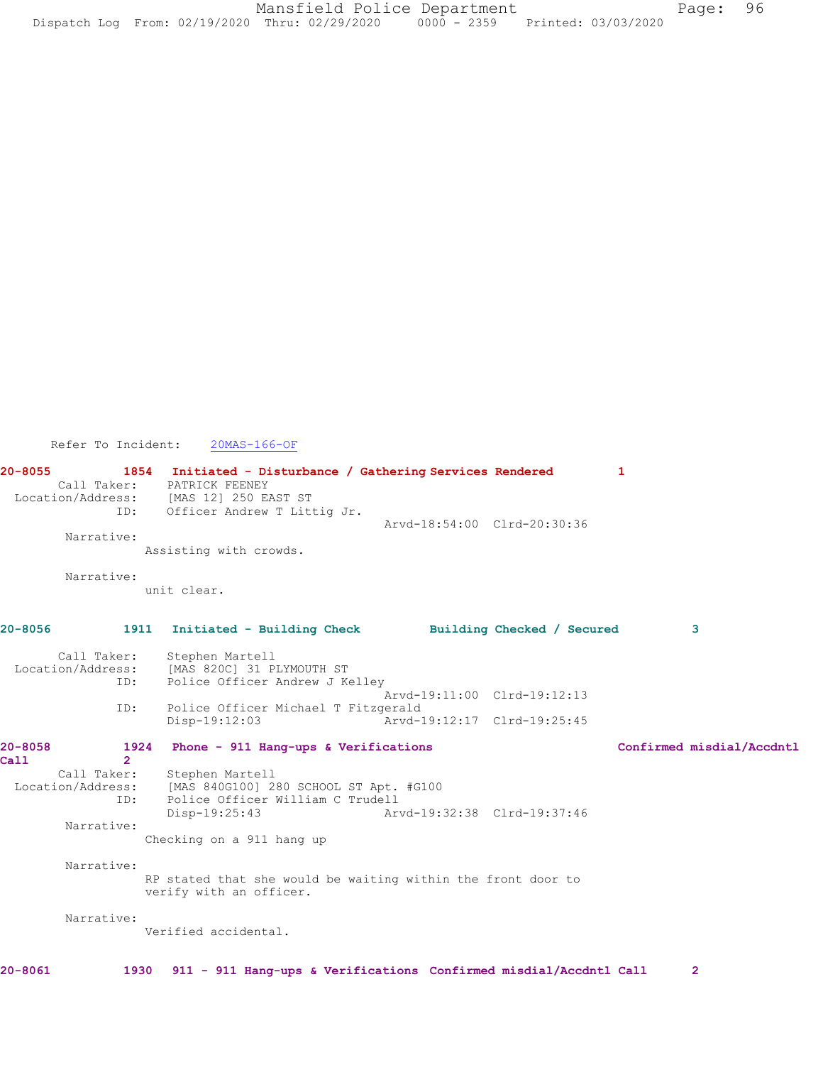Refer To Incident: 20MAS-166-OF

**20-8055 1854 Initiated - Disturbance / Gathering Services Rendered 1**  Call Taker: PATRICK FEENEY<br>Location/Address: [MAS 12] 250 E. ess: [MAS 12] 250 EAST ST<br>ID: Officer Andrew T Litt Officer Andrew T Littig Jr. Arvd-18:54:00 Clrd-20:30:36 Narrative: Assisting with crowds. Narrative: unit clear. **20-8056 1911 Initiated - Building Check Building Checked / Secured 3** Call Taker: Stephen Martell Location/Address: [MAS 820C] 31 PLYMOUTH ST ID: Police Officer Andrew J Kelley Arvd-19:11:00 Clrd-19:12:13 ID: Police Officer Michael T Fitzgerald Arvd-19:12:17 Clrd-19:25:45 **20-8058 1924 Phone - 911 Hang-ups & Verifications Confirmed misdial/Accdntl Call** 2<br>**Call Taker:** Stephen Martell Location/Address: [MAS 840G100] 280 SCHOOL ST Apt. #G100 ID: Police Officer William C Trudell Disp-19:25:43 Arvd-19:32:38 Clrd-19:37:46 Narrative: Checking on a 911 hang up Narrative: RP stated that she would be waiting within the front door to verify with an officer. Narrative: Verified accidental. **20-8061 1930 911 - 911 Hang-ups & Verifications Confirmed misdial/Accdntl Call 2**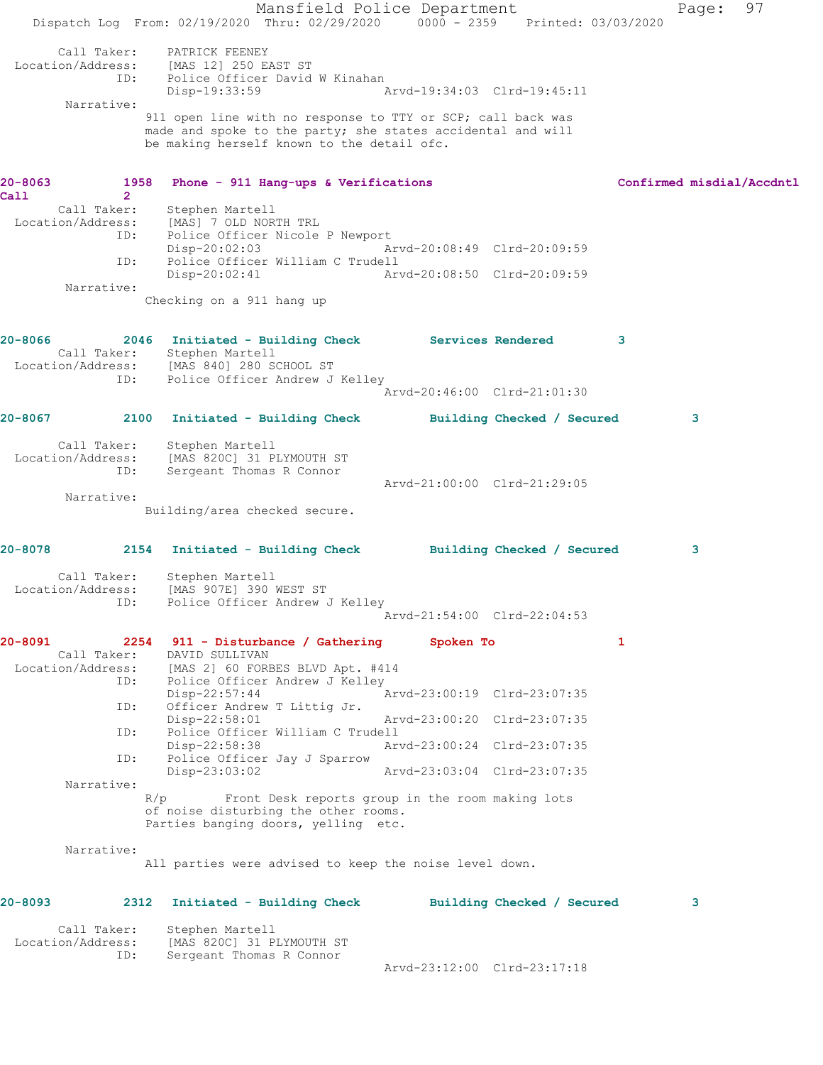Mansfield Police Department Page: 97 Dispatch Log From: 02/19/2020 Thru: 02/29/2020 0000 - 2359 Printed: 03/03/2020 Call Taker: PATRICK FEENEY Location/Address: [MAS 12] 250 EAST ST ID: Police Officer David W Kinahan Disp-19:33:59 Arvd-19:34:03 Clrd-19:45:11 Narrative: 911 open line with no response to TTY or SCP; call back was made and spoke to the party; she states accidental and will be making herself known to the detail ofc. **20-8063 1958 Phone - 911 Hang-ups & Verifications Confirmed misdial/Accdntl Call 2**  Call Taker: Stephen Martell Location/Address: [MAS] 7 OLD NORTH TRL ID: Police Officer Nicole P Newport<br>Disp-20:02:03 Ar Disp-20:02:03 Arvd-20:08:49 Clrd-20:09:59 ID: Police Officer William C Trudell<br>Disp-20:02:41 Art Disp-20:02:41 Arvd-20:08:50 Clrd-20:09:59 Narrative: Checking on a 911 hang up **20-8066 2046 Initiated - Building Check Services Rendered 3**  Call Taker: Stephen Martell Location/Address: [MAS 840] 280 SCHOOL ST ID: Police Officer Andrew J Kelley Arvd-20:46:00 Clrd-21:01:30 **20-8067 2100 Initiated - Building Check Building Checked / Secured 3** Call Taker: Stephen Martell Location/Address: [MAS 820C] 31 PLYMOUTH ST ID: Sergeant Thomas R Connor Arvd-21:00:00 Clrd-21:29:05 Narrative: Building/area checked secure. **20-8078 2154 Initiated - Building Check Building Checked / Secured 3** Call Taker: Stephen Martell Location/Address: [MAS 907E] 390 WEST ST ID: Police Officer Andrew J Kelley Arvd-21:54:00 Clrd-22:04:53 **20-8091 2254 911 - Disturbance / Gathering Spoken To 1**  Call Taker: DAVID SULLIVAN Location/Address: [MAS 2] 60 FORBES BLVD Apt. #414 ID: Police Officer Andrew J Kelley Disp-22:57:44 Arvd-23:00:19 Clrd-23:07:35 ID: Officer Andrew T Littig Jr.<br>Disp-22:58:01 Arvd-23:00:20 Clrd-23:07:35 ID: Police Officer William C Trudell<br>Disp-22:58:38 Arv Disp-22:58:38 Arvd-23:00:24 Clrd-23:07:35<br>D: Police Officer Jay J Sparrow<br>Disp-23:03:02 Arvd-23:03:04 Clrd-23:07:35 Police Officer Jay J Sparrow Disp-23:03:02 Arvd-23:03:04 Clrd-23:07:35 Narrative:<br>R/p Front Desk reports group in the room making lots of noise disturbing the other rooms. Parties banging doors, yelling etc. Narrative: All parties were advised to keep the noise level down. **20-8093 2312 Initiated - Building Check Building Checked / Secured 3** Call Taker: Stephen Martell Location/Address: [MAS 820C] 31 PLYMOUTH ST ID: Sergeant Thomas R Connor Arvd-23:12:00 Clrd-23:17:18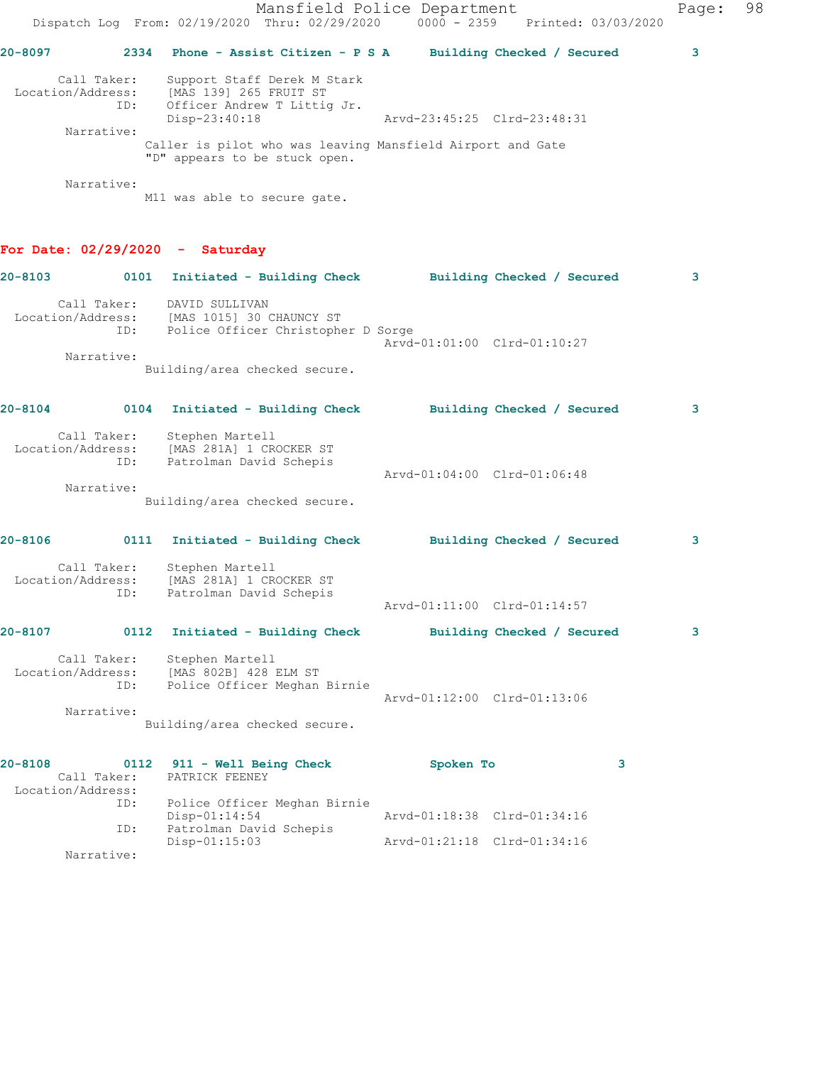|                                  |                    | Mansfield Police Department<br>Dispatch Log From: 02/19/2020 Thru: 02/29/2020                         | $0000 - 2359$               | Printed: 03/03/2020        | Page: | 98 |
|----------------------------------|--------------------|-------------------------------------------------------------------------------------------------------|-----------------------------|----------------------------|-------|----|
| $20 - 8097$                      | 2334               | Phone - Assist Citizen - P S A Building Checked / Secured                                             |                             |                            | 3     |    |
| Location/Address:                | Call Taker:<br>ID: | Support Staff Derek M Stark<br>[MAS 139] 265 FRUIT ST<br>Officer Andrew T Littig Jr.<br>Disp-23:40:18 | Arvd-23:45:25 Clrd-23:48:31 |                            |       |    |
|                                  | Narrative:         | Caller is pilot who was leaving Mansfield Airport and Gate<br>"D" appears to be stuck open.           |                             |                            |       |    |
|                                  | Narrative:         | M11 was able to secure gate.                                                                          |                             |                            |       |    |
|                                  |                    | For Date: $02/29/2020 -$ Saturday                                                                     |                             |                            |       |    |
| $20 - 8103$                      |                    | 0101 Initiated - Building Check Building Checked / Secured                                            |                             |                            | з     |    |
| Location/Address:                | ID:                | Call Taker: DAVID SULLIVAN<br>[MAS 1015] 30 CHAUNCY ST<br>Police Officer Christopher D Sorge          |                             |                            |       |    |
|                                  | Narrative:         | Building/area checked secure.                                                                         | Arvd-01:01:00 Clrd-01:10:27 |                            |       |    |
| $20 - 8104$                      |                    | 0104 Initiated - Building Check                                                                       |                             | Building Checked / Secured | з     |    |
|                                  | ID:                | Call Taker: Stephen Martell<br>Location/Address: [MAS 281A] 1 CROCKER ST<br>Patrolman David Schepis   |                             |                            |       |    |
|                                  | Narrative:         | Building/area checked secure.                                                                         | Arvd-01:04:00 Clrd-01:06:48 |                            |       |    |
| $20 - 8106$                      |                    | 0111 Initiated - Building Check                                                                       |                             | Building Checked / Secured | з     |    |
|                                  | ID:                | Call Taker: Stephen Martell<br>Location/Address: [MAS 281A] 1 CROCKER ST<br>Patrolman David Schepis   | Arvd-01:11:00 Clrd-01:14:57 |                            |       |    |
| 20-8107                          |                    | 0112 Initiated - Building Check                                                                       |                             | Building Checked / Secured | 3     |    |
| Location/Address:                | Call Taker:<br>ID: | Stephen Martell<br>[MAS 802B] 428 ELM ST<br>Police Officer Meghan Birnie                              | Arvd-01:12:00 Clrd-01:13:06 |                            |       |    |
|                                  | Narrative:         | Building/area checked secure.                                                                         |                             |                            |       |    |
| $20 - 8108$<br>Location/Address: | Call Taker:        | 0112 911 - Well Being Check<br>PATRICK FEENEY                                                         | Spoken To                   | 3                          |       |    |
|                                  | ID:                | Police Officer Meghan Birnie<br>Disp-01:14:54                                                         | Arvd-01:18:38 Clrd-01:34:16 |                            |       |    |
|                                  | ID:<br>Narrative:  | Patrolman David Schepis<br>Disp-01:15:03                                                              | Arvd-01:21:18 Clrd-01:34:16 |                            |       |    |
|                                  |                    |                                                                                                       |                             |                            |       |    |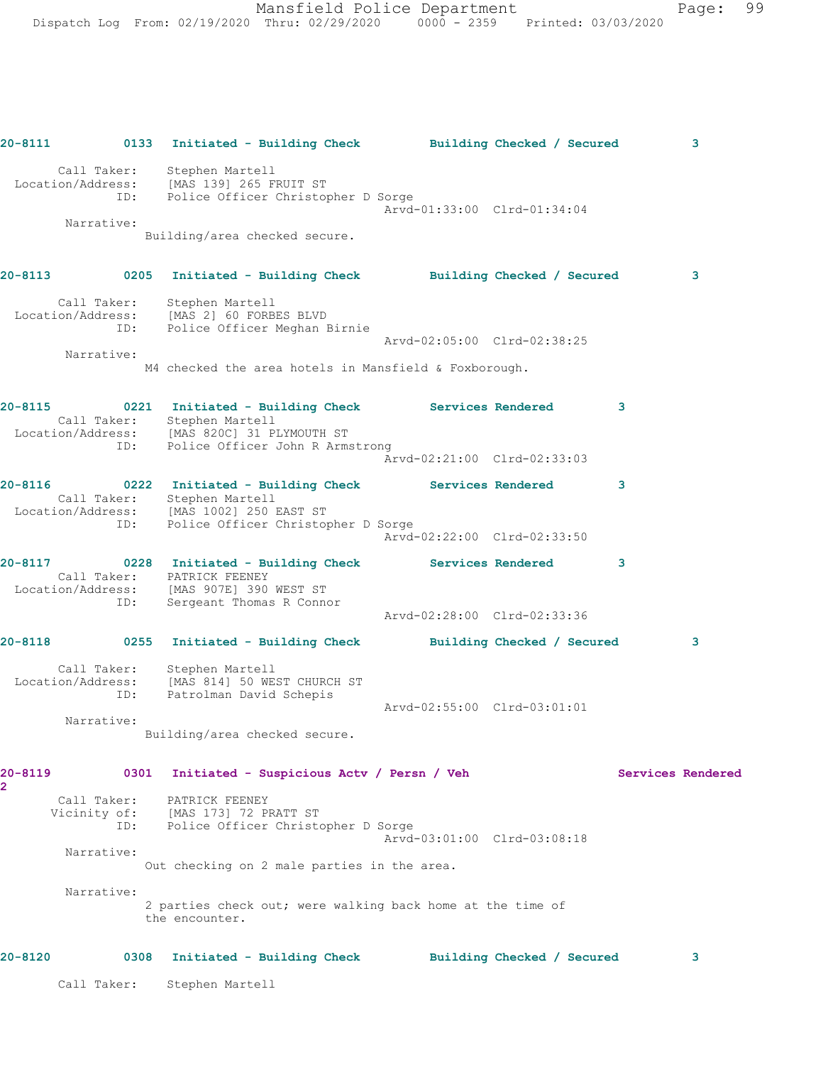**20-8111 0133 Initiated - Building Check Building Checked / Secured 3** Call Taker: Stephen Martell Location/Address: [MAS 139] 265 FRUIT ST ID: Police Officer Christopher D Sorge Arvd-01:33:00 Clrd-01:34:04 Narrative: Building/area checked secure. **20-8113 0205 Initiated - Building Check Building Checked / Secured 3** Call Taker: Stephen Martell Location/Address: [MAS 2] 60 FORBES BLVD ID: Police Officer Meghan Birnie Arvd-02:05:00 Clrd-02:38:25 Narrative: M4 checked the area hotels in Mansfield & Foxborough. **20-8115 0221 Initiated - Building Check Services Rendered 3**  Call Taker: Stephen Martell Location/Address: [MAS 820C] 31 PLYMOUTH ST ID: Police Officer John R Armstrong Arvd-02:21:00 Clrd-02:33:03 **20-8116 0222 Initiated - Building Check Services Rendered 3**  Call Taker: Stephen Martell Location/Address: [MAS 1002] 250 EAST ST ID: Police Officer Christopher D Sorge Arvd-02:22:00 Clrd-02:33:50 **20-8117 0228 Initiated - Building Check Services Rendered 3**  Call Taker: PATRICK FEENEY Location/Address: [MAS 907E] 390 WEST ST ID: Sergeant Thomas R Connor Arvd-02:28:00 Clrd-02:33:36 **20-8118 0255 Initiated - Building Check Building Checked / Secured 3** Call Taker: Stephen Martell Location/Address: [MAS 814] 50 WEST CHURCH ST ID: Patrolman David Schepis Arvd-02:55:00 Clrd-03:01:01 Narrative: Building/area checked secure. **20-8119 0301 Initiated - Suspicious Actv / Persn / Veh Services Rendered 2**  Call Taker: PATRICK FEENEY Vicinity of: [MAS 173] 72 PRATT ST ID: Police Officer Christopher D Sorge Arvd-03:01:00 Clrd-03:08:18 Narrative: Out checking on 2 male parties in the area. Narrative: 2 parties check out; were walking back home at the time of the encounter. **20-8120 0308 Initiated - Building Check Building Checked / Secured 3** Call Taker: Stephen Martell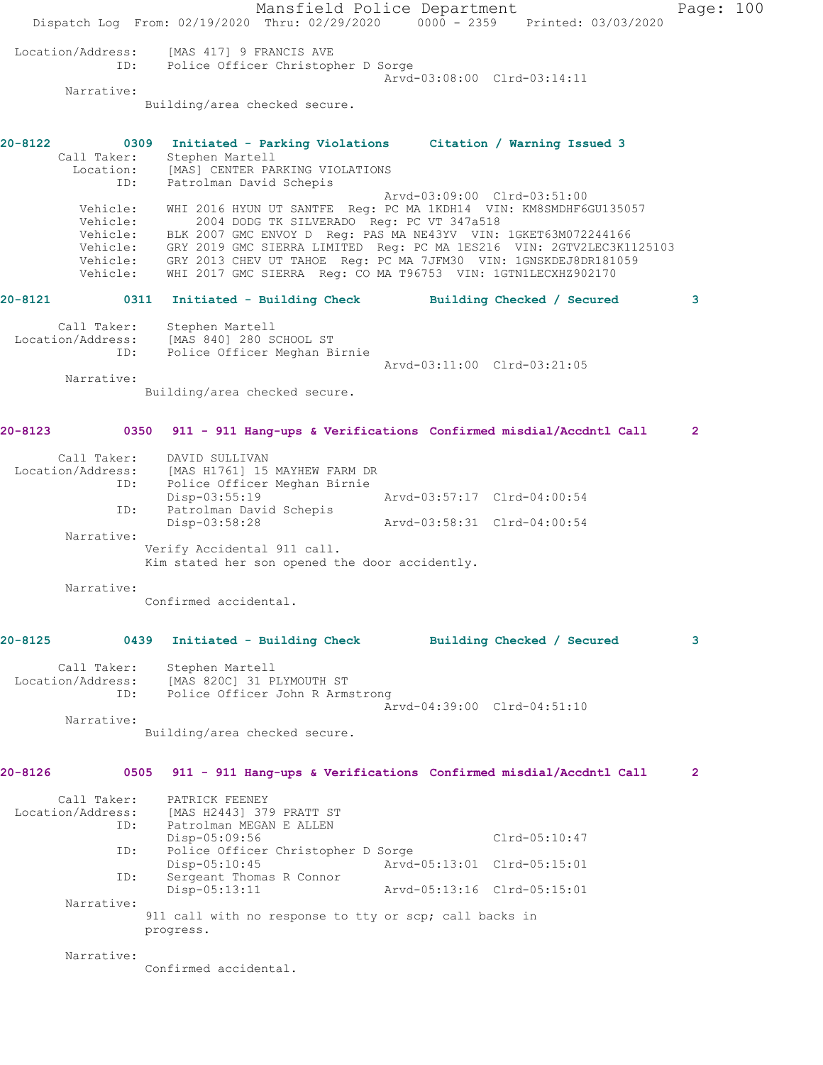|         |                                                                 | Dispatch Log From: 02/19/2020 Thru: 02/29/2020 0000 - 2359 Printed: 03/03/2020                                                                                                                                                                                                                                                                                                                                                 | Mansfield Police Department |                             | Page: 100      |  |
|---------|-----------------------------------------------------------------|--------------------------------------------------------------------------------------------------------------------------------------------------------------------------------------------------------------------------------------------------------------------------------------------------------------------------------------------------------------------------------------------------------------------------------|-----------------------------|-----------------------------|----------------|--|
|         | Location/Address:<br>ID:                                        | [MAS 417] 9 FRANCIS AVE<br>Police Officer Christopher D Sorge                                                                                                                                                                                                                                                                                                                                                                  |                             | Arvd-03:08:00 Clrd-03:14:11 |                |  |
|         | Narrative:                                                      | Building/area checked secure.                                                                                                                                                                                                                                                                                                                                                                                                  |                             |                             |                |  |
| 20-8122 | Call Taker:                                                     | 0309 Initiated - Parking Violations Citation / Warning Issued 3<br>Stephen Martell<br>Location: [MAS] CENTER PARKING VIOLATIONS                                                                                                                                                                                                                                                                                                |                             |                             |                |  |
|         | ID:<br>Vehicle:<br>Vehicle:<br>Vehicle:<br>Vehicle:<br>Vehicle: | Patrolman David Schepis<br>WHI 2016 HYUN UT SANTFE Reg: PC MA 1KDH14 VIN: KM8SMDHF6GU135057<br>2004 DODG TK SILVERADO Reg: PC VT 347a518<br>BLK 2007 GMC ENVOY D Reg: PAS MA NE43YV VIN: 1GKET63M072244166<br>Vehicle: GRY 2019 GMC SIERRA LIMITED Reg: PC MA 1ES216 VIN: 2GTV2LEC3K1125103<br>GRY 2013 CHEV UT TAHOE Reg: PC MA 7JFM30 VIN: 1GNSKDEJ8DR181059<br>WHI 2017 GMC SIERRA Req: CO MA T96753 VIN: 1GTN1LECXHZ902170 |                             | Arvd-03:09:00 Clrd-03:51:00 |                |  |
| 20-8121 |                                                                 | 0311 Initiated - Building Check                                                                                                                                                                                                                                                                                                                                                                                                |                             | Building Checked / Secured  | 3              |  |
|         | Call Taker:<br>Location/Address:<br>ID:                         | Stephen Martell<br>[MAS 840] 280 SCHOOL ST<br>Police Officer Meghan Birnie                                                                                                                                                                                                                                                                                                                                                     |                             | Arvd-03:11:00 Clrd-03:21:05 |                |  |
|         | Narrative:                                                      | Building/area checked secure.                                                                                                                                                                                                                                                                                                                                                                                                  |                             |                             |                |  |
| 20-8123 | 0350                                                            | 911 - 911 Hang-ups & Verifications Confirmed misdial/Accdntl Call                                                                                                                                                                                                                                                                                                                                                              |                             |                             | $\mathbf{2}$   |  |
|         | Call Taker:<br>Location/Address:<br>ID:<br>ID:                  | DAVID SULLIVAN<br>[MAS H1761] 15 MAYHEW FARM DR<br>Police Officer Meghan Birnie<br>Disp-03:55:19<br>Patrolman David Schepis                                                                                                                                                                                                                                                                                                    | Arvd-03:57:17 Clrd-04:00:54 |                             |                |  |
|         | Narrative:                                                      | Disp-03:58:28                                                                                                                                                                                                                                                                                                                                                                                                                  | Arvd-03:58:31 Clrd-04:00:54 |                             |                |  |
|         |                                                                 | Verify Accidental 911 call.<br>Kim stated her son opened the door accidently.                                                                                                                                                                                                                                                                                                                                                  |                             |                             |                |  |
|         | Narrative:                                                      | Confirmed accidental.                                                                                                                                                                                                                                                                                                                                                                                                          |                             |                             |                |  |
| 20-8125 |                                                                 | 0439 Initiated - Building Check                                                                                                                                                                                                                                                                                                                                                                                                |                             | Building Checked / Secured  | 3              |  |
|         | Call Taker:<br>Location/Address:<br>ID:                         | Stephen Martell<br>[MAS 820C] 31 PLYMOUTH ST<br>Police Officer John R Armstrong                                                                                                                                                                                                                                                                                                                                                |                             |                             |                |  |
|         | Narrative:                                                      | Building/area checked secure.                                                                                                                                                                                                                                                                                                                                                                                                  |                             | Arvd-04:39:00 Clrd-04:51:10 |                |  |
| 20-8126 | 0505                                                            | 911 - 911 Hang-ups & Verifications Confirmed misdial/Accdntl Call                                                                                                                                                                                                                                                                                                                                                              |                             |                             | $\overline{2}$ |  |
|         | Call Taker:<br>Location/Address:<br>ID:                         | PATRICK FEENEY<br>[MAS H2443] 379 PRATT ST<br>Patrolman MEGAN E ALLEN<br>$Disp-05:09:56$                                                                                                                                                                                                                                                                                                                                       |                             | Clrd-05:10:47               |                |  |
|         | ID:                                                             | Police Officer Christopher D Sorge                                                                                                                                                                                                                                                                                                                                                                                             | Arvd-05:13:01 Clrd-05:15:01 |                             |                |  |
|         | ID:                                                             | $Disp-05:10:45$<br>Sergeant Thomas R Connor                                                                                                                                                                                                                                                                                                                                                                                    |                             |                             |                |  |
|         | Narrative:                                                      | Disp-05:13:11                                                                                                                                                                                                                                                                                                                                                                                                                  | Arvd-05:13:16 Clrd-05:15:01 |                             |                |  |
|         |                                                                 | 911 call with no response to tty or scp; call backs in<br>progress.                                                                                                                                                                                                                                                                                                                                                            |                             |                             |                |  |
|         | Narrative:                                                      | Confirmed accidental.                                                                                                                                                                                                                                                                                                                                                                                                          |                             |                             |                |  |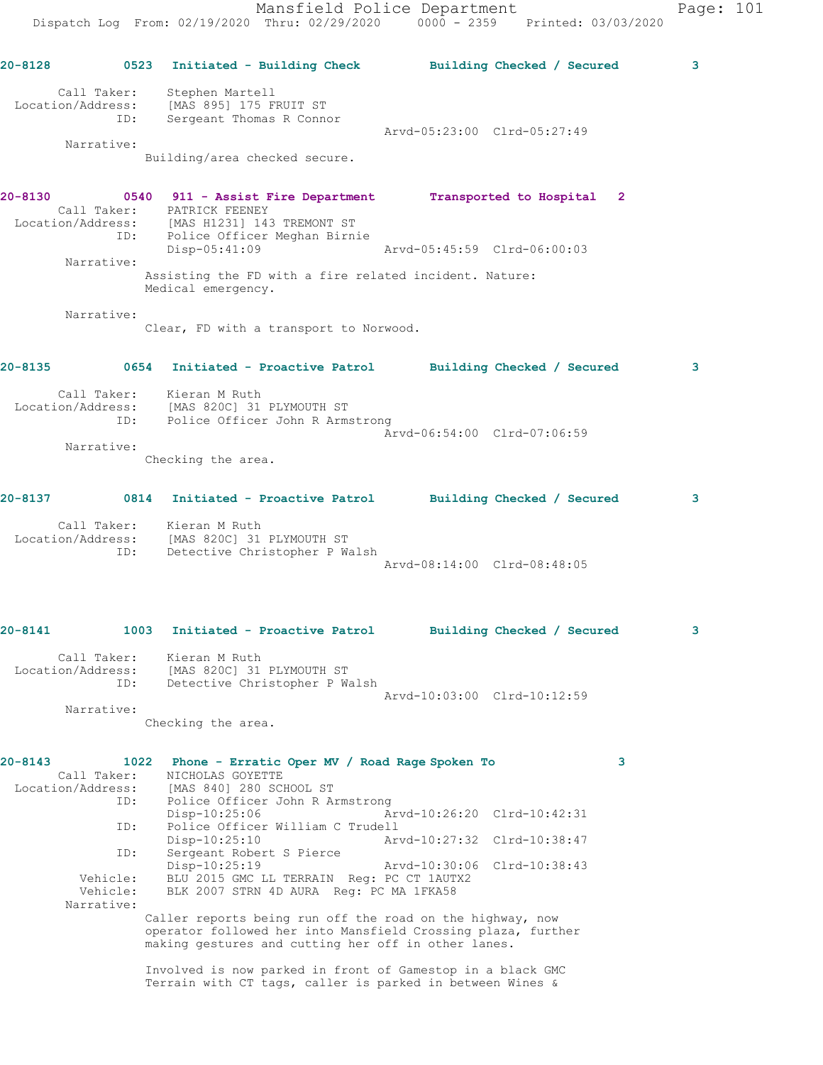Mansfield Police Department Page: 101 Dispatch Log From: 02/19/2020 Thru: 02/29/2020 0000 - 2359 Printed: 03/03/2020 **20-8128 0523 Initiated - Building Check Building Checked / Secured 3** Call Taker: Stephen Martell Location/Address: [MAS 895] 175 FRUIT ST ID: Sergeant Thomas R Connor Arvd-05:23:00 Clrd-05:27:49 Narrative: Building/area checked secure. **20-8130 0540 911 - Assist Fire Department Transported to Hospital 2**  Call Taker: PATRICK FEENEY Location/Address: [MAS H1231] 143 TREMONT ST ID: Police Officer Meghan Birnie Disp-05:41:09 Arvd-05:45:59 Clrd-06:00:03 Narrative: Assisting the FD with a fire related incident. Nature: Medical emergency. Narrative: Clear, FD with a transport to Norwood. **20-8135 0654 Initiated - Proactive Patrol Building Checked / Secured 3** Call Taker: Kieran M Ruth Location/Address: [MAS 820C] 31 PLYMOUTH ST ID: Police Officer John R Armstrong Arvd-06:54:00 Clrd-07:06:59 Narrative: Checking the area. **20-8137 0814 Initiated - Proactive Patrol Building Checked / Secured 3** Call Taker: Kieran M Ruth Location/Address: [MAS 820C] 31 PLYMOUTH ST ID: Detective Christopher P Walsh Arvd-08:14:00 Clrd-08:48:05 **20-8141 1003 Initiated - Proactive Patrol Building Checked / Secured 3** Call Taker: Kieran M Ruth Location/Address: [MAS 820C] 31 PLYMOUTH ST ID: Detective Christopher P Walsh Arvd-10:03:00 Clrd-10:12:59 Narrative: Checking the area. **20-8143 1022 Phone - Erratic Oper MV / Road Rage Spoken To 3**  Call Taker: NICHOLAS GOYETTE Location/Address: [MAS 840] 280 SCHOOL ST ID: Police Officer John R Armstrong Disp-10:25:06 Arvd-10:26:20 Clrd-10:42:31 ID: Police Officer William C Trudell Disp-10:25:10 Arvd-10:27:32 Clrd-10:38:47 ID: Sergeant Robert S Pierce Disp-10:25:19 Arvd-10:30:06 Clrd-10:38:43 Vehicle: BLU 2015 GMC LL TERRAIN Reg: PC CT 1AUTX2 Vehicle: BLK 2007 STRN 4D AURA Reg: PC MA 1FKA58 Narrative: Caller reports being run off the road on the highway, now operator followed her into Mansfield Crossing plaza, further making gestures and cutting her off in other lanes.

> Involved is now parked in front of Gamestop in a black GMC Terrain with CT tags, caller is parked in between Wines &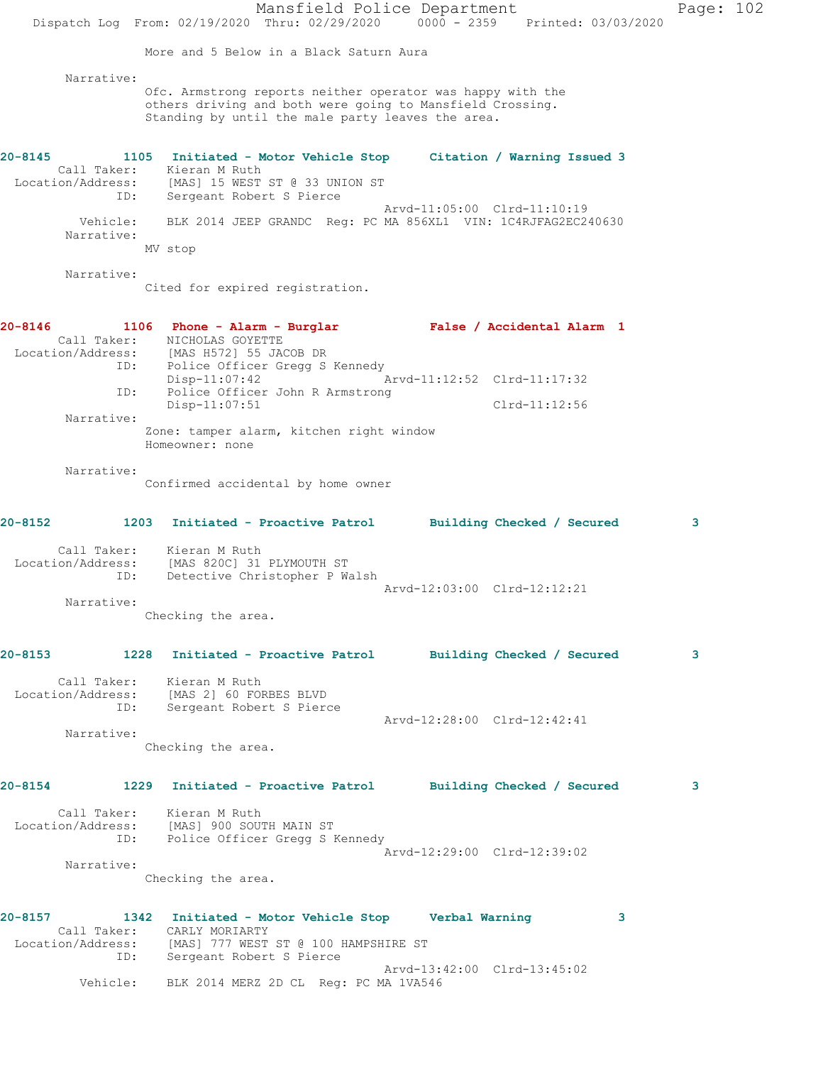Mansfield Police Department Page: 102 Dispatch Log From: 02/19/2020 Thru: 02/29/2020 0000 - 2359 Printed: 03/03/2020 More and 5 Below in a Black Saturn Aura Narrative: Ofc. Armstrong reports neither operator was happy with the others driving and both were going to Mansfield Crossing. Standing by until the male party leaves the area. **20-8145 1105 Initiated - Motor Vehicle Stop Citation / Warning Issued 3**  Call Taker: Kieran M Ruth Location/Address: [MAS] 15 WEST ST @ 33 UNION ST ID: Sergeant Robert S Pierce Arvd-11:05:00 Clrd-11:10:19 Vehicle: BLK 2014 JEEP GRANDC Reg: PC MA 856XL1 VIN: 1C4RJFAG2EC240630 Narrative: MV stop Narrative: Cited for expired registration. **20-8146 1106 Phone - Alarm - Burglar False / Accidental Alarm 1**  Call Taker: NICHOLAS GOYETTE Location/Address: [MAS H572] 55 JACOB DR ID: Police Officer Gregg S Kennedy Disp-11:07:42 Arvd-11:12:52 Clrd-11:17:32 ID: Police Officer John R Armstrong Disp-11:07:51 Clrd-11:12:56 Narrative: Zone: tamper alarm, kitchen right window Homeowner: none Narrative: Confirmed accidental by home owner **20-8152 1203 Initiated - Proactive Patrol Building Checked / Secured 3** Call Taker: Kieran M Ruth Location/Address: [MAS 820C] 31 PLYMOUTH ST ID: Detective Christopher P Walsh Arvd-12:03:00 Clrd-12:12:21 Narrative: Checking the area. **20-8153 1228 Initiated - Proactive Patrol Building Checked / Secured 3** Call Taker: Kieran M Ruth Location/Address: [MAS 2] 60 FORBES BLVD ID: Sergeant Robert S Pierce Arvd-12:28:00 Clrd-12:42:41 Narrative: Checking the area. **20-8154 1229 Initiated - Proactive Patrol Building Checked / Secured 3** Call Taker: Kieran M Ruth Location/Address: [MAS] 900 SOUTH MAIN ST ID: Police Officer Gregg S Kennedy Arvd-12:29:00 Clrd-12:39:02 Narrative: Checking the area. **20-8157 1342 Initiated - Motor Vehicle Stop Verbal Warning 3**  Call Taker: CARLY MORIARTY Location/Address: [MAS] 777 WEST ST @ 100 HAMPSHIRE ST ID: Sergeant Robert S Pierce Arvd-13:42:00 Clrd-13:45:02 Vehicle: BLK 2014 MERZ 2D CL Reg: PC MA 1VA546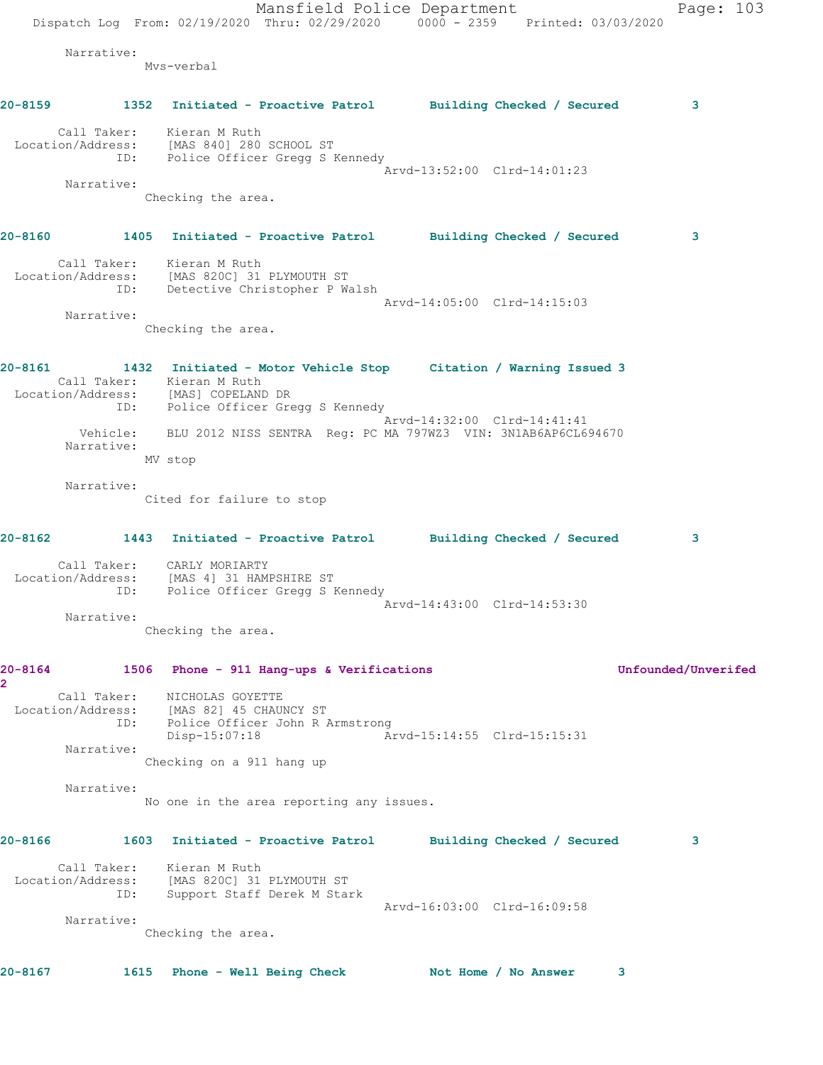Mansfield Police Department Page: 103 Dispatch Log From: 02/19/2020 Thru: 02/29/2020 0000 - 2359 Printed: 03/03/2020 Narrative: Mvs-verbal **20-8159 1352 Initiated - Proactive Patrol Building Checked / Secured 3** Call Taker: Kieran M Ruth Location/Address: [MAS 840] 280 SCHOOL ST ID: Police Officer Gregg S Kennedy Arvd-13:52:00 Clrd-14:01:23 Narrative: Checking the area. **20-8160 1405 Initiated - Proactive Patrol Building Checked / Secured 3** Call Taker: Kieran M Ruth Location/Address: [MAS 820C] 31 PLYMOUTH ST ID: Detective Christopher P Walsh Arvd-14:05:00 Clrd-14:15:03 Narrative: Checking the area. **20-8161 1432 Initiated - Motor Vehicle Stop Citation / Warning Issued 3**  Call Taker: Kieran M Ruth Location/Address: [MAS] COPELAND DR IESS. THEY COLLETTLE OF STREAM OF THE POLICE OF STREAM OF THE POLICE OF STREAM Arvd-14:32:00 Clrd-14:41:41 Arvd-14:32:00 Clrd-14:41:41 Vehicle: BLU 2012 NISS SENTRA Reg: PC MA 797WZ3 VIN: 3N1AB6AP6CL694670 Narrative: MV stop Narrative: Cited for failure to stop **20-8162 1443 Initiated - Proactive Patrol Building Checked / Secured 3** Call Taker: CARLY MORIARTY Location/Address: [MAS 4] 31 HAMPSHIRE ST ID: Police Officer Gregg S Kennedy Arvd-14:43:00 Clrd-14:53:30 Narrative: Checking the area. **20-8164 1506 Phone - 911 Hang-ups & Verifications Unfounded/Unverifed 2**  Call Taker: NICHOLAS GOYETTE Location/Address: [MAS 82] 45 CHAUNCY ST ID: Police Officer John R Armstrong Disp-15:07:18 Arvd-15:14:55 Clrd-15:15:31 Narrative: Checking on a 911 hang up Narrative: No one in the area reporting any issues. **20-8166 1603 Initiated - Proactive Patrol Building Checked / Secured 3** Call Taker: Kieran M Ruth Location/Address: [MAS 820C] 31 PLYMOUTH ST ID: Support Staff Derek M Stark Arvd-16:03:00 Clrd-16:09:58 Narrative: Checking the area. **20-8167 1615 Phone - Well Being Check Not Home / No Answer 3**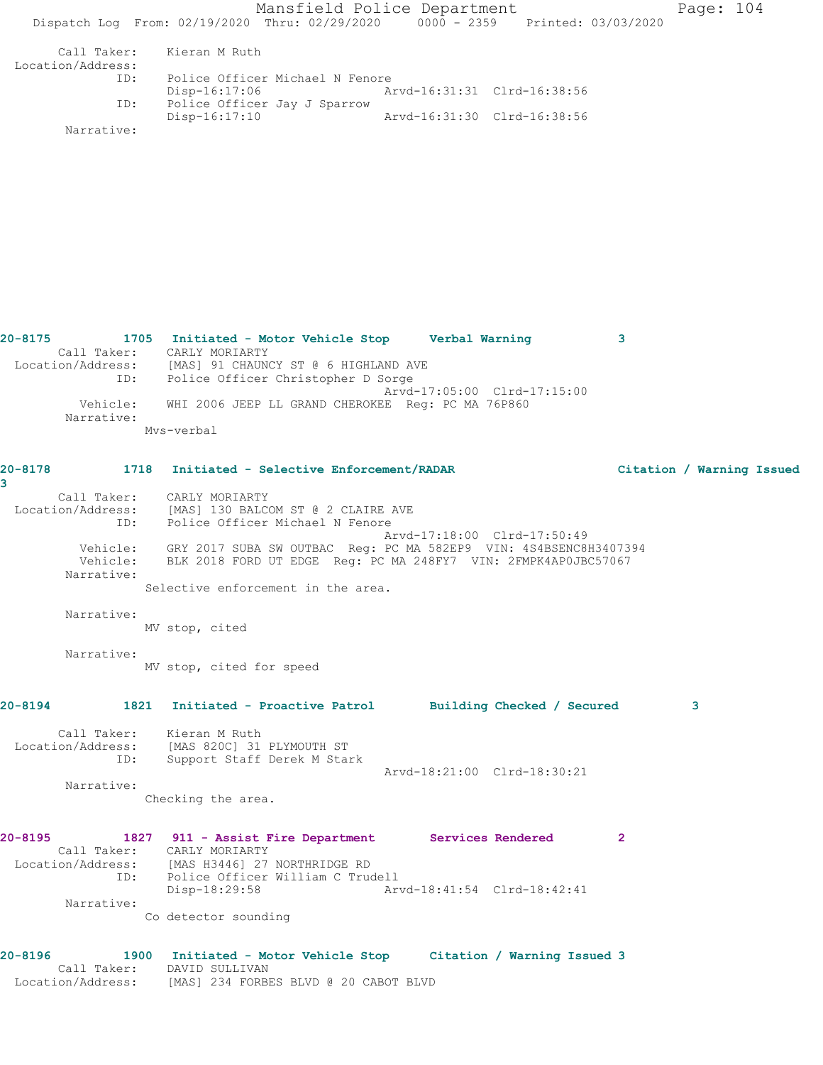Mansfield Police Department Page: 104 Dispatch Log From: 02/19/2020 Thru: 02/29/2020 0000 - 2359 Printed: 03/03/2020 Call Taker: Kieran M Ruth Location/Address: ID: Police Officer Michael N Fenore<br>Disp-16:17:06 A: Arvd-16:31:31 Clrd-16:38:56 ID: Police Officer Jay J Sparrow Disp-16:17:10 Arvd-16:31:30 Clrd-16:38:56

Narrative:

**20-8175 1705 Initiated - Motor Vehicle Stop Verbal Warning 3**  Call Taker: CARLY MORIARTY Location/Address: [MAS] 91 CHAUNCY ST @ 6 HIGHLAND AVE ID: Police Officer Christopher D Sorge Arvd-17:05:00 Clrd-17:15:00 Vehicle: WHI 2006 JEEP LL GRAND CHEROKEE Reg: PC MA 76P860 Narrative: Mvs-verbal

## **20-8178 1718 Initiated - Selective Enforcement/RADAR Citation / Warning Issued 3**  Call Taker: CARLY MORIARTY Location/Address: [MAS] 130 BALCOM ST @ 2 CLAIRE AVE ID: Police Officer Michael N Fenore Arvd-17:18:00 Clrd-17:50:49 Vehicle: GRY 2017 SUBA SW OUTBAC Reg: PC MA 582EP9 VIN: 4S4BSENC8H3407394 Vehicle: BLK 2018 FORD UT EDGE Reg: PC MA 248FY7 VIN: 2FMPK4AP0JBC57067 Narrative: Selective enforcement in the area. Narrative: MV stop, cited Narrative: MV stop, cited for speed **20-8194 1821 Initiated - Proactive Patrol Building Checked / Secured 3** Call Taker: Kieran M Ruth Location/Address: [MAS 820C] 31 PLYMOUTH ST ID: Support Staff Derek M Stark Arvd-18:21:00 Clrd-18:30:21 Narrative: Checking the area. **20-8195 1827 911 - Assist Fire Department Services Rendered 2**  Call Taker: CARLY MORIARTY

 Location/Address: [MAS H3446] 27 NORTHRIDGE RD ID: Police Officer William C Trudell<br>Disp-18:29:58 Arv Disp-18:29:58 Arvd-18:41:54 Clrd-18:42:41 Narrative:

Co detector sounding

```
20-8196 1900 Initiated - Motor Vehicle Stop Citation / Warning Issued 3 
      Call Taker: DAVID SULLIVAN
 Location/Address: [MAS] 234 FORBES BLVD @ 20 CABOT BLVD
```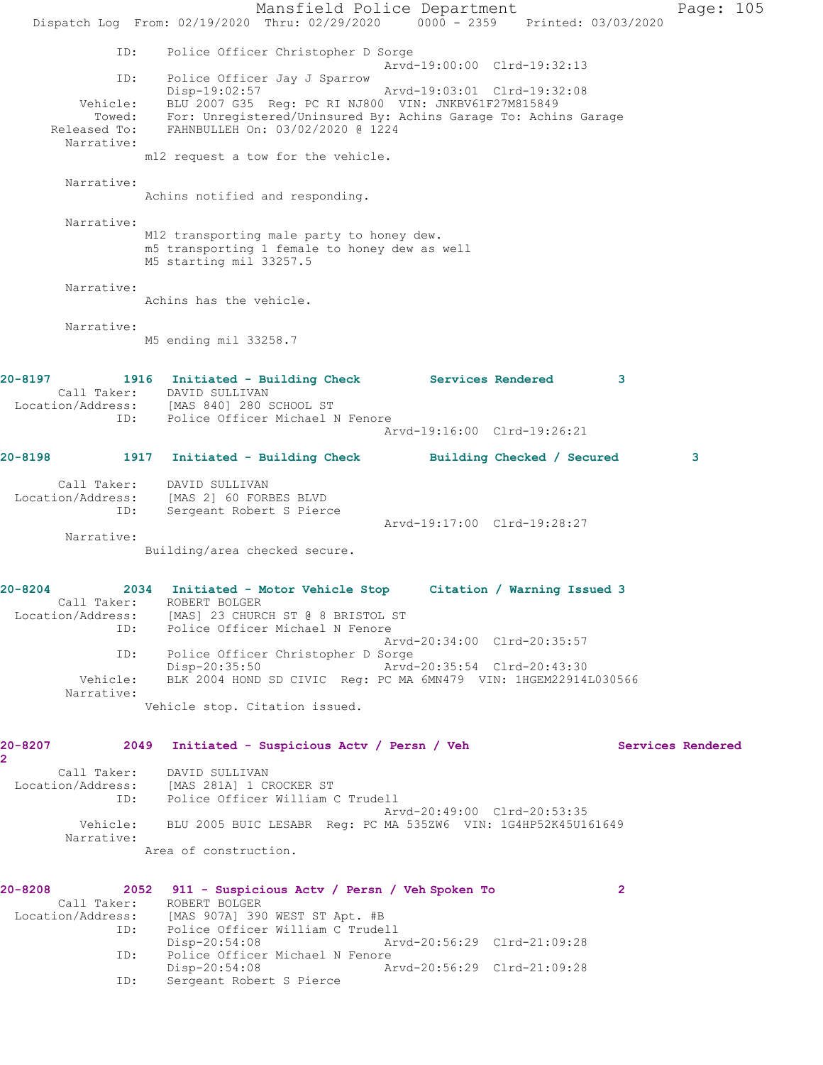Mansfield Police Department Page: 105 Dispatch Log From: 02/19/2020 Thru: 02/29/2020 0000 - 2359 Printed: 03/03/2020 ID: Police Officer Christopher D Sorge Arvd-19:00:00 Clrd-19:32:13 ID: Police Officer Jay J Sparrow Disp-19:02:57 Arvd-19:03:01 Clrd-19:32:08 Vehicle: BLU 2007 G35 Reg: PC RI NJ800 VIN: JNKBV61F27M815849 Towed: For: Unregistered/Uninsured By: Achins Garage To: Achins Garage Released To: FAHNBULLEH On: 03/02/2020 @ 1224 Narrative: m12 request a tow for the vehicle. Narrative: Achins notified and responding. Narrative: M12 transporting male party to honey dew. m5 transporting 1 female to honey dew as well M5 starting mil 33257.5 Narrative: Achins has the vehicle. Narrative: M5 ending mil 33258.7 **20-8197 1916 Initiated - Building Check Services Rendered 3**  Call Taker: DAVID SULLIVAN Location/Address: [MAS 840] 280 SCHOOL ST ID: Police Officer Michael N Fenore Arvd-19:16:00 Clrd-19:26:21 **20-8198 1917 Initiated - Building Check Building Checked / Secured 3** Call Taker: DAVID SULLIVAN Location/Address: [MAS 2] 60 FORBES BLVD ID: Sergeant Robert S Pierce Arvd-19:17:00 Clrd-19:28:27 Narrative: Building/area checked secure. **20-8204 2034 Initiated - Motor Vehicle Stop Citation / Warning Issued 3**  Call Taker: ROBERT BOLGER Location/Address: [MAS] 23 CHURCH ST @ 8 BRISTOL ST ID: Police Officer Michael N Fenore Arvd-20:34:00 Clrd-20:35:57 ID: Police Officer Christopher D Sorge<br>Disp-20:35:50 Arvd Disp-20:35:50 Arvd-20:35:54 Clrd-20:43:30 Vehicle: BLK 2004 HOND SD CIVIC Reg: PC MA 6MN479 VIN: 1HGEM22914L030566 Narrative: Vehicle stop. Citation issued. **20-8207 2049 Initiated - Suspicious Actv / Persn / Veh Services Rendered 2**  Call Taker: DAVID SULLIVAN Location/Address: [MAS 281A] 1 CROCKER ST ID: Police Officer William C Trudell Arvd-20:49:00 Clrd-20:53:35 Vehicle: BLU 2005 BUIC LESABR Reg: PC MA 535ZW6 VIN: 1G4HP52K45U161649 Narrative: Area of construction. **20-8208 2052 911 - Suspicious Actv / Persn / Veh Spoken To 2**  Call Taker: ROBERT BOLGER Location/Address: [MAS 907A] 390 WEST ST Apt. #B ID: Police Officer William C Trudell Disp-20:54:08 Arvd-20:56:29 Clrd-21:09:28 ID: Police Officer Michael N Fenore Disp-20:54:08 Arvd-20:56:29 Clrd-21:09:28 ID: Sergeant Robert S Pierce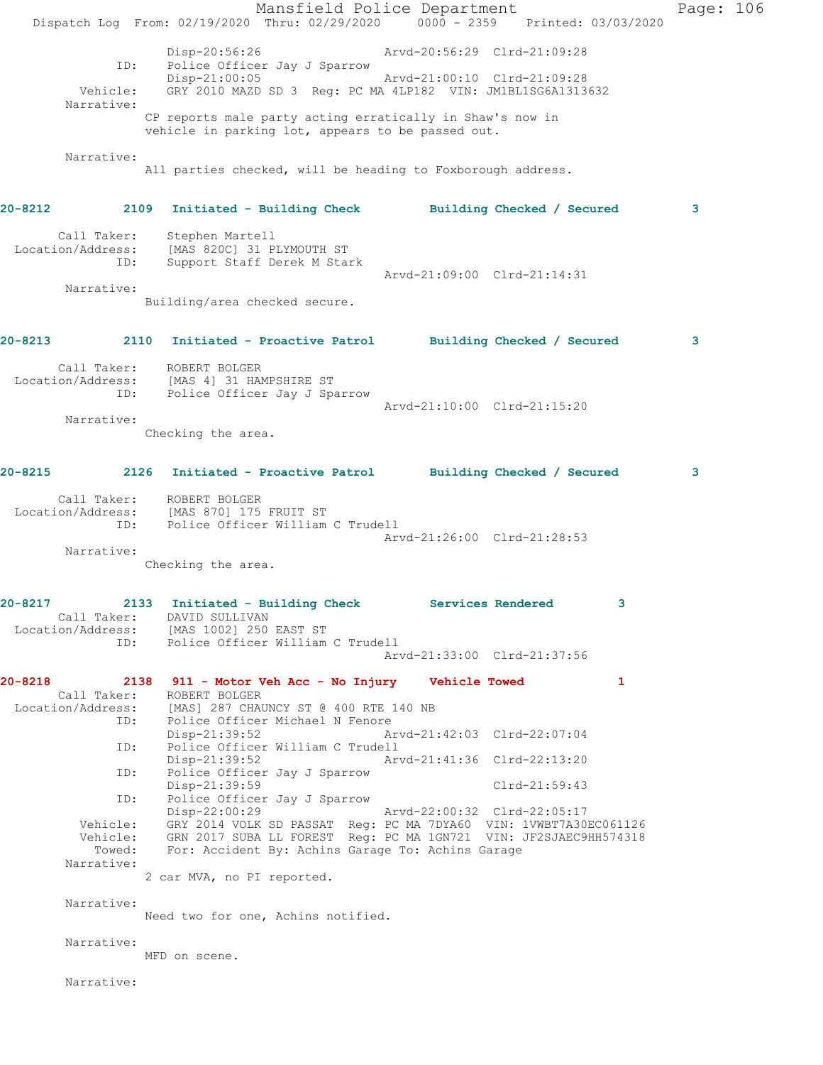Mansfield Police Department Page: 106 Dispatch Log From: 02/19/2020 Thru: 02/29/2020 0000 - 2359 Printed: 03/03/2020 Disp-20:56:26 Arvd-20:56:29 Clrd-21:09:28 ID: Police Officer Jay J Sparrow<br>Disp-21:00:05 Disp-21:00:05 Arvd-21:00:10 Clrd-21:09:28 Vehicle: GRY 2010 MAZD SD 3 Reg: PC MA 4LP182 VIN: JM1BL1SG6A1313632 Narrative: CP reports male party acting erratically in Shaw's now in vehicle in parking lot, appears to be passed out. Narrative: All parties checked, will be heading to Foxborough address. **20-8212 2109 Initiated - Building Check Building Checked / Secured 3** Call Taker: Stephen Martell Location/Address: [MAS 820C] 31 PLYMOUTH ST ID: Support Staff Derek M Stark Arvd-21:09:00 Clrd-21:14:31 Narrative: Building/area checked secure. **20-8213 2110 Initiated - Proactive Patrol Building Checked / Secured 3** Call Taker: ROBERT BOLGER Location/Address: [MAS 4] 31 HAMPSHIRE ST ID: Police Officer Jay J Sparrow Arvd-21:10:00 Clrd-21:15:20 Narrative: Checking the area. **20-8215 2126 Initiated - Proactive Patrol Building Checked / Secured 3** Call Taker: ROBERT BOLGER Location/Address: [MAS 870] 175 FRUIT ST ID: Police Officer William C Trudell Arvd-21:26:00 Clrd-21:28:53 Narrative: Checking the area. **20-8217 2133 Initiated - Building Check Services Rendered 3**  Call Taker: DAVID SULLIVAN Location/Address: [MAS 1002] 250 EAST ST ID: Police Officer William C Trudell Arvd-21:33:00 Clrd-21:37:56 **20-8218 2138 911 - Motor Veh Acc - No Injury Vehicle Towed 1**  Call Taker: ROBERT BOLGER Location/Address: [MAS] 287 CHAUNCY ST @ 400 RTE 140 NB ID: Police Officer Michael N Fenore Disp-21:39:52 Arvd-21:42:03 Clrd-22:07:04<br>TD: Police Officer William C Trudell Police Officer William C Trudell<br>Disp-21:39:52 Ar Arvd-21:41:36 Clrd-22:13:20 ID: Police Officer Jay J Sparrow Disp-21:39:59 Clrd-21:59:43 ID: Police Officer Jay J Sparrow<br>Disp-22:00:29 Disp-22:00:29 Arvd-22:00:32 Clrd-22:05:17 Vehicle: GRY 2014 VOLK SD PASSAT Reg: PC MA 7DYA60 VIN: 1VWBT7A30EC061126 Vehicle: GRN 2017 SUBA LL FOREST Reg: PC MA 1GN721 VIN: JF2SJAEC9HH574318 Towed: For: Accident By: Achins Garage To: Achins Garage Narrative: 2 car MVA, no PI reported. Narrative: Need two for one, Achins notified. Narrative: MFD on scene. Narrative: